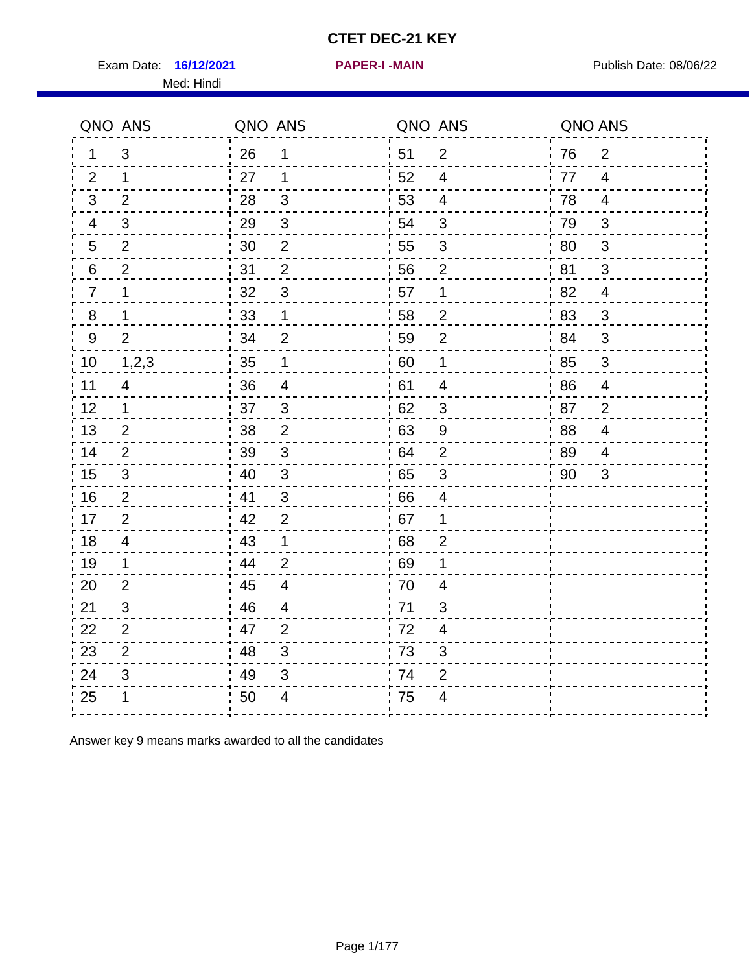Exam Date: 16/12/2021 **PAPER-I-MAIN Exam Date: 08/06/22** Med: Hindi

**16/12/2021 PAPER-I -MAIN**

|                | QNO ANS        | QNO ANS |                         | QNO ANS |                         | QNO ANS |                         |
|----------------|----------------|---------|-------------------------|---------|-------------------------|---------|-------------------------|
| $\mathbf 1$    | 3              | 26      | 1                       | 51      | $\overline{2}$          | 76      | $\overline{2}$          |
| 2              | 1              | 27      | 1                       | 52      | $\overline{4}$          | 77      | $\overline{4}$          |
| 3              | $\overline{2}$ | 28      | $\mathfrak{B}$          | 53      | $\overline{4}$          | 78      | $\overline{4}$          |
| 4              | 3              | 29      | $\sqrt{3}$              | 54      | 3                       | 79      | 3                       |
| 5              | $\overline{2}$ | 30      | $\boldsymbol{2}$        | 55      | $\sqrt{3}$              | 80      | $\mathbf{3}$            |
| 6              | $\overline{2}$ | 31      | 2                       | 56      | 2                       | .81     | 3                       |
| $\overline{7}$ | 1              | 32      | $\mathfrak{B}$          | 57      | 1                       | 82      | $\overline{4}$          |
| $8\phantom{1}$ | 1              | 33      | $\mathbf 1$             | 58      | $\mathbf 2$             | 83      | $\mathbf{3}$            |
| 9              | 2              | 34      | $\overline{2}$          | 59      | $\overline{2}$          | 84      | 3                       |
| 10             | 1,2,3          | 35      | 1                       | 60      | $\mathbf 1$             | 85      | $\mathfrak{S}$          |
| 11             | $\overline{4}$ | 36      | $\overline{\mathbf{4}}$ | 61      | $\overline{\mathbf{4}}$ | 86      | $\overline{\mathbf{4}}$ |
| 12             | $\mathbf{1}$   | 37      | $\mathbf{3}$            | 62      | $\mathbf{3}$            | 87      | $\overline{2}$          |
| 13             | 2              | 38      | 2                       | 63      | 9                       | 88      | $\overline{4}$          |
| 14             | 2              | 39      | 3                       | 64      | $\overline{2}$          | 89      | 4                       |
| 15             | 3              | 40      | $\mathbf{3}$            | 65      | $\mathbf{3}$            | 90      | 3                       |
| 16             | 2              | 41      | 3                       | 66      | $\overline{4}$          |         |                         |
| 17             | $\overline{2}$ | 42      | 2                       | 67      | 1                       |         |                         |
| 18             | $\overline{4}$ | 43      | $\mathbf 1$             | 68      | $\overline{2}$          |         |                         |
| 19             | 1              | 44      | $\overline{2}$          | 69      | 1                       |         |                         |
| 20             | 2              | 45      | $\overline{4}$          | 70      | $\overline{\mathbf{4}}$ |         |                         |
| 21             | 3              | 46      | 4                       | 71      | 3                       |         |                         |
| 22             | 2              | 47      | 2                       | 72      | $\overline{4}$          |         |                         |
| 23             | $\overline{2}$ | 48      | 3                       | 73      | 3                       |         |                         |
| 24             | 3              | 49      | 3                       | 74      | $\overline{2}$          |         |                         |
| 25             | 1              | 50      | 4                       | 75      | 4                       |         |                         |

Answer key 9 means marks awarded to all the candidates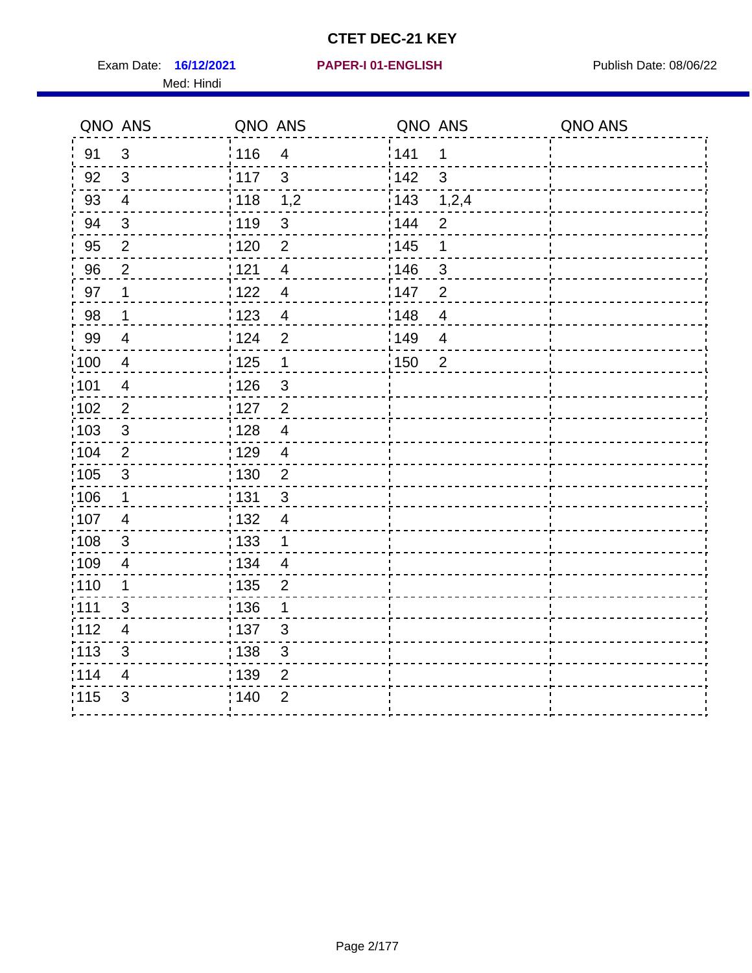Exam Date: 16/12/2021 PAPER-I 01-ENGLISH PREER Publish Date: 08/06/22 Med: Hindi

|                   | QNO ANS                  | QNO ANS         |                          | QNO ANS |                | QNO ANS |
|-------------------|--------------------------|-----------------|--------------------------|---------|----------------|---------|
| 91                | $\mathbf{3}$             | 116             | $\overline{\mathbf{4}}$  | 1141    | $\mathbf 1$    |         |
| 92                | 3                        | 117             | $\mathbf{3}$             | 142     | 3              |         |
| 93                | $\overline{4}$           | $\frac{1}{118}$ | 1,2                      | 143     | 1,2,4          |         |
| 94                | 3                        | 119             | $\mathbf{3}$             | : 144   | 2              |         |
| 95                | 2                        | : 120           | $\overline{2}$           | : 145   | 1              |         |
| 96                | $\overline{2}$           | 121             | 4                        | 146     | 3              |         |
| 97                | 1                        | 1122            | $\overline{\mathcal{A}}$ | 147     | $\overline{2}$ |         |
| 98                | $\mathbf{1}$             | 123             | $\overline{4}$           | 148     | $\overline{4}$ |         |
| 99                | $\overline{4}$           | 124             | $\overline{2}$           | 149     | $\overline{4}$ |         |
| $\frac{1}{1}$ 100 | $\overline{4}$           | 125             | $\mathbf 1$              | 150     | $\overline{2}$ |         |
| :101              | $\overline{\mathcal{A}}$ | : 126           | $\mathfrak{S}$           |         |                |         |
| 102               | $\overline{2}$           | : 127           | $\overline{2}$           |         |                |         |
| 103               | 3                        | : 128           | $\overline{4}$           |         |                |         |
| 104               | 2                        | : 129           | $\overline{4}$           |         |                |         |
| :105              | $\sqrt{3}$               | : 130           | $\overline{2}$           |         |                |         |
| 106               | $\mathbf 1$              | : 131           | $\mathbf{3}$             |         |                |         |
| :107              | $\overline{4}$           | : 132           | $\overline{4}$           |         |                |         |
| $\frac{1}{1}$ 108 | $\sqrt{3}$               | 133             | $\mathbf 1$              |         |                |         |
| :109              | $\overline{\mathcal{A}}$ | : 134           | $\overline{4}$           |         |                |         |
| :110              | 1                        | 135             | 2                        |         |                |         |
| : 111             | 3                        | 136             | 1                        |         |                |         |
| 112               | 4                        | : 137           | $\sqrt{3}$               |         |                |         |
| $\frac{1}{1}$ 113 | $\mathfrak{S}$           | : 138           | $\mathfrak{S}$           |         |                |         |
| 114               | 4                        | : 139           | 2                        |         |                |         |
| 115               | $\mathfrak{B}$           | 140             | $\overline{2}$           |         |                |         |
|                   |                          |                 |                          |         |                |         |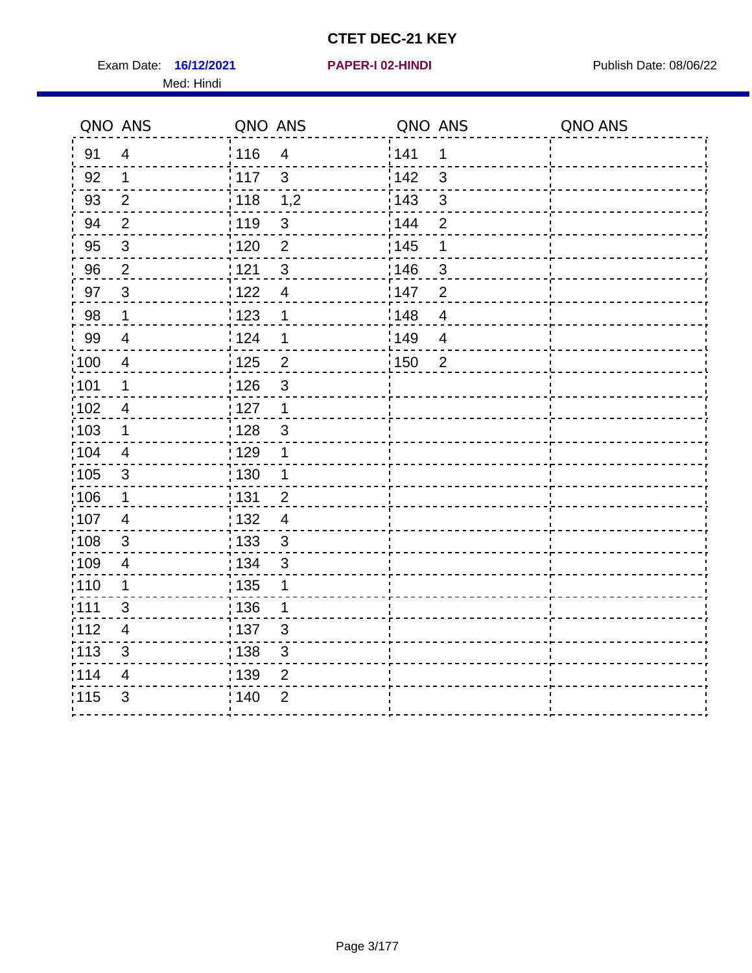Exam Date: 16/12/2021 **PAPER-I 02-HINDI Exam Date: 08/06/22** Med: Hindi

**16/12/2021 PAPER-I 02-HINDI**

|                   | QNO ANS        | QNO ANS           |                | QNO ANS |                          | QNO ANS |
|-------------------|----------------|-------------------|----------------|---------|--------------------------|---------|
| 91                | $\overline{4}$ | : 116             | $\overline{4}$ | 141     | 1                        |         |
| 92                | $\mathbf{1}$   | 117               | $\mathbf{3}$   | 142     | $\mathbf{3}$             |         |
| 93                | $\overline{2}$ | 118               | 1,2            | 143     | $\sqrt{3}$               |         |
| 94                | $\overline{2}$ | : 119             | $\sqrt{3}$     | 144     | $\overline{2}$           |         |
| 95                | $\mathfrak{B}$ | : 120             | $\overline{2}$ | : 145   | 1                        |         |
| 96                | $\overline{2}$ | 121               | $\sqrt{3}$     | 146     | $\mathfrak{S}$           |         |
| 97                | $\overline{3}$ | 122               | $\overline{4}$ | 147     | $\overline{2}$           |         |
| 98                | $\mathbf{1}$   | 123               | 1              | 148     | $\overline{4}$           |         |
| 99                | $\overline{4}$ | 124               | $\mathbf 1$    | 149     | $\overline{\mathcal{A}}$ |         |
| $\frac{1}{1}$ 100 | $\overline{4}$ | $\frac{1}{1}$ 125 | $\overline{2}$ | 150     | $\overline{2}$           |         |
| :101              | $\mathbf 1$    | : 126             | $\sqrt{3}$     |         |                          |         |
| 102               | $\overline{4}$ | 127               | $\mathbf{1}$   |         |                          |         |
| 103               | $\mathbf 1$    | : 128             | $\mathbf{3}$   |         |                          |         |
| 104               | $\overline{4}$ | : 129             | $\mathbf 1$    |         |                          |         |
| 105               | $\sqrt{3}$     | : 130             | $\mathbf 1$    |         |                          |         |
| :106              | $\mathbf 1$    | : 131             | $\overline{2}$ |         |                          |         |
| ;107              | $\overline{4}$ | 132               | $\overline{4}$ |         |                          |         |
| 108               | $\sqrt{3}$     | 133               | $\mathfrak{3}$ |         |                          |         |
| :109              | $\overline{4}$ | : 134             | $\mathfrak{B}$ |         |                          |         |
| :110              | 1              | : 135             | 1              |         |                          |         |
| 111               | 3              | : 136             | 1              |         |                          |         |
| 112               | $\overline{4}$ | : 137             | $\sqrt{3}$     |         |                          |         |
| 113               | $\mathfrak{S}$ | : 138             | 3              |         |                          |         |
| 114               | 4              | : 139             | 2              |         |                          |         |
| 115               | 3              | 140               | $\overline{2}$ |         |                          |         |
|                   |                |                   |                |         |                          |         |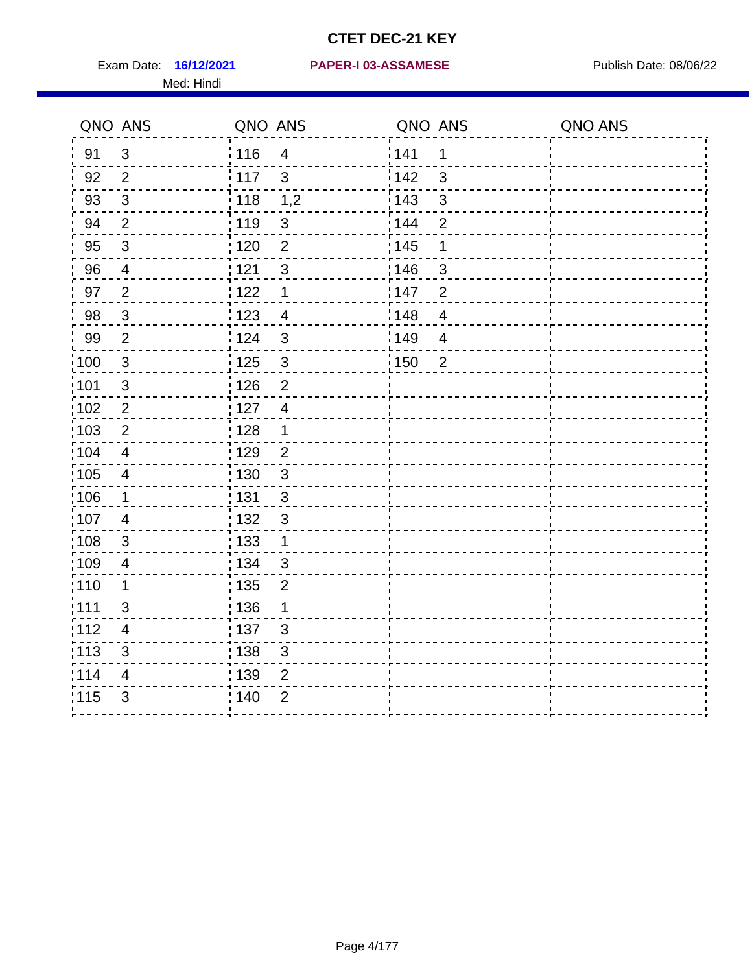Med: Hindi

|                   | QNO ANS                  | QNO ANS           |                          | QNO ANS |                | QNO ANS |
|-------------------|--------------------------|-------------------|--------------------------|---------|----------------|---------|
| 91                | $\sqrt{3}$               | 116               | $\overline{\mathcal{A}}$ | 141     | 1              |         |
| 92                | $\overline{2}$           | $\frac{1}{2}$ 117 | $\mathfrak{S}$           | 142     | $\mathbf{3}$   |         |
| 93                | $\sqrt{3}$               | $\frac{1}{2}$ 118 | 1,2                      | 143     | $\mathfrak{S}$ |         |
| 94                | $\overline{2}$           | : 119             | $\mathbf{3}$             | 144     | $\overline{2}$ |         |
| 95                | 3                        | :120              | 2                        | : 145   | 1              |         |
| 96                | $\overline{4}$           | 121               | $\sqrt{3}$               | :146    | $\sqrt{3}$     |         |
| 97                | $\overline{2}$           | 122               | $\mathbf 1$              | 147     | $\overline{2}$ |         |
| 98                | $\overline{3}$           | 123               | $\overline{4}$           | 148     | $\overline{4}$ |         |
| 99                | $\mathbf{2}$             | 124               | $\sqrt{3}$               | 149¦    | $\overline{4}$ |         |
| $\frac{1}{1}$ 100 | $\mathbf{3}$             | 125               | $\mathbf{3}$             | 150     | $\overline{2}$ |         |
| :101              | $\mathfrak{S}$           | 126               | $\overline{2}$           |         |                |         |
| 102               | $\overline{2}$           | : 127             | $\overline{4}$           |         |                |         |
| 103               | 2                        | :128              | $\mathbf 1$              |         |                |         |
| 104               | $\overline{4}$           | : 129             | $\overline{2}$           |         |                |         |
| 105               | $\overline{\mathbf{4}}$  | 130               | $\mathbf{3}$             |         |                |         |
| 106               | 1                        | 131               | 3                        |         |                |         |
| :107              | $\overline{4}$           | : 132             | $\mathbf{3}$             |         |                |         |
| $\frac{1}{1}$ 108 | $\sqrt{3}$               | 133               | $\mathbf{1}$             |         |                |         |
| 109               | $\overline{\mathbf{4}}$  | : 134             | $\mathbf{3}$             |         |                |         |
| :110              | 1                        | : 135             | $\overline{2}$           |         |                |         |
| :111              | $\mathfrak{S}$           | : 136             | $\mathbf 1$              |         |                |         |
| 112               | $\overline{\mathcal{A}}$ | 137               | $\mathfrak{S}$           |         |                |         |
| : 113             | 3                        | ; 138             | 3                        |         |                |         |
| 114               | 4                        | 139               | 2                        |         |                |         |
| 115               | 3                        | 140               | $\overline{2}$           |         |                |         |
|                   |                          |                   |                          |         |                |         |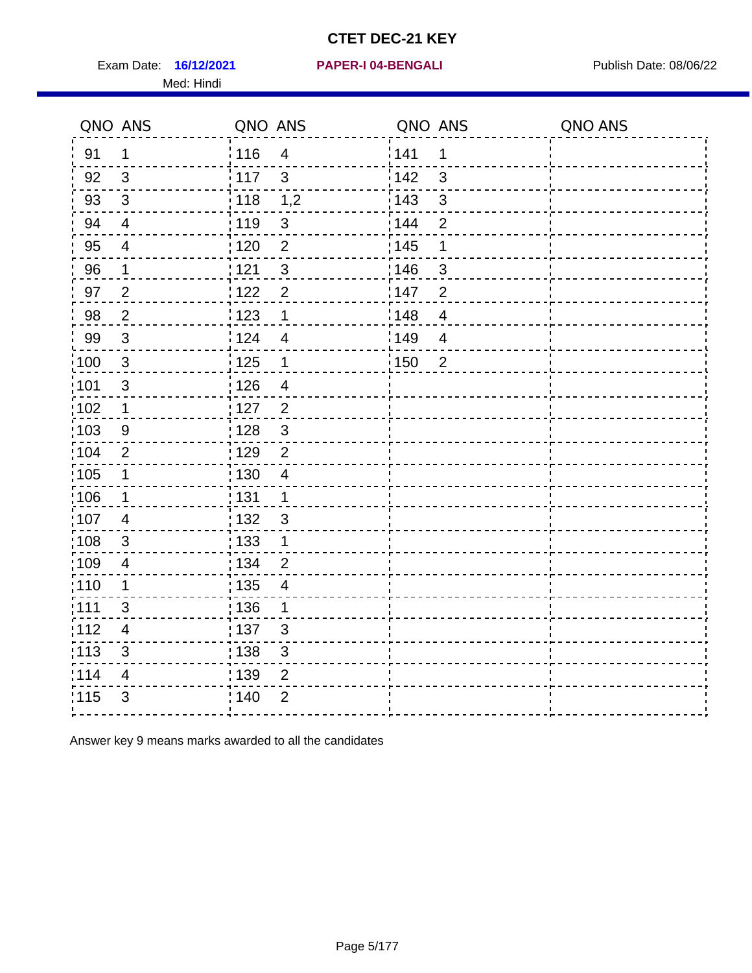Exam Date: 16/12/2021 PAPER-I 04-BENGALI PRER Publish Date: 08/06/22 Med: Hindi

|                   | QNO ANS                   | QNO ANS           |                          | QNO ANS |                | QNO ANS |
|-------------------|---------------------------|-------------------|--------------------------|---------|----------------|---------|
| 91                | $\mathbf 1$               | 116               | $\overline{4}$           | 141     | 1              |         |
| 92                | $\mathfrak{B}$            | $\frac{1}{2}$ 117 | $\mathfrak{3}$           | 142     | $\mathfrak{3}$ |         |
| 93                | $\sqrt{3}$                | $\frac{1}{2}$ 118 | 1,2                      | 143     | $\mathfrak{S}$ |         |
| 94                | $\overline{4}$            | : 119             | $\mathfrak{S}$           | 144     | $\overline{2}$ |         |
| 95                | $\overline{4}$            | : 120             | $\overline{2}$           | : 145   | 1              |         |
| 96                | 1                         | 121               | $\mathfrak{S}$           | :146    | 3              |         |
| 97                | $\overline{2}$            | 122               | $\overline{2}$           | 147     | $\overline{2}$ |         |
| 98                | $\overline{2}$            | 123               | $\mathbf 1$              | 148     | $\overline{4}$ |         |
| 99                | $\sqrt{3}$                | 124               | $\overline{4}$           | 149     | $\overline{4}$ |         |
| 100               | $\sqrt{3}$                | $\frac{1}{1}$ 125 | $\mathbf 1$              | 150     | $\overline{2}$ |         |
| 101               | $\mathfrak{S}$            | 126               | $\overline{\mathcal{A}}$ |         |                |         |
| 102               | $\mathbf 1$               | : 127             | $\overline{2}$           |         |                |         |
| 103               | 9                         | : 128             | 3                        |         |                |         |
| 104               | 2                         | : 129             | $\overline{2}$           |         |                |         |
| :105              | $\mathbf 1$               | $\frac{1}{1}$ 130 | $\overline{4}$           |         |                |         |
| $\frac{1}{1}$ 106 | $\mathbf 1$               | : 131             | $\overline{1}$           |         |                |         |
| 107               | 4                         | : 132             | $\mathbf{3}$             |         |                |         |
| 108               | $\mathbf{3}$              | $\frac{1}{1}$ 133 | $\mathbf{1}$             |         |                |         |
| :109              | $\overline{\mathcal{A}}$  | : 134             | $\overline{2}$           |         |                |         |
| 110               | 1                         | : 135             | $\overline{4}$           |         |                |         |
| 1111              | 3                         | : 136             | $\mathbf 1$              |         |                |         |
| 112               | $\overline{\mathbf{4}}$   | : 137             | 3                        |         |                |         |
| $\frac{1}{1}$ 113 | $\ensuremath{\mathsf{3}}$ | : 138             | $\sqrt{3}$               |         |                |         |
| 114               | 4                         | 139               | $\overline{2}$           |         |                |         |
| 115               | $\mathfrak{S}$            | ; 140             | $\overline{2}$           |         |                |         |
|                   |                           |                   |                          |         |                |         |

Answer key 9 means marks awarded to all the candidates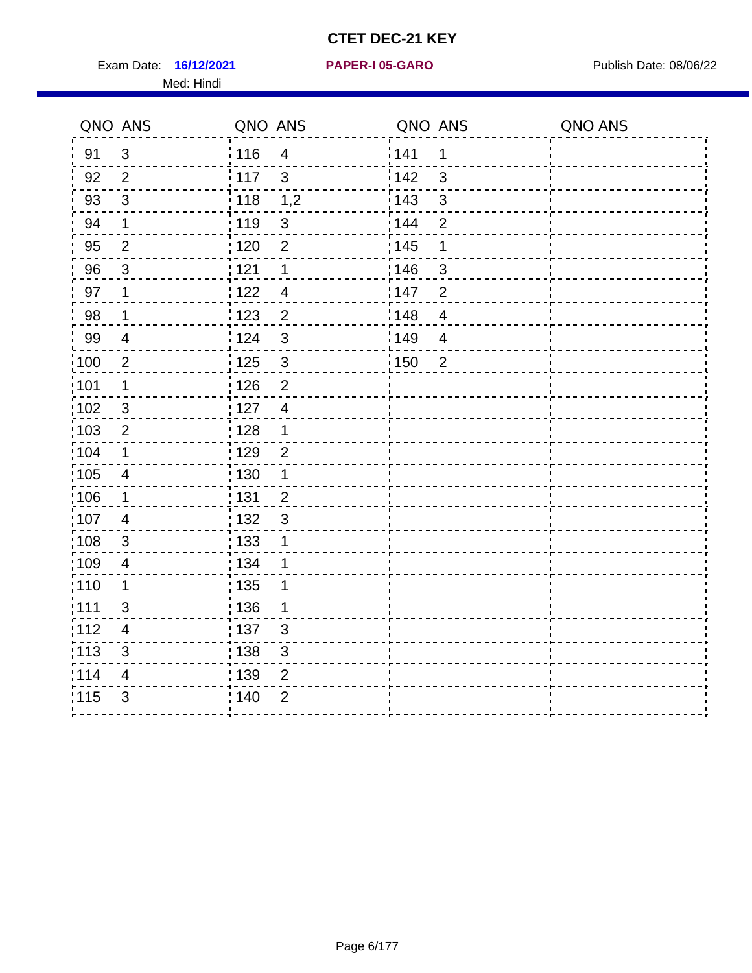Exam Date: 16/12/2021 **PAPER-I 05-GARO** Publish Date: 08/06/22 Med: Hindi

**16/12/2021 PAPER-I 05-GARO**

|       | QNO ANS                  | QNO ANS           |                | QNO ANS           |                | QNO ANS |
|-------|--------------------------|-------------------|----------------|-------------------|----------------|---------|
| 91    | $\mathfrak{S}$           | 116               | $\overline{4}$ | 1141              | 1              |         |
| 92    | $\overline{2}$           | 117               | $\mathbf{3}$   | 142               | $\mathbf{3}$   |         |
| 93    | $\sqrt{3}$               | $\frac{1}{118}$   | 1,2            | 143               | $\sqrt{3}$     |         |
| 94    | 1                        | : 119             | $\mathfrak{S}$ | : 144             | $\overline{2}$ |         |
| 95    | 2                        | :120              | $\overline{2}$ | : 145             | 1              |         |
| 96    | 3                        | 121               | 1              | :146              | 3              |         |
| 97    | 1                        | : 122             | $\overline{4}$ | 147               | $\overline{2}$ |         |
| 98    | $\mathbf 1$              | $\frac{1}{2}$ 123 | $\overline{2}$ | 148               | $\overline{4}$ |         |
| 99    | $\overline{\mathcal{A}}$ | 124               | 3              | $\frac{1}{2}$ 149 | $\overline{4}$ |         |
| 100   | $\boldsymbol{2}$         | 125               | $\mathbf{3}$   | : 150             | $\overline{2}$ |         |
| 101   | 1                        | 126               | $\overline{2}$ |                   |                |         |
| 102   | 3                        | : 127             | $\overline{4}$ |                   |                |         |
| :103  | $\overline{2}$           | : 128             | $\mathbf 1$    |                   |                |         |
| 104   | $\mathbf 1$              | : 129             | $\overline{2}$ |                   |                |         |
| 105   | $\overline{4}$           | $\frac{1}{1}$ 130 | $\mathbf{1}$   |                   |                |         |
| 106   | $\mathbf 1$              | : 131             | $\overline{2}$ |                   |                |         |
| 107   | $\overline{4}$           | : 132             | $\mathbf{3}$   |                   |                |         |
| :108  | $\sqrt{3}$               | : 133             | 1              |                   |                |         |
| :109  | $\overline{4}$           | : 134             | 1              |                   |                |         |
| :110  | 1                        | : 135             | 1              |                   |                |         |
| 1111  | 3                        | 136               | 1              |                   |                |         |
| 112   | 4                        | : 137             | $\mathfrak{S}$ |                   |                |         |
| : 113 | $\sqrt{3}$               | : 138             | $\mathfrak{S}$ |                   |                |         |
| 114   | 4                        | : 139             | $\overline{2}$ |                   |                |         |
| 115   | $\mathfrak{S}$           | 140               | $\overline{2}$ |                   |                |         |
|       |                          |                   |                |                   |                |         |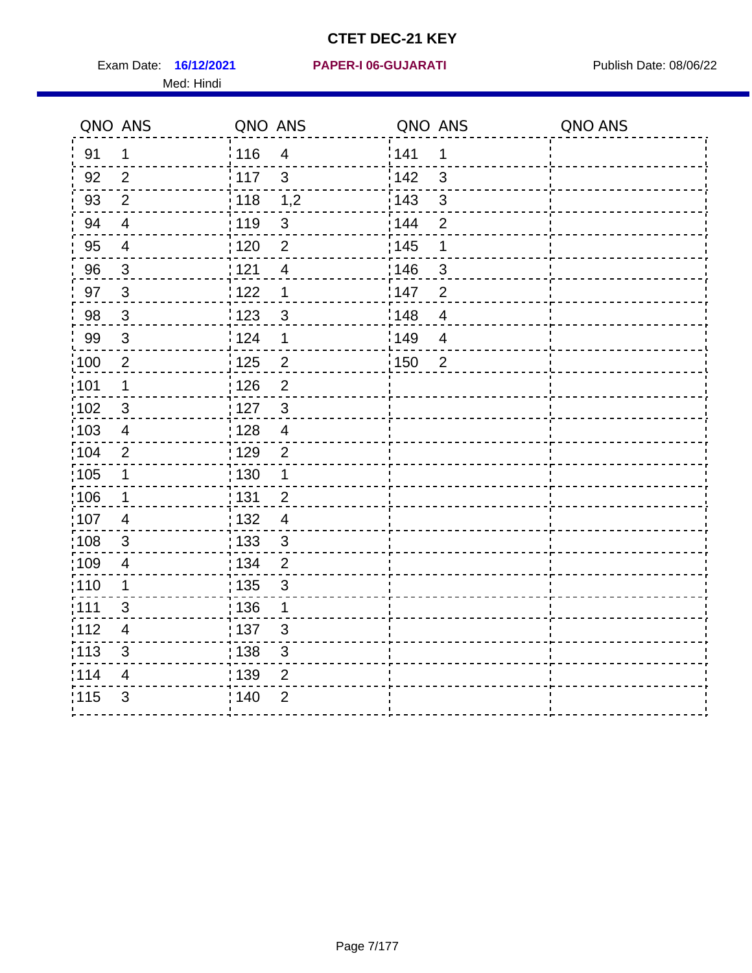Med: Hindi

#### **16/12/2021 PAPER-I 06-GUJARATI** Exam Date: Publish Date: 08/06/22

|                   | QNO ANS        | QNO ANS           |                | QNO ANS |                | QNO ANS |
|-------------------|----------------|-------------------|----------------|---------|----------------|---------|
| 91                | $\mathbf 1$    | : 116             | $\overline{4}$ | 141     | 1              |         |
| 92                | 2              | $\frac{1}{117}$   | $\mathbf{3}$   | 142     | 3              |         |
| 93                | $\overline{2}$ | 118               | 1,2            | 143     | 3              |         |
| 94                | $\overline{4}$ | : 119             | $\mathfrak{3}$ | : 144   | $\overline{2}$ |         |
| 95                | $\overline{4}$ | : 120             | $\overline{2}$ | : 145   | 1              |         |
| 96                | $\mathfrak{S}$ | 121               | 4              | 146     | 3              |         |
| 97                | $\overline{3}$ | 122               | 1              | 147     | $\overline{2}$ |         |
| 98                | $\mathbf{3}$   | $\frac{1}{2}$ 123 | $\mathfrak{S}$ | 148     | $\overline{4}$ |         |
| 99                | $\sqrt{3}$     | 124               | 1              | 149     | $\overline{4}$ |         |
| $\frac{1}{1}$ 100 | $\sqrt{2}$     | $\frac{1}{1}$ 125 | $\overline{2}$ | 150     | $\overline{2}$ |         |
| :101              | 1              | : 126             | $\overline{2}$ |         |                |         |
| 102               | 3              | : 127             | $\mathbf{3}$   |         |                |         |
| :103              | 4              | : 128             | $\overline{4}$ |         |                |         |
| 104               | $\overline{2}$ | : 129             | $\overline{2}$ |         |                |         |
| 105               | $\mathbf{1}$   | 130               | $\mathbf{1}$   |         |                |         |
| 106               | $\mathbf 1$    | 131               | $\overline{2}$ |         |                |         |
| 107               | $\overline{4}$ | : 132             | $\overline{4}$ |         |                |         |
| 108               | $\sqrt{3}$     | : 133             | $\mathfrak{3}$ |         |                |         |
| :109              | $\overline{4}$ | : 134             | $\overline{2}$ |         |                |         |
| :110              | 1              | : 135             | 3              |         |                |         |
| : 111             | 3              | : 136             | $\mathbf 1$    |         |                |         |
| 112               | $\overline{4}$ | 137               | $\mathfrak{B}$ |         |                |         |
| 113               | $\mathfrak{S}$ | : 138             | 3              |         |                |         |
| 114               | 4              | 139               | 2              |         |                |         |
| 115               | 3              | 140               | $\overline{2}$ |         |                |         |
|                   |                |                   |                |         |                |         |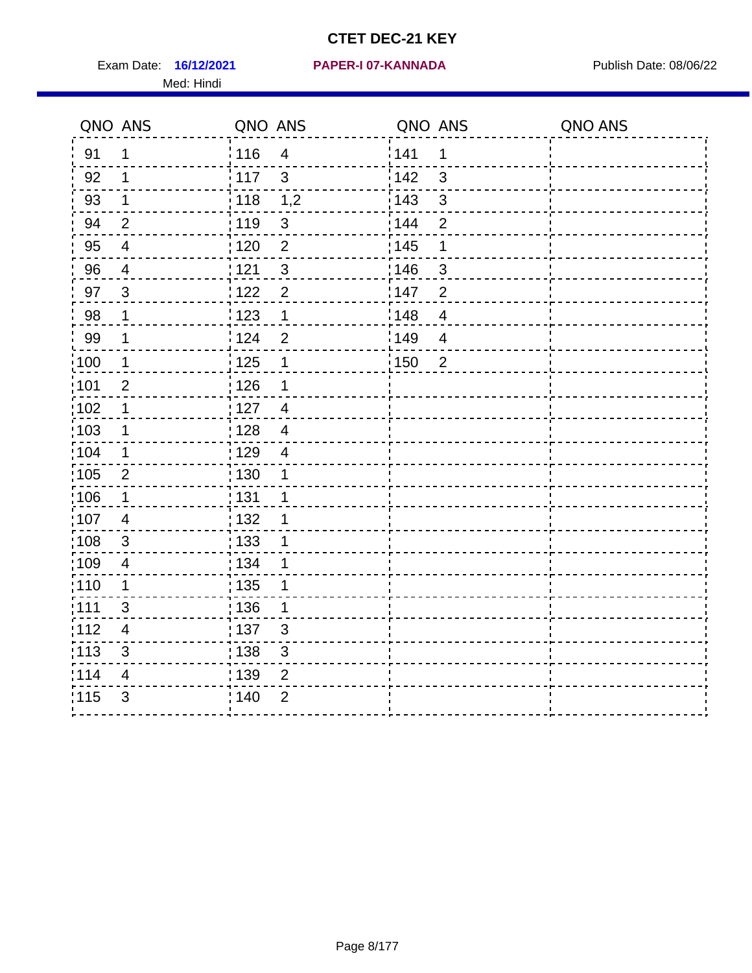Exam Date: 16/12/2021 **PAPER-I 07-KANNADA** Publish Date: 08/06/22 Med: Hindi

|                   | QNO ANS                 | QNO ANS           |                          | QNO ANS           |                | QNO ANS |
|-------------------|-------------------------|-------------------|--------------------------|-------------------|----------------|---------|
| 91                | $\mathbf{1}$            | 116               | $\overline{\mathbf{4}}$  | 141               | $\mathbf 1$    |         |
| 92                | 1                       | 117               | 3                        | 142               | 3              |         |
| 93                | 1                       | 118               | 1,2                      | 143               | 3              |         |
| 94                | $\overline{2}$          | : 119             | $\mathfrak{S}$           | : 144             | $\overline{2}$ |         |
| 95                | 4                       | : 120             | $\overline{2}$           | : 145             | 1              |         |
| 96                | 4                       | 121               | $\mathfrak{S}$           | 146               | 3              |         |
| 97                | $\mathbf{3}$            | $122$             | $\overline{2}$           | 147               | $\overline{2}$ |         |
| 98                | $\mathbf{1}$            | $\frac{1}{2}$ 123 | $\mathbf{1}$             | $\frac{1}{2}$ 148 | $\overline{4}$ |         |
| 99                | $\mathbf 1$             | 124               | $\overline{2}$           | ¦149              | $\overline{4}$ |         |
| $\frac{1}{1}$ 100 | $\overline{1}$          | 125               | $\mathbf 1$              | 150               | $\overline{2}$ |         |
| :101              | $\overline{2}$          | 126               | 1                        |                   |                |         |
| 102               | 1                       | : 127             | $\overline{4}$           |                   |                |         |
| ;103              | $\mathbf 1$             | 128               | $\overline{4}$           |                   |                |         |
| 104               | 1                       | : 129             | $\overline{\mathcal{A}}$ |                   |                |         |
| 105               | $\mathbf 2$             | : 130             | 1                        |                   |                |         |
| ;106              | 1                       | : 131             | 1                        |                   |                |         |
| :107              | $\overline{4}$          | : 132             | 1                        |                   |                |         |
| 108               | $\sqrt{3}$              | $\frac{1}{1}$ 133 | 1                        |                   |                |         |
| :109              | $\overline{\mathbf{4}}$ | : 134             | 1                        |                   |                |         |
| :110              | 1                       | : 135             | 1                        |                   |                |         |
| :111              | 3                       | : 136             | 1                        |                   |                |         |
| 112               | $\overline{4}$          | $\frac{1}{1}$ 137 | $\mathfrak{S}$           |                   |                |         |
| 113               | $\mathfrak{S}$          | 138               | 3                        |                   |                |         |
| 114               | 4                       | 139               | $\overline{2}$           |                   |                |         |
| 115               | 3                       | 140               | $\mathbf{2}$             |                   |                |         |
|                   |                         |                   |                          |                   |                |         |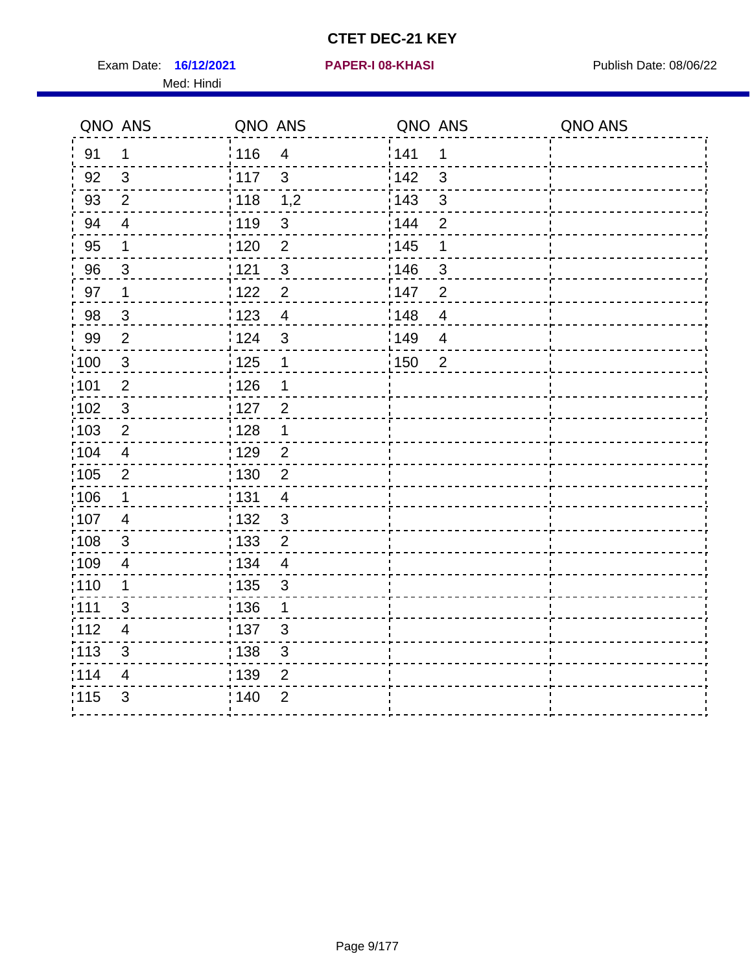Exam Date: 16/12/2021 **PAPER-I 08-KHASI** Publish Date: 08/06/22 Med: Hindi

#### **16/12/2021 PAPER-I 08-KHASI**

|                   | QNO ANS                   | QNO ANS           |                           | QNO ANS           |                          | QNO ANS |
|-------------------|---------------------------|-------------------|---------------------------|-------------------|--------------------------|---------|
| 91                | $\mathbf 1$               | 116               | $\overline{4}$            | 141               | 1                        |         |
| 92                | $\mathfrak{S}$            | 117               | 3                         | 142               | $\mathfrak{S}$           |         |
| 93                | $\overline{2}$            | 118               | 1,2                       | 143               | $\mathbf{3}$             |         |
| 94                | $\overline{\mathcal{A}}$  | : 119             | $\mathbf{3}$              | : 144             | $\overline{2}$           |         |
| 95                | 1                         | : 120             | $\overline{2}$            | : 145             | 1                        |         |
| 96                | 3                         | : 121             | $\sqrt{3}$                | 146               | $\sqrt{3}$               |         |
| 97                | 1                         | 122               | $\overline{2}$            | 147               | $\overline{2}$           |         |
| 98                | $\mathbf{3}$              | 1123              | $\overline{4}$            | 148               | $\overline{\mathcal{A}}$ |         |
| 99                | $\mathbf{2}$              | 124               | $\mathsf 3$               | :149              | $\overline{\mathcal{A}}$ |         |
| 100               | $\sqrt{3}$                | 125               | $\mathbf 1$               | $\frac{1}{1}$ 150 | $\overline{2}$           |         |
| 101               | $\overline{2}$            | : 126             | 1                         |                   |                          |         |
| 102               | $\mathbf{3}$              | : 127             | $\overline{2}$            |                   |                          |         |
| 103               | $\overline{2}$            | 128               | $\mathbf 1$               |                   |                          |         |
| :104              | $\overline{4}$            | : 129             | $\overline{2}$            |                   |                          |         |
| $\frac{1}{1}$ 105 | $\mathbf{2}$              | $\frac{1}{1}$ 130 | $\mathbf 2$               |                   |                          |         |
| $\frac{1}{1}$ 106 | $\mathbf{1}$              | : 131             | $\overline{4}$            |                   |                          |         |
| :107              | 4                         | :132              | $\mathbf{3}$              |                   |                          |         |
| 108               | $\mathbf{3}$              | : 133             | $\overline{2}$            |                   |                          |         |
| .109              | $\overline{\mathcal{A}}$  | : 134             | $\overline{4}$            |                   |                          |         |
| :110              | 1                         | : 135             | $\mathfrak{S}$            |                   |                          |         |
| :111              | 3                         | : 136             | 1                         |                   |                          |         |
| 112               | $\overline{\mathbf{4}}$   | : 137             | $\mathfrak{B}$            |                   |                          |         |
| $\frac{1}{1}$ 113 | $\ensuremath{\mathsf{3}}$ | 138               | $\ensuremath{\mathsf{3}}$ |                   |                          |         |
| 114               | 4                         | : 139             | $\overline{2}$            |                   |                          |         |
| 115               | $\mathfrak{S}$            | ; 140             | $\overline{2}$            |                   |                          |         |
|                   |                           |                   |                           |                   |                          |         |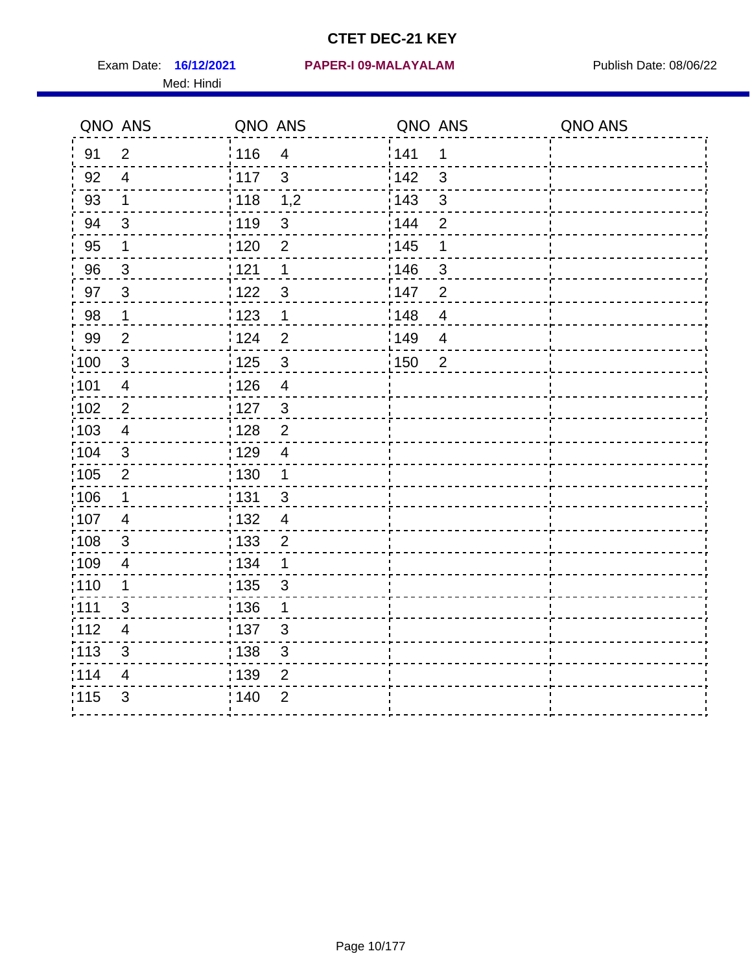Med: Hindi

|                   | QNO ANS                  | QNO ANS         |                         | QNO ANS           |                          | QNO ANS |
|-------------------|--------------------------|-----------------|-------------------------|-------------------|--------------------------|---------|
| 91                | $\overline{2}$           | : 116           | $\overline{4}$          | 141               | 1                        |         |
| 92                | $\overline{4}$           | $\frac{1}{117}$ | $\mathbf{3}$            | 142               | 3                        |         |
| 93                | $\mathbf 1$              | 118             | 1,2                     | 143               | $\mathfrak{S}$           |         |
| 94                | 3                        | : 119           | $\mathbf{3}$            | 144               | $\overline{2}$           |         |
| 95                | 1                        | : 120           | $\overline{2}$          | : 145             | 1                        |         |
| 96                | 3                        | 121             | 1                       | 146               | 3                        |         |
| 97                | $\mathbf{3}$             | 1122            | $\sqrt{3}$              | 147               | $\overline{2}$           |         |
| 98                | $\mathbf{1}$             | 1123            | $\mathbf{1}$            | 148               | $\overline{\mathbf{4}}$  |         |
| 99                | $\overline{2}$           | 124             | $\overline{2}$          | :149              | $\overline{\mathcal{A}}$ |         |
| 100               | $\mathbf{3}$             | 125             | $\mathbf{3}$            | $\frac{1}{1}$ 150 | $\overline{2}$           |         |
| :101              | $\overline{\mathcal{A}}$ | : 126           | $\overline{\mathbf{4}}$ |                   |                          |         |
| 102               | 2                        | : 127           | $\mathbf{3}$            |                   |                          |         |
| 103               | $\overline{4}$           | : 128           | $\overline{2}$          |                   |                          |         |
| 104               | $\mathbf{3}$             | : 129           | $\overline{4}$          |                   |                          |         |
| 105               | $\mathbf{2}$             | : 130           | $\mathbf{1}$            |                   |                          |         |
| 106               | $\mathbf 1$              | : 131           | $\mathbf{3}$            |                   |                          |         |
| :107              | 4                        | : 132           | $\overline{4}$          |                   |                          |         |
| $\frac{1}{1}$ 108 | $\mathfrak{S}$           | : 133           | $\overline{2}$          |                   |                          |         |
| :109              | $\overline{4}$           | : 134           | $\mathbf 1$             |                   |                          |         |
| :110              | 1                        | : 135           | 3                       |                   |                          |         |
| 111               | 3                        | : 136           | 1                       |                   |                          |         |
| 112               | $\overline{4}$           | : 137           | $\mathfrak{S}$          |                   |                          |         |
| $\frac{1}{1}$ 113 | $\mathfrak{S}$           | : 138           | $\mathfrak{S}$          |                   |                          |         |
| 114               | 4                        | 139             | 2                       |                   |                          |         |
| 115               | 3                        | : 140           | $\overline{2}$          |                   |                          |         |
|                   |                          |                 |                         |                   |                          |         |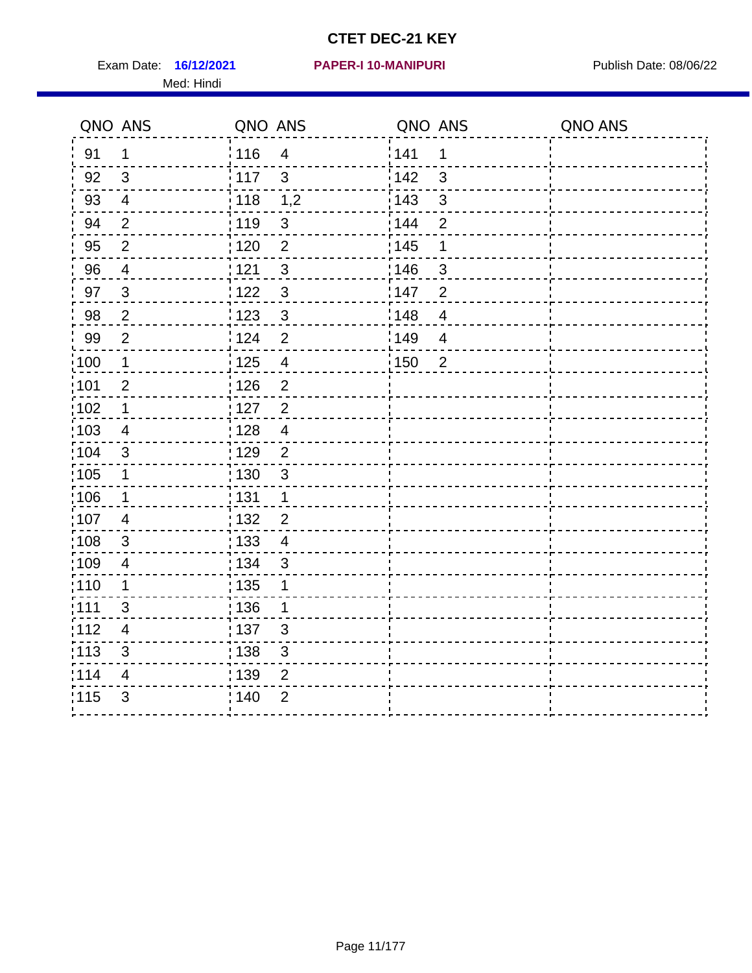Exam Date: 16/12/2021 PAPER-I 10-MANIPURI PREMICLE Publish Date: 08/06/22 Med: Hindi

#### **16/12/2021 PAPER-I 10-MANIPURI**

|                   | QNO ANS                 | QNO ANS           |                         | QNO ANS           |                | QNO ANS |
|-------------------|-------------------------|-------------------|-------------------------|-------------------|----------------|---------|
| 91                | $\mathbf{1}$            | 116               | $\overline{\mathbf{4}}$ | 141               | $\mathbf 1$    |         |
| 92                | $\mathfrak{B}$          | 117               | 3                       | 142               | 3              |         |
| 93                | $\overline{4}$          | 118               | 1,2                     | 143               | 3              |         |
| 94                | $\overline{2}$          | : 119             | $\mathbf{3}$            | 144               | $\overline{2}$ |         |
| 95                | $\overline{2}$          | : 120             | $\overline{2}$          | : 145             | 1              |         |
| 96                | 4                       | 121               | $\sqrt{3}$              | 146               | 3              |         |
| 97                | $\mathfrak{S}$          | $122$             | $\mathbf{3}$            | 147               | $\overline{2}$ |         |
| 98                | $\sqrt{2}$              | $\frac{1}{2}$ 123 | $\mathbf{3}$            | $\frac{1}{2}$ 148 | $\overline{4}$ |         |
| 99                | $\mathbf{2}$            | 124               | $\overline{2}$          | 149               | $\overline{4}$ |         |
| $\frac{1}{1}$ 100 | $\mathbf{1}$            | 125               | $\overline{\mathbf{4}}$ | 150               | $\overline{2}$ |         |
| :101              | $\overline{2}$          | 126               | $\overline{2}$          |                   |                |         |
| 102               | 1                       | : 127             | $\overline{2}$          |                   |                |         |
| 103               | $\overline{4}$          | 128               | $\overline{4}$          |                   |                |         |
| 104               | $\mathfrak{S}$          | : 129             | $\overline{2}$          |                   |                |         |
| $\frac{1}{1}$ 105 | 1                       | : 130             | $\mathbf{3}$            |                   |                |         |
| ;106              | $\mathbf 1$             | : 131             | $\mathbf 1$             |                   |                |         |
| 107               | $\overline{4}$          | : 132             | $\overline{2}$          |                   |                |         |
| 108               | $\sqrt{3}$              | : 133             | $\overline{\mathbf{4}}$ |                   |                |         |
| :109              | $\overline{\mathbf{4}}$ | : 134             | $\mathfrak{S}$          |                   |                |         |
| :110              | 1                       | : 135             | 1                       |                   |                |         |
| 111               | 3                       | : 136             | 1                       |                   |                |         |
| 112               | $\overline{4}$          | 137               | $\mathfrak{S}$          |                   |                |         |
| 113               | $\mathfrak{S}$          | 138               | 3                       |                   |                |         |
| 114               | 4                       | 139               | 2                       |                   |                |         |
| 115               | 3                       | 140               | $\overline{2}$          |                   |                |         |
|                   |                         |                   |                         |                   |                |         |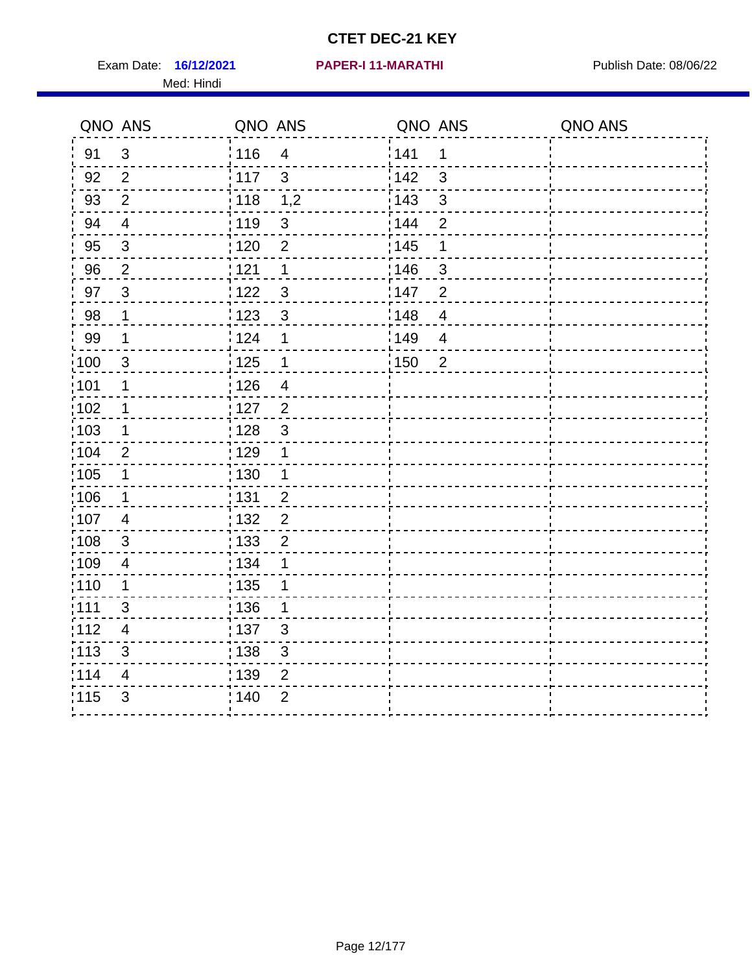Exam Date: 16/12/2021 PAPER-I 11-MARATHI PREER Publish Date: 08/06/22 Med: Hindi

|                   | QNO ANS        | QNO ANS           |                         | QNO ANS |                         | QNO ANS |
|-------------------|----------------|-------------------|-------------------------|---------|-------------------------|---------|
| 91                | $\mathfrak{S}$ | 116               | $\overline{\mathbf{4}}$ | 141     | 1                       |         |
| 92                | $\overline{2}$ | $\frac{1}{2}$ 117 | $\mathbf{3}$            | 142     | 3                       |         |
| 93                | $\overline{2}$ | 118               | 1,2                     | 143     | $\mathfrak{S}$          |         |
| 94                | $\overline{4}$ | : 119             | $\mathfrak{B}$          | : 144   | $\overline{2}$          |         |
| 95                | $\mathfrak{B}$ | : 120             | $\overline{2}$          | : 145   | 1                       |         |
| 96                | $\overline{2}$ | 121               | 1                       | 146     | 3                       |         |
| 97                | $\mathbf{3}$   | 122               | $\mathbf{3}$            | 147     | $\overline{2}$          |         |
| 98                | $\mathbf{1}$   | 123               | $\mathfrak{S}$          | 148     | $\overline{\mathbf{4}}$ |         |
| 99                | $\mathbf{1}$   | $\frac{1}{2}$ 124 | 1                       | :149    | $\overline{4}$          |         |
| $\frac{1}{1}$ 100 | $\mathbf{3}$   | $\frac{1}{2}$ 125 | $\mathbf 1$             | 150     | $\overline{2}$          |         |
| :101              | 1              | : 126             | $\overline{\mathbf{4}}$ |         |                         |         |
| $\frac{1}{1}$ 102 | $\mathbf 1$    | : 127             | $\overline{2}$          |         |                         |         |
| ;103              | $\mathbf 1$    | :128              | $\mathfrak{3}$          |         |                         |         |
| :104              | 2              | : 129             | 1                       |         |                         |         |
| 105               | $\mathbf 1$    | 130               | $\mathbf 1$             |         |                         |         |
| :106              | $\mathbf 1$    | : 131             | $\overline{2}$          |         |                         |         |
| 107               | 4              | :132              | $\overline{2}$          |         |                         |         |
| 108               | $\sqrt{3}$     | 133               | $\overline{2}$          |         |                         |         |
| :109              | $\overline{4}$ | : 134             | 1                       |         |                         |         |
| : 110             | 1              | : 135             | 1                       |         |                         |         |
| :111              | 3              | : 136             | 1                       |         |                         |         |
| 112               | $\overline{4}$ | 137               | $\mathfrak{S}$          |         |                         |         |
| 113               | $\mathfrak{S}$ | 138               | 3                       |         |                         |         |
| 114               | 4              | 139               | 2                       |         |                         |         |
| 115               | 3              | 140               | $\overline{2}$          |         |                         |         |
|                   |                |                   |                         |         |                         |         |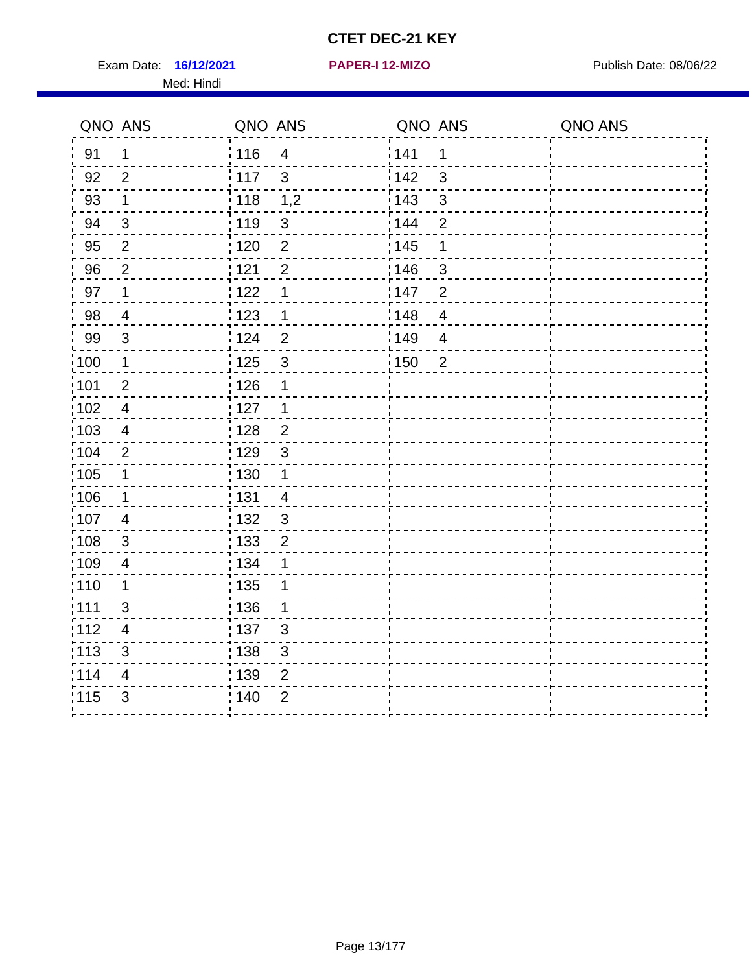Exam Date: 16/12/2021 **PAPER-I 12-MIZO** PUBLISH Date: 08/06/22

Med: Hindi

|                   | QNO ANS                  | QNO ANS           |                | QNO ANS |                | QNO ANS |
|-------------------|--------------------------|-------------------|----------------|---------|----------------|---------|
| 91                | $\mathbf 1$              | 116               | $\overline{4}$ | 1141    | $\mathbf 1$    |         |
| 92                | $\overline{2}$           | 117               | $\mathbf{3}$   | 142     | $\mathfrak{S}$ |         |
| 93                | $\mathbf 1$              | 118               | 1,2            | 143     | $\mathfrak{S}$ |         |
| 94                | 3                        | : 119             | 3              | : 144   | $\overline{2}$ |         |
| 95                | 2                        | : 120             | $\overline{2}$ | : 145   | 1              |         |
| 96                | $\overline{2}$           | 121               | $\overline{2}$ | :146    | 3              |         |
| 97                | $\mathbf 1$              | 122               | 1              | 147     | $\overline{2}$ |         |
| 98                | $\overline{4}$           | 123               | $\mathbf{1}$   | 148     | $\overline{4}$ |         |
| 99                | $\sqrt{3}$               | 124               | $\overline{2}$ | 149     | $\overline{4}$ |         |
| $\frac{1}{1}$ 100 | $\mathbf 1$              | $\frac{1}{1}$ 125 | $\mathfrak{S}$ | 150     | $\overline{2}$ |         |
| :101              | $\overline{2}$           | : 126             | 1              |         |                |         |
| 102               | $\overline{4}$           | : 127             | $\mathbf 1$    |         |                |         |
| 103               | $\overline{4}$           | : 128             | $\overline{2}$ |         |                |         |
| 104               | $\overline{2}$           | : 129             | $\mathbf{3}$   |         |                |         |
| $\frac{1}{1}$ 105 | $\mathbf{1}$             | : 130             | $\mathbf{1}$   |         |                |         |
| :106              | $\mathbf 1$              | : 131             | $\overline{4}$ |         |                |         |
| 107               | $\overline{4}$           | 132               | $\mathbf{3}$   |         |                |         |
| 108               | $\sqrt{3}$               | : 133             | $\overline{2}$ |         |                |         |
| :109              | $\overline{\mathbf{4}}$  | : 134             | 1              |         |                |         |
| :110              | 1                        | : 135             | 1              |         |                |         |
| 1111              | 3                        | 136               | 1              |         |                |         |
| 112               | $\overline{\mathcal{A}}$ | : 137             | $\sqrt{3}$     |         |                |         |
| 113               | $\sqrt{3}$               | $\frac{1}{1}$ 138 | 3              |         |                |         |
| 114               | $\overline{4}$           | : 139             | 2              |         |                |         |
| 115               | $\mathfrak{S}$           | 140               | $\overline{2}$ |         |                |         |
|                   |                          |                   |                |         |                |         |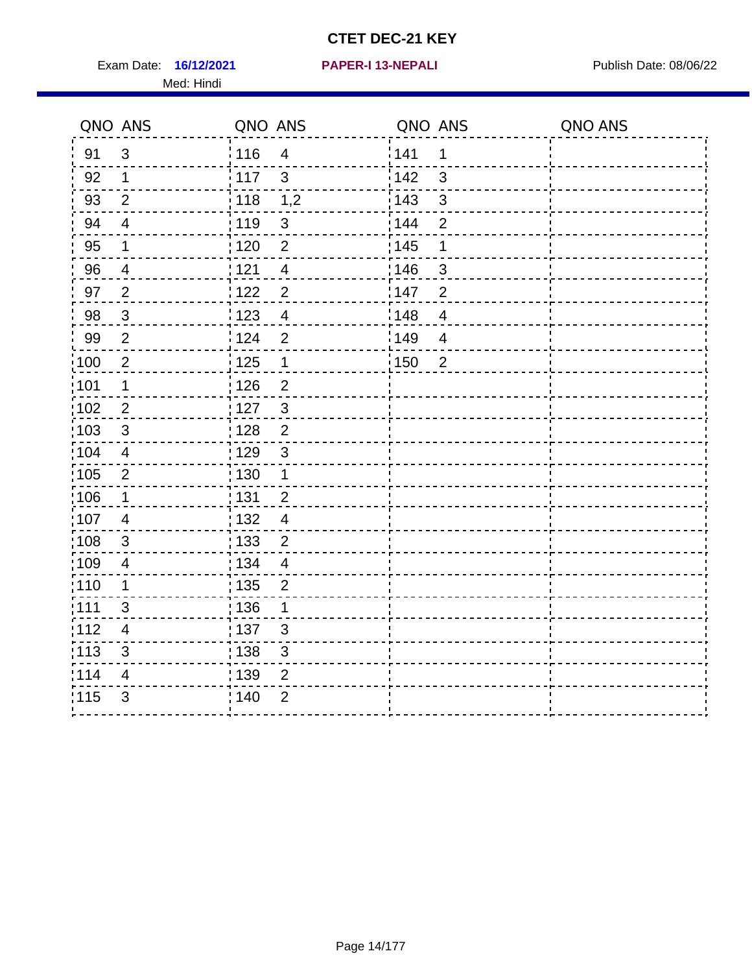Exam Date: 16/12/2021 **PAPER-I 13-NEPALI Exam Date: 08/06/22** Med: Hindi

**16/12/2021 PAPER-I 13-NEPALI**

|                   | QNO ANS                  | QNO ANS           |                         | QNO ANS           |                | QNO ANS |
|-------------------|--------------------------|-------------------|-------------------------|-------------------|----------------|---------|
| 91                | $\mathfrak{S}$           | 116               | $\overline{\mathbf{4}}$ | 141               | $\mathbf 1$    |         |
| 92                | $\mathbf 1$              | : 117             | $\mathbf{3}$            | 142               | 3              |         |
| 93                | $\mathbf{2}$             | $\frac{1}{118}$   | 1,2                     | $\frac{1}{2}$ 143 | $\mathfrak{S}$ |         |
| 94                | $\overline{\mathcal{A}}$ | : 119             | $\mathbf{3}$            | 144               | $\overline{2}$ |         |
| 95                | 1                        | : 120             | $\overline{2}$          | : 145             | 1              |         |
| 96                | 4                        | 121               | $\overline{4}$          | :146              | 3              |         |
| 97                | $\overline{2}$           | 122               | $\overline{2}$          | 147               | $\overline{2}$ |         |
| 98                | $\mathbf{3}$             | 123               | $\overline{4}$          | 148               | $\overline{4}$ |         |
| 99                | $\overline{2}$           | 124               | $\overline{2}$          | 149               | $\overline{4}$ |         |
| $\frac{1}{1}$ 100 | $\sqrt{2}$               | $\frac{1}{1}$ 125 | $\mathbf 1$             | 150               | $\overline{2}$ |         |
| :101              | 1                        | : 126             | $\overline{2}$          |                   |                |         |
| 102               | $\overline{2}$           | : 127             | $\mathbf{3}$            |                   |                |         |
| 103               | $\mathbf{3}$             | : 128             | $\overline{2}$          |                   |                |         |
| $\frac{1}{104}$   | $\overline{4}$           | : 129             | $\mathfrak{3}$          |                   |                |         |
| $\frac{1}{1}$ 105 | $\overline{2}$           | $\frac{1}{1}$ 130 | $\mathbf 1$             |                   |                |         |
| :106              | $\mathbf 1$              | : 131             | $\overline{2}$          |                   |                |         |
| 107               | $\overline{4}$           | 132               | $\overline{4}$          |                   |                |         |
| 108               | $\sqrt{3}$               | 133               | $\overline{2}$          |                   |                |         |
| :109              | $\overline{\mathbf{4}}$  | : 134             | $\overline{4}$          |                   |                |         |
| :110              | 1                        | 135               | $\overline{2}$          |                   |                |         |
| 1111              | 3                        | 136               | 1                       |                   |                |         |
| 112               | $\overline{\mathcal{A}}$ | $\frac{1}{1}$ 137 | $\mathfrak{S}$          |                   |                |         |
| 113               | $\sqrt{3}$               | : 138             | 3                       |                   |                |         |
| 114               | $\overline{4}$           | 139               | 2                       |                   |                |         |
| 115               | $\mathfrak{S}$           | 140               | $\overline{2}$          |                   |                |         |
|                   |                          |                   |                         |                   |                |         |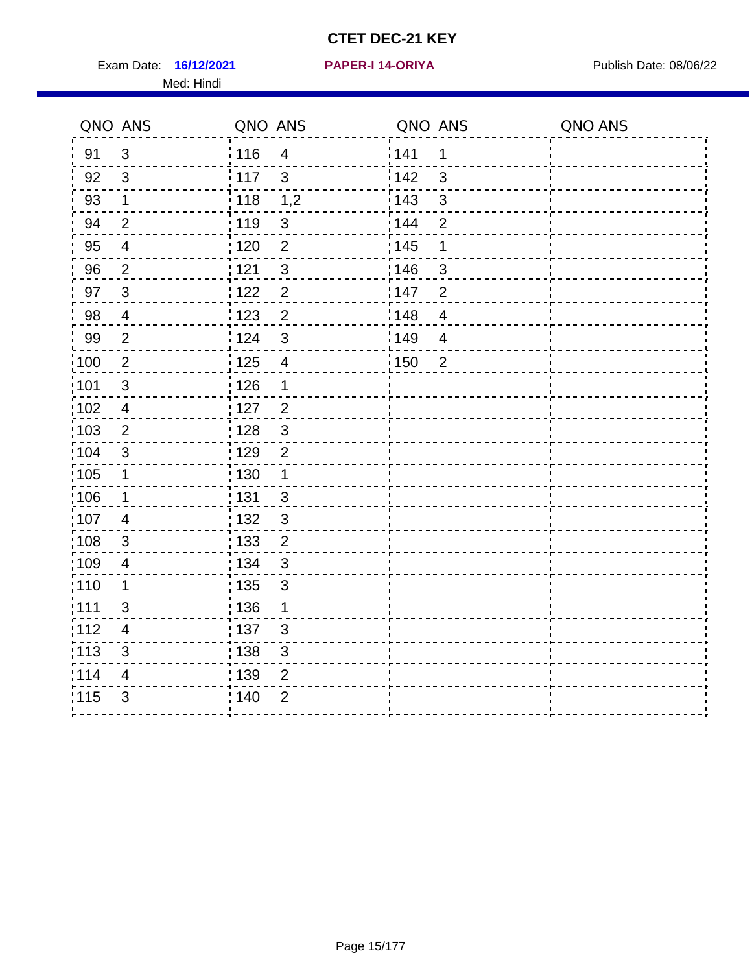Exam Date: 16/12/2021 **PAPER-I 14-ORIYA** Publish Date: 08/06/22 Med: Hindi

**16/12/2021 PAPER-I 14-ORIYA**

|       | QNO ANS                 | QNO ANS           |                         | QNO ANS           |                | QNO ANS |
|-------|-------------------------|-------------------|-------------------------|-------------------|----------------|---------|
| 91    | $\mathbf{3}$            | 116               | $\overline{4}$          | 1141              | 1              |         |
| 92    | $\mathbf{3}$            | 117               | $\mathbf{3}$            | 142               | 3              |         |
| 93    | $\mathbf 1$             | $\frac{1}{2}$ 118 | 1,2                     | 143               | 3              |         |
| 94    | $\overline{2}$          | : 119             | $\mathfrak{S}$          | : 144             | $\overline{2}$ |         |
| 95    | $\overline{\mathbf{4}}$ | : 120             | $\overline{2}$          | : 145             | 1              |         |
| 96    | $\overline{2}$          | 121               | $\mathfrak{S}$          | 146               | 3              |         |
| 97    | $\mathbf{3}$            | 122               | $\overline{2}$          | 147               | $\overline{2}$ |         |
| 98    | $\overline{4}$          | 123               | $\mathbf 2$             | 148               | $\overline{4}$ |         |
| 99    | $\overline{2}$          | 124               | $\mathfrak{S}$          | :149              | $\overline{4}$ |         |
| 100   | $\overline{2}$          | 125               | $\overline{\mathbf{4}}$ | $\frac{1}{1}$ 150 | $\overline{2}$ |         |
| :101  | $\mathfrak{S}$          | : 126             | 1                       |                   |                |         |
| 102   | $\overline{4}$          | : 127             | $\overline{2}$          |                   |                |         |
| :103  | $\overline{2}$          | : 128             | $\mathbf{3}$            |                   |                |         |
| :104  | $\mathfrak{3}$          | : 129             | $\overline{2}$          |                   |                |         |
| 105   | $\mathbf{1}$            | : 130             | $\mathbf{1}$            |                   |                |         |
| :106  | 1                       | : 131             | $\mathbf{3}$            |                   |                |         |
| 107   | $\overline{4}$          | : 132             | $\mathbf{3}$            |                   |                |         |
| :108  | $\mathbf{3}$            | : 133             | $\overline{2}$          |                   |                |         |
| :109  | $\overline{4}$          | : 134             | $\mathbf{3}$            |                   |                |         |
| :110  | 1                       | : 135             | $\mathbf{3}$            |                   |                |         |
| : 111 | 3                       | : 136             | 1                       |                   |                |         |
| 112   | $\overline{4}$          | 137               | $\mathfrak{B}$          |                   |                |         |
| 113   | 3                       | : 138             | $\mathfrak{S}$          |                   |                |         |
| 114   | 4                       | : 139             | 2                       |                   |                |         |
| 115   | 3                       | 140               | $\overline{2}$          |                   |                |         |
|       |                         |                   |                         |                   |                |         |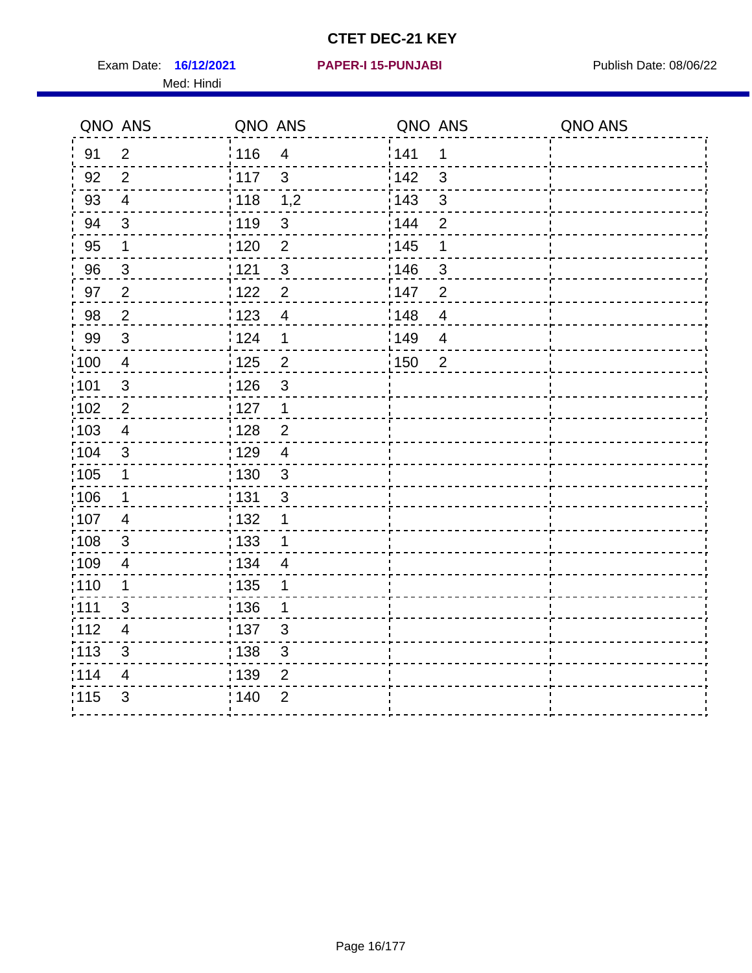Exam Date: 16/12/2021 PAPER-I 15-PUNJABI PUBLISH Date: 08/06/22 Med: Hindi

|       | QNO ANS        | QNO ANS           |                | QNO ANS |                | QNO ANS |
|-------|----------------|-------------------|----------------|---------|----------------|---------|
| 91    | $\overline{2}$ | 116               | $\overline{4}$ | 141     | 1              |         |
| 92    | $\overline{2}$ | 117               | $\mathbf{3}$   | 142     | $\mathbf{3}$   |         |
| 93    | $\overline{4}$ | 118               | 1,2            | 143     | $\mathfrak{S}$ |         |
| 94    | 3              | : 119             | $\mathbf{3}$   | 144     | $\overline{2}$ |         |
| 95    | 1              | : 120             | $\overline{2}$ | : 145   | 1              |         |
| 96    | 3              | 121               | 3              | 146     | 3              |         |
| 97    | $\overline{2}$ | 122               | $\overline{2}$ | 147     | $\overline{2}$ |         |
| 98    | $\overline{2}$ | $\frac{1}{2}$ 123 | $\overline{4}$ | 148     | $\overline{4}$ |         |
| 99    | $\sqrt{3}$     | 124               | $\mathbf 1$    | :149    | $\overline{4}$ |         |
| 100   | $\overline{4}$ | $\frac{1}{1}$ 125 | $\overline{2}$ | 150     | $\overline{2}$ |         |
| :101  | $\sqrt{3}$     | : 126             | $\mathfrak{S}$ |         |                |         |
| 102   | $\overline{2}$ | : 127             | $\mathbf{1}$   |         |                |         |
| 103   | 4              | : 128             | $\overline{2}$ |         |                |         |
| :104  | $\mathbf{3}$   | : 129             | $\overline{4}$ |         |                |         |
| 105   | $\mathbf{1}$   | : 130             | $\mathfrak{S}$ |         |                |         |
| :106  | $\mathbf{1}$   | ;131              | 3              |         |                |         |
| 107   | $\overline{4}$ | : 132             | $\mathbf 1$    |         |                |         |
| 108   | $\sqrt{3}$     | $\frac{1}{1}$ 133 | $\mathbf 1$    |         |                |         |
| :109  | $\overline{4}$ | : 134             | $\overline{4}$ |         |                |         |
| :110  | 1              | : 135             | 1              |         |                |         |
| : 111 | 3              | 136               | 1              |         |                |         |
| 112   | $\overline{4}$ | 137               | $\sqrt{3}$     |         |                |         |
| 113   | $\mathfrak{S}$ | : 138             | 3              |         |                |         |
| 114   | 4              | 139               | 2              |         |                |         |
| 115   | 3              | 140               | $\overline{2}$ |         |                |         |
|       |                |                   |                |         |                |         |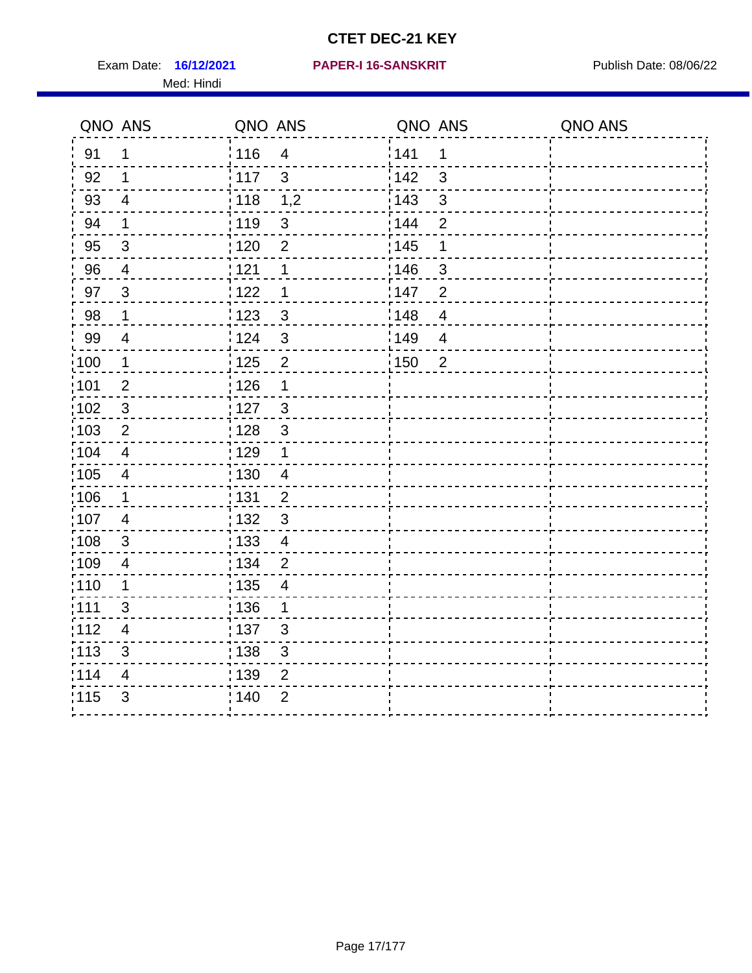Exam Date: 16/12/2021 PAPER-I 16-SANSKRIT Publish Date: 08/06/22 Med: Hindi

#### **PAPER-I 16-SANSKRIT**

|       | QNO ANS                  | QNO ANS           |                          | QNO ANS |                | QNO ANS |
|-------|--------------------------|-------------------|--------------------------|---------|----------------|---------|
| 91    | 1                        | :116              | $\overline{4}$           | 141     | 1              |         |
| 92    | $\mathbf 1$              | $\frac{1}{2}$ 117 | 3                        | 142     | 3              |         |
| 93    | $\overline{\mathbf{4}}$  | 118               | 1,2                      | 143     | $\mathfrak{S}$ |         |
| 94    | $\mathbf 1$              | : 119             | $\mathfrak{3}$           | 144     | $\overline{2}$ |         |
| 95    | $\mathbf{3}$             | :120              | $\overline{2}$           | : 145   | 1              |         |
| 96    | $\overline{4}$           | 121               | 1                        | 146     | 3              |         |
| 97    | $\mathbf{3}$             | 122               | 1                        | 147     | $\overline{2}$ |         |
| 98    | $\mathbf{1}$             | 123               | $\mathbf{3}$             | 148     | $\overline{4}$ |         |
| 99    | $\overline{\mathcal{A}}$ | 124               | $\mathfrak{S}$           | 149     | $\overline{4}$ |         |
| 100   | $\mathbf 1$              | $\frac{1}{1}$ 125 | $\overline{2}$           | 150     | $\overline{2}$ |         |
| 101   | $\mathbf 2$              | : 126             | 1                        |         |                |         |
| 102   | 3                        | : 127             | $\mathbf{3}$             |         |                |         |
| 103   | $\overline{2}$           | : 128             | $\mathbf{3}$             |         |                |         |
| 104   | $\overline{4}$           | : 129             | $\mathbf 1$              |         |                |         |
| :105  | $\overline{\mathbf{4}}$  | : 130             | $\overline{4}$           |         |                |         |
| 106   | $\mathbf{1}$             | : 131             | $\overline{2}$           |         |                |         |
| :107  | $\overline{4}$           | : 132             | $\mathbf{3}$             |         |                |         |
| 108   | $\sqrt{3}$               | : 133             | $\overline{4}$           |         |                |         |
| 109   | $\overline{4}$           | : 134             | $\overline{2}$           |         |                |         |
| :110  | 1                        | : 135             | $\overline{\mathcal{A}}$ |         |                |         |
| 111   | 3                        | : 136             | $\mathbf 1$              |         |                |         |
| 112   | 4                        | : 137             | $\mathfrak{B}$           |         |                |         |
| : 113 | 3                        | : 138             | 3                        |         |                |         |
| 114   | 4                        | 139               | $\overline{2}$           |         |                |         |
| 115   | 3                        | 140               | $\overline{2}$           |         |                |         |
|       |                          |                   |                          |         |                |         |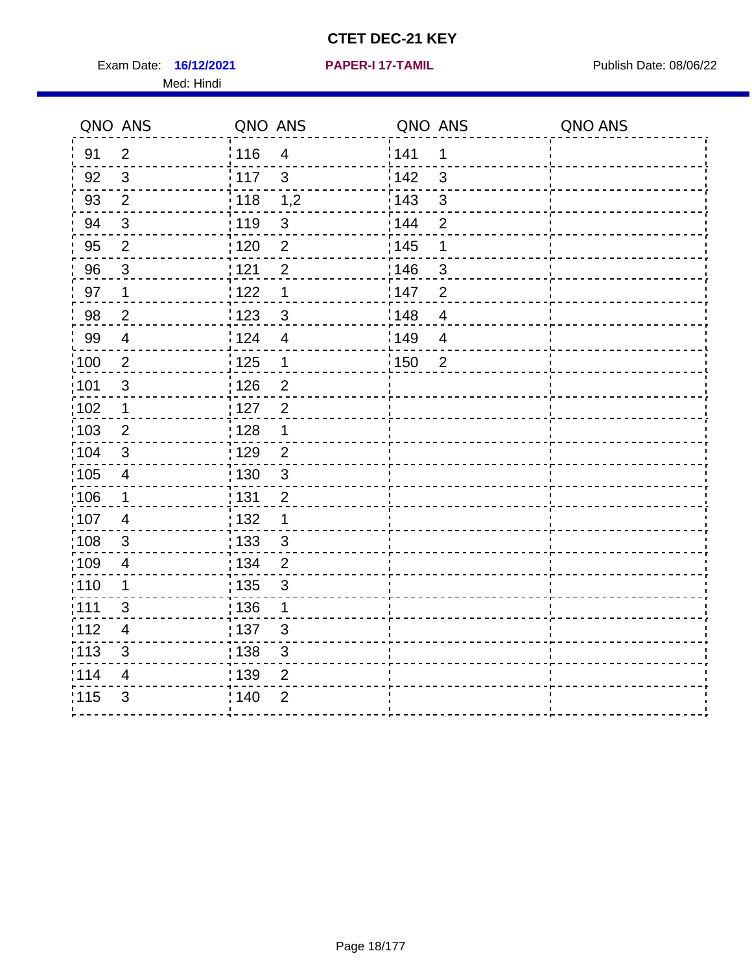Exam Date: 16/12/2021 **PAPER-I 17-TAMIL Exam Date: 08/06/22** Med: Hindi

**16/12/2021 PAPER-I 17-TAMIL**

|                   | QNO ANS                   | QNO ANS           |                | QNO ANS |                | QNO ANS |
|-------------------|---------------------------|-------------------|----------------|---------|----------------|---------|
| 91                | $\overline{2}$            | 116               | $\overline{4}$ | 141     | 1              |         |
| 92                | $\mathfrak{S}$            | $\frac{1}{2}$ 117 | $\mathbf{3}$   | 142     | $\mathbf{3}$   |         |
| 93                | $\overline{2}$            | : 118             | 1,2            | 143     | $\sqrt{3}$     |         |
| 94                | $\sqrt{3}$                | : 119             | $\sqrt{3}$     | : 144   | $\overline{2}$ |         |
| 95                | $\overline{2}$            | : 120             | $\overline{2}$ | : 145   | 1              |         |
| 96                | 3                         | 1121              | $\overline{2}$ | :146    | 3              |         |
| 97                | 1                         | 122               | $\mathbf 1$    | 147     | $\overline{2}$ |         |
| 98                | $\overline{c}$            | 123               | $\mathbf{3}$   | 148     | $\overline{4}$ |         |
| 99                | $\overline{4}$            | 124               | $\overline{4}$ | 149     | $\overline{4}$ |         |
| $\frac{1}{1}$ 100 | $\overline{2}$            | $\frac{1}{1}$ 125 | $\mathbf{1}$   | 150     | $\overline{2}$ |         |
| 101               | $\sqrt{3}$                | : 126             | $\overline{2}$ |         |                |         |
| 102               | $\mathbf 1$               | : 127             | $\overline{2}$ |         |                |         |
| 103               | 2                         | : 128             | 1              |         |                |         |
| 104               | 3                         | :129              | $\overline{2}$ |         |                |         |
| $\frac{1}{1}$ 105 | $\overline{4}$            | 130               | $\mathfrak{S}$ |         |                |         |
| 106               | $\mathbf 1$               | : 131             | $\overline{2}$ |         |                |         |
| 107               | $\overline{4}$            | : 132             | $\mathbf 1$    |         |                |         |
| 108               | 3                         | : 133             | $\mathfrak{S}$ |         |                |         |
| $\frac{1}{1}$ 109 | $\overline{4}$            | : 134             | $\overline{2}$ |         |                |         |
| :110              | 1                         | : 135             | 3              |         |                |         |
| 111               | 3                         | : 136             | $\mathbf 1$    |         |                |         |
| 112               | $\overline{4}$            | : 137             | $\mathbf{3}$   |         |                |         |
| : 113             | $\ensuremath{\mathsf{3}}$ | : 138             | $\mathsf 3$    |         |                |         |
| 114               | 4                         | : 139             | $\overline{2}$ |         |                |         |
| 115               | 3                         | 140               | $\overline{2}$ |         |                |         |
|                   |                           |                   |                |         |                |         |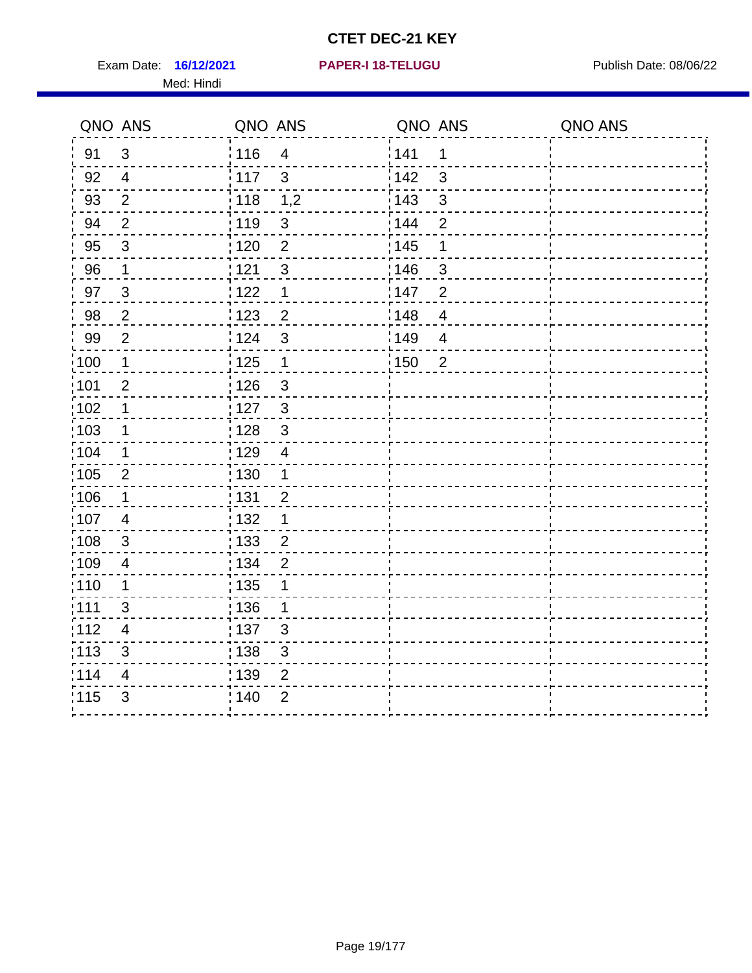Exam Date: 16/12/2021 **PAPER-I 18-TELUGU** PUBLISH Date: 08/06/22 Med: Hindi

|      | QNO ANS        | QNO ANS |                           | QNO ANS |                          | QNO ANS |
|------|----------------|---------|---------------------------|---------|--------------------------|---------|
| 91   | $\mathfrak{S}$ | 116     | $\overline{4}$            | 141     | 1                        |         |
| 92   | $\overline{4}$ | 117     | 3                         | 142     | 3                        |         |
| 93   | $\overline{2}$ | 118     | 1,2                       | 143     | $\mathbf{3}$             |         |
| 94   | 2              | : 119   | $\mathbf{3}$              | : 144   | $\overline{2}$           |         |
| 95   | 3              | :120    | 2                         | : 145   | 1                        |         |
| 96   | $\mathbf{1}$   | 121     | $\sqrt{3}$                | :146    | $\mathfrak{S}$           |         |
| 97   | $\mathfrak{S}$ | : 122   | $\mathbf 1$               | 147     | $\overline{2}$           |         |
| 98   | $\overline{2}$ | 123     | $\overline{2}$            | 1148    | $\overline{4}$           |         |
| 99   | $\mathbf{2}$   | 124     | $\sqrt{3}$                | 149     | $\overline{\mathcal{A}}$ |         |
| 100  | $\overline{1}$ | 125     | $\mathbf 1$               | 150     | $\overline{2}$           |         |
| 101  | $\overline{2}$ | : 126   | $\ensuremath{\mathsf{3}}$ |         |                          |         |
| 102  | 1              | : 127   | $\mathbf{3}$              |         |                          |         |
| :103 | $\mathbf{1}$   | : 128   | $\mathbf{3}$              |         |                          |         |
| 104  | $\mathbf 1$    | : 129   | $\overline{4}$            |         |                          |         |
| :105 | $\overline{2}$ | : 130   | $\mathbf{1}$              |         |                          |         |
| :106 | $\mathbf 1$    | : 131   | $\overline{2}$            |         |                          |         |
| 107  | $\overline{4}$ | : 132   | $\mathbf 1$               |         |                          |         |
| 108  | $\mathbf{3}$   | : 133   | $\overline{2}$            |         |                          |         |
| :109 | $\overline{4}$ | : 134   | $\overline{2}$            |         |                          |         |
| :110 | 1              | : 135   | 1                         |         |                          |         |
| :111 | $\mathfrak{S}$ | : 136   | 1                         |         |                          |         |
| 112  | $\overline{4}$ | : 137   | $\sqrt{3}$                |         |                          |         |
| 113  | $\mathsf 3$    | : 138   | $\ensuremath{\mathsf{3}}$ |         |                          |         |
| 114  | 4              | : 139   | $\overline{2}$            |         |                          |         |
| 115  | 3              | 140     | $\overline{2}$            |         |                          |         |
|      |                |         |                           |         |                          |         |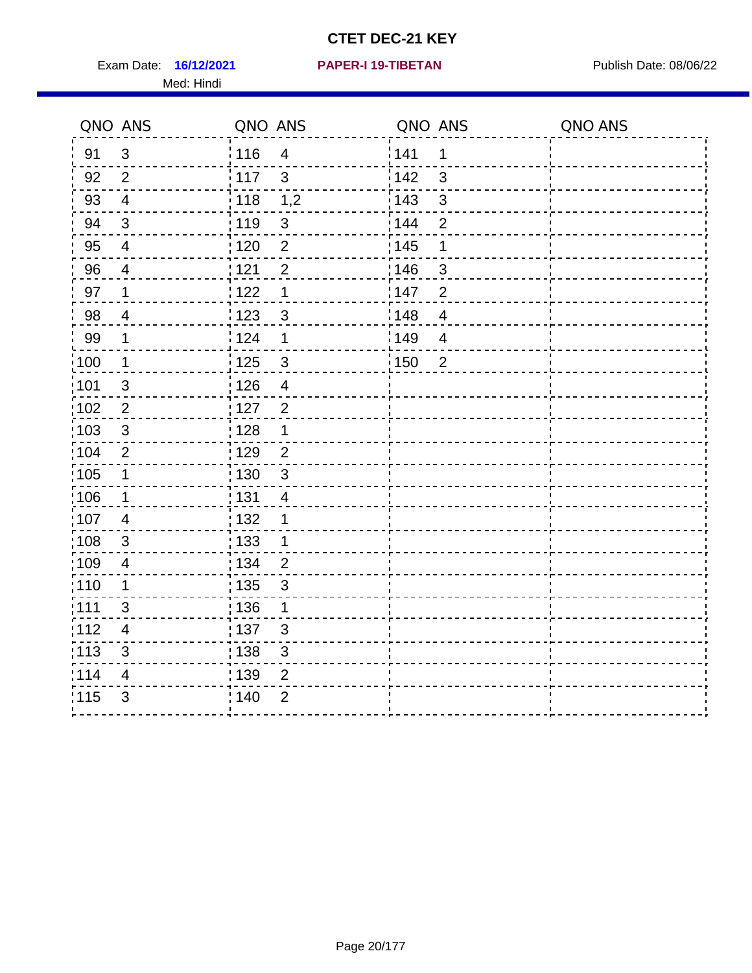Exam Date: 16/12/2021 **PAPER-I 19-TIBETAN** Publish Date: 08/06/22 Med: Hindi

|                   | QNO ANS                 | QNO ANS           |                         | QNO ANS           |                | QNO ANS |
|-------------------|-------------------------|-------------------|-------------------------|-------------------|----------------|---------|
| 91                | $\mathfrak{S}$          | 116               | $\overline{\mathbf{4}}$ | 141               | $\mathbf 1$    |         |
| 92                | $\overline{2}$          | 117               | 3                       | 142               | 3              |         |
| 93                | $\overline{4}$          | 118               | 1,2                     | 143               | 3              |         |
| 94                | 3                       | : 119             | $\mathbf{3}$            | : 144             | $\overline{2}$ |         |
| 95                | $\overline{4}$          | : 120             | $\overline{2}$          | : 145             | 1              |         |
| 96                | 4                       | 121               | $\overline{2}$          | 146               | 3              |         |
| 97                | $\mathbf 1$             | $122$             | 1                       | 147               | $\overline{2}$ |         |
| $98\,$            | $\overline{\mathbf{4}}$ | $\frac{1}{2}$ 123 | $\mathfrak{S}$          | $\frac{1}{2}$ 148 | $\overline{4}$ |         |
| 99                | $\mathbf 1$             | 124               | 1                       | 149               | $\overline{4}$ |         |
| $\frac{1}{1}$ 100 | $\overline{1}$          | 125               | $\mathbf{3}$            | 150               | $\overline{2}$ |         |
| :101              | $\mathsf 3$             | 126               | $\overline{\mathbf{4}}$ |                   |                |         |
| 102               | $\overline{2}$          | : 127             | $\overline{2}$          |                   |                |         |
| 103               | $\mathbf{3}$            | : 128             | $\mathbf 1$             |                   |                |         |
| 104               | $\overline{2}$          | : 129             | $\overline{2}$          |                   |                |         |
| $\frac{1}{1}$ 105 | $\mathbf 1$             | : 130             | $\mathbf{3}$            |                   |                |         |
| ;106              | $\mathbf 1$             | : 131             | 4                       |                   |                |         |
| :107              | $\overline{4}$          | : 132             | 1                       |                   |                |         |
| 108               | $\sqrt{3}$              | : 133             | $\mathbf{1}$            |                   |                |         |
| :109              | $\overline{\mathbf{4}}$ | : 134             | $\overline{2}$          |                   |                |         |
| :110              | 1                       | : 135             | 3                       |                   |                |         |
| 111               | 3                       | : 136             | $\mathbf{1}$            |                   |                |         |
| 112               | $\overline{4}$          | 137               | $\mathfrak{S}$          |                   |                |         |
| 113               | $\mathfrak{S}$          | 138               | 3                       |                   |                |         |
| 114               | 4                       | 139               | 2                       |                   |                |         |
| 115               | 3                       | 140               | $\overline{2}$          |                   |                |         |
|                   |                         |                   |                         |                   |                |         |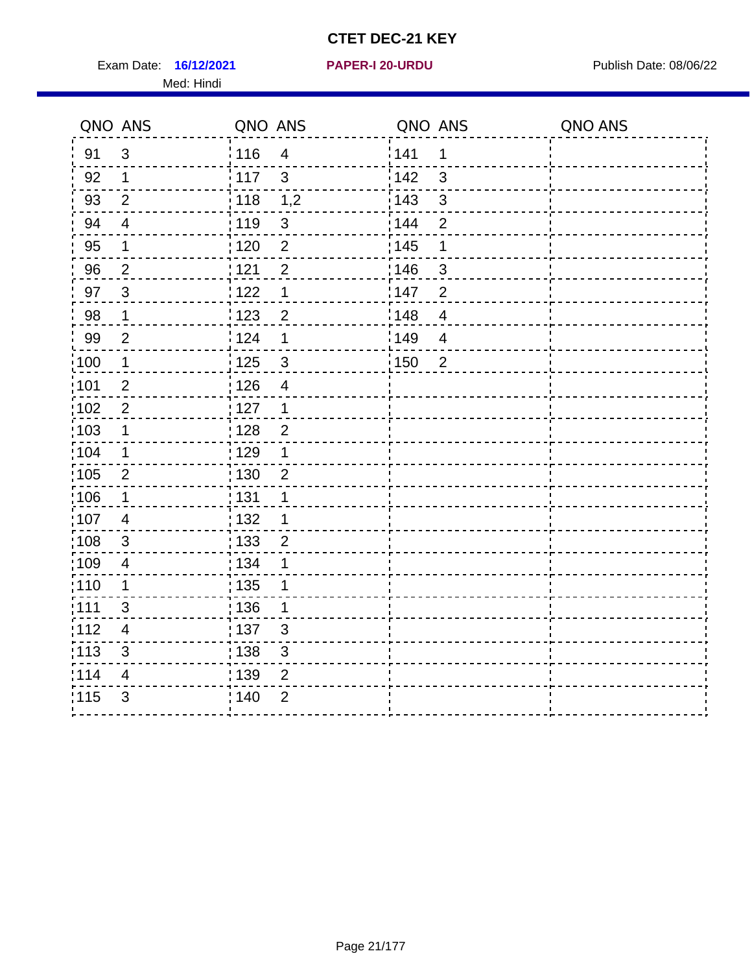Exam Date: 16/12/2021 **PAPER-I 20-URDU** PAPER 120-VERSITY Publish Date: 08/06/22 Med: Hindi

**16/12/2021 PAPER-I 20-URDU**

|                   | QNO ANS                  | QNO ANS           |                         | QNO ANS           |                | QNO ANS |
|-------------------|--------------------------|-------------------|-------------------------|-------------------|----------------|---------|
| 91                | $\mathbf{3}$             | 116               | $\overline{\mathbf{4}}$ | 141               | $\mathbf 1$    |         |
| 92                | $\mathbf 1$              | 117               | 3                       | 142               | 3              |         |
| 93                | $\overline{2}$           | 118               | 1,2                     | 143               | $\mathsf 3$    |         |
| 94                | $\overline{\mathbf{4}}$  | : 119             | $\mathfrak{S}$          | 144               | $\overline{2}$ |         |
| 95                | 1                        | : 120             | $\overline{2}$          | : 145             | 1              |         |
| 96                | $\overline{2}$           | : 121             | $\overline{2}$          | 146               | 3              |         |
| 97                | $\mathbf{3}$             | 122               | 1                       | 147               | $\overline{2}$ |         |
| 98                | $\mathbf{1}$             | $\frac{1}{2}$ 123 | $\overline{c}$          | $\frac{1}{2}$ 148 | $\overline{4}$ |         |
| 99                | $\overline{2}$           | 124               | 1                       | 149               | $\overline{4}$ |         |
| $\frac{1}{1}$ 100 | $\mathbf{1}$             | 125               | $\mathbf{3}$            | $\frac{1}{1}$ 150 | $\overline{2}$ |         |
| :101              | $\mathbf 2$              | 126               | $\overline{\mathbf{4}}$ |                   |                |         |
| 102               | $\overline{2}$           | 127               | $\mathbf 1$             |                   |                |         |
| 103               | $\mathbf 1$              | : 128             | $\overline{2}$          |                   |                |         |
| 104               | $\mathbf 1$              | : 129             | 1                       |                   |                |         |
| 105               | $\sqrt{2}$               | $\frac{1}{1}$ 130 | $\overline{2}$          |                   |                |         |
| :106              | $\mathbf 1$              | : 131             | $\mathbf 1$             |                   |                |         |
| 107               | $\overline{4}$           | : 132             | $\mathbf 1$             |                   |                |         |
| 108               | $\mathbf{3}$             | : 133             | $\overline{2}$          |                   |                |         |
| :109              | $\overline{4}$           | : 134             | 1                       |                   |                |         |
| :110              | 1                        | $\frac{1}{1}$ 135 | 1                       |                   |                |         |
| ;111              | $\mathfrak{S}$           | : 136             | 1                       |                   |                |         |
| 112               | $\overline{\mathcal{A}}$ | : 137             | $\mathbf{3}$            |                   |                |         |
| 113               | $\sqrt{3}$               | : 138             | $\mathfrak{S}$          |                   |                |         |
| 114               | $\overline{4}$           | : 139             | $\overline{2}$          |                   |                |         |
| 115               | $\mathfrak{S}$           | 140               | $\overline{2}$          |                   |                |         |
|                   |                          |                   |                         |                   |                |         |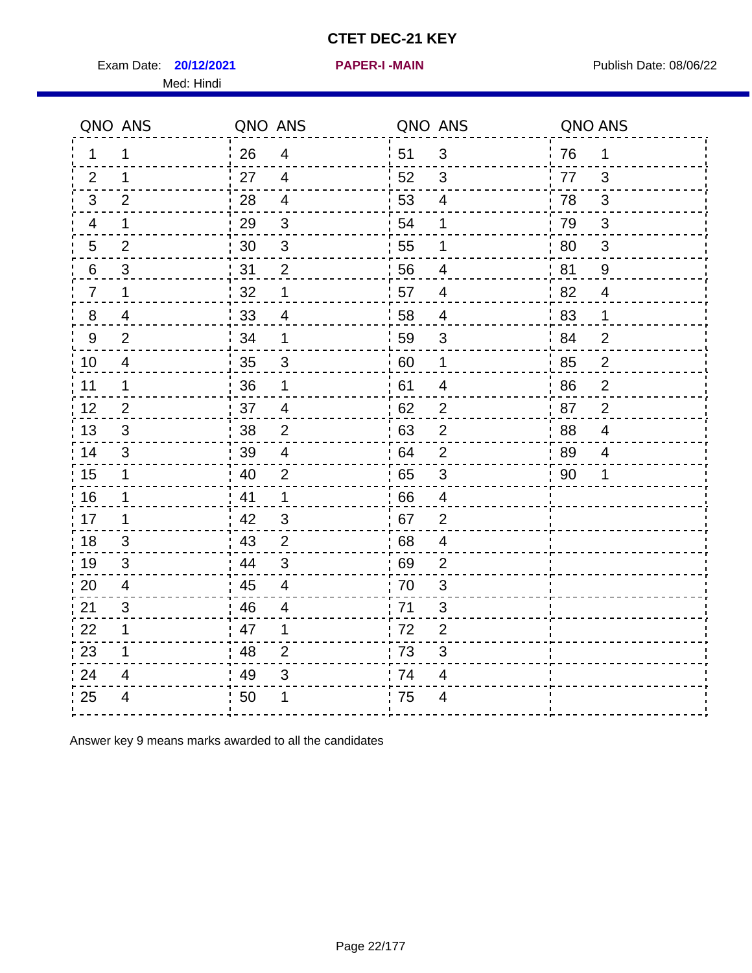Exam Date: **20/12/2021 PAPER-I-MAIN Exam Date: 08/06/22** Med: Hindi

|                | QNO ANS        | QNO ANS |                         | QNO ANS |                         | QNO ANS |                |
|----------------|----------------|---------|-------------------------|---------|-------------------------|---------|----------------|
| 1              | 1              | 26      | 4                       | 51      | 3                       | 76      | 1              |
| 2              | 1              | 27      | $\overline{4}$          | 52      | 3                       | 77      | 3              |
| 3              | 2              | 28      | $\overline{4}$          | 53      | $\overline{4}$          | 78      | 3              |
| 4              | $\mathbf 1$    | 29      | $\mathfrak{3}$          | 54      | 1                       | 79      | $\mathfrak{B}$ |
| $\overline{5}$ | $\overline{2}$ | 30      | $\sqrt{3}$              | 55      | 1                       | 80      | $\mathfrak{S}$ |
| $\,6$          | $\mathfrak{S}$ | 31      | $\overline{2}$          | 56      | 4                       | 81      | 9              |
| $\overline{7}$ | $\mathbf 1$    | 32      | 1                       | 57      | $\overline{4}$          | 82      | $\overline{4}$ |
| 8              | 4              | 33      | $\overline{4}$          | 58      | $\overline{4}$          | 83      | 1              |
| $9\,$          | 2              | 34      | 1                       | 59      | 3                       | 84      | $\overline{2}$ |
| 10             | $\overline{4}$ | 35      | 3                       | 60      | $\mathbf 1$             | 85      | $\overline{c}$ |
| 11             | 1              | 36      | 1                       | 61      | 4                       | 86      | $\overline{2}$ |
| 12             | $\overline{2}$ | 37      | $\overline{\mathbf{4}}$ | 62      | $\mathbf{2}$            | 87      | $\overline{2}$ |
| 13             | 3              | 38      | $\overline{2}$          | 63      | $\overline{2}$          | 88      | 4              |
| 14             | 3              | 39      | 4                       | 64      | $\overline{2}$          | 89      | 4              |
| 15             | $\mathbf 1$    | 40      | $\overline{2}$          | 65      | $\mathbf{3}$            | 90      | 1              |
| 16             | 1              | 41      | $\mathbf{1}$            | 66      | $\overline{4}$          |         |                |
| 17             | 1              | 42      | 3                       | 67      | $\overline{2}$          |         |                |
| 18             | 3              | 43      | 2                       | 68      | $\overline{\mathbf{4}}$ |         |                |
| 19             | 3              | 44      | $\mathfrak{B}$          | 69      | $\mathbf{2}$            |         |                |
| 20             | $\overline{4}$ | 45      | $\overline{4}$          | 70      | 3                       |         |                |
| 21             | 3              | 46      | $\overline{4}$          | 71      | 3                       |         |                |
| 22             | $\mathbf 1$    | 47      | 1                       | 72      | $\overline{2}$          |         |                |
| 23             | 1              | 48      | $\overline{2}$          | 73      | 3                       |         |                |
| 24             | 4              | 49      | 3                       | 74      | 4                       |         |                |
| 25             | 4              | 50      | 1                       | 75      | 4                       |         |                |

Answer key 9 means marks awarded to all the candidates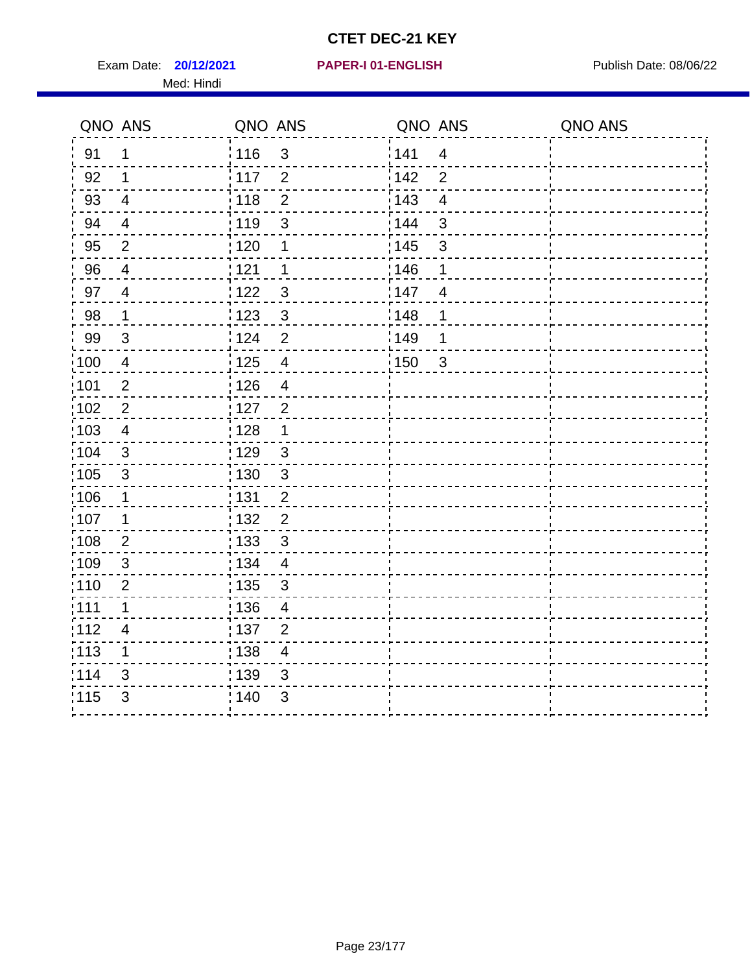Exam Date: **20/12/2021 PAPER-I 01-ENGLISH Proposed by Publish Date: 08/06/22** Med: Hindi

|                   | QNO ANS                  | QNO ANS           |                         | QNO ANS |                         | QNO ANS |
|-------------------|--------------------------|-------------------|-------------------------|---------|-------------------------|---------|
| 91                | $\mathbf{1}$             | 116               | 3                       | 141     | $\overline{\mathbf{4}}$ |         |
| 92                | $\mathbf 1$              | 117               | $\overline{2}$          | 142     | $\overline{2}$          |         |
| 93                | $\overline{4}$           | 118               | $\overline{2}$          | 143     | $\overline{\mathbf{4}}$ |         |
| 94                | $\overline{4}$           | : 119             | $\mathfrak{S}$          | 144     | 3                       |         |
| 95                | $\overline{2}$           | : 120             | 1                       | : 145   | 3                       |         |
| 96                | 4                        | 121               | $\mathbf{1}$            | 146     | 1                       |         |
| 97                | $\overline{\mathcal{A}}$ | $122$             | $\mathbf{3}$            | 147     | $\overline{4}$          |         |
| $98\,$            | $\mathbf 1$              | $\frac{1}{2}$ 123 | $\mathbf{3}$            | 148     | 1                       |         |
| 99                | $\sqrt{3}$               | 124               | $\overline{2}$          | ¦149    | 1                       |         |
| $\frac{1}{1}$ 100 | $\overline{4}$           | 125               | $\overline{\mathbf{4}}$ | 150     | $\mathfrak{S}$          |         |
| :101              | $\mathbf 2$              | 126               | $\overline{\mathbf{4}}$ |         |                         |         |
| 102               | $\overline{2}$           | : 127             | $\overline{2}$          |         |                         |         |
| 103               | $\overline{4}$           | : 128             | $\mathbf{1}$            |         |                         |         |
| 104               | $\mathbf{3}$             | : 129             | $\mathfrak{S}$          |         |                         |         |
| 105               | $\sqrt{3}$               | : 130             | $\mathbf{3}$            |         |                         |         |
| :106              | 1                        | : 131             | $\overline{2}$          |         |                         |         |
| :107              | 1                        | : 132             | $\overline{2}$          |         |                         |         |
| 108               | $\overline{2}$           | : 133             | $\mathbf{3}$            |         |                         |         |
| :109              | $\sqrt{3}$               | : 134             | $\overline{4}$          |         |                         |         |
| :110              | 2                        | : 135             | 3                       |         |                         |         |
| 111               | $\mathbf 1$              | : 136             | $\overline{4}$          |         |                         |         |
| 112               | $\overline{4}$           | 137               | $\overline{2}$          |         |                         |         |
| : 113             | 1                        | 138               | $\overline{\mathbf{4}}$ |         |                         |         |
| 114               | 3                        | : 139             | 3                       |         |                         |         |
| 115               | 3                        | 140               | $\sqrt{3}$              |         |                         |         |
|                   |                          |                   |                         |         |                         |         |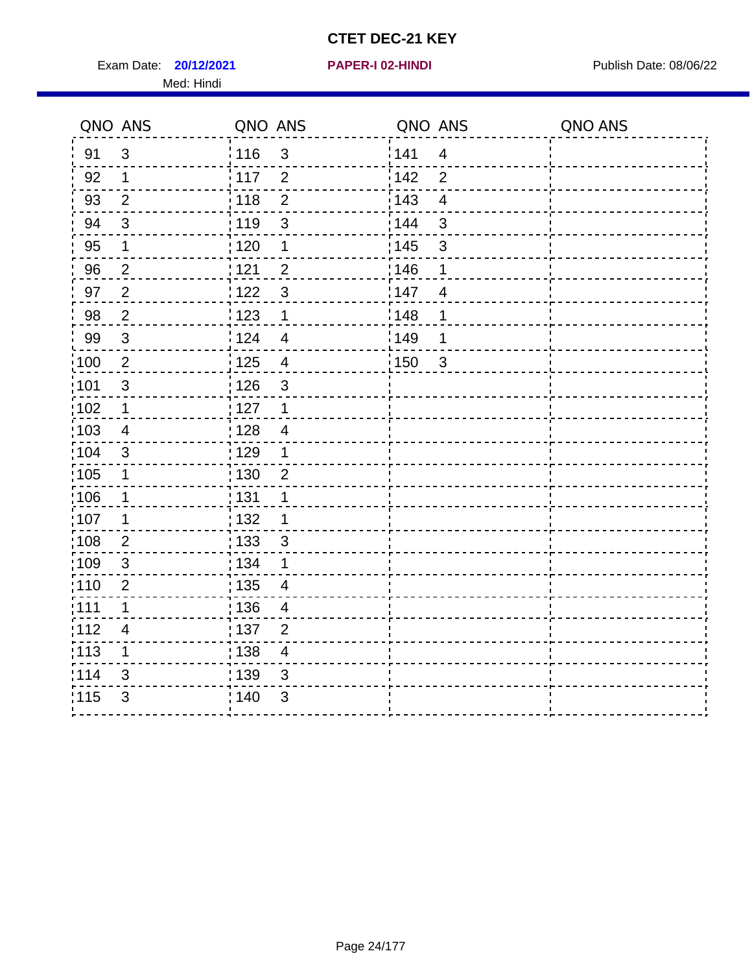Exam Date: **20/12/2021 PAPER-I 02-HINDI Exam Date: 08/06/22** Med: Hindi

**20/12/2021 PAPER-I 02-HINDI**

|                   | QNO ANS                   | QNO ANS |                         | QNO ANS |                         | QNO ANS |
|-------------------|---------------------------|---------|-------------------------|---------|-------------------------|---------|
| 91                | $\mathfrak{S}$            | 116     | $\mathfrak{3}$          | 1141    | $\overline{4}$          |         |
| 92                | $\mathbf 1$               | 117     | $\overline{2}$          | 142     | $\overline{2}$          |         |
| 93                | $\overline{2}$            | 118     | $\overline{2}$          | 143     | $\overline{\mathbf{4}}$ |         |
| 94                | 3                         | : 119   | $\mathfrak{B}$          | : 144   | 3                       |         |
| 95                | 1                         | : 120   | 1                       | : 145   | $\mathfrak{S}$          |         |
| 96                | $\overline{2}$            | 121     | $\overline{2}$          | :146    | 1                       |         |
| 97                | $\sqrt{2}$                | 122     | $\mathbf{3}$            | 147     | $\overline{4}$          |         |
| 98                | $\overline{2}$            | 123     | $\mathbf{1}$            | 148     | 1                       |         |
| 99                | $\ensuremath{\mathsf{3}}$ | 124     | $\overline{\mathbf{4}}$ | :149    | 1                       |         |
| $\frac{1}{1}$ 100 | $\overline{2}$            | 125     | $\overline{\mathbf{4}}$ | 150     | $\mathbf{3}$            |         |
| :101              | $\sqrt{3}$                | : 126   | $\mathsf 3$             |         |                         |         |
| 102               | $\mathbf 1$               | : 127   | $\mathbf 1$             |         |                         |         |
| 103               | 4                         | :128    | $\overline{4}$          |         |                         |         |
| 104               | $\mathbf{3}$              | : 129   | $\mathbf 1$             |         |                         |         |
| 105               | $\mathbf 1$               | 130     | $\overline{2}$          |         |                         |         |
| :106              | 1                         | : 131   | 1                       |         |                         |         |
| 107               | 1                         | :132    | 1                       |         |                         |         |
| 108               | $\overline{2}$            | : 133   | $\mathfrak{S}$          |         |                         |         |
| :109              | $\sqrt{3}$                | : 134   | $\mathbf 1$             |         |                         |         |
| :110              | $\overline{2}$            | : 135   | 4                       |         |                         |         |
| 111               | $\mathbf 1$               | : 136   | $\overline{4}$          |         |                         |         |
| 112               | $\overline{\mathcal{A}}$  | : 137   | $\overline{2}$          |         |                         |         |
| 113               | 1                         | : 138   | $\overline{4}$          |         |                         |         |
| 114               | 3                         | : 139   | 3                       |         |                         |         |
| 115               | 3                         | 140     | $\mathfrak{B}$          |         |                         |         |
|                   |                           |         |                         |         |                         |         |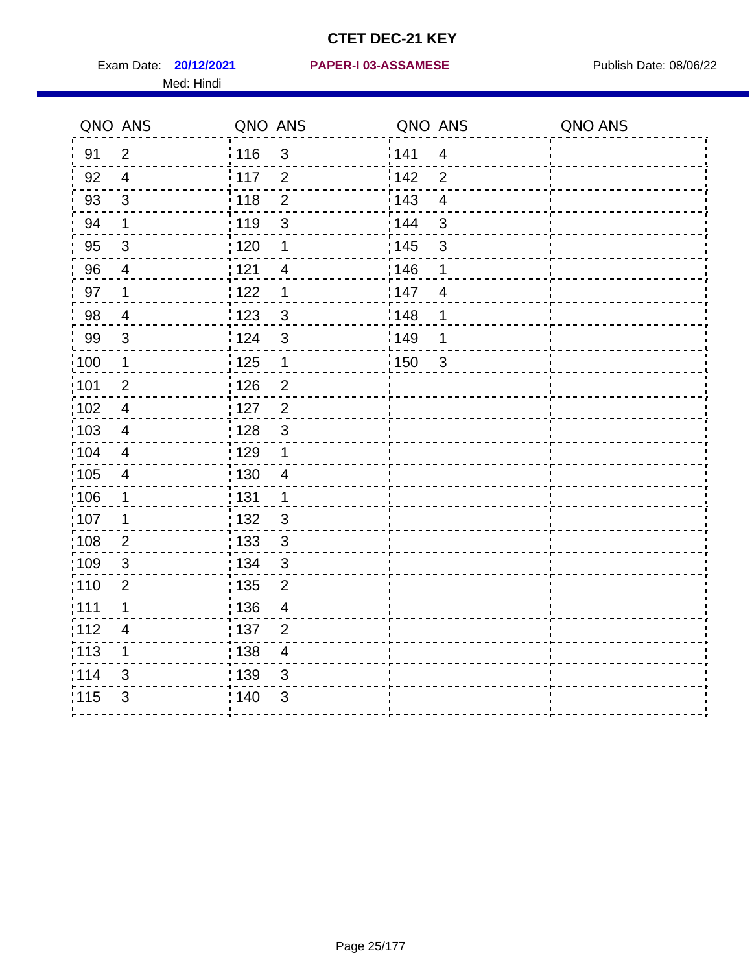Med: Hindi

#### **20/12/2021 PAPER-I 03-ASSAMESE** Exam Date: Publish Date: 08/06/22

|       | QNO ANS                 | QNO ANS                             | QNO ANS                             | QNO ANS |
|-------|-------------------------|-------------------------------------|-------------------------------------|---------|
| 91    | $\overline{2}$          | : 116<br>3                          | 141<br>$\overline{4}$               |         |
| 92    | $\overline{4}$          | $\overline{2}$<br>: 117             | 142<br>$\overline{2}$               |         |
| 93    | $\mathfrak{S}$          | : 118<br>$\overline{2}$             | 143<br>$\overline{4}$               |         |
| 94    | $\mathbf 1$             | : 119<br>3                          | 144<br>3                            |         |
| 95    | 3                       | :120<br>1                           | : 145<br>3                          |         |
| 96    | $\overline{4}$          | 121<br>4                            | :146<br>1                           |         |
| 97    | 1                       | : 122<br>1                          | 147<br>$\overline{4}$               |         |
| 98    | $\overline{4}$          | 123<br>$\mathbf{3}$                 | 148<br>1                            |         |
| 99    | $\sqrt{3}$              | 124<br>$\mathfrak{S}$               | $\frac{1}{2}$ 149<br>1              |         |
| :100  | $\mathbf 1$             | $\frac{1}{2}$ 125<br>$\mathbf 1$    | $\frac{1}{2}$ 150<br>$\mathfrak{S}$ |         |
| :101  | $\mathbf 2$             | : 126<br>$\overline{c}$             |                                     |         |
| 102   | $\overline{4}$          | : 127<br>$\overline{2}$             |                                     |         |
| 103   | 4                       | 3<br>: 128                          |                                     |         |
| 104   | $\overline{4}$          | : 129<br>1                          |                                     |         |
| :105  | $\overline{\mathbf{4}}$ | : 130<br>$\overline{4}$             |                                     |         |
| :106  | 1                       | : 131<br>$\mathbf 1$                |                                     |         |
| :107  | 1                       | : 132<br>$\mathbf{3}$               |                                     |         |
| :108  | $\mathbf{2}$            | $\frac{1}{1}$ 133<br>$\mathfrak{S}$ |                                     |         |
| :109  | $\sqrt{3}$              | : 134<br>$\mathbf{3}$               |                                     |         |
| 110   | $\overline{2}$          | 135<br>$\overline{2}$               |                                     |         |
| :111  | $\mathbf 1$             | : 136<br>$\overline{4}$             |                                     |         |
| 112   | 4                       | 137<br>$\overline{2}$               |                                     |         |
| : 113 | $\mathbf 1$             | : 138<br>$\overline{4}$             |                                     |         |
| 114   | 3                       | 139<br>3                            |                                     |         |
| 115   | 3                       | 140<br>$\mathfrak{S}$               |                                     |         |
|       |                         |                                     |                                     |         |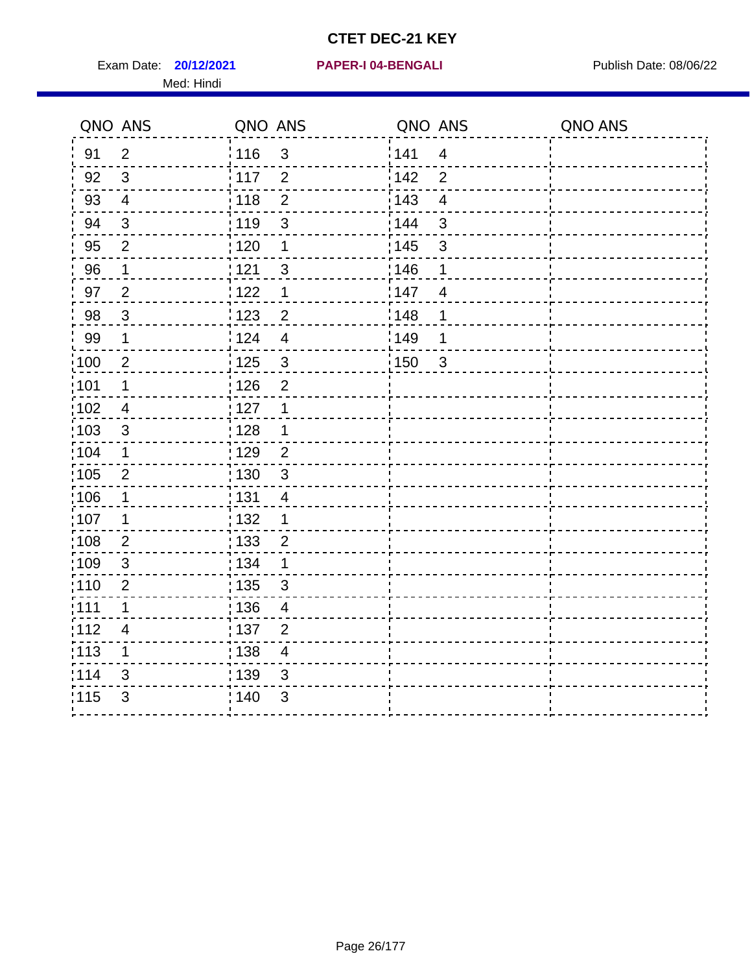Exam Date: **20/12/2021 PAPER-I 04-BENGALI Exam Date: 08/06/22** Med: Hindi

|                   | QNO ANS        | QNO ANS           |                         | QNO ANS           |                         | QNO ANS |
|-------------------|----------------|-------------------|-------------------------|-------------------|-------------------------|---------|
| 91                | $\overline{2}$ | 116               | $\mathfrak{S}$          | 141               | $\overline{4}$          |         |
| 92                | $\mathfrak{S}$ | $\frac{1}{2}$ 117 | $\overline{2}$          | 142               | $\overline{2}$          |         |
| 93                | $\overline{4}$ | 118               | $\overline{2}$          | 143               | $\overline{\mathbf{4}}$ |         |
| 94                | 3              | : 119             | 3                       | : 144             | 3                       |         |
| 95                | $\overline{2}$ | : 120             | 1                       | : 145             | 3                       |         |
| 96                | 1              | 121               | 3                       | 146               | 1                       |         |
| 97                | $\overline{2}$ | : 122             | 1                       | 147               | $\overline{4}$          |         |
| 98                | $\mathbf{3}$   | 123               | $\overline{2}$          | 148               | 1                       |         |
| 99                | $\mathbf 1$    | i 124             | $\overline{4}$          | $\frac{1}{2}$ 149 | 1                       |         |
| $\frac{1}{1}$ 100 | $\overline{2}$ | $\frac{1}{1}$ 125 | $\mathfrak{S}$          | 150               | $\mathbf{3}$            |         |
| :101              | 1              | : 126             | $\overline{2}$          |                   |                         |         |
| 102               | $\overline{4}$ | : 127             | 1                       |                   |                         |         |
| ;103              | 3              | : 128             | $\mathbf 1$             |                   |                         |         |
| 104               | $\mathbf 1$    | : 129             | $\overline{2}$          |                   |                         |         |
| 105               | $\overline{2}$ | 130               | $\mathbf{3}$            |                   |                         |         |
| :106              | 1              | : 131             | $\overline{4}$          |                   |                         |         |
| 107               | 1              | :132              | $\mathbf 1$             |                   |                         |         |
| 108               | $\overline{2}$ | 133               | $\overline{2}$          |                   |                         |         |
| :109              | $\sqrt{3}$     | : 134             | $\mathbf 1$             |                   |                         |         |
| :110              | 2              | : 135             | 3                       |                   |                         |         |
| 111               | $\mathbf 1$    | 136               | $\overline{4}$          |                   |                         |         |
| 112               | $\overline{4}$ | 137               | $\overline{2}$          |                   |                         |         |
| 113               | 1              | : 138             | $\overline{\mathbf{4}}$ |                   |                         |         |
| 114               | 3              | 139               | 3                       |                   |                         |         |
| 115               | 3              | 140               | $\mathfrak{S}$          |                   |                         |         |
|                   |                |                   |                         |                   |                         |         |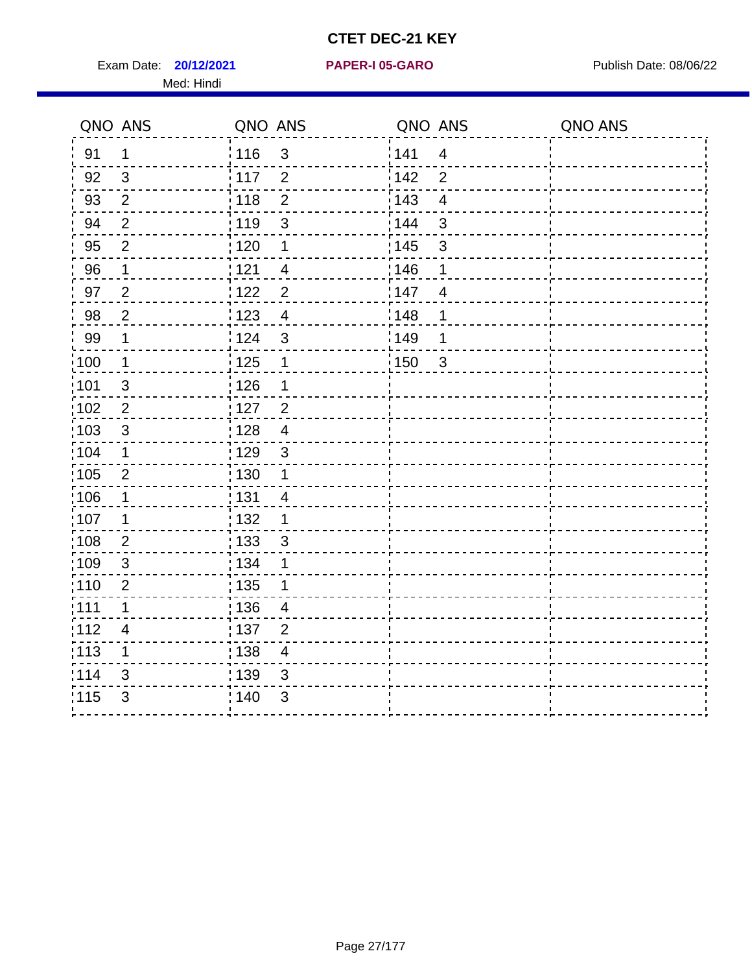Exam Date: **20/12/2021 PAPER-I 05-GARO** Publish Date: 08/06/22 Med: Hindi

**20/12/2021 PAPER-I 05-GARO**

|      | QNO ANS        | QNO ANS           |                          | QNO ANS |                         | QNO ANS |
|------|----------------|-------------------|--------------------------|---------|-------------------------|---------|
| 91   | $\mathbf{1}$   | : 116             | $\mathfrak{S}$           | 141     | $\overline{\mathbf{4}}$ |         |
| 92   | $\mathfrak{B}$ | 117               | $\overline{2}$           | 142     | $\overline{2}$          |         |
| 93   | $\overline{2}$ | 118               | $\overline{2}$           | 143     | $\overline{\mathbf{4}}$ |         |
| 94   | $\overline{2}$ | : 119             | $\mathfrak{S}$           | : 144   | 3                       |         |
| 95   | $\overline{2}$ | :120              | 1                        | : 145   | 3                       |         |
| 96   | 1              | 121               | 4                        | 146     | 1                       |         |
| 97   | $\mathbf 2$    | 122               | $\overline{2}$           | :147    | $\overline{4}$          |         |
| 98   | $\overline{2}$ | 123               | $\overline{4}$           | 148     | 1                       |         |
| 99   | $\mathbf 1$    | 124               | $\sqrt{3}$               | :149    | 1                       |         |
| :100 | $\mathbf{1}$   | 125               | $\mathbf 1$              | 150     | $\mathfrak{S}$          |         |
| :101 | $\sqrt{3}$     | : 126             | 1                        |         |                         |         |
| 102  | $\overline{2}$ | : 127             | $\overline{2}$           |         |                         |         |
| 103  | 3              | :128              | $\overline{4}$           |         |                         |         |
| 104  | $\mathbf 1$    | : 129             | $\mathbf{3}$             |         |                         |         |
| 105  | $\sqrt{2}$     | 130               | $\mathbf 1$              |         |                         |         |
| :106 | 1              | : 131             | $\overline{\mathcal{A}}$ |         |                         |         |
| ;107 | 1              | 132               | $\mathbf 1$              |         |                         |         |
| 108  | $\overline{2}$ | $\frac{1}{1}$ 133 | $\sqrt{3}$               |         |                         |         |
| :109 | $\sqrt{3}$     | : 134             | 1                        |         |                         |         |
| :110 | $\overline{2}$ | : 135             | 1                        |         |                         |         |
| :111 | $\mathbf 1$    | : 136             | $\overline{4}$           |         |                         |         |
| 112  | 4              | : 137             | $\overline{2}$           |         |                         |         |
| 113  | 1              | : 138             | $\overline{\mathcal{A}}$ |         |                         |         |
| 114  | 3              | : 139             | 3                        |         |                         |         |
| 115  | $\mathfrak{S}$ | 140               | $\sqrt{3}$               |         |                         |         |
|      |                |                   |                          |         |                         |         |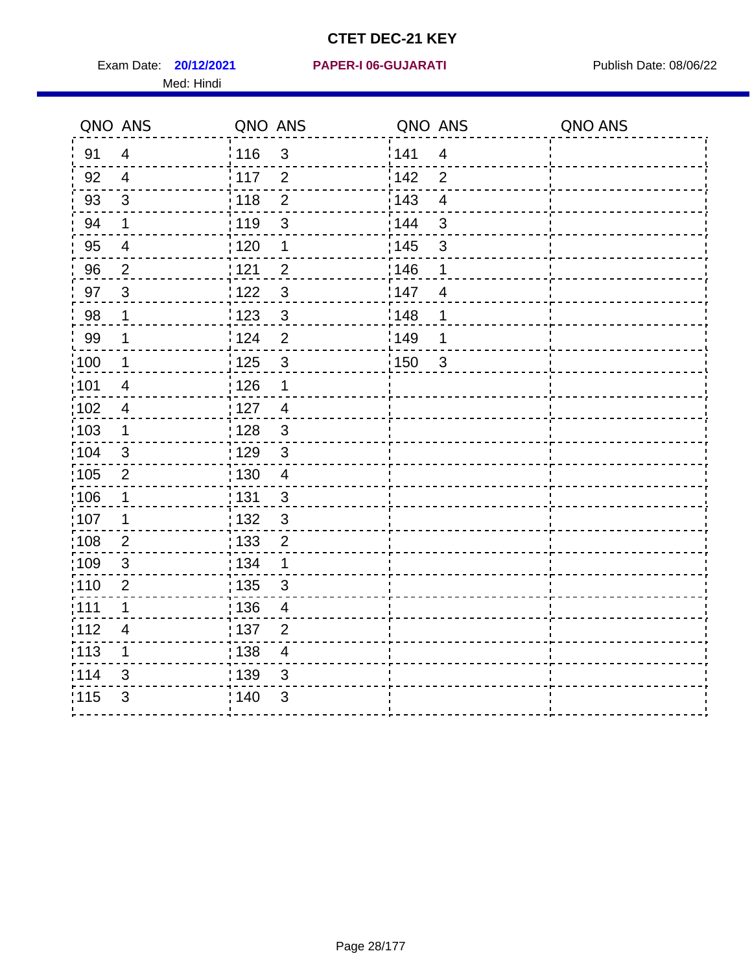Med: Hindi

|                   | QNO ANS                  | QNO ANS           |                          | QNO ANS |                         | QNO ANS |
|-------------------|--------------------------|-------------------|--------------------------|---------|-------------------------|---------|
| 91                | $\overline{4}$           | 116               | $\mathfrak{S}$           | 141     | $\overline{\mathbf{4}}$ |         |
| 92                | $\overline{4}$           | 117               | $\overline{2}$           | 142     | $\overline{2}$          |         |
| 93                | $\sqrt{3}$               | 118               | $\overline{2}$           | 143     | $\overline{4}$          |         |
| 94                | 1                        | : 119             | $\mathbf{3}$             | 144     | 3                       |         |
| 95                | 4                        | :120              | 1                        | : 145   | 3                       |         |
| 96                | $\overline{2}$           | : 121             | $\overline{2}$           | 146     | 1                       |         |
| 97                | $\mathfrak{B}$           | : 122             | $\mathbf{3}$             | 147     | $\overline{4}$          |         |
| 98                | $\mathbf 1$              | 123               | $\mathbf{3}$             | 148     | 1                       |         |
| 99                | 1                        | : 124             | $\overline{2}$           | :149    | 1                       |         |
| :100              | $\mathbf 1$              | 125               | $\mathbf{3}$             | 150     | $\sqrt{3}$              |         |
| :101              | $\overline{4}$           | : 126             | 1                        |         |                         |         |
| 102               | $\overline{4}$           | : 127             | $\overline{4}$           |         |                         |         |
| 103               | $\mathbf 1$              | : 128             | $\mathbf{3}$             |         |                         |         |
| 104               | $\sqrt{3}$               | : 129             | $\mathbf{3}$             |         |                         |         |
| 105               | $\overline{2}$           | : 130             | $\overline{\mathcal{A}}$ |         |                         |         |
| :106              | 1                        | : 131             | 3                        |         |                         |         |
| :107              | 1                        | : 132             | $\mathbf{3}$             |         |                         |         |
| :108              | $\mathbf{2}$             | $\frac{1}{1}$ 133 | $\mathbf 2$              |         |                         |         |
| :109              | $\sqrt{3}$               | : 134             | 1                        |         |                         |         |
| :110              | $\overline{2}$           | : 135             | 3                        |         |                         |         |
| 111               | $\mathbf 1$              | : 136             | $\overline{4}$           |         |                         |         |
| 112               | $\overline{\mathcal{A}}$ | 137               | $\overline{c}$           |         |                         |         |
| $\frac{1}{1}$ 113 | 1                        | : 138             | $\overline{4}$           |         |                         |         |
| 114               | 3                        | 139               | 3                        |         |                         |         |
| 115               | 3                        | : 140             | $\sqrt{3}$               |         |                         |         |
|                   |                          |                   |                          |         |                         |         |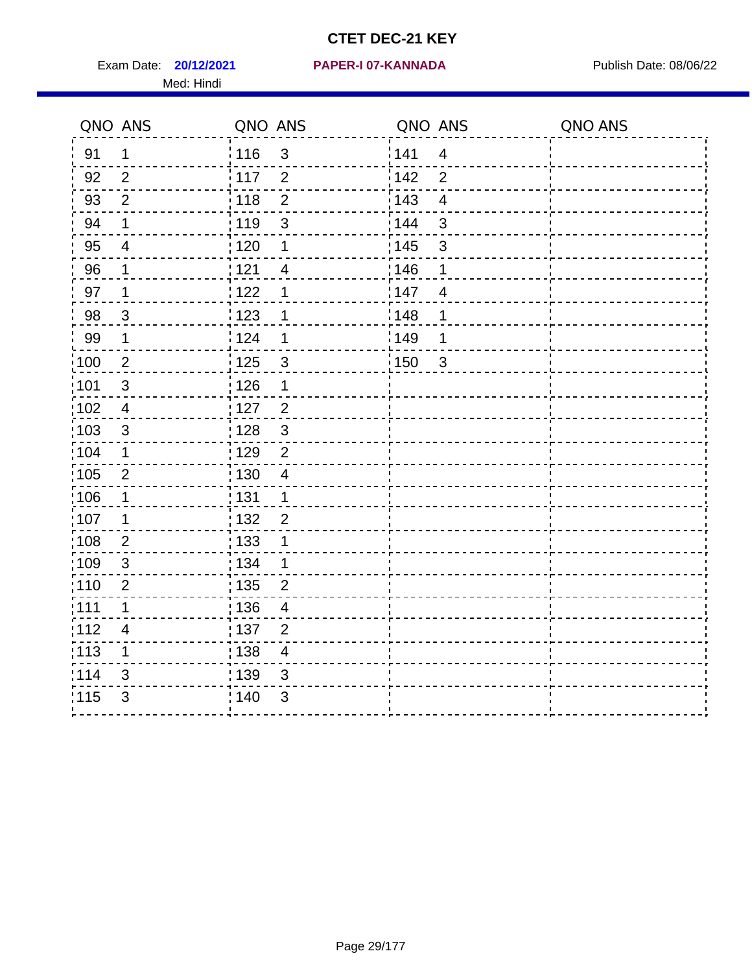Exam Date: **20/12/2021 PAPER-I 07-KANNADA** Publish Date: 08/06/22 Med: Hindi

|                   | QNO ANS                  | QNO ANS                          | QNO ANS                             | QNO ANS |
|-------------------|--------------------------|----------------------------------|-------------------------------------|---------|
| 91                | $\mathbf{1}$             | 116<br>3                         | 141<br>$\overline{\mathbf{4}}$      |         |
| 92                | 2                        | 117<br>$\overline{2}$            | 142<br>$\overline{2}$               |         |
| 93                | $\overline{2}$           | $\overline{2}$<br>118            | 143<br>$\overline{\mathbf{4}}$      |         |
| 94                | 1                        | : 119<br>3                       | 144<br>3                            |         |
| 95                | 4                        | : 120<br>1                       | : 145<br>3                          |         |
| 96                | 1                        | 121<br>$\overline{4}$            | 146<br>1                            |         |
| 97                | 1                        | 122<br>1                         | 147<br>$\overline{4}$               |         |
| 98                | $\mathbf{3}$             | $\frac{1}{2}$ 123<br>1           | 148<br>1                            |         |
| 99                | $\mathbf{1}$             | 124<br>1                         | ¦149<br>1                           |         |
| $\frac{1}{1}$ 100 | $\overline{2}$           | 125<br>$\mathbf{3}$              | $\frac{1}{2}$ 150<br>$\mathfrak{S}$ |         |
| 101               | $\mathsf 3$              | 126<br>1                         |                                     |         |
| 102               | $\overline{4}$           | : 127<br>$\overline{2}$          |                                     |         |
| 103               | $\mathfrak{S}$           | $\mathfrak{3}$<br>128            |                                     |         |
| 104               | $\mathbf 1$              | : 129<br>$\overline{2}$          |                                     |         |
| 105               | $\mathbf 2$              | : 130<br>$\overline{4}$          |                                     |         |
| :106              | 1                        | : 131<br>$\mathbf 1$             |                                     |         |
| :107              | 1                        | : 132<br>$\overline{2}$          |                                     |         |
| 108               | $\overline{2}$           | : 133<br>$\mathbf 1$             |                                     |         |
| :109              | $\sqrt{3}$               | : 134<br>$\mathbf{1}$            |                                     |         |
| :110              | 2                        | : 135<br>2                       |                                     |         |
| :111              | 1                        | : 136<br>$\overline{4}$          |                                     |         |
| 112               | $\overline{\mathcal{A}}$ | 137<br>$\overline{2}$            |                                     |         |
| : 113             | 1                        | : 138<br>$\overline{\mathbf{4}}$ |                                     |         |
| 114               | 3                        | :139<br>3                        |                                     |         |
| 115               | 3                        | 140<br>$\sqrt{3}$                |                                     |         |
|                   |                          |                                  |                                     |         |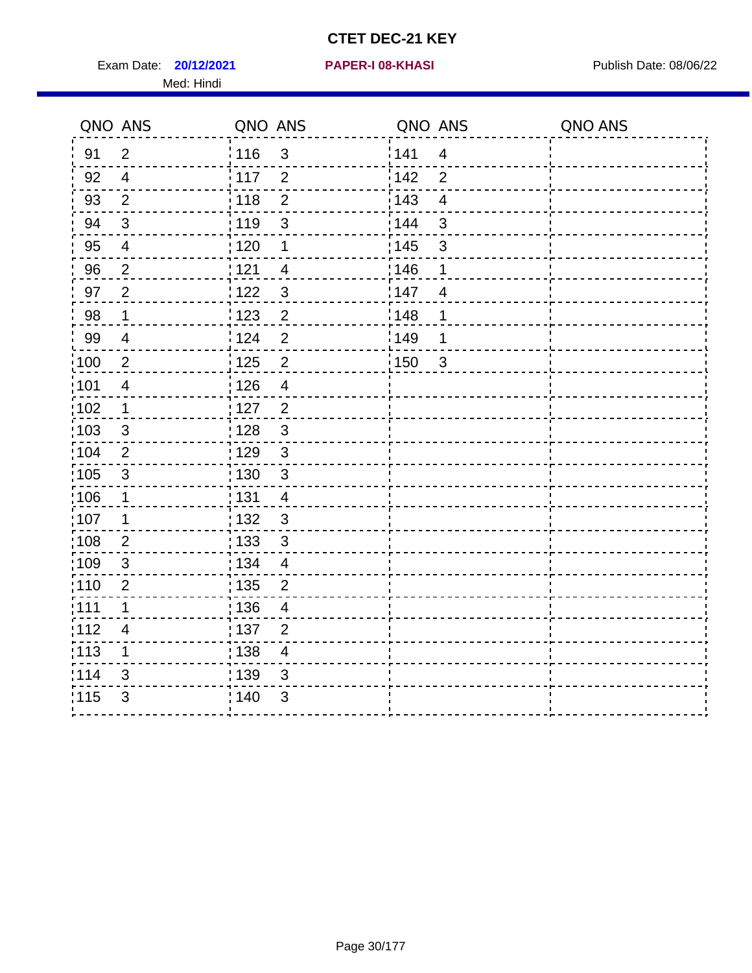Exam Date: **20/12/2021 PAPER-I 08-KHASI PREXALL RESPONSE PUblish Date: 08/06/22** Med: Hindi

**20/12/2021 PAPER-I 08-KHASI**

|                   | QNO ANS                  | QNO ANS           |                | QNO ANS |                | QNO ANS |
|-------------------|--------------------------|-------------------|----------------|---------|----------------|---------|
| 91                | $\overline{2}$           | 116               | $\mathbf{3}$   | 141     | $\overline{4}$ |         |
| 92                | $\overline{4}$           | 117               | $\overline{2}$ | 142     | $\overline{2}$ |         |
| 93                | $\overline{2}$           | 118               | $\mathbf{2}$   | 143     | $\overline{4}$ |         |
| 94                | $\mathbf{3}$             | : 119             | $\mathfrak{S}$ | 144     | $\mathfrak{S}$ |         |
| 95                | $\overline{4}$           | : 120             | 1              | : 145   | $\mathfrak{S}$ |         |
| 96                | $\overline{2}$           | 121               | 4              | 146     | 1              |         |
| 97                | $\overline{2}$           | 122               | $\mathbf{3}$   | 147     | 4              |         |
| 98                | $\mathbf{1}$             | $\frac{1}{2}$ 123 | $\overline{2}$ | 148     | 1              |         |
| 99                | $\overline{4}$           | 124               | $\overline{2}$ | :149    | 1              |         |
| $\frac{1}{1}$ 100 | $\sqrt{2}$               | $\frac{1}{1}$ 125 | $\mathbf{2}$   | 150     | $\mathbf{3}$   |         |
| :101              | $\overline{\mathcal{A}}$ | : 126             | $\overline{4}$ |         |                |         |
| 102               | $\mathbf{1}$             | : 127             | $\overline{2}$ |         |                |         |
| 103               | 3                        | : 128             | $\mathbf{3}$   |         |                |         |
| 104               | $\overline{2}$           | : 129             | $\mathbf{3}$   |         |                |         |
| 105               | $\sqrt{3}$               | : 130             | $\mathfrak{S}$ |         |                |         |
| :106              | $\mathbf{1}$             | : 131             | 4              |         |                |         |
| ;107              | 1                        | : 132             | $\mathbf{3}$   |         |                |         |
| 108               | $\overline{2}$           | : 133             | $\sqrt{3}$     |         |                |         |
| :109              | $\sqrt{3}$               | : 134             | $\overline{4}$ |         |                |         |
| :110              | $\overline{2}$           | : 135             | 2              |         |                |         |
| :111              | $\mathbf 1$              | : 136             | $\overline{4}$ |         |                |         |
| 112               | $\overline{\mathcal{A}}$ | 137               | $\overline{2}$ |         |                |         |
| 113               | 1                        | : 138             | $\overline{4}$ |         |                |         |
| 114               | 3                        | 139               | 3              |         |                |         |
| 115               | 3                        | 140               | $\mathfrak{B}$ |         |                |         |
|                   |                          |                   |                |         |                |         |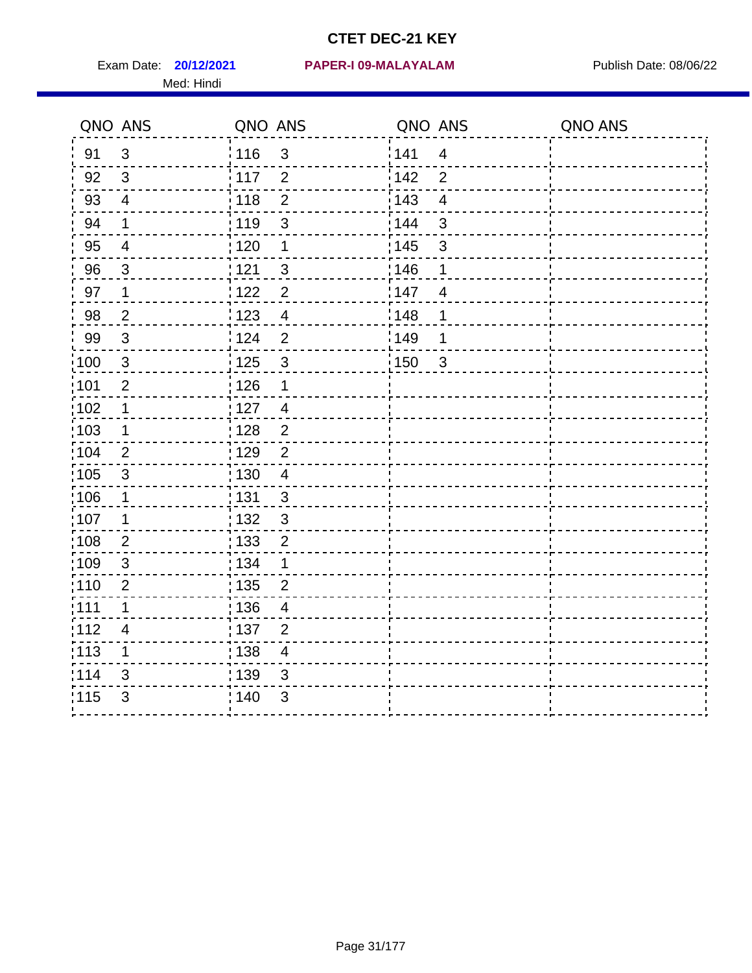Med: Hindi

|                   | QNO ANS                  | QNO ANS           |                | QNO ANS |                         | QNO ANS |
|-------------------|--------------------------|-------------------|----------------|---------|-------------------------|---------|
| 91                | $\mathfrak{S}$           | 116               | $\mathsf 3$    | 141     | $\overline{\mathbf{4}}$ |         |
| 92                | 3                        | 117               | $\overline{2}$ | 142     | $\overline{2}$          |         |
| 93                | $\overline{\mathbf{4}}$  | 118               | $\overline{2}$ | 143     | $\overline{4}$          |         |
| 94                | 1                        | : 119             | $\mathfrak{S}$ | 144     | 3                       |         |
| 95                | $\overline{4}$           | :120              | 1              | : 145   | 3                       |         |
| 96                | $\mathfrak{S}$           | : 121             | $\mathfrak{S}$ | 146     | 1                       |         |
| 97                | 1                        | : 122             | $\overline{2}$ | 147     | $\overline{4}$          |         |
| 98                | $\mathbf 2$              | 123               | $\overline{4}$ | 148     | 1                       |         |
| 99                | $\sqrt{3}$               | : 124             | $\overline{2}$ | :149    | 1                       |         |
| :100              | $\mathbf{3}$             | 125               | $\mathbf{3}$   | 150     | $\sqrt{3}$              |         |
| :101              | $\overline{2}$           | : 126             | 1              |         |                         |         |
| 102               | 1                        | : 127             | $\overline{4}$ |         |                         |         |
| 103               | $\mathbf 1$              | : 128             | $\overline{2}$ |         |                         |         |
| 104               | $\overline{2}$           | : 129             | $\overline{2}$ |         |                         |         |
| 105               | $\sqrt{3}$               | : 130             | $\overline{4}$ |         |                         |         |
| :106              | 1                        | : 131             | 3              |         |                         |         |
| :107              | 1                        | : 132             | $\mathbf{3}$   |         |                         |         |
| :108              | $\mathbf{2}$             | $\frac{1}{1}$ 133 | $\mathbf 2$    |         |                         |         |
| :109              | $\sqrt{3}$               | : 134             | 1              |         |                         |         |
| :110              | $\overline{2}$           | : 135             | $\overline{2}$ |         |                         |         |
| 111               | $\mathbf 1$              | : 136             | $\overline{4}$ |         |                         |         |
| 112               | $\overline{\mathcal{A}}$ | : 137             | $\overline{c}$ |         |                         |         |
| $\frac{1}{1}$ 113 | 1                        | : 138             | $\overline{4}$ |         |                         |         |
| 114               | 3                        | 139               | 3              |         |                         |         |
| 115               | 3                        | : 140             | $\sqrt{3}$     |         |                         |         |
|                   |                          |                   |                |         |                         |         |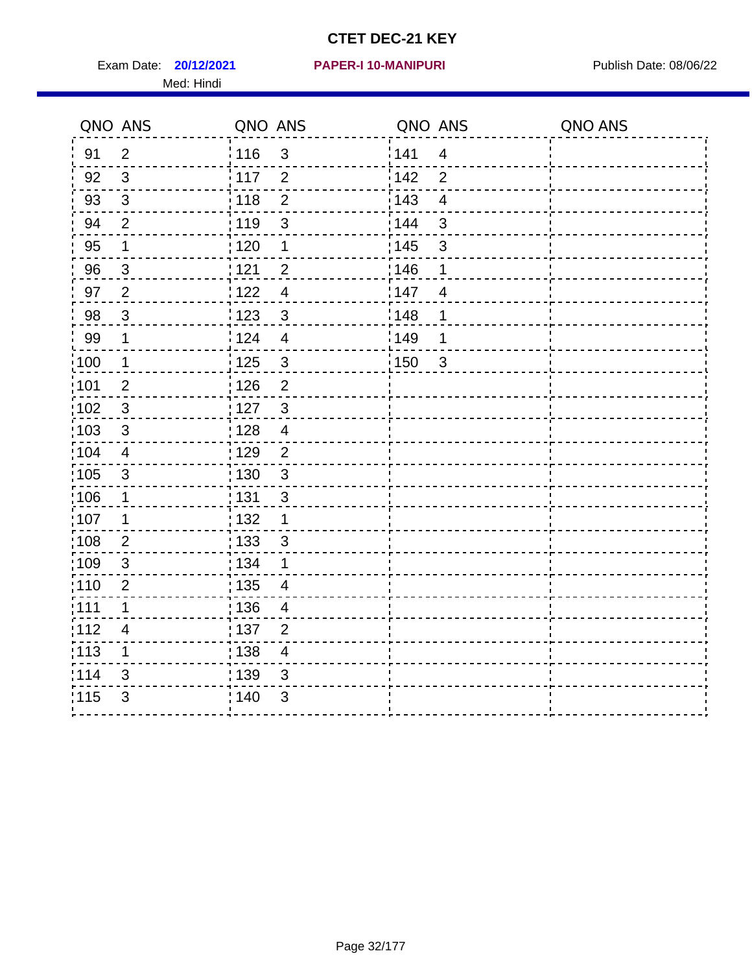Exam Date: **20/12/2021 PAPER-I 10-MANIPURI Proposed Bublish Date: 08/06/22** Med: Hindi

|                   | QNO ANS                  | QNO ANS           |                | QNO ANS |                         | QNO ANS |
|-------------------|--------------------------|-------------------|----------------|---------|-------------------------|---------|
| 91                | $\overline{2}$           | 116               | $\sqrt{3}$     | 141     | $\overline{\mathbf{4}}$ |         |
| 92                | 3                        | 117               | $\overline{2}$ | 142     | $\overline{2}$          |         |
| 93                | $\sqrt{3}$               | 118               | $\overline{2}$ | 143     | $\overline{4}$          |         |
| 94                | 2                        | : 119             | $\mathbf{3}$   | 144     | 3                       |         |
| 95                | 1                        | :120              | 1              | : 145   | 3                       |         |
| 96                | $\mathfrak{S}$           | : 121             | $\overline{2}$ | 146     | 1                       |         |
| 97                | $\overline{2}$           | : 122             | $\overline{4}$ | 147     | $\overline{4}$          |         |
| 98                | $\mathbf{3}$             | 123               | $\mathbf{3}$   | 148     | 1                       |         |
| 99                | $\mathbf 1$              | 124               | $\overline{4}$ | :149    | 1                       |         |
| :100              | $\mathbf{1}$             | : 125             | $\mathbf{3}$   | 150     | $\sqrt{3}$              |         |
| :101              | $\overline{2}$           | : 126             | $\overline{2}$ |         |                         |         |
| 102               | 3                        | : 127             | $\mathbf{3}$   |         |                         |         |
| 103               | 3                        | : 128             | $\overline{4}$ |         |                         |         |
| 104               | $\overline{\mathbf{4}}$  | : 129             | $\overline{2}$ |         |                         |         |
| 105               | $\sqrt{3}$               | : 130             | $\mathfrak{S}$ |         |                         |         |
| :106              | 1                        | : 131             | 3              |         |                         |         |
| :107              | 1                        | : 132             | $\mathbf 1$    |         |                         |         |
| $\frac{1}{1}$ 108 | $\mathbf{2}$             | $\frac{1}{1}$ 133 | $\mathsf 3$    |         |                         |         |
| :109              | $\sqrt{3}$               | : 134             | 1              |         |                         |         |
| :110              | $\overline{2}$           | : 135             | 4              |         |                         |         |
| 111               | $\mathbf 1$              | : 136             | $\overline{4}$ |         |                         |         |
| 112               | $\overline{\mathcal{A}}$ | 137               | $\overline{c}$ |         |                         |         |
| $\frac{1}{1}$ 113 | 1                        | : 138             | $\overline{4}$ |         |                         |         |
| 114               | 3                        | 139               | 3              |         |                         |         |
| 115               | 3                        | : 140             | $\sqrt{3}$     |         |                         |         |
|                   |                          |                   |                |         |                         |         |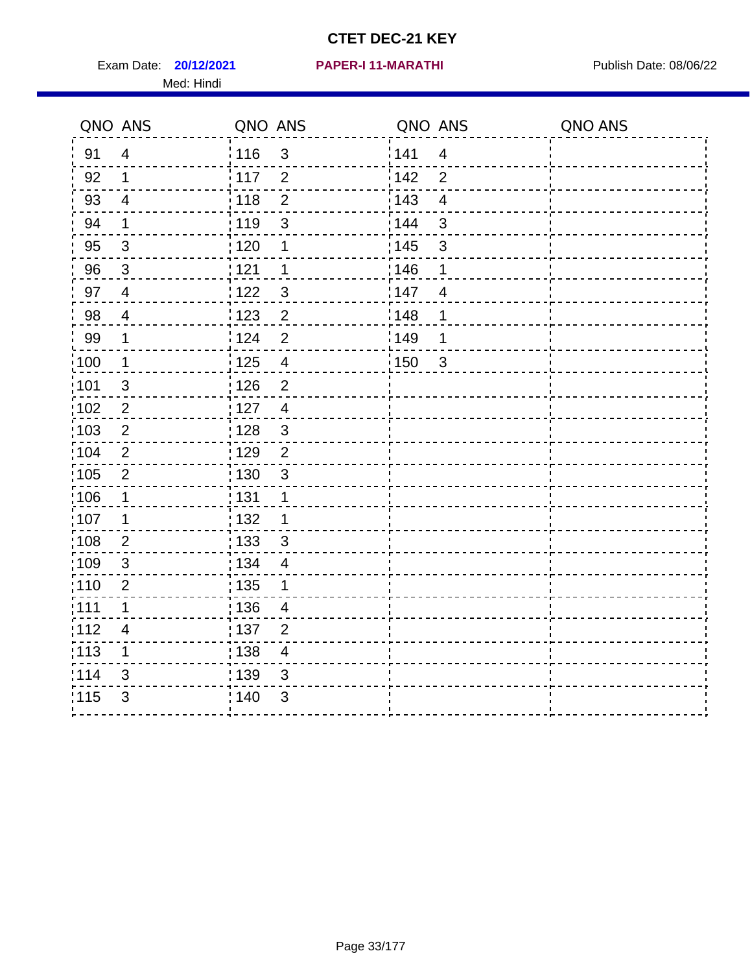Exam Date: **20/12/2021 PAPER-I 11-MARATHI Exam Date: 08/06/22** Med: Hindi

|      | QNO ANS                  | QNO ANS           |                         | QNO ANS           |                         | QNO ANS |
|------|--------------------------|-------------------|-------------------------|-------------------|-------------------------|---------|
| 91   | $\overline{4}$           | 116               | $\mathfrak{S}$          | 141               | $\overline{\mathbf{4}}$ |         |
| 92   | $\mathbf 1$              | 117               | $\overline{2}$          | 142               | $\overline{2}$          |         |
| 93   | $\overline{4}$           | 118               | $\overline{2}$          | 143               | $\overline{\mathbf{4}}$ |         |
| 94   | 1                        | : 119             | 3                       | : 144             | 3                       |         |
| 95   | $\mathbf{3}$             | : 120             | 1                       | : 145             | 3                       |         |
| 96   | $\mathbf{3}$             | 121               | 1                       | 146               | 1                       |         |
| 97   | $\overline{\mathcal{A}}$ | : 122             | $\mathbf{3}$            | 147               | $\overline{4}$          |         |
| 98   | $\overline{4}$           | 123               | $\overline{2}$          | 148               | 1                       |         |
| 99   | $\mathbf 1$              | 124               | $\overline{2}$          | $\frac{1}{2}$ 149 | 1                       |         |
| :100 | $\mathbf 1$              | $\frac{1}{2}$ 125 | $\overline{\mathbf{4}}$ | 150               | $\mathbf{3}$            |         |
| :101 | $\sqrt{3}$               | : 126             | $\overline{2}$          |                   |                         |         |
| 102  | $\overline{2}$           | 127               | $\overline{4}$          |                   |                         |         |
| 103  | 2                        | :128              | $\mathbf{3}$            |                   |                         |         |
| 104  | $\overline{2}$           | : 129             | $\overline{2}$          |                   |                         |         |
| 105  | $\overline{2}$           | $\frac{1}{1}$ 130 | $\mathbf{3}$            |                   |                         |         |
| :106 | 1                        | : 131             | 1                       |                   |                         |         |
| 107  | 1                        | :132              | 1                       |                   |                         |         |
| 108  | $\overline{2}$           | : 133             | $\mathbf{3}$            |                   |                         |         |
| :109 | $\sqrt{3}$               | : 134             | $\overline{4}$          |                   |                         |         |
| :110 | 2                        | : 135             | 1                       |                   |                         |         |
| 111  | $\mathbf 1$              | : 136             | $\overline{4}$          |                   |                         |         |
| 112  | $\overline{\mathcal{A}}$ | 137               | $\overline{2}$          |                   |                         |         |
| 113  | 1                        | 138               | $\overline{\mathbf{4}}$ |                   |                         |         |
| 114  | 3                        | 139               | 3                       |                   |                         |         |
| 115  | 3                        | 140               | $\mathfrak{S}$          |                   |                         |         |
|      |                          |                   |                         |                   |                         |         |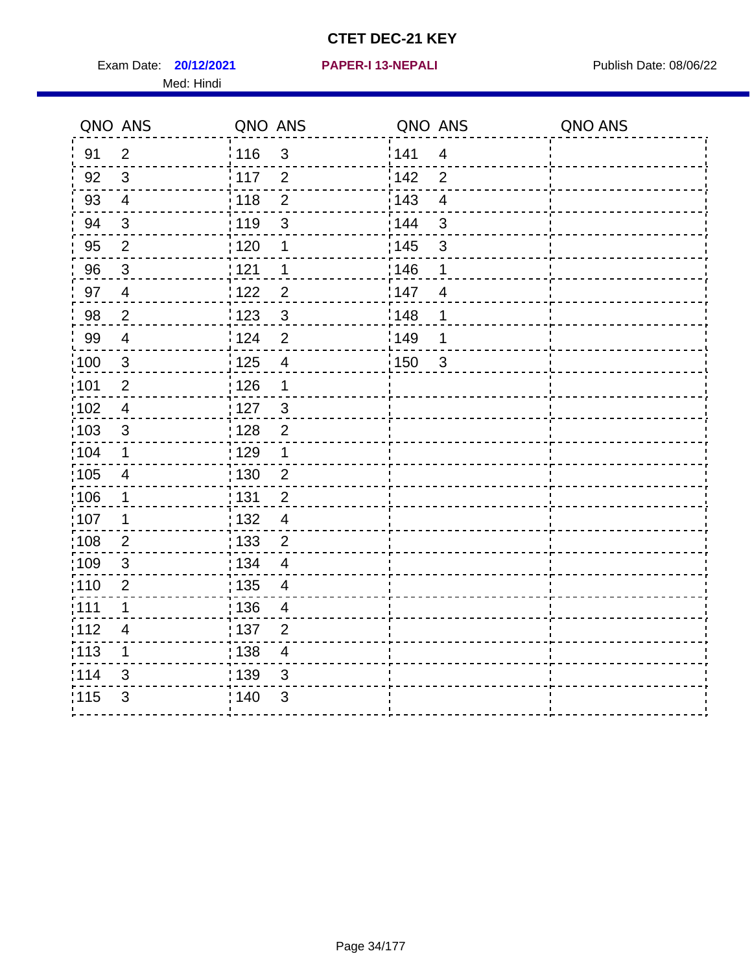Exam Date: **20/12/2021 PAPER-I 13-NEPALI Exam Date: 08/06/22** Med: Hindi

**20/12/2021 PAPER-I 13-NEPALI**

|       | QNO ANS        | QNO ANS           |                          | QNO ANS           |                         | QNO ANS |
|-------|----------------|-------------------|--------------------------|-------------------|-------------------------|---------|
| 91    | $\overline{2}$ | 116               | $\mathfrak{S}$           | 141               | $\overline{4}$          |         |
| 92    | $\mathbf{3}$   | 117               | $\overline{2}$           | 142               | $\overline{2}$          |         |
| 93    | $\overline{4}$ | 118               | $\overline{2}$           | 143               | $\overline{\mathbf{4}}$ |         |
| 94    | $\mathfrak{B}$ | : 119             | 3                        | 144               | 3                       |         |
| 95    | $\overline{2}$ | : 120             | 1                        | : 145             | 3                       |         |
| 96    | $\mathfrak{S}$ | 121               | 1                        | 146               | 1                       |         |
| 97    | $\overline{4}$ | 122               | $\overline{c}$           | 147               | $\overline{4}$          |         |
| 98    | $\overline{2}$ | 123               | $\mathbf{3}$             | ¦148              | 1                       |         |
| 99    | $\overline{4}$ | 124               | $\overline{2}$           | :149              | 1                       |         |
| :100  | $\sqrt{3}$     | 125               | $\overline{4}$           | $\frac{1}{1}$ 150 | $\mathbf{3}$            |         |
| :101  | $\mathbf 2$    | : 126             | 1                        |                   |                         |         |
| 102   | $\overline{4}$ | : 127             | $\mathbf{3}$             |                   |                         |         |
| 103   | 3              | :128              | $\overline{2}$           |                   |                         |         |
| 104   | $\mathbf 1$    | : 129             | 1                        |                   |                         |         |
| 105   | $\overline{4}$ | $\frac{1}{1}$ 130 | $\overline{2}$           |                   |                         |         |
| :106  | 1              | : 131             | $\overline{2}$           |                   |                         |         |
| ;107  | 1              | : 132             | $\overline{4}$           |                   |                         |         |
| 108   | $\overline{2}$ | : 133             | $\overline{2}$           |                   |                         |         |
| :109  | $\sqrt{3}$     | : 134             | $\overline{4}$           |                   |                         |         |
| :110  | $\overline{2}$ | : 135             | $\overline{4}$           |                   |                         |         |
| 111   | $\mathbf 1$    | : 136             | $\overline{4}$           |                   |                         |         |
| 112   | 4              | $\frac{1}{1}$ 137 | $\overline{2}$           |                   |                         |         |
| : 113 | 1              | : 138             | $\overline{\mathcal{A}}$ |                   |                         |         |
| 114   | 3              | : 139             | 3                        |                   |                         |         |
| 115   | $\mathfrak{S}$ | 140               | $\mathfrak{S}$           |                   |                         |         |
|       |                |                   |                          |                   |                         |         |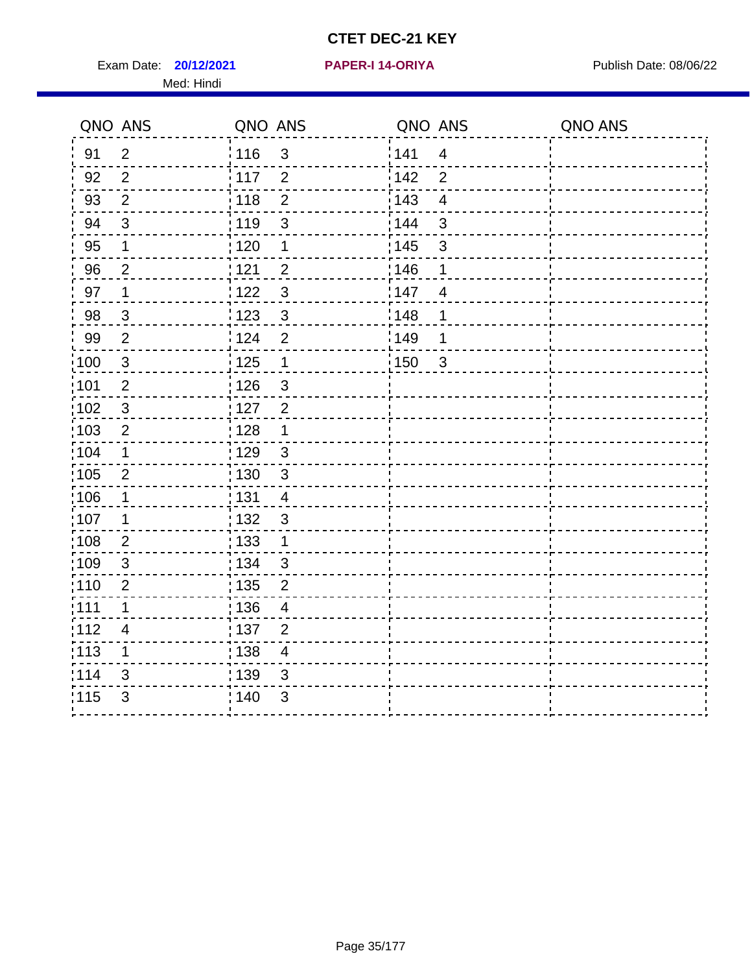Exam Date: **20/12/2021 PAPER-I 14-ORIYA** Publish Date: 08/06/22 Med: Hindi

**20/12/2021 PAPER-I 14-ORIYA**

|                   | QNO ANS        | QNO ANS           |                | QNO ANS |                         | QNO ANS |
|-------------------|----------------|-------------------|----------------|---------|-------------------------|---------|
| 91                | $\overline{2}$ | : 116             | $\mathfrak{S}$ | 141     | $\overline{\mathbf{4}}$ |         |
| 92                | $\overline{2}$ | 117               | $\overline{2}$ | 142     | $\overline{2}$          |         |
| 93                | $\overline{2}$ | 118               | $\overline{2}$ | 143     | $\overline{4}$          |         |
| 94                | 3              | : 119             | 3              | 144     | 3                       |         |
| 95                | 1              | :120              | 1              | : 145   | 3                       |         |
| 96                | $\overline{2}$ | : 121             | $\overline{2}$ | 146     | 1                       |         |
| 97                | $\mathbf 1$    | : 122             | $\mathbf{3}$   | 147     | $\overline{4}$          |         |
| 98                | $\mathbf{3}$   | 123               | $\mathfrak{S}$ | 148     | 1                       |         |
| 99                | $\overline{2}$ | 124               | $\overline{2}$ | :149    | 1                       |         |
| :100              | $\mathbf{3}$   | 125               | $\overline{1}$ | 150     | $\sqrt{3}$              |         |
| :101              | $\overline{2}$ | : 126             | 3              |         |                         |         |
| 102               | $\mathbf{3}$   | : 127             | $\overline{2}$ |         |                         |         |
| 103               | $\overline{2}$ | : 128             | 1              |         |                         |         |
| 104               | 1              | : 129             | $\mathfrak{S}$ |         |                         |         |
| 105               | $\overline{2}$ | : 130             | $\mathbf{3}$   |         |                         |         |
| :106              | 1              | : 131             | $\overline{4}$ |         |                         |         |
| :107              | 1              | : 132             | $\mathfrak{3}$ |         |                         |         |
| $\frac{1}{1}$ 108 | $\mathbf{2}$   | $\frac{1}{1}$ 133 | $\mathbf{1}$   |         |                         |         |
| :109              | $\mathfrak{S}$ | : 134             | $\mathbf{3}$   |         |                         |         |
| :110              | $\overline{2}$ | : 135             | $\overline{2}$ |         |                         |         |
| 111               | 1              | 136               | $\overline{4}$ |         |                         |         |
| 112               | $\overline{4}$ | 137               | $\overline{2}$ |         |                         |         |
| $\frac{1}{1}$ 113 | 1              | : 138             | $\overline{4}$ |         |                         |         |
| 114               | 3              | 139               | 3              |         |                         |         |
| 115               | 3              | 140               | $\sqrt{3}$     |         |                         |         |
|                   |                |                   |                |         |                         |         |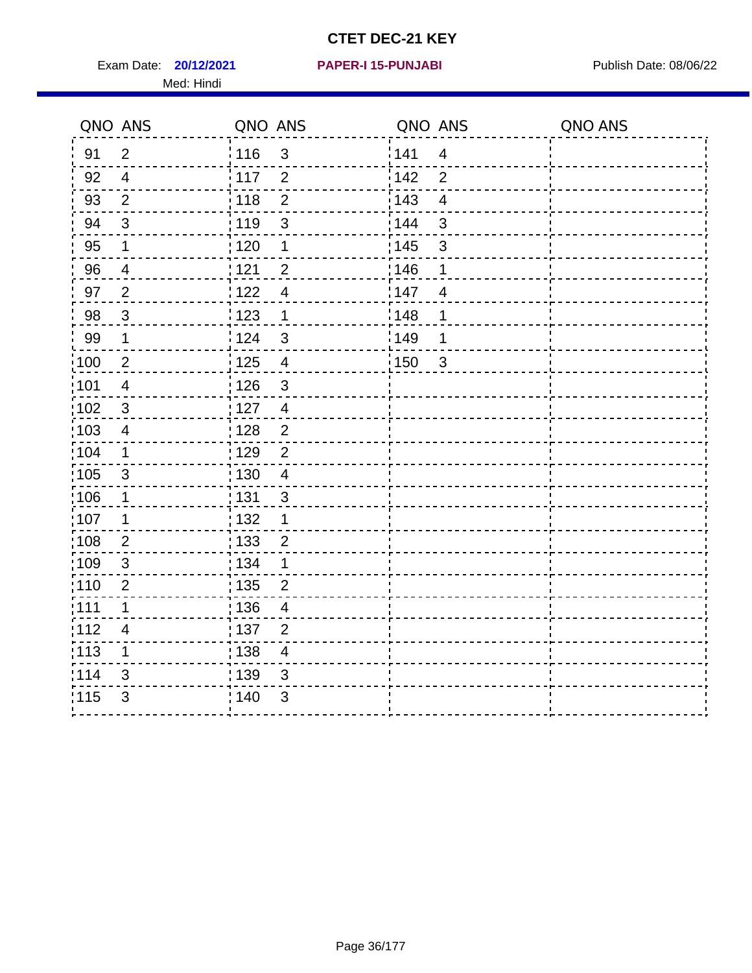Exam Date: **20/12/2021 PAPER-I 15-PUNJABI PRACEL PROPER PUBLISH Date: 08/06/22** Med: Hindi

|                   | QNO ANS                  | QNO ANS           |                          | QNO ANS |                         | QNO ANS |
|-------------------|--------------------------|-------------------|--------------------------|---------|-------------------------|---------|
| 91                | $\overline{2}$           | 116               | 3                        | 141     | $\overline{\mathbf{4}}$ |         |
| 92                | $\overline{4}$           | 117               | $\overline{2}$           | 142     | $\overline{2}$          |         |
| 93                | $\overline{2}$           | 118               | $\overline{2}$           | 143     | $\overline{\mathbf{4}}$ |         |
| 94                | 3                        | : 119             | $\mathfrak{S}$           | 144     | 3                       |         |
| 95                | 1                        | : 120             | $\mathbf 1$              | : 145   | 3                       |         |
| 96                | 4                        | 121               | $\overline{2}$           | 146     | 1                       |         |
| 97                | $\overline{2}$           | 122               | $\overline{\mathcal{A}}$ | 147     | $\overline{4}$          |         |
| 98                | $\mathbf{3}$             | $\frac{1}{2}$ 123 | $\mathbf{1}$             | 148     | 1                       |         |
| 99                | $\mathbf{1}$             | 124               | $\mathfrak{S}$           | ¦149    | 1                       |         |
| $\frac{1}{1}$ 100 | $\overline{2}$           | 125               | $\overline{\mathbf{4}}$  | 150     | $\mathbf{3}$            |         |
| :101              | $\overline{\mathcal{A}}$ | 126               | 3                        |         |                         |         |
| 102               | 3                        | : 127             | $\overline{4}$           |         |                         |         |
| 103               | $\overline{4}$           | 128               | $\overline{2}$           |         |                         |         |
| 104               | $\mathbf 1$              | : 129             | $\overline{2}$           |         |                         |         |
| 105               | $\sqrt{3}$               | : 130             | $\overline{4}$           |         |                         |         |
| ;106              | 1                        | : 131             | $\mathbf{3}$             |         |                         |         |
| :107              | 1                        | : 132             | $\mathbf 1$              |         |                         |         |
| 108               | $\overline{2}$           | $\frac{1}{1}$ 133 | $\overline{2}$           |         |                         |         |
| :109              | $\sqrt{3}$               | : 134             | $\mathbf 1$              |         |                         |         |
| :110              | 2                        | : 135             | 2                        |         |                         |         |
| 111               | $\mathbf 1$              | : 136             | $\overline{4}$           |         |                         |         |
| 112               | $\overline{4}$           | 137               | $\overline{2}$           |         |                         |         |
| : 113             | 1                        | 138               | $\overline{4}$           |         |                         |         |
| 114               | 3                        | : 139             | 3                        |         |                         |         |
| 115               | 3                        | 140               | $\sqrt{3}$               |         |                         |         |
|                   |                          |                   |                          |         |                         |         |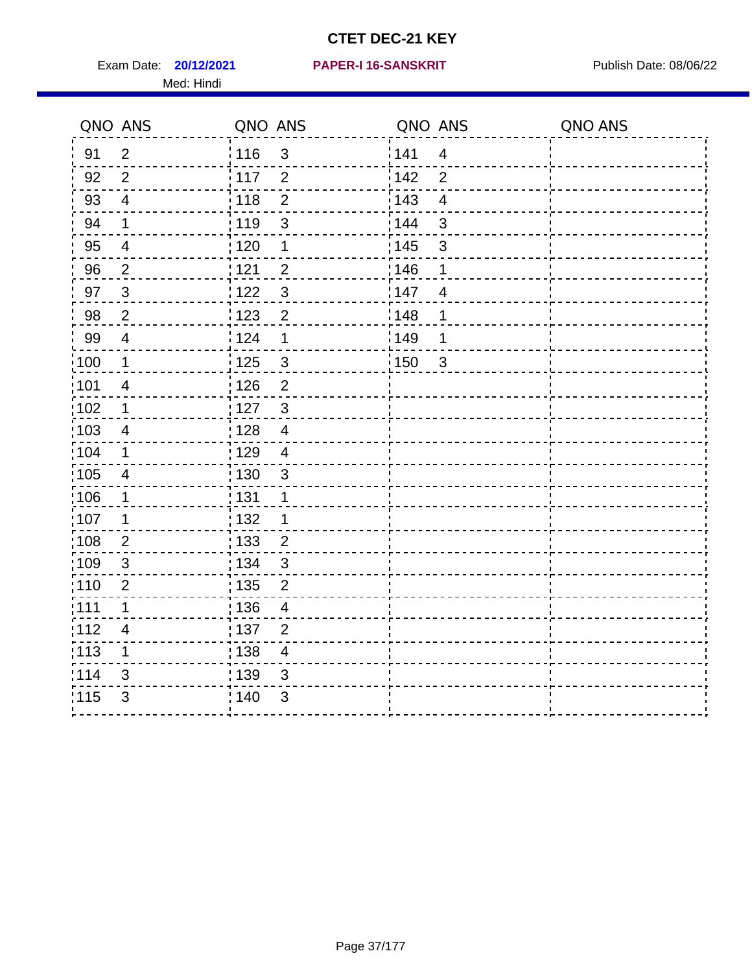Exam Date: **20/12/2021 PAPER-I 16-SANSKRIT** Publish Date: 08/06/22 Med: Hindi

|                   | QNO ANS                  | QNO ANS           |                | QNO ANS           |                | QNO ANS |
|-------------------|--------------------------|-------------------|----------------|-------------------|----------------|---------|
| 91                | $\overline{2}$           | : 116             | $\mathbf{3}$   | 141               | $\overline{4}$ |         |
| 92                | $\overline{2}$           | $\frac{1}{117}$   | $\overline{2}$ | 142               | $\overline{2}$ |         |
| 93                | $\overline{4}$           | 118               | $\mathbf 2$    | 143               | $\overline{4}$ |         |
| 94                | $\mathbf 1$              | : 119             | $\mathbf{3}$   | : 144             | $\mathfrak{S}$ |         |
| 95                | $\overline{4}$           | : 120             | 1              | : 145             | $\mathfrak{S}$ |         |
| 96                | $\overline{2}$           | 121               | $\overline{2}$ | 146               | 1              |         |
| 97                | $\mathbf{3}$             | 122               | $\mathfrak{S}$ | 147               | 4              |         |
| 98                | $\overline{2}$           | 123               | $\overline{c}$ | : 148             | 1              |         |
| 99                | $\overline{\mathcal{A}}$ | 124               | 1              | :149              | 1              |         |
| 100               | $\mathbf 1$              | $\frac{1}{1}$ 125 | $\mathfrak{S}$ | $\frac{1}{1}$ 150 | $\mathbf{3}$   |         |
| 101               | $\overline{4}$           | 126               | $\overline{2}$ |                   |                |         |
| 102               | $\mathbf 1$              | : 127             | $\mathbf{3}$   |                   |                |         |
| 103               | 4                        | : 128             | $\overline{4}$ |                   |                |         |
| :104              | $\mathbf 1$              | : 129             | $\overline{4}$ |                   |                |         |
| 105               | $\overline{\mathcal{A}}$ | : 130             | $\mathfrak{S}$ |                   |                |         |
| 106               | 1                        | : 131             | 1              |                   |                |         |
| :107              | 1                        | : 132             | 1              |                   |                |         |
| $\frac{1}{1}$ 108 | $\overline{2}$           | : 133             | $\overline{2}$ |                   |                |         |
| 109               | $\mathfrak{S}$           | : 134             | $\mathfrak{3}$ |                   |                |         |
| :110              | $\overline{2}$           | : 135             | $\overline{2}$ |                   |                |         |
| 111               | 1                        | : 136             | $\overline{4}$ |                   |                |         |
| 112               | $\overline{\mathcal{A}}$ | : 137             | $\overline{2}$ |                   |                |         |
| $\frac{1}{1}$ 113 | 1                        | : 138             | $\overline{4}$ |                   |                |         |
| 114               | 3                        | 139               | 3              |                   |                |         |
| 115               | 3                        | : 140             | 3              |                   |                |         |
|                   |                          |                   |                |                   |                |         |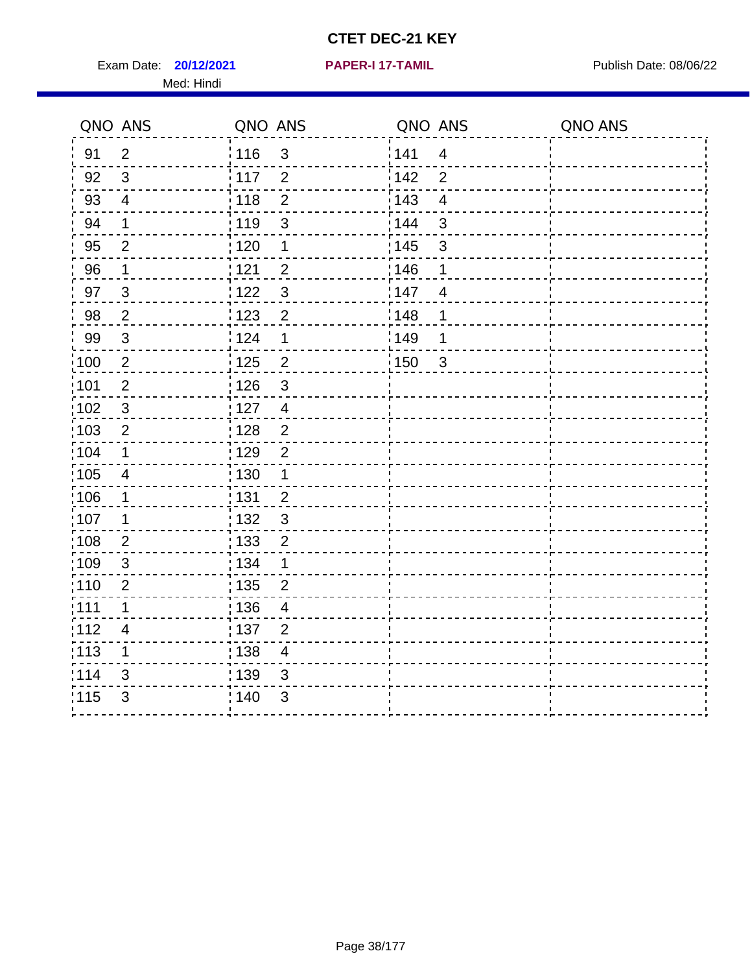Exam Date: **20/12/2021 PAPER-I 17-TAMIL Exam Date: 08/06/22** Med: Hindi

**20/12/2021 PAPER-I 17-TAMIL**

|                   | QNO ANS                 | QNO ANS           |                | QNO ANS           |                | QNO ANS |
|-------------------|-------------------------|-------------------|----------------|-------------------|----------------|---------|
| 91                | $\overline{2}$          | : 116             | 3              | 141               | $\overline{4}$ |         |
| 92                | $\mathfrak{S}$          | $\frac{1}{117}$   | $\overline{2}$ | 142               | $\overline{2}$ |         |
| 93                | $\overline{4}$          | : 118             | $\mathbf{2}$   | 143               | $\overline{4}$ |         |
| 94                | 1                       | : 119             | 3              | 144               | 3              |         |
| 95                | $\overline{2}$          | : 120             | 1              | : 145             | $\mathfrak{B}$ |         |
| 96                | 1                       | 121               | $\overline{2}$ | :146              | 1              |         |
| 97                | $\mathbf{3}$            | 122               | $\mathbf{3}$   | 147               | $\overline{4}$ |         |
| 98                | $\overline{2}$          | : 123             | $\overline{2}$ | 148               | 1              |         |
| 99                | $\sqrt{3}$              | 124               | 1              | $\frac{1}{2}$ 149 | 1              |         |
| 100               | $\sqrt{2}$              | $\frac{1}{1}$ 125 | $\overline{2}$ | $\frac{1}{2}$ 150 | $\mathbf{3}$   |         |
| 101               | $\mathbf 2$             | 126               | $\mathbf{3}$   |                   |                |         |
| 102               | 3                       | : 127             | $\overline{4}$ |                   |                |         |
| :103              | $\overline{2}$          | : 128             | $\overline{2}$ |                   |                |         |
| 104               | $\mathbf 1$             | : 129             | $\overline{2}$ |                   |                |         |
| :105              | $\overline{\mathbf{4}}$ | : 130             | $\mathbf 1$    |                   |                |         |
| 106               | 1                       | : 131             | $\overline{2}$ |                   |                |         |
| :107              | $\mathbf 1$             | : 132             | 3              |                   |                |         |
| :108              | $\overline{2}$          | : 133             | $\overline{2}$ |                   |                |         |
| :109              | $\sqrt{3}$              | : 134             | $\mathbf 1$    |                   |                |         |
| : 110             | 2                       | : 135             | $\overline{2}$ |                   |                |         |
| 111               | 1                       | : 136             | $\overline{4}$ |                   |                |         |
| 112               | 4                       | $\frac{1}{1}$ 137 | $\overline{2}$ |                   |                |         |
| $\frac{1}{1}$ 113 | 1                       | $\frac{1}{1}$ 138 | $\overline{4}$ |                   |                |         |
| 114               | 3                       | 139               | 3              |                   |                |         |
| 115               | 3                       | 140               | 3              |                   |                |         |
|                   |                         |                   |                |                   |                |         |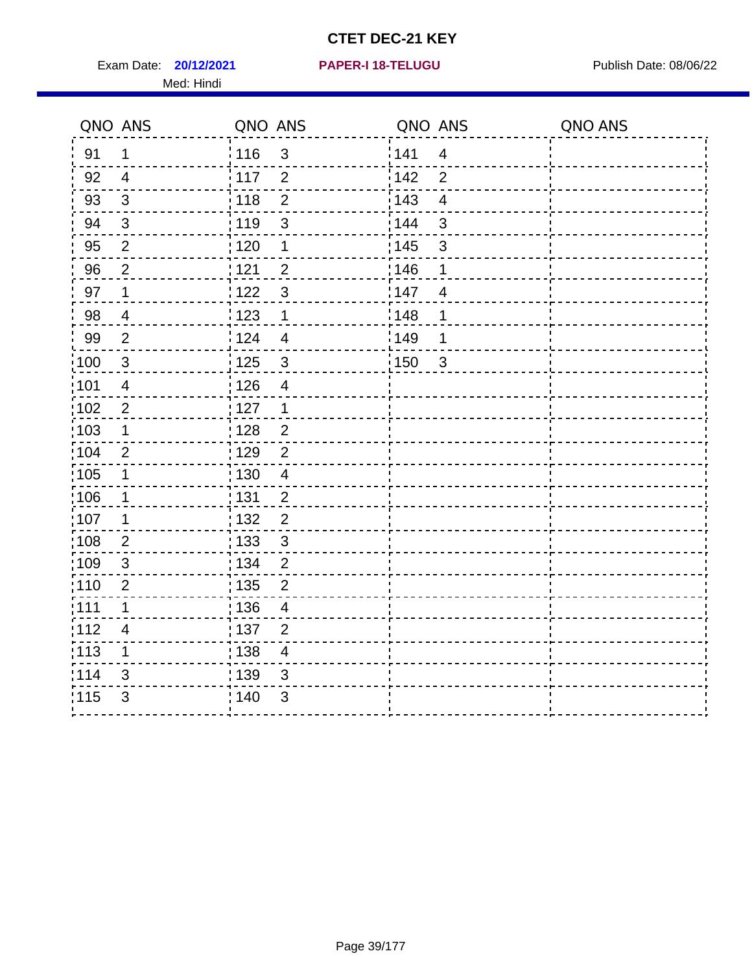Exam Date: **20/12/2021 PAPER-I 18-TELUGU Exam Date: 08/06/22** Med: Hindi

|      | QNO ANS                  | QNO ANS           |                         | QNO ANS |                         | QNO ANS |
|------|--------------------------|-------------------|-------------------------|---------|-------------------------|---------|
| 91   | $\mathbf 1$              | 116               | $\mathfrak{3}$          | 141     | $\overline{\mathbf{4}}$ |         |
| 92   | $\overline{4}$           | 117               | $\overline{2}$          | 142     | $\overline{2}$          |         |
| 93   | $\mathbf{3}$             | 118               | $\overline{2}$          | 143     | $\overline{\mathbf{4}}$ |         |
| 94   | 3                        | : 119             | $\mathbf{3}$            | 144     | 3                       |         |
| 95   | $\overline{2}$           | ;120              | $\mathbf 1$             | : 145   | 3                       |         |
| 96   | $\overline{2}$           | 121               | $\overline{2}$          | 146     | 1                       |         |
| 97   | $\mathbf 1$              | 122               | $\mathbf{3}$            | 147     | $\overline{4}$          |         |
| 98   | $\overline{\mathbf{4}}$  | 123               | $\mathbf 1$             | 148     | 1                       |         |
| 99   | $\overline{2}$           | 124               | $\overline{\mathbf{4}}$ | :149    | 1                       |         |
| 100  | $\mathbf 3$              | 125               | $\mathbf{3}$            | 150     | $\mathbf{3}$            |         |
| :101 | $\overline{4}$           | : 126             | $\overline{\mathbf{4}}$ |         |                         |         |
| 102  | $\overline{2}$           | : 127             | $\mathbf 1$             |         |                         |         |
| ;103 | $\mathbf 1$              | 128               | $\overline{2}$          |         |                         |         |
| 104  | $\overline{2}$           | : 129             | $\overline{2}$          |         |                         |         |
| 105  | $\mathbf{1}$             | 130               | $\overline{4}$          |         |                         |         |
| :106 | $\mathbf 1$              | : 131             | $\overline{2}$          |         |                         |         |
| ;107 | $\mathbf 1$              | 132               | $\overline{2}$          |         |                         |         |
| 108  | $\overline{2}$           | $\frac{1}{1}$ 133 | $\mathbf{3}$            |         |                         |         |
| :109 | $\sqrt{3}$               | : 134             | $\overline{2}$          |         |                         |         |
| :110 | $\overline{2}$           | ; 135             | 2                       |         |                         |         |
| ;111 | $\mathbf{1}$             | 136               | $\overline{4}$          |         |                         |         |
| 112  | $\overline{\mathcal{A}}$ | : 137             | $\overline{2}$          |         |                         |         |
| 113  | 1                        | : 138             | $\overline{4}$          |         |                         |         |
| 114  | 3                        | : 139             | 3                       |         |                         |         |
| 115  | $\mathfrak{S}$           | 140               | 3                       |         |                         |         |
|      |                          |                   |                         |         |                         |         |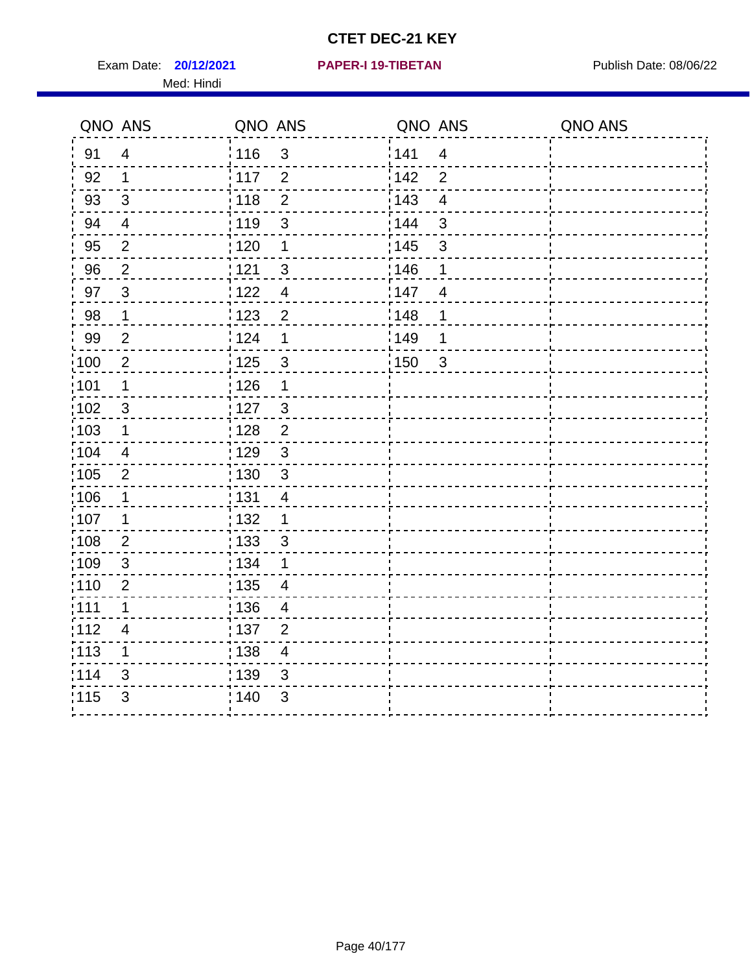Exam Date: **20/12/2021 PAPER-I 19-TIBETAN** Publish Date: 08/06/22 Med: Hindi

|                   | QNO ANS                  | QNO ANS           |                         | QNO ANS |                         | QNO ANS |
|-------------------|--------------------------|-------------------|-------------------------|---------|-------------------------|---------|
| 91                | $\overline{4}$           | 116               | 3                       | 141     | $\overline{\mathbf{4}}$ |         |
| 92                | $\mathbf 1$              | 117               | $\overline{2}$          | 142     | $\overline{2}$          |         |
| 93                | $\sqrt{3}$               | 118               | $\overline{2}$          | 143     | $\overline{\mathbf{4}}$ |         |
| 94                | $\overline{4}$           | : 119             | $\mathfrak{S}$          | 144     | 3                       |         |
| 95                | $\overline{2}$           | : 120             | $\mathbf 1$             | : 145   | 3                       |         |
| 96                | $\overline{2}$           | 121               | 3                       | 146     | 1                       |         |
| 97                | $\mathfrak{B}$           | $122$             | $\overline{4}$          | 147     | $\overline{4}$          |         |
| 98                | $\mathbf 1$              | $\frac{1}{2}$ 123 | $\overline{\mathbf{c}}$ | 148     | 1                       |         |
| 99                | $\overline{2}$           | 124               | 1                       | ¦149    | 1                       |         |
| $\frac{1}{1}$ 100 | $\overline{c}$           | 125               | $\mathbf{3}$            | 150     | $\mathbf{3}$            |         |
| :101              | 1                        | 126               | 1                       |         |                         |         |
| 102               | 3                        | : 127             | 3                       |         |                         |         |
| 103               | $\mathbf 1$              | 128               | $\overline{2}$          |         |                         |         |
| 104               | $\overline{4}$           | : 129             | $\mathfrak{S}$          |         |                         |         |
| 105               | $\overline{2}$           | : 130             | $\sqrt{3}$              |         |                         |         |
| :106              | 1                        | : 131             | 4                       |         |                         |         |
| :107              | 1                        | : 132             | $\mathbf 1$             |         |                         |         |
| $\frac{1}{1}$ 108 | $\overline{2}$           | : 133             | $\mathbf{3}$            |         |                         |         |
| :109              | $\sqrt{3}$               | : 134             | 1                       |         |                         |         |
| :110              | 2                        | : 135             | 4                       |         |                         |         |
| 111               | $\mathbf 1$              | : 136             | $\overline{4}$          |         |                         |         |
| 112               | $\overline{\mathcal{A}}$ | 137               | $\overline{2}$          |         |                         |         |
| : 113             | 1                        | 138               | $\overline{\mathbf{4}}$ |         |                         |         |
| 114               | 3                        | : 139             | 3                       |         |                         |         |
| 115               | 3                        | 140               | $\sqrt{3}$              |         |                         |         |
|                   |                          |                   |                         |         |                         |         |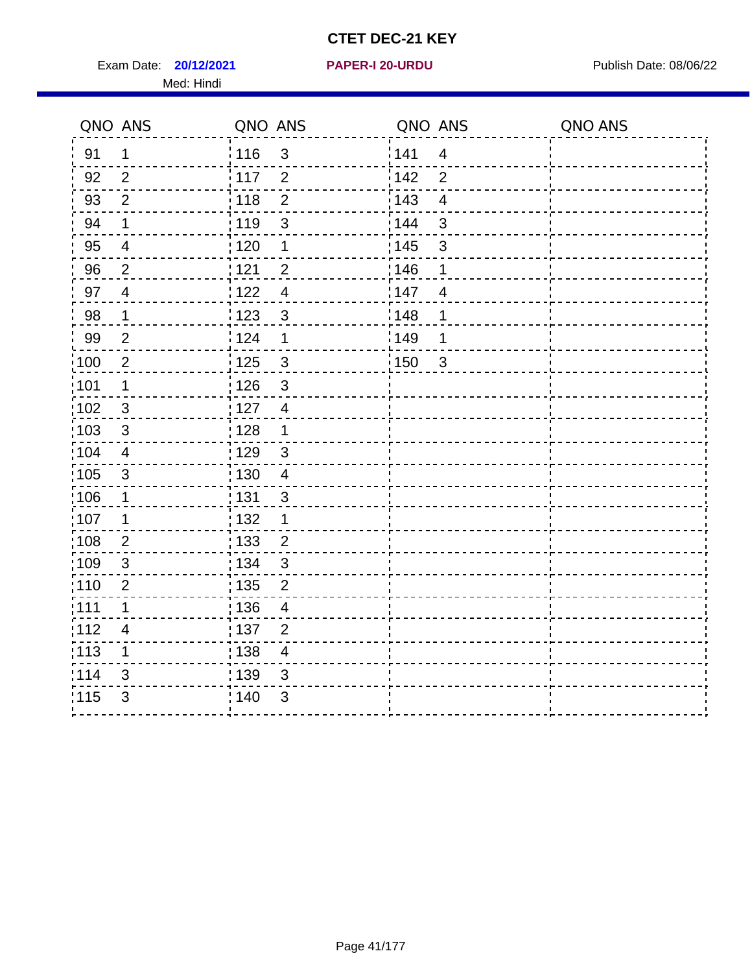Exam Date: **20/12/2021 PAPER-I 20-URDU Product by Publish Date: 08/06/22** Med: Hindi

**20/12/2021 PAPER-I 20-URDU**

|                   | QNO ANS                  | QNO ANS           |                | QNO ANS |                         | QNO ANS |
|-------------------|--------------------------|-------------------|----------------|---------|-------------------------|---------|
| 91                | $\mathbf{1}$             | 116               | $\mathbf{3}$   | 141     | $\overline{\mathbf{4}}$ |         |
| 92                | $\overline{2}$           | 117               | $\overline{2}$ | 142     | $\overline{2}$          |         |
| 93                | $\overline{2}$           | 118               | $\overline{2}$ | 143     | $\overline{\mathbf{4}}$ |         |
| 94                | 1                        | : 119             | $\mathbf{3}$   | : 144   | 3                       |         |
| 95                | 4                        | :120              | 1              | : 145   | 3                       |         |
| 96                | $\overline{2}$           | 121               | $\overline{2}$ | 146     | 1                       |         |
| 97                | $\overline{\mathcal{A}}$ | 122               | $\overline{4}$ | 147     | $\overline{4}$          |         |
| 98                | $\mathbf 1$              | $\frac{1}{2}$ 123 | $\mathbf{3}$   | 148     | 1                       |         |
| 99                | $\mathbf{2}$             | 124               | $\mathbf 1$    | :149    | 1                       |         |
| 100               | $\overline{2}$           | 125               | $\mathbf{3}$   | 150     | $\sqrt{3}$              |         |
| 101               | 1                        | : 126             | 3              |         |                         |         |
| 102               | 3                        | : 127             | $\overline{4}$ |         |                         |         |
| 103               | $\mathbf{3}$             | 128               | $\mathbf 1$    |         |                         |         |
| 104               | $\overline{4}$           | : 129             | $\sqrt{3}$     |         |                         |         |
| $\frac{1}{1}$ 105 | $\sqrt{3}$               | : 130             | $\overline{4}$ |         |                         |         |
| :106              | $\mathbf{1}$             | : 131             | 3              |         |                         |         |
| :107              | 1                        | : 132             | 1              |         |                         |         |
| 108               | $\overline{2}$           | 133               | $\overline{2}$ |         |                         |         |
| :109              | $\mathfrak{S}$           | : 134             | $\mathfrak{3}$ |         |                         |         |
| :110              | $\overline{2}$           | : 135             | 2              |         |                         |         |
| 111               | $\mathbf 1$              | : 136             | $\overline{4}$ |         |                         |         |
| 112               | $\overline{\mathcal{A}}$ | 137               | $\overline{2}$ |         |                         |         |
| 113               | 1                        | : 138             | $\overline{4}$ |         |                         |         |
| 114               | 3                        | 139               | 3              |         |                         |         |
| 115               | 3                        | 140               | $\sqrt{3}$     |         |                         |         |
|                   |                          |                   |                |         |                         |         |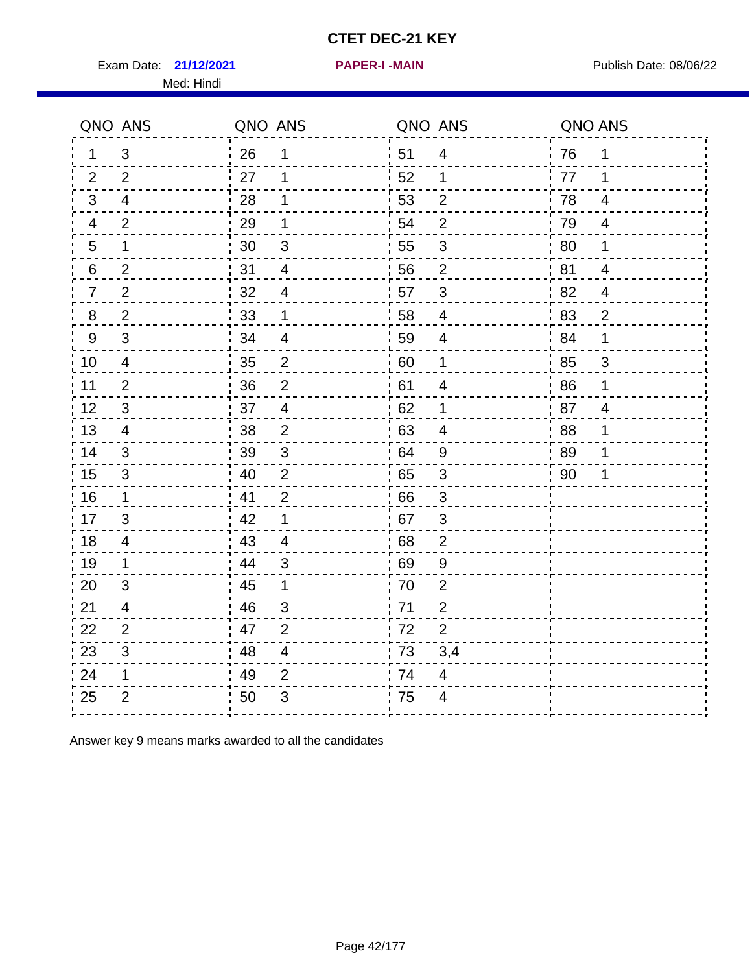Exam Date: 21/12/2021 **PAPER-I-MAIN Exam Date: 08/06/22** Med: Hindi

**21/12/2021 PAPER-I -MAIN**

| QNO ANS          |                           | QNO ANS |                         | QNO ANS          |                           | QNO ANS |                          |
|------------------|---------------------------|---------|-------------------------|------------------|---------------------------|---------|--------------------------|
| $\mathbf{1}$     | 3                         | 26      | 1                       | 51               | $\overline{4}$            | 76      | 1                        |
| $\overline{2}$   | $\overline{2}$            | 27      | 1                       | 52               | $\mathbf 1$               | 77      | 1                        |
| $\mathbf{3}$     | 4                         | 28      | 1                       | 53               | $\overline{2}$            | 78      | $\overline{\mathbf{4}}$  |
| $\overline{4}$   | $\overline{2}$            | 29      | 1                       | 54               | $\overline{2}$            | 79      | $\overline{\mathcal{A}}$ |
| $\sqrt{5}$       | 1                         | 30      | $\sqrt{3}$              | 55               | $\sqrt{3}$                | 80      | 1                        |
| 6                | $\overline{2}$            | 31      | $\overline{\mathbf{4}}$ | .56              | $\overline{2}$            | 81      | $\overline{\mathcal{A}}$ |
| $\overline{7}$   | $\overline{2}$            | 32      | $\overline{4}$          | 57               | $\sqrt{3}$                | 82      | $\overline{\mathcal{A}}$ |
| $\bf 8$          | $\overline{2}$            | 33      | 1                       | 58               | $\overline{\mathbf{4}}$   | 83      | $\overline{c}$           |
| $\boldsymbol{9}$ | 3                         | 34      | $\overline{\mathbf{4}}$ | 59               | $\overline{\mathcal{A}}$  | 84      | 1                        |
| $10$             | $\overline{\mathbf{4}}$   | 35      | $\overline{2}$          | 60               | $\mathbf 1$               | 85      | $\overline{3}$           |
| 11               | $\overline{2}$            | 36      | $\mathbf 2$             | 61               | $\overline{\mathbf{4}}$   | 86      | 1                        |
| 12               | $\ensuremath{\mathsf{3}}$ | 37      | $\overline{4}$          | 62               | $\mathbf 1$               | 87      | $\overline{\mathbf{4}}$  |
| 13               | $\overline{4}$            | 38      | 2                       | : 63             | 4                         | 88      | 1                        |
| 14               | 3                         | 39      | 3                       | 64               | 9                         | 89      | 1                        |
| 15               | 3                         | 40      | $\overline{2}$          | ' 65             | $\ensuremath{\mathsf{3}}$ | 90      | 1                        |
| 16               | 1                         | 41      | $\mathbf{2}$            | 66               | 3                         |         |                          |
| 17               | 3                         | 42      | 1                       | .67              | 3                         |         |                          |
| 18               | 4                         | 43      | $\overline{4}$          | 68               | $\boldsymbol{2}$          |         |                          |
| 19               | 1                         | 44      | $\sqrt{3}$              | : 69             | 9                         |         |                          |
| 20               | 3                         | 45      | 1                       | $\frac{1}{1}$ 70 | $\boldsymbol{2}$          |         |                          |
| 21               | 4                         | 46      | 3                       | : 71             | $\overline{2}$            |         |                          |
| 22               | $\overline{2}$            | 47      | $\overline{2}$          | 172              | $\overline{2}$            |         |                          |
| 23               | 3                         | 48      | $\overline{\mathbf{4}}$ | $\frac{1}{1}$ 73 | 3,4                       |         |                          |
| 24               | 1                         | 49      | $\overline{2}$          | 174              | $\overline{\mathbf{4}}$   |         |                          |
| 25               | $\overline{2}$            | 50      | 3                       | .75              | 4                         |         |                          |
|                  |                           |         |                         |                  |                           |         |                          |

Answer key 9 means marks awarded to all the candidates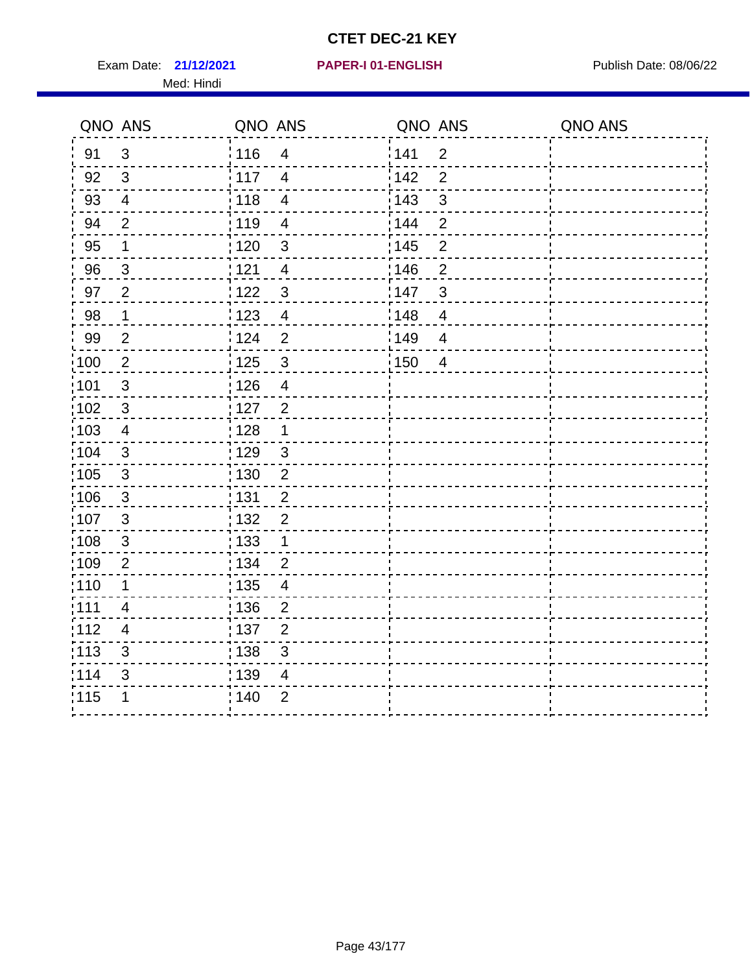Exam Date: 21/12/2021 PAPER-I 01-ENGLISH PREER Publish Date: 08/06/22 Med: Hindi

|                   | QNO ANS                  | QNO ANS |                          | QNO ANS |                | QNO ANS |
|-------------------|--------------------------|---------|--------------------------|---------|----------------|---------|
| 91                | $\mathfrak{S}$           | 116     | $\overline{4}$           | 141     | $\overline{2}$ |         |
| 92                | $\mathfrak{B}$           | 117     | $\overline{4}$           | 142     | $\overline{2}$ |         |
| 93                | $\overline{4}$           | 118     | $\overline{4}$           | 143     | 3              |         |
| 94                | $\overline{2}$           | : 119   | $\overline{\mathcal{A}}$ | 144     | $\overline{2}$ |         |
| 95                | 1                        | : 120   | $\mathfrak{B}$           | : 145   | $\overline{2}$ |         |
| 96                | $\mathfrak{S}$           | 121     | $\overline{\mathcal{A}}$ | 146     | $\overline{2}$ |         |
| 97                | $\overline{2}$           | $122$   | $\mathbf{3}$             | 147     | 3              |         |
| 98                | $\mathbf{1}$             | 123     | $\overline{\mathbf{4}}$  | 148     | $\overline{4}$ |         |
| 99                | $\mathbf{2}$             | 124     | $\overline{2}$           | 149     | $\overline{4}$ |         |
| $\frac{1}{1}$ 100 | $\sqrt{2}$               | 125     | $\mathbf{3}$             | 150     | $\overline{4}$ |         |
| :101              | $\sqrt{3}$               | 126     | $\overline{\mathbf{4}}$  |         |                |         |
| 102               | $\mathbf{3}$             | : 127   | $\overline{2}$           |         |                |         |
| 103               | $\overline{4}$           | : 128   | $\mathbf{1}$             |         |                |         |
| 104               | $\mathbf{3}$             | : 129   | $\sqrt{3}$               |         |                |         |
| 105               | $\sqrt{3}$               | : 130   | $\overline{2}$           |         |                |         |
| 106               | $\mathfrak{S}$           | : 131   | $\overline{2}$           |         |                |         |
| :107              | $\mathbf{3}$             | : 132   | $\overline{2}$           |         |                |         |
| 108               | $\sqrt{3}$               | : 133   | $\mathbf{1}$             |         |                |         |
| :109              | $\mathbf 2$              | : 134   | $\overline{2}$           |         |                |         |
| :110              | 1                        | : 135   | $\overline{4}$           |         |                |         |
| 111               | $\overline{\mathcal{A}}$ | : 136   | $\overline{c}$           |         |                |         |
| 112               | $\overline{\mathcal{A}}$ | 137     | $\overline{c}$           |         |                |         |
| 113               | $\mathbf{3}$             | 138     | 3                        |         |                |         |
| 114               | 3                        | 139     | 4                        |         |                |         |
| 115               | 1                        | 140     | $\overline{2}$           |         |                |         |
|                   |                          |         |                          |         |                |         |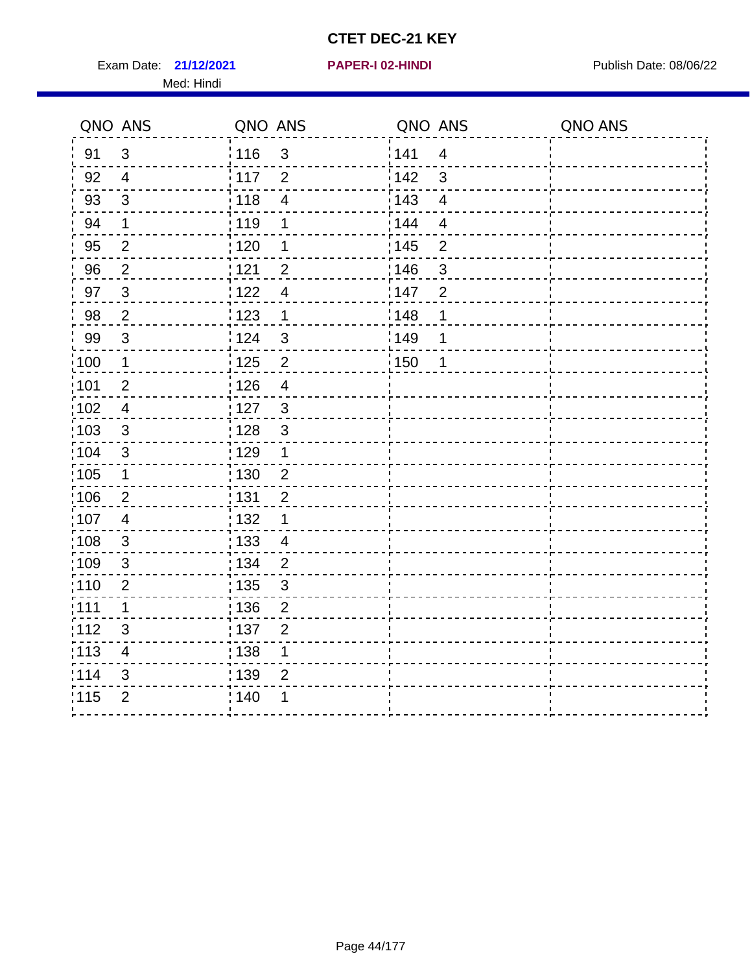Exam Date: 21/12/2021 **PAPER-I 02-HINDI Exam Date: 08/06/22** Med: Hindi

**21/12/2021 PAPER-I 02-HINDI**

|      | QNO ANS                   | QNO ANS           |                          | QNO ANS |                         | QNO ANS |
|------|---------------------------|-------------------|--------------------------|---------|-------------------------|---------|
| 91   | $\mathfrak{B}$            | 116               | $\mathfrak{3}$           | 1141    | $\overline{4}$          |         |
| 92   | $\overline{4}$            | $\frac{1}{2}$ 117 | $\overline{2}$           | 142     | 3                       |         |
| 93   | $\sqrt{3}$                | 118               | $\overline{\mathcal{A}}$ | 143     | $\overline{\mathbf{4}}$ |         |
| 94   | 1                         | : 119             | 1                        | : 144   | $\overline{4}$          |         |
| 95   | $\overline{2}$            | : 120             | 1                        | : 145   | $\overline{2}$          |         |
| 96   | $\overline{2}$            | 121               | $\overline{2}$           | :146    | $\mathfrak{S}$          |         |
| 97   | $\mathfrak{3}$            | 122               | $\overline{4}$           | 147     | $\overline{2}$          |         |
| 98   | $\overline{2}$            | 123               | $\mathbf{1}$             | 148     | 1                       |         |
| 99   | $\ensuremath{\mathsf{3}}$ | 124               | $\sqrt{3}$               | :149    | 1                       |         |
| :100 | $\overline{\mathbf{1}}$   | $\frac{1}{1}$ 125 | $\overline{2}$           | 150     | 1                       |         |
| :101 | $\mathbf 2$               | : 126             | $\overline{4}$           |         |                         |         |
| 102  | $\overline{4}$            | : 127             | $\mathbf{3}$             |         |                         |         |
| 103  | $\mathbf{3}$              | : 128             | $\mathbf{3}$             |         |                         |         |
| 104  | $\mathbf{3}$              | : 129             | $\mathbf 1$              |         |                         |         |
| 105  | $\mathbf 1$               | 130               | $\mathbf 2$              |         |                         |         |
| :106 | $\overline{2}$            | : 131             | $\overline{2}$           |         |                         |         |
| 107  | $\overline{4}$            | :132              | 1                        |         |                         |         |
| 108  | $\sqrt{3}$                | : 133             | $\overline{4}$           |         |                         |         |
| :109 | $\sqrt{3}$                | : 134             | $\overline{2}$           |         |                         |         |
| :110 | $\overline{2}$            | : 135             | 3                        |         |                         |         |
| 111  | $\mathbf 1$               | : 136             | $\mathbf{2}$             |         |                         |         |
| 112  | $\sqrt{3}$                | : 137             | $\overline{2}$           |         |                         |         |
| 113  | $\overline{\mathbf{4}}$   | : 138             | 1                        |         |                         |         |
| 114  | 3                         | : 139             | $\overline{2}$           |         |                         |         |
| 115  | $\overline{2}$            | 140               | 1                        |         |                         |         |
|      |                           |                   |                          |         |                         |         |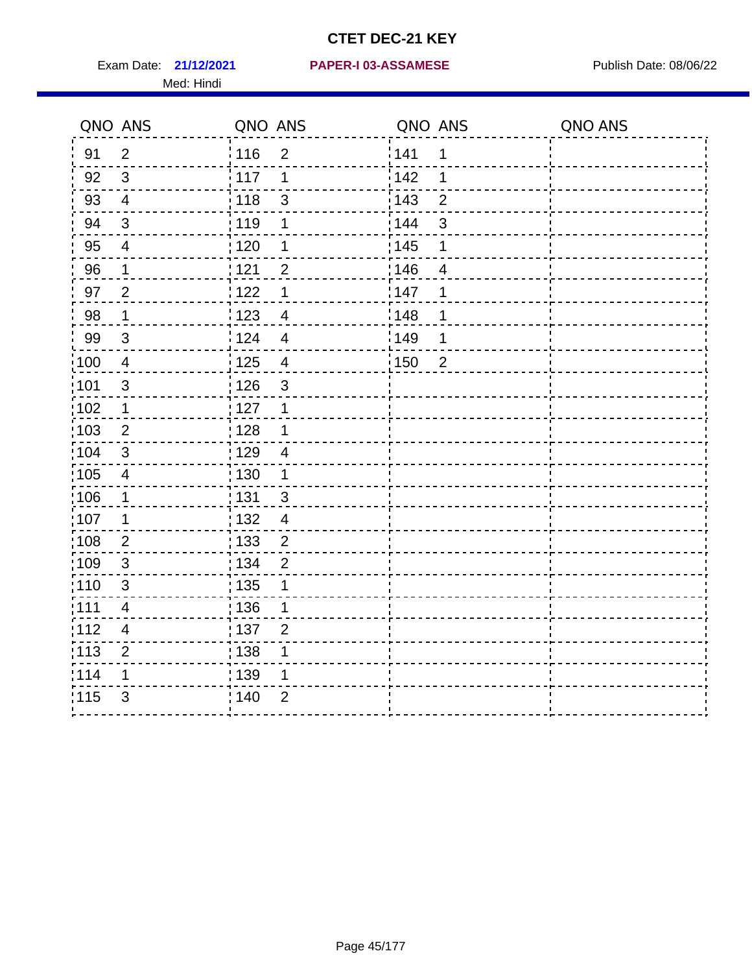Med: Hindi

|                   | QNO ANS                  | QNO ANS           |                | QNO ANS |                | QNO ANS |
|-------------------|--------------------------|-------------------|----------------|---------|----------------|---------|
| 91                | $\overline{2}$           | 116               | $\overline{2}$ | 141     | 1              |         |
| 92                | $\mathfrak{S}$           | 117               | 1              | 142     | 1              |         |
| 93                | $\overline{\mathbf{4}}$  | 118               | $\mathsf 3$    | 143     | $\overline{2}$ |         |
| 94                | 3                        | : 119             | 1              | : 144   | 3              |         |
| 95                | 4                        | :120              | 1              | : 145   | 1              |         |
| 96                | $\mathbf 1$              | : 121             | $\overline{2}$ | 146     | $\overline{4}$ |         |
| 97                | $\overline{2}$           | : 122             | 1              | 147     | 1              |         |
| 98                | $\mathbf{1}$             | 123               | $\overline{4}$ | 148     | 1              |         |
| 99                | $\sqrt{3}$               | : 124             | $\overline{4}$ | :149    | 1              |         |
| :100              | $\overline{4}$           | 125               | $\overline{4}$ | 150     | $\overline{2}$ |         |
| :101              | $\mathsf 3$              | 126               | 3              |         |                |         |
| 102               | 1                        | : 127             | 1              |         |                |         |
| 103               | $\overline{2}$           | : 128             | 1              |         |                |         |
| 104               | $\sqrt{3}$               | : 129             | $\overline{4}$ |         |                |         |
| :105              | $\overline{4}$           | : 130             | $\mathbf 1$    |         |                |         |
| 106               | 1                        | : 131             | 3              |         |                |         |
| 107               | 1                        | : 132             | $\overline{4}$ |         |                |         |
| $\frac{1}{1}$ 108 | $\mathbf{2}$             | $\frac{1}{1}$ 133 | $\mathbf{2}$   |         |                |         |
| 109               | $\mathbf{3}$             | : 134             | $\overline{2}$ |         |                |         |
| :110              | 3                        | : 135             | 1              |         |                |         |
| 111               | $\overline{\mathcal{A}}$ | : 136             | 1              |         |                |         |
| 112               | $\overline{\mathcal{A}}$ | : 137             | $\overline{2}$ |         |                |         |
| : 113             | $\mathbf 2$              | : 138             | 1              |         |                |         |
| 114               | 1                        | : 139             | 1              |         |                |         |
| 115               | 3                        | : 140             | $\overline{2}$ |         |                |         |
|                   |                          |                   |                |         |                |         |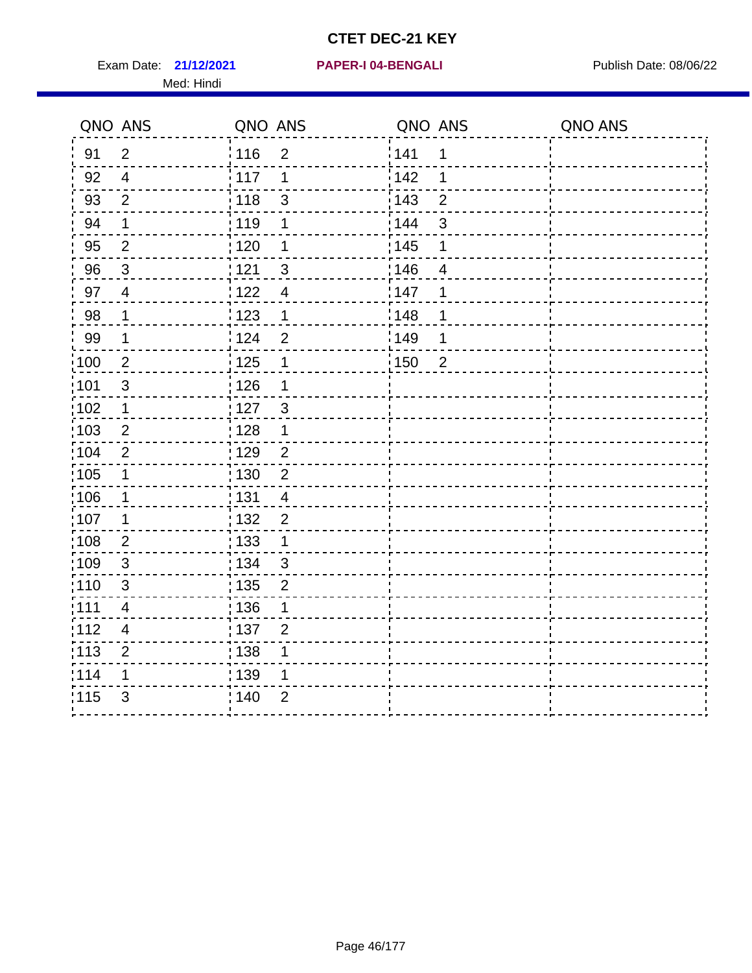Exam Date: 21/12/2021 PAPER-I 04-BENGALI PRER Publish Date: 08/06/22 Med: Hindi

|                   | QNO ANS                  | QNO ANS                           |                   | QNO ANS        | QNO ANS |
|-------------------|--------------------------|-----------------------------------|-------------------|----------------|---------|
| 91                | $\overline{2}$           | 116<br>$\overline{2}$             | 141               | $\mathbf 1$    |         |
| 92                | $\overline{4}$           | 117<br>1                          | 142               | 1              |         |
| 93                | $\overline{2}$           | 118<br>$\mathfrak{S}$             | 143               | $\overline{2}$ |         |
| 94                | 1                        | : 119<br>1                        | 144               | 3              |         |
| 95                | $\overline{2}$           | : 120<br>1                        | : 145             | 1              |         |
| 96                | $\mathfrak{S}$           | 121<br>3                          | 146               | $\overline{4}$ |         |
| 97                | $\overline{\mathcal{A}}$ | 122<br>$\overline{4}$             | 147               | 1              |         |
| $98\,$            | $\mathbf{1}$             | $\frac{1}{2}$ 123<br>$\mathbf{1}$ | 148               | 1              |         |
| 99                | $\mathbf{1}$             | 124<br>$\overline{2}$             | ¦149              | 1              |         |
| $\frac{1}{1}$ 100 | $\overline{2}$           | 125<br>$\mathbf 1$                | $\frac{1}{1}$ 150 | $\overline{2}$ |         |
| 101               | $\mathfrak{S}$           | 126<br>1                          |                   |                |         |
| 102               | 1                        | : 127<br>3                        |                   |                |         |
| 103               | $\overline{2}$           | 128<br>1                          |                   |                |         |
| 104               | $\overline{2}$           | : 129<br>$\overline{2}$           |                   |                |         |
| $\frac{1}{1}$ 105 | $\mathbf 1$              | : 130<br>$\overline{2}$           |                   |                |         |
| :106              | 1                        | : 131<br>$\overline{4}$           |                   |                |         |
| :107              | 1                        | : 132<br>$\overline{2}$           |                   |                |         |
| 108               | $\overline{2}$           | $\frac{1}{1}$ 133<br>$\mathbf{1}$ |                   |                |         |
| :109              | $\sqrt{3}$               | : 134<br>$\mathbf{3}$             |                   |                |         |
| :110              | 3                        | : 135<br>$\overline{2}$           |                   |                |         |
| :111              | $\overline{\mathcal{A}}$ | : 136<br>1                        |                   |                |         |
| 112               | $\overline{\mathbf{4}}$  | 137<br>$\overline{2}$             |                   |                |         |
| 113               | $\overline{2}$           | : 138<br>1                        |                   |                |         |
| 114               | 1                        | : 139<br>1                        |                   |                |         |
| 115               | 3                        | 140<br>$\overline{2}$             |                   |                |         |
|                   |                          |                                   |                   |                |         |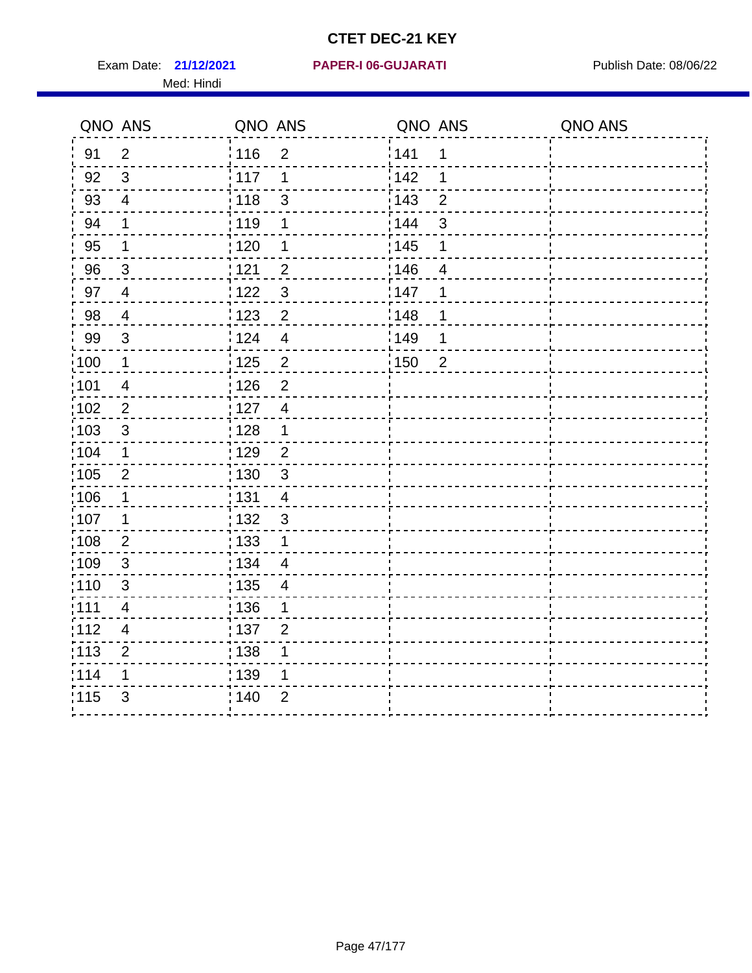Med: Hindi

|                   | QNO ANS                  | QNO ANS |                | QNO ANS |                | QNO ANS |
|-------------------|--------------------------|---------|----------------|---------|----------------|---------|
| 91                | $\overline{2}$           | 116     | $\overline{2}$ | 141     | 1              |         |
| 92                | $\mathfrak{B}$           | 117     | 1              | 142     | 1              |         |
| 93                | $\overline{\mathbf{4}}$  | 118     | $\mathsf 3$    | 143     | $\overline{2}$ |         |
| 94                | 1                        | : 119   | 1              | : 144   | 3              |         |
| 95                | 1                        | :120    | 1              | : 145   | 1              |         |
| 96                | $\mathfrak{S}$           | : 121   | $\overline{2}$ | 146     | $\overline{4}$ |         |
| 97                | $\overline{4}$           | : 122   | $\mathbf{3}$   | 147     | 1              |         |
| 98                | $\overline{4}$           | 123     | $\overline{c}$ | 148     | 1              |         |
| 99                | $\sqrt{3}$               | : 124   | $\overline{4}$ | :149    | 1              |         |
| :100              | $\mathbf 1$              | 125     | $\overline{2}$ | 150     | $\overline{2}$ |         |
| :101              | $\overline{4}$           | 126     | $\overline{2}$ |         |                |         |
| 102               | $\overline{2}$           | : 127   | $\overline{4}$ |         |                |         |
| 103               | $\mathfrak{S}$           | : 128   | $\mathbf 1$    |         |                |         |
| 104               | $\mathbf 1$              | : 129   | $\overline{2}$ |         |                |         |
| 105               | $\overline{2}$           | : 130   | $\mathfrak{S}$ |         |                |         |
| 106               | 1                        | : 131   | 4              |         |                |         |
| 107               | 1                        | : 132   | $\mathbf{3}$   |         |                |         |
| $\frac{1}{1}$ 108 | $\mathbf{2}$             | 133     | $\mathbf 1$    |         |                |         |
| 109               | $\mathbf{3}$             | : 134   | $\overline{4}$ |         |                |         |
| :110              | 3                        | : 135   | 4              |         |                |         |
| 111               | $\overline{\mathcal{A}}$ | : 136   | 1              |         |                |         |
| 112               | $\overline{\mathcal{A}}$ | : 137   | $\overline{2}$ |         |                |         |
| : 113             | $\overline{2}$           | : 138   | 1              |         |                |         |
| 114               | 1                        | : 139   | 1              |         |                |         |
| 115               | 3                        | : 140   | $\overline{2}$ |         |                |         |
|                   |                          |         |                |         |                |         |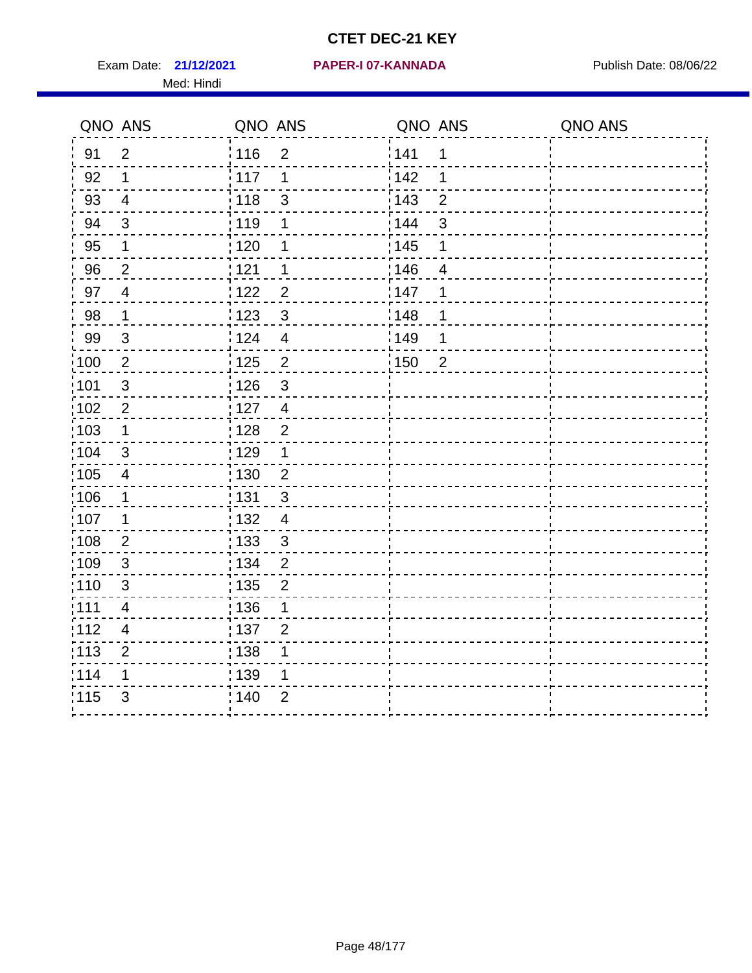Exam Date: 21/12/2021 PAPER-I 07-KANNADA Publish Date: 08/06/22 Med: Hindi

|                   | QNO ANS                  | QNO ANS                          | QNO ANS           |                | QNO ANS |
|-------------------|--------------------------|----------------------------------|-------------------|----------------|---------|
| 91                | $\overline{2}$           | 116<br>$\mathbf 2$               | 141               | $\mathbf 1$    |         |
| 92                | 1                        | 117<br>1                         | 142               | 1              |         |
| 93                | $\overline{4}$           | : 118<br>$\sqrt{3}$              | 143               | $\overline{2}$ |         |
| 94                | $\mathfrak{B}$           | : 119<br>1                       | : 144             | $\mathfrak{S}$ |         |
| 95                | 1                        | :120<br>1                        | : 145             | 1              |         |
| 96                | $\overline{2}$           | 121<br>1                         | 146               | $\overline{4}$ |         |
| 97                | $\overline{\mathcal{A}}$ | 122<br>$\overline{2}$            | 147               | 1              |         |
| 98                | $\mathbf 1$              | 123<br>$\mathfrak{3}$            | 148               | 1              |         |
| 99                | $\sqrt{3}$               | 124<br>$\overline{4}$            | :149              | 1              |         |
| $\frac{1}{1}$ 100 | $\overline{2}$           | 125<br>$\overline{2}$            | $\frac{1}{1}$ 150 | $\overline{2}$ |         |
| :101              | $\sqrt{3}$               | 126<br>$\mathfrak{S}$            |                   |                |         |
| 102               | $\overline{2}$           | : 127<br>$\overline{\mathbf{4}}$ |                   |                |         |
| 103               | $\mathbf 1$              | $\overline{2}$<br>128            |                   |                |         |
| 104               | 3                        | ;129<br>1                        |                   |                |         |
| 105               | $\overline{\mathbf{4}}$  | : 130<br>$\overline{c}$          |                   |                |         |
| 106               | 1                        | 131<br>$\sqrt{3}$                |                   |                |         |
| :107              | $\mathbf 1$              | : 132<br>$\overline{4}$          |                   |                |         |
| $\frac{1}{1}$ 108 | $\mathbf{2}$             | 133<br>$\mathsf 3$               |                   |                |         |
| 109               | $\mathfrak{S}$           | : 134<br>$\overline{2}$          |                   |                |         |
| :110              | 3                        | : 135<br>$\overline{2}$          |                   |                |         |
| 111               | $\overline{4}$           | : 136<br>1                       |                   |                |         |
| 112               | $\overline{\mathcal{A}}$ | 137<br>$\overline{2}$            |                   |                |         |
| : 113             | $\overline{2}$           | ; 138<br>1                       |                   |                |         |
| 114               | 1                        | 139<br>1                         |                   |                |         |
| 115               | 3                        | : 140<br>$\overline{2}$          |                   |                |         |
|                   |                          |                                  |                   |                |         |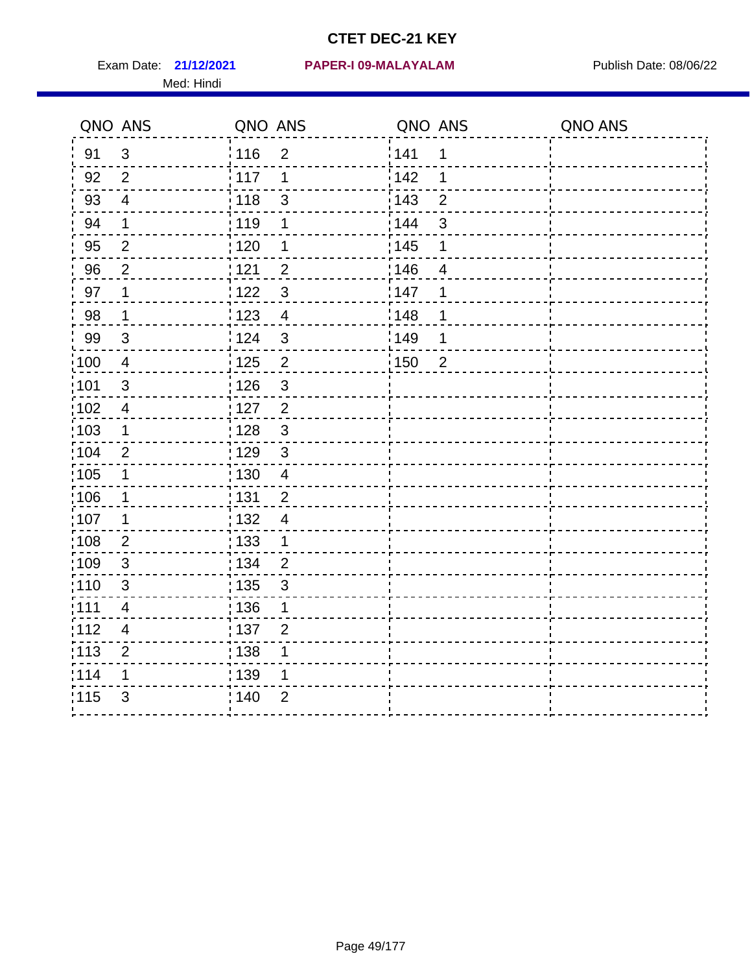Med: Hindi

|                   | QNO ANS                  | QNO ANS           |                | QNO ANS |                | QNO ANS |
|-------------------|--------------------------|-------------------|----------------|---------|----------------|---------|
| 91                | $\mathfrak{S}$           | 116               | $\overline{2}$ | 1141    | $\mathbf 1$    |         |
| 92                | $\overline{2}$           | $\frac{1}{2}$ 117 | 1              | 142     | 1              |         |
| 93                | $\overline{4}$           | 118               | $\mathfrak{S}$ | 143     | $\overline{2}$ |         |
| 94                | 1                        | : 119             | 1              | : 144   | 3              |         |
| 95                | $\overline{2}$           | : 120             | 1              | : 145   | 1              |         |
| 96                | $\overline{2}$           | 121               | $\overline{2}$ | 146     | 4              |         |
| 97                | 1                        | 1122              | $\sqrt{3}$     | 147     | 1              |         |
| 98                | $\mathbf{1}$             | 123               | $\overline{4}$ | 148     | 1              |         |
| 99                | $\sqrt{3}$               | 124               | $\sqrt{3}$     | :149    | 1              |         |
| :100              | $\overline{4}$           | 125               | $\overline{2}$ | 150     | $\overline{2}$ |         |
| :101              | $\mathfrak{S}$           | : 126             | $\mathfrak{S}$ |         |                |         |
| 102               | $\overline{4}$           | : 127             | $\overline{2}$ |         |                |         |
| :103              | $\mathbf 1$              | : 128             | $\mathbf{3}$   |         |                |         |
| 104               | $\overline{2}$           | : 129             | $\mathbf{3}$   |         |                |         |
| 105               | $\mathbf 1$              | : 130             | $\overline{4}$ |         |                |         |
| 106               | 1                        | : 131             | $\overline{2}$ |         |                |         |
| 107               | 1                        | :132              | $\overline{4}$ |         |                |         |
| $\frac{1}{1}$ 108 | $\mathbf{2}$             | : 133             | $\mathbf 1$    |         |                |         |
| 109               | $\sqrt{3}$               | : 134             | $\overline{2}$ |         |                |         |
| :110              | 3                        | : 135             | 3              |         |                |         |
| 111               | $\overline{\mathcal{A}}$ | : 136             | 1              |         |                |         |
| 112               | $\overline{\mathbf{4}}$  | : 137             | $\overline{2}$ |         |                |         |
| : 113             | $\overline{2}$           | : 138             | 1              |         |                |         |
| 114               | 1                        | 139               | 1              |         |                |         |
| 115               | 3                        | : 140             | $\overline{2}$ |         |                |         |
|                   |                          |                   |                |         |                |         |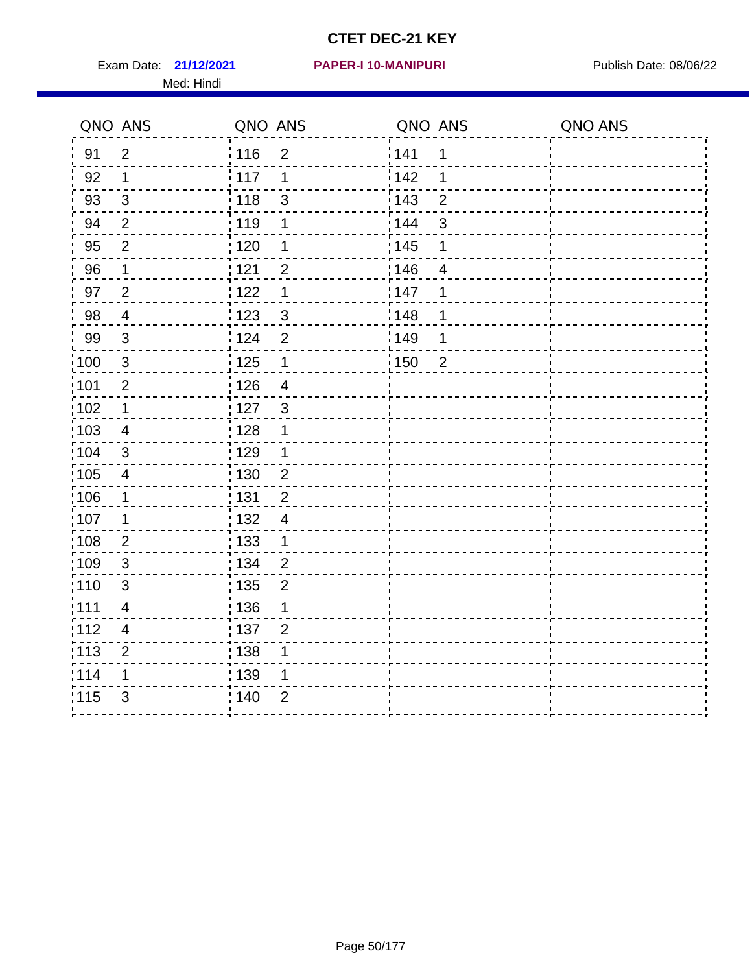Exam Date: 21/12/2021 PAPER-I 10-MANIPURI<br>
Publish Date: 08/06/22 Med: Hindi

#### **21/12/2021 PAPER-I 10-MANIPURI**

|       | QNO ANS                  | QNO ANS                             | QNO ANS |                | QNO ANS |
|-------|--------------------------|-------------------------------------|---------|----------------|---------|
| 91    | $\overline{2}$           | 116<br>$\overline{2}$               | 1141    | 1              |         |
| 92    | 1                        | 117<br>1                            | 142     | 1              |         |
| 93    | $\sqrt{3}$               | 118<br>$\mathfrak{S}$               | 143     | $\overline{2}$ |         |
| 94    | 2                        | : 119<br>1                          | 144     | 3              |         |
| 95    | $\overline{2}$           | : 120<br>1                          | : 145   | 1              |         |
| 96    | 1                        | : 121<br>$\overline{2}$             | 146     | $\overline{4}$ |         |
| 97    | $\overline{2}$           | $\mathbf 1$<br>: 122                | 147     | 1              |         |
| 98    | $\overline{\mathbf{4}}$  | $\frac{1}{2}$ 123<br>$\mathbf{3}$   | ¦148    |                |         |
| 99    | $\sqrt{3}$               | 124<br>$\overline{2}$               | :149    | 1              |         |
| :100  | $\mathbf{3}$             | 125<br>$\overline{1}$               | 150     | $\overline{c}$ |         |
| :101  | $\overline{2}$           | 126<br>$\overline{4}$               |         |                |         |
| 102   | 1                        | : 127<br>$\mathbf{3}$               |         |                |         |
| 103   | 4                        | 128<br>1                            |         |                |         |
| :104  | $\mathfrak{B}$           | : 129<br>1                          |         |                |         |
| :105  | $\overline{\mathbf{4}}$  | $\frac{1}{1}$ 130<br>$\overline{2}$ |         |                |         |
| :106  | 1                        | : 131<br>$\overline{2}$             |         |                |         |
| ,107  | 1                        | : 132<br>$\overline{4}$             |         |                |         |
| 108   | $\mathbf{2}$             | $\frac{1}{1}$ 133<br>$\mathbf 1$    |         |                |         |
| 109   | $\mathfrak{B}$           | : 134<br>$\overline{2}$             |         |                |         |
| :110  | 3                        | : 135<br>$\overline{2}$             |         |                |         |
| : 111 | $\overline{\mathbf{4}}$  | $\frac{1}{1}$ 136<br>$\mathbf{1}$   |         |                |         |
| : 112 | $\overline{\mathcal{A}}$ | $\frac{1}{1}$ 137<br>$\overline{2}$ |         |                |         |
| : 113 | $\overline{2}$           | : 138<br>1                          |         |                |         |
| 114   | 1                        | 139<br>1                            |         |                |         |
| 115   | 3                        | 140<br>$\overline{2}$               |         |                |         |
|       |                          |                                     |         |                |         |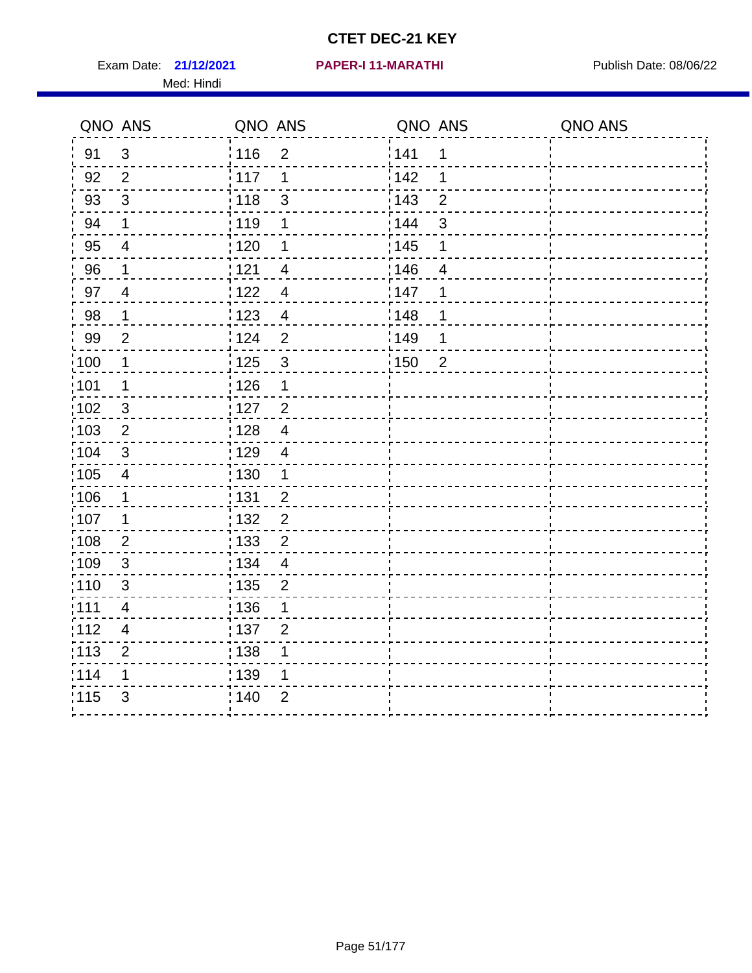Exam Date: 21/12/2021 PAPER-I 11-MARATHI PREER Publish Date: 08/06/22 Med: Hindi

|       | QNO ANS                  | QNO ANS                             | QNO ANS |                | QNO ANS |
|-------|--------------------------|-------------------------------------|---------|----------------|---------|
| 91    | $\mathbf{3}$             | 116<br>$\overline{2}$               | 1141    | 1              |         |
| 92    | $\overline{2}$           | 117<br>1                            | 142     | 1              |         |
| 93    | $\mathbf{3}$             | 118<br>$\mathsf 3$                  | 143     | $\overline{2}$ |         |
| 94    | 1                        | : 119<br>1                          | : 144   | 3              |         |
| 95    | $\overline{\mathcal{A}}$ | : 120<br>1                          | : 145   | 1              |         |
| 96    | 1                        | 121<br>4                            | 146     | 4              |         |
| 97    | $\overline{4}$           | 122<br>$\overline{4}$               | 147     | 1              |         |
| 98    | $\mathbf{1}$             | 123<br>$\overline{4}$               | 148     | 1              |         |
| 99    | $\overline{2}$           | 124<br>$\overline{2}$               | :149    | 1              |         |
| :100  | $\overline{1}$           | $\frac{1}{1}$ 125<br>$\mathfrak{3}$ | 150     | $\overline{2}$ |         |
| :101  | 1                        | $\frac{1}{1}$ 126<br>1              |         |                |         |
| 102   | $\mathfrak{3}$           | : 127<br>$\overline{2}$             |         |                |         |
| 103   | 2                        | $\overline{4}$<br>:128              |         |                |         |
| 104   | $\mathfrak{3}$           | : 129<br>$\overline{\mathcal{A}}$   |         |                |         |
| 105   | $\overline{\mathbf{4}}$  | 130<br>$\mathbf 1$                  |         |                |         |
| :106  | $\mathbf{1}$             | : 131<br>$\overline{2}$             |         |                |         |
| 107   | 1                        | $\overline{2}$<br>:132              |         |                |         |
| 108   | $\overline{2}$           | : 133<br>$\overline{2}$             |         |                |         |
| :109  | $\sqrt{3}$               | : 134<br>$\overline{4}$             |         |                |         |
| : 110 | 3                        | : 135<br>$\overline{2}$             |         |                |         |
| 111   | $\overline{\mathbf{4}}$  | : 136<br>1                          |         |                |         |
| 112   | $\overline{4}$           | 137<br>$\overline{2}$               |         |                |         |
| 113   | $\overline{2}$           | 138<br>1                            |         |                |         |
| 114   | 1                        | : 139<br>1                          |         |                |         |
| 115   | 3                        | 140<br>$\overline{2}$               |         |                |         |
|       |                          |                                     |         |                |         |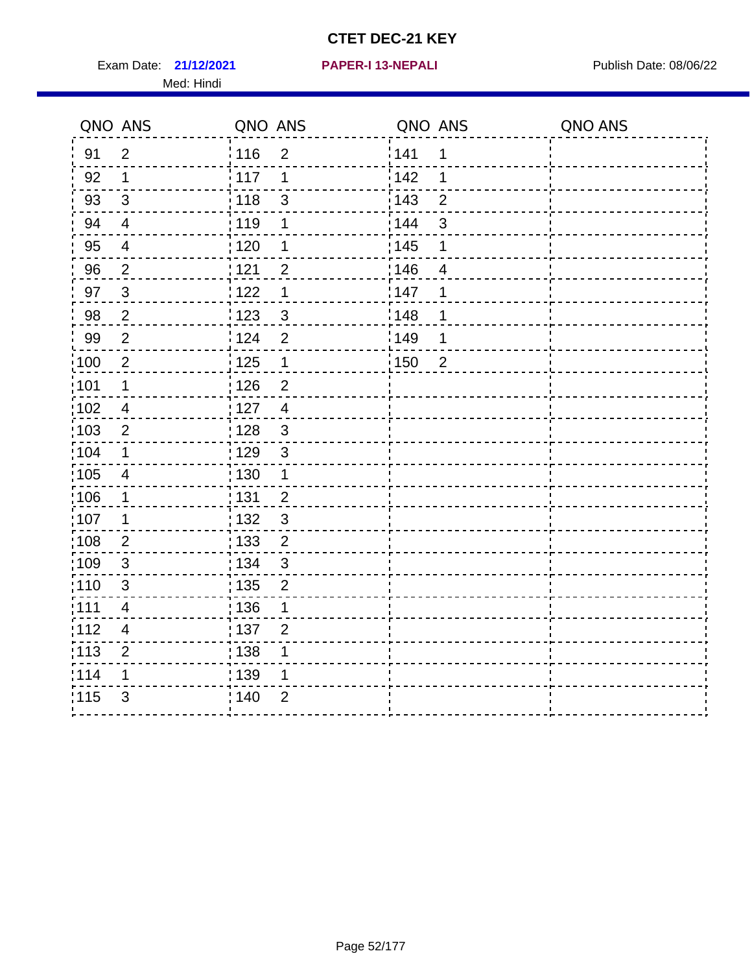Exam Date: 21/12/2021 **PAPER-I 13-NEPALI** Publish Date: 08/06/22 Med: Hindi

**21/12/2021 PAPER-I 13-NEPALI**

|      | QNO ANS                 | QNO ANS                           | QNO ANS |                          | QNO ANS |
|------|-------------------------|-----------------------------------|---------|--------------------------|---------|
| 91   | $\overline{2}$          | 116<br>$\overline{2}$             | 141     | 1                        |         |
| 92   | $\mathbf 1$             | 117<br>1                          | 142     | 1                        |         |
| 93   | $\mathbf{3}$            | $\mathbf{3}$<br>118               | 143     | $\overline{2}$           |         |
| 94   | $\overline{4}$          | : 119<br>1                        | 144     | 3                        |         |
| 95   | 4                       | :120<br>1                         | : 145   | 1                        |         |
| 96   | $\overline{2}$          | 121<br>$\overline{2}$             | 146     | $\overline{\mathcal{A}}$ |         |
| 97   | $\sqrt{3}$              | 122<br>$\mathbf 1$                | 147     | 1                        |         |
| 98   | $\sqrt{2}$              | $\frac{1}{2}$ 123<br>$\mathbf{3}$ | 148     | 1                        |         |
| 99   | $\mathbf{2}$            | 124<br>$\overline{2}$             | :149    | 1                        |         |
| 100  | $\overline{2}$          | 125<br>$\mathbf 1$                | 150     | $\overline{2}$           |         |
| 101  | 1                       | 126<br>$\overline{2}$             |         |                          |         |
| 102  | $\overline{4}$          | : 127<br>$\overline{4}$           |         |                          |         |
| ;103 | $\overline{2}$          | $\mathbf{3}$<br>128               |         |                          |         |
| 104  | $\mathbf 1$             | : 129<br>$\sqrt{3}$               |         |                          |         |
| 105  | $\overline{4}$          | : 130<br>$\mathbf 1$              |         |                          |         |
| :106 | $\mathbf{1}$            | : 131<br>$\overline{2}$           |         |                          |         |
| :107 | 1                       | $\mathfrak{3}$<br>: 132           |         |                          |         |
| 108  | $\sqrt{2}$              | 133<br>$\overline{2}$             |         |                          |         |
| :109 | $\mathfrak{S}$          | : 134<br>$\mathfrak{3}$           |         |                          |         |
| :110 | 3                       | : 135<br>$\overline{2}$           |         |                          |         |
| :111 | $\overline{\mathbf{4}}$ | : 136<br>1                        |         |                          |         |
| 112  | $\overline{\mathbf{4}}$ | 137<br>$\overline{2}$             |         |                          |         |
| 113  | $\overline{2}$          | : 138<br>1                        |         |                          |         |
| 114  | 1                       | : 139<br>1                        |         |                          |         |
| 115  | 3                       | 140<br>$\overline{2}$             |         |                          |         |
|      |                         |                                   |         |                          |         |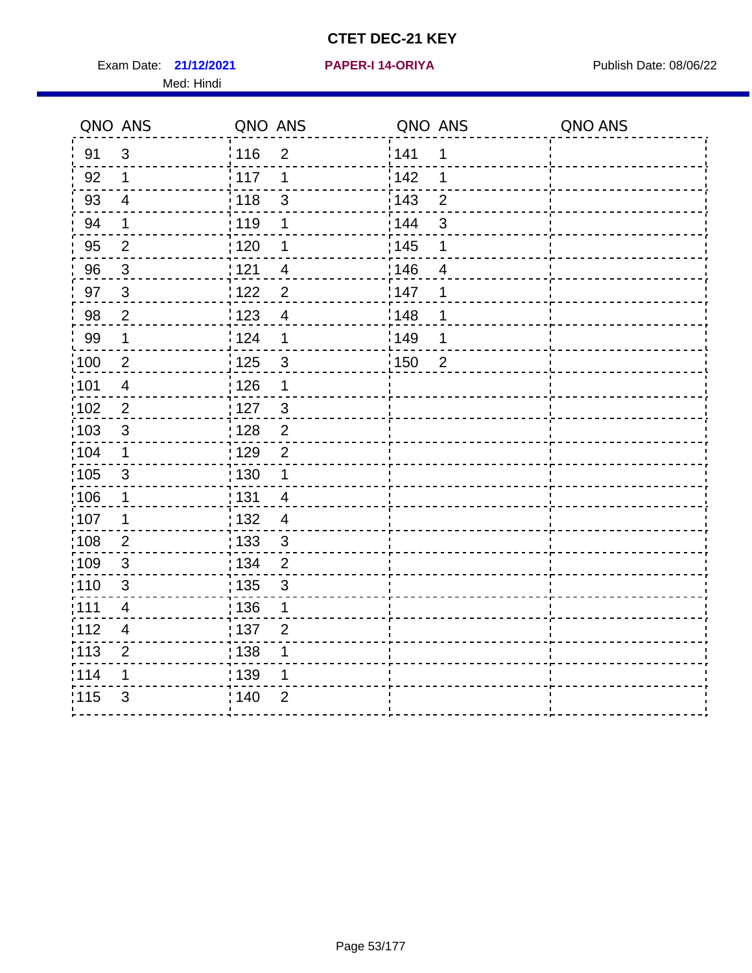Exam Date: 21/12/2021 PAPER-I 14-ORIYA Publish Date: 08/06/22 Med: Hindi

**21/12/2021 PAPER-I 14-ORIYA**

|                   | QNO ANS                  | QNO ANS                           | QNO ANS                             | QNO ANS |
|-------------------|--------------------------|-----------------------------------|-------------------------------------|---------|
| 91                | $\sqrt{3}$               | : 116<br>$\overline{2}$           | 141<br>1                            |         |
| 92                | 1                        | 117<br>1                          | 142<br>1                            |         |
| 93                | $\overline{\mathcal{A}}$ | $\frac{1}{2}$ 118<br>$\mathsf 3$  | 143<br>$\overline{2}$               |         |
| 94                | 1                        | : 119<br>1                        | 144<br>3                            |         |
| 95                | $\overline{2}$           | :120<br>1                         | : 145<br>1                          |         |
| 96                | $\mathfrak{Z}$           | 121<br>$\overline{4}$             | 146<br>$\overline{4}$               |         |
| 97                | $\mathbf{3}$             | $\overline{2}$<br>$122$           | :147<br>1                           |         |
| 98                | $\mathbf 2$              | 123<br>$\overline{4}$             | 148<br>1                            |         |
| 99                | 1                        | 124<br>$\mathbf 1$                | :149<br>1                           |         |
| $\frac{1}{1}$ 100 | $\overline{2}$           | 125<br>$\mathbf{3}$               | $\frac{1}{2}$ 150<br>$\overline{2}$ |         |
| :101              | $\overline{4}$           | : 126<br>1                        |                                     |         |
| 102               | $\overline{2}$           | : 127<br>$\sqrt{3}$               |                                     |         |
| 103               | $\mathfrak{S}$           | $\overline{2}$<br>:128            |                                     |         |
| 104               | 1                        | : 129<br>$\overline{2}$           |                                     |         |
| 105               | $\mathbf{3}$             | 130<br>1                          |                                     |         |
| 106               | 1                        | : 131<br>$\overline{4}$           |                                     |         |
| :107              | 1                        | 132<br>$\overline{4}$             |                                     |         |
| 108               | $\mathbf{2}$             | : 133<br>$\mathfrak{S}$           |                                     |         |
| 109               | $\sqrt{3}$               | : 134<br>$\overline{2}$           |                                     |         |
| : 110             | $\mathfrak{B}$           | : 135<br>$\mathfrak{S}$           |                                     |         |
| :111              | $\overline{\mathbf{4}}$  | $\frac{1}{1}$ 136<br>$\mathbf{1}$ |                                     |         |
| :112              | $\overline{\mathcal{A}}$ | : 137<br>$\overline{2}$           |                                     |         |
| : 113             | $\overline{2}$           | : 138<br>1                        |                                     |         |
| 114               | 1                        | : 139<br>1                        |                                     |         |
| 115               | 3                        | 140<br>$\overline{2}$             |                                     |         |
|                   |                          |                                   |                                     |         |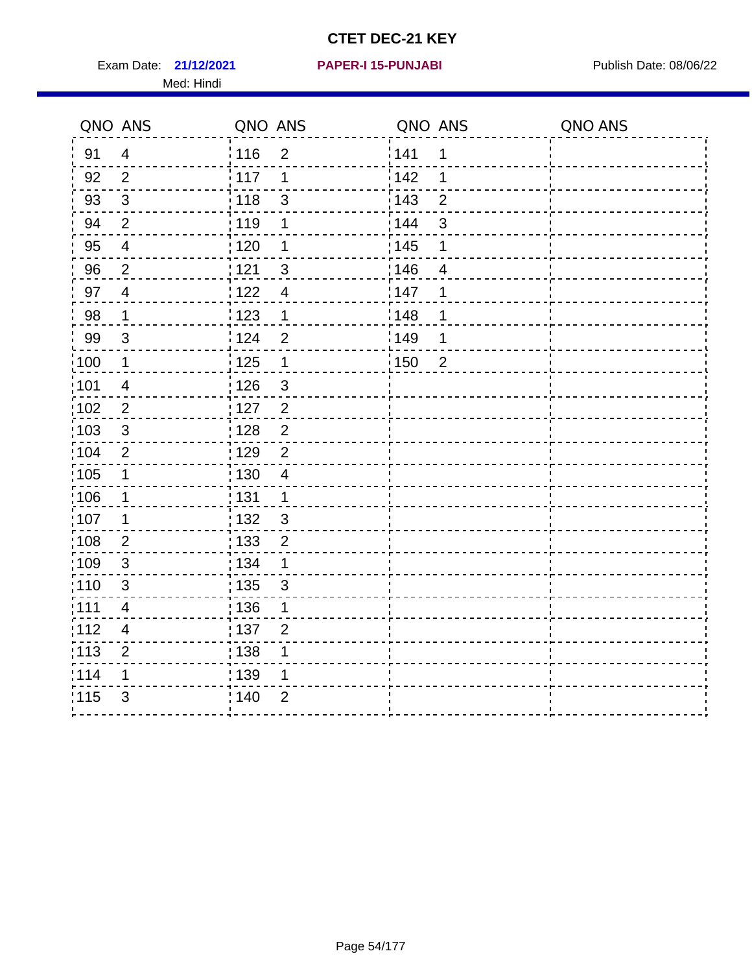Exam Date: 21/12/2021 PAPER-I 15-PUNJABI PUBLISH Date: 08/06/22 Med: Hindi

|                  | QNO ANS                 | QNO ANS                            | QNO ANS |                | QNO ANS |
|------------------|-------------------------|------------------------------------|---------|----------------|---------|
| 91               | $\overline{4}$          | 116<br>$\overline{2}$              | 1141    | 1              |         |
| 92               | $\overline{2}$          | 117<br>1                           | 142     | 1              |         |
| 93               | $\mathfrak{Z}$          | 118<br>$\mathsf 3$                 | 143     | $\overline{2}$ |         |
| 94               | $\overline{2}$          | : 119<br>1                         | : 144   | 3              |         |
| 95               | $\overline{4}$          | : 120<br>1                         | : 145   | 1              |         |
| 96               | $\overline{2}$          | 121<br>3                           | 146     | 4              |         |
| 97               | $\overline{4}$          | 122<br>$\overline{4}$              | 147     | 1              |         |
| 98               | $\mathbf{1}$            | 123<br>$\mathbf{1}$                | 148     | 1              |         |
| 99               | $\sqrt{3}$              | 124<br>$\overline{2}$              | :149    | 1              |         |
| $\frac{1}{2}100$ | $\overline{\mathbf{1}}$ | $\frac{1}{2}$ 125<br>$\mathbf{1}$  | 150     | $\overline{2}$ |         |
| :101             | $\overline{\mathbf{4}}$ | : 126<br>$\ensuremath{\mathsf{3}}$ |         |                |         |
| 102              | $\overline{2}$          | : 127<br>2                         |         |                |         |
| 103              | 3                       | $\overline{2}$<br>:128             |         |                |         |
| 104              | $\overline{2}$          | : 129<br>$\overline{2}$            |         |                |         |
| 105              | $\mathbf 1$             | 130<br>4                           |         |                |         |
| :106             | 1                       | : 131<br>$\mathbf 1$               |         |                |         |
| 107              | 1                       | 3<br>:132                          |         |                |         |
| 108              | $\overline{2}$          | : 133<br>$\overline{2}$            |         |                |         |
| :109             | $\sqrt{3}$              | : 134<br>$\mathbf 1$               |         |                |         |
| : 110            | 3                       | : 135<br>3                         |         |                |         |
| 111              | $\overline{\mathbf{4}}$ | : 136<br>1                         |         |                |         |
| 112              | $\overline{4}$          | 137<br>$\overline{2}$              |         |                |         |
| 113              | $\overline{2}$          | 138<br>1                           |         |                |         |
| 114              | 1                       | : 139<br>1                         |         |                |         |
| 115              | 3                       | 140<br>$\overline{2}$              |         |                |         |
|                  |                         |                                    |         |                |         |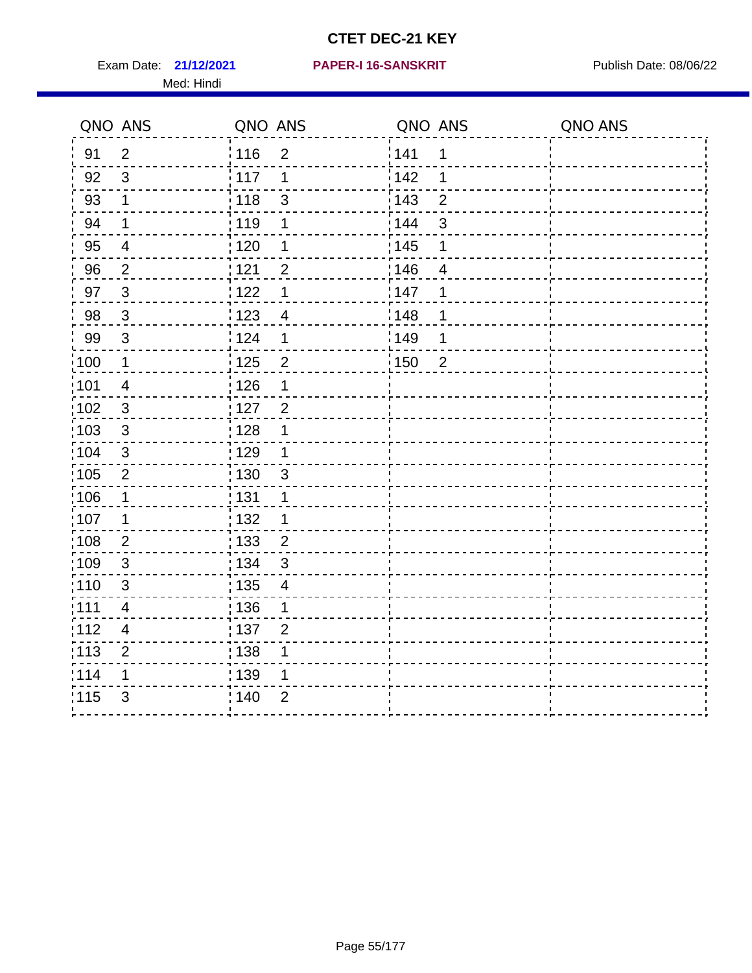Exam Date: 21/12/2021 PAPER-I 16-SANSKRIT Publish Date: 08/06/22 Med: Hindi

|                   | QNO ANS                  | QNO ANS |                | QNO ANS |                | QNO ANS |
|-------------------|--------------------------|---------|----------------|---------|----------------|---------|
| 91                | $\overline{2}$           | : 116   | $\overline{2}$ | 141     | $\mathbf 1$    |         |
| 92                | 3                        | 117     | 1              | 142     | 1              |         |
| 93                | $\mathbf 1$              | 118     | $\mathfrak{S}$ | 143     | $\overline{2}$ |         |
| 94                | 1                        | : 119   | 1              | : 144   | 3              |         |
| 95                | $\overline{\mathcal{A}}$ | : 120   | 1              | : 145   | 1              |         |
| 96                | $\overline{2}$           | : 121   | $\overline{2}$ | 146     | 4              |         |
| 97                | $\sqrt{3}$               | 1122    | 1              | 147     | 1              |         |
| 98                | $\mathbf{3}$             | 123     | $\overline{4}$ | 148     | 1              |         |
| 99                | $\sqrt{3}$               | : 124   | 1              | :149    | 1              |         |
| :100              | $\mathbf 1$              | 125     | $\overline{2}$ | 150     | $\overline{2}$ |         |
| :101              | $\overline{\mathcal{A}}$ | : 126   | 1              |         |                |         |
| 102               | $\mathfrak{S}$           | : 127   | $\overline{2}$ |         |                |         |
| 103               | 3                        | : 128   | 1              |         |                |         |
| :104              | $\mathfrak{S}$           | : 129   | 1              |         |                |         |
| 105               | $\mathbf 2$              | 130     | $\mathfrak{S}$ |         |                |         |
| 106               | 1                        | : 131   | 1              |         |                |         |
| 107               | 1                        | :132    | 1              |         |                |         |
| $\frac{1}{1}$ 108 | $\mathbf{2}$             | : 133   | $\overline{2}$ |         |                |         |
| 109               | $\sqrt{3}$               | : 134   | $\mathfrak{S}$ |         |                |         |
| :110              | 3                        | : 135   | 4              |         |                |         |
| 111               | $\overline{\mathcal{A}}$ | : 136   | 1              |         |                |         |
| 112               | $\overline{4}$           | : 137   | $\overline{2}$ |         |                |         |
| : 113             | $\overline{2}$           | 138     | 1              |         |                |         |
| 114               | 1                        | 139     | 1              |         |                |         |
| 115               | 3                        | : 140   | $\overline{2}$ |         |                |         |
|                   |                          |         |                |         |                |         |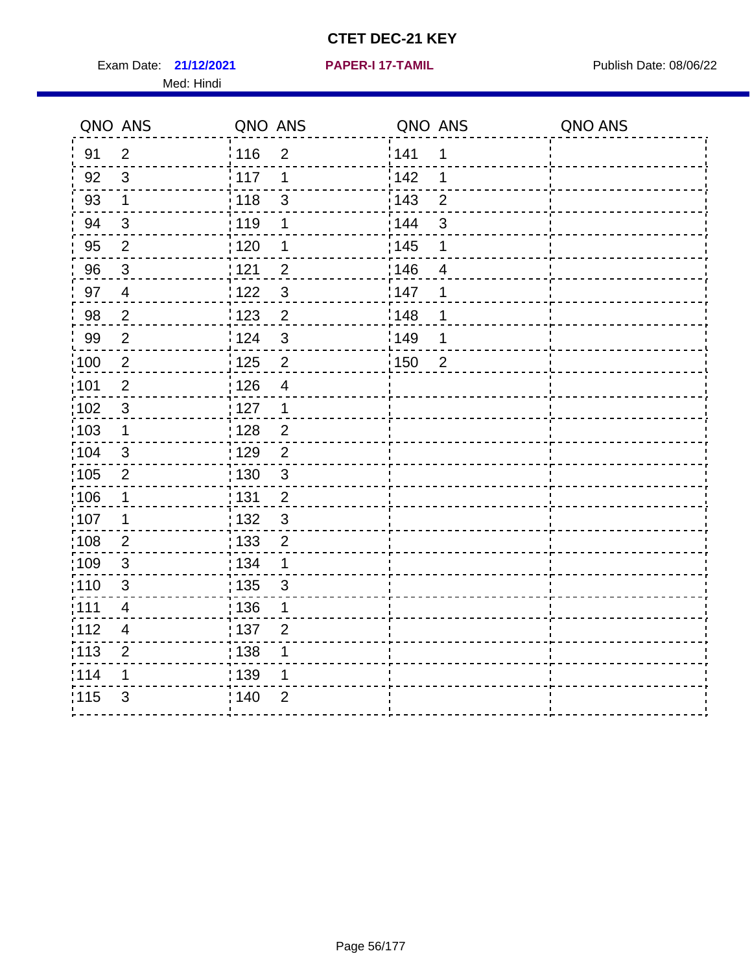Exam Date: 21/12/2021 **PAPER-I 17-TAMIL Exam Date: 08/06/22** Med: Hindi

**21/12/2021 PAPER-I 17-TAMIL**

|                   | QNO ANS        | QNO ANS           |                          | QNO ANS           |                | QNO ANS |
|-------------------|----------------|-------------------|--------------------------|-------------------|----------------|---------|
| 91                | $\overline{2}$ | 116               | $\overline{2}$           | 141               | 1              |         |
| 92                | 3              | 117               | 1                        | 142               | 1              |         |
| 93                | $\mathbf 1$    | 118               | $\mathfrak{S}$           | 143               | $\overline{2}$ |         |
| 94                | $\mathbf{3}$   | : 119             | 1                        | 144               | 3              |         |
| 95                | $\overline{2}$ | : 120             | 1                        | : 145             | 1              |         |
| 96                | 3              | 121               | $\overline{2}$           | :146              | 4              |         |
| 97                | $\overline{4}$ | 122               | $\mathfrak{S}$           | 147               | 1              |         |
| 98                | $\overline{2}$ | : 123             | $\overline{2}$           | ¦148              | 1              |         |
| 99                | $\mathbf{2}$   | 124               | $\mathfrak{S}$           | $\frac{1}{2}$ 149 | 1              |         |
| 100               | $\sqrt{2}$     | $\frac{1}{1}$ 125 | $\overline{c}$           | 150               | $\overline{2}$ |         |
| 101               | $\mathbf 2$    | 126               | $\overline{\mathcal{A}}$ |                   |                |         |
| 102               | 3              | : 127             | $\mathbf 1$              |                   |                |         |
| 103               | 1              | : 128             | $\overline{2}$           |                   |                |         |
| :104              | $\mathbf{3}$   | : 129             | $\overline{2}$           |                   |                |         |
| :105              | $\overline{2}$ | : 130             | $\mathfrak{S}$           |                   |                |         |
| 106               | 1              | : 131             | $\overline{2}$           |                   |                |         |
| :107              | 1              | : 132             | 3                        |                   |                |         |
| :108              | $\mathbf{2}$   | : 133             | $\overline{2}$           |                   |                |         |
| :109              | $\sqrt{3}$     | : 134             | $\mathbf 1$              |                   |                |         |
| : 110             | 3              | : 135             | 3                        |                   |                |         |
| 111               | 4              | : 136             | 1                        |                   |                |         |
| 112               | 4              | $\frac{1}{1}$ 137 | $\overline{2}$           |                   |                |         |
| $\frac{1}{1}$ 113 | $\overline{2}$ | : 138             | 1                        |                   |                |         |
| 114               | 1              | : 139             | 1                        |                   |                |         |
| 115               | 3              | 140               | $\overline{2}$           |                   |                |         |
|                   |                |                   |                          |                   |                |         |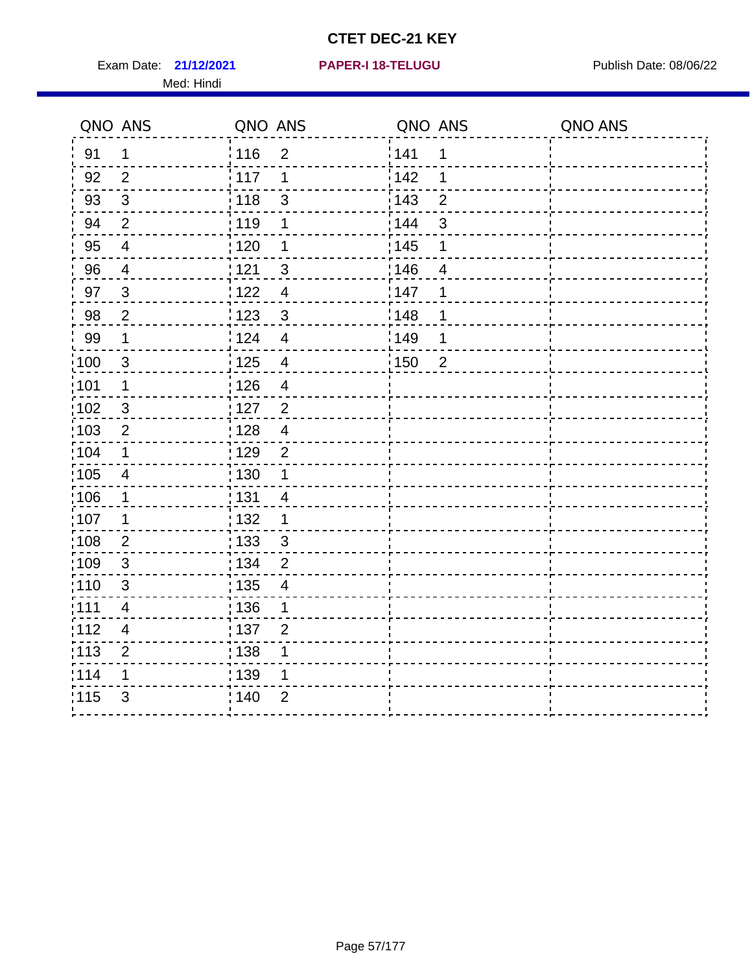Exam Date: 21/12/2021 PAPER-I 18-TELUGU PREER PUblish Date: 08/06/22 Med: Hindi

**21/12/2021 PAPER-I 18-TELUGU**

|                   | QNO ANS        | QNO ANS                             | QNO ANS                 | QNO ANS |
|-------------------|----------------|-------------------------------------|-------------------------|---------|
| 91                | $\mathbf 1$    | : 116<br>$\overline{2}$             | 141<br>1                |         |
| 92                | $\overline{2}$ | 117<br>1                            | 142<br>1                |         |
| 93                | $\sqrt{3}$     | : 118<br>$\mathfrak{S}$             | 143<br>$\overline{2}$   |         |
| 94                | $\overline{2}$ | : 119<br>1                          | : 144<br>$\mathfrak{S}$ |         |
| 95                | 4              | :120<br>1                           | : 145<br>1              |         |
| 96                | $\overline{4}$ | 121<br>$\sqrt{3}$                   | 146<br>4                |         |
| 97                | $\mathfrak{S}$ | 122<br>$\overline{4}$               | 147<br>1                |         |
| 98                | $\mathbf 2$    | $\frac{1}{2}$ 123<br>$\mathbf 3$    | 148<br>1                |         |
| 99                | $\mathbf 1$    | 124<br>$\overline{\mathbf{4}}$      | :149<br>1               |         |
| $\frac{1}{1}$ 100 | $\mathbf{3}$   | 125<br>$\overline{4}$               | 150<br>$\overline{2}$   |         |
| 101               | 1              | : 126<br>$\overline{\mathcal{A}}$   |                         |         |
| 102               | 3              | : 127<br>$\overline{2}$             |                         |         |
| :103              | $\overline{2}$ | : 128<br>$\overline{4}$             |                         |         |
| 104               | $\mathbf{1}$   | : 129<br>$\overline{2}$             |                         |         |
| 105               | $\overline{4}$ | $\frac{1}{1}$ 130<br>$\mathbf 1$    |                         |         |
| :106              | $\mathbf{1}$   | : 131<br>$\overline{4}$             |                         |         |
| 107               | 1              | : 132<br>$\mathbf 1$                |                         |         |
| 108               | $\overline{2}$ | $\frac{1}{1}$ 133<br>$\mathbf{3}$   |                         |         |
| :109              | $\sqrt{3}$     | : 134<br>$\overline{2}$             |                         |         |
| $\frac{1}{1}$ 110 | $\mathsf 3$    | : 135<br>$\overline{\mathbf{4}}$    |                         |         |
| :111              | 4              | : 136<br>1                          |                         |         |
| 112               | 4              | $\frac{1}{1}$ 137<br>$\overline{2}$ |                         |         |
| 113               | $\overline{2}$ | : 138<br>1                          |                         |         |
| 114               | 1              | : 139<br>1                          |                         |         |
| 115               | 3              | 140<br>$\overline{2}$               |                         |         |
|                   |                |                                     |                         |         |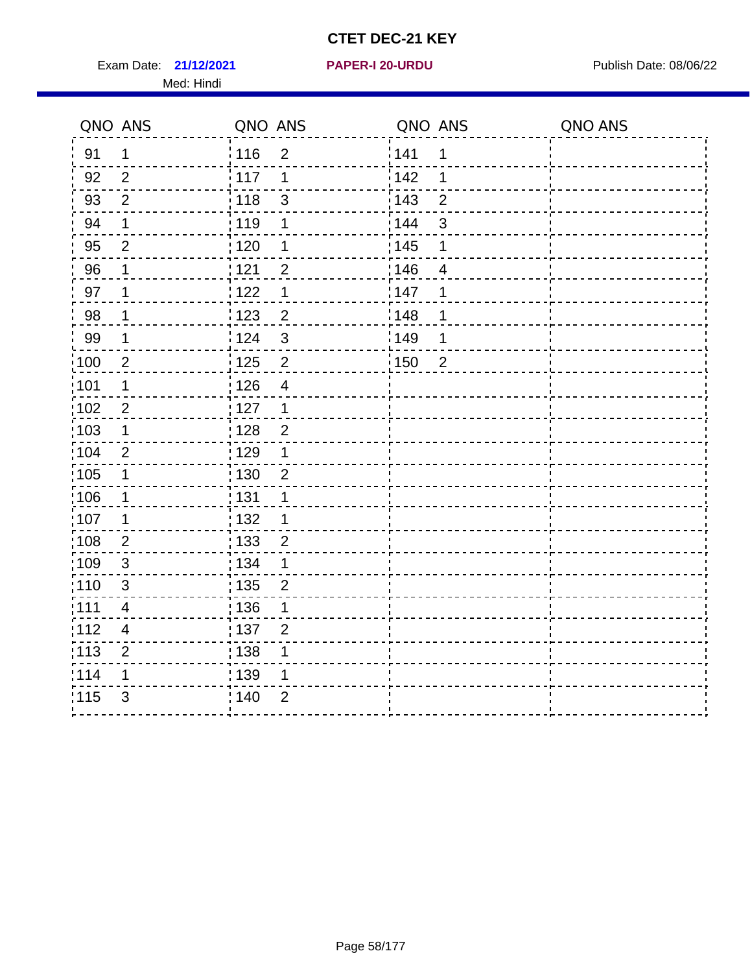Exam Date: 21/12/2021 **PAPER-I 20-URDU** PAPER 120-VIRDU Med: Hindi

**21/12/2021 PAPER-I 20-URDU**

|                   | QNO ANS                  | QNO ANS                             | QNO ANS           |                | QNO ANS |
|-------------------|--------------------------|-------------------------------------|-------------------|----------------|---------|
| 91                | 1                        | 116<br>$\overline{2}$               | 141               | 1              |         |
| 92                | $\overline{2}$           | 117<br>1                            | 142               | 1              |         |
| 93                | $\overline{2}$           | 118<br>3                            | 143               | $\overline{2}$ |         |
| 94                | 1                        | 119<br>1                            | 144               | 3              |         |
| 95                | $\overline{2}$           | : 120<br>1                          | : 145             | 1              |         |
| 96                | 1                        | 121<br>$\overline{2}$               | 146               | $\overline{4}$ |         |
| 97                | 1                        | 122<br>1                            | 147               | 1              |         |
| 98                | $\mathbf{1}$             | 123<br>$\overline{c}$               | 148               | 1              |         |
| 99                | $\mathbf 1$              | 124<br>3                            | $\frac{1}{2}$ 149 | 1              |         |
| :100              | $\overline{2}$           | $\overline{c}$<br>$\frac{1}{1}$ 125 | $\frac{1}{1}$ 150 | $\overline{2}$ |         |
| 101               | 1                        | 126<br>$\overline{\mathbf{4}}$      |                   |                |         |
| 102               | $\overline{2}$           | : 127<br>$\mathbf{1}$               |                   |                |         |
| 103               | $\mathbf{1}$             | : 128<br>$\overline{2}$             |                   |                |         |
| 104               | $\overline{2}$           | .<br>, 129<br>1                     |                   |                |         |
| $\frac{1}{1}$ 105 | $\mathbf{1}$             | 130<br>$\overline{2}$               |                   |                |         |
| :106              | $\mathbf 1$              | : 131<br>1                          |                   |                |         |
| :107              | 1                        | : 132<br>1                          |                   |                |         |
| 108               | $\sqrt{2}$               | $\frac{1}{1}$ 133<br>$\overline{2}$ |                   |                |         |
| :109              | $\mathbf{3}$             | : 134<br>$\mathbf 1$                |                   |                |         |
| :110              | $\mathfrak{S}$           | $\frac{1}{1}$ 135<br>$\overline{2}$ |                   |                |         |
| ;111              | 4                        | : 136<br>1                          |                   |                |         |
| 112               | $\overline{\mathcal{A}}$ | : 137<br>$\overline{2}$             |                   |                |         |
| $\frac{1}{1}$ 113 | $\mathbf 2$              | : 138<br>1                          |                   |                |         |
| 114               | 1                        | : 139<br>1                          |                   |                |         |
| 115               | $\mathfrak{S}$           | 140<br>$\overline{2}$               |                   |                |         |
|                   |                          |                                     |                   |                |         |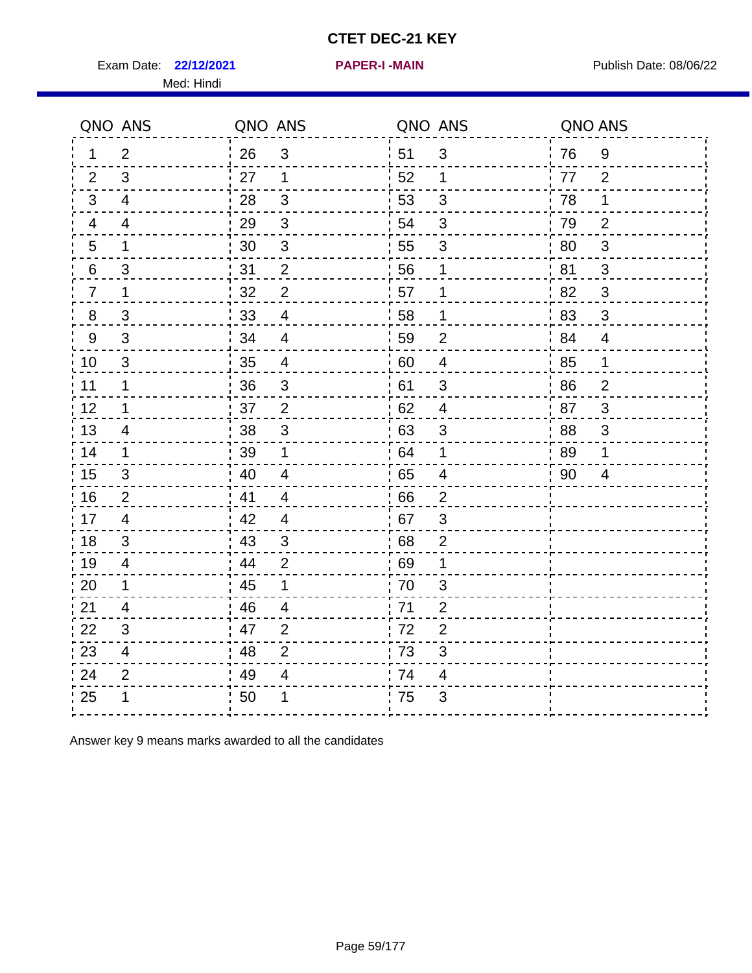Exam Date: 22/12/2021 **PAPER-I-MAIN Property Allows** Publish Date: 08/06/22 Med: Hindi

**22/12/2021 PAPER-I -MAIN**

|                | QNO ANS                  | QNO ANS |                          | QNO ANS |                           | QNO ANS |                |
|----------------|--------------------------|---------|--------------------------|---------|---------------------------|---------|----------------|
| 1.             | 2                        | 26      | $\mathfrak{S}$           | 51      | $\mathfrak{S}$            | 76      | 9              |
| 2              | 3                        | 27      | $\mathbf 1$              | 52      | 1                         | 77      | 2              |
| 3              | $\overline{4}$           | 28      | $\mathfrak{B}$           | 53      | 3                         | 78      | 1              |
| 4              | 4                        | 29      | $\sqrt{3}$               | 54      | $\mathfrak{S}$            | 79      | $\overline{2}$ |
| $\overline{5}$ | 1                        | 30      | $\sqrt{3}$               | 55      | $\ensuremath{\mathsf{3}}$ | 80      | $\sqrt{3}$     |
| 6              | 3                        | 31      | 2                        | 56      | 1                         | 81      | 3              |
| $\overline{7}$ | 1                        | 32      | $\overline{2}$           | 57      | $\mathbf 1$               | 82      | 3              |
| 8              | 3                        | 33      | $\overline{4}$           | 58      | 1                         | 83      | $\mathfrak{B}$ |
| $9\,$          | $\mathfrak{S}$           | 34      | $\overline{4}$           | 59      | $\overline{2}$            | 84      | $\overline{4}$ |
| 10             | $\mathbf{3}$             | 35      | $\overline{\mathcal{A}}$ | 60      | $\overline{4}$            | 85      | $\mathbf{1}$   |
| 11             | 1                        | 36      | $\sqrt{3}$               | 61      | $\mathfrak{S}$            | 86      | $\overline{2}$ |
| 12             | 1                        | 37      | $\overline{2}$           | 62      | $\overline{4}$            | 87      | 3              |
| 13             | $\overline{4}$           | 38      | 3                        | 63      | 3                         | 88      | 3              |
| 14             | 1                        | 39      | 1                        | 64      | $\mathbf 1$               | 89      | 1              |
| 15             | 3                        | 40      | $\overline{\mathbf{4}}$  | 65      | $\overline{\mathbf{4}}$   | 90      | 4              |
| 16             | 2                        | 41      | $\overline{4}$           | 66      | $\overline{2}$            |         |                |
| 17             | $\overline{4}$           | 42      | $\overline{4}$           | 67      | 3                         |         |                |
| 18             | 3                        | 43      | 3                        | 68      | $\overline{2}$            |         |                |
| 19             | 4                        | 44      | $\overline{2}$           | 69      | 1                         |         |                |
| 20             | 1                        | 45      | 1                        | 70      | 3                         |         |                |
| 21             | 4                        | 46      | 4                        | 71      | 2                         |         |                |
| 22             | 3                        | 47      | 2                        | 72      | $\overline{2}$            |         |                |
| 23             | $\overline{\mathcal{A}}$ | 48      | $\overline{2}$           | 73      | 3                         |         |                |
| 24             | $\overline{2}$           | 49      | 4                        | 74      | 4                         |         |                |
| 25             | 1                        | 50      | 1                        | 75      | 3                         |         |                |

Answer key 9 means marks awarded to all the candidates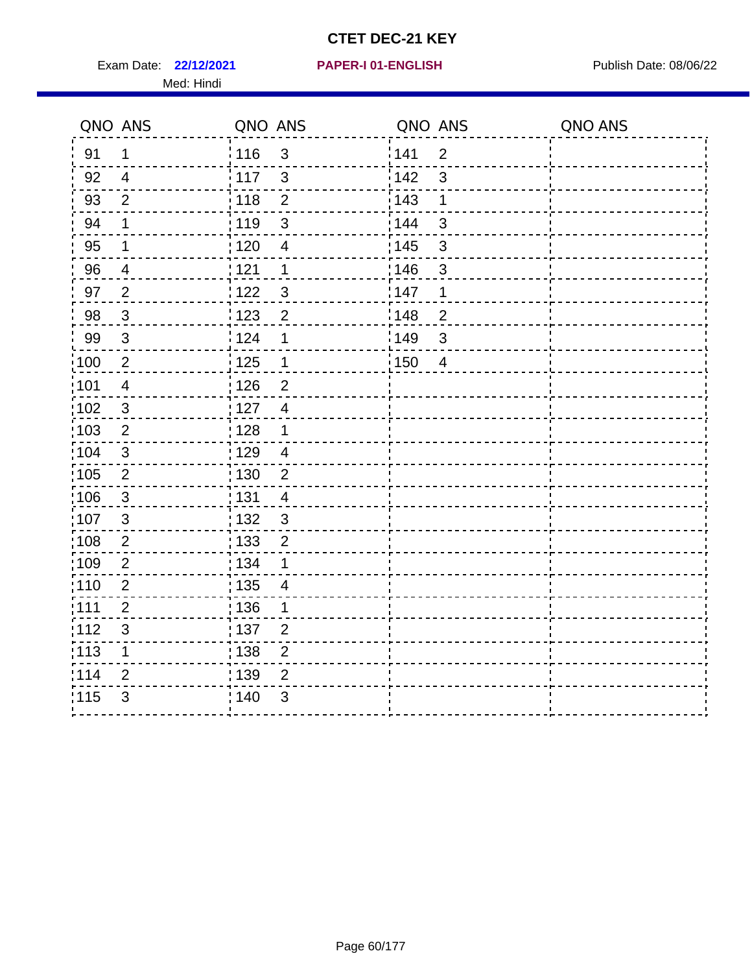Exam Date: 22/12/2021 PAPER-I 01-ENGLISH PREER Publish Date: 08/06/22 Med: Hindi

|                   | QNO ANS                   | QNO ANS           |                          | QNO ANS           |                | QNO ANS |
|-------------------|---------------------------|-------------------|--------------------------|-------------------|----------------|---------|
| 91                | $\mathbf 1$               | : 116             | $\mathbf{3}$             | 141               | $\overline{2}$ |         |
| 92                | $\overline{4}$            | $\frac{1}{2}$ 117 | $\mathbf{3}$             | 142               | 3              |         |
| 93                | $\overline{2}$            | 118               | $\overline{2}$           | 143               | 1              |         |
| 94                | 1                         | : 119             | 3                        | : 144             | 3              |         |
| 95                | 1                         | : 120             | $\overline{\mathcal{A}}$ | : 145             | 3              |         |
| 96                | 4                         | 121               | 1                        | 146               | 3              |         |
| 97                | $\overline{2}$            | : 122             | $\mathbf{3}$             | 147               | 1              |         |
| 98                | $\mathbf{3}$              | 123               | $\overline{c}$           | 148               | $\overline{c}$ |         |
| 99                | $\ensuremath{\mathsf{3}}$ | 124               | 1                        | $\frac{1}{2}$ 149 | $\mathfrak{S}$ |         |
| $\frac{1}{1}$ 100 | $\overline{2}$            | $\frac{1}{2}$ 125 | $\mathbf 1$              | 150               | $\overline{4}$ |         |
| :101              | $\overline{\mathbf{4}}$   | : 126             | $\overline{2}$           |                   |                |         |
| 102               | $\mathfrak{B}$            | : 127             | $\overline{4}$           |                   |                |         |
| 103               | $\overline{2}$            | : 128             | $\mathbf 1$              |                   |                |         |
| 104               | $\mathbf{3}$              | : 129             | $\overline{4}$           |                   |                |         |
| 105               | $\sqrt{2}$                | 130               | $\overline{2}$           |                   |                |         |
| 106               | $\mathbf{3}$              | : 131             | $\overline{4}$           |                   |                |         |
| 107               | 3                         | :132              | $\mathbf{3}$             |                   |                |         |
| 108               | $\sqrt{2}$                | 133               | $\overline{2}$           |                   |                |         |
| :109              | $\mathbf{2}$              | : 134             | 1                        |                   |                |         |
| :110              | $\overline{2}$            | : 135             | 4                        |                   |                |         |
| 111               | $\overline{2}$            | 136               | 1                        |                   |                |         |
| 112               | $\ensuremath{\mathsf{3}}$ | 137               | $\overline{2}$           |                   |                |         |
| 113               | 1                         | 138               | $\overline{c}$           |                   |                |         |
| 114               | 2                         | 139               | $\overline{2}$           |                   |                |         |
| 115               | 3                         | 140               | $\mathfrak{S}$           |                   |                |         |
|                   |                           |                   |                          |                   |                |         |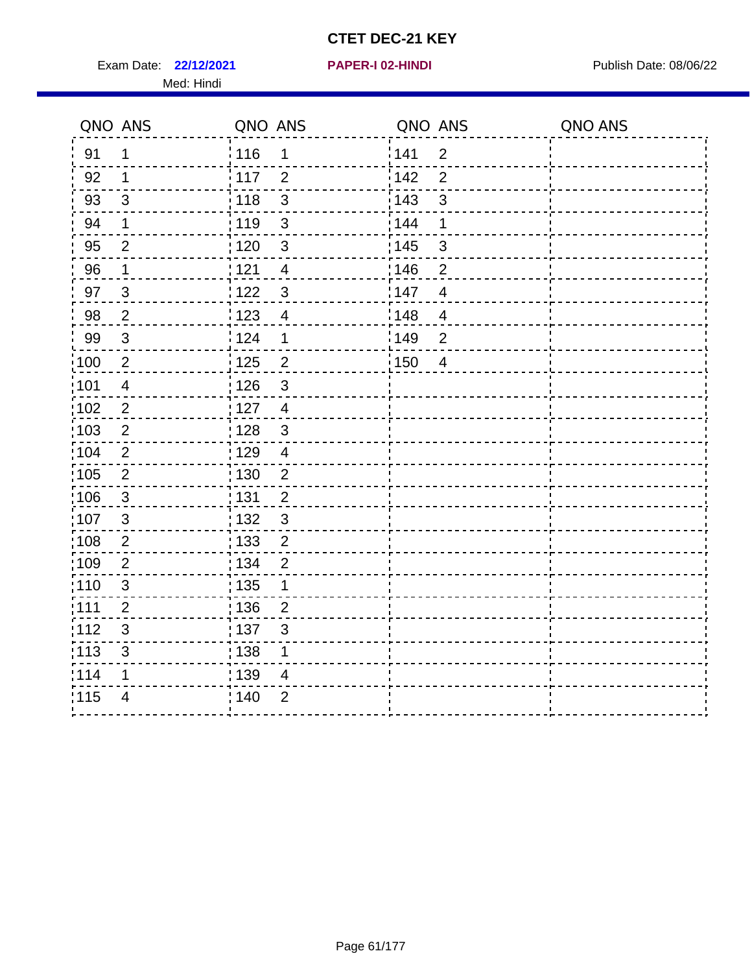Exam Date: 22/12/2021 **PAPER-I 02-HINDI Exam Date: 08/06/22** Med: Hindi

**22/12/2021 PAPER-I 02-HINDI**

|                   | QNO ANS                   | QNO ANS           |                | QNO ANS |                | QNO ANS |
|-------------------|---------------------------|-------------------|----------------|---------|----------------|---------|
| 91                | 1                         | 116               | $\mathbf 1$    | 1141    | $\overline{2}$ |         |
| 92                | 1                         | $\frac{1}{2}$ 117 | $\overline{2}$ | 142     | $\overline{2}$ |         |
| 93                | $\mathfrak{S}$            | 118               | $\mathbf{3}$   | 143     | $\mathsf 3$    |         |
| 94                | 1                         | : 119             | $\mathbf{3}$   | 144     | 1              |         |
| 95                | 2                         | : 120             | 3              | : 145   | $\mathfrak{S}$ |         |
| 96                | $\mathbf 1$               | 121               | 4              | :146    | $\overline{2}$ |         |
| 97                | $\mathfrak{B}$            | 122               | $\mathbf{3}$   | 147     | $\overline{4}$ |         |
| 98                | $\overline{2}$            | 123               | $\overline{4}$ | 148     | $\overline{4}$ |         |
| 99                | $\ensuremath{\mathsf{3}}$ | 124               | $\mathbf 1$    | 149     | $\overline{2}$ |         |
| $\frac{1}{1}$ 100 | $\overline{2}$            | 125               | $\overline{2}$ | 150     | $\overline{4}$ |         |
| :101              | $\overline{\mathbf{4}}$   | : 126             | $\mathsf 3$    |         |                |         |
| 102               | $\overline{2}$            | : 127             | $\overline{4}$ |         |                |         |
| 103               | 2                         | : 128             | $\mathbf{3}$   |         |                |         |
| 104               | $\overline{2}$            | : 129             | $\overline{4}$ |         |                |         |
| 105               | $\sqrt{2}$                | $\frac{1}{1}$ 130 | $\overline{2}$ |         |                |         |
| :106              | $\mathbf{3}$              | :131              | $\overline{2}$ |         |                |         |
| 107               | $\mathbf{3}$              | :132              | $\mathbf{3}$   |         |                |         |
| 108               | $\sqrt{2}$                | : 133             | $\overline{2}$ |         |                |         |
| :109              | $\mathbf{2}$              | : 134             | $\overline{2}$ |         |                |         |
| :110              | 3                         | : 135             | 1              |         |                |         |
| 111               | $\overline{2}$            | : 136             | $\overline{2}$ |         |                |         |
| 112               | $\sqrt{3}$                | 137               | 3              |         |                |         |
| 113               | $\mathfrak{S}$            | : 138             | 1              |         |                |         |
| 114               | 1                         | : 139             | 4              |         |                |         |
| 115               | $\overline{4}$            | 140               | $\overline{2}$ |         |                |         |
|                   |                           |                   |                |         |                |         |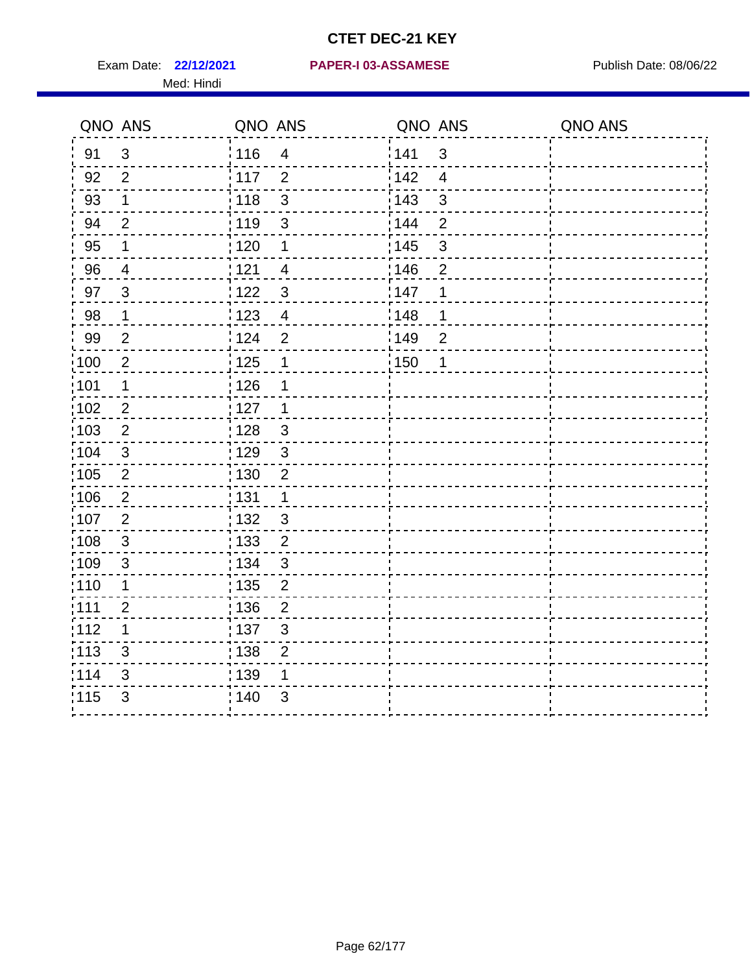Med: Hindi

#### **22/12/2021 PAPER-I 03-ASSAMESE** Exam Date: Publish Date: 08/06/22

|                   | QNO ANS        | QNO ANS |                         | QNO ANS |                | QNO ANS |
|-------------------|----------------|---------|-------------------------|---------|----------------|---------|
| 91                | $\mathfrak{S}$ | : 116   | $\overline{\mathbf{4}}$ | 141     | $\mathfrak{B}$ |         |
| 92                | $\overline{2}$ | 117     | $\overline{2}$          | 142     | $\overline{4}$ |         |
| 93                | $\mathbf 1$    | : 118   | $\mathbf{3}$            | 143     | $\mathfrak{S}$ |         |
| 94                | $\overline{2}$ | : 119   | $\mathfrak{S}$          | : 144   | 2              |         |
| 95                | 1              | : 120   | 1                       | : 145   | 3              |         |
| 96                | 4              | : 121   | 4                       | 146     | $\overline{2}$ |         |
| 97                | $\mathbf{3}$   | : 122   | $\mathbf{3}$            | 147     | 1              |         |
| 98                | $\mathbf 1$    | 123     | $\overline{4}$          | 148     | 1              |         |
| 99                | $\mathbf{2}$   | : 124   | $\overline{2}$          | :149    | $\mathbf 2$    |         |
| $\frac{1}{1}$ 100 | $\overline{2}$ | : 125   | $\mathbf 1$             | 150     | 1              |         |
| $\frac{1}{1}$ 101 | $\mathbf 1$    | : 126   | 1                       |         |                |         |
| 102               | $\overline{2}$ | : 127   | 1                       |         |                |         |
| 103               | $\overline{2}$ | : 128   | $\mathbf{3}$            |         |                |         |
| 104               | $\mathbf{3}$   | : 129   | $\mathfrak{3}$          |         |                |         |
| 105               | $\sqrt{2}$     | : 130   | $\mathbf 2$             |         |                |         |
| 106               | $\overline{2}$ | : 131   | $\mathbf 1$             |         |                |         |
| :107              | $\overline{2}$ | : 132   | $\mathbf{3}$            |         |                |         |
| $\frac{1}{1}$ 108 | $\sqrt{3}$     | : 133   | $\sqrt{2}$              |         |                |         |
| 109               | $\sqrt{3}$     | : 134   | $\mathbf{3}$            |         |                |         |
| :110              | 1              | : 135   | $\overline{2}$          |         |                |         |
| : 111             | $\overline{2}$ | 136     | $\overline{2}$          |         |                |         |
| 112               | 1              | : 137   | $\sqrt{3}$              |         |                |         |
| : 113             | $\sqrt{3}$     | 138     | $\overline{2}$          |         |                |         |
| 114               | 3              | : 139   | 1                       |         |                |         |
| 115               | $\mathfrak{B}$ | 140     | $\mathfrak{B}$          |         |                |         |
|                   |                |         |                         |         |                |         |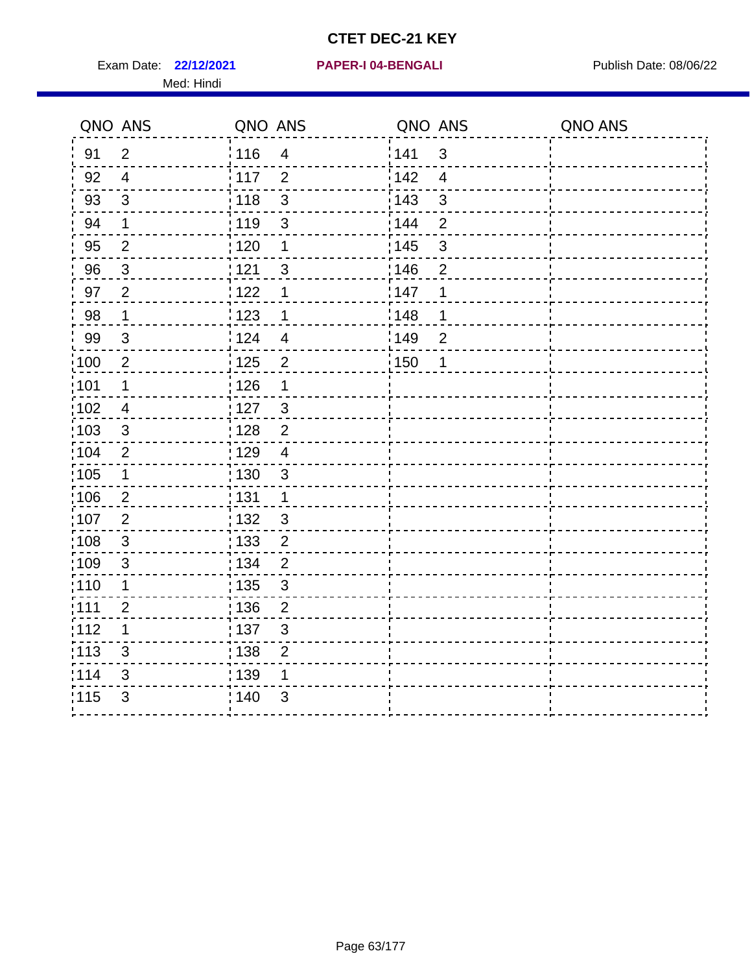Exam Date: 22/12/2021 PAPER-I 04-BENGALI PREREMENT Publish Date: 08/06/22 Med: Hindi

|                   | QNO ANS        | QNO ANS           |                         | QNO ANS           |                | QNO ANS |
|-------------------|----------------|-------------------|-------------------------|-------------------|----------------|---------|
| 91                | $\overline{2}$ | 116               | $\overline{4}$          | 141               | $\mathfrak{3}$ |         |
| 92                | $\overline{4}$ | $\frac{1}{2}$ 117 | $\overline{2}$          | 142               | $\overline{4}$ |         |
| 93                | $\mathfrak{S}$ | 118               | $\mathbf{3}$            | 143               | $\mathfrak{S}$ |         |
| 94                | 1              | : 119             | 3                       | : 144             | $\overline{2}$ |         |
| 95                | 2              | : 120             | 1                       | : 145             | 3              |         |
| 96                | $\mathbf{3}$   | 121               | 3                       | 146               | $\overline{2}$ |         |
| 97                | $\overline{2}$ | : 122             | 1                       | 147               | 1              |         |
| 98                | $\mathbf{1}$   | 123               | $\mathbf 1$             | 148               | 1              |         |
| 99                | $\sqrt{3}$     | 124               | $\overline{\mathbf{4}}$ | $\frac{1}{2}$ 149 | $\overline{2}$ |         |
| $\frac{1}{1}$ 100 | $\overline{2}$ | $\frac{1}{1}$ 125 | $\overline{2}$          | 150               | 1              |         |
| :101              | 1              | : 126             | 1                       |                   |                |         |
| 102               | $\overline{4}$ | 127               | 3                       |                   |                |         |
| 103               | 3              | :128              | $\overline{2}$          |                   |                |         |
| 104               | $\overline{2}$ | : 129             | $\overline{4}$          |                   |                |         |
| 105               | $\mathbf 1$    | 130               | $\mathbf{3}$            |                   |                |         |
| :106              | $\overline{2}$ | : 131             | $\mathbf 1$             |                   |                |         |
| 107               | $\overline{2}$ | :132              | $\mathbf{3}$            |                   |                |         |
| 108               | $\sqrt{3}$     | : 133             | $\overline{2}$          |                   |                |         |
| :109              | $\mathfrak{S}$ | : 134             | $\overline{2}$          |                   |                |         |
| :110              | 1              | : 135             | 3                       |                   |                |         |
| : 111             | $\overline{c}$ | : 136             | $\overline{2}$          |                   |                |         |
| 112               | 1              | 137               | $\mathfrak{S}$          |                   |                |         |
| 113               | $\mathfrak{S}$ | 138               | $\overline{2}$          |                   |                |         |
| 114               | 3              | 139               | 1                       |                   |                |         |
| 115               | 3              | 140               | 3                       |                   |                |         |
|                   |                |                   |                         |                   |                |         |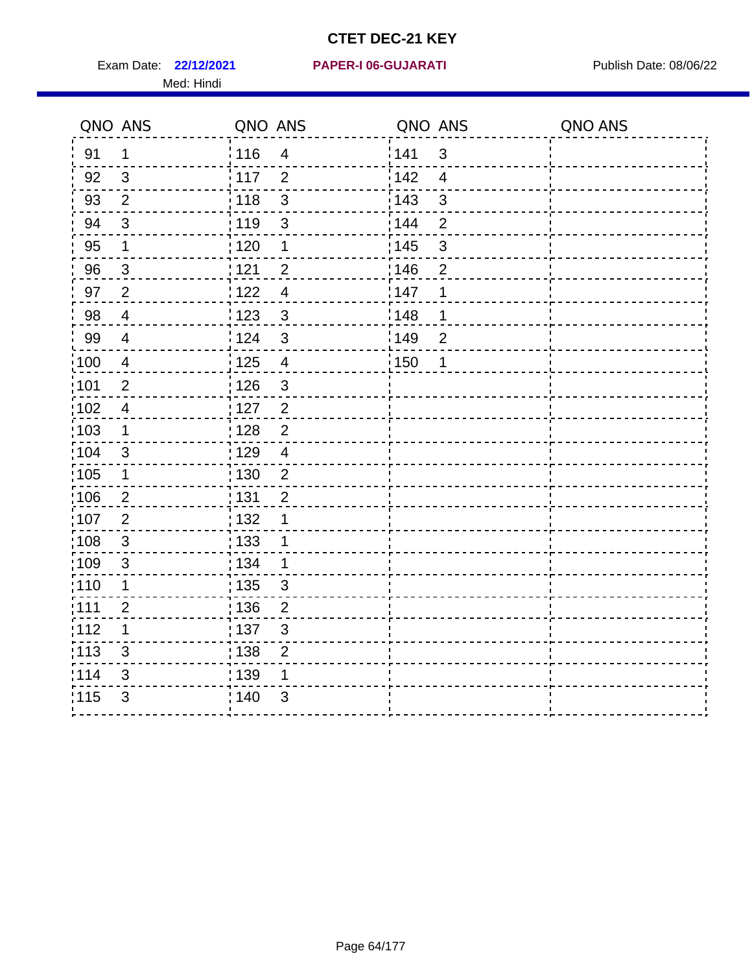**22/12/2021 PAPER-I 06-GUJARATI** Exam Date: Publish Date: 08/06/22 Med: Hindi

|                   | QNO ANS                 | QNO ANS           |                         | QNO ANS           |                          | QNO ANS |
|-------------------|-------------------------|-------------------|-------------------------|-------------------|--------------------------|---------|
| 91                | 1                       | 116               | $\overline{\mathbf{4}}$ | 141               | $\mathsf 3$              |         |
| 92                | $\mathfrak{B}$          | 117               | $\overline{2}$          | 142               | $\overline{\mathcal{A}}$ |         |
| 93                | $\overline{2}$          | 118               | $\mathbf{3}$            | 143               | 3                        |         |
| 94                | 3                       | : 119             | $\mathfrak{S}$          | : 144             | 2                        |         |
| 95                | 1                       | : 120             | $\mathbf 1$             | : 145             | 3                        |         |
| 96                | $\mathfrak{S}$          | 121               | $\overline{2}$          | 146               | $\overline{2}$           |         |
| 97                | $\overline{2}$          | $122$             | $\overline{4}$          | 147               | 1                        |         |
| $98\,$            | $\overline{\mathbf{4}}$ | $\frac{1}{2}$ 123 | $\mathbf{3}$            | 148               | 1                        |         |
| 99                | $\overline{4}$          | 124               | $\mathfrak{S}$          | $\frac{1}{2}$ 149 | $\overline{2}$           |         |
| $\frac{1}{1}$ 100 | $\overline{4}$          | 125               | $\overline{\mathbf{4}}$ | 150               | 1                        |         |
| :101              | $\mathbf 2$             | 126               | $\mathfrak{S}$          |                   |                          |         |
| 102               | $\overline{4}$          | 127               | $\overline{2}$          |                   |                          |         |
| 103               | $\mathbf 1$             | 128               | $\overline{2}$          |                   |                          |         |
| 104               | $\mathfrak{S}$          | 129               | $\overline{4}$          |                   |                          |         |
| 105               | 1                       | : 130             | $\overline{2}$          |                   |                          |         |
| ;106              | $\overline{2}$          | : 131             | $\overline{2}$          |                   |                          |         |
| 107               | $\overline{2}$          | : 132             | 1                       |                   |                          |         |
| 108               | $\sqrt{3}$              | : 133             | $\mathbf 1$             |                   |                          |         |
| :109              | $\sqrt{3}$              | : 134             | $\mathbf 1$             |                   |                          |         |
| :110              | 1                       | : 135             | 3                       |                   |                          |         |
| :111              | $\overline{c}$          | : 136             | $\overline{c}$          |                   |                          |         |
| 112               | 1                       | 137               | $\mathfrak{S}$          |                   |                          |         |
| 113               | $\mathfrak{S}$          | 138               | $\overline{2}$          |                   |                          |         |
| 114               | 3                       | 139               | 1                       |                   |                          |         |
| 115               | 3                       | 140               | $\mathfrak{S}$          |                   |                          |         |
|                   |                         |                   |                         |                   |                          |         |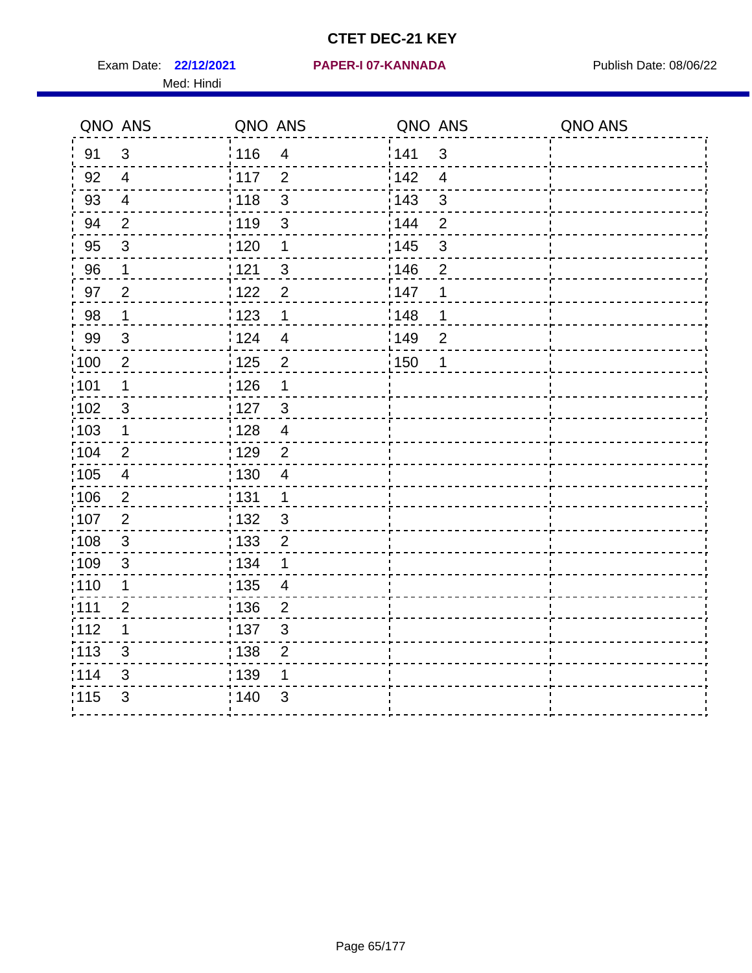Exam Date: 22/12/2021 PAPER-I 07-KANNADA Publish Date: 08/06/22 Med: Hindi

|                   | QNO ANS                 | QNO ANS           |                         | QNO ANS           |                          | QNO ANS |
|-------------------|-------------------------|-------------------|-------------------------|-------------------|--------------------------|---------|
| 91                | $\mathbf{3}$            | 116               | $\overline{\mathbf{4}}$ | 141               | $\mathsf 3$              |         |
| 92                | $\overline{4}$          | 117               | $\overline{2}$          | 142               | $\overline{\mathcal{A}}$ |         |
| 93                | $\overline{4}$          | 118               | $\mathbf{3}$            | 143               | 3                        |         |
| 94                | 2                       | : 119             | $\mathfrak{S}$          | : 144             | 2                        |         |
| 95                | 3                       | : 120             | $\mathbf 1$             | : 145             | 3                        |         |
| 96                | $\mathbf{1}$            | 121               | 3                       | 146               | $\overline{2}$           |         |
| 97                | $\overline{2}$          | $122$             | $\overline{2}$          | 147               | 1                        |         |
| $98\,$            | $\mathbf 1$             | $\frac{1}{2}$ 123 | $\mathbf 1$             | $\frac{1}{2}$ 148 | 1                        |         |
| 99                | $\sqrt{3}$              | 124               | $\overline{4}$          | $\frac{1}{2}$ 149 | $\overline{2}$           |         |
| $\frac{1}{1}$ 100 | $\overline{2}$          | 125               | $\overline{2}$          | 150               | 1                        |         |
| :101              | 1                       | 126               | 1                       |                   |                          |         |
| 102               | 3                       | : 127             | $\mathbf{3}$            |                   |                          |         |
| 103               | $\mathbf 1$             | 128               | $\overline{4}$          |                   |                          |         |
| 104               | $\overline{2}$          | : 129             | $\overline{2}$          |                   |                          |         |
| 105               | $\overline{\mathbf{4}}$ | : 130             | $\overline{4}$          |                   |                          |         |
| 106               | $\overline{2}$          | : 131             | $\mathbf 1$             |                   |                          |         |
| :107              | $\overline{2}$          | : 132             | $\mathbf{3}$            |                   |                          |         |
| $\frac{1}{1}$ 108 | $\sqrt{3}$              | $\frac{1}{1}$ 133 | $\mathbf 2$             |                   |                          |         |
| :109              | $\sqrt{3}$              | : 134             | 1                       |                   |                          |         |
| :110              | 1                       | : 135             | 4                       |                   |                          |         |
| :111              | $\overline{c}$          | : 136             | $\overline{2}$          |                   |                          |         |
| 112               | 1                       | 137               | $\mathfrak{S}$          |                   |                          |         |
| 113               | $\mathfrak{S}$          | 138               | $\overline{2}$          |                   |                          |         |
| 114               | 3                       | 139               | 1                       |                   |                          |         |
| 115               | 3                       | 140               | $\mathfrak{S}$          |                   |                          |         |
|                   |                         |                   |                         |                   |                          |         |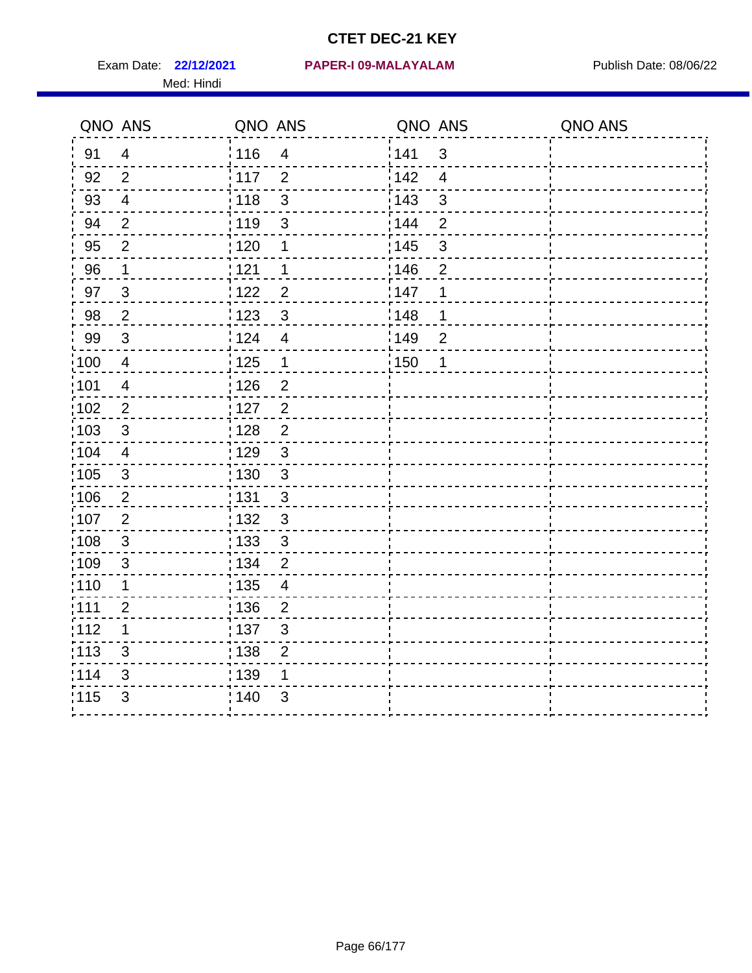Med: Hindi

|                   | QNO ANS                  | QNO ANS           |                          | QNO ANS           |                         | QNO ANS |
|-------------------|--------------------------|-------------------|--------------------------|-------------------|-------------------------|---------|
| 91                | $\overline{4}$           | 116               | $\overline{4}$           | 141               | $\mathbf{3}$            |         |
| 92                | $\overline{2}$           | $\frac{1}{2}$ 117 | $\overline{2}$           | 142               | $\overline{\mathbf{4}}$ |         |
| 93                | $\overline{4}$           | 118               | $\mathsf 3$              | 143               | $\mathfrak{S}$          |         |
| 94                | $\overline{2}$           | : 119             | $\mathfrak{S}$           | : 144             | $\overline{2}$          |         |
| 95                | $\overline{2}$           | : 120             | 1                        | : 145             | $\mathbf{3}$            |         |
| 96                | 1                        | 121               | 1                        | 146               | $\overline{2}$          |         |
| 97                | $\mathfrak{B}$           | 1122              | $\overline{c}$           | 147               | 1                       |         |
| 98                | $\overline{2}$           | 123               | $\mathbf{3}$             | : 148             | 1                       |         |
| 99                | $\sqrt{3}$               | 124               | $\overline{\mathbf{4}}$  | :149              | $\mathbf 2$             |         |
| 100               | $\overline{4}$           | $\frac{1}{1}$ 125 | $\mathbf 1$              | $\frac{1}{1}$ 150 | 1                       |         |
| :101              | $\overline{\mathcal{A}}$ | : 126             | $\overline{2}$           |                   |                         |         |
| 102               | $\overline{2}$           | : 127             | $\overline{2}$           |                   |                         |         |
| 103               | $\mathbf{3}$             | : 128             | $\overline{2}$           |                   |                         |         |
| 104               | $\overline{4}$           | : 129             | $\mathbf{3}$             |                   |                         |         |
| 105               | $\sqrt{3}$               | 130               | $\mathfrak{S}$           |                   |                         |         |
| 106               | $\overline{2}$           | : 131             | 3                        |                   |                         |         |
| :107              | $\overline{2}$           | : 132             | $\mathfrak{3}$           |                   |                         |         |
| $\frac{1}{1}$ 108 | $\sqrt{3}$               | : 133             | $\sqrt{3}$               |                   |                         |         |
| :109              | $\mathfrak{B}$           | : 134             | $\overline{2}$           |                   |                         |         |
| :110              | 1                        | : 135             | $\overline{\mathcal{A}}$ |                   |                         |         |
| 111               | $\overline{2}$           | : 136             | $\overline{2}$           |                   |                         |         |
| 112               | 1                        | : 137             | $\mathsf 3$              |                   |                         |         |
| 113               | 3                        | : 138             | $\mathbf{2}$             |                   |                         |         |
| 114               | 3                        | 139               | 1                        |                   |                         |         |
| 115               | 3                        | : 140             | 3                        |                   |                         |         |
|                   |                          |                   |                          |                   |                         |         |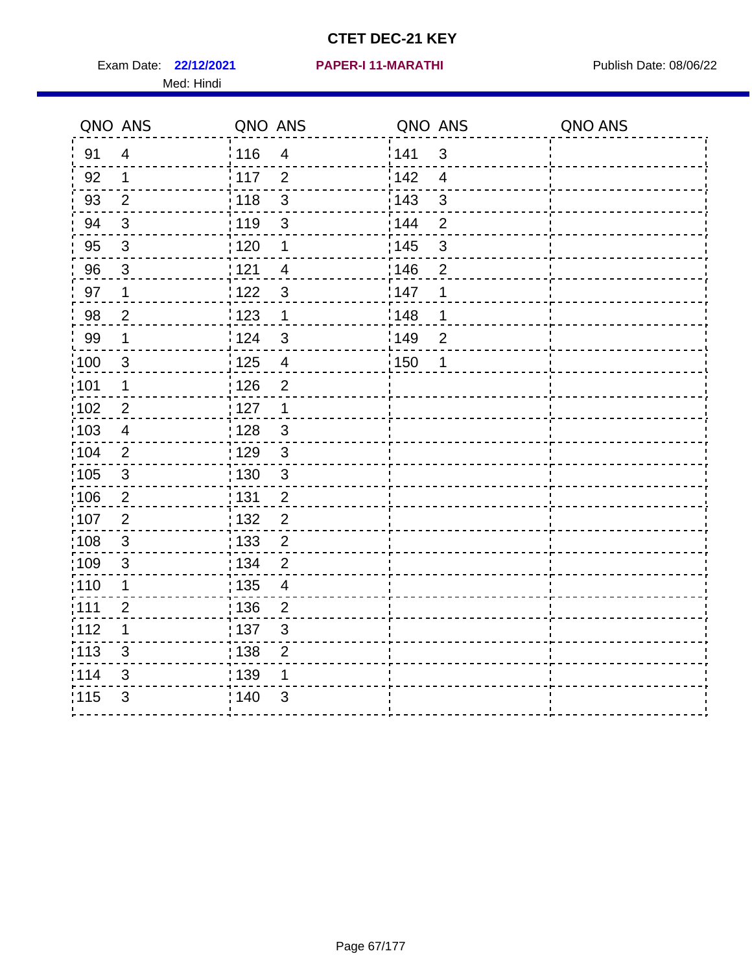Exam Date: 22/12/2021 PAPER-I 11-MARATHI PREERENDENSING Publish Date: 08/06/22 Med: Hindi

|                   | QNO ANS        | QNO ANS           |                         | QNO ANS           |                          | QNO ANS |
|-------------------|----------------|-------------------|-------------------------|-------------------|--------------------------|---------|
| 91                | $\overline{4}$ | 116               | $\overline{\mathbf{4}}$ | 141               | $\sqrt{3}$               |         |
| 92                | $\mathbf 1$    | 117               | $\overline{2}$          | 142               | $\overline{\mathcal{A}}$ |         |
| 93                | $\overline{2}$ | 118               | $\mathbf{3}$            | 143               | 3                        |         |
| 94                | 3              | : 119             | $\mathfrak{S}$          | : 144             | $\overline{2}$           |         |
| 95                | 3              | : 120             | 1                       | : 145             | 3                        |         |
| 96                | $\mathbf{3}$   | 121               | $\overline{4}$          | 146               | $\overline{2}$           |         |
| 97                | $\mathbf 1$    | $122$             | 3                       | 147               | 1                        |         |
| 98                | $\overline{c}$ | $\frac{1}{2}$ 123 | $\mathbf{1}$            | 148               | 1                        |         |
| 99                | $\mathbf 1$    | 124               | $\mathfrak{S}$          | $\frac{1}{2}$ 149 | $\overline{2}$           |         |
| $\frac{1}{1}$ 100 | $\mathbf{3}$   | 125               | $\overline{\mathbf{4}}$ | 150               | 1                        |         |
| :101              | 1              | 126               | $\overline{2}$          |                   |                          |         |
| 102               | $\overline{2}$ | : 127             | 1                       |                   |                          |         |
| 103               | $\overline{4}$ | 128               | $\mathbf{3}$            |                   |                          |         |
| 104               | $\overline{2}$ | : 129             | $\mathfrak{3}$          |                   |                          |         |
| 105               | $\sqrt{3}$     | : 130             | $\mathfrak{S}$          |                   |                          |         |
| 106               | $\overline{2}$ | : 131             | $\overline{2}$          |                   |                          |         |
| 107               | $\overline{2}$ | : 132             | $\overline{2}$          |                   |                          |         |
| 108               | $\sqrt{3}$     | $\frac{1}{1}$ 133 | $\overline{2}$          |                   |                          |         |
| :109              | $\mathfrak{S}$ | : 134             | $\overline{2}$          |                   |                          |         |
| :110              | 1              | : 135             | $\overline{4}$          |                   |                          |         |
| :111              | $\overline{c}$ | : 136             | $\overline{c}$          |                   |                          |         |
| 112               | 1              | 137               | $\mathfrak{S}$          |                   |                          |         |
| 113               | $\mathfrak{S}$ | 138               | $\overline{2}$          |                   |                          |         |
| 114               | 3              | 139               | 1                       |                   |                          |         |
| 115               | 3              | 140               | $\mathfrak{S}$          |                   |                          |         |
|                   |                |                   |                         |                   |                          |         |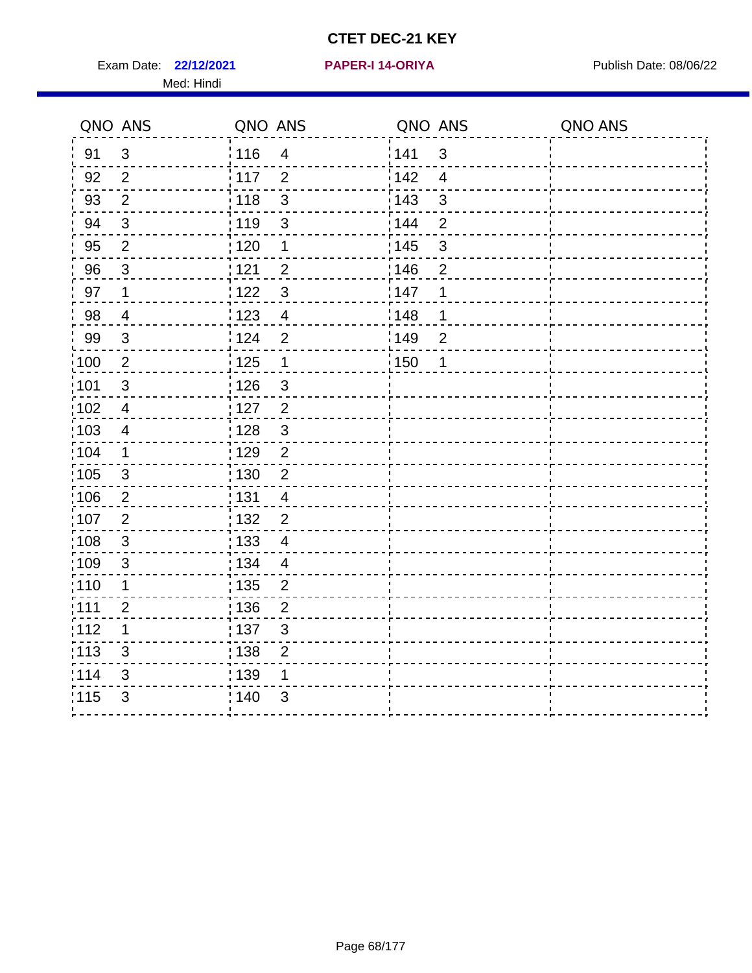Exam Date: 22/12/2021 **PAPER-I 14-ORIYA** Publish Date: 08/06/22 Med: Hindi

**22/12/2021 PAPER-I 14-ORIYA**

|                   | QNO ANS                   | QNO ANS           |                         | QNO ANS |                | QNO ANS |
|-------------------|---------------------------|-------------------|-------------------------|---------|----------------|---------|
| 91                | $\mathbf{3}$              | 116               | $\overline{\mathbf{4}}$ | 141     | $\mathfrak{S}$ |         |
| 92                | $\overline{2}$            | 117               | $\overline{2}$          | 142     | $\overline{4}$ |         |
| 93                | $\overline{2}$            | 118               | $\mathbf{3}$            | 143     | $\mathbf{3}$   |         |
| 94                | 3                         | : 119             | $\mathfrak{S}$          | 144     | $\overline{2}$ |         |
| 95                | $\overline{2}$            | :120              | $\mathbf 1$             | : 145   | 3              |         |
| 96                | $\mathfrak{S}$            | 121               | $\overline{2}$          | :146    | $\overline{2}$ |         |
| 97                | $\mathbf 1$               | 122               | $\mathbf{3}$            | 147     | 1              |         |
| 98                | $\overline{\mathbf{4}}$   | 123               | $\overline{4}$          | 148     | 1              |         |
| 99                | $\ensuremath{\mathsf{3}}$ | : 124             | $\overline{2}$          | 149     | $\mathbf 2$    |         |
| $\frac{1}{1}$ 100 | $\sqrt{2}$                | 125               | $\mathbf{1}$            | 150     | 1              |         |
| 101               | $\mathfrak{S}$            | : 126             | 3                       |         |                |         |
| 102               | $\overline{4}$            | : 127             | $\overline{2}$          |         |                |         |
| ;103              | $\overline{4}$            | 128               | $\mathbf{3}$            |         |                |         |
| 104               | $\mathbf{1}$              | : 129             | $\overline{2}$          |         |                |         |
| 105               | $\sqrt{3}$                | : 130             | $\overline{2}$          |         |                |         |
| ;106              | $\overline{2}$            | : 131             | $\overline{4}$          |         |                |         |
| :107              | $\overline{2}$            | : 132             | $\overline{2}$          |         |                |         |
| 108               | $\sqrt{3}$                | $\frac{1}{1}$ 133 | $\overline{\mathbf{4}}$ |         |                |         |
| :109              | $\mathfrak{S}$            | : 134             | $\overline{4}$          |         |                |         |
| :110              | 1                         | : 135             | 2                       |         |                |         |
| 111               | $\overline{2}$            | : 136             | $\overline{2}$          |         |                |         |
| 112               | 1                         | 137               | $\sqrt{3}$              |         |                |         |
| 113               | 3                         | : 138             | $\overline{2}$          |         |                |         |
| 114               | 3                         | : 139             | 1                       |         |                |         |
| 115               | 3                         | 140               | 3                       |         |                |         |
|                   |                           |                   |                         |         |                |         |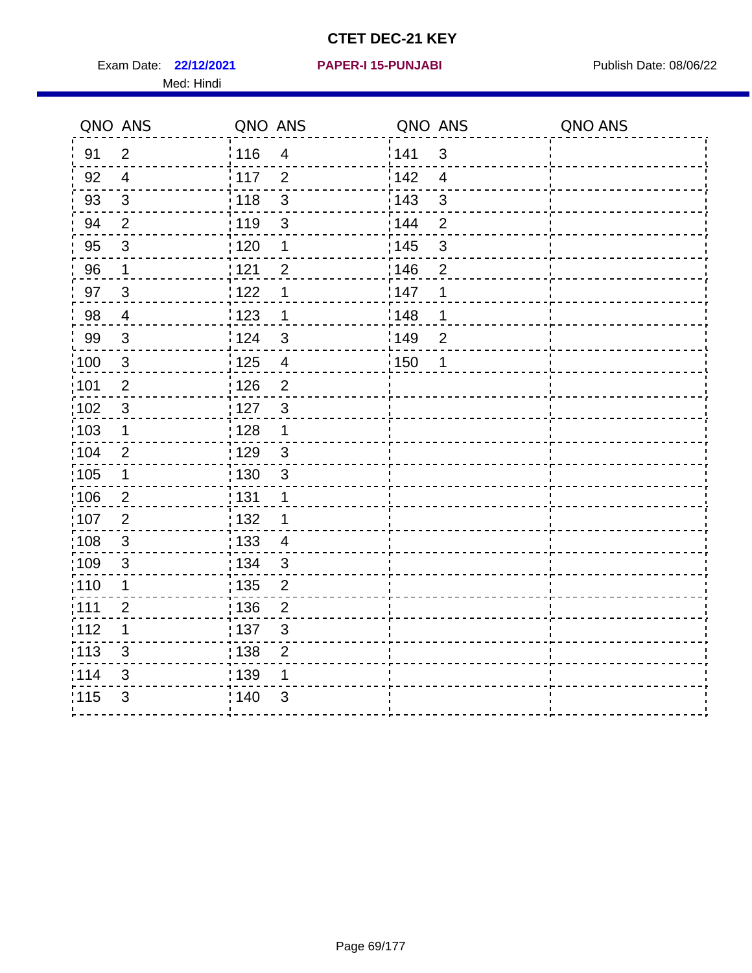Exam Date: 22/12/2021 **PAPER-I 15-PUNJABI** PUBLISH Date: 08/06/22 Med: Hindi

|        | QNO ANS        | QNO ANS           |                         | QNO ANS           |                          | QNO ANS |
|--------|----------------|-------------------|-------------------------|-------------------|--------------------------|---------|
| 91     | $\overline{2}$ | 116               | $\overline{\mathbf{4}}$ | 141               | $\mathsf 3$              |         |
| 92     | $\overline{4}$ | 117               | $\overline{2}$          | 142               | $\overline{\mathcal{A}}$ |         |
| 93     | $\sqrt{3}$     | 118               | 3                       | 143               | $\mathbf{3}$             |         |
| 94     | $\overline{2}$ | : 119             | $\mathbf{3}$            | 144               | $\overline{2}$           |         |
| 95     | 3              | : 120             | 1                       | : 145             | 3                        |         |
| 96     | $\mathbf{1}$   | 121               | $\overline{2}$          | 146               | $\overline{2}$           |         |
| 97     | $\mathbf{3}$   | 122               | 1                       | 147               | 1                        |         |
| $98\,$ | $\overline{4}$ | 123               | $\mathbf 1$             | ¦148              | 1                        |         |
| 99     | $\sqrt{3}$     | 124               | $\mathbf{3}$            | $\frac{1}{2}$ 149 | $\overline{2}$           |         |
| :100   | $\sqrt{3}$     | 125               | $\overline{4}$          | 150               | 1                        |         |
| :101   | $\overline{2}$ | : 126             | $\overline{2}$          |                   |                          |         |
| 102    | $\mathfrak{S}$ | : 127             | $\mathbf{3}$            |                   |                          |         |
| ;103   | $\mathbf 1$    | :128              | $\mathbf 1$             |                   |                          |         |
| 104    | $\overline{2}$ | : 129             | $\mathfrak{S}$          |                   |                          |         |
| 105    | $\mathbf 1$    | $\frac{1}{1}$ 130 | $\mathfrak{S}$          |                   |                          |         |
| :106   | $\overline{2}$ | : 131             | 1                       |                   |                          |         |
| 107    | $\overline{2}$ | 132               | 1                       |                   |                          |         |
| 108    | $\mathbf{3}$   | : 133             | $\overline{4}$          |                   |                          |         |
| :109   | $\sqrt{3}$     | : 134             | 3                       |                   |                          |         |
| :110   | 1              | : 135             | $\overline{2}$          |                   |                          |         |
| 111    | $\overline{2}$ | : 136             | $\mathbf{2}$            |                   |                          |         |
| 112    | 1              | $\frac{1}{1}$ 137 | $\mathfrak{S}$          |                   |                          |         |
| 113    | 3              | : 138             | $\overline{2}$          |                   |                          |         |
| 114    | 3              | : 139             | 1                       |                   |                          |         |
| 115    | $\mathfrak{S}$ | 140               | $\mathfrak{S}$          |                   |                          |         |
|        |                |                   |                         |                   |                          |         |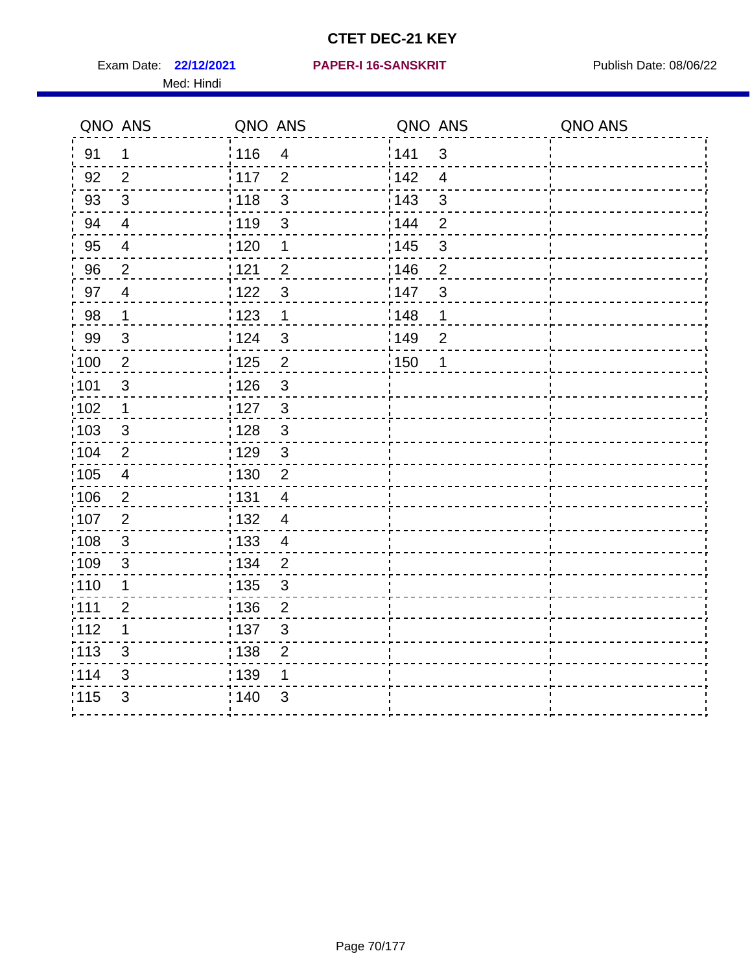Exam Date: 22/12/2021 PAPER-I 16-SANSKRIT Publish Date: 08/06/22 Med: Hindi

|                   | QNO ANS                  | QNO ANS           |                           | QNO ANS |                | QNO ANS |
|-------------------|--------------------------|-------------------|---------------------------|---------|----------------|---------|
| 91                | $\mathbf 1$              | : 116             | $\overline{4}$            | 1141    | $\sqrt{3}$     |         |
| 92                | $\overline{2}$           | 117               | $\overline{2}$            | 142     | $\overline{4}$ |         |
| 93                | $\sqrt{3}$               | : 118             | $\mathfrak{S}$            | 143     | $\sqrt{3}$     |         |
| 94                | $\overline{\mathcal{A}}$ | 119               | $\mathfrak{S}$            | : 144   | $\overline{2}$ |         |
| 95                | $\overline{4}$           | : 120             | 1                         | : 145   | 3              |         |
| 96                | $\overline{2}$           | 121               | $\overline{2}$            | 146     | $\overline{2}$ |         |
| 97                | $\overline{4}$           | 1122              | $\mathfrak{B}$            | 147     | $\sqrt{3}$     |         |
| 98                | $\mathbf{1}$             | 123               | $\mathbf{1}$              | 148     | $\mathbf 1$    |         |
| 99                | $\sqrt{3}$               | 124               | $\mathfrak{S}$            | :149    | $\overline{2}$ |         |
| $\frac{1}{1}$ 100 | $\sqrt{2}$               | 125               | $\overline{2}$            | 150     | 1              |         |
| :101              | $\sqrt{3}$               | : 126             | $\mathsf 3$               |         |                |         |
| 102               | $\mathbf 1$              | : 127             | $\mathbf{3}$              |         |                |         |
| 103               | 3                        | : 128             | $\mathbf{3}$              |         |                |         |
| 104               | 2                        | : 129             | $\mathbf{3}$              |         |                |         |
| :105              | $\overline{\mathbf{4}}$  | : 130             | $\overline{2}$            |         |                |         |
| 106               | $\overline{2}$           | : 131             | $\overline{4}$            |         |                |         |
| :107              | $\overline{2}$           | : 132             | $\overline{4}$            |         |                |         |
| :108              | $\sqrt{3}$               | 133               | $\overline{4}$            |         |                |         |
| :109              | $\sqrt{3}$               | : 134             | $\overline{2}$            |         |                |         |
| :110              | 1                        | 135               | 3                         |         |                |         |
| 111               | $\overline{2}$           | 136               | $\overline{2}$            |         |                |         |
| 112               | 1                        | $\frac{1}{1}$ 137 | $\ensuremath{\mathsf{3}}$ |         |                |         |
| $\frac{1}{1}$ 113 | 3                        | : 138             | $\overline{2}$            |         |                |         |
| 114               | 3                        | : 139             | 1                         |         |                |         |
| 115               | 3                        | 140               | 3                         |         |                |         |
|                   |                          |                   |                           |         |                |         |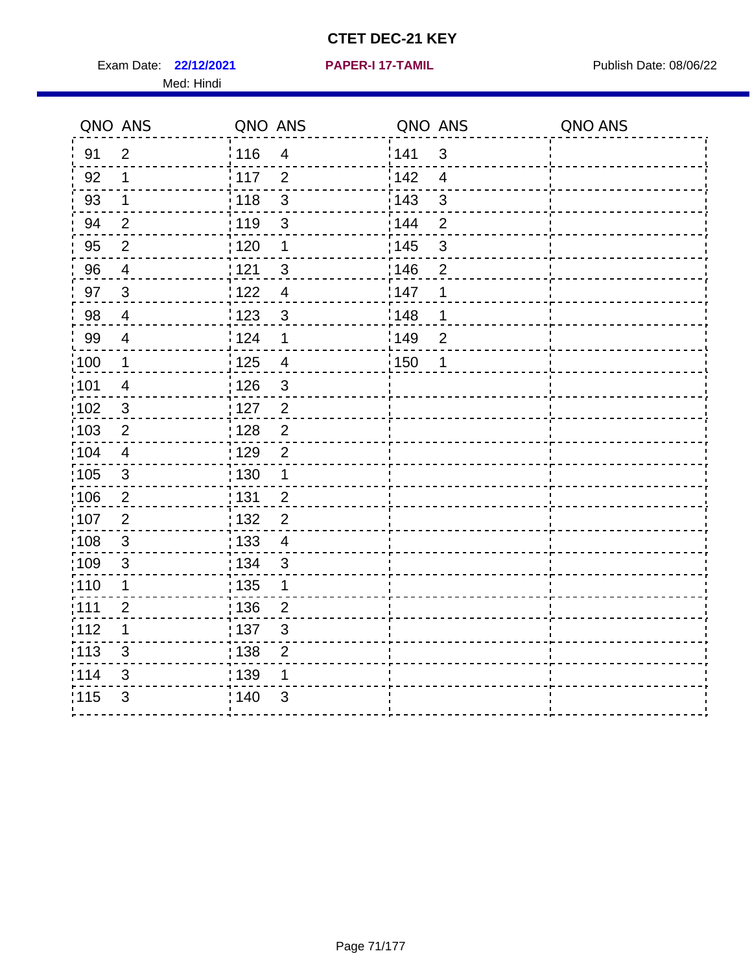Exam Date: 22/12/2021 **PAPER-I 17-TAMIL** Publish Date: 08/06/22 Med: Hindi

**22/12/2021 PAPER-I 17-TAMIL**

|                   | QNO ANS                 | QNO ANS                                       | QNO ANS |                | QNO ANS |
|-------------------|-------------------------|-----------------------------------------------|---------|----------------|---------|
| 91                | $\overline{2}$          | : 116<br>$\overline{4}$                       | 141     | $\mathbf{3}$   |         |
| 92                | 1                       | 117<br>$\overline{2}$                         | 142     | $\overline{4}$ |         |
| 93                | $\mathbf 1$             | : 118<br>$\mathfrak{S}$                       | 143     | $\mathfrak{S}$ |         |
| 94                | $\overline{2}$          | : 119<br>3                                    | 144     | $\overline{2}$ |         |
| 95                | $\overline{2}$          | : 120<br>1                                    | : 145   | $\mathfrak{S}$ |         |
| 96                | 4                       | 121<br>3                                      | :146    | $\overline{2}$ |         |
| 97                | $\mathbf{3}$            | 122<br>$\overline{4}$                         | 147     | 1              |         |
| 98                | $\overline{4}$          | : 123<br>$\mathbf{3}$                         | 148     | 1              |         |
| 99                | $\overline{\mathbf{4}}$ | 124<br>1                                      | :149    | $\overline{c}$ |         |
| 100               | $\mathbf 1$             | $\frac{1}{2}$ 125<br>$\overline{4}$           | : 150   | 1              |         |
| 101               | $\overline{4}$          | 126<br>$\mathfrak{S}$                         |         |                |         |
| 102               | $\mathbf{3}$            | : 127<br>$\overline{2}$                       |         |                |         |
| 103               | $\overline{2}$          | $\overline{2}$<br>: 128                       |         |                |         |
| 104               | $\overline{4}$          | : 129<br>$\overline{2}$                       |         |                |         |
| :105              | $\sqrt{3}$              | : 130<br>$\mathbf 1$                          |         |                |         |
| 106               | $\overline{2}$          | : 131<br>$\overline{2}$                       |         |                |         |
| :107              | $\overline{2}$          | : 132<br>$\overline{2}$                       |         |                |         |
| :108              | $\sqrt{3}$              | $\frac{1}{1}$ 133<br>$\overline{\mathcal{A}}$ |         |                |         |
| :109              | $\sqrt{3}$              | : 134<br>$\mathbf{3}$                         |         |                |         |
| : 110             | 1                       | : 135<br>1                                    |         |                |         |
| : 111             | $\overline{2}$          | : 136<br>$\overline{2}$                       |         |                |         |
| 112               | 1                       | : 137<br>$\mathfrak{S}$                       |         |                |         |
| $\frac{1}{1}$ 113 | 3                       | 138<br>$\overline{2}$                         |         |                |         |
| 114               | 3                       | 139<br>1                                      |         |                |         |
| 115               | 3                       | 140<br>3                                      |         |                |         |
|                   |                         |                                               |         |                |         |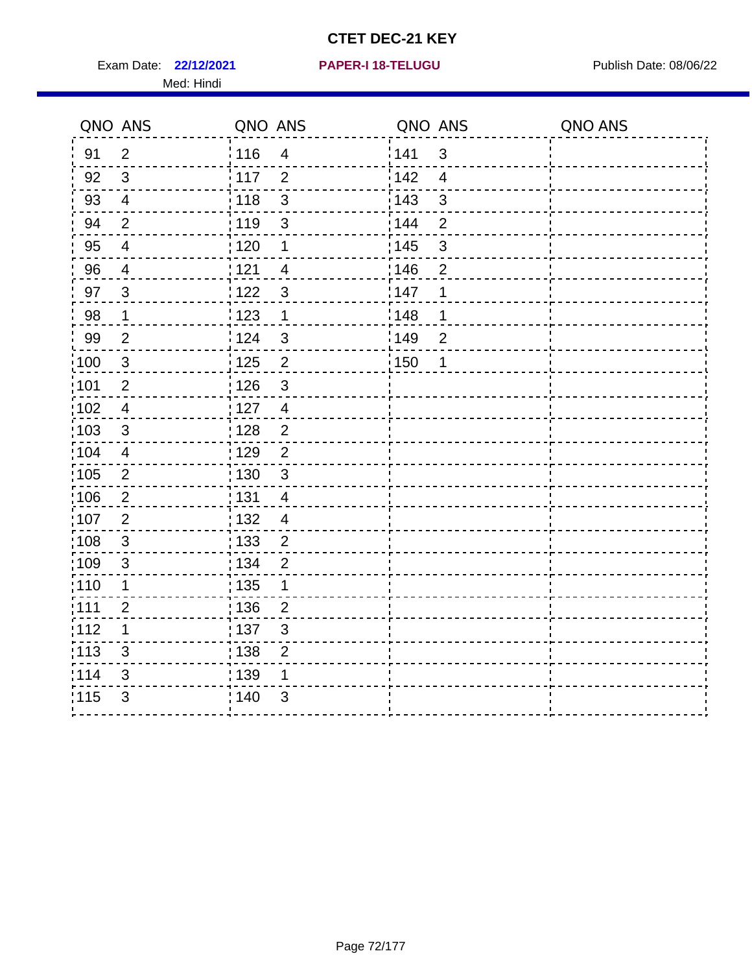Exam Date: 22/12/2021 **PAPER-I 18-TELUGU** PUBLISH Date: 08/06/22 Med: Hindi

|                   | QNO ANS        | QNO ANS           |                         | QNO ANS           |                | QNO ANS |
|-------------------|----------------|-------------------|-------------------------|-------------------|----------------|---------|
| 91                | $\overline{2}$ | 116               | $\overline{4}$          | 141               | $\mathfrak{S}$ |         |
| 92                | $\mathfrak{3}$ | 117               | $\overline{2}$          | 142               | $\overline{4}$ |         |
| 93                | $\overline{4}$ | 118               | $\mathbf{3}$            | $\frac{1}{2}$ 143 | 3              |         |
| 94                | $\overline{2}$ | : 119             | $\mathfrak{3}$          | : 144             | $\overline{2}$ |         |
| 95                | 4              | :120              | 1                       | : 145             | 3              |         |
| 96                | $\overline{4}$ | 121               | $\overline{4}$          | 146               | $\overline{2}$ |         |
| 97                | $\mathbf{3}$   | 122               | $\mathbf{3}$            | 147               | 1              |         |
| $98\,$            | $\mathbf{1}$   | $\frac{1}{2}$ 123 | $\mathbf{1}$            | 148               | 1              |         |
| 99                | $\mathbf{2}$   | 124               | $\mathbf{3}$            | ¦149              | $\overline{c}$ |         |
| $\frac{1}{1}$ 100 | $\mathbf{3}$   | 125               | $\overline{2}$          | 150               | 1              |         |
| 101               | $\mathbf{2}$   | 126               | $\mathfrak{S}$          |                   |                |         |
| 102               | $\overline{4}$ | : 127             | $\overline{\mathbf{4}}$ |                   |                |         |
| 103               | 3              | :128              | $\overline{2}$          |                   |                |         |
| 104               | $\overline{4}$ | : 129             | $\overline{2}$          |                   |                |         |
| 105               | $\sqrt{2}$     | 130               | $\mathfrak{S}$          |                   |                |         |
| :106              | 2              | : 131             | $\overline{4}$          |                   |                |         |
| 107               | 2              | : 132             | $\overline{4}$          |                   |                |         |
| 108               | $\mathbf{3}$   | 133               | $\mathbf 2$             |                   |                |         |
| :109              | $\sqrt{3}$     | : 134             | $\overline{2}$          |                   |                |         |
| :110              | 1              | 135               | 1                       |                   |                |         |
| ;111              | $\overline{2}$ | : 136             | $\overline{2}$          |                   |                |         |
| 112               | 1              | : 137             | $\mathsf 3$             |                   |                |         |
| : 113             | $\mathsf 3$    | : 138             | $\mathbf{2}$            |                   |                |         |
| 114               | 3              | : 139             | 1                       |                   |                |         |
| 115               | 3              | 140               | $\mathfrak{S}$          |                   |                |         |
|                   |                |                   |                         |                   |                |         |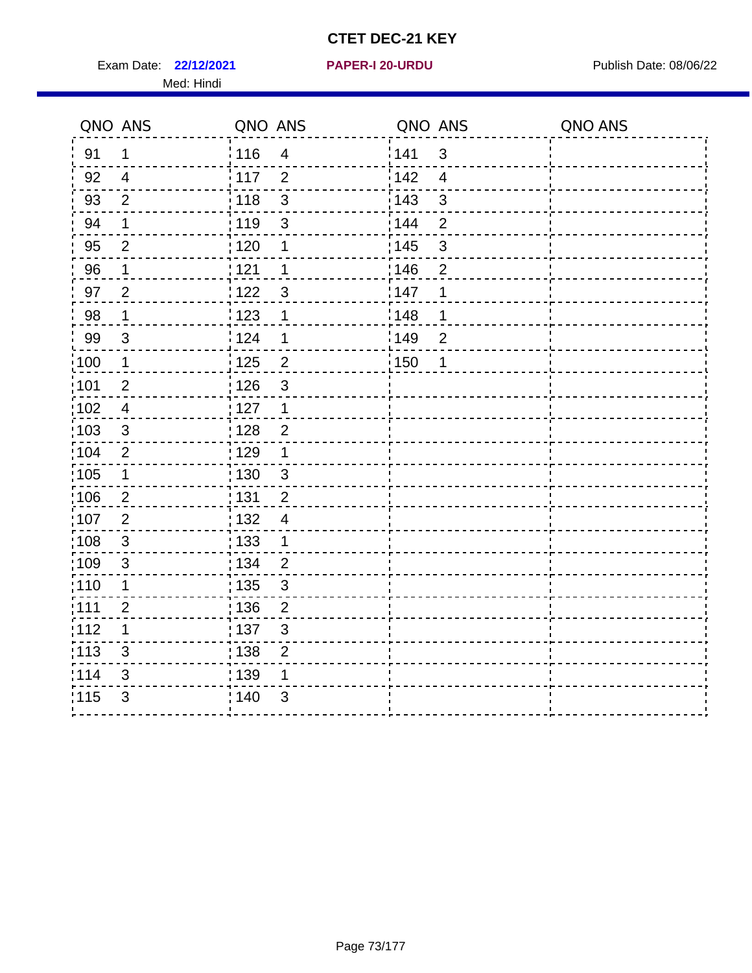Exam Date: 22/12/2021 **PAPER-I 20-URDU** PAPER 120-VIRDU Med: Hindi

**22/12/2021 PAPER-I 20-URDU**

|                   | QNO ANS        | QNO ANS           |                         | QNO ANS           |                          | QNO ANS |
|-------------------|----------------|-------------------|-------------------------|-------------------|--------------------------|---------|
| 91                | $\mathbf{1}$   | 116               | $\overline{\mathbf{4}}$ | 141               | $\sqrt{3}$               |         |
| 92                | $\overline{4}$ | 117               | $\overline{2}$          | 142               | $\overline{\mathcal{A}}$ |         |
| 93                | $\overline{2}$ | 118               | 3                       | 143               | 3                        |         |
| 94                | 1              | : 119             | $\mathbf{3}$            | 144               | $\overline{2}$           |         |
| 95                | 2              | : 120             | 1                       | : 145             | 3                        |         |
| 96                | 1              | 121               | 1                       | 146               | $\overline{2}$           |         |
| 97                | $\overline{2}$ | 122               | 3                       | 147               | 1                        |         |
| $98\,$            | $\mathbf{1}$   | $\frac{1}{2}$ 123 | 1                       | $\frac{1}{2}$ 148 | 1                        |         |
| 99                | $\sqrt{3}$     | 124               | 1                       | $\frac{1}{2}$ 149 | $\overline{2}$           |         |
| $\frac{1}{1}$ 100 | $\mathbf{1}$   | 125               | $\overline{2}$          | 150               | 1                        |         |
| :101              | $\mathbf 2$    | 126               | 3                       |                   |                          |         |
| 102               | $\overline{4}$ | : 127             | 1                       |                   |                          |         |
| 103               | $\mathfrak{S}$ | 128               | $\overline{2}$          |                   |                          |         |
| 104               | $\overline{2}$ | : 129             | 1                       |                   |                          |         |
| 105               | $\mathbf 1$    | : 130             | $\mathbf{3}$            |                   |                          |         |
| ;106              | $\overline{2}$ | : 131             | $\overline{2}$          |                   |                          |         |
| :107              | $\overline{2}$ | : 132             | $\overline{4}$          |                   |                          |         |
| 108               | $\sqrt{3}$     | : 133             | $\mathbf{1}$            |                   |                          |         |
| :109              | $\mathfrak{S}$ | : 134             | $\overline{2}$          |                   |                          |         |
| :110              | 1              | : 135             | 3                       |                   |                          |         |
| :111              | $\overline{c}$ | : 136             | $\overline{c}$          |                   |                          |         |
| 112               | 1              | 137               | $\mathsf 3$             |                   |                          |         |
| 113               | $\mathfrak{S}$ | : 138             | $\overline{2}$          |                   |                          |         |
| 114               | 3              | 139               | 1                       |                   |                          |         |
| 115               | 3              | 140               | $\mathfrak{S}$          |                   |                          |         |
|                   |                |                   |                         |                   |                          |         |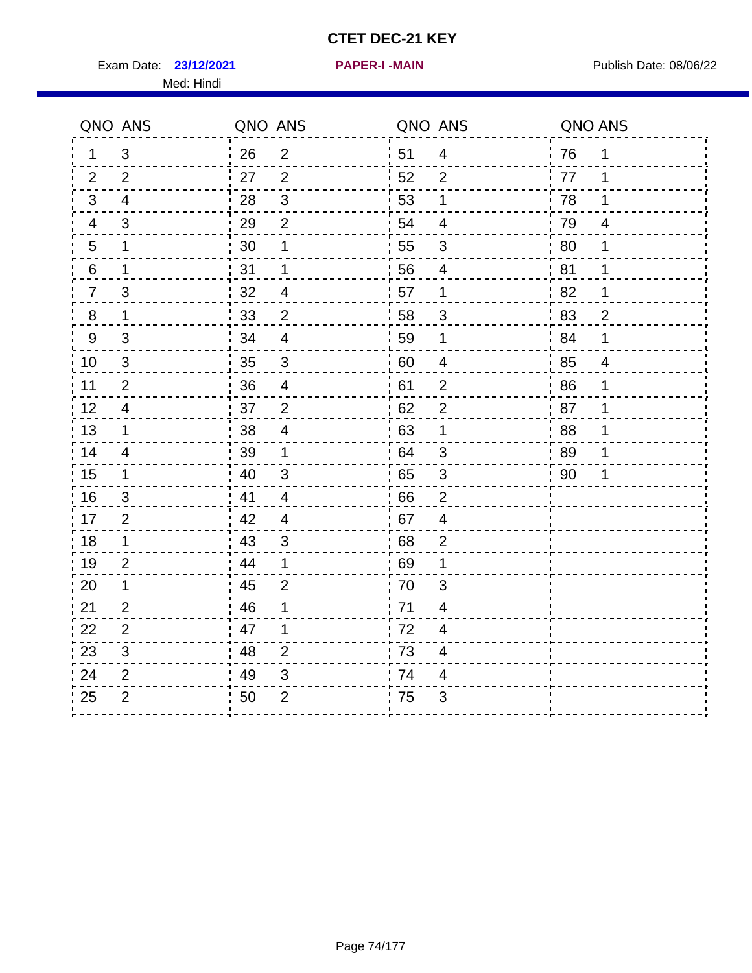Exam Date: 23/12/2021 **PAPER-I-MAIN Exam Date: 08/06/22** 

**23/12/2021 PAPER-I -MAIN**

Med: Hindi

|                | QNO ANS        | QNO ANS |                           | QNO ANS |                  | QNO ANS |                          |
|----------------|----------------|---------|---------------------------|---------|------------------|---------|--------------------------|
| 1.             | 3              | 26      | $\overline{2}$            | 51      | $\overline{4}$   | 76      | 1                        |
| 2              | 2              | 27      | $\overline{2}$            | 52      | $\overline{2}$   | 77      | 1                        |
| 3              | 4              | 28      | $\mathbf{3}$              | 53      | 1                | 78      | 1                        |
| 4              | 3              | 29      | $\overline{c}$            | 54      | $\overline{4}$   | 79      | $\overline{\mathcal{A}}$ |
| 5              | 1              | 30      | 1                         | 55      | $\sqrt{3}$       | 80      | 1                        |
| $\,6\,$        | $\mathbf 1$    | 31      | 1                         | 56      | 4                | 81      | 1                        |
| $\overline{7}$ | 3              | 32      | $\overline{4}$            | 57      | 1                | 82      | 1                        |
| 8              | $\mathbf 1$    | 33      | $\overline{2}$            | 58      | 3                | 83      | $\overline{2}$           |
| 9              | 3              | 34      | $\overline{4}$            | 59      | 1                | 84      | 1                        |
| 10             | 3              | 35      | $\mathbf{3}$              | 60      | 4                | 85      | $\overline{4}$           |
| 11             | $\overline{2}$ | 36      | $\overline{4}$            | 61      | $\overline{2}$   | 86      | 1                        |
| 12             | $\overline{4}$ | 37      | $\overline{2}$            | 62      | $\overline{2}$   | 87      | 1                        |
| 13             | $\mathbf 1$    | 38      | $\overline{\mathcal{A}}$  | 63      | 1                | 88      | 1                        |
| 14             | 4              | 39      | 1                         | 64      | $\mathfrak{B}$   | 89      | 1                        |
| 15             | 1              | 40      | 3                         | 65      | 3                | 90      | 1                        |
| 16             | 3              | 41      | 4                         | 66      | $\overline{2}$   |         |                          |
| 17             | $\overline{2}$ | 42      | 4                         | 67      | $\overline{4}$   |         |                          |
| 18             | $\mathbf 1$    | 43      | $\ensuremath{\mathsf{3}}$ | 68      | $\boldsymbol{2}$ |         |                          |
| 19             | $\overline{2}$ | 44      | 1                         | 69      | 1                |         |                          |
| 20             | $\mathbf 1$    | 45      | $\overline{2}$            | 70      | 3                |         |                          |
| 21             | $\overline{2}$ | 46      | 1                         | 71      | $\overline{4}$   |         |                          |
| 22             | $\overline{c}$ | 47      | 1                         | 72      | $\overline{4}$   |         |                          |
| 23             | 3              | 48      | $\overline{2}$            | 73      | $\overline{4}$   |         |                          |
| 24             | $\overline{2}$ | 49      | 3                         | 74      | 4                |         |                          |
| 25             | $\overline{2}$ | 50      | $\overline{2}$            | 75      | 3                |         |                          |
|                |                |         |                           |         |                  |         |                          |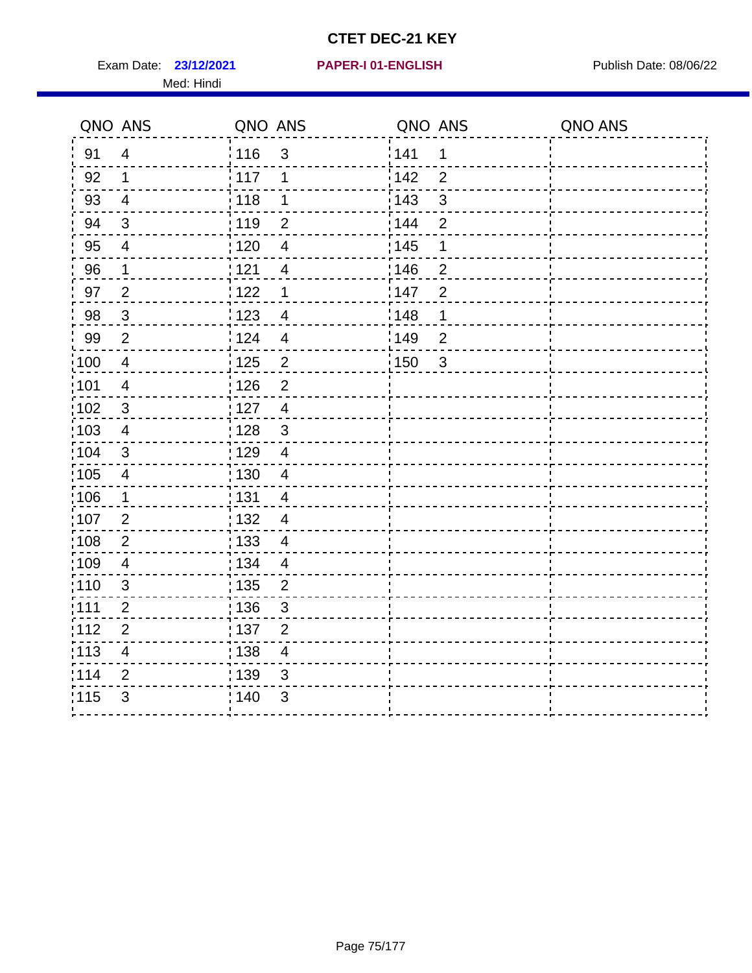Exam Date: 23/12/2021 PAPER-I 01-ENGLISH PREER Publish Date: 08/06/22 Med: Hindi

|                   | QNO ANS                  | QNO ANS |                         | QNO ANS           |                | QNO ANS |
|-------------------|--------------------------|---------|-------------------------|-------------------|----------------|---------|
| 91                | $\overline{4}$           | 116     | 3                       | 141               | $\mathbf 1$    |         |
| 92                | $\mathbf 1$              | 117     | 1                       | 142               | $\overline{2}$ |         |
| 93                | $\overline{4}$           | 118     | 1                       | 143               | 3              |         |
| 94                | 3                        | : 119   | $\overline{2}$          | 144               | $\overline{2}$ |         |
| 95                | 4                        | : 120   | $\overline{4}$          | : 145             | 1              |         |
| 96                | $\mathbf{1}$             | 121     | $\overline{4}$          | 146               | $\overline{2}$ |         |
| 97                | $\overline{2}$           | $122$   | $\mathbf 1$             | 147               | $\overline{2}$ |         |
| 98                | $\mathbf{3}$             | 123     | $\overline{4}$          | $\frac{1}{2}$ 148 | 1              |         |
| 99                | $\mathbf{2}$             | 124     | $\overline{4}$          | :149              | $\overline{2}$ |         |
| $\frac{1}{1}$ 100 | $\overline{4}$           | 125     | $\overline{2}$          | 150               | $\mathbf{3}$   |         |
| :101              | $\overline{\mathcal{A}}$ | 126     | $\overline{2}$          |                   |                |         |
| 102               | $\mathfrak{B}$           | : 127   | $\overline{4}$          |                   |                |         |
| 103               | $\overline{4}$           | 128     | $\mathfrak{3}$          |                   |                |         |
| 104               | $\sqrt{3}$               | 129     | $\overline{\mathbf{4}}$ |                   |                |         |
| 105               | $\overline{4}$           | : 130   | $\overline{4}$          |                   |                |         |
| :106              | $\mathbf 1$              | : 131   | $\overline{4}$          |                   |                |         |
| :107              | $\overline{2}$           | : 132   | $\overline{4}$          |                   |                |         |
| 108               | $\overline{2}$           | : 133   | $\overline{4}$          |                   |                |         |
| :109              | $\overline{\mathbf{4}}$  | : 134   | $\overline{4}$          |                   |                |         |
| :110              | 3                        | : 135   | $\overline{2}$          |                   |                |         |
| 111               | $\overline{c}$           | : 136   | $\mathfrak{S}$          |                   |                |         |
| 112               | $\mathbf 2$              | 137     | $\overline{2}$          |                   |                |         |
| : 113             | $\overline{\mathbf{4}}$  | : 138   | $\overline{4}$          |                   |                |         |
| 114               | 2                        | 139     | 3                       |                   |                |         |
| 115               | 3                        | 140     | $\sqrt{3}$              |                   |                |         |
|                   |                          |         |                         |                   |                |         |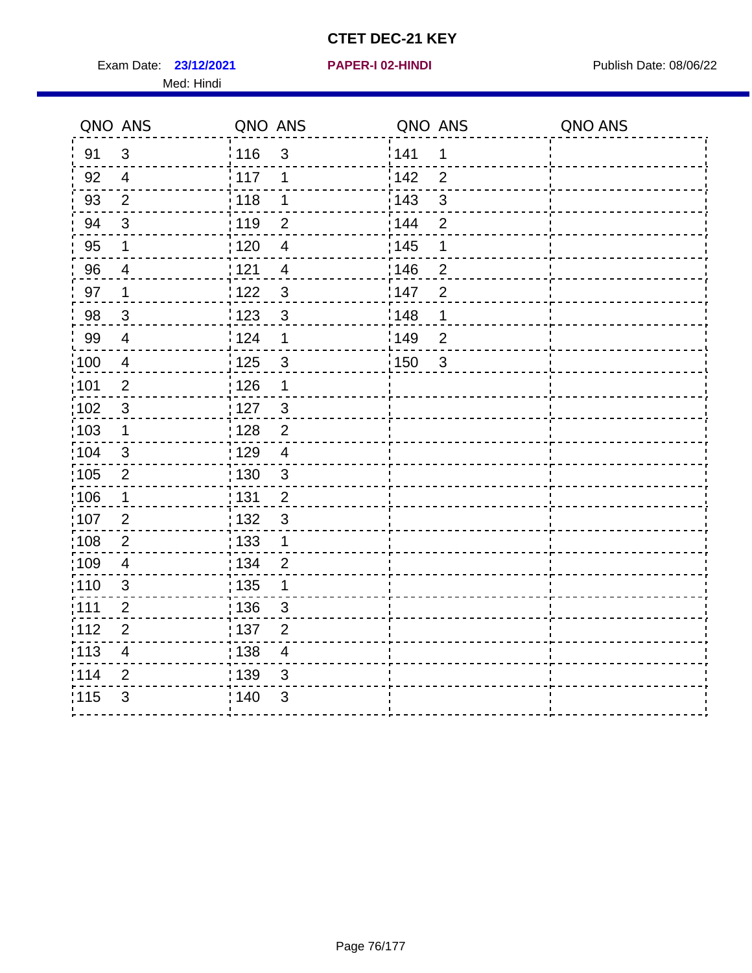Exam Date: 23/12/2021 **PAPER-I 02-HINDI Exam Date: 08/06/22** Med: Hindi

**23/12/2021 PAPER-I 02-HINDI**

|       | QNO ANS                 | QNO ANS |                          | QNO ANS           |                | QNO ANS |
|-------|-------------------------|---------|--------------------------|-------------------|----------------|---------|
| 91    | $\mathbf{3}$            | 116     | $\mathfrak{S}$           | 141               | $\mathbf 1$    |         |
| 92    | $\overline{4}$          | 117     | 1                        | 142               | $\overline{2}$ |         |
| 93    | $\overline{2}$          | 118     | $\mathbf 1$              | 143               | $\sqrt{3}$     |         |
| 94    | 3                       | : 119   | $\overline{2}$           | : 144             | 2              |         |
| 95    | 1                       | : 120   | $\overline{\mathcal{A}}$ | : 145             | 1              |         |
| 96    | 4                       | : 121   | $\overline{4}$           | 146               | $\overline{2}$ |         |
| 97    | 1                       | 122     | $\mathbf{3}$             | 147               | $\overline{2}$ |         |
| 98    | $\mathbf{3}$            | 123     | $\mathfrak{3}$           | 148               | 1              |         |
| 99    | $\overline{4}$          | 124     | $\mathbf 1$              | $\frac{1}{2}$ 149 | $\overline{2}$ |         |
| 100   | $\overline{4}$          | 125     | $\mathfrak{S}$           | 150               | $\sqrt{3}$     |         |
| :101  | $\overline{c}$          | : 126   | 1                        |                   |                |         |
| 102   | $\mathfrak{3}$          | : 127   | $\mathbf{3}$             |                   |                |         |
| 103   | $\mathbf 1$             | : 128   | $\overline{2}$           |                   |                |         |
| :104  | $\mathfrak{3}$          | : 129   | $\overline{\mathbf{4}}$  |                   |                |         |
| 105   | $\overline{2}$          | : 130   | $\mathbf{3}$             |                   |                |         |
| :106  | 1                       | : 131   | $\overline{2}$           |                   |                |         |
| 107   | $\overline{2}$          | : 132   | $\mathbf{3}$             |                   |                |         |
| 108   | $\overline{2}$          | 133     | $\mathbf{1}$             |                   |                |         |
| 109   | $\overline{\mathbf{4}}$ | : 134   | $\overline{2}$           |                   |                |         |
| :110  | $\mathfrak{S}$          | : 135   | 1                        |                   |                |         |
| :111  | $\overline{2}$          | : 136   | 3                        |                   |                |         |
| 112   | $\overline{2}$          | 137     | $\overline{2}$           |                   |                |         |
| : 113 | $\overline{\mathbf{4}}$ | : 138   | $\overline{\mathbf{4}}$  |                   |                |         |
| 114   | 2                       | 139     | 3                        |                   |                |         |
| 115   | 3                       | 140     | 3                        |                   |                |         |
|       |                         |         |                          |                   |                |         |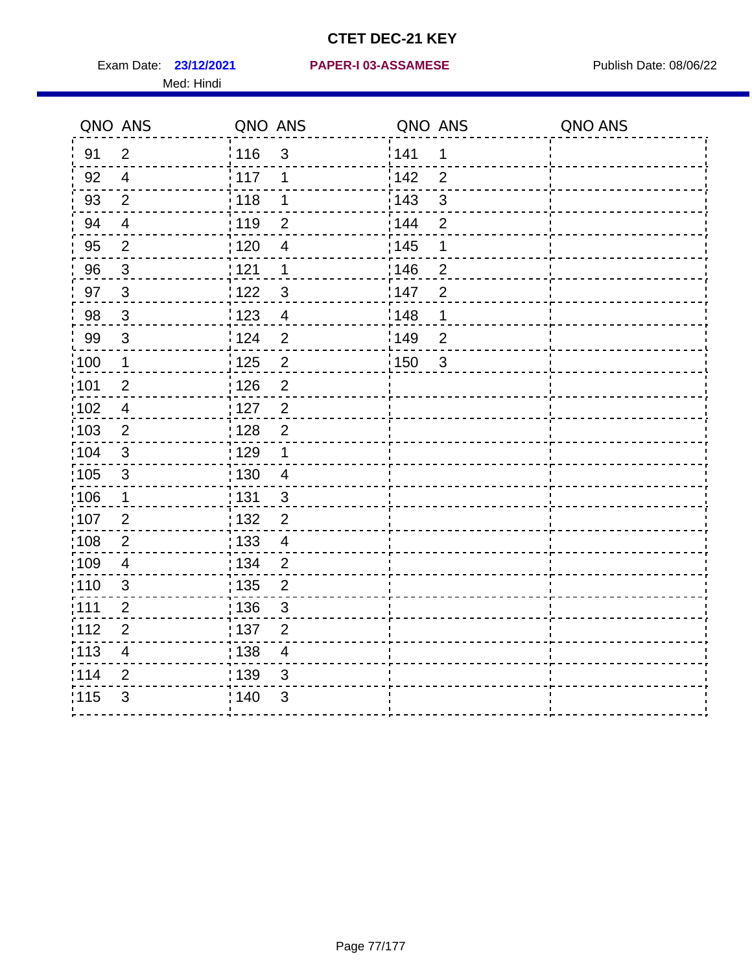Med: Hindi

|                   | QNO ANS                  | QNO ANS           |                | QNO ANS |                | QNO ANS |
|-------------------|--------------------------|-------------------|----------------|---------|----------------|---------|
| 91                | $\overline{2}$           | 116               | $\mathfrak{S}$ | 141     | $\mathbf 1$    |         |
| 92                | $\overline{4}$           | 117               | 1              | 142     | $\overline{2}$ |         |
| 93                | $\overline{2}$           | 118               | $\mathbf 1$    | 143     | 3              |         |
| 94                | $\overline{\mathcal{A}}$ | : 119             | $\overline{2}$ | 144     | $\overline{2}$ |         |
| 95                | $\overline{2}$           | :120              | $\overline{4}$ | : 145   | 1              |         |
| 96                | $\mathfrak{S}$           | : 121             | $\mathbf 1$    | 146     | $\overline{2}$ |         |
| 97                | $\mathbf{3}$             | : 122             | $\mathbf{3}$   | 147     | $\overline{2}$ |         |
| 98                | $\mathbf{3}$             | 123               | $\overline{4}$ | 148     | 1              |         |
| 99                | $\sqrt{3}$               | : 124             | $\overline{2}$ | :149    | $\mathbf 2$    |         |
| :100              | $\mathbf 1$              | $\frac{1}{1}$ 125 | $\overline{2}$ | 150     | $\sqrt{3}$     |         |
| :101              | $\overline{2}$           | : 126             | $\overline{2}$ |         |                |         |
| 102               | $\overline{4}$           | : 127             | $\overline{2}$ |         |                |         |
| 103               | $\overline{2}$           | :128              | $\overline{2}$ |         |                |         |
| 104               | $\sqrt{3}$               | : 129             | $\mathbf 1$    |         |                |         |
| 105               | $\sqrt{3}$               | : 130             | $\overline{4}$ |         |                |         |
| :106              | $\mathbf{1}$             | : 131             | $\mathbf{3}$   |         |                |         |
| :107              | $\overline{2}$           | : 132             | $\overline{2}$ |         |                |         |
| $\frac{1}{1}$ 108 | $\mathbf 2$              | $\frac{1}{1}$ 133 | $\overline{4}$ |         |                |         |
| :109              | $\overline{\mathcal{A}}$ | : 134             | $\overline{2}$ |         |                |         |
| :110              | 3                        | : 135             | $\overline{2}$ |         |                |         |
| 111               | $\overline{c}$           | : 136             | $\mathsf 3$    |         |                |         |
| 112               | $\mathbf{2}$             | 137               | $\mathbf{2}$   |         |                |         |
| : 113             | $\overline{\mathbf{4}}$  | : 138             | $\overline{4}$ |         |                |         |
| 114               | $\overline{2}$           | 139               | 3              |         |                |         |
| 115               | 3                        | 140               | $\sqrt{3}$     |         |                |         |
|                   |                          |                   |                |         |                |         |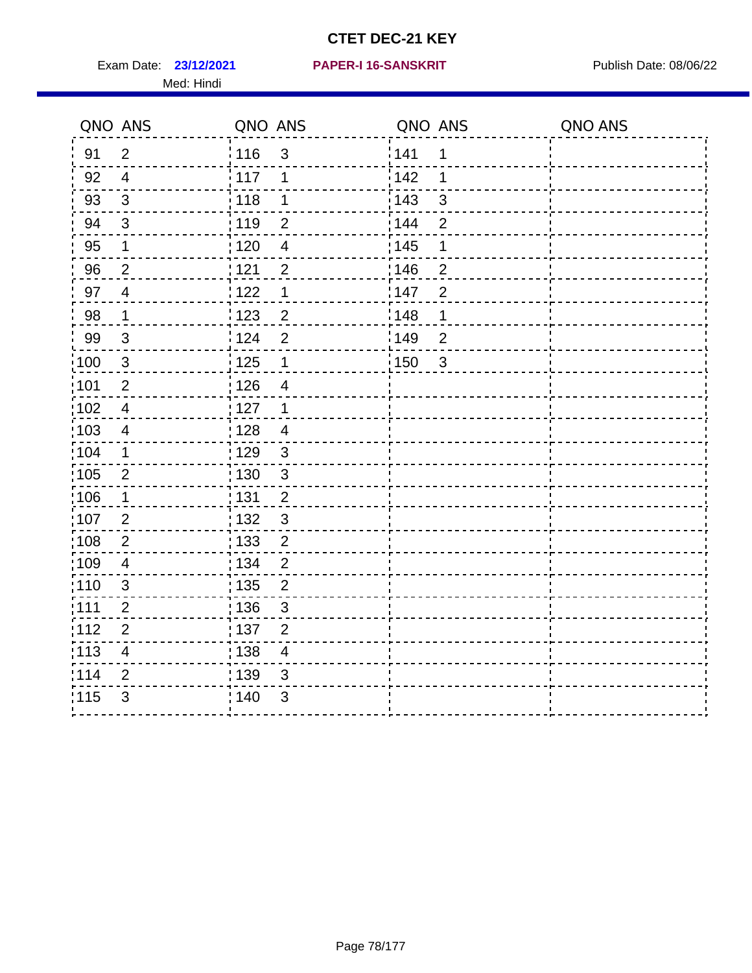Exam Date: 23/12/2021 PAPER-I 16-SANSKRIT Publish Date: 08/06/22 Med: Hindi

|                   | QNO ANS                 | QNO ANS           |                          | QNO ANS |                | QNO ANS |
|-------------------|-------------------------|-------------------|--------------------------|---------|----------------|---------|
| 91                | $\overline{2}$          | 116               | $\mathfrak{S}$           | 1141    | $\mathbf 1$    |         |
| 92                | $\overline{4}$          | $\frac{1}{2}$ 117 | 1                        | 142     | 1              |         |
| 93                | $\sqrt{3}$              | 118               | $\mathbf 1$              | 143     | $\mathsf 3$    |         |
| 94                | 3                       | : 119             | $\overline{2}$           | : 144   | $\overline{2}$ |         |
| 95                | 1                       | : 120             | $\overline{\mathcal{A}}$ | : 145   | 1              |         |
| 96                | $\overline{2}$          | : 121             | $\overline{2}$           | 146     | $\overline{2}$ |         |
| 97                | $\overline{\mathbf{4}}$ | 1122              | 1                        | 147     | $\overline{2}$ |         |
| 98                | $\mathbf 1$             | 1123              | $\overline{2}$           | 148     | 1              |         |
| 99                | $\sqrt{3}$              | 124               | $\overline{2}$           | :149    | $\mathbf 2$    |         |
| :100              | $\sqrt{3}$              | 125               | $\mathbf 1$              | 150     | $\mathbf{3}$   |         |
| :101              | $\overline{2}$          | : 126             | $\overline{4}$           |         |                |         |
| 102               | $\overline{4}$          | : 127             | 1                        |         |                |         |
| :103              | 4                       | : 128             | $\overline{4}$           |         |                |         |
| :104              | $\mathbf 1$             | : 129             | $\mathfrak{3}$           |         |                |         |
| 105               | $\mathbf 2$             | : 130             | $\mathsf 3$              |         |                |         |
| 106               | 1                       | : 131             | $\overline{2}$           |         |                |         |
| 107               | $\overline{2}$          | :132              | $\mathbf{3}$             |         |                |         |
| $\frac{1}{1}$ 108 | $\mathbf{2}$            | : 133             | $\overline{2}$           |         |                |         |
| :109              | $\overline{\mathbf{4}}$ | : 134             | $\overline{2}$           |         |                |         |
| :110              | 3                       | : 135             | $\overline{2}$           |         |                |         |
| 111               | $\overline{c}$          | : 136             | $\sqrt{3}$               |         |                |         |
| 112               | $\mathbf{2}$            | : 137             | $\mathbf{2}$             |         |                |         |
| : 113             | $\overline{\mathbf{4}}$ | : 138             | $\overline{4}$           |         |                |         |
| 114               | $\overline{2}$          | 139               | 3                        |         |                |         |
| 115               | 3                       | : 140             | $\mathfrak{B}$           |         |                |         |
|                   |                         |                   |                          |         |                |         |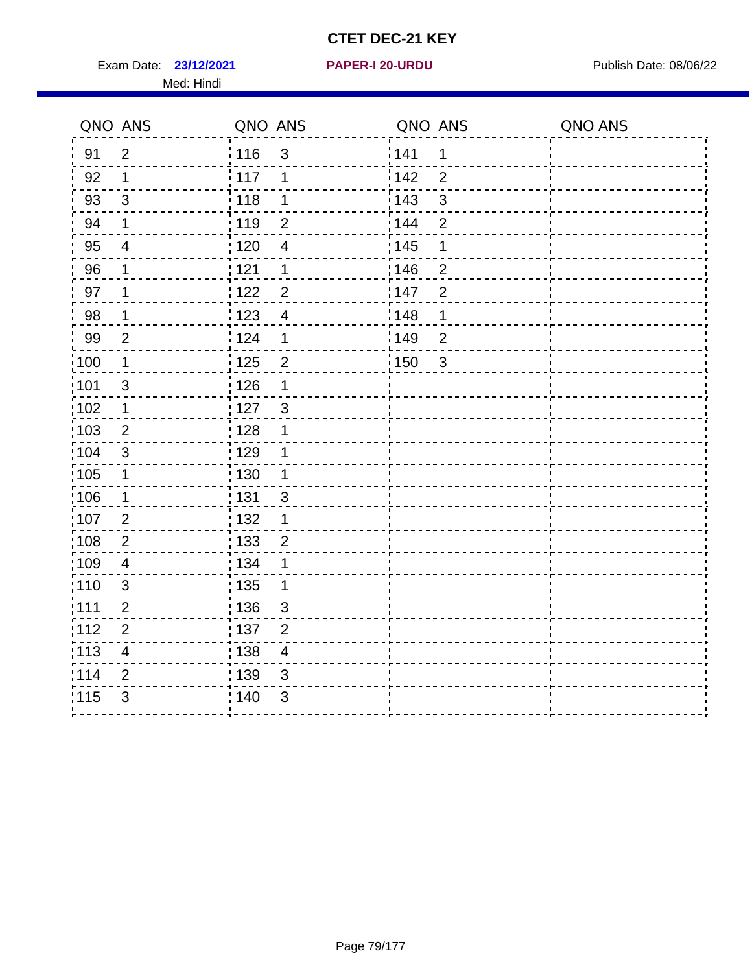Exam Date: 23/12/2021 **PAPER-I 20-URDU** PAPER 120-VIRDU Med: Hindi

**23/12/2021 PAPER-I 20-URDU**

|                   | QNO ANS                 | QNO ANS           |                          | QNO ANS           |                | QNO ANS |
|-------------------|-------------------------|-------------------|--------------------------|-------------------|----------------|---------|
| 91                | $\overline{2}$          | 116               | 3                        | 141               | $\mathbf 1$    |         |
| 92                | 1                       | 117               | 1                        | 142               | $\overline{2}$ |         |
| 93                | $\mathbf{3}$            | 118               | 1                        | 143               | $\mathsf 3$    |         |
| 94                | 1                       | : 119             | $\overline{2}$           | : 144             | $\overline{2}$ |         |
| 95                | $\overline{4}$          | : 120             | $\overline{\mathcal{A}}$ | : 145             | 1              |         |
| 96                | 1                       | 121               | 1                        | 146               | $\overline{2}$ |         |
| 97                | 1                       | 122               | $\overline{2}$           | 147               | $\overline{2}$ |         |
| 98                | $\mathbf{1}$            | $\frac{1}{2}$ 123 | $\overline{4}$           | $\frac{1}{2}$ 148 | $\mathbf 1$    |         |
| 99                | $\overline{2}$          | 124               | 1                        | 149               | $\overline{2}$ |         |
| $\frac{1}{1}$ 100 | $\mathbf 1$             | 125               | $\overline{c}$           | $\frac{1}{1}$ 150 | $\mathbf{3}$   |         |
| :101              | $\mathsf 3$             | 126               | 1                        |                   |                |         |
| 102               | $\mathbf 1$             | 127               | $\mathbf{3}$             |                   |                |         |
| 103               | 2                       | : 128             | 1                        |                   |                |         |
| :104              | $\mathbf{3}$            | : 129             | 1                        |                   |                |         |
| $\frac{1}{1}$ 105 | $\mathbf 1$             | : 130             | $\mathbf{1}$             |                   |                |         |
| :106              | $\mathbf 1$             | : 131             | $\mathbf{3}$             |                   |                |         |
| 107               | 2                       | : 132             | $\mathbf 1$              |                   |                |         |
| 108               | $\overline{2}$          | : 133             | $\overline{2}$           |                   |                |         |
| :109              | $\overline{\mathbf{4}}$ | : 134             | $\mathbf 1$              |                   |                |         |
| :110              | 3                       | 135               | 1                        |                   |                |         |
| ;111              | $\overline{2}$          | : 136             | $\sqrt{3}$               |                   |                |         |
| 112               | $\overline{2}$          | : 137             | $\overline{2}$           |                   |                |         |
| 113               | $\overline{\mathbf{4}}$ | : 138             | $\overline{\mathbf{4}}$  |                   |                |         |
| 114               | $\overline{2}$          | : 139             | 3                        |                   |                |         |
| 115               | $\mathfrak{S}$          | 140               | $\mathfrak{S}$           |                   |                |         |
|                   |                         |                   |                          |                   |                |         |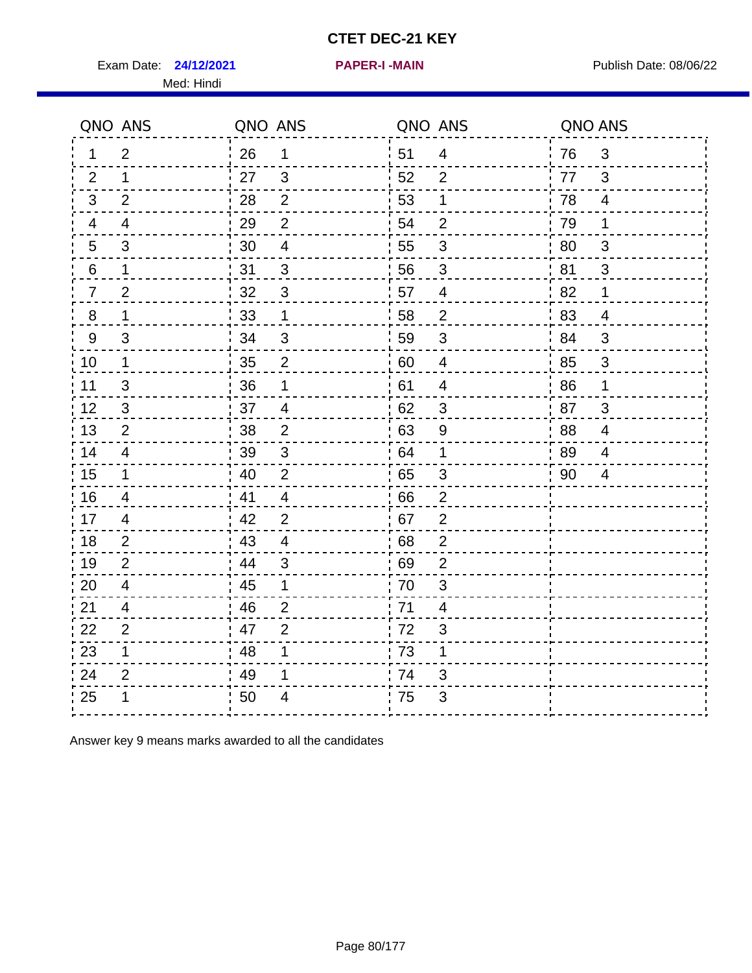Exam Date: 24/12/2021 **PAPER-I-MAIN Exam Date: 08/06/22** Med: Hindi

**24/12/2021 PAPER-I -MAIN**

|                 | QNO ANS        | QNO ANS |                         | QNO ANS          |                         | QNO ANS |                |
|-----------------|----------------|---------|-------------------------|------------------|-------------------------|---------|----------------|
| 1               | $\overline{2}$ | 26      | $\mathbf{1}$            | 51               | $\overline{4}$          | 76      | 3              |
| 2               | 1              | 27      | 3                       | 52               | 2                       | 77      | 3              |
| 3               | 2              | 28      | $\overline{2}$          | 53               | 1                       | 78      | $\overline{4}$ |
| 4               | 4              | 29      | $\overline{2}$          | 54               | $\overline{2}$          | 79      | 1              |
| $5\phantom{.0}$ | $\mathfrak{B}$ | 30      | $\overline{\mathbf{4}}$ | 55               | $\sqrt{3}$              | 80      | 3              |
| 6               | 1              | 31      | 3                       | 56               | 3                       | .81     | 3              |
| $\overline{7}$  | $\overline{2}$ | 32      | $\mathfrak{B}$          | 57               | $\overline{4}$          | 82      | 1              |
| 8               | 1              | 33      | $\mathbf 1$             | 58               | $\mathbf 2$             | 83      | $\overline{4}$ |
| $9\,$           | 3              | 34      | 3                       | 59               | 3                       | 84      | 3              |
| 10              | $\mathbf{1}$   | 35      | $\overline{2}$          | 60               | $\overline{4}$          | 85      | $\mathbf{3}$   |
| 11              | 3              | 36      | $\mathbf 1$             | 61               | $\overline{\mathbf{4}}$ | 86      | $\mathbf 1$    |
| 12              | $\mathfrak{B}$ | 37      | $\overline{4}$          | 62               | $\sqrt{3}$              | 87      | 3              |
| 13              | 2              | 38      | 2                       | 63               | 9                       | 88      | $\overline{4}$ |
| 14              | 4              | 39      | 3                       | 64               | 1                       | 89      | 4              |
| 15              | $\mathbf 1$    | 40      | $\overline{2}$          | 65               | $\mathfrak{S}$          | 90      | 4              |
| 16              | $\overline{4}$ | 41      | $\overline{4}$          | 66               | $\overline{2}$          |         |                |
| 17              | $\overline{4}$ | 42      | 2                       | 67               | $\overline{2}$          |         |                |
| 18              | 2              | 43      | $\overline{4}$          | 68               | $\overline{2}$          |         |                |
| 19              | $\overline{2}$ | 44      | 3                       | 69               | $\mathbf{2}$            |         |                |
| 20              | $\overline{4}$ | 45      | 1                       | 70               | $\mathfrak{S}$          |         |                |
| 21              | 4              | 46      | $\overline{2}$          | 71               | 4                       |         |                |
| 22              | $\overline{2}$ | 47      | $\overline{2}$          | 72               | $\mathfrak{S}$          |         |                |
| 23              | 1              | 48      | 1                       | $\frac{1}{1}$ 73 | 1                       |         |                |
| 24              | $\overline{2}$ | 49      | 1                       | 74               | 3                       |         |                |
| 25              |                | 50      | 4                       | 75               | 3                       |         |                |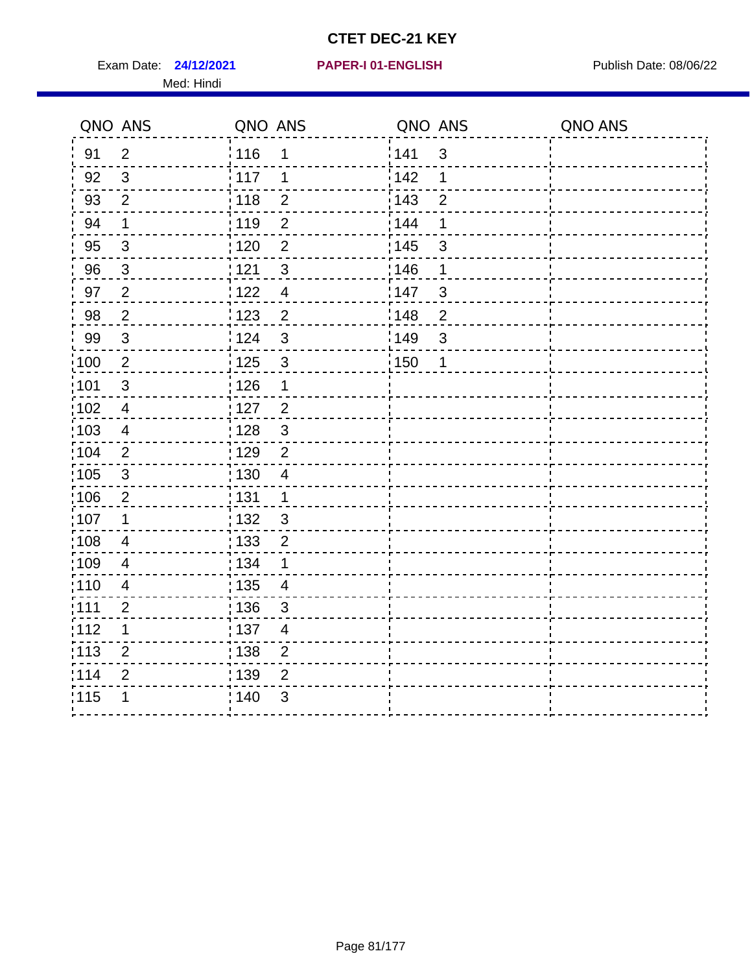Exam Date: 24/12/2021 PAPER-I 01-ENGLISH PREER Publish Date: 08/06/22 Med: Hindi

|                   | QNO ANS                   | QNO ANS           |                | QNO ANS |                | QNO ANS |
|-------------------|---------------------------|-------------------|----------------|---------|----------------|---------|
| 91                | $\overline{2}$            | 116               | 1              | 141     | $\mathfrak{S}$ |         |
| 92                | $\mathfrak{S}$            | 117               | 1              | 142     | 1              |         |
| 93                | $\overline{2}$            | 118               | $\overline{2}$ | 143     | $\overline{2}$ |         |
| 94                | 1                         | : 119             | $\overline{2}$ | 144     | 1              |         |
| 95                | 3                         | : 120             | $\overline{2}$ | : 145   | 3              |         |
| 96                | $\mathfrak{S}$            | 121               | $\mathfrak{S}$ | 146     | 1              |         |
| 97                | $\overline{2}$            | $122$             | $\overline{4}$ | 147     | 3              |         |
| 98                | $\overline{c}$            | $\frac{1}{2}$ 123 | $\overline{c}$ | 148     | $\overline{c}$ |         |
| 99                | $\ensuremath{\mathsf{3}}$ | 124               | 3              | ¦149    | 3              |         |
| $\frac{1}{1}$ 100 | $\sqrt{2}$                | 125               | $\mathfrak{3}$ | 150     | 1              |         |
| :101              | $\mathsf 3$               | 126               | 1              |         |                |         |
| 102               | $\overline{4}$            | 127               | $\overline{2}$ |         |                |         |
| 103               | $\overline{4}$            | 128               | $\mathfrak{3}$ |         |                |         |
| 104               | $\overline{2}$            | : 129             | $\overline{2}$ |         |                |         |
| 105               | $\sqrt{3}$                | : 130             | $\overline{4}$ |         |                |         |
| 106               | $\overline{2}$            | : 131             | $\mathbf 1$    |         |                |         |
| :107              | $\mathbf 1$               | : 132             | 3              |         |                |         |
| $\frac{1}{1}$ 108 | $\overline{4}$            | $\frac{1}{1}$ 133 | $\mathbf 2$    |         |                |         |
| :109              | $\overline{\mathbf{4}}$   | : 134             | 1              |         |                |         |
| :110              | $\overline{4}$            | : 135             | 4              |         |                |         |
| :111              | $\overline{c}$            | : 136             | $\mathfrak{S}$ |         |                |         |
| 112               | 1                         | $\frac{1}{1}$ 137 | $\overline{4}$ |         |                |         |
| 113               | $\overline{2}$            | 138               | $\overline{c}$ |         |                |         |
| 114               | 2                         | : 139             | $\overline{2}$ |         |                |         |
| 115               | 1                         | 140               | $\sqrt{3}$     |         |                |         |
|                   |                           |                   |                |         |                |         |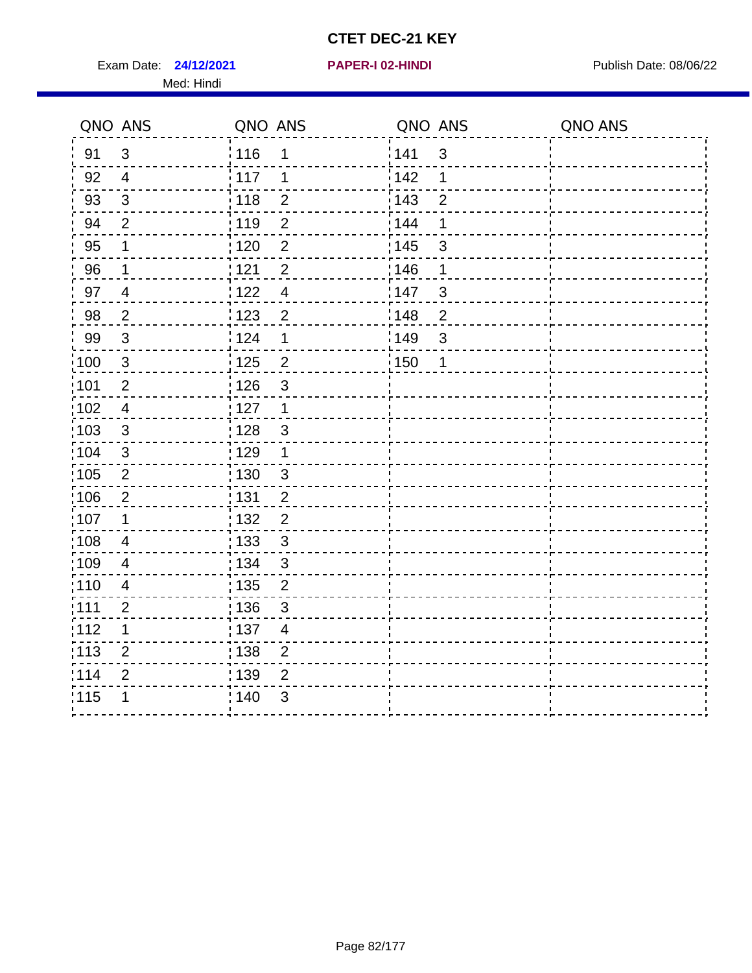Exam Date: **24/12/2021 PAPER-I 02-HINDI Exam Date: 08/06/22** Med: Hindi

**24/12/2021 PAPER-I 02-HINDI**

|                   | QNO ANS        | QNO ANS           |                         | QNO ANS           |                | QNO ANS |
|-------------------|----------------|-------------------|-------------------------|-------------------|----------------|---------|
| 91                | 3              | : 116             | 1                       | 141               | $\mathbf{3}$   |         |
| 92                | $\overline{4}$ | 117               | 1                       | 142               | 1              |         |
| 93                | $\sqrt{3}$     | 118               | $\overline{2}$          | 143               | $\overline{2}$ |         |
| 94                | $\overline{2}$ | : 119             | $\overline{2}$          | : 144             | 1              |         |
| 95                | 1              | 120               | $\overline{2}$          | : 145             | 3              |         |
| 96                | 1              | 121               | $\overline{2}$          | 146               | 1              |         |
| 97                | $\overline{4}$ | 122               | $\overline{4}$          | 147               | $\mathfrak{S}$ |         |
| 98                | $\overline{a}$ | : 123             | $\overline{2}$          | 148               | $\overline{2}$ |         |
| 99                | $\sqrt{3}$     | ່ 124             | 1                       | :149              | $\mathfrak{S}$ |         |
| $\frac{1}{1}$ 100 | $\sqrt{3}$     | $\frac{1}{1}$ 125 | $\overline{2}$          | $\frac{1}{1}$ 150 | $\mathbf 1$    |         |
| 101               | $\mathbf 2$    | : 126             | 3                       |                   |                |         |
| 102               | $\overline{4}$ | 127               | $\mathbf{1}$            |                   |                |         |
| 103               | 3              | : 128             | $\mathbf{3}$            |                   |                |         |
| 104               | $\mathbf{3}$   | : 129             | $\mathbf 1$             |                   |                |         |
| 105               | $\overline{2}$ | : 130             | $\mathfrak{S}$          |                   |                |         |
| :106              | $\overline{2}$ | : 131             | $\overline{2}$          |                   |                |         |
| :107              | 1              | : 132             | $\overline{2}$          |                   |                |         |
| 108               | $\overline{4}$ | $\frac{1}{1}$ 133 | $\mathfrak{S}$          |                   |                |         |
| :109              | $\overline{4}$ | : 134             | $\mathfrak{3}$          |                   |                |         |
| :110              | $\overline{4}$ | 135               | $\overline{2}$          |                   |                |         |
| :111              | $\overline{2}$ | : 136             | $\mathfrak{S}$          |                   |                |         |
| 112               | 1              | : 137             | $\overline{\mathbf{4}}$ |                   |                |         |
| : 113             | $\overline{2}$ | : 138             | $\overline{2}$          |                   |                |         |
| 114               | $\overline{2}$ | : 139             | $\overline{2}$          |                   |                |         |
| 115               | 1              | 140               | 3                       |                   |                |         |
|                   |                |                   |                         |                   |                |         |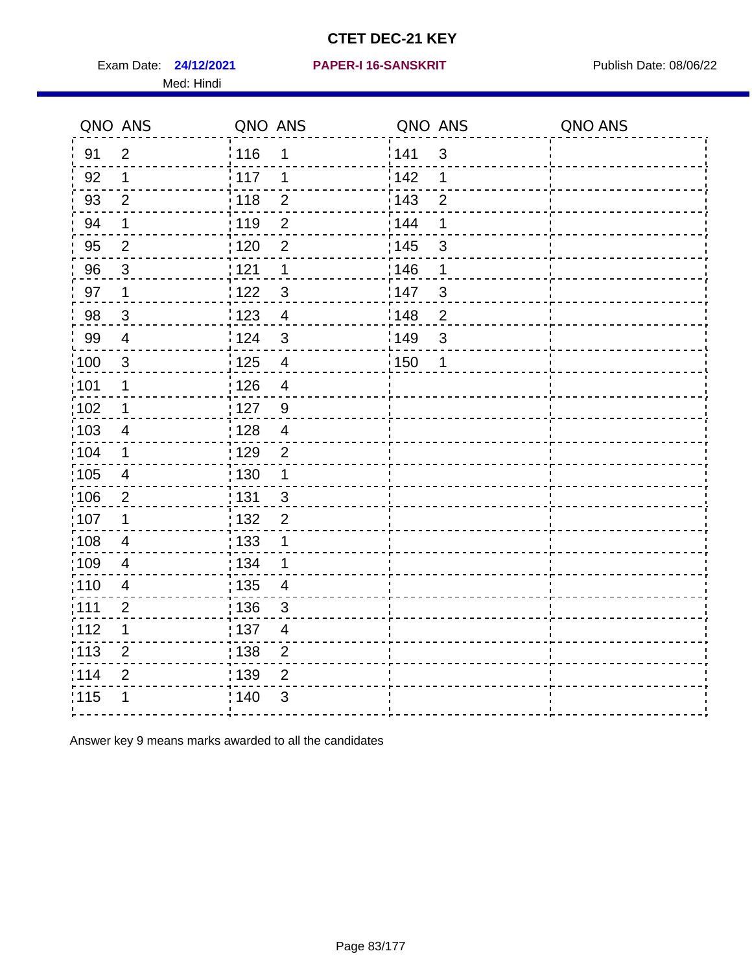Exam Date: 24/12/2021 PAPER-I 16-SANSKRIT Publish Date: 08/06/22 Med: Hindi

|                   | QNO ANS                  | QNO ANS           |                         | QNO ANS |                | QNO ANS |
|-------------------|--------------------------|-------------------|-------------------------|---------|----------------|---------|
| 91                | $\overline{2}$           | : 116             | 1                       | 141     | $\mathfrak{S}$ |         |
| 92                | $\mathbf 1$              | 117               | 1                       | 142     | 1              |         |
| 93                | $\overline{2}$           | 118               | $\overline{c}$          | 143     | $\overline{2}$ |         |
| 94                | $\mathbf 1$              | : 119             | $\overline{2}$          | 144     | 1              |         |
| 95                | $\overline{2}$           | : 120             | $\overline{2}$          | : 145   | $\mathfrak{B}$ |         |
| 96                | 3                        | 1121              | 1                       | 146     | 1              |         |
| 97                | $\mathbf 1$              | 122               | $\mathfrak{S}$          | 147     | $\mathfrak{S}$ |         |
| 98                | $\mathbf{3}$             | 123               | $\overline{4}$          | 148     | $\overline{c}$ |         |
| 99                | $\overline{\mathbf{4}}$  | 124               | $\mathbf{3}$            | :149    | $\mathfrak{S}$ |         |
| 100               | $\sqrt{3}$               | 125               | $\overline{\mathbf{4}}$ | 150     | 1              |         |
| 101               | $\mathbf 1$              | : 126             | $\overline{4}$          |         |                |         |
| $\frac{1}{1}$ 102 | $\mathbf{1}$             | 127               | $\overline{9}$          |         |                |         |
| 103               | $\overline{4}$           | : 128             | $\overline{4}$          |         |                |         |
| 104               | $\mathbf 1$              | : 129             | $\overline{2}$          |         |                |         |
| :105              | $\overline{\mathcal{A}}$ | : 130             | $\mathbf 1$             |         |                |         |
| 106               | 2                        | : 131             | $\mathbf{3}$            |         |                |         |
| 107               | 1                        | : 132             | $\overline{2}$          |         |                |         |
| 108               | $\overline{4}$           | : 133             | $\mathbf 1$             |         |                |         |
| $\frac{1}{1}$ 109 | $\overline{\mathbf{4}}$  | : 134             | $\mathbf 1$             |         |                |         |
| :110              | $\overline{4}$           | $\frac{1}{1}$ 135 | $\overline{4}$          |         |                |         |
| : 111             | $\overline{2}$           | : 136             | 3                       |         |                |         |
| 112               | $\mathbf 1$              | : 137             | $\overline{4}$          |         |                |         |
| : 113             | $\mathbf{2}$             | 138               | $\overline{c}$          |         |                |         |
| 114               | $\mathbf{2}$             | : 139             | $\overline{2}$          |         |                |         |
| 115               | 1                        | : 140             | 3                       |         |                |         |
|                   |                          |                   |                         |         |                |         |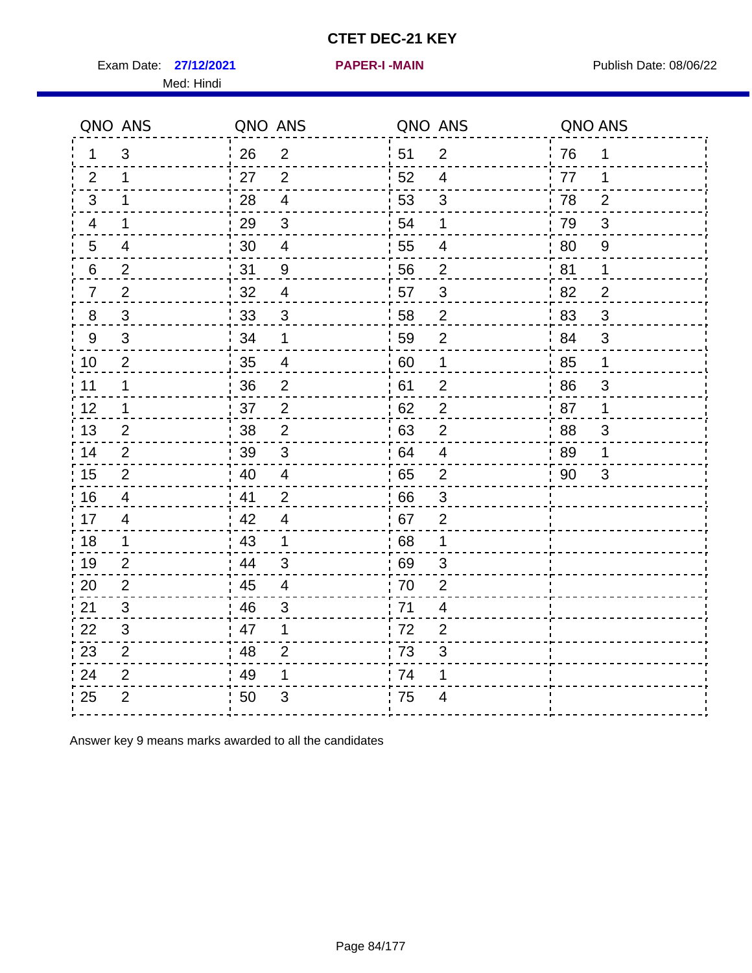Exam Date: 27/12/2021 **PAPER-I-MAIN PROVIDED BY A PUBLISH Date: 08/06/22** Med: Hindi

**27/12/2021 PAPER-I -MAIN**

|                  | QNO ANS        | QNO ANS |                          |    | QNO ANS                 | QNO ANS |                |
|------------------|----------------|---------|--------------------------|----|-------------------------|---------|----------------|
| 1.               | 3              | 26      | 2                        | 51 | $\overline{2}$          | 76      | 1              |
| 2                | 1              | 27      | 2                        | 52 | $\overline{4}$          | 77      | 1              |
| 3                | 1              | 28      | $\overline{4}$           | 53 | 3                       | 78      | $\overline{2}$ |
| 4                | 1              | 29      | $\mathfrak{B}$           | 54 | 1                       | 79      | 3              |
| $5\phantom{.0}$  | 4              | 30      | $\overline{\mathbf{4}}$  | 55 | $\overline{\mathbf{4}}$ | 80      | $\overline{9}$ |
| 6                | $\overline{2}$ | 31      | 9                        | 56 | 2                       | 81      | 1              |
| $\overline{7}$   | $\overline{2}$ | 32      | $\overline{4}$           | 57 | $\mathfrak{S}$          | 82      | $\overline{2}$ |
| 8                | $\mathfrak{S}$ | 33      | 3                        | 58 | $\overline{2}$          | 83      | 3              |
| $\boldsymbol{9}$ | $\mathfrak{S}$ | 34      | $\mathbf 1$              | 59 | $\overline{2}$          | 84      | 3              |
| 10               | $\overline{c}$ | 35      | $\overline{\mathcal{A}}$ | 60 | $\mathbf 1$             | 85      | $\mathbf 1$    |
| 11               | $\mathbf 1$    | 36      | $\mathbf 2$              | 61 | $\mathbf 2$             | 86      | 3              |
| 12               | 1              | 37      | $\overline{2}$           | 62 | $\mathbf 2$             | 87      | $\mathbf 1$    |
| 13               | 2              | 38      | $\overline{2}$           | 63 | $\overline{2}$          | 88      | 3              |
| 14               | 2              | 39      | 3                        | 64 | $\overline{4}$          | 89      | 1              |
| 15               | $\overline{2}$ | 40      | $\overline{4}$           | 65 | $\mathbf 2$             | 90      | 3              |
| 16               | $\overline{4}$ | 41      | 2                        | 66 | 3                       |         |                |
| 17               | $\overline{4}$ | 42      | $\overline{4}$           | 67 | $\overline{2}$          |         |                |
| 18               | 1              | 43      | $\mathbf 1$              | 68 | 1                       |         |                |
| 19               | $\overline{2}$ | 44      | 3                        | 69 | 3                       |         |                |
| 20               | $\overline{2}$ | 45      | $\overline{\mathbf{4}}$  | 70 | $\overline{2}$          |         |                |
| 21               | 3              | 46      | 3                        | 71 | 4                       |         |                |
| 22               | 3              | 47      | 1                        | 72 | $\overline{2}$          |         |                |
| 23               | $\overline{2}$ | 48      | $\overline{2}$           | 73 | 3                       |         |                |
| 24               | $\overline{2}$ | 49      | 1                        | 74 | 1                       |         |                |
| 25               | $\overline{2}$ | 50      | 3                        | 75 | 4                       |         |                |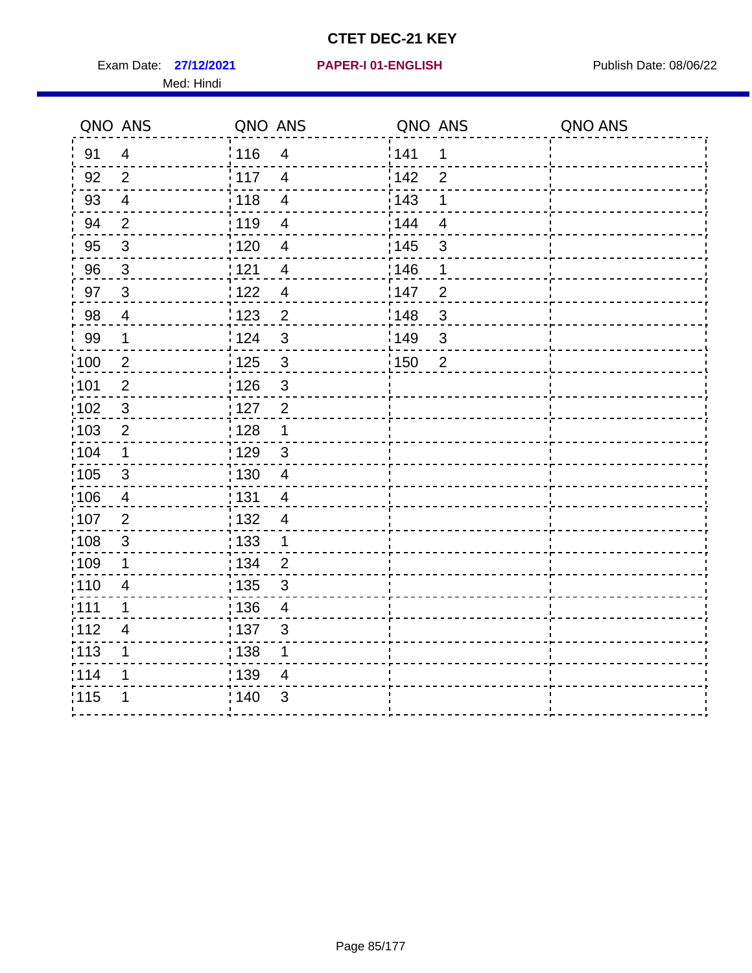Exam Date: 27/12/2021 PAPER-I 01-ENGLISH PREER Publish Date: 08/06/22 Med: Hindi

|                   | QNO ANS                 | QNO ANS           |                          | QNO ANS           |                | QNO ANS |
|-------------------|-------------------------|-------------------|--------------------------|-------------------|----------------|---------|
| 91                | $\overline{4}$          | 116               | $\overline{\mathbf{4}}$  | 141               | $\mathbf 1$    |         |
| 92                | $\overline{2}$          | 117               | $\overline{4}$           | 142               | $\overline{2}$ |         |
| 93                | $\overline{4}$          | 118               | $\overline{4}$           | 143               | 1              |         |
| 94                | $\overline{2}$          | : 119             | $\overline{\mathcal{A}}$ | 144               | $\overline{4}$ |         |
| 95                | $\mathfrak{S}$          | : 120             | $\overline{4}$           | : 145             | 3              |         |
| 96                | $\mathbf{3}$            | 121               | $\overline{\mathcal{A}}$ | 146               | 1              |         |
| 97                | $\mathbf{3}$            | $122$             | $\overline{4}$           | 147               | $\overline{2}$ |         |
| 98                | $\overline{\mathbf{4}}$ | $\frac{1}{2}$ 123 | $\overline{c}$           | $\frac{1}{2}$ 148 | $\mathbf{3}$   |         |
| 99                | $\mathbf{1}$            | 124               | $\mathfrak{S}$           | ¦149              | 3              |         |
| $\frac{1}{1}$ 100 | $\overline{2}$          | 125               | $\mathbf{3}$             | 150               | $\overline{2}$ |         |
| :101              | $\mathbf 2$             | 126               | $\mathfrak{S}$           |                   |                |         |
| 102               | $\mathbf{3}$            | : 127             | $\overline{2}$           |                   |                |         |
| 103               | $\overline{2}$          | : 128             | $\mathbf{1}$             |                   |                |         |
| 104               | $\mathbf 1$             | ;129              | $\mathfrak{3}$           |                   |                |         |
| 105               | $\sqrt{3}$              | : 130             | $\overline{4}$           |                   |                |         |
| 106               | 4                       | : 131             | $\overline{4}$           |                   |                |         |
| :107              | $\overline{2}$          | : 132             | $\overline{4}$           |                   |                |         |
| 108               | $\sqrt{3}$              | : 133             | $\mathbf{1}$             |                   |                |         |
| ;109              | 1                       | : 134             | $\overline{2}$           |                   |                |         |
| :110              | 4                       | : 135             | 3                        |                   |                |         |
| 111               | 1                       | : 136             | $\overline{4}$           |                   |                |         |
| 112               | $\overline{4}$          | 137               | $\mathfrak{S}$           |                   |                |         |
| : 113             | 1                       | 138               | 1                        |                   |                |         |
| 114               | 1                       | : 139             | 4                        |                   |                |         |
| 115               | 1                       | 140               | $\sqrt{3}$               |                   |                |         |
|                   |                         |                   |                          |                   |                |         |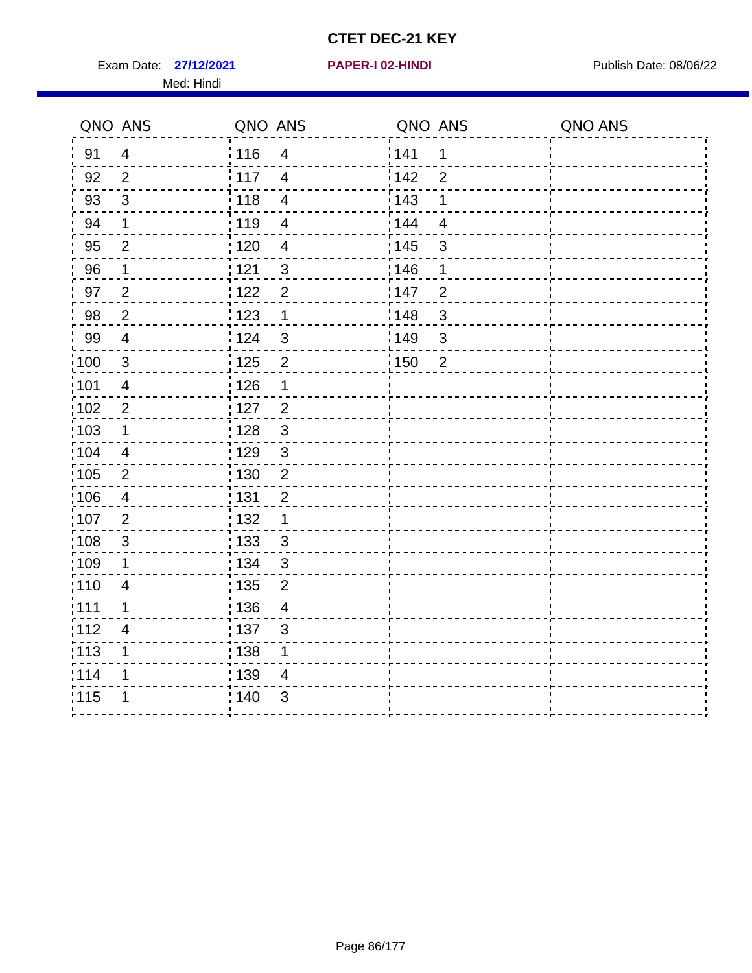Exam Date: 27/12/2021 **PAPER-I 02-HINDI Exam Date: 08/06/22** Med: Hindi

**27/12/2021 PAPER-I 02-HINDI**

|       | QNO ANS                   | QNO ANS           |                          | QNO ANS |                | QNO ANS |
|-------|---------------------------|-------------------|--------------------------|---------|----------------|---------|
| 91    | $\overline{4}$            | 116               | $\overline{\mathbf{4}}$  | 141     | $\mathbf 1$    |         |
| 92    | $\overline{2}$            | 117               | $\overline{4}$           | 142     | $\overline{2}$ |         |
| 93    | $\sqrt{3}$                | 118               | $\overline{4}$           | 143     | 1              |         |
| 94    | 1                         | : 119             | $\overline{\mathbf{4}}$  | : 144   | $\overline{4}$ |         |
| 95    | $\overline{2}$            | :120              | 4                        | : 145   | 3              |         |
| 96    | $\mathbf{1}$              | 121               | $\mathfrak{S}$           | 146     | 1              |         |
| 97    | $\mathbf 2$               | 122               | $\overline{2}$           | :147    | $\overline{2}$ |         |
| 98    | $\overline{c}$            | 123               | $\mathbf 1$              | 148     | $\sqrt{3}$     |         |
| 99    | $\overline{4}$            | : 124             | $\sqrt{3}$               | :149    | $\sqrt{3}$     |         |
| :100  | $\sqrt{3}$                | 125               | $\overline{2}$           | 150     | $\overline{2}$ |         |
| :101  | $\overline{\mathbf{4}}$   | : 126             | $\mathbf 1$              |         |                |         |
| 102   | $\overline{2}$            | : 127             | $\overline{2}$           |         |                |         |
| 103   | $\mathbf 1$               | : 128             | $\mathbf{3}$             |         |                |         |
| 104   | $\overline{4}$            | : 129             | $\mathfrak{3}$           |         |                |         |
| 105   | $\sqrt{2}$                | 130               | $\mathbf 2$              |         |                |         |
| :106  | $\overline{4}$            | : 131             | $\overline{2}$           |         |                |         |
| ;107  | $\overline{2}$            | : 132             | $\mathbf 1$              |         |                |         |
| 108   | $\ensuremath{\mathsf{3}}$ | $\frac{1}{1}$ 133 | $\mathbf{3}$             |         |                |         |
| :109  | 1                         | : 134             | $\mathfrak{3}$           |         |                |         |
| :110  | $\overline{4}$            | : 135             | 2                        |         |                |         |
| : 111 | $\mathbf 1$               | : 136             | $\overline{\mathcal{A}}$ |         |                |         |
| 112   | 4                         | : 137             | $\sqrt{3}$               |         |                |         |
| 113   | 1                         | : 138             | 1                        |         |                |         |
| 114   | 1                         | : 139             | 4                        |         |                |         |
| 115   | 1                         | 140               | $\sqrt{3}$               |         |                |         |
|       |                           |                   |                          |         |                |         |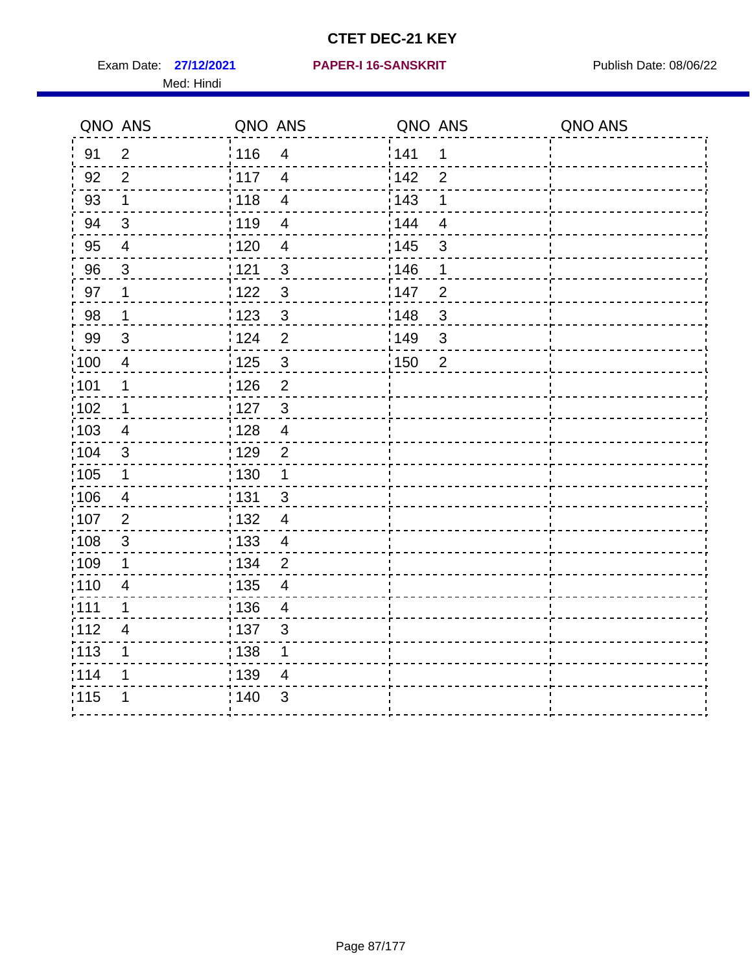Exam Date: 27/12/2021 PAPER-I 16-SANSKRIT Publish Date: 08/06/22 Med: Hindi

|                   | QNO ANS                   | QNO ANS           |                          | QNO ANS |                | QNO ANS |
|-------------------|---------------------------|-------------------|--------------------------|---------|----------------|---------|
| 91                | $\overline{2}$            | 116               | $\overline{\mathbf{4}}$  | 1141    | $\mathbf 1$    |         |
| 92                | $\overline{2}$            | $\frac{1}{117}$   | $\overline{4}$           | 142     | $\overline{2}$ |         |
| 93                | $\mathbf 1$               | 118               | $\overline{\mathbf{4}}$  | 143     | 1              |         |
| 94                | 3                         | : 119             | $\overline{4}$           | : 144   | $\overline{4}$ |         |
| 95                | $\overline{\mathcal{A}}$  | : 120             | $\overline{\mathcal{A}}$ | : 145   | 3              |         |
| 96                | 3                         | : 121             | $\mathfrak{S}$           | 146     | 1              |         |
| 97                | 1                         | 1122              | $\sqrt{3}$               | 147     | $\overline{c}$ |         |
| 98                | $\mathbf{1}$              | 1123              | $\mathbf{3}$             | 148     | $\sqrt{3}$     |         |
| 99                | $\sqrt{3}$                | 124               | $\overline{2}$           | :149    | $\sqrt{3}$     |         |
| $\frac{1}{1}$ 100 | $\overline{\mathbf{4}}$   | 125               | $\mathbf{3}$             | 150     | $\overline{2}$ |         |
| :101              | 1                         | : 126             | $\overline{2}$           |         |                |         |
| 102               | 1                         | : 127             | $\mathbf{3}$             |         |                |         |
| :103              | 4                         | : 128             | $\overline{4}$           |         |                |         |
| :104              | $\mathfrak{B}$            | : 129             | $\overline{2}$           |         |                |         |
| 105               | $\mathbf 1$               | $\frac{1}{1}$ 130 | $\mathbf 1$              |         |                |         |
| 106               | 4                         | : 131             | 3                        |         |                |         |
| 107               | 2                         | :132              | $\overline{4}$           |         |                |         |
| $\frac{1}{1}$ 108 | $\ensuremath{\mathsf{3}}$ | : 133             | $\overline{4}$           |         |                |         |
| :109              | $\mathbf 1$               | : 134             | $\overline{2}$           |         |                |         |
| :110              | 4                         | : 135             | 4                        |         |                |         |
| 111               | 1                         | : 136             | $\overline{4}$           |         |                |         |
| 112               | $\overline{4}$            | $\frac{1}{1}$ 137 | $\mathfrak{S}$           |         |                |         |
| : 113             | 1                         | : 138             | 1                        |         |                |         |
| 114               | 1                         | 139               | 4                        |         |                |         |
| 115               | 1                         | : 140             | $\mathfrak{B}$           |         |                |         |
|                   |                           |                   |                          |         |                |         |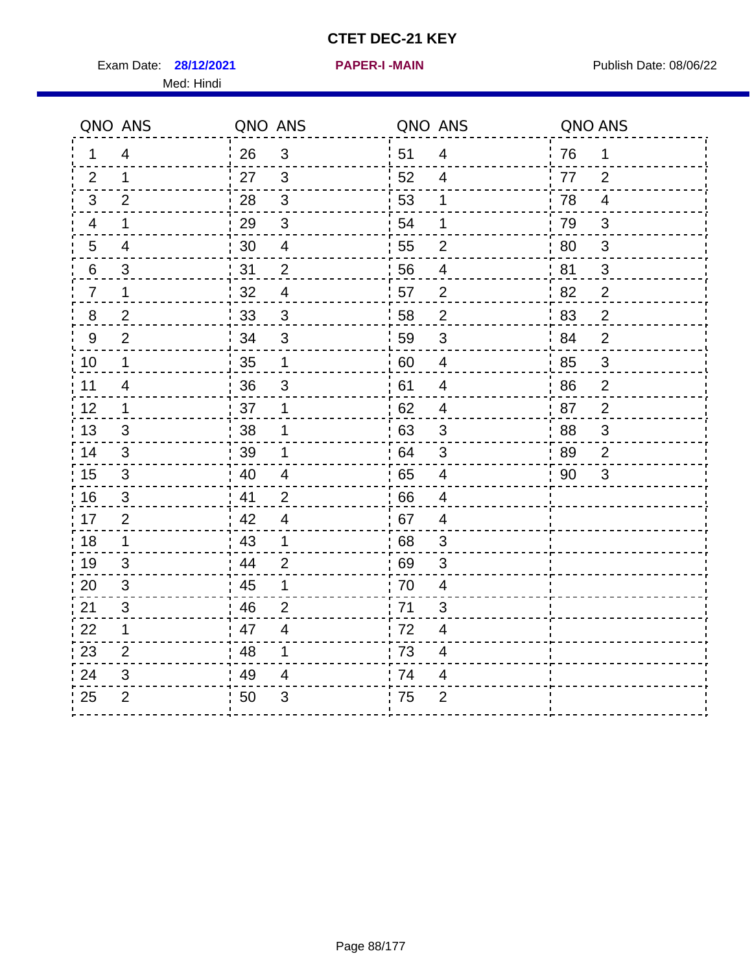Exam Date: **28/12/2021 PAPER-I-MAIN Exam Date: 08/06/22** Med: Hindi

**28/12/2021 PAPER-I -MAIN**

|                | QNO ANS                 | QNO ANS |                          |                  | QNO ANS                  | QNO ANS |                         |
|----------------|-------------------------|---------|--------------------------|------------------|--------------------------|---------|-------------------------|
| 1              | 4                       | 26      | $\mathbf{3}$             | ¦ 51             | 4                        | 76      | $\mathbf 1$             |
| 2              | $\mathbf{1}$            | 27      | $\mathbf{3}$             | 52               | $\overline{4}$           | 77      | 2                       |
| 3              | $\overline{2}$          | 28      | $\sqrt{3}$               | 53               | $\mathbf 1$              | 78      | $\overline{\mathbf{4}}$ |
| 4              | $\mathbf 1$             | 29      | $\mathfrak{S}$           | 54               | 1                        | 79      | $\mathfrak{S}$          |
| 5              | $\overline{\mathbf{4}}$ | 30      | $\overline{4}$           | 55               | $\overline{2}$           | 80      | $\mathfrak{B}$          |
| 6              | 3                       | 31      | $\overline{2}$           | 56               | 4                        | 81      | 3                       |
| $\overline{7}$ | 1                       | 32      | $\overline{\mathcal{A}}$ | 57               | $\overline{2}$           | 82      | $\overline{2}$          |
| $\bf 8$        | $\overline{2}$          | 33      | $\sqrt{3}$               | 58               | $\boldsymbol{2}$         | '83     | $\overline{2}$          |
| $9\,$          | $\overline{2}$          | 34      | $\mathfrak{S}$           | 59               | $\sqrt{3}$               | 84      | $\overline{2}$          |
| 10             | $\mathbf 1$             | 35      | $\mathbf 1$              | 60               | $\overline{4}$           | 85      | $\mathsf 3$             |
| 11             | $\overline{4}$          | 36      | $\sqrt{3}$               | 61               | $\overline{\mathcal{A}}$ | 86      | $\overline{2}$          |
| 12             | $\mathbf{1}$            | 37      | 1                        | 62               | $\overline{\mathbf{4}}$  | 87      | $\overline{2}$          |
| 13             | 3                       | 38      | 1                        | .63              | 3                        | 88      | 3                       |
| 14             | 3                       | 39      | 1                        | 64               | 3                        | 89      | 2                       |
| 15             | $\mathfrak{S}$          | 40      | $\overline{\mathcal{A}}$ | 65               | $\overline{4}$           | 90      | 3                       |
| 16             | 3                       | 41      | 2                        | 66               | $\overline{4}$           |         |                         |
| 17             | $\overline{2}$          | 42      | 4                        | 67               | $\overline{4}$           |         |                         |
| 18             | $\mathbf 1$             | 43      | $\mathbf 1$              | 68               | $\mathfrak{S}$           |         |                         |
| 19             | 3                       | 44      | $\overline{2}$           | .69              | 3                        |         |                         |
| 20             | 3                       | 45      | 1                        | 70               | $\overline{4}$           |         |                         |
| 21             | 3                       | 46      | $\overline{2}$           | 71               | 3                        |         |                         |
| 22             | $\mathbf 1$             | 47      | $\overline{4}$           | 72               | 4                        |         |                         |
| 23             | $\overline{2}$          | 48      | 1                        | $\frac{1}{2}$ 73 | $\overline{\mathcal{A}}$ |         |                         |
| 24             | 3                       | 49      | 4                        | 74               | 4                        |         |                         |
| 25             | $\overline{2}$          | 50      | 3                        | 75               | $\overline{2}$           |         |                         |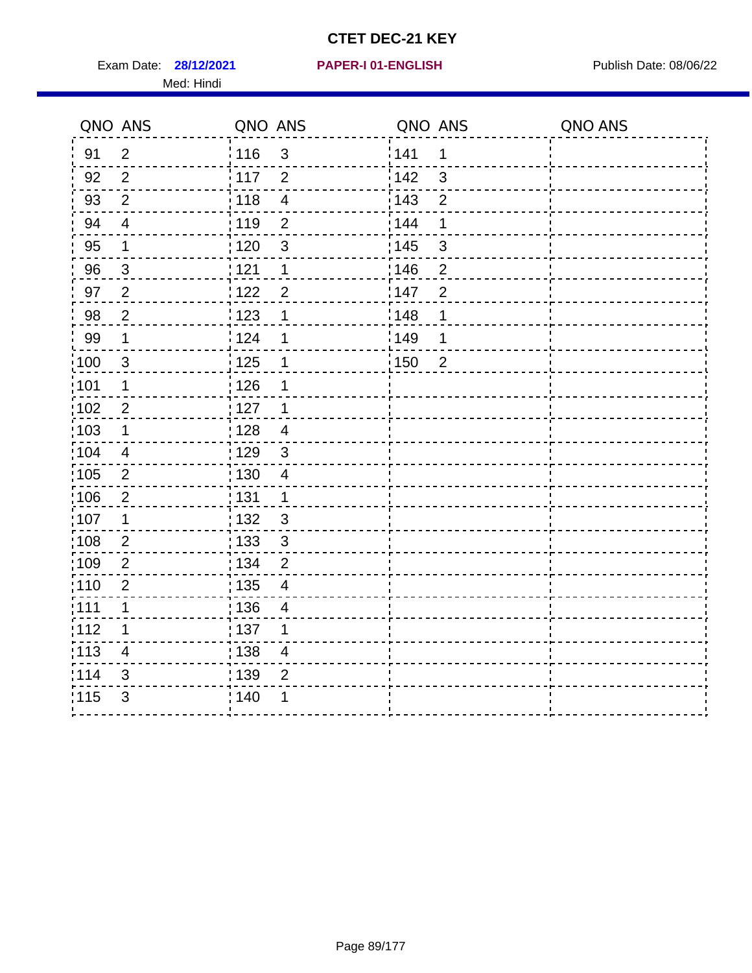Exam Date: 28/12/2021 PAPER-I 01-ENGLISH PARER Publish Date: 08/06/22 Med: Hindi

|       | QNO ANS                 | QNO ANS                           | QNO ANS                             | QNO ANS |
|-------|-------------------------|-----------------------------------|-------------------------------------|---------|
| 91    | $\overline{2}$          | 116<br>$\mathfrak{S}$             | 141<br>$\mathbf 1$                  |         |
| 92    | $\overline{2}$          | 117<br>$\overline{2}$             | 142<br>3                            |         |
| 93    | $\overline{2}$          | 118<br>$\overline{\mathbf{4}}$    | 143<br>$\overline{2}$               |         |
| 94    | $\overline{\mathbf{4}}$ | : 119<br>$\overline{2}$           | 144<br>1                            |         |
| 95    | 1                       | : 120<br>$\mathfrak{B}$           | : 145<br>3                          |         |
| 96    | 3                       | 121<br>1                          | 146<br>$\overline{2}$               |         |
| 97    | $\overline{2}$          | 122<br>$\overline{2}$             | 147<br>$\overline{2}$               |         |
| 98    | $\overline{2}$          | 123<br>1                          | ¦148<br>1                           |         |
| 99    | $\mathbf 1$             | 124<br>1                          | :149<br>1                           |         |
| 100   | $\mathbf{3}$            | $\frac{1}{2}$ 125<br>1            | $\frac{1}{1}$ 150<br>$\overline{2}$ |         |
| :101  | 1                       | 126<br>1                          |                                     |         |
| 102   | $\overline{2}$          | : 127<br>1                        |                                     |         |
| ;103  | $\mathbf 1$             | :128<br>$\overline{4}$            |                                     |         |
| 104   | $\overline{4}$          | : 129<br>$\mathfrak{3}$           |                                     |         |
| 105   | $\sqrt{2}$              | 130<br>$\overline{4}$             |                                     |         |
| :106  | $\overline{2}$          | : 131<br>$\mathbf 1$              |                                     |         |
| ;107  | $\mathbf 1$             | $\mathfrak{S}$<br>132             |                                     |         |
| 108   | $\sqrt{2}$              | $\mathfrak{S}$<br>: 133           |                                     |         |
| :109  | $\mathbf{2}$            | : 134<br>$\overline{2}$           |                                     |         |
| :110  | $\overline{2}$          | : 135<br>$\overline{4}$           |                                     |         |
| 111   | 1                       | : 136<br>$\overline{\mathcal{A}}$ |                                     |         |
| 112   | 1                       | : 137<br>1                        |                                     |         |
| : 113 | $\overline{\mathbf{4}}$ | : 138<br>$\overline{4}$           |                                     |         |
| 114   | 3                       | : 139<br>$\overline{2}$           |                                     |         |
| 115   | $\mathfrak{S}$          | 140<br>1                          |                                     |         |
|       |                         |                                   |                                     |         |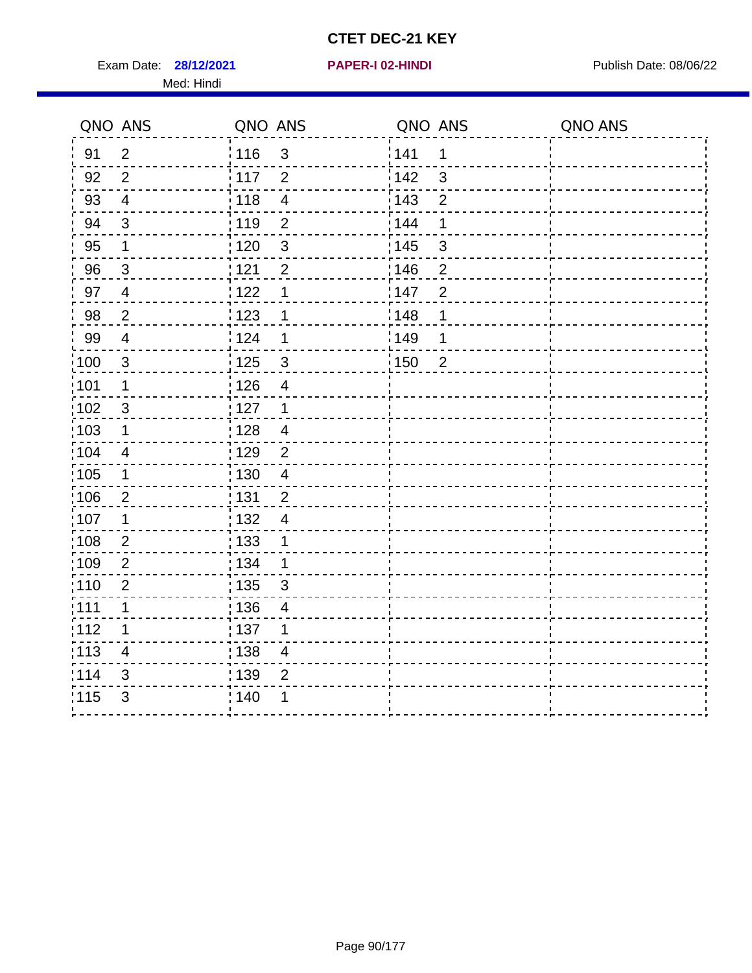Exam Date: **28/12/2021 PAPER-I 02-HINDI Exam Date: 08/06/22** Med: Hindi

**28/12/2021 PAPER-I 02-HINDI**

|      | QNO ANS        | QNO ANS           |                          | QNO ANS           |                | QNO ANS |
|------|----------------|-------------------|--------------------------|-------------------|----------------|---------|
| 91   | $\overline{2}$ | 116               | $\mathfrak{3}$           | 141               | $\mathbf 1$    |         |
| 92   | $\overline{2}$ | $\frac{1}{2}$ 117 | $\overline{2}$           | 142               | 3              |         |
| 93   | $\overline{4}$ | 118               | $\overline{4}$           | 143               | $\overline{2}$ |         |
| 94   | 3              | : 119             | $\overline{2}$           | 144               | 1              |         |
| 95   | 1              | : 120             | $\mathbf{3}$             | : 145             | 3              |         |
| 96   | $\mathbf{3}$   | : 121             | $\overline{2}$           | 146               | 2              |         |
| 97   | $\overline{4}$ | 122               | 1                        | 147               | $\overline{2}$ |         |
| 98   | $\overline{2}$ | 123               | 1                        | 148               | 1              |         |
| 99   | $\overline{4}$ | 124               | 1                        | $\frac{1}{2}$ 149 | 1              |         |
| 100  | $\mathbf{3}$   | 125               | $\mathfrak{3}$           | 150               | $\overline{2}$ |         |
| :101 | 1              | 126               | $\overline{\mathbf{4}}$  |                   |                |         |
| 102  | 3              | : 127             | $\mathbf{1}$             |                   |                |         |
| 103  | 1              | :128              | $\overline{4}$           |                   |                |         |
| :104 | $\overline{4}$ | : 129             | $\overline{2}$           |                   |                |         |
| 105  | $\mathbf 1$    | : 130             | $\overline{4}$           |                   |                |         |
| :106 | $\overline{2}$ | : 131             | $\overline{2}$           |                   |                |         |
| 107  | 1              | : 132             | $\overline{4}$           |                   |                |         |
| 108  | $\overline{2}$ | 133               | $\mathbf 1$              |                   |                |         |
| :109 | $\overline{2}$ | : 134             | $\mathbf 1$              |                   |                |         |
| :110 | $\overline{2}$ | : 135             | 3                        |                   |                |         |
| :111 | $\mathbf 1$    | : 136             | $\overline{\mathcal{A}}$ |                   |                |         |
| 112  | 1              | $\frac{1}{1}$ 137 | 1                        |                   |                |         |
| 113  | $\overline{4}$ | : 138             | $\overline{\mathbf{4}}$  |                   |                |         |
| 114  | 3              | : 139             | $\overline{2}$           |                   |                |         |
| 115  | 3              | : 140             | 1                        |                   |                |         |
|      |                |                   |                          |                   |                |         |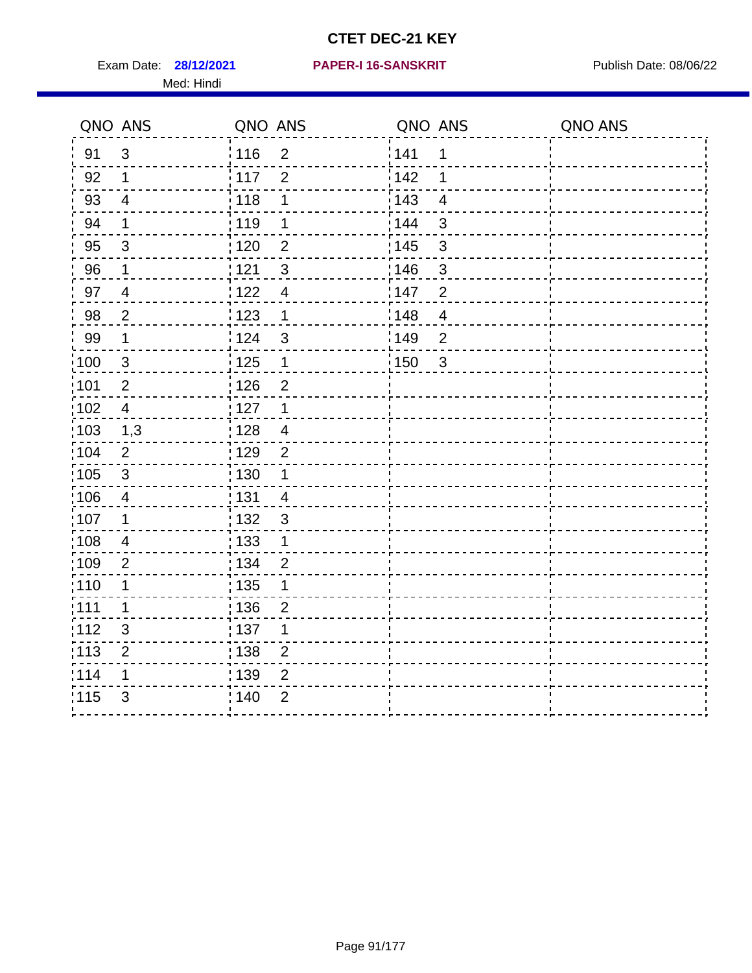Exam Date: 28/12/2021 PAPER-I 16-SANSKRIT Publish Date: 08/06/22 Med: Hindi

#### **28/12/2021 PAPER-I 16-SANSKRIT**

|      | QNO ANS        | QNO ANS                           | QNO ANS                             | QNO ANS |
|------|----------------|-----------------------------------|-------------------------------------|---------|
| 91   | $\mathfrak{S}$ | 116<br>$\overline{2}$             | 141<br>1                            |         |
| 92   | $\mathbf 1$    | $\overline{2}$<br>117             | 142<br>1                            |         |
| 93   | $\overline{4}$ | 118<br>1                          | : 143<br>$\overline{\mathbf{4}}$    |         |
| 94   | 1              | : 119<br>1                        | : 144<br>3                          |         |
| 95   | 3              | :120<br>$\overline{2}$            | : 145<br>3                          |         |
| 96   | $\mathbf 1$    | 121<br>3                          | 146<br>$\mathfrak{B}$               |         |
| 97   | $\overline{4}$ | : 122<br>$\overline{4}$           | 147<br>$\overline{2}$               |         |
| 98   | $\overline{c}$ | 123<br>$\mathbf{1}$               | 148<br>$\overline{\mathbf{4}}$      |         |
| 99   | $\mathbf 1$    | $\frac{1}{2}$ 124<br>$\mathbf{3}$ | $\frac{1}{2}$ 149<br>$\overline{2}$ |         |
| 100  | $\mathsf 3$    | 125<br>$\mathbf{1}$               | : 150<br>$\mathfrak{S}$             |         |
| :101 | $\mathbf 2$    | : 126<br>$\overline{2}$           |                                     |         |
| 102  | $\overline{4}$ | : 127<br>1                        |                                     |         |
| ;103 | 1,3            | 128<br>$\overline{4}$             |                                     |         |
| 104  | $\overline{2}$ | :129<br>$\overline{2}$            |                                     |         |
| 105  | $\sqrt{3}$     | : 130<br>1                        |                                     |         |
| :106 | $\overline{4}$ | 131<br>4                          |                                     |         |
| 107  | 1              | : 132<br>$\mathbf{3}$             |                                     |         |
| 108  | $\overline{4}$ | $\frac{1}{1}$ 133<br>$\mathbf{1}$ |                                     |         |
| :109 | $\overline{2}$ | : 134<br>$\overline{2}$           |                                     |         |
| :110 | 1              | : 135<br>1                        |                                     |         |
| 111  | $\mathbf 1$    | : 136<br>$\overline{2}$           |                                     |         |
| 112  | $\sqrt{3}$     | $\frac{1}{1}$ 137<br>1            |                                     |         |
| 113  | $\overline{2}$ | 138<br>$\overline{2}$             |                                     |         |
| 1114 | 1              | 139<br>$\overline{2}$             |                                     |         |
| 115  | 3              | $\overline{2}$<br>140             |                                     |         |
|      |                |                                   |                                     |         |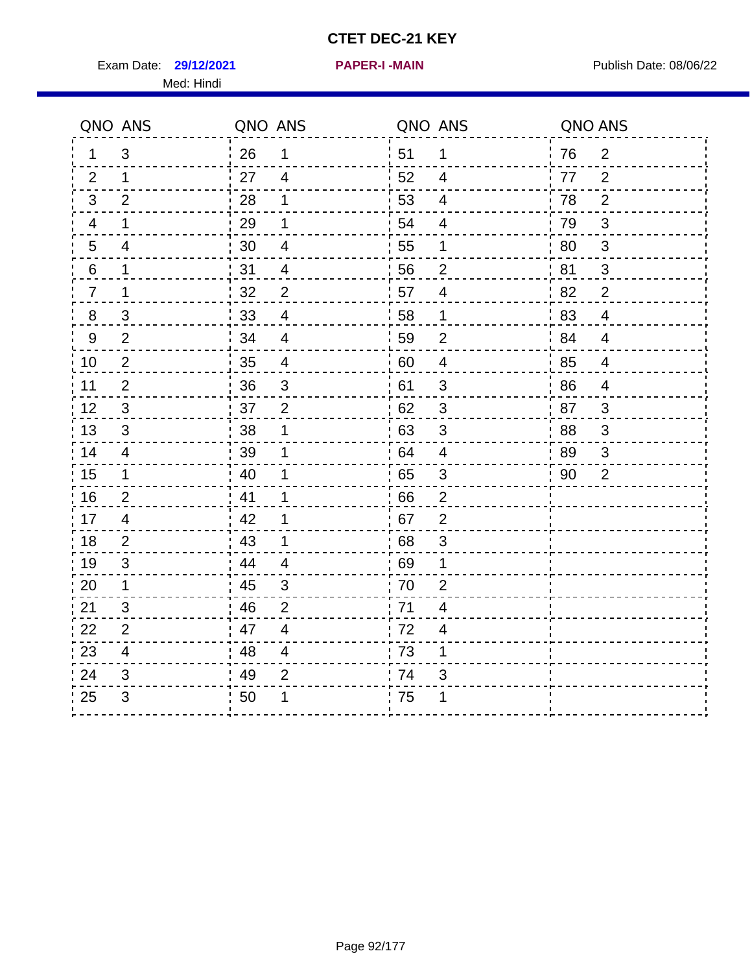Exam Date: 29/12/2021 **PAPER-I-MAIN Exam Date: 08/06/22** Med: Hindi

**29/12/2021 PAPER-I -MAIN**

| QNO ANS                  |                           | QNO ANS |                          | QNO ANS |                          | QNO ANS |                           |
|--------------------------|---------------------------|---------|--------------------------|---------|--------------------------|---------|---------------------------|
| 1                        | 3                         | 26      | 1                        | 51      | $\mathbf{1}$             | 76      | $\overline{2}$            |
| 2                        | $\mathbf{1}$              | 27      | $\overline{4}$           | 52      | $\overline{4}$           | 77      | $\overline{2}$            |
| $\mathbf{3}$             | $\overline{2}$            | 28      | 1                        | 53      | $\overline{\mathbf{4}}$  | 78      | $\overline{2}$            |
| $\overline{\mathcal{A}}$ | 1                         | 29      | 1                        | 54      | $\overline{\mathcal{A}}$ | 79      | $\ensuremath{\mathsf{3}}$ |
| $5\phantom{.0}$          | $\overline{\mathcal{A}}$  | 30      | $\overline{4}$           | 55      | 1                        | 80      | 3                         |
| 6                        | $\mathbf{1}$              | 31      | $\overline{\mathcal{A}}$ | 56      | $\overline{2}$           | 81      | $\mathbf{3}$              |
| $\overline{7}$           | 1                         | 32      | $\overline{2}$           | 57      | $\overline{4}$           | 82      | $\overline{2}$            |
| $\bf 8$                  | $\ensuremath{\mathsf{3}}$ | 33      | $\overline{4}$           | 58      | $\mathbf 1$              | 83      | $\overline{4}$            |
| $9\,$                    | $\overline{2}$            | 34      | $\overline{4}$           | 59      | $\overline{2}$           | 84      | $\overline{4}$            |
| 10                       | $\overline{2}$            | 35      | $\overline{4}$           | 60      | $\overline{\mathbf{4}}$  | 85      | $\overline{4}$            |
| 11                       | $\overline{2}$            | 36      | $\sqrt{3}$               | 61      | $\mathfrak{S}$           | 86      | $\overline{4}$            |
| 12                       | 3                         | 37      | $\overline{2}$           | 62      | $\mathfrak{S}$           | 87      | $\mathbf{3}$              |
| 13                       | 3                         | 38      | 1                        | 63      | 3                        | 88      | 3                         |
| 14                       | $\overline{4}$            | 39      | 1                        | 64      | $\overline{4}$           | 89      | 3                         |
| 15                       | $\mathbf 1$               | 40      |                          | 65      | $\sqrt{3}$               | 90      | $\overline{2}$            |
| 16                       | $\overline{2}$            | 41      | 1                        | 66      | $\overline{2}$           |         |                           |
| 17                       | 4                         | .42     |                          | 67      | $\overline{2}$           |         |                           |
| 18                       | $\overline{2}$            | 43      | 1                        | 68      | $\mathfrak{S}$           |         |                           |
| 19                       | $\mathfrak{S}$            | 44      | $\overline{4}$           | 69      | 1                        |         |                           |
| 20                       | $\mathbf 1$               | 45      | 3                        | 70      | $\overline{2}$           |         |                           |
| 21                       | 3                         | 46      | $\overline{2}$           | 71      | $\overline{4}$           |         |                           |
| 22                       | $\overline{2}$            | 47      | $\overline{\mathcal{A}}$ | 72      | $\overline{\mathcal{A}}$ |         |                           |
| 23                       | $\overline{\mathbf{4}}$   | 48      | 4                        | 73      | 1                        |         |                           |
| 24                       | 3                         | 49      | $\overline{2}$           | 74      | 3                        |         |                           |
| 25                       | $\mathfrak{S}$            | 50      |                          | 75      | 1                        |         |                           |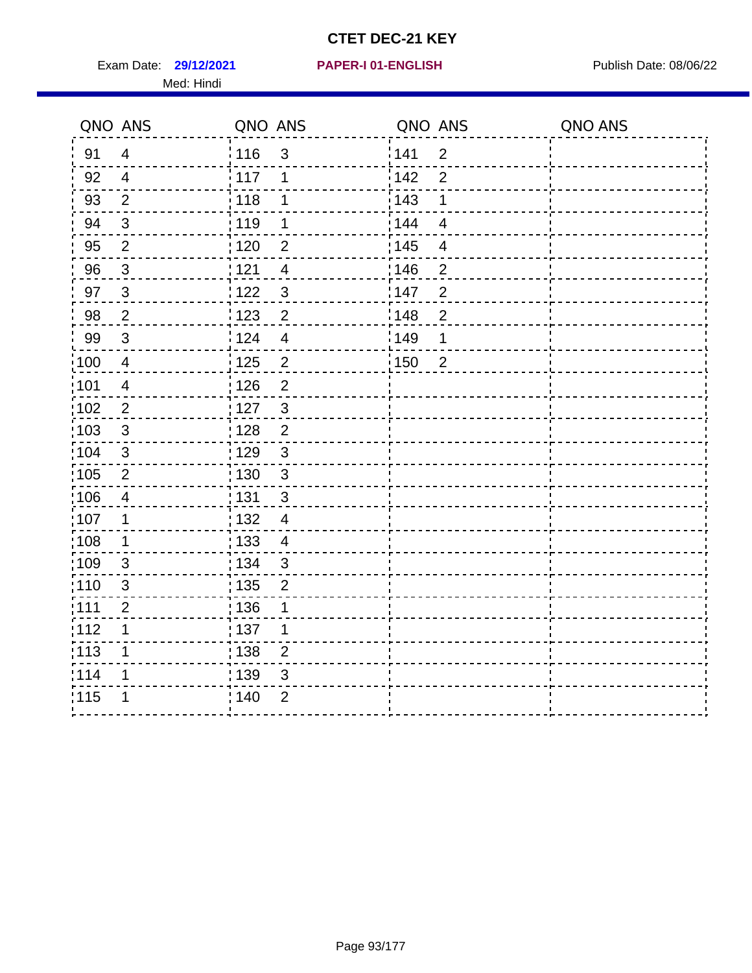Exam Date: 29/12/2021 **PAPER-I 01-ENGLISH Exam Date: 08/06/22** Med: Hindi

|                   | QNO ANS        | QNO ANS           |                | QNO ANS          |                | QNO ANS |
|-------------------|----------------|-------------------|----------------|------------------|----------------|---------|
| 91                | $\overline{4}$ | 116               | 3              | 141              | $\overline{2}$ |         |
| 92                | $\overline{4}$ | 117               | 1              | 142              | $\overline{2}$ |         |
| 93                | $\overline{2}$ | 118               | 1              | 143              | 1              |         |
| 94                | 3              | : 119             | 1              | : 144            | $\overline{4}$ |         |
| 95                | $\overline{2}$ | : 120             | 2              | : 145            | $\overline{4}$ |         |
| 96                | $\mathfrak{S}$ | 121               | $\overline{4}$ | 146              | $\overline{2}$ |         |
| 97                | $\mathfrak{S}$ | 122               | $\mathbf{3}$   | 147              | $\overline{2}$ |         |
| 98                | $\sqrt{2}$     | $\frac{1}{2}$ 123 | $\overline{c}$ | 148              | $\overline{c}$ |         |
| 99                | $\sqrt{3}$     | 124               | $\overline{4}$ | <sup>'</sup> 149 | 1              |         |
| $\frac{1}{1}$ 100 | $\overline{4}$ | 125               | $\overline{2}$ | 150              | $\overline{2}$ |         |
| 101               | $\overline{4}$ | 126               | $\overline{2}$ |                  |                |         |
| 102               | $\overline{2}$ | : 127             | 3              |                  |                |         |
| 103               | $\mathbf{3}$   | 128               | $\overline{2}$ |                  |                |         |
| 104               | $\sqrt{3}$     | : 129             | $\mathfrak{3}$ |                  |                |         |
| 105               | $\sqrt{2}$     | : 130             | $\mathfrak{S}$ |                  |                |         |
| :106              | 4              | : 131             | $\mathfrak{B}$ |                  |                |         |
| :107              | 1              | : 132             | $\overline{4}$ |                  |                |         |
| :108              | $\mathbf 1$    | : 133             | $\overline{4}$ |                  |                |         |
| :109              | $\mathfrak{S}$ | : 134             | $\mathbf{3}$   |                  |                |         |
| :110              | 3              | : 135             | $\overline{2}$ |                  |                |         |
| :111              | $\overline{c}$ | : 136             | 1              |                  |                |         |
| 112               | 1              | : 137             | 1              |                  |                |         |
| 113               | 1              | : 138             | $\overline{2}$ |                  |                |         |
| 114               | 1              | 139               | 3              |                  |                |         |
| 115               | 1              | 140               | $\mathbf{2}$   |                  |                |         |
|                   |                |                   |                |                  |                |         |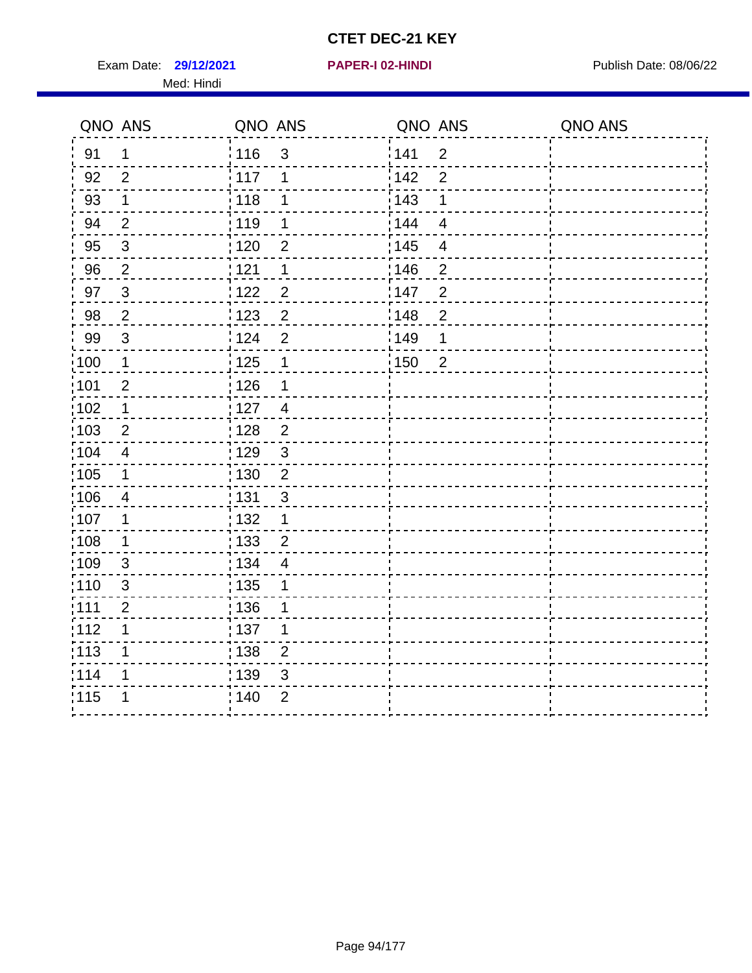Exam Date: 29/12/2021 **PAPER-I 02-HINDI Exam Date: 08/06/22** Med: Hindi

**29/12/2021 PAPER-I 02-HINDI**

|       | QNO ANS        | QNO ANS           |                | QNO ANS           |                          | QNO ANS |
|-------|----------------|-------------------|----------------|-------------------|--------------------------|---------|
| 91    | $\mathbf 1$    | 116               | $\mathfrak{S}$ | 1141              | $\overline{2}$           |         |
| 92    | $\overline{2}$ | 117               | 1              | 142               | $\overline{2}$           |         |
| 93    | $\mathbf 1$    | 118               | 1              | 143               | 1                        |         |
| 94    | $\overline{2}$ | 119               | 1              | : 144             | $\overline{4}$           |         |
| 95    | $\sqrt{3}$     | : 120             | 2              | : 145             | $\overline{\mathcal{A}}$ |         |
| 96    | $\overline{2}$ | 121               | 1              | 146               | $\overline{2}$           |         |
| 97    | $\sqrt{3}$     | 122               | $\overline{c}$ | 147               | $\overline{2}$           |         |
| 98    | $\overline{2}$ | 123               | $\overline{2}$ | 148               | $\overline{2}$           |         |
| 99    | $\sqrt{3}$     | 124               | $\overline{2}$ | :149              | 1                        |         |
| :100  | $\mathbf 1$    | $\frac{1}{2}$ 125 | $\mathbf 1$    | $\frac{1}{2}$ 150 | $\overline{2}$           |         |
| :101  | $\mathbf{2}$   | $\frac{1}{1}$ 126 | 1              |                   |                          |         |
| 102   | $\mathbf 1$    | : 127             | $\overline{4}$ |                   |                          |         |
| 103   | 2              | :128              | 2              |                   |                          |         |
| 104   | $\overline{4}$ | : 129             | $\mathfrak{S}$ |                   |                          |         |
| 105   | $\mathbf 1$    | 130               | $\mathbf 2$    |                   |                          |         |
| :106  | 4              | : 131             | 3              |                   |                          |         |
| 107   | 1              | :132              | $\mathbf 1$    |                   |                          |         |
| 108   | $\mathbf 1$    | : 133             | $\overline{2}$ |                   |                          |         |
| :109  | $\mathfrak{S}$ | : 134             | $\overline{4}$ |                   |                          |         |
| : 110 | 3              | : 135             | 1              |                   |                          |         |
| : 111 | $\overline{2}$ | : 136             | 1              |                   |                          |         |
| 112   | 1              | $\frac{1}{1}$ 137 | 1              |                   |                          |         |
| 113   | 1              | : 138             | $\overline{c}$ |                   |                          |         |
| 1114  | 1              | 139               | 3              |                   |                          |         |
| 115   | 1              | 140               | $\overline{2}$ |                   |                          |         |
|       |                |                   |                |                   |                          |         |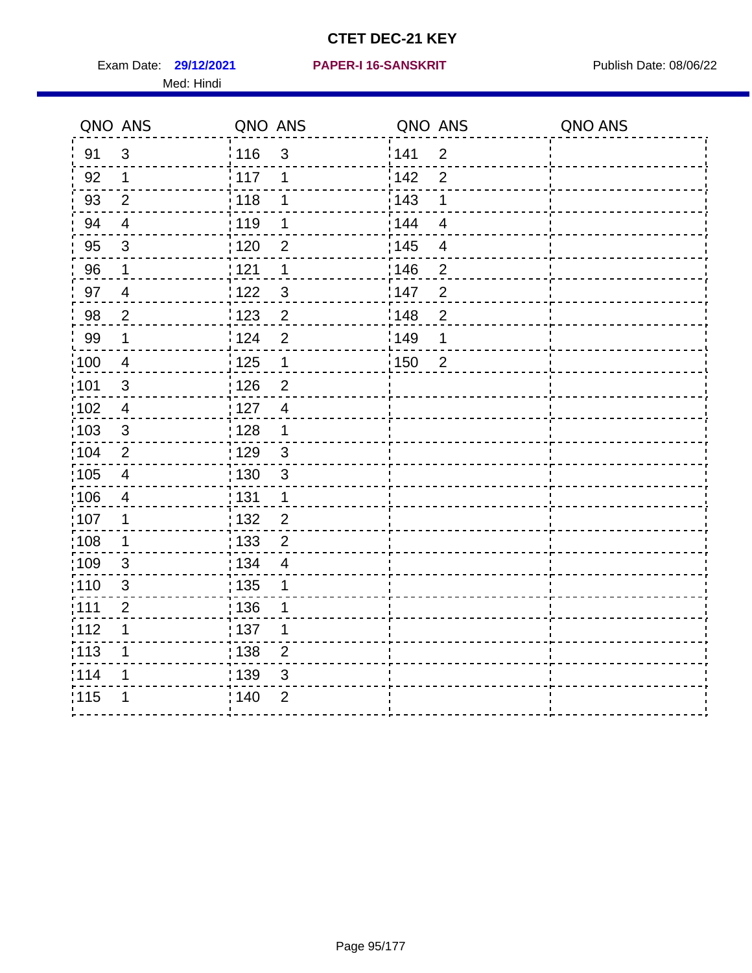Exam Date: 29/12/2021 PAPER-I 16-SANSKRIT Publish Date: 08/06/22 Med: Hindi

#### **29/12/2021 PAPER-I 16-SANSKRIT**

|                   | QNO ANS                 | QNO ANS           |                | QNO ANS           |                | QNO ANS |
|-------------------|-------------------------|-------------------|----------------|-------------------|----------------|---------|
| 91                | 3                       | : 116             | 3              | 141               | $\overline{2}$ |         |
| 92                | $\mathbf 1$             | 117               | 1              | 142               | $\overline{2}$ |         |
| 93                | $\overline{2}$          | 118               | 1              | 143               | 1              |         |
| 94                | $\overline{4}$          | : 119             | 1              | : 144             | $\overline{4}$ |         |
| 95                | $\mathfrak{S}$          | :120              | 2              | : 145             | 4              |         |
| 96                | 1                       | 121               | 1              | 146               | $\overline{2}$ |         |
| 97                | $\overline{4}$          | 122               | $\mathbf{3}$   | 147               | $\overline{2}$ |         |
| 98                | $\overline{2}$          | 123               | $\overline{2}$ | 148               | $\overline{c}$ |         |
| 99                | $\mathbf 1$             | 124               | $\overline{2}$ | $\frac{1}{2}$ 149 | 1              |         |
| $\frac{1}{1}$ 100 | $\overline{4}$          | $\frac{1}{1}$ 125 | $\mathbf 1$    | 150               | $\overline{2}$ |         |
| :101              | $\sqrt{3}$              | : 126             | $\overline{2}$ |                   |                |         |
| 102               | $\overline{4}$          | : 127             | $\overline{4}$ |                   |                |         |
| 103               | 3                       | :128              | $\mathbf{1}$   |                   |                |         |
| 104               | $\overline{2}$          | : 129             | $\mathbf{3}$   |                   |                |         |
| 105               | $\overline{\mathbf{4}}$ | : 130             | $\mathbf{3}$   |                   |                |         |
| ;106              | 4                       | : 131             | $\mathbf 1$    |                   |                |         |
| :107              | $\mathbf 1$             | 132               | $\overline{2}$ |                   |                |         |
| 108               | $\mathbf 1$             | 133               | $\overline{2}$ |                   |                |         |
| :109              | 3                       | : 134             | $\overline{4}$ |                   |                |         |
| :110              | 3                       | 135               | 1              |                   |                |         |
| :111              | $\boldsymbol{2}$        | : 136             | 1              |                   |                |         |
| 112               | 1                       | 137               | 1              |                   |                |         |
| 113               | 1                       | : 138             | $\overline{2}$ |                   |                |         |
| 114               | 1                       | 139               | 3              |                   |                |         |
| 115               | 1                       | 140               | $\overline{2}$ |                   |                |         |
|                   |                         |                   |                |                   |                |         |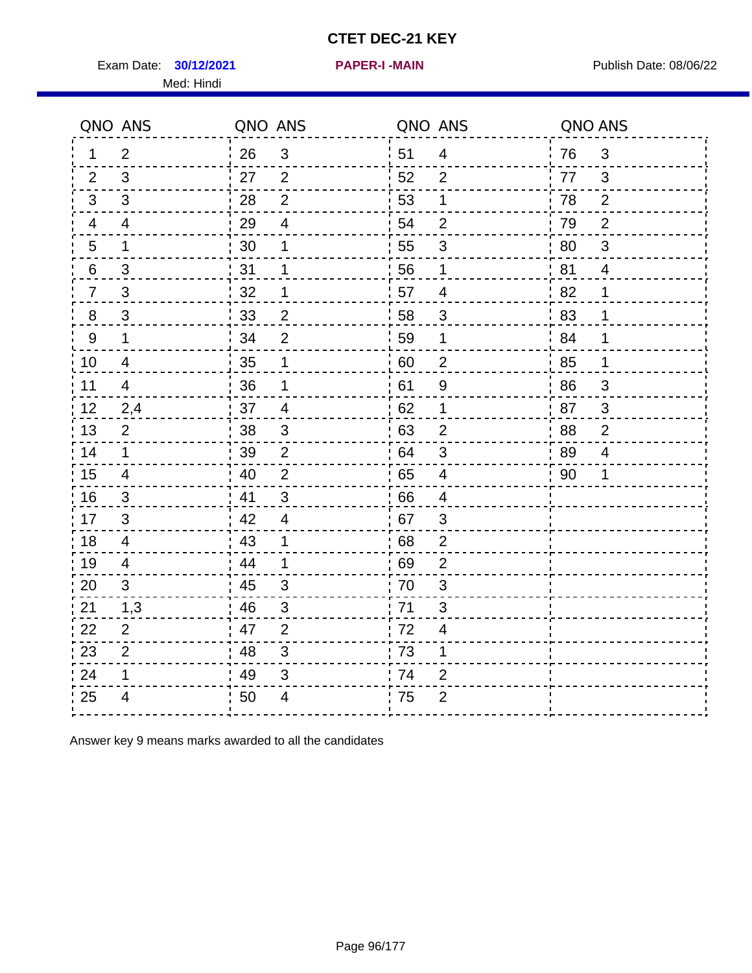Exam Date: **30/12/2021 PAPER-I-MAIN Exam Date: 08/06/22** Med: Hindi

**30/12/2021 PAPER-I -MAIN**

|                | QNO ANS                  | QNO ANS |                           | QNO ANS |                         | QNO ANS |                |
|----------------|--------------------------|---------|---------------------------|---------|-------------------------|---------|----------------|
| 1              | $\overline{2}$           | 26      | $\mathfrak{S}$            | 51      | $\overline{4}$          | 76      | 3              |
| 2              | 3                        | 27      | $\overline{2}$            | 52      | $\overline{2}$          | 77      | 3              |
| 3              | 3                        | 28      | $\overline{2}$            | 53      | 1                       | 78      | 2              |
| 4              | 4                        | 29      | $\overline{\mathbf{4}}$   | 54      | $\overline{2}$          | 79      | $\overline{2}$ |
| 5              | 1                        | 30      | 1                         | 55      | $\mathfrak{S}$          | 80      | $\mathfrak{S}$ |
| 6              | 3                        | 31      | 1                         | 56      | 1                       | 81      | $\overline{4}$ |
| $\overline{7}$ | 3                        | 32      | 1                         | 57      | 4                       | 82      | 1              |
| 8              | $\mathfrak{S}$           | 33      | $\overline{2}$            | 58      | $\mathfrak{S}$          | 83      | 1              |
| $9\,$          | $\mathbf 1$              | 34      | $\overline{2}$            | 59      | 1                       | 84      | 1              |
| 10             | $\overline{4}$           | 35      | 1                         | 60      | $\overline{c}$          | 85      | 1              |
| 11             | $\overline{\mathcal{A}}$ | 36      | 1                         | 61      | $\boldsymbol{9}$        | 86      | $\mathfrak{S}$ |
| 12             | 2,4                      | 37      | $\overline{\mathbf{4}}$   | 62      | $\mathbf 1$             | 87      | $\mathbf{3}$   |
| 13             | $\overline{2}$           | 38      | 3                         | 63      | $\overline{2}$          | 88      | $\overline{2}$ |
| 14             | $\mathbf{1}$             | 39      | 2                         | 64      | 3                       | 89      | $\overline{4}$ |
| 15             | 4                        | 40      | $\overline{2}$            | 65      | $\overline{\mathbf{4}}$ | 90      | 1              |
| 16             | 3                        | 41      | $\mathbf{3}$              | 66      | 4                       |         |                |
| 17             | 3                        | 42      | $\overline{4}$            | .67     | 3                       |         |                |
| 18             | 4                        | 43      | 1                         | 68      | $\overline{2}$          |         |                |
| 19             | 4                        | 44      | $\mathbf 1$               | 69      | $\overline{2}$          |         |                |
| 20             | 3                        | 45      | 3                         | 70      | $\sqrt{3}$              |         |                |
| 21             | 1,3                      | 46      | 3                         | .71     | 3                       |         |                |
| 22             | 2                        | 47      | 2                         | 72      | $\overline{4}$          |         |                |
| 23             | $\overline{2}$           | 48      | $\mathbf{3}$              | 73      | 1                       |         |                |
| 24             | 1                        | 49      | $\ensuremath{\mathsf{3}}$ | 74      | $\overline{2}$          |         |                |
| 25             | 4                        | 50      | 4                         | .75     | $\overline{2}$          |         |                |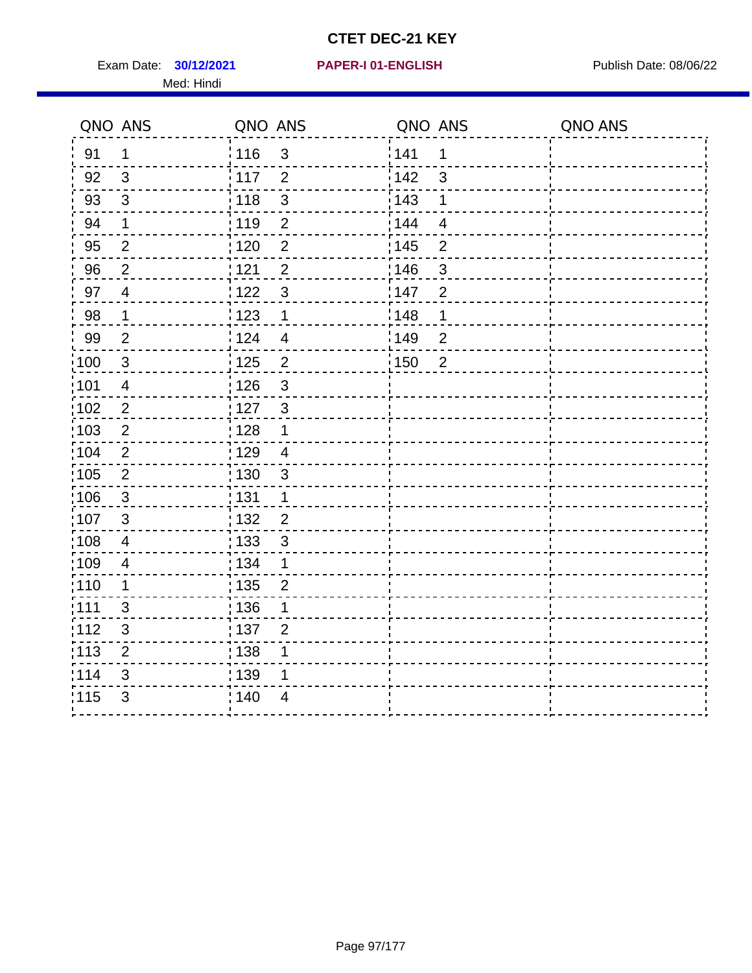Exam Date: **30/12/2021 PAPER-I 01-ENGLISH Propriet All Publish Date: 08/06/22** Med: Hindi

|                   | QNO ANS                  | QNO ANS                           | QNO ANS                 | QNO ANS |
|-------------------|--------------------------|-----------------------------------|-------------------------|---------|
| 91                | 1                        | 116<br>3                          | 141<br>$\mathbf 1$      |         |
| 92                | 3                        | 117<br>$\overline{2}$             | 142<br>3                |         |
| 93                | $\sqrt{3}$               | $\mathbf{3}$<br>118               | 143<br>1                |         |
| 94                | 1                        | : 119<br>$\overline{2}$           | 144<br>$\overline{4}$   |         |
| 95                | $\overline{2}$           | : 120<br>$\overline{2}$           | : 145<br>$\overline{2}$ |         |
| 96                | $\overline{2}$           | 121<br>$\overline{2}$             | 146<br>$\mathfrak{B}$   |         |
| 97                | $\overline{\mathcal{A}}$ | 3<br>122                          | 147<br>$\overline{2}$   |         |
| $98\,$            | $\mathbf{1}$             | $\frac{1}{2}$ 123<br>$\mathbf{1}$ | $\frac{1}{2}$ 148<br>1  |         |
| 99                | $\mathbf{2}$             | 124<br>$\overline{4}$             | :149<br>$\overline{2}$  |         |
| $\frac{1}{1}$ 100 | $\mathbf{3}$             | $\overline{2}$<br>125             | 150<br>$\overline{2}$   |         |
| :101              | $\overline{4}$           | 126<br>3                          |                         |         |
| 102               | $\overline{2}$           | : 127<br>$\mathbf{3}$             |                         |         |
| 103               | $\overline{2}$           | $\mathbf 1$<br>: 128              |                         |         |
| 104               | $\overline{2}$           | : 129<br>$\overline{4}$           |                         |         |
| 105               | $\sqrt{2}$               | : 130<br>$\mathbf{3}$             |                         |         |
| 106               | $\mathbf{3}$             | : 131<br>$\mathbf 1$              |                         |         |
| :107              | 3                        | : 132<br>$\overline{2}$           |                         |         |
| $\frac{1}{1}$ 108 | $\overline{4}$           | : 133<br>$\mathbf{3}$             |                         |         |
| :109              | $\overline{\mathbf{4}}$  | : 134<br>$\mathbf 1$              |                         |         |
| :110              | 1                        | : 135<br>$\overline{2}$           |                         |         |
| :111              | 3                        | : 136<br>1                        |                         |         |
| 112               | $\sqrt{3}$               | 137<br>$\overline{2}$             |                         |         |
| 113               | $\mathbf 2$              | : 138<br>1                        |                         |         |
| 114               | 3                        | : 139<br>1                        |                         |         |
| 115               | 3                        | 140<br>4                          |                         |         |
|                   |                          |                                   |                         |         |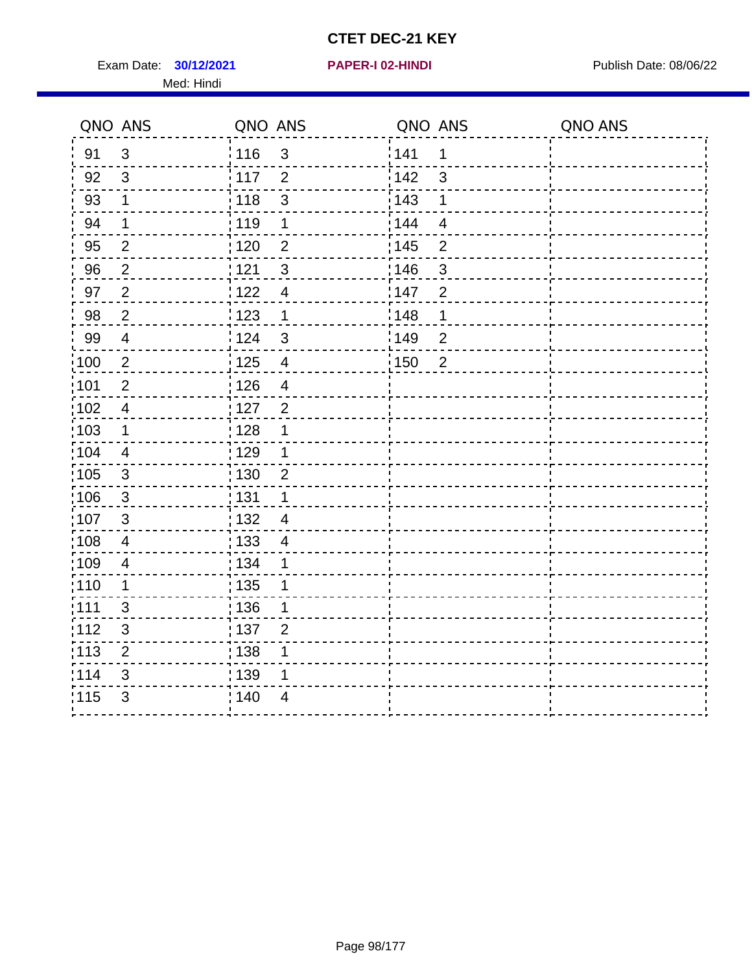Exam Date: **30/12/2021 PAPER-I 02-HINDI Exam Date: 08/06/22** Med: Hindi

**30/12/2021 PAPER-I 02-HINDI**

|       | QNO ANS        | QNO ANS                             | QNO ANS                 | QNO ANS |
|-------|----------------|-------------------------------------|-------------------------|---------|
| 91    | $\mathfrak{S}$ | 116<br>$\mathbf{3}$                 | 1141<br>1               |         |
| 92    | $\mathfrak{S}$ | $\frac{1}{2}$ 117<br>$\overline{2}$ | 142<br>$\mathfrak{S}$   |         |
| 93    | $\mathbf 1$    | 118<br>$\mathbf{3}$                 | 143<br>1                |         |
| 94    | $\mathbf 1$    | : 119<br>$\mathbf 1$                | : 144<br>$\overline{4}$ |         |
| 95    | $\overline{2}$ | : 120<br>$\overline{2}$             | : 145<br>$\overline{2}$ |         |
| 96    | $\overline{2}$ | 121<br>$\mathbf{3}$                 | 146<br>$\mathfrak{S}$   |         |
| 97    | $\mathbf{2}$   | 122<br>$\overline{4}$               | 147<br>$\overline{2}$   |         |
| 98    | $\overline{2}$ | 123<br>$\mathbf{1}$                 | 148<br>1                |         |
| 99    | $\overline{4}$ | 124<br>$\sqrt{3}$                   | :149<br>$\overline{2}$  |         |
| 100   | $\overline{2}$ | 125<br>$\overline{\mathbf{4}}$      | 150<br>$\overline{2}$   |         |
| :101  | $\mathbf 2$    | : 126<br>$\overline{4}$             |                         |         |
| 102   | $\overline{4}$ | : 127<br>$\overline{2}$             |                         |         |
| 103   | $\mathbf 1$    | :128<br>1                           |                         |         |
| 104   | $\overline{4}$ | : 129<br>1                          |                         |         |
| 105   | $\sqrt{3}$     | 130<br>$\overline{2}$               |                         |         |
| :106  | $\mathbf{3}$   | : 131<br>$\mathbf 1$                |                         |         |
| 107   | 3              | :132<br>$\overline{4}$              |                         |         |
| 108   | $\overline{4}$ | : 133<br>$\overline{4}$             |                         |         |
| ;109  | $\overline{4}$ | : 134<br>$\mathbf 1$                |                         |         |
| : 110 | 1              | : 135<br>1                          |                         |         |
| 111   | 3              | : 136<br>1                          |                         |         |
| 112   | $\sqrt{3}$     | : 137<br>$\overline{2}$             |                         |         |
| 113   | $\mathbf 2$    | 138<br>1                            |                         |         |
| 114   | 3              | : 139<br>1                          |                         |         |
| 115   | 3              | 140<br>$\overline{4}$               |                         |         |
|       |                |                                     |                         |         |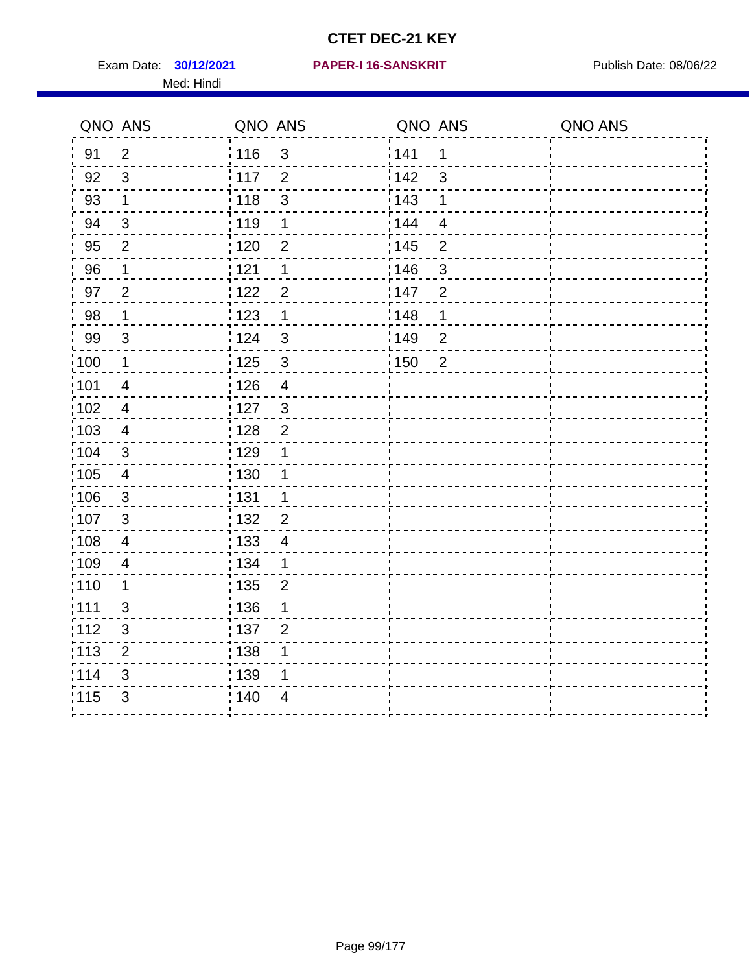Exam Date: **30/12/2021 PAPER-I 16-SANSKRIT** Publish Date: 08/06/22 Med: Hindi

|       | QNO ANS                 | QNO ANS           |                | QNO ANS |                | QNO ANS |
|-------|-------------------------|-------------------|----------------|---------|----------------|---------|
| 91    | $\overline{2}$          | 116               | $\mathfrak{S}$ | 1141    | 1              |         |
| 92    | 3                       | $\frac{1}{2}$ 117 | $\overline{2}$ | 142     | 3              |         |
| 93    | $\mathbf 1$             | 118               | $\mathsf 3$    | 143     | 1              |         |
| 94    | 3                       | : 119             | 1              | : 144   | $\overline{4}$ |         |
| 95    | $\overline{2}$          | : 120             | 2              | : 145   | $\overline{2}$ |         |
| 96    | 1                       | : 121             | 1              | 146     | $\mathfrak{S}$ |         |
| 97    | $\overline{2}$          | 1122              | $\overline{2}$ | 147     | $\overline{2}$ |         |
| 98    | $\mathbf 1$             | 123               | $\mathbf 1$    | 148     | 1              |         |
| 99    | $\sqrt{3}$              | 124               | $\mathsf 3$    | :149    | $\mathbf 2$    |         |
| :100  | $\mathbf 1$             | 125               | $\mathbf{3}$   | 150     | $\overline{2}$ |         |
| :101  | $\overline{4}$          | : 126             | $\overline{4}$ |         |                |         |
| 102   | $\overline{4}$          | : 127             | $\mathbf{3}$   |         |                |         |
| 103   | 4                       | : 128             | $\overline{2}$ |         |                |         |
| :104  | $\mathfrak{S}$          | : 129             | 1              |         |                |         |
| :105  | $\overline{\mathbf{4}}$ | 130               | 1              |         |                |         |
| 106   | 3                       | : 131             | 1              |         |                |         |
| 107   | 3                       | :132              | $\overline{2}$ |         |                |         |
| :108  | $\overline{4}$          | : 133             | $\overline{4}$ |         |                |         |
| :109  | $\overline{\mathbf{4}}$ | : 134             | $\mathbf 1$    |         |                |         |
| :110  | 1                       | : 135             | $\overline{2}$ |         |                |         |
| 111   | 3                       | : 136             | 1              |         |                |         |
| 112   | $\sqrt{3}$              | : 137             | $\overline{2}$ |         |                |         |
| : 113 | $\mathbf 2$             | : 138             | 1              |         |                |         |
| 114   | 3                       | 139               | 1              |         |                |         |
| 115   | 3                       | : 140             | $\overline{4}$ |         |                |         |
|       |                         |                   |                |         |                |         |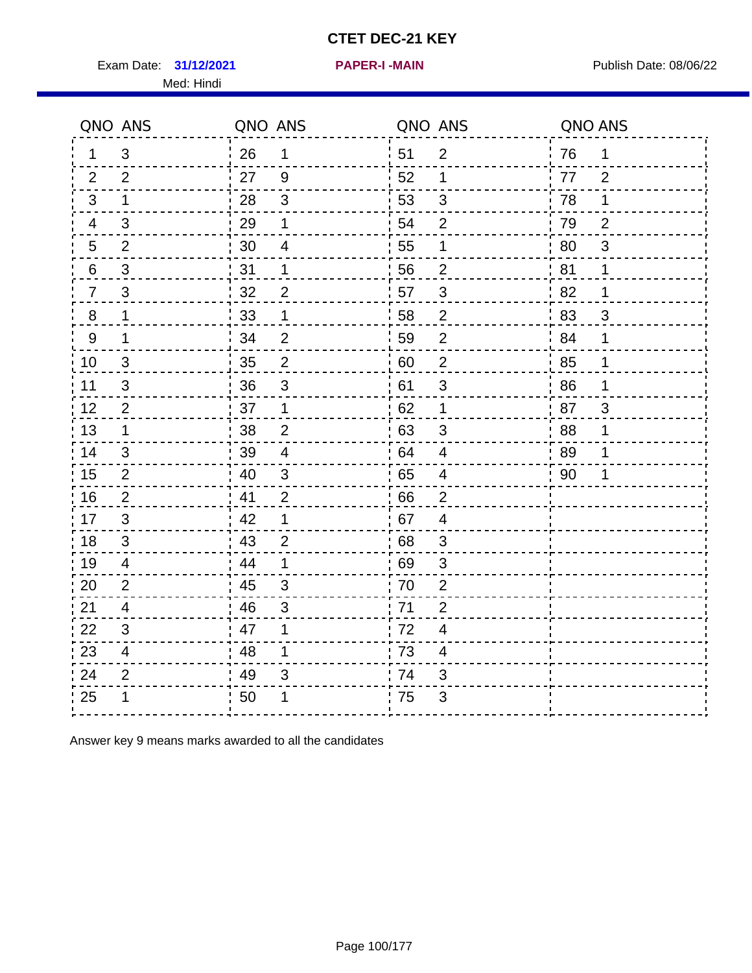Exam Date: 31/12/2021 **PAPER-I-MAIN Exam Date: 08/06/22** Med: Hindi

**31/12/2021 PAPER-I -MAIN**

|                  | QNO ANS                  | QNO ANS |                         | QNO ANS |                          | QNO ANS |                |
|------------------|--------------------------|---------|-------------------------|---------|--------------------------|---------|----------------|
| 1                | 3                        | 26      | 1                       | 51      | $\overline{2}$           | 76      | 1              |
| 2                | 2                        | 27      | 9                       | 52      | 1                        | 77      | $\overline{2}$ |
| 3                | 1                        | 28      | $\mathfrak{S}$          | 53      | 3                        | 78      | 1              |
| 4                | 3                        | 29      | 1                       | 54      | $\overline{2}$           | 79      | $\overline{2}$ |
| $\overline{5}$   | $\overline{2}$           | 30      | $\overline{\mathbf{4}}$ | 55      | 1                        | 80      | 3              |
| 6                | 3                        | 31      | 1                       | 56      | $\overline{2}$           | 81      | 1              |
| $\overline{7}$   | 3                        | 32      | $\overline{2}$          | 57      | $\mathfrak{S}$           | 82      | 1              |
| 8                | $\mathbf 1$              | 33      | 1                       | 58      | $\overline{2}$           | 83      | 3              |
| $\boldsymbol{9}$ | 1                        | 34      | $\overline{2}$          | 59      | $\overline{2}$           | 84      | 1              |
| 10               | $\mathfrak{S}$           | 35      | $\overline{c}$          | 60      | $\overline{c}$           | 85      | 1              |
| 11               | $\mathfrak{B}$           | 36      | $\mathsf 3$             | 61      | $\mathfrak{S}$           | 86      | 1              |
| 12               | $\overline{2}$           | 37      | $\mathbf 1$             | 62      | $\mathbf 1$              | 87      | 3              |
| 13               | 1                        | 38      | $\overline{2}$          | 63      | 3                        | 88      | 1              |
| 14               | 3                        | 39      | $\overline{4}$          | 64      | $\overline{4}$           | 89      | 1              |
| 15               | $\overline{2}$           | 40      | $\sqrt{3}$              | 65      | $\overline{\mathbf{4}}$  | 90      | 1              |
| 16               | 2                        | 41      | 2                       | 66      | $\overline{2}$           |         |                |
| 17               | 3                        | 42      | 1                       | 67      | $\overline{4}$           |         |                |
| 18               | 3                        | 43      | $\overline{2}$          | 68      | 3                        |         |                |
| 19               | 4                        | 44      | 1                       | 69      | 3                        |         |                |
| 20               | $\overline{2}$           | 45      | 3                       | 70      | $\overline{2}$           |         |                |
| 21               | 4                        | 46      | 3                       | 71      | $\overline{2}$           |         |                |
| 22               | 3                        | 47      | 1                       | 72      | $\overline{4}$           |         |                |
| 23               | $\overline{\mathcal{A}}$ | 48      | 1                       | 73      | $\overline{\mathcal{A}}$ |         |                |
| 24               | $\overline{2}$           | 49      | 3                       | 74      | 3                        |         |                |
| 25               | 1                        | 50      |                         | 75      | 3                        |         |                |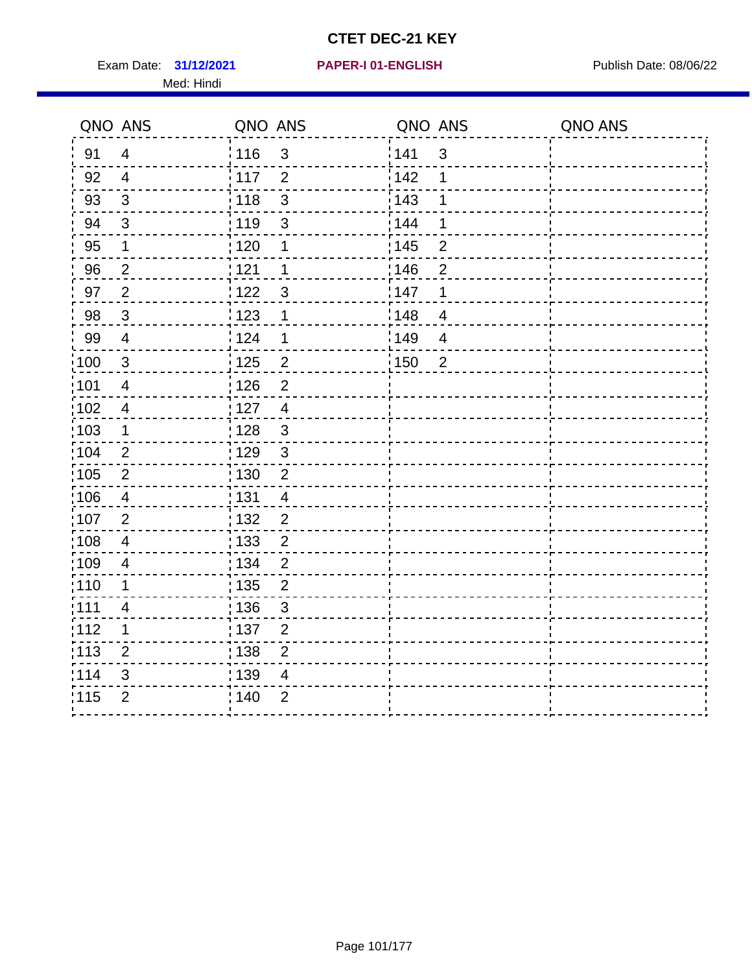Exam Date: 31/12/2021 PAPER-I 01-ENGLISH PREER Publish Date: 08/06/22 Med: Hindi

|                   | QNO ANS                  | QNO ANS           |                | QNO ANS |                | QNO ANS |
|-------------------|--------------------------|-------------------|----------------|---------|----------------|---------|
| 91                | $\overline{4}$           | 116               | $\mathfrak{S}$ | 141     | $\mathfrak{S}$ |         |
| 92                | $\overline{4}$           | 117               | $\overline{2}$ | 142     | 1              |         |
| 93                | $\sqrt{3}$               | 118               | $\mathbf{3}$   | 143     | 1              |         |
| 94                | 3                        | : 119             | $\mathbf{3}$   | 144     | 1              |         |
| 95                | 1                        | : 120             | 1              | : 145   | $\overline{2}$ |         |
| 96                | $\overline{2}$           | 121               | 1              | 146     | $\overline{2}$ |         |
| 97                | $\overline{2}$           | $122$             | $\mathbf{3}$   | 147     | 1              |         |
| 98                | $\mathbf{3}$             | $\frac{1}{2}$ 123 | 1              | 148     | $\overline{4}$ |         |
| 99                | $\overline{4}$           | 124               | 1              | 149     | $\overline{4}$ |         |
| $\frac{1}{1}$ 100 | $\sqrt{3}$               | 125               | $\overline{c}$ | 150     | $\overline{2}$ |         |
| 101               | $\overline{\mathcal{A}}$ | 126               | $\overline{2}$ |         |                |         |
| 102               | $\overline{4}$           | : 127             | $\overline{4}$ |         |                |         |
| 103               | $\mathbf 1$              | : 128             | $\mathbf{3}$   |         |                |         |
| 104               | $\overline{2}$           | : 129             | $\mathfrak{3}$ |         |                |         |
| 105               | $\sqrt{2}$               | : 130             | $\overline{2}$ |         |                |         |
| ;106              | 4                        | : 131             | $\overline{4}$ |         |                |         |
| :107              | $\overline{2}$           | : 132             | $\overline{2}$ |         |                |         |
| $\frac{1}{1}$ 108 | $\overline{\mathbf{4}}$  | : 133             | $\overline{2}$ |         |                |         |
| :109              | $\overline{\mathbf{4}}$  | : 134             | $\overline{2}$ |         |                |         |
| :110              | 1                        | : 135             | $\overline{2}$ |         |                |         |
| :111              | $\overline{\mathcal{A}}$ | : 136             | $\mathbf{3}$   |         |                |         |
| 112               | 1                        | 137               | $\overline{c}$ |         |                |         |
| : 113             | $\overline{2}$           | 138               | $\overline{c}$ |         |                |         |
| 114               | 3                        | : 139             | 4              |         |                |         |
| 115               | $\overline{2}$           | 140               | $\overline{2}$ |         |                |         |
|                   |                          |                   |                |         |                |         |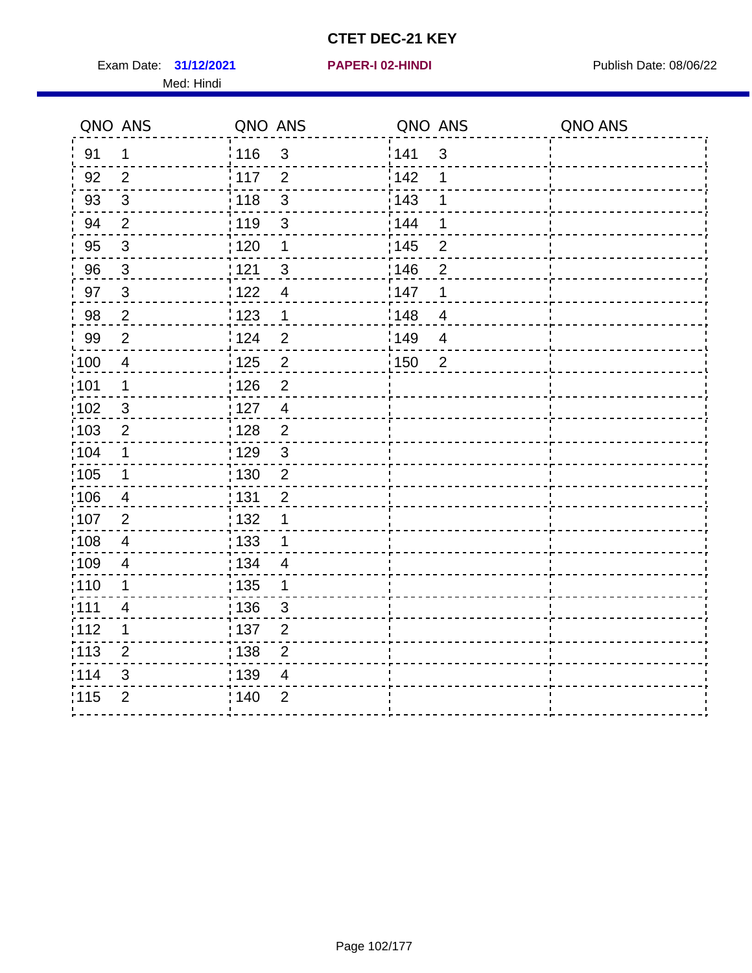Exam Date: 31/12/2021 **PAPER-I 02-HINDI Exam Date: 08/06/22** Med: Hindi

**31/12/2021 PAPER-I 02-HINDI**

|       | QNO ANS                  | QNO ANS           |                | QNO ANS |                          | QNO ANS |
|-------|--------------------------|-------------------|----------------|---------|--------------------------|---------|
| 91    | $\mathbf 1$              | 116               | $\sqrt{3}$     | 1141    | $\sqrt{3}$               |         |
| 92    | 2                        | $\frac{1}{2}$ 117 | $\overline{2}$ | 142     | 1                        |         |
| 93    | $\mathfrak{Z}$           | 118               | $\mathbf{3}$   | 143     | 1                        |         |
| 94    | 2                        | : 119             | $\mathfrak{S}$ | : 144   | 1                        |         |
| 95    | $\sqrt{3}$               | : 120             | 1              | : 145   | $\overline{2}$           |         |
| 96    | 3                        | 121               | $\mathbf{3}$   | :146    | $\overline{2}$           |         |
| 97    | $\mathbf{3}$             | 122               | $\overline{4}$ | 147     | 1                        |         |
| 98    | $\sqrt{2}$               | 123               | $\overline{1}$ | 148     | $\overline{\mathcal{A}}$ |         |
| 99    | $\mathbf{2}$             | 124               | $\overline{2}$ | 149     | $\overline{4}$           |         |
| :100  | $\overline{4}$           | 125               | $\overline{2}$ | 150     | $\overline{2}$           |         |
| :101  | 1                        | : 126             | $\mathbf 2$    |         |                          |         |
| 102   | 3                        | : 127             | $\overline{4}$ |         |                          |         |
| 103   | $\overline{2}$           | :128              | 2              |         |                          |         |
| 104   | $\mathbf 1$              | : 129             | $\sqrt{3}$     |         |                          |         |
| 105   | $\mathbf 1$              | $\frac{1}{1}$ 130 | $\mathbf 2$    |         |                          |         |
| 106   | 4                        | : 131             | $\overline{2}$ |         |                          |         |
| 107   | $\overline{2}$           | :132              | 1              |         |                          |         |
| 108   | $\overline{4}$           | : 133             | $\mathbf 1$    |         |                          |         |
| ;109  | $\overline{4}$           | : 134             | $\overline{4}$ |         |                          |         |
| :110  | 1                        | : 135             | 1              |         |                          |         |
| : 111 | $\overline{\mathcal{A}}$ | : 136             | $\mathfrak{S}$ |         |                          |         |
| 112   | 1                        | : 137             | $\mathbf 2$    |         |                          |         |
| 113   | $\overline{2}$           | : 138             | $\overline{c}$ |         |                          |         |
| 114   | 3                        | : 139             | 4              |         |                          |         |
| 115   | $\overline{2}$           | 140               | $\overline{2}$ |         |                          |         |
|       |                          |                   |                |         |                          |         |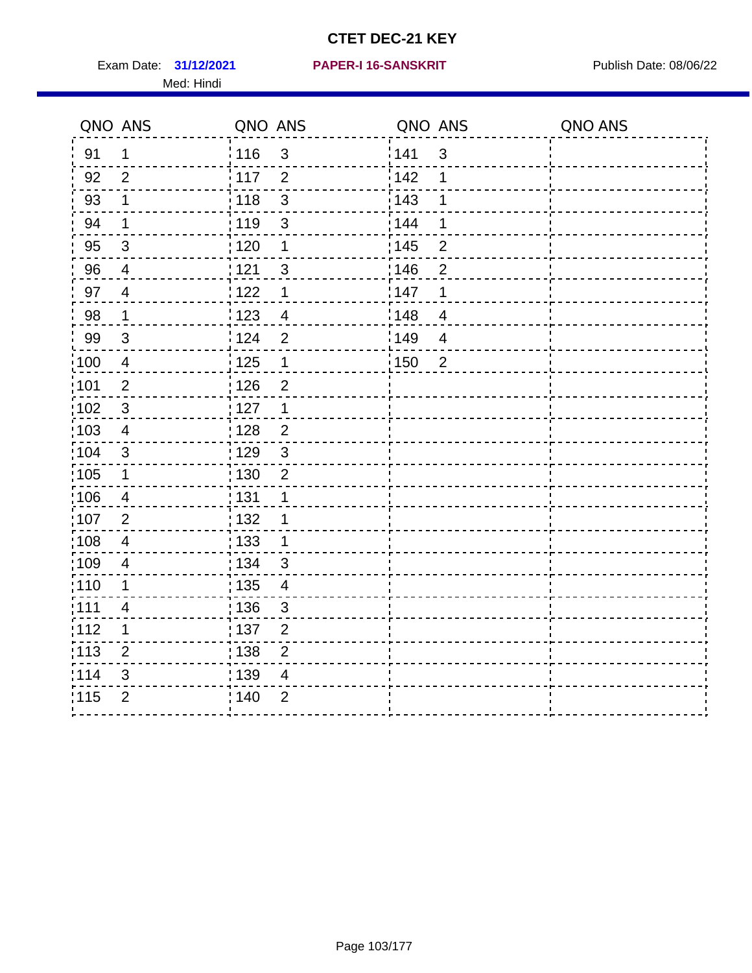Exam Date: 31/12/2021 PAPER-I 16-SANSKRIT Publish Date: 08/06/22 Med: Hindi

|                   | QNO ANS                  | QNO ANS           |                | QNO ANS           |                | QNO ANS |
|-------------------|--------------------------|-------------------|----------------|-------------------|----------------|---------|
| 91                | $\mathbf 1$              | 116               | $\mathfrak{S}$ | 141               | $\mathfrak{S}$ |         |
| 92                | $\overline{2}$           | 117               | $\overline{2}$ | 142               | 1              |         |
| 93                | $\mathbf 1$              | 118               | $\mathbf{3}$   | 143               | 1              |         |
| 94                | 1                        | : 119             | 3              | : 144             | 1              |         |
| 95                | $\mathfrak{S}$           | : 120             | 1              | : 145             | $\overline{2}$ |         |
| 96                | 4                        | 121               | 3              | 146               | $\overline{2}$ |         |
| 97                | $\overline{4}$           | : 122             | 1              | 147               | 1              |         |
| 98                | $\mathbf{1}$             | 123               | $\overline{4}$ | 148               | $\overline{4}$ |         |
| 99                | $\sqrt{3}$               | 124               | $\overline{2}$ | $\frac{1}{2}$ 149 | $\overline{4}$ |         |
| $\frac{1}{1}$ 100 | $\overline{4}$           | 125               | $\mathbf 1$    | 150               | $\overline{2}$ |         |
| :101              | $\mathbf 2$              | : 126             | $\overline{2}$ |                   |                |         |
| 102               | $\mathfrak{3}$           | : 127             | $\mathbf 1$    |                   |                |         |
| ;103              | $\overline{4}$           | :128              | $\overline{2}$ |                   |                |         |
| 104               | $\mathbf{3}$             | : 129             | $\mathfrak{S}$ |                   |                |         |
| 105               | $\mathbf 1$              | $\frac{1}{1}$ 130 | $\overline{2}$ |                   |                |         |
| 106               | 4                        | : 131             | 1              |                   |                |         |
| 107               | $\overline{2}$           | :132              | 1              |                   |                |         |
| 108               | $\overline{4}$           | 133               | $\mathbf{1}$   |                   |                |         |
| :109              | $\overline{\mathbf{4}}$  | : 134             | 3              |                   |                |         |
| : 110             | 1                        | : 135             | $\overline{4}$ |                   |                |         |
| : 111             | $\overline{\mathcal{A}}$ | : 136             | $\mathbf{3}$   |                   |                |         |
| 112               | 1                        | 137               | $\overline{c}$ |                   |                |         |
| 113               | $\overline{2}$           | 138               | $\overline{c}$ |                   |                |         |
| 114               | 3                        | 139               | 4              |                   |                |         |
| 115               | $\overline{2}$           | 140               | $\overline{2}$ |                   |                |         |
|                   |                          |                   |                |                   |                |         |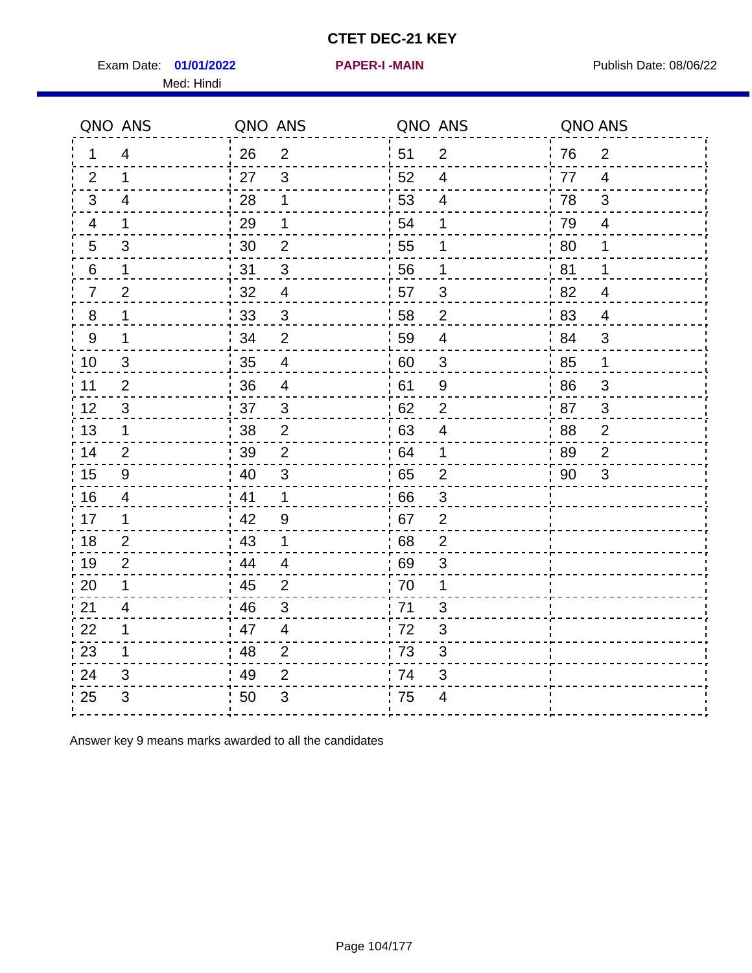Exam Date: 01/01/2022 PAPER-I-MAIN PUBLISH Date: 08/06/22 Med: Hindi

**01/01/2022 PAPER-I -MAIN**

|                | QNO ANS                   | QNO ANS |                           |      | QNO ANS                   | QNO ANS |                |
|----------------|---------------------------|---------|---------------------------|------|---------------------------|---------|----------------|
| 1              | $\overline{4}$            | 26      | $\overline{2}$            | ¦ 51 | $\overline{2}$            | 76      | $\overline{2}$ |
| 2              | $\mathbf 1$               | 27      | $\mathbf{3}$              | 52   | $\overline{4}$            | 77      | $\overline{4}$ |
| 3              | $\overline{4}$            | 28      | 1                         | 53   | $\overline{\mathcal{A}}$  | 78      | 3              |
| $\overline{4}$ | $\mathbf 1$               | 29      | 1                         | 54   | 1                         | 79      | $\overline{4}$ |
| 5              | 3                         | 30      | $\overline{2}$            | 55   | 1                         | 80      | 1              |
| 6              | 1                         | 31      | 3                         | 56   | 1                         | 81      | 1              |
| $\overline{7}$ | $\mathbf 2$               | 32      | $\overline{4}$            | 57   | 3                         | 82      | $\overline{4}$ |
| 8              | 1                         | 33      | $\mathfrak{S}$            | 58   | $\overline{2}$            | 83      | $\overline{4}$ |
| 9              | 1                         | 34      | $\overline{2}$            | 59   | $\overline{4}$            | 84      | 3              |
| 10             | $\mathfrak{S}$            | 35      | $\overline{4}$            | 60   | $\ensuremath{\mathsf{3}}$ | 85      | $\mathbf 1$    |
| 11             | $\overline{2}$            | 36      | $\overline{\mathcal{A}}$  | 61   | 9                         | 86      | $\sqrt{3}$     |
| 12             | $\sqrt{3}$                | 37      | $\mathfrak{S}$            | 62   | $\overline{2}$            | 87      | $\mathbf{3}$   |
| 13             | $\mathbf 1$               | 38      | $\overline{2}$            | .63  | $\overline{4}$            | 88      | $\overline{2}$ |
| 14             | 2                         | 39      | $\overline{2}$            | 64   | 1                         | 89      | $\overline{2}$ |
| 15             | $\boldsymbol{9}$          | 40      | $\sqrt{3}$                | 65   | $\mathbf{2}$              | 90      | $\mathfrak{S}$ |
| 16             | $\overline{4}$            | 41      | 1                         | 66   | $\mathfrak{S}$            |         |                |
| 17             | 1                         | 42      | 9                         | .67  | $\overline{2}$            |         |                |
| 18             | $\overline{2}$            | 43      | 1                         | 68   | $\overline{2}$            |         |                |
| 19             | $\overline{2}$            | 44      | $\overline{\mathcal{A}}$  | 69   | 3                         |         |                |
| 20             | 1                         | 45      | $\overline{2}$            | 70   | 1                         |         |                |
| 21             | 4                         | 46      | 3                         | 71   | 3                         |         |                |
| 22             | $\mathbf 1$               | 47      | $\overline{4}$            | 72   | $\sqrt{3}$                |         |                |
| 23             | $\mathbf 1$               | 48      | $\overline{2}$            | 73   | 3                         |         |                |
| 24             | 3                         | 49      | $\overline{2}$            | 74   | 3                         |         |                |
| 25             | $\ensuremath{\mathsf{3}}$ | 50      | $\ensuremath{\mathsf{3}}$ | 75   | $\overline{\mathcal{A}}$  |         |                |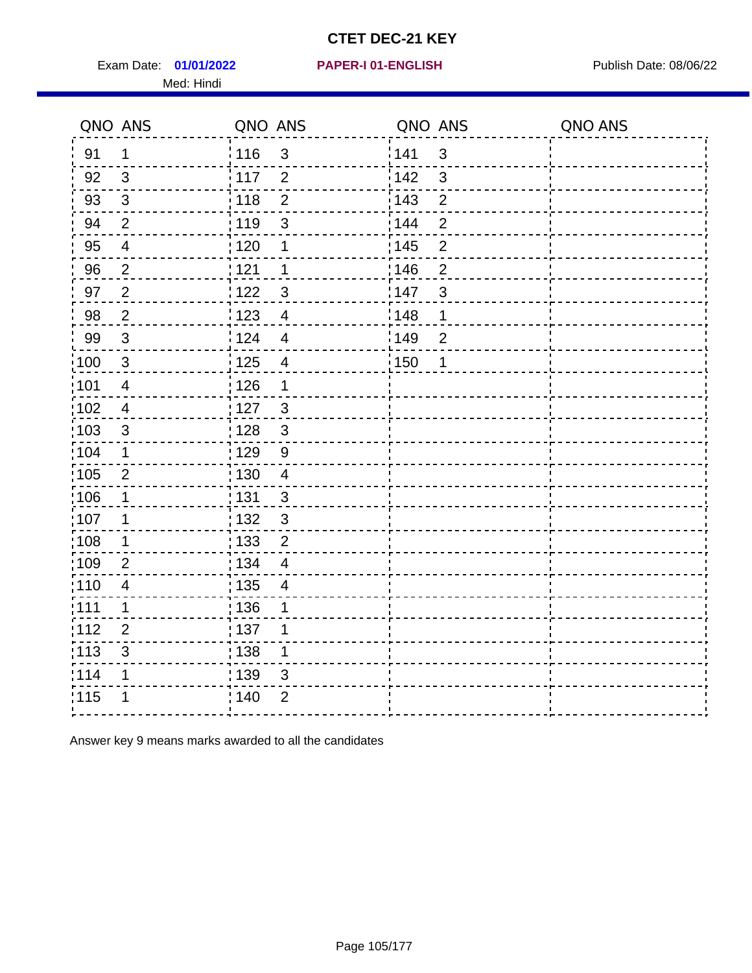Exam Date: 01/01/2022 PAPER-I 01-ENGLISH PREER FOR Publish Date: 08/06/22 Med: Hindi

**01/01/2022 PAPER-I 01-ENGLISH**

|                   | QNO ANS                  | QNO ANS           |                          | QNO ANS |                | QNO ANS |
|-------------------|--------------------------|-------------------|--------------------------|---------|----------------|---------|
| 91                | $\mathbf 1$              | : 116             | 3                        | 141     | $\mathfrak{3}$ |         |
| 92                | $\mathbf{3}$             | 117               | $\overline{2}$           | 142     | $\mathbf{3}$   |         |
| 93                | $\sqrt{3}$               | 118               | $\overline{2}$           | 143     | $\overline{2}$ |         |
| 94                | $\overline{2}$           | : 119             | 3                        | 144     | $\overline{2}$ |         |
| 95                | $\overline{\mathcal{A}}$ | :120              | 1                        | : 145   | $\overline{2}$ |         |
| 96                | $\overline{2}$           | 121               | 1                        | 146     | $\overline{2}$ |         |
| 97                | $\overline{2}$           | 1122              | $\mathfrak{S}$           | 147     | $\mathfrak{S}$ |         |
| 98                | $\overline{2}$           | 1123              | $\overline{4}$           | 148     | 1              |         |
| 99                | $\sqrt{3}$               | 124               | $\overline{4}$           | 149     | $\overline{2}$ |         |
| 100               | $\sqrt{3}$               | $\frac{1}{1}$ 125 | $\overline{\mathbf{4}}$  | 150     | 1              |         |
| 101               | $\overline{\mathbf{4}}$  | : 126             | 1                        |         |                |         |
| :102              | $\overline{\mathbf{4}}$  | : 127             | $\mathbf{3}$             |         |                |         |
| $\frac{1}{1}$ 103 | $\mathfrak{B}$           | 128               | $\mathbf{3}$             |         |                |         |
| 104               | $\mathbf 1$              | : 129             | 9                        |         |                |         |
| :105              | $\mathbf{2}$             | : 130             | $\overline{4}$           |         |                |         |
| 106               | $\mathbf 1$              | : 131             | 3                        |         |                |         |
| 107               | 1                        | : 132             | $\mathbf{3}$             |         |                |         |
| :108              | $\mathbf 1$              | : 133             | $\overline{2}$           |         |                |         |
| :109              | $\overline{2}$           | : 134             | $\overline{\mathcal{A}}$ |         |                |         |
| :110              | $\overline{\mathbf{4}}$  | $\frac{1}{1}$ 135 | $\overline{4}$           |         |                |         |
| :111              | 1                        | : 136             | 1                        |         |                |         |
| 112               | $\overline{2}$           | : 137             | 1                        |         |                |         |
| $\frac{1}{1}$ 113 | 3                        | : 138             | $\mathbf 1$              |         |                |         |
| 114               | 1                        | : 139             | 3                        |         |                |         |
| 115               | 1                        | : 140             | $\overline{2}$           |         |                |         |
|                   |                          |                   |                          |         |                |         |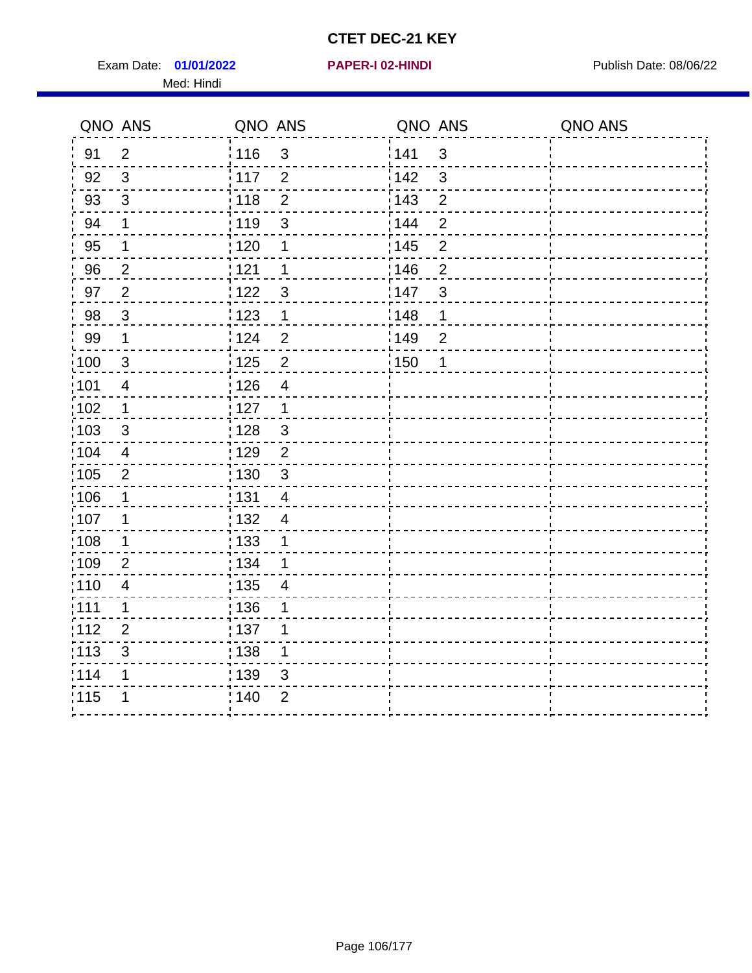Exam Date: 01/01/2022 **PAPER-I 02-HINDI Exam Date: 08/06/22** Med: Hindi

**01/01/2022 PAPER-I 02-HINDI**

|                   | QNO ANS                  | QNO ANS           |                         | QNO ANS           |                | QNO ANS |
|-------------------|--------------------------|-------------------|-------------------------|-------------------|----------------|---------|
| 91                | $\overline{2}$           | 116               | $\mathsf 3$             | 141               | $\sqrt{3}$     |         |
| 92                | $\mathfrak{S}$           | 117               | $\overline{2}$          | 142               | 3              |         |
| 93                | $\mathbf{3}$             | 118               | $\overline{2}$          | 143               | $\overline{2}$ |         |
| 94                | 1                        | : 119             | $\mathbf{3}$            | 144               | $\overline{2}$ |         |
| 95                | 1                        | : 120             | 1                       | : 145             | $\overline{2}$ |         |
| 96                | $\overline{2}$           | 121               | 1                       | 146               | $\overline{2}$ |         |
| 97                | $\overline{2}$           | : 122             | 3                       | 147               | 3              |         |
| $98\,$            | $\mathbf{3}$             | 123               | $\mathbf{1}$            | $\frac{1}{2}$ 148 | 1              |         |
| 99                | $\mathbf 1$              | 124               | $\overline{2}$          | $\frac{1}{2}$ 149 | $\overline{2}$ |         |
| 100               | $\mathbf{3}$             | 125               | $\overline{2}$          | 150               | $\mathbf 1$    |         |
| :101              | $\overline{\mathcal{A}}$ | 126               | $\overline{\mathbf{4}}$ |                   |                |         |
| 102               | 1                        | : 127             | 1                       |                   |                |         |
| 103               | $\mathbf{3}$             | 128               | $\mathfrak{S}$          |                   |                |         |
| 104               | $\overline{\mathbf{4}}$  | : 129             | $\overline{2}$          |                   |                |         |
| 105               | $\mathbf{2}$             | : 130             | $\mathbf{3}$            |                   |                |         |
| :106              | 1                        | : 131             | $\overline{4}$          |                   |                |         |
| :107              | 1                        | : 132             | $\overline{4}$          |                   |                |         |
| $\frac{1}{1}$ 108 | $\mathbf 1$              | : 133             | 1                       |                   |                |         |
| :109              | $\overline{2}$           | : 134             | 1                       |                   |                |         |
| :110              | 4                        | : 135             | 4                       |                   |                |         |
| 111               | 1                        | : 136             | 1                       |                   |                |         |
| 112               | $\overline{2}$           | $\frac{1}{1}$ 137 | 1                       |                   |                |         |
| 113               | 3                        | 138               | 1                       |                   |                |         |
| 1114              | 1                        | 139               | 3                       |                   |                |         |
| 115               | 1                        | 140               | $\overline{2}$          |                   |                |         |
|                   |                          |                   |                         |                   |                |         |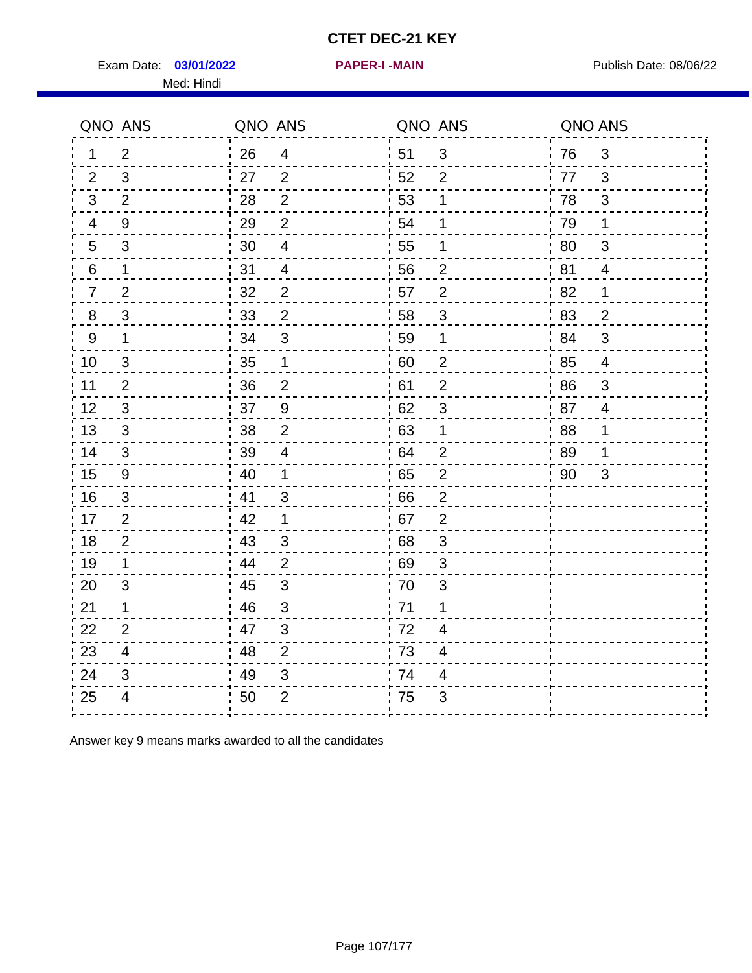Exam Date: 03/01/2022 **PAPER-I-MAIN Provided by Publish Date: 08/06/22** Med: Hindi

**03/01/2022 PAPER-I -MAIN**

|                  | QNO ANS        | QNO ANS |                          |      | QNO ANS        | QNO ANS |                |
|------------------|----------------|---------|--------------------------|------|----------------|---------|----------------|
| 1                | $\overline{2}$ | 26      | $\overline{4}$           | ¦ 51 | $\sqrt{3}$     | 76      | $\mathbf{3}$   |
| 2                | 3              | 27      | 2                        | 52   | $\overline{2}$ | 77      | 3              |
| 3                | 2              | 28      | $\overline{2}$           | 53   | 1              | 78      | 3              |
| 4                | 9              | 29      | $\overline{2}$           | 54   | 1              | 79      | 1              |
| 5                | 3              | 30      | $\overline{\mathcal{A}}$ | 55   | 1              | 80      | 3              |
| 6                | 1              | 31      | 4                        | 56   | $\overline{2}$ | 81      | 4              |
| 7                | $\overline{2}$ | 32      | $\overline{2}$           | 57   | $\overline{2}$ | 82      | 1              |
| 8                | $\mathfrak{S}$ | 33      | $\boldsymbol{2}$         | 58   | $\sqrt{3}$     | 83      | $\overline{2}$ |
| $\boldsymbol{9}$ | $\mathbf 1$    | 34      | $\mathfrak{S}$           | 59   | 1              | 84      | $\mathfrak{S}$ |
| 10               | 3              | 35      | $\mathbf 1$              | 60   | $\overline{c}$ | 85      | $\overline{4}$ |
| 11               | $\overline{2}$ | 36      | $\overline{2}$           | 61   | $\overline{2}$ | 86      | $\mathfrak{S}$ |
| 12               | $\sqrt{3}$     | 37      | $\boldsymbol{9}$         | 62   | $\sqrt{3}$     | 87      | $\overline{4}$ |
| 13               | 3              | 38      | $\overline{2}$           | 63   | 1              | 88      | 1              |
| 14               | 3              | 39      | 4                        | 64   | $\overline{2}$ | 89      | 1              |
| 15               | 9              | 40      | $\mathbf 1$              | 65   | $\overline{2}$ | 90      | 3              |
| 16               | 3              | 41      | $\mathfrak{S}$           | .66  | $\overline{2}$ |         |                |
| 17               | $\overline{2}$ | 42      | 1                        | .67  | $\overline{2}$ |         |                |
| 18               | $\overline{2}$ | 43      | 3                        | 68   | 3              |         |                |
| 19               | $\mathbf 1$    | 44      | 2                        | 69   | 3              |         |                |
| 20               | 3              | 45      | $\sqrt{3}$               | 70   | $\sqrt{3}$     |         |                |
| 21               | 1              | 46      | 3                        | : 71 | 1              |         |                |
| 22               | $\overline{2}$ | 47      | 3                        | 72   | 4              |         |                |
| 23               | 4              | 48      | $\overline{2}$           | 73   | 4              |         |                |
| 24               | 3              | 49      | $\sqrt{3}$               | 74   | 4              |         |                |
| 25               | 4              | 50      | $\overline{2}$           | .75  | 3              |         |                |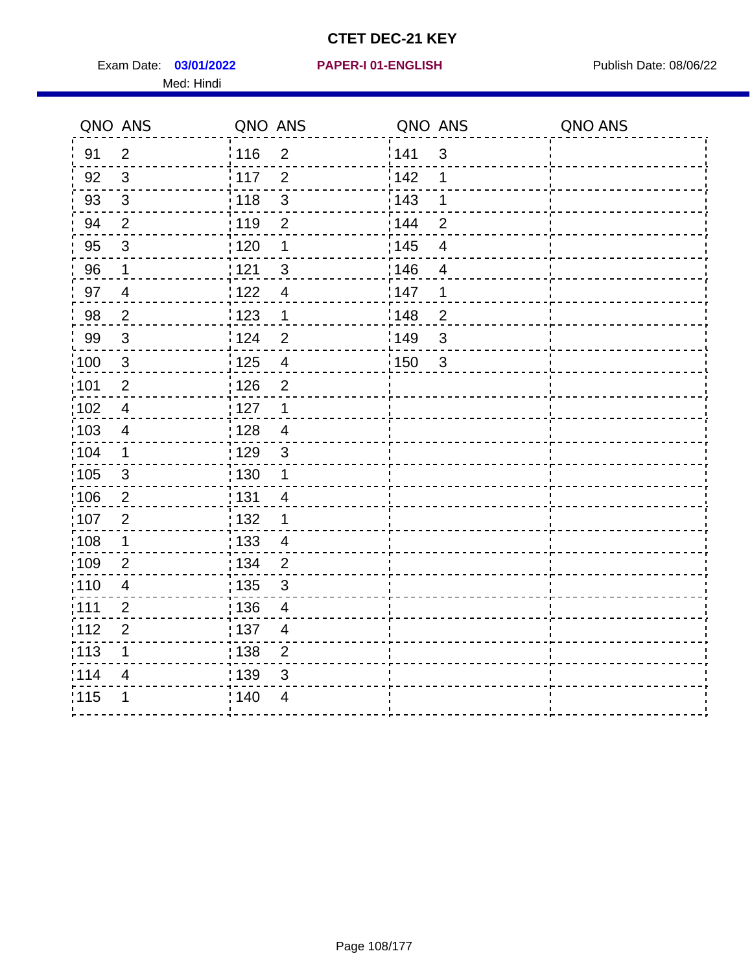Exam Date: 03/01/2022 PAPER-I 01-ENGLISH PREER FOR Publish Date: 08/06/22 Med: Hindi

### **03/01/2022 PAPER-I 01-ENGLISH**

|                   | QNO ANS                 | QNO ANS           |                | QNO ANS           |                | QNO ANS |
|-------------------|-------------------------|-------------------|----------------|-------------------|----------------|---------|
| 91                | $\overline{2}$          | : 116             | $\overline{2}$ | 141               | $\mathfrak{3}$ |         |
| 92                | $\mathfrak{S}$          | i 117             | $\overline{2}$ | 142               | 1              |         |
| 93                | $\mathbf{3}$            | 118               | $\sqrt{3}$     | 143               | 1              |         |
| 94                | 2                       | : 119             | $\overline{2}$ | : 144             | $\overline{2}$ |         |
| 95                | $\mathfrak{S}$          | : 120             | 1              | : 145             | 4              |         |
| 96                | 1                       | 121               | 3              | 146               | 4              |         |
| 97                | $\overline{\mathbf{4}}$ | 122               | $\overline{4}$ | 147               | 1              |         |
| 98                | $\overline{2}$          | $\frac{1}{2}$ 123 | $\mathbf{1}$   | 148               | $\overline{c}$ |         |
| 99                | $\sqrt{3}$              | 124               | $\overline{2}$ | 149               | 3              |         |
| $\frac{1}{1}$ 100 | $\mathbf{3}$            | $\frac{1}{1}$ 125 | $\overline{4}$ | $\frac{1}{1}$ 150 | $\mathbf{3}$   |         |
| :101              | $\mathbf 2$             | 126               | $\overline{2}$ |                   |                |         |
| 102               | $\overline{4}$          | : 127             | $\mathbf{1}$   |                   |                |         |
| 103               | $\overline{4}$          | : 128             | $\overline{4}$ |                   |                |         |
| 104               | $\mathbf 1$             | : 129             | $\mathfrak{3}$ |                   |                |         |
| 105               | $\mathbf{3}$            | 130               | $\mathbf{1}$   |                   |                |         |
| :106              | $\overline{2}$          | : 131             | $\overline{4}$ |                   |                |         |
| :107              | $\overline{2}$          | 132               | $\mathbf 1$    |                   |                |         |
| 108               | $\mathbf 1$             | : 133             | $\overline{4}$ |                   |                |         |
| :109              | $\overline{2}$          | : 134             | $\overline{2}$ |                   |                |         |
| :110              | $\overline{4}$          | 135               | 3              |                   |                |         |
| :111              | $\overline{2}$          | : 136             | $\overline{4}$ |                   |                |         |
| 112               | $\mathbf 2$             | 137               | $\overline{4}$ |                   |                |         |
| 113               | 1                       | : 138             | $\overline{2}$ |                   |                |         |
| 114               | 4                       | 139               | 3              |                   |                |         |
| 115               | 1                       | 140               | $\overline{4}$ |                   |                |         |
|                   |                         |                   |                |                   |                |         |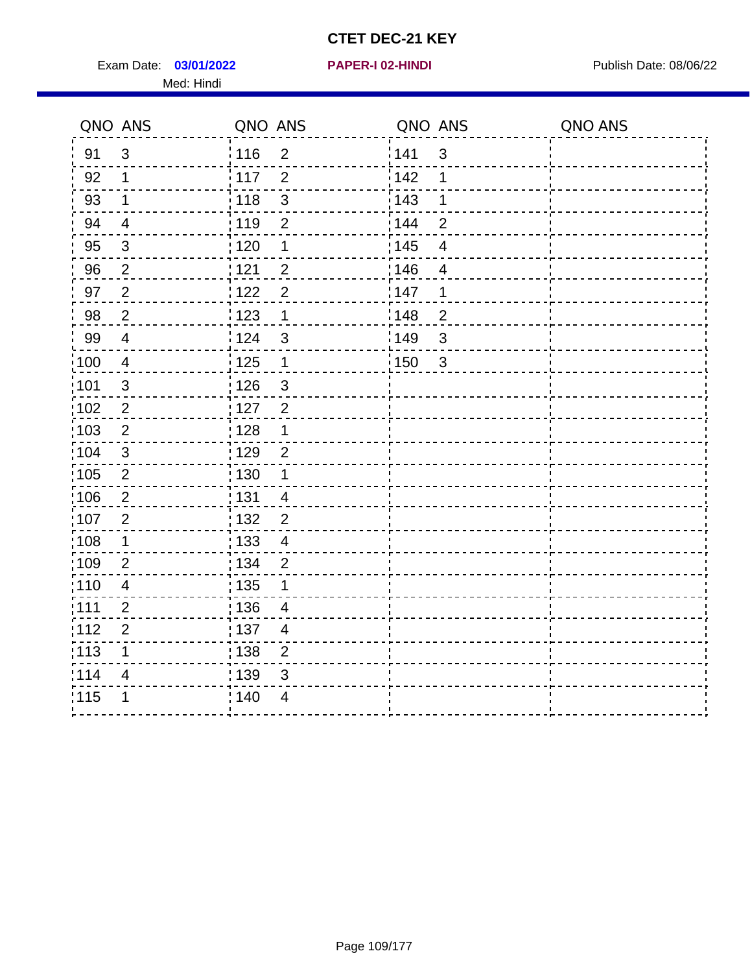Exam Date: 03/01/2022 **PAPER-I 02-HINDI Exam Date: 08/06/22** Publish Date: 08/06/22 Med: Hindi

|       | QNO ANS        | QNO ANS           |                         | QNO ANS           |                | QNO ANS |
|-------|----------------|-------------------|-------------------------|-------------------|----------------|---------|
| 91    | $\mathbf{3}$   | 116               | $\overline{2}$          | 141               | $\sqrt{3}$     |         |
| 92    | 1              | $\frac{1}{2}$ 117 | $\overline{2}$          | 142               | 1              |         |
| 93    | $\mathbf 1$    | 118               | $\mathbf{3}$            | 143               | 1              |         |
| 94    | $\overline{4}$ | : 119             | $\overline{2}$          | : 144             | $\overline{2}$ |         |
| 95    | $\mathfrak{B}$ | : 120             | 1                       | : 145             | 4              |         |
| 96    | $\overline{2}$ | : 121             | $\overline{2}$          | 146               | $\overline{4}$ |         |
| 97    | $\overline{2}$ | 122               | $\overline{2}$          | 147               | 1              |         |
| 98    | $\sqrt{2}$     | 123               | $\overline{1}$          | 148               | $\overline{2}$ |         |
| 99    | $\overline{4}$ | :124              | $\mathfrak{S}$          | $\frac{1}{2}$ 149 | $\mathfrak{S}$ |         |
| 100   | $\overline{4}$ | 125               | $\overline{\mathbf{1}}$ | 150               | $\sqrt{3}$     |         |
| :101  | $\mathfrak{S}$ | : 126             | $\sqrt{3}$              |                   |                |         |
| 102   | $\overline{2}$ | : 127             | $\overline{2}$          |                   |                |         |
| 103   | $\overline{2}$ | : 128             | $\mathbf 1$             |                   |                |         |
| :104  | $\mathfrak{3}$ | : 129             | $\overline{2}$          |                   |                |         |
| 105   | $\sqrt{2}$     | $\frac{1}{1}$ 130 | $\mathbf 1$             |                   |                |         |
| :106  | $\overline{2}$ | : 131             | $\overline{4}$          |                   |                |         |
| 107   | $\overline{2}$ | : 132             | $\overline{2}$          |                   |                |         |
| 108   | $\mathbf{1}$   | 133               | $\overline{\mathbf{4}}$ |                   |                |         |
| :109  | $\overline{2}$ | : 134             | $\overline{2}$          |                   |                |         |
| :110  | $\overline{4}$ | : 135             | 1                       |                   |                |         |
| 111   | $\overline{2}$ | : 136             | $\overline{4}$          |                   |                |         |
| 112   | $\overline{2}$ | $\frac{1}{1}$ 137 | $\overline{4}$          |                   |                |         |
| : 113 | 1              | 138               | $\overline{c}$          |                   |                |         |
| 1114  | 4              | 139               | 3                       |                   |                |         |
| 115   | 1              | 140               | $\overline{4}$          |                   |                |         |
|       |                |                   |                         |                   |                |         |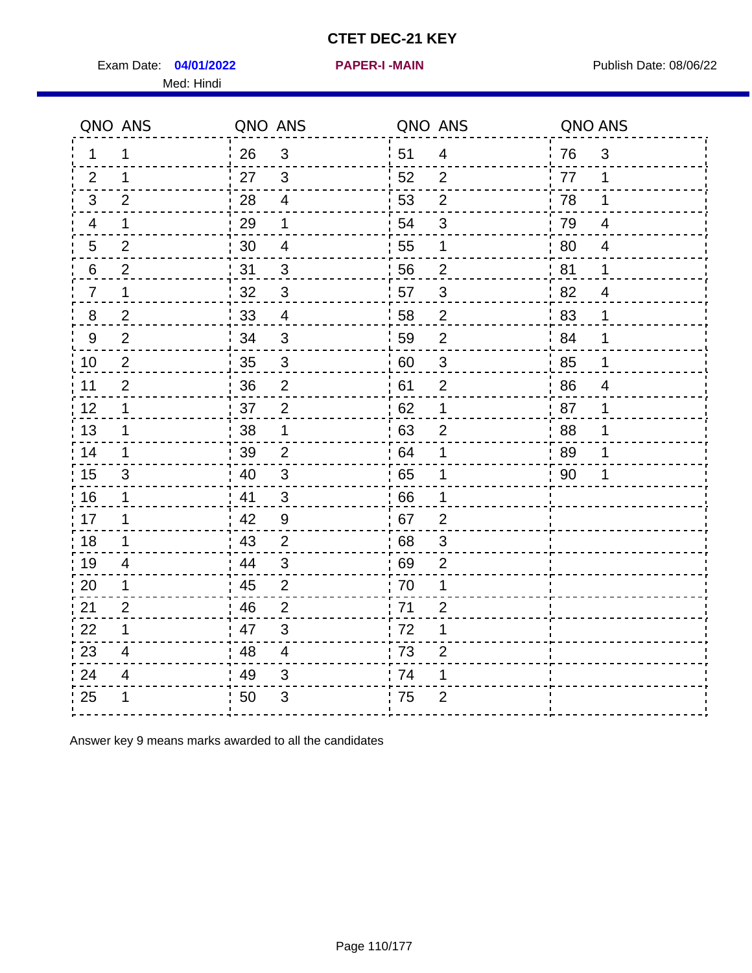Exam Date: 04/01/2022 PAPER-I-MAIN PUBLISH Date: 08/06/22 Med: Hindi

**04/01/2022 PAPER-I -MAIN**

|                | QNO ANS        | QNO ANS |                           | QNO ANS |                           | QNO ANS |                         |
|----------------|----------------|---------|---------------------------|---------|---------------------------|---------|-------------------------|
| 1              | 1              | 26      | $\mathbf{3}$              | 51      | $\overline{4}$            | 76      | $\mathfrak{S}$          |
| 2              | 1              | 27      | $\mathbf{3}$              | 52      | $\overline{2}$            | 77      | 1                       |
| 3              | $\overline{2}$ | 28      | $\overline{\mathbf{4}}$   | 53      | $\overline{2}$            | 78      | 1                       |
| $\overline{4}$ | 1              | 29      | 1                         | 54      | $\sqrt{3}$                | 79      | $\overline{\mathbf{4}}$ |
| 5              | $\overline{2}$ | 30      | 4                         | 55      | 1                         | 80      | $\overline{4}$          |
| 6              | $\overline{2}$ | 31      | 3                         | 56      | $\overline{2}$            | 81      | 1                       |
| 7              | 1              | 32      | $\sqrt{3}$                | 57      | $\sqrt{3}$                | 82      | $\overline{4}$          |
| 8              | $\overline{2}$ | $33\,$  | $\overline{4}$            | 58      | $\overline{2}$            | 83      | 1                       |
| $9\,$          | $\overline{2}$ | 34      | $\mathbf{3}$              | 59      | $\overline{2}$            | 84      | 1                       |
| 10             | $\overline{2}$ | 35      | $\mathsf 3$               | 60      | $\ensuremath{\mathsf{3}}$ | 85      | 1                       |
| 11             | $\overline{2}$ | 36      | $\overline{2}$            | 61      | $\overline{2}$            | 86      | $\overline{4}$          |
| 12             | $\mathbf 1$    | 37      | $\overline{2}$            | 62      | 1                         | 87      | 1                       |
| 13             | 1              | 38      | 1                         | 63      | $\overline{2}$            | 88      | 1                       |
| 14             | 1              | 39      | $\overline{2}$            | 64      | 1                         | 89      | 1                       |
| 15             | 3              | 40      | $\mathfrak{S}$            | 65      | 1                         | 90      | 1                       |
| 16             | 1              | 41      | $\mathfrak{3}$            | 66      | 1                         |         |                         |
| 17             | 1              | 42      | $\overline{9}$            | 67      | $\overline{2}$            |         |                         |
| 18             | 1              | 43      | $\overline{2}$            | 68      | $\mathfrak{S}$            |         |                         |
| 19             | 4              | 44      | $\mathbf{3}$              | 69      | $\overline{2}$            |         |                         |
| 20             | 1              | 45      | $\mathbf 2$               | 70      | 1                         |         |                         |
| 21             | $\overline{2}$ | 46      | $\overline{2}$            | 71      | $\overline{2}$            |         |                         |
| 22             | $\mathbf 1$    | 47      | 3                         | 72      | 1                         |         |                         |
| 23             | 4              | 48      | $\overline{\mathbf{4}}$   | 73      | $\overline{2}$            |         |                         |
| 24             | 4              | 49      | $\ensuremath{\mathsf{3}}$ | 74      | 1                         |         |                         |
| 25             | 1              | 50      | $\ensuremath{\mathsf{3}}$ | 75      | $\overline{2}$            |         |                         |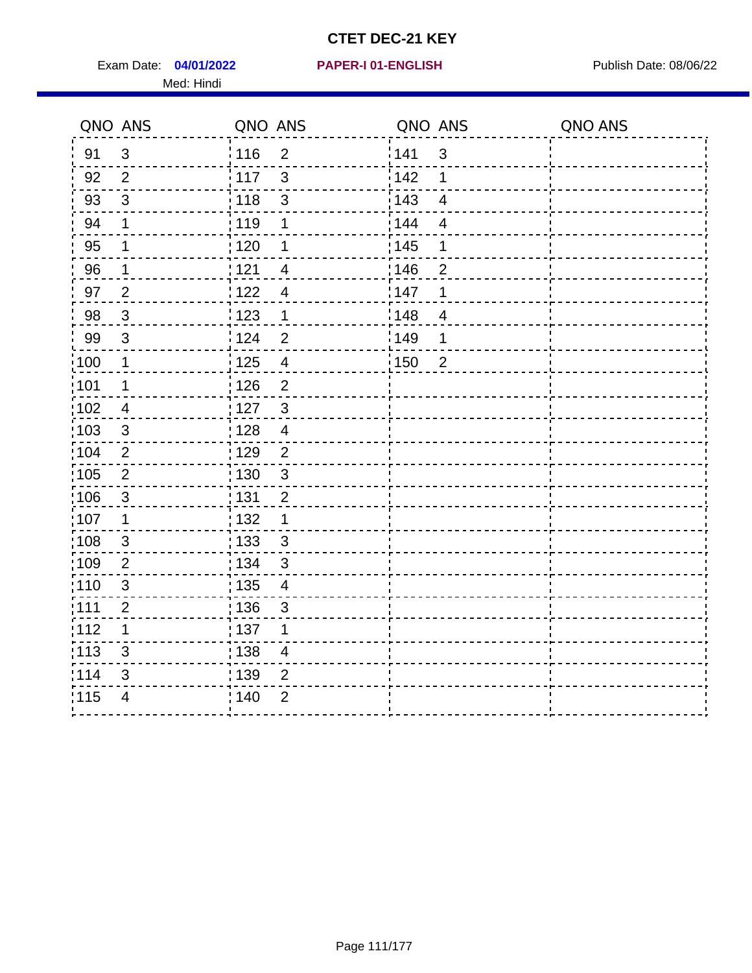Exam Date: 04/01/2022 PAPER-I 01-ENGLISH PUBLISH Publish Date: 08/06/22 Med: Hindi

**04/01/2022 PAPER-I 01-ENGLISH**

|                   | QNO ANS        | QNO ANS           |                          | QNO ANS           |                | QNO ANS |
|-------------------|----------------|-------------------|--------------------------|-------------------|----------------|---------|
| 91                | $\mathfrak{S}$ | 116               | $\overline{2}$           | 141               | $\mathfrak{S}$ |         |
| 92                | $\overline{2}$ | 117               | $\mathbf{3}$             | 142               | 1              |         |
| 93                | $\mathbf{3}$   | 118               | $\sqrt{3}$               | 143               | $\overline{4}$ |         |
| 94                | 1              | : 119             | 1                        | 144               | $\overline{4}$ |         |
| 95                | 1              | : 120             | 1                        | : 145             | 1              |         |
| 96                | 1              | : 121             | $\overline{4}$           | :146              | $\overline{2}$ |         |
| 97                | $\overline{2}$ | 122               | $\overline{4}$           | 147               | 1              |         |
| 98                | $\mathbf{3}$   | $\frac{1}{2}$ 123 | $\mathbf 1$              | 148               | $\overline{4}$ |         |
| 99                | $\sqrt{3}$     | 124               | $\overline{2}$           | 149               | 1              |         |
| $\frac{1}{1}$ 100 | $\mathbf{1}$   | 125               | $\overline{\mathbf{4}}$  | $\frac{1}{1}$ 150 | $\overline{2}$ |         |
| :101              | $\mathbf 1$    | 126               | $\overline{2}$           |                   |                |         |
| 102               | $\overline{4}$ | : 127             | $\mathbf{3}$             |                   |                |         |
| 103               | 3              | : 128             | $\overline{4}$           |                   |                |         |
| 104               | $\overline{2}$ | : 129             | $\overline{2}$           |                   |                |         |
| 105               | $\sqrt{2}$     | $\frac{1}{1}$ 130 | $\mathbf{3}$             |                   |                |         |
| :106              | $\mathbf{3}$   | : 131             | $\overline{2}$           |                   |                |         |
| 107               | $\mathbf 1$    | : 132             | $\mathbf 1$              |                   |                |         |
| 108               | $\mathbf{3}$   | : 133             | $\mathfrak{3}$           |                   |                |         |
| :109              | $\overline{2}$ | : 134             | $\mathfrak{3}$           |                   |                |         |
| :110              | $\mathfrak{S}$ | 135               | $\overline{4}$           |                   |                |         |
| ;111              | $\overline{2}$ | : 136             | $\sqrt{3}$               |                   |                |         |
| 112               | 1              | : 137             | 1                        |                   |                |         |
| :113              | $\mathsf 3$    | : 138             | $\overline{\mathcal{A}}$ |                   |                |         |
| 114               | 3              | : 139             | $\overline{2}$           |                   |                |         |
| 115               | $\overline{4}$ | 140               | $\overline{2}$           |                   |                |         |
|                   |                |                   |                          |                   |                |         |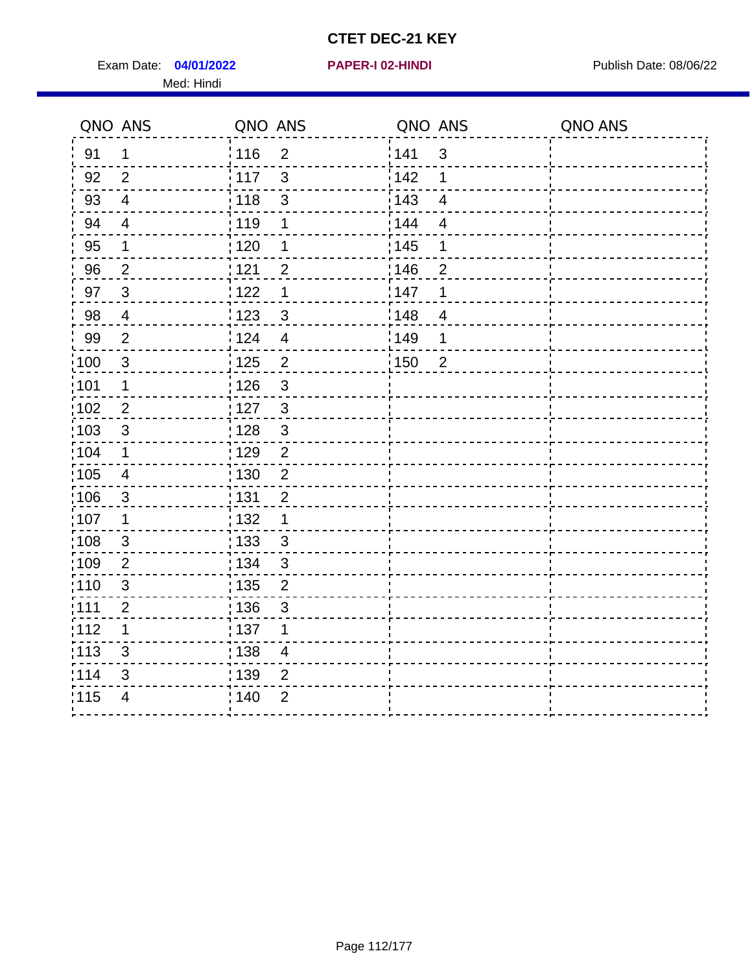Exam Date: 04/01/2022 **PAPER-I 02-HINDI Exam Date: 08/06/22** Med: Hindi

|        | QNO ANS        | QNO ANS           |                         | QNO ANS           |                          | QNO ANS |
|--------|----------------|-------------------|-------------------------|-------------------|--------------------------|---------|
| 91     | 1              | 116               | $\overline{2}$          | 141               | $\sqrt{3}$               |         |
| 92     | $\overline{2}$ | $\frac{1}{117}$   | 3                       | 142               | 1                        |         |
| 93     | $\overline{4}$ | 118               | $\mathbf{3}$            | 143               | $\overline{\mathbf{4}}$  |         |
| 94     | $\overline{4}$ | : 119             | 1                       | 144               | $\overline{4}$           |         |
| 95     | 1              | : 120             | 1                       | : 145             | 1                        |         |
| 96     | $\overline{2}$ | : 121             | $\overline{2}$          | 146               | 2                        |         |
| 97     | $\mathbf{3}$   | 122               | 1                       | 147               | 1                        |         |
| $98\,$ | $\overline{4}$ | 123               | $\mathfrak{S}$          | 148               | $\overline{\mathcal{A}}$ |         |
| 99     | $\overline{2}$ | :124              | $\overline{\mathbf{4}}$ | $\frac{1}{2}$ 149 | 1                        |         |
| 100    | $\mathbf{3}$   | 125               | $\overline{2}$          | 150               | $\overline{2}$           |         |
| :101   | 1              | : 126             | $\mathfrak{S}$          |                   |                          |         |
| 102    | $\overline{2}$ | : 127             | $\mathbf{3}$            |                   |                          |         |
| 103    | $\mathfrak{B}$ | :128              | $\mathbf{3}$            |                   |                          |         |
| :104   | $\mathbf 1$    | : 129             | $\overline{2}$          |                   |                          |         |
| 105    | $\overline{4}$ | : 130             | $\overline{2}$          |                   |                          |         |
| :106   | $\mathfrak{S}$ | : 131             | $\overline{2}$          |                   |                          |         |
| 107    | 1              | : 132             | 1                       |                   |                          |         |
| 108    | $\mathbf{3}$   | 133               | $\mathfrak{3}$          |                   |                          |         |
| :109   | $\overline{2}$ | : 134             | $\mathfrak{3}$          |                   |                          |         |
| :110   | $\mathbf{3}$   | : 135             | $\overline{2}$          |                   |                          |         |
| :111   | $\overline{2}$ | : 136             | $\mathfrak{S}$          |                   |                          |         |
| 112    | 1              | $\frac{1}{1}$ 137 | 1                       |                   |                          |         |
| : 113  | 3              | : 138             | $\overline{\mathbf{4}}$ |                   |                          |         |
| 1114   | 3              | : 139             | $\overline{2}$          |                   |                          |         |
| 115    | $\overline{4}$ | 140               | $\overline{2}$          |                   |                          |         |
|        |                |                   |                         |                   |                          |         |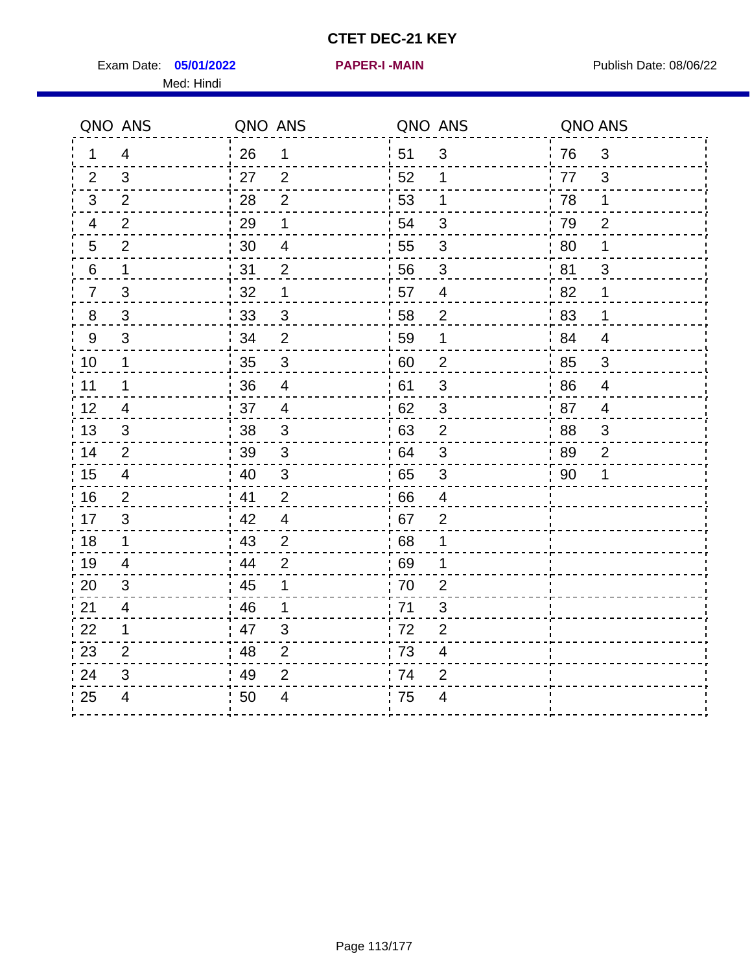Exam Date: 05/01/2022 **PAPER-I-MAIN Proposed Bublish Date: 08/06/22** Med: Hindi

**05/01/2022 PAPER-I -MAIN**

|                | QNO ANS                  | QNO ANS                         | QNO ANS                                     |    | QNO ANS        |
|----------------|--------------------------|---------------------------------|---------------------------------------------|----|----------------|
| 1              | 4                        | 26<br>1                         | ¦ 51<br>$\mathfrak{B}$                      | 76 | 3              |
| 2              | 3                        | 27<br>$\overline{2}$            | 52<br>$\mathbf 1$                           | 77 | 3              |
| 3              | $\overline{2}$           | $\overline{2}$<br>28            | 53<br>1                                     | 78 | $\mathbf 1$    |
| 4              | $\overline{2}$           | 29<br>1                         | 54<br>$\mathfrak{S}$                        | 79 | $\overline{2}$ |
| 5              | $\overline{2}$           | 30<br>4                         | 55<br>3                                     | 80 | 1              |
| 6              | 1                        | 31<br>$\overline{2}$            | 56<br>3                                     | 81 | 3              |
| $\overline{7}$ | 3                        | 32<br>1                         | 57<br>$\overline{\mathcal{A}}$              | 82 | 1              |
| 8              | $\mathfrak{S}$           | 33<br>$\sqrt{3}$                | 58<br>$\overline{2}$                        | 83 | 1              |
| 9              | 3                        | $\overline{2}$<br>34            | 59<br>1                                     | 84 | $\overline{4}$ |
| 10             | $\mathbf 1$              | 35<br>$\sqrt{3}$                | $\sqrt{2}$<br>60                            | 85 | $\mathfrak{S}$ |
| 11             | 1                        | 36<br>$\overline{4}$            | 61<br>$\sqrt{3}$                            | 86 | $\overline{4}$ |
| 12             | $\overline{4}$           | 37<br>$\overline{4}$            | 62<br>$\sqrt{3}$                            | 87 | $\overline{4}$ |
| 13             | 3                        | 38<br>3                         | .63<br>$\overline{2}$                       | 88 | 3              |
| 14             | 2                        | 39<br>3                         | 64<br>3                                     | 89 | $\overline{2}$ |
| 15             | $\overline{4}$           | $\ensuremath{\mathsf{3}}$<br>40 | 65<br>$\sqrt{3}$                            | 90 | 1              |
| 16             | 2                        | 41<br>$\overline{2}$            | 66<br>$\overline{4}$                        |    |                |
| 17             | 3                        | 42<br>$\overline{4}$            | 67<br>$\overline{2}$                        |    |                |
| 18             | $\mathbf{1}$             | 43<br>$\overline{2}$            | 68<br>1                                     |    |                |
| 19             | $\overline{\mathcal{A}}$ | 44<br>$\overline{2}$            | .69<br>1                                    |    |                |
| 20             | 3                        | 45<br>1                         | 70<br>$\overline{2}$                        |    |                |
| 21             | 4                        | 46<br>1                         | 71<br>3                                     |    |                |
| 22             | 1                        | $\mathfrak{B}$<br>47            | 72<br>$\overline{2}$                        |    |                |
| 23             | $\overline{2}$           | 48<br>$\overline{2}$            | $\frac{1}{2}$ 73<br>$\overline{\mathbf{4}}$ |    |                |
| 24             | 3                        | 49<br>$\overline{2}$            | .74<br>2                                    |    |                |
| 25             | 4                        | 50<br>4                         | 75<br>$\overline{4}$                        |    |                |
|                |                          |                                 |                                             |    |                |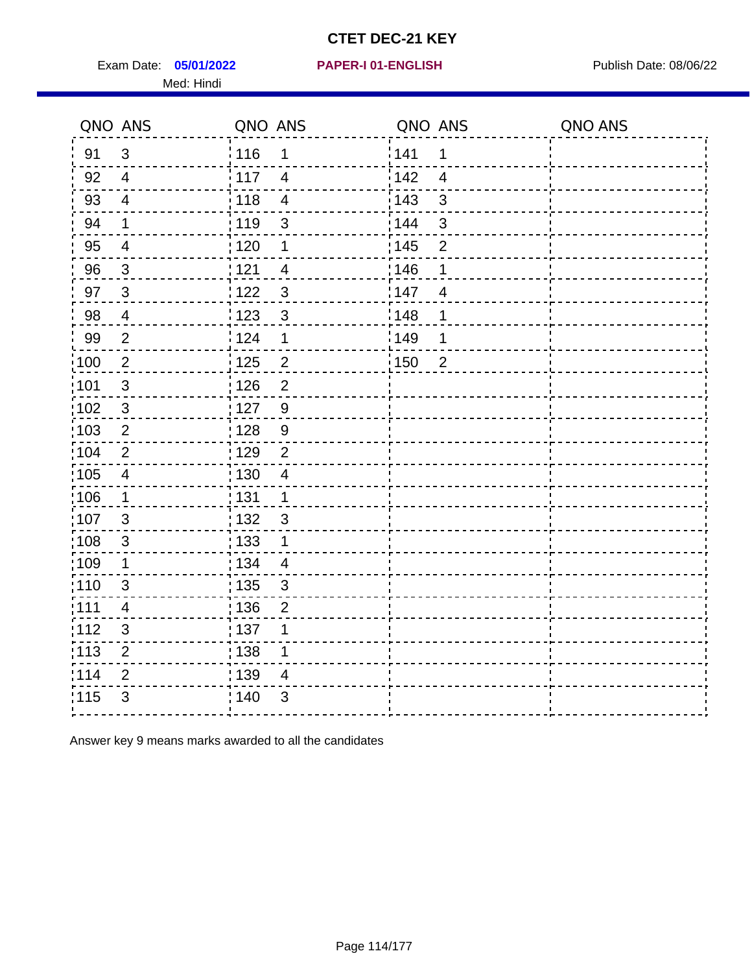Exam Date: 05/01/2022 PAPER-I 01-ENGLISH PREER FOR Publish Date: 08/06/22 Med: Hindi

#### **05/01/2022 PAPER-I 01-ENGLISH**

|                   | QNO ANS                 | QNO ANS           |                | QNO ANS |                | QNO ANS |
|-------------------|-------------------------|-------------------|----------------|---------|----------------|---------|
| 91                | $\mathfrak{S}$          | 116               | $\mathbf 1$    | 141     | 1              |         |
| 92                | $\overline{4}$          | $\frac{1}{117}$   | $\overline{4}$ | 142     | $\overline{4}$ |         |
| 93                | $\overline{4}$          | $\frac{1}{2}$ 118 | $\overline{4}$ | 143     | $\mathfrak{S}$ |         |
| 94                | 1                       | : 119             | 3              | : 144   | 3              |         |
| 95                | $\overline{\mathbf{4}}$ | : 120             | 1              | : 145   | $\overline{2}$ |         |
| 96                | 3                       | 121               | 4              | :146    | 1              |         |
| 97                | $\mathbf{3}$            | 122               | 3              | 147     | $\overline{4}$ |         |
| 98                | $\overline{4}$          | 123               | $\mathbf{3}$   | 148     | 1              |         |
| 99                | $\overline{2}$          | 124               | 1              | 149     | 1              |         |
| 100               | $\sqrt{2}$              | $\frac{1}{1}$ 125 | $\overline{c}$ | 150     | $\overline{2}$ |         |
| 101               | $\sqrt{3}$              | 126               | $\overline{2}$ |         |                |         |
| 102               | $\mathbf{3}$            | :127              | 9              |         |                |         |
| 103               | 2                       | : 128             | 9              |         |                |         |
| 104               | $\overline{2}$          | : 129             | $\overline{2}$ |         |                |         |
| :105              | $\overline{\mathbf{4}}$ | $\frac{1}{1}$ 130 | $\overline{4}$ |         |                |         |
| $\frac{1}{1}$ 106 | $\mathbf 1$             | : 131             | $\overline{1}$ |         |                |         |
| 107               | $\mathbf{3}$            | : 132             | $\mathbf{3}$   |         |                |         |
| 108               | $\sqrt{3}$              | $\frac{1}{1}$ 133 | $\mathbf{1}$   |         |                |         |
| :109              | 1                       | : 134             | $\overline{4}$ |         |                |         |
| 110               | $\mathfrak{S}$          | 135               | $\mathbf{3}$   |         |                |         |
| : 111             | 4                       | : 136             | $\overline{2}$ |         |                |         |
| 112               | 3                       | : 137             | 1              |         |                |         |
| $\frac{1}{1}$ 113 | $\mathbf{2}$            | : 138             | $\mathbf 1$    |         |                |         |
| 114               | $\mathbf{2}$            | 139               | $\overline{4}$ |         |                |         |
| 115               | $\mathfrak{S}$          | ; 140             | 3              |         |                |         |
|                   |                         |                   |                |         |                |         |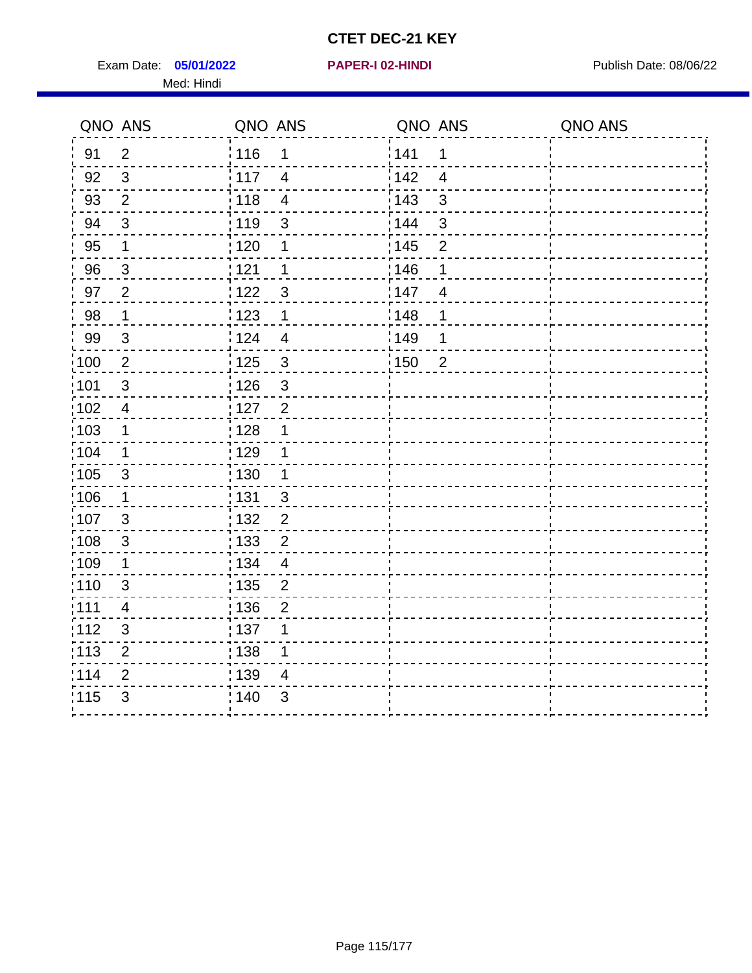Exam Date: 05/01/2022 **PAPER-I 02-HINDI Exam Date: 08/06/22** Med: Hindi

|                   | QNO ANS                   | QNO ANS                 | QNO ANS |                | QNO ANS |
|-------------------|---------------------------|-------------------------|---------|----------------|---------|
| 91                | $\overline{2}$            | 116<br>$\mathbf 1$      | 141     | $\mathbf 1$    |         |
| 92                | $\mathfrak{B}$            | 117<br>$\overline{4}$   | 142     | $\overline{4}$ |         |
| 93                | $\overline{2}$            | 118<br>$\overline{4}$   | 143     | $\mathbf{3}$   |         |
| 94                | 3                         | : 119<br>$\mathbf{3}$   | 144     | $\mathbf{3}$   |         |
| 95                | 1                         | :120<br>1               | : 145   | $\overline{2}$ |         |
| 96                | $\mathbf{3}$              | 121<br>1                | 146     | 1              |         |
| 97                | $\overline{2}$            | 122<br>$\mathbf{3}$     | 147     | $\overline{4}$ |         |
| 98                | $\mathbf 1$               | 123<br>$\mathbf 1$      | 148     | 1              |         |
| 99                | $\sqrt{3}$                | 124<br>$\overline{4}$   | :149    | 1              |         |
| $\frac{1}{1}$ 100 | $\sqrt{2}$                | 125<br>$\mathbf{3}$     | 150     | $\overline{2}$ |         |
| 101               | $\mathfrak{S}$            | : 126<br>3              |         |                |         |
| 102               | $\overline{4}$            | : 127<br>$\overline{2}$ |         |                |         |
| ;103              | $\mathbf 1$               | 128<br>1                |         |                |         |
| 104               | $\mathbf 1$               | : 129<br>1              |         |                |         |
| $\frac{1}{1}$ 105 | $\sqrt{3}$                | 130<br>$\mathbf 1$      |         |                |         |
| ;106              | $\mathbf{1}$              | : 131<br>$\mathbf{3}$   |         |                |         |
| :107              | 3                         | : 132<br>$\overline{2}$ |         |                |         |
| 108               | $\ensuremath{\mathsf{3}}$ | $\overline{2}$<br>: 133 |         |                |         |
| :109              | 1                         | : 134<br>$\overline{4}$ |         |                |         |
| :110              | 3                         | : 135<br>2              |         |                |         |
| :111              | $\overline{\mathbf{4}}$   | : 136<br>$\overline{c}$ |         |                |         |
| 112               | $\ensuremath{\mathsf{3}}$ | : 137<br>1              |         |                |         |
| 113               | $\mathbf 2$               | : 138<br>1              |         |                |         |
| 114               | 2                         | 139<br>4                |         |                |         |
| 115               | 3                         | 140<br>$\sqrt{3}$       |         |                |         |
|                   |                           |                         |         |                |         |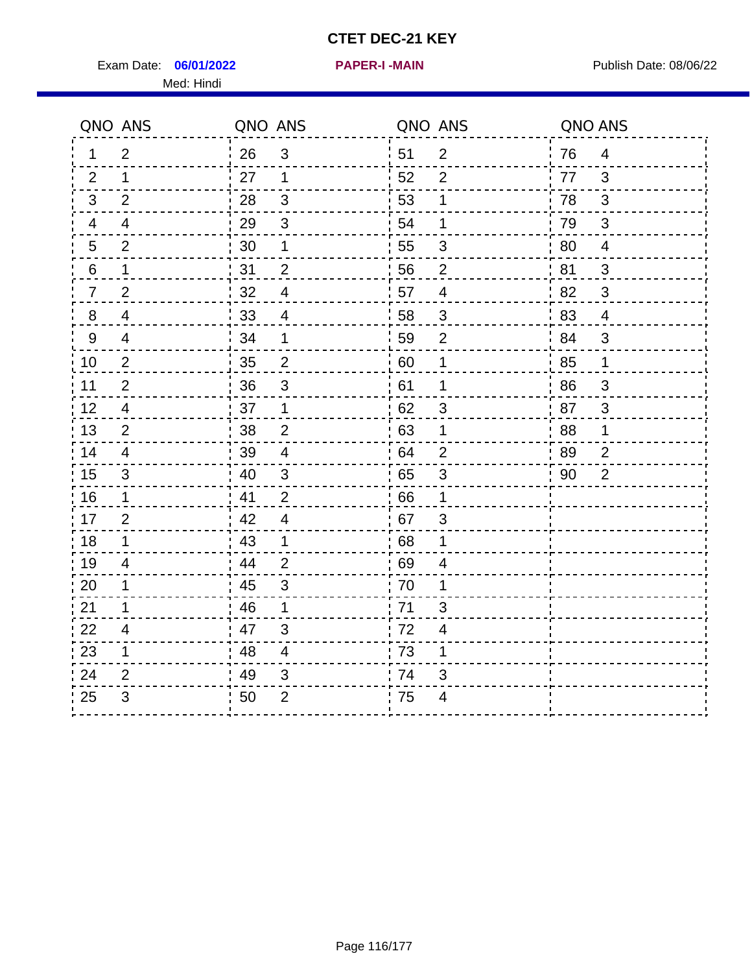Exam Date: 06/01/2022 **PAPER-I-MAIN Exam Date: 08/06/22** Med: Hindi

**06/01/2022 PAPER-I -MAIN**

|    | QNO ANS                  | QNO ANS |                          |                  | QNO ANS                  | QNO ANS |                |
|----|--------------------------|---------|--------------------------|------------------|--------------------------|---------|----------------|
| 1  | $\overline{2}$           | 26      | $\mathbf{3}$             | 51               | $\overline{2}$           | 76      | $\overline{4}$ |
| 2  | $\mathbf{1}$             | 27      | 1                        | 52               | $\overline{2}$           | 77      | 3              |
| 3  | $\overline{2}$           | 28      | $\sqrt{3}$               | 53               | 1                        | 78      | $\mathfrak{B}$ |
| 4  | $\overline{\mathcal{A}}$ | 29      | $\mathfrak{S}$           | 54               | 1                        | 79      | $\sqrt{3}$     |
| 5  | $\overline{2}$           | 30      | 1                        | 55               | $\sqrt{3}$               | 80      | $\overline{4}$ |
| 6  | 1                        | 31      | $\overline{2}$           | 56               | $\overline{2}$           | 81      | 3              |
| 7  | $\overline{2}$           | 32      | $\overline{4}$           | 57               | $\overline{\mathcal{A}}$ | 82      | 3              |
| 8  | $\overline{\mathcal{A}}$ | $33\,$  | $\overline{\mathcal{A}}$ | 58               | $\sqrt{3}$               | 83      | $\overline{4}$ |
| 9  | $\overline{\mathcal{A}}$ | 34      | 1                        | 59               | $\overline{2}$           | 84      | 3              |
| 10 | $\overline{2}$           | 35      | $\overline{c}$           | 60               | $\mathbf 1$              | 85      | 1              |
| 11 | $\overline{2}$           | 36      | $\mathfrak{S}$           | 61               | 1                        | 86      | $\mathfrak{S}$ |
| 12 | $\overline{4}$           | 37      | $\mathbf 1$              | 62               | $\mathfrak{S}$           | 87      | 3              |
| 13 | 2                        | 38      | $\overline{2}$           | .63              | 1                        | 88      | 1              |
| 14 | $\overline{4}$           | 39      | $\overline{4}$           | 64               | $\overline{2}$           | 89      | $\overline{2}$ |
| 15 | $\sqrt{3}$               | 40      | $\mathfrak{S}$           | 65               | $\sqrt{3}$               | 90      | $\overline{2}$ |
| 16 | $\mathbf 1$              | 41      | $\overline{2}$           | 66               | $\mathbf 1$              |         |                |
| 17 | 2                        | 42      | $\overline{4}$           | 67               | 3                        |         |                |
| 18 | $\mathbf 1$              | 43      | $\mathbf 1$              | 68               | 1                        |         |                |
| 19 | $\overline{\mathcal{A}}$ | 44      | $\overline{2}$           | .69              | 4                        |         |                |
| 20 | 1                        | 45      | 3                        | 70               | 1                        |         |                |
| 21 | 1                        | 46      | 1                        | 71               | 3                        |         |                |
| 22 | $\overline{4}$           | 47      | $\mathfrak{B}$           | 72               | $\overline{4}$           |         |                |
| 23 | 1                        | 48      | $\overline{4}$           | $\frac{1}{2}$ 73 | 1                        |         |                |
| 24 | 2                        | 49      | 3                        | .74              | 3                        |         |                |
| 25 | 3                        | 50      | $\overline{2}$           | 75               | $\overline{4}$           |         |                |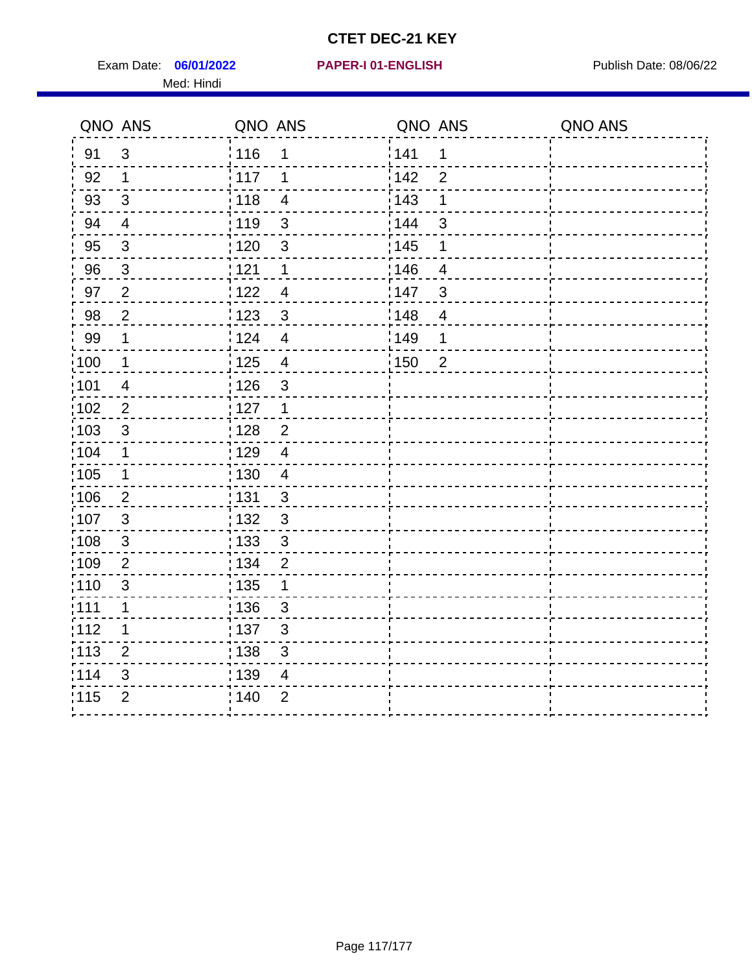Exam Date: 06/01/2022 PAPER-I 01-ENGLISH PUBLISH Publish Date: 08/06/22 Med: Hindi

**06/01/2022 PAPER-I 01-ENGLISH**

|                   | QNO ANS        | QNO ANS           |                         | QNO ANS |                | QNO ANS |
|-------------------|----------------|-------------------|-------------------------|---------|----------------|---------|
| 91                | 3              | 116               | 1                       | 141     | 1              |         |
| 92                | $\mathbf 1$    | 117               | 1                       | 142     | $\overline{2}$ |         |
| 93                | $\sqrt{3}$     | 118               | $\overline{\mathbf{4}}$ | 143     | 1              |         |
| 94                | $\overline{4}$ | : 119             | $\mathfrak{S}$          | : 144   | 3              |         |
| 95                | $\sqrt{3}$     | : 120             | $\mathbf{3}$            | : 145   | 1              |         |
| 96                | $\mathfrak{S}$ | 121               | 1                       | 146     | 4              |         |
| 97                | $\overline{2}$ | 122               | $\overline{4}$          | 147     | 3              |         |
| 98                | $\overline{2}$ | : 123             | $\mathfrak{S}$          | :148    | $\overline{4}$ |         |
| 99                | $\mathbf 1$    | 124               | $\overline{\mathbf{4}}$ | :149    | $\mathbf 1$    |         |
| $\frac{1}{1}$ 100 | $\mathbf 1$    | $\frac{1}{1}$ 125 | $\overline{\mathbf{4}}$ | : 150   | $\overline{2}$ |         |
| :101              | $\overline{4}$ | 126               | 3                       |         |                |         |
| 102               | $\overline{2}$ | 127               | $\mathbf{1}$            |         |                |         |
| 103               | 3              | : 128             | $\overline{2}$          |         |                |         |
| :104              | $\mathbf 1$    | : 129             | $\overline{4}$          |         |                |         |
| 105               | $\mathbf 1$    | : 130             | $\overline{4}$          |         |                |         |
| :106              | 2              | : 131             | $\mathbf{3}$            |         |                |         |
| 107               | $\mathbf{3}$   | : 132             | $\mathbf{3}$            |         |                |         |
| 108               | $\mathbf{3}$   | : 133             | $\mathfrak{S}$          |         |                |         |
| :109              | $\overline{2}$ | : 134             | $\overline{2}$          |         |                |         |
| :110              | $\mathfrak{S}$ | 135               | 1                       |         |                |         |
| : 111             | 1              | : 136             | $\mathfrak{S}$          |         |                |         |
| 112               | 1              | : 137             | $\mathbf{3}$            |         |                |         |
| : 113             | $\overline{2}$ | : 138             | 3                       |         |                |         |
| 114               | 3              | : 139             | 4                       |         |                |         |
| 115               | $\overline{2}$ | 140               | $\overline{2}$          |         |                |         |
|                   |                |                   |                         |         |                |         |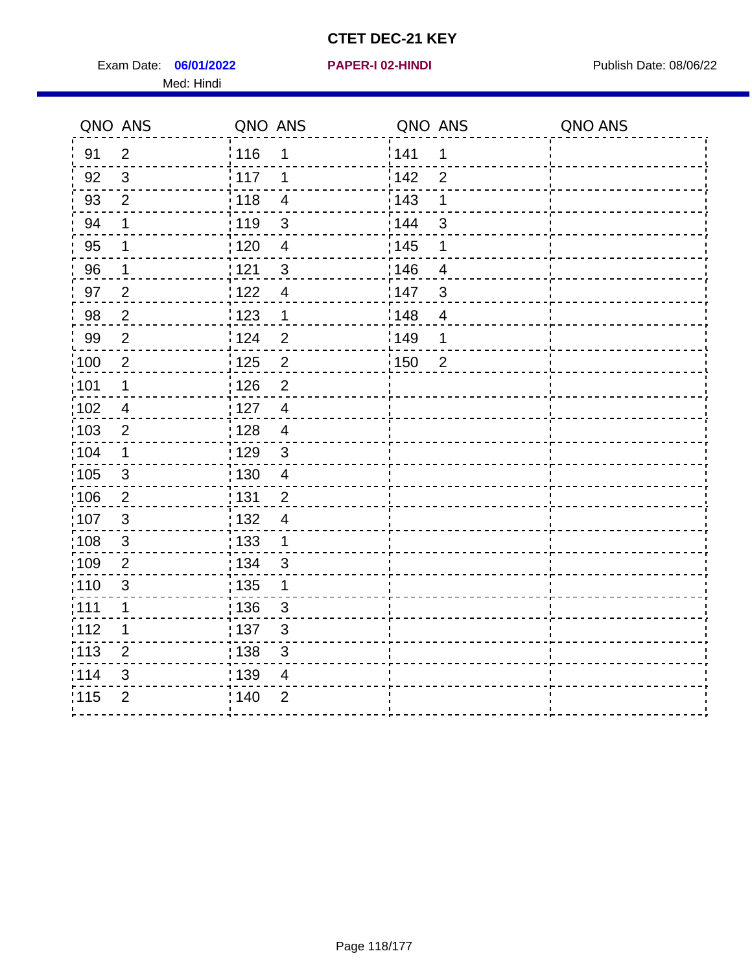Exam Date: 06/01/2022 **PAPER-I 02-HINDI Exam Date: 08/06/22** Med: Hindi

|      | QNO ANS        | QNO ANS           |                          | QNO ANS           |                         | QNO ANS |
|------|----------------|-------------------|--------------------------|-------------------|-------------------------|---------|
| 91   | $\overline{2}$ | 116               | 1                        | 141               | $\mathbf 1$             |         |
| 92   | $\mathfrak{S}$ | 117               | 1                        | 142               | $\overline{2}$          |         |
| 93   | $\overline{2}$ | $\frac{1}{2}$ 118 | $\overline{4}$           | 143               | 1                       |         |
| 94   | 1              | : 119             | 3                        | 144               | 3                       |         |
| 95   | 1              | : 120             | $\overline{\mathcal{A}}$ | : 145             | 1                       |         |
| 96   | 1              | : 121             | $\mathbf{3}$             | 146               | $\overline{4}$          |         |
| 97   | $\overline{2}$ | 122               | $\overline{\mathbf{4}}$  | 147               | 3                       |         |
| 98   | $\sqrt{2}$     | 123               | $\overline{1}$           | 148               | $\overline{\mathbf{4}}$ |         |
| 99   | $\overline{2}$ | 124               | $\overline{2}$           | $\frac{1}{2}$ 149 | 1                       |         |
| 100  | $\overline{2}$ | 125               | $\overline{2}$           | 150               | $\overline{2}$          |         |
| :101 | 1              | : 126             | $\overline{2}$           |                   |                         |         |
| 102  | $\overline{4}$ | : 127             | $\overline{4}$           |                   |                         |         |
| 103  | $\overline{2}$ | : 128             | $\overline{4}$           |                   |                         |         |
| :104 | $\mathbf 1$    | : 129             | $\mathfrak{3}$           |                   |                         |         |
| 105  | $\mathfrak{S}$ | : 130             | $\overline{4}$           |                   |                         |         |
| :106 | $\overline{2}$ | : 131             | $\overline{2}$           |                   |                         |         |
| 107  | 3              | : 132             | $\overline{4}$           |                   |                         |         |
| 108  | $\mathbf{3}$   | 133               | $\mathbf{1}$             |                   |                         |         |
| :109 | $\overline{2}$ | : 134             | $\mathfrak{S}$           |                   |                         |         |
| :110 | 3              | : 135             | 1                        |                   |                         |         |
| :111 | $\mathbf 1$    | : 136             | $\sqrt{3}$               |                   |                         |         |
| 112  | 1              | $\frac{1}{1}$ 137 | $\sqrt{3}$               |                   |                         |         |
| 113  | $\overline{2}$ | : 138             | $\mathfrak{S}$           |                   |                         |         |
| 114  | 3              | : 139             | 4                        |                   |                         |         |
| 115  | $\overline{2}$ | 140               | $\overline{2}$           |                   |                         |         |
|      |                |                   |                          |                   |                         |         |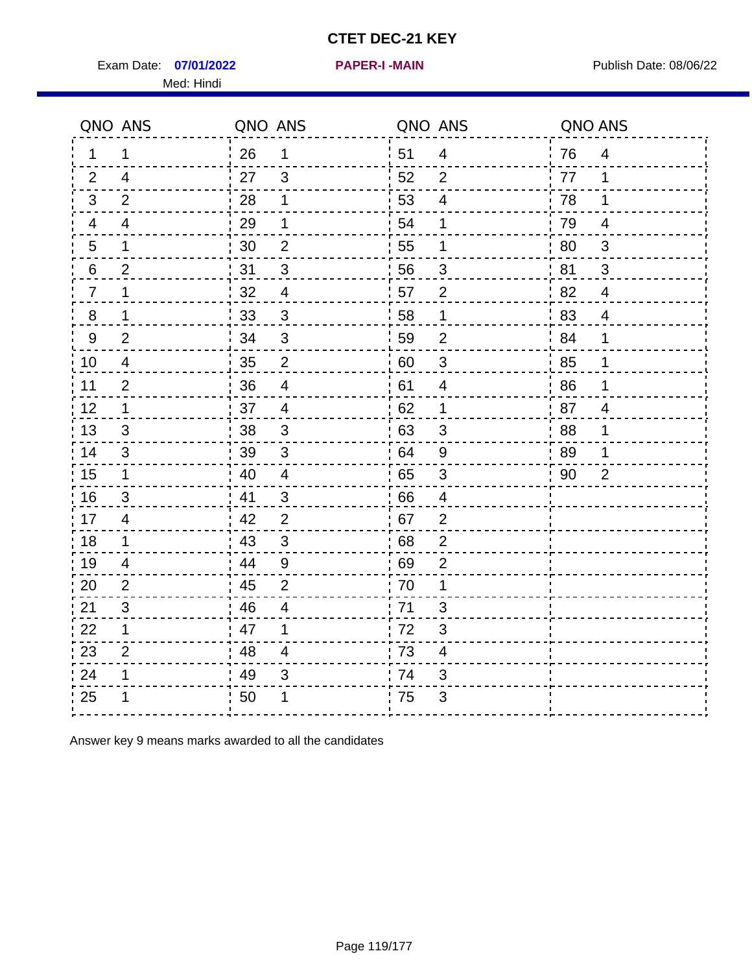Exam Date: 07/01/2022 **PAPER-I-MAIN Product by Publish Date: 08/06/22** Med: Hindi

**07/01/2022 PAPER-I -MAIN**

|                  | QNO ANS                 | QNO ANS |                           |     | QNO ANS                 | QNO ANS |                |
|------------------|-------------------------|---------|---------------------------|-----|-------------------------|---------|----------------|
| 1.               | 1                       | 26      | 1                         | 51  | $\overline{4}$          | 76      | $\overline{4}$ |
| 2                | $\overline{4}$          | 27      | $\mathfrak{S}$            | 52  | $\overline{2}$          | 77      | 1              |
| 3                | $\overline{2}$          | 28      | 1                         | 53  | $\overline{\mathbf{4}}$ | 78      | 1              |
| 4                | $\overline{\mathbf{4}}$ | 29      | 1                         | 54  | 1                       | 79      | $\overline{4}$ |
| 5                | 1                       | 30      | $\mathbf{2}$              | 55  | 1                       | 80      | $\mathfrak{B}$ |
| 6                | 2                       | 31      | 3                         | 56  | 3                       | 81      | 3              |
| 7                | 1                       | 32      | $\overline{\mathcal{A}}$  | 57  | $\overline{2}$          | 82      | $\overline{4}$ |
| $\bf 8$          | 1                       | 33      | $\sqrt{3}$                | 58  | $\mathbf 1$             | 83      | $\overline{4}$ |
| $\boldsymbol{9}$ | $\overline{2}$          | 34      | $\mathfrak{S}$            | 59  | $\mathbf 2$             | 84      | 1              |
| 10               | $\overline{4}$          | 35      | $\boldsymbol{2}$          | 60  | $\sqrt{3}$              | 85      | 1              |
| 11               | $\overline{2}$          | 36      | $\overline{\mathbf{4}}$   | 61  | $\overline{\mathbf{4}}$ | 86      | 1              |
| 12               | $\mathbf 1$             | 37      | $\overline{4}$            | 62  | $\mathbf 1$             | 87      | $\overline{4}$ |
| 13               | 3                       | 38      | 3                         | .63 | 3                       | 88      | 1              |
| 14               | 3                       | 39      | $\mathbf{3}$              | 64  | 9                       | 89      | 1              |
| 15               | $\mathbf{1}$            | 40      | $\overline{\mathbf{4}}$   | 65  | $\sqrt{3}$              | 90      | $\overline{2}$ |
| 16               | 3                       | 41      | $\mathbf{3}$              | 66  | $\overline{4}$          |         |                |
| 17               | 4                       | 42      | 2                         | .67 | $\overline{2}$          |         |                |
| 18               | $\mathbf 1$             | 43      | $\mathfrak{B}$            | 68  | $\overline{2}$          |         |                |
| 19               | 4                       | 44      | $\boldsymbol{9}$          | 69  | $\overline{2}$          |         |                |
| 20               | $\overline{2}$          | 45      | $\overline{2}$            | 70  | 1                       |         |                |
| 21               | 3                       | 46      | 4                         | 71  | 3                       |         |                |
| 22               | $\mathbf 1$             | 47      | 1                         | 72  | $\mathfrak{B}$          |         |                |
| 23               | $\overline{2}$          | 48      | 4                         | 73  | $\overline{\mathbf{4}}$ |         |                |
| 24               | 1                       | 49      | $\ensuremath{\mathsf{3}}$ | 74  | 3                       |         |                |
| 25               |                         | 50      | 1                         | 75  | 3                       |         |                |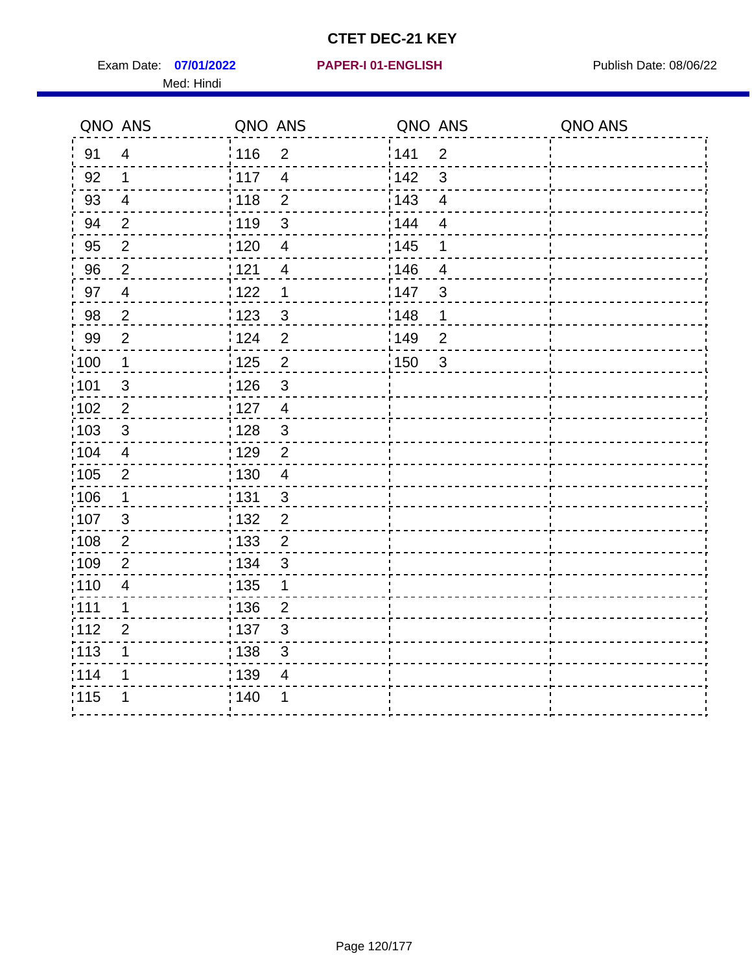Exam Date: 07/01/2022 PAPER-I 01-ENGLISH PUBLISH Publish Date: 08/06/22 Med: Hindi

**07/01/2022 PAPER-I 01-ENGLISH**

|       | QNO ANS                 | QNO ANS           |                | QNO ANS |                          | QNO ANS |
|-------|-------------------------|-------------------|----------------|---------|--------------------------|---------|
| 91    | $\overline{4}$          | : 116             | $\overline{2}$ | 1141    | $\overline{2}$           |         |
| 92    | 1                       | $\frac{1}{117}$   | $\overline{4}$ | 142     | $\mathfrak{S}$           |         |
| 93    | $\overline{4}$          | : 118             | $\overline{2}$ | 143     | $\overline{\mathbf{4}}$  |         |
| 94    | $\overline{2}$          | : 119             | 3              | 144     | $\overline{\mathcal{A}}$ |         |
| 95    | $\overline{2}$          | : 120             | $\overline{4}$ | : 145   | 1                        |         |
| 96    | $\overline{2}$          | : 121             | $\overline{4}$ | :146    | $\overline{4}$           |         |
| 97    | $\overline{\mathbf{4}}$ | 122               | 1              | 147     | 3                        |         |
| 98    | $\boldsymbol{2}$        | 1123              | $\mathfrak{S}$ | 1148    | 1                        |         |
| 99    | $\overline{2}$          | 124               | $\overline{2}$ | ¦ 149   | $\overline{2}$           |         |
| :100  | $\mathbf 1$             | 125               | $\overline{2}$ | 150     | $\mathfrak{S}$           |         |
| :101  | $\mathfrak{S}$          | : 126             | 3              |         |                          |         |
| 102   | $\overline{2}$          | : 127             | $\overline{4}$ |         |                          |         |
| 103   | 3                       | :128              | $\mathbf{3}$   |         |                          |         |
| :104  | $\overline{4}$          | : 129             | $\overline{2}$ |         |                          |         |
| 105   | $\mathbf 2$             | $\frac{1}{1}$ 130 | $\overline{4}$ |         |                          |         |
| 106   | 1                       | : 131             | $\mathbf{3}$   |         |                          |         |
| 107   | 3                       | :132              | $\overline{2}$ |         |                          |         |
| :108  | $\mathbf{2}$            | 133               | $\overline{2}$ |         |                          |         |
| :109  | $\mathbf 2$             | : 134             | $\mathbf{3}$   |         |                          |         |
| :110  | 4                       | : 135             | 1              |         |                          |         |
| 111   | 1                       | 136               | $\overline{c}$ |         |                          |         |
| 112   | $\overline{2}$          | : 137             | $\mathfrak{S}$ |         |                          |         |
| : 113 | 1                       | : 138             | 3              |         |                          |         |
| 114   | 1                       | 139               | 4              |         |                          |         |
| 115   | 1                       | 140               | 1              |         |                          |         |
|       |                         |                   |                |         |                          |         |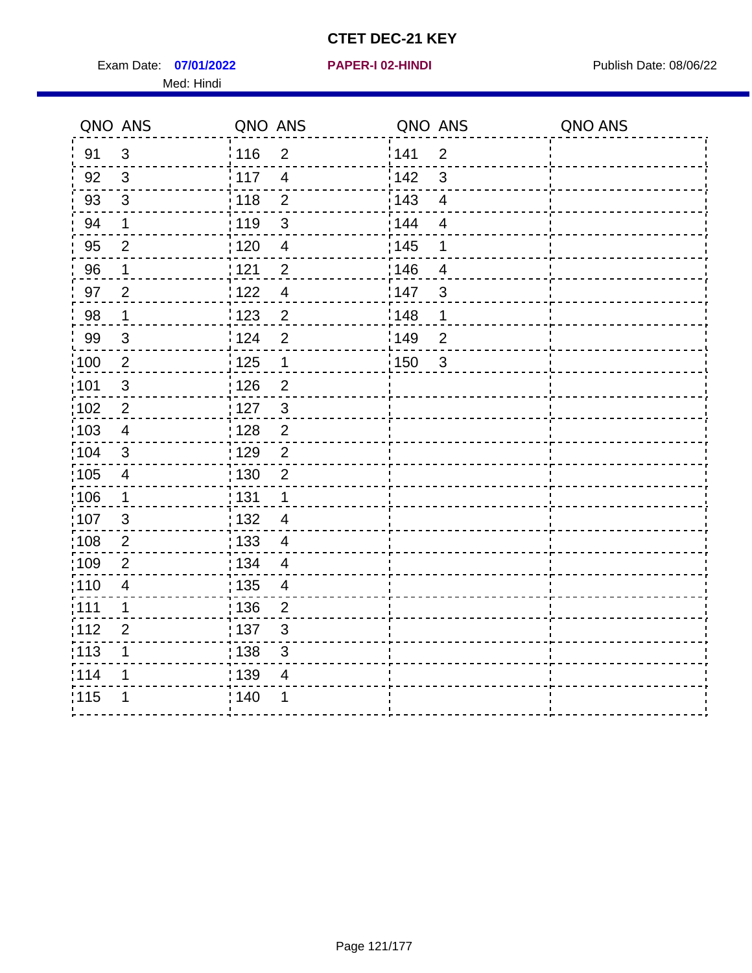Exam Date: 07/01/2022 **PAPER-I 02-HINDI Exam Date: 08/06/22** Med: Hindi

|        | QNO ANS        | QNO ANS           |                | QNO ANS           |                | QNO ANS |
|--------|----------------|-------------------|----------------|-------------------|----------------|---------|
| 91     | $\mathbf{3}$   | 116               | $\overline{2}$ | 141               | $\overline{2}$ |         |
| 92     | $\mathfrak{S}$ | 117               | $\overline{4}$ | 142               | 3              |         |
| 93     | $\mathbf{3}$   | 118               | $\overline{2}$ | 143               | $\overline{4}$ |         |
| 94     | 1              | : 119             | $\mathfrak{S}$ | 144               | $\overline{4}$ |         |
| 95     | $\overline{2}$ | :120              | $\overline{4}$ | : 145             | 1              |         |
| 96     | 1              | 121               | $\overline{2}$ | 146               | $\overline{4}$ |         |
| 97     | $\overline{2}$ | 122               | $\overline{4}$ | 147               | 3              |         |
| $98\,$ | $\mathbf{1}$   | 123               | $\overline{c}$ | 148               | 1              |         |
| 99     | $\mathfrak{S}$ | 124               | $\overline{2}$ | $\frac{1}{2}$ 149 | $\overline{c}$ |         |
| 100    | $\overline{2}$ | 125               | $\mathbf 1$    | 150               | $\sqrt{3}$     |         |
| :101   | $\mathfrak{S}$ | 126               | $\overline{2}$ |                   |                |         |
| 102    | $\overline{2}$ | : 127             | $\mathbf{3}$   |                   |                |         |
| 103    | $\overline{4}$ | 128               | $\overline{2}$ |                   |                |         |
| 104    | $\mathsf 3$    | : 129             | $\overline{2}$ |                   |                |         |
| 105    | $\overline{4}$ | : 130             | $\overline{2}$ |                   |                |         |
| :106   | 1              | : 131             | $\mathbf 1$    |                   |                |         |
| :107   | 3              | : 132             | $\overline{4}$ |                   |                |         |
| 108    | $\overline{2}$ | : 133             | $\overline{4}$ |                   |                |         |
| :109   | $\overline{2}$ | : 134             | $\overline{4}$ |                   |                |         |
| :110   | $\overline{4}$ | : 135             | 4              |                   |                |         |
| : 111  | 1              | : 136             | $\overline{2}$ |                   |                |         |
| 112    | $\overline{2}$ | $\frac{1}{1}$ 137 | $\sqrt{3}$     |                   |                |         |
| : 113  | 1              | 138               | $\mathfrak{S}$ |                   |                |         |
| 1114   | 1              | 139               | 4              |                   |                |         |
| 115    | 1              | 140               | 1              |                   |                |         |
|        |                |                   |                |                   |                |         |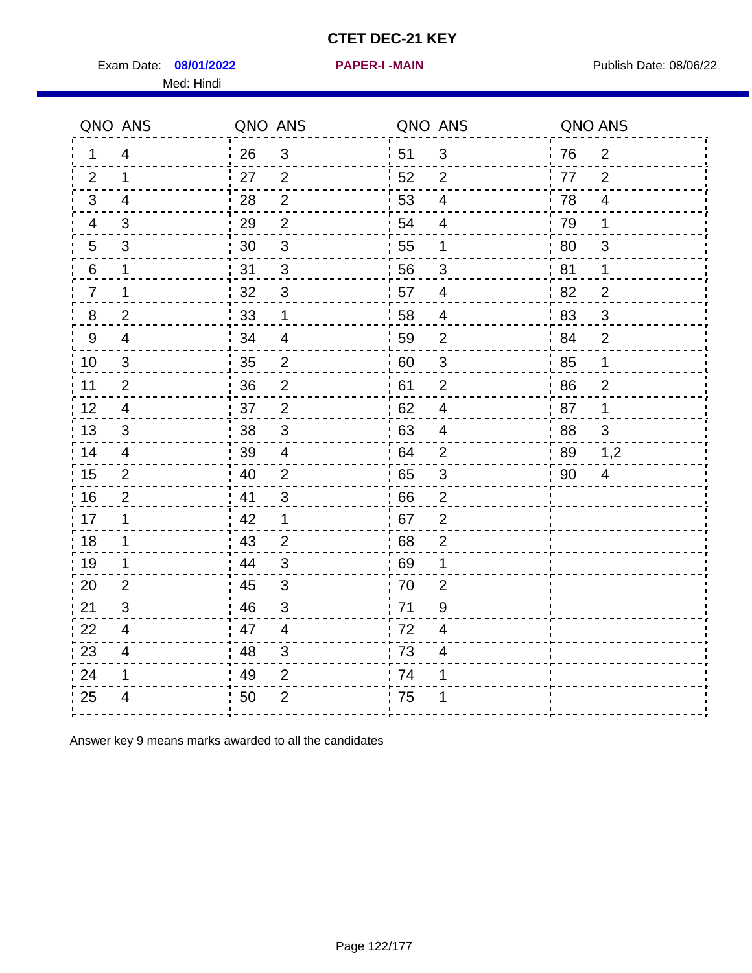Exam Date: 08/01/2022 **PAPER-I-MAIN Exam Date: 08/06/22** Med: Hindi

**08/01/2022 PAPER-I -MAIN**

|                | QNO ANS        | QNO ANS |                         |      | QNO ANS                   | QNO ANS |                          |
|----------------|----------------|---------|-------------------------|------|---------------------------|---------|--------------------------|
| 1              | $\overline{4}$ | 26      | $\mathbf{3}$            | ¦ 51 | $\sqrt{3}$                | 76      | $\overline{2}$           |
| 2              | $\mathbf{1}$   | 27      | 2                       | 52   | $\overline{2}$            | 77      | 2                        |
| 3              | $\overline{4}$ | 28      | $\overline{2}$          | 53   | $\overline{\mathbf{4}}$   | 78      | $\overline{4}$           |
| 4              | 3              | 29      | $\overline{2}$          | 54   | $\overline{\mathbf{4}}$   | 79      | 1                        |
| 5              | 3              | 30      | $\sqrt{3}$              | 55   | 1                         | 80      | 3                        |
| 6              | 1              | 31      | 3                       | 56   | 3                         | 81      | 1                        |
| $\overline{7}$ | 1              | 32      | $\sqrt{3}$              | 57   | $\overline{4}$            | 82      | $\overline{2}$           |
| 8              | $\overline{2}$ | 33      | 1                       | 58   | 4                         | 83      | $\mathfrak{S}$           |
| 9              | $\overline{4}$ | 34      | $\overline{\mathbf{4}}$ | 59   | $\overline{2}$            | 84      | $\overline{2}$           |
| 10             | $\mathfrak{S}$ | 35      | $\overline{c}$          | 60   | $\ensuremath{\mathsf{3}}$ | 85      | $\mathbf 1$              |
| 11             | $\overline{2}$ | 36      | $\overline{2}$          | 61   | $\mathbf{2}$              | 86      | $\mathbf{2}$             |
| 12             | $\overline{4}$ | 37      | $\overline{2}$          | 62   | $\overline{\mathbf{4}}$   | 87      | 1                        |
| 13             | 3              | 38      | 3                       | 63   | 4                         | 88      | 3                        |
| 14             | 4              | 39      | 4                       | 64   | $\overline{2}$            | 89      | 1,2                      |
| 15             | $\overline{2}$ | 40      | $\overline{2}$          | 65   | $\sqrt{3}$                | 90      | $\overline{\mathcal{A}}$ |
| 16             | $\overline{2}$ | 41      | $\mathbf{3}$            | 66   | $\overline{2}$            |         |                          |
| 17             | 1              | 42      | 1                       | .67  | $\overline{2}$            |         |                          |
| 18             | 1              | 43      | $\overline{2}$          | 68   | $\overline{2}$            |         |                          |
| 19             | $\mathbf 1$    | 44      | $\mathfrak{B}$          | 69   | 1                         |         |                          |
| 20             | $\overline{2}$ | 45      | $\mathsf 3$             | 70   | $\overline{2}$            |         |                          |
| 21             | 3              | 46      | 3                       | 71   | 9                         |         |                          |
| 22             | $\overline{4}$ | 47      | $\overline{4}$          | 72   | $\overline{4}$            |         |                          |
| 23             | $\overline{4}$ | 48      | $\mathfrak{S}$          | 73   | $\overline{\mathcal{A}}$  |         |                          |
| 24             | 1              | 49      | $\overline{2}$          | 74   | 1                         |         |                          |
| 25             | $\overline{4}$ | 50      | $\overline{2}$          | 75   | 1                         |         |                          |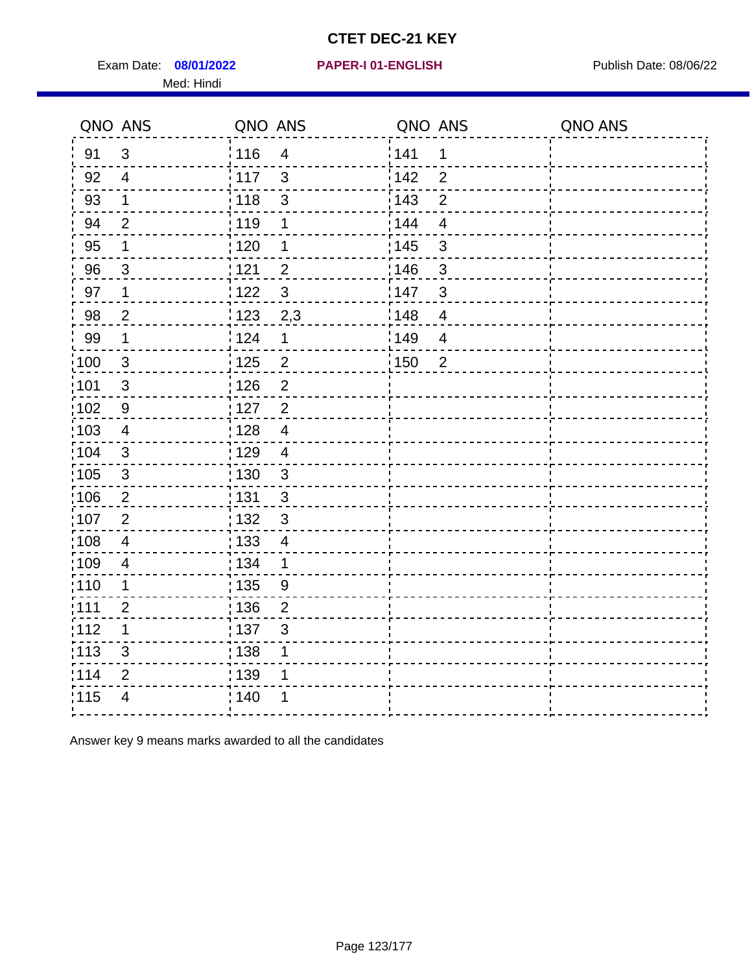Exam Date: 08/01/2022 PAPER-I 01-ENGLISH PREER FOR Publish Date: 08/06/22 Med: Hindi

#### **08/01/2022 PAPER-I 01-ENGLISH**

|                   | QNO ANS                 | QNO ANS           |                         | QNO ANS |                | QNO ANS |
|-------------------|-------------------------|-------------------|-------------------------|---------|----------------|---------|
| 91                | 3                       | : 116             | $\overline{4}$          | 141     | 1              |         |
| 92                | $\overline{4}$          | 117               | $\mathfrak{S}$          | 142     | $\overline{2}$ |         |
| 93                | $\mathbf 1$             | 118               | 3                       | 143     | $\overline{2}$ |         |
| 94                | $\overline{2}$          | : 119             | 1                       | 144     | $\overline{4}$ |         |
| 95                | 1                       | :120              | 1                       | : 145   | 3              |         |
| 96                | 3                       | 121               | $\overline{2}$          | 146     | 3              |         |
| 97                | $\mathbf 1$             | 122               | 3                       | 147     | $\mathbf{3}$   |         |
| 98                | $\overline{2}$          | $\frac{1}{2}$ 123 | 2,3                     | 148     | $\overline{4}$ |         |
| 99                | $\mathbf 1$             | 124               | $\mathbf 1$             | 149     | $\overline{4}$ |         |
| 100               | $\mathbf{3}$            | $\frac{1}{1}$ 125 | $\overline{\mathbf{c}}$ | 150     | $\overline{2}$ |         |
| 101               | $\sqrt{3}$              | : 126             | $\overline{2}$          |         |                |         |
| :102              | 9                       | $\frac{1}{1}$ 127 | $\overline{2}$          |         |                |         |
| $\frac{1}{1}$ 103 | $\overline{4}$          | 128               | $\overline{4}$          |         |                |         |
| 104               | $\mathbf{3}$            | : 129             | $\overline{4}$          |         |                |         |
| :105              | $\sqrt{3}$              | : 130             | $\mathbf{3}$            |         |                |         |
| 106               | $\overline{2}$          | : 131             | $\mathbf{3}$            |         |                |         |
| 107               | $\overline{2}$          | : 132             | $\mathbf{3}$            |         |                |         |
| :108              | $\overline{\mathbf{4}}$ | : 133             | $\overline{4}$          |         |                |         |
| :109              | $\overline{\mathbf{4}}$ | : 134             | $\mathbf 1$             |         |                |         |
| 110               | 1                       | $\frac{1}{1}$ 135 | 9                       |         |                |         |
| :111              | $\overline{2}$          | : 136             | $\overline{2}$          |         |                |         |
| 112               | 1                       | :137              | 3                       |         |                |         |
| $\frac{1}{1}$ 113 | $\mathsf 3$             | : 138             | 1                       |         |                |         |
| 114               | $\mathbf{2}$            | 139               | 1                       |         |                |         |
| 115               | 4                       | : 140             |                         |         |                |         |
|                   |                         |                   |                         |         |                |         |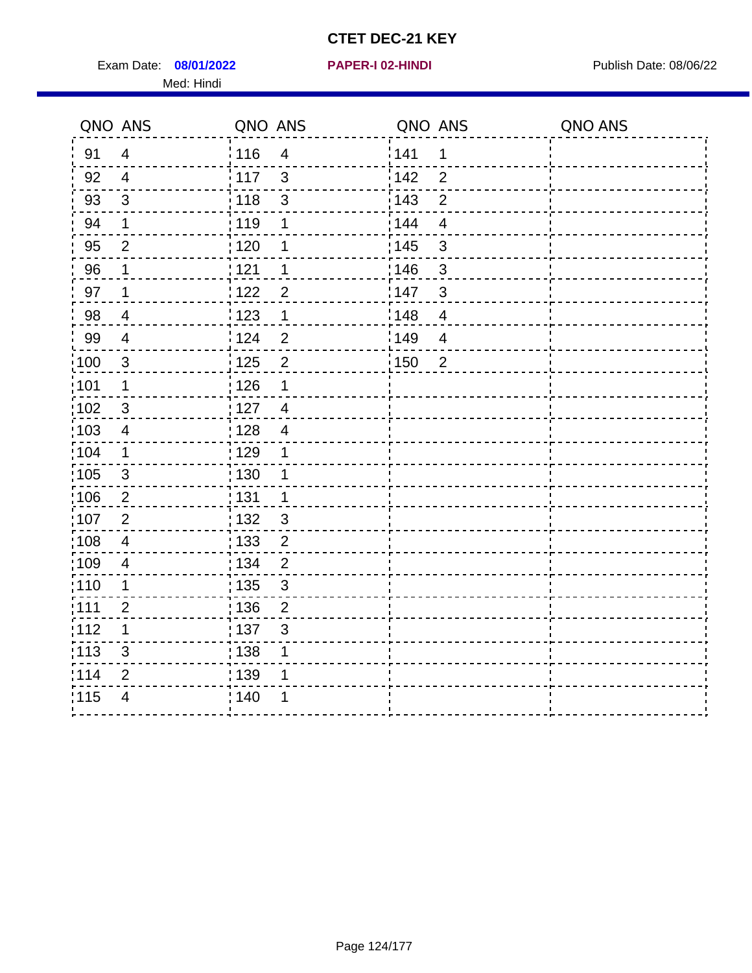Exam Date: 08/01/2022 **PAPER-I 02-HINDI** PAPER 102-HINDI Publish Date: 08/06/22 Med: Hindi

|       | QNO ANS        | QNO ANS                             | QNO ANS                             | QNO ANS |
|-------|----------------|-------------------------------------|-------------------------------------|---------|
| 91    | $\overline{4}$ | : 116<br>$\overline{4}$             | 141<br>$\mathbf 1$                  |         |
| 92    | $\overline{4}$ | 117<br>$\mathfrak{S}$               | 142<br>$\overline{2}$               |         |
| 93    | $\mathbf{3}$   | 118<br>$\mathbf{3}$                 | 143<br>$\overline{2}$               |         |
| 94    | 1              | : 119<br>1                          | 144<br>$\overline{4}$               |         |
| 95    | $\overline{2}$ | : 120<br>1                          | : 145<br>3                          |         |
| 96    | 1              | : 121<br>1                          | 146<br>3                            |         |
| 97    | $\mathbf 1$    | 122<br>$\overline{2}$               | 147<br>3                            |         |
| 98    | $\overline{4}$ | 123<br>$\mathbf{1}$                 | 148<br>$\overline{\mathbf{4}}$      |         |
| 99    | $\overline{4}$ | 124<br>$\overline{2}$               | $\frac{1}{2}$ 149<br>$\overline{4}$ |         |
| 100   | $\mathbf{3}$   | 125<br>$\overline{2}$               | 150<br>$\overline{2}$               |         |
| :101  | 1              | 126<br>1                            |                                     |         |
| 102   | 3              | : 127<br>$\overline{4}$             |                                     |         |
| 103   | $\overline{4}$ | :128<br>$\overline{4}$              |                                     |         |
| :104  | $\mathbf 1$    | : 129<br>1                          |                                     |         |
| 105   | $\mathfrak{S}$ | 130<br>1                            |                                     |         |
| :106  | $\overline{2}$ | : 131<br>$\mathbf 1$                |                                     |         |
| 107   | $\overline{2}$ | : 132<br>$\mathbf{3}$               |                                     |         |
| 108   | $\overline{4}$ | 133<br>$\overline{2}$               |                                     |         |
| :109  | $\overline{4}$ | : 134<br>$\overline{2}$             |                                     |         |
| :110  | 1              | : 135<br>3                          |                                     |         |
| : 111 | $\overline{2}$ | : 136<br>$\overline{2}$             |                                     |         |
| 112   | 1              | $\frac{1}{1}$ 137<br>$\mathfrak{S}$ |                                     |         |
| : 113 | 3              | : 138<br>1                          |                                     |         |
| 1114  | 2              | : 139<br>1                          |                                     |         |
| 115   | $\overline{4}$ | 140<br>1                            |                                     |         |
|       |                |                                     |                                     |         |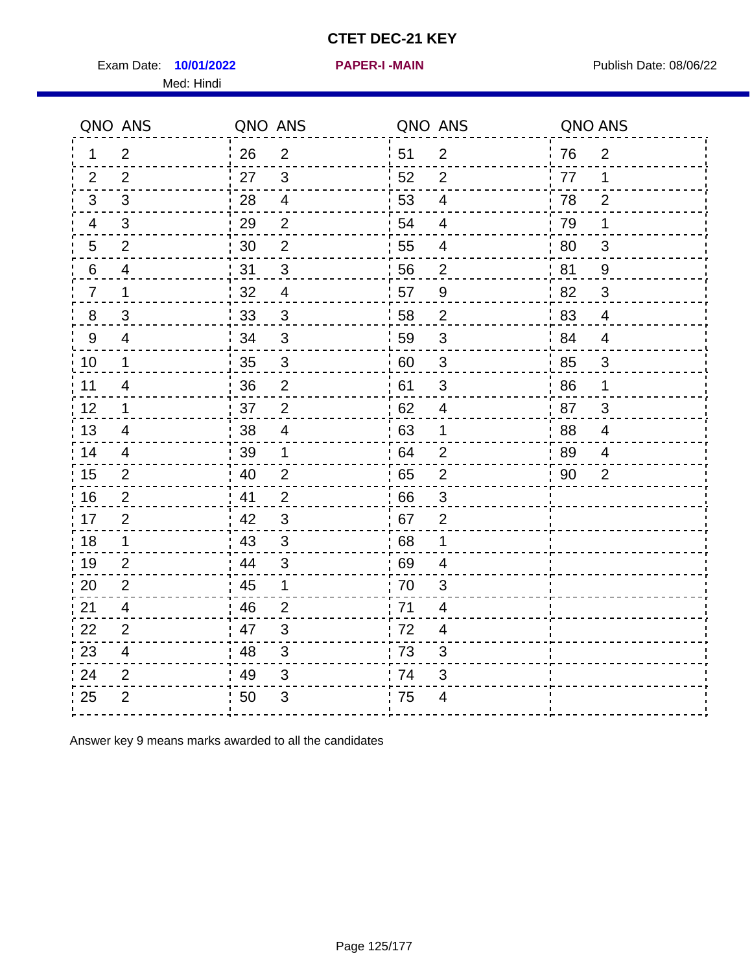Exam Date: 10/01/2022 **PAPER-I-MAIN Exam Date: 08/06/22** Med: Hindi

**10/01/2022 PAPER-I -MAIN**

|                | QNO ANS                  | QNO ANS |                           |      | QNO ANS                  | QNO ANS |                |
|----------------|--------------------------|---------|---------------------------|------|--------------------------|---------|----------------|
| 1              | $\overline{2}$           | 26      | $\overline{2}$            | ¦ 51 | $\overline{2}$           | 76      | $\overline{2}$ |
| 2              | 2                        | 27      | 3                         | 52   | $\overline{2}$           | 77      | 1              |
| 3              | 3                        | 28      | $\overline{4}$            | 53   | $\overline{\mathcal{A}}$ | 78      | 2              |
| 4              | $\mathfrak{B}$           | 29      | $\overline{2}$            | 54   | $\overline{\mathbf{4}}$  | 79      | 1              |
| 5              | $\overline{2}$           | 30      | $\mathbf{2}$              | 55   | 4                        | 80      | 3              |
| 6              | 4                        | 31      | 3                         | 56   | $\overline{2}$           | 81      | 9              |
| $\overline{7}$ | $\mathbf 1$              | 32      | $\overline{4}$            | 57   | $\boldsymbol{9}$         | 82      | 3              |
| 8              | 3                        | 33      | $\mathfrak{S}$            | 58   | $\overline{2}$           | 83      | $\overline{4}$ |
| 9              | $\overline{4}$           | 34      | $\mathbf{3}$              | 59   | $\mathfrak{S}$           | 84      | $\overline{4}$ |
| 10             | $\mathbf{1}$             | 35      | $\ensuremath{\mathsf{3}}$ | 60   | $\sqrt{3}$               | 85      | $\sqrt{3}$     |
| 11             | $\overline{\mathcal{A}}$ | 36      | $\overline{2}$            | 61   | 3                        | 86      | 1              |
| 12             | $\mathbf 1$              | 37      | $\overline{2}$            | 62   | $\overline{\mathbf{4}}$  | 87      | $\mathfrak{S}$ |
| 13             | 4                        | 38      | $\overline{4}$            | .63  | 1                        | 88      | 4              |
| 14             | 4                        | 39      | 1                         | 64   | $\overline{2}$           | 89      | 4              |
| 15             | $\overline{2}$           | 40      | $\overline{2}$            | 65   | $\mathbf 2$              | 90      | $\overline{2}$ |
| 16             | $\mathbf{2}$             | 41      | $\overline{2}$            | 66   | $\mathfrak{S}$           |         |                |
| 17             | $\overline{2}$           | 42      | 3                         | .67  | 2                        |         |                |
| 18             | 1                        | 43      | 3                         | 68   | 1                        |         |                |
| 19             | $\overline{2}$           | 44      | $\mathfrak{B}$            | 69   | 4                        |         |                |
| 20             | $\overline{2}$           | 45      | 1                         | 70   | 3                        |         |                |
| 21             | 4                        | 46      | 2                         | 71   | 4                        |         |                |
| 22             | 2                        | 47      | 3                         | 72   | $\overline{4}$           |         |                |
| 23             | $\overline{\mathbf{4}}$  | 48      | $\mathfrak{S}$            | 73   | 3                        |         |                |
| 24             | $\overline{2}$           | 49      | $\sqrt{3}$                | 74   | 3                        |         |                |
| 25             | $\overline{2}$           | 50      | $\ensuremath{\mathsf{3}}$ | 75   | $\overline{\mathcal{A}}$ |         |                |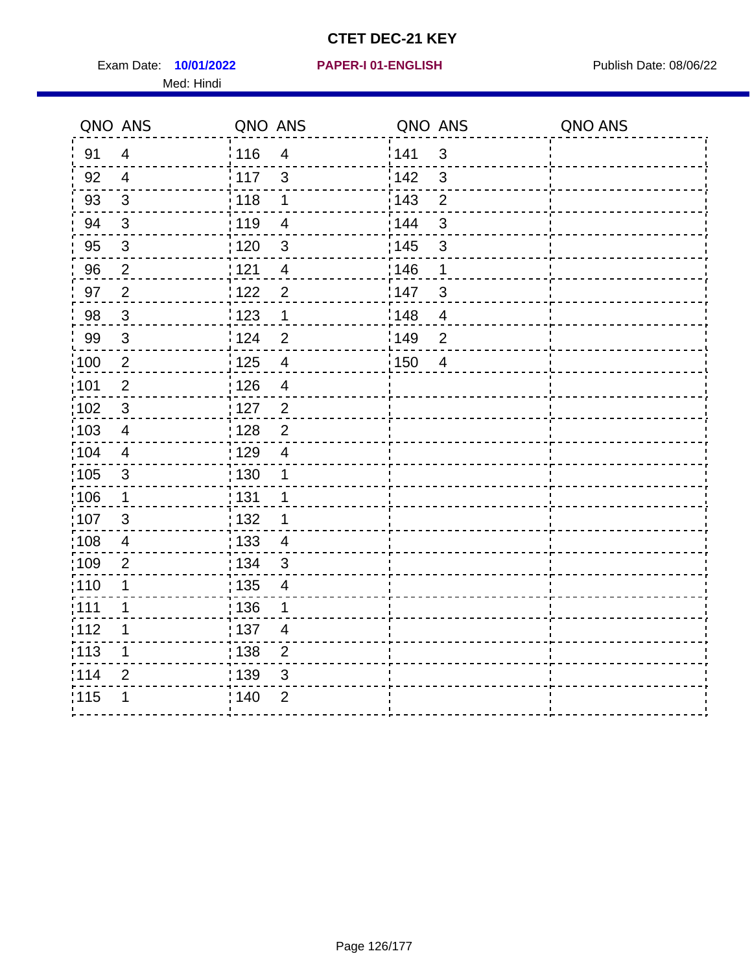Exam Date: 10/01/2022 **PAPER-I 01-ENGLISH Exam Date: 08/06/22** Med: Hindi

**10/01/2022 PAPER-I 01-ENGLISH**

|                   | QNO ANS        | QNO ANS           |                          | QNO ANS |                | QNO ANS |
|-------------------|----------------|-------------------|--------------------------|---------|----------------|---------|
| 91                | $\overline{4}$ | 116               | $\overline{4}$           | 141     | $\mathfrak{S}$ |         |
| 92                | $\overline{4}$ | 117               | 3                        | 142     | 3              |         |
| 93                | $\mathfrak{S}$ | 118               | 1                        | 143     | $\overline{2}$ |         |
| 94                | 3              | : 119             | $\overline{\mathcal{A}}$ | : 144   | 3              |         |
| 95                | 3              | : 120             | $\mathfrak{B}$           | : 145   | 3              |         |
| 96                | $\overline{2}$ | 121               | $\overline{4}$           | 146     | 1              |         |
| 97                | $\overline{2}$ | 122               | $\overline{2}$           | 147     | 3              |         |
| 98                | $\mathbf{3}$   | 123               | $\mathbf 1$              | 148     | $\overline{4}$ |         |
| 99                | $\sqrt{3}$     | 124               | $\overline{2}$           | 149     | $\overline{2}$ |         |
| :100              | $\sqrt{2}$     | $\frac{1}{1}$ 125 | $\overline{\mathbf{4}}$  | 150     | $\overline{4}$ |         |
| :101              | $\overline{2}$ | : 126             | $\overline{4}$           |         |                |         |
| 102               | 3              | : 127             | $\overline{2}$           |         |                |         |
| 103               | $\overline{4}$ | 128               | $\overline{2}$           |         |                |         |
| $\frac{1}{104}$   | $\overline{4}$ | : 129             | $\overline{\mathbf{4}}$  |         |                |         |
| $\frac{1}{1}$ 105 | $\mathfrak{S}$ | 130               | 1                        |         |                |         |
| :106              | $\mathbf 1$    | : 131             | 1                        |         |                |         |
| 107               | 3              | 132               | 1                        |         |                |         |
| 108               | $\overline{4}$ | $\frac{1}{1}$ 133 | $\overline{4}$           |         |                |         |
| :109              | $\overline{2}$ | : 134             | 3                        |         |                |         |
| :110              | 1              | : 135             | $\overline{4}$           |         |                |         |
| :111              | 1              | : 136             | 1                        |         |                |         |
| 112               | 1              | $\frac{1}{1}$ 137 | $\overline{\mathcal{A}}$ |         |                |         |
| 113               | 1              | $\frac{1}{1}$ 138 | $\overline{2}$           |         |                |         |
| 114               | $\overline{2}$ | : 139             | 3                        |         |                |         |
| 115               | 1              | 140               | $\overline{2}$           |         |                |         |
|                   |                |                   |                          |         |                |         |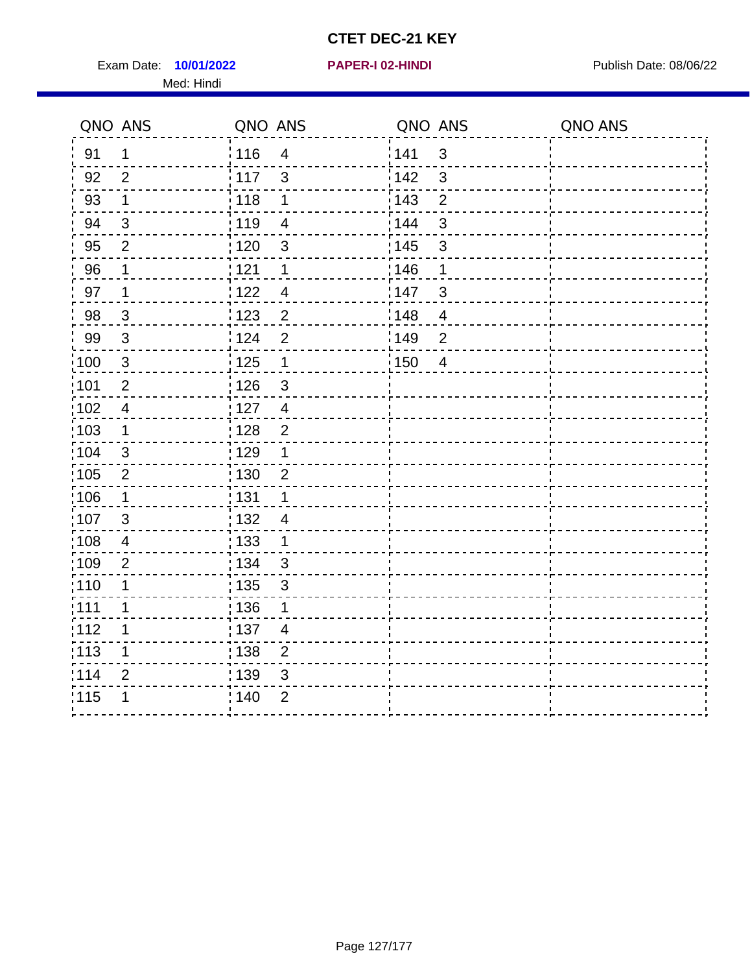Exam Date: **10/01/2022 PAPER-I 02-HINDI Product by Publish Date: 08/06/22** Med: Hindi

|       | QNO ANS                 | QNO ANS           |                          | QNO ANS           |                         | QNO ANS |
|-------|-------------------------|-------------------|--------------------------|-------------------|-------------------------|---------|
| 91    | 1                       | 116               | $\overline{4}$           | 141               | $\mathbf{3}$            |         |
| 92    | $\overline{2}$          | 117               | $\mathfrak{S}$           | 142               | 3                       |         |
| 93    | $\mathbf 1$             | 118               | $\mathbf 1$              | 143               | $\overline{2}$          |         |
| 94    | 3                       | : 119             | $\overline{\mathcal{A}}$ | 144               | 3                       |         |
| 95    | $\overline{2}$          | : 120             | $\mathfrak{B}$           | : 145             | 3                       |         |
| 96    | 1                       | 121               | 1                        | 146               | 1                       |         |
| 97    | 1                       | 122               | $\overline{\mathcal{A}}$ | 147               | 3                       |         |
| 98    | $\mathbf{3}$            | 123               | $\overline{c}$           | 148               | $\overline{\mathbf{4}}$ |         |
| 99    | $\sqrt{3}$              | 124               | $\overline{2}$           | $\frac{1}{2}$ 149 | $\overline{2}$          |         |
| 100   | $\mathbf{3}$            | 125               | $\overline{\mathbf{1}}$  | 150               | $\overline{4}$          |         |
| :101  | $\overline{c}$          | : 126             | $\mathbf{3}$             |                   |                         |         |
| :102  | $\overline{4}$          | : 127             | $\overline{4}$           |                   |                         |         |
| 103   | $\mathbf 1$             | :128              | $\overline{2}$           |                   |                         |         |
| :104  | $\mathbf{3}$            | : 129             | 1                        |                   |                         |         |
| 105   | $\overline{2}$          | : 130             | $\overline{2}$           |                   |                         |         |
| :106  | 1                       | : 131             | 1                        |                   |                         |         |
| 107   | 3                       | : 132             | $\overline{4}$           |                   |                         |         |
| 108   | $\overline{\mathbf{4}}$ | 133               | $\mathbf{1}$             |                   |                         |         |
| :109  | $\overline{2}$          | : 134             | $\mathbf{3}$             |                   |                         |         |
| :110  | 1                       | : 135             | 3                        |                   |                         |         |
| : 111 | 1                       | : 136             | 1                        |                   |                         |         |
| 112   | 1                       | $\frac{1}{1}$ 137 | $\overline{\mathcal{A}}$ |                   |                         |         |
| 113   | 1                       | 138               | $\overline{c}$           |                   |                         |         |
| 1114  | $\overline{2}$          | 139               | 3                        |                   |                         |         |
| 115   | 1                       | 140               | $\overline{2}$           |                   |                         |         |
|       |                         |                   |                          |                   |                         |         |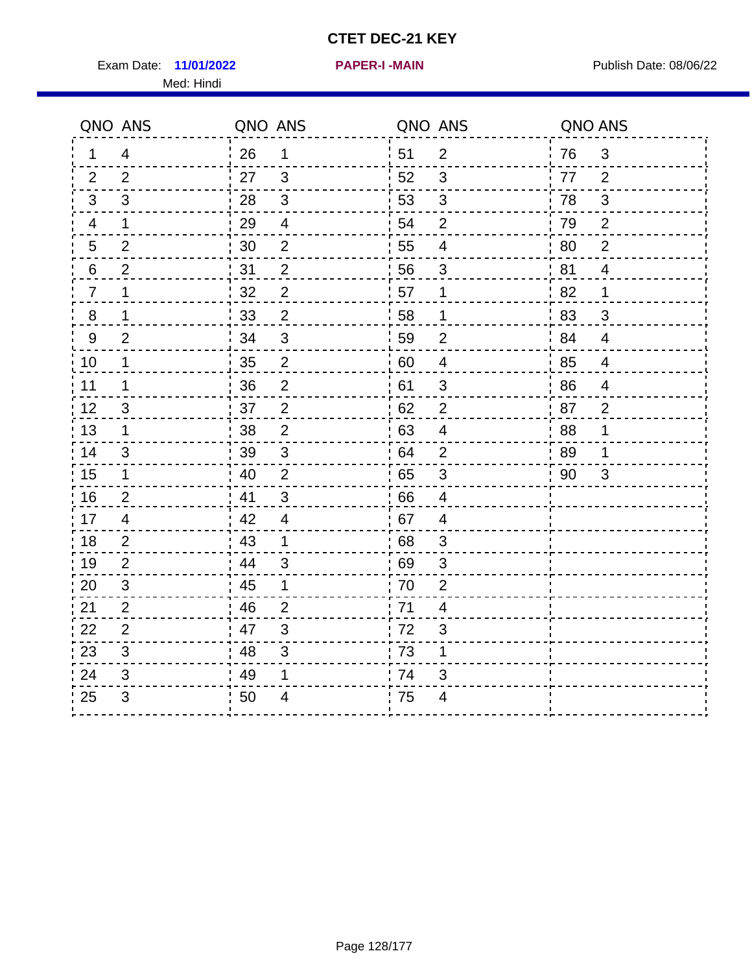Exam Date: 11/01/2022 **PAPER-I-MAIN Exam Date: 08/06/22** Med: Hindi

**11/01/2022 PAPER-I -MAIN**

|                  | QNO ANS        | QNO ANS          |                           | QNO ANS |                          | QNO ANS |                          |
|------------------|----------------|------------------|---------------------------|---------|--------------------------|---------|--------------------------|
| 1.               | $\overline{4}$ | 26               | $\mathbf 1$               | ່ 51    | $\overline{2}$           | 76      | $\mathbf{3}$             |
| 2                | 2              | 27               | $\mathbf{3}$              | 52      | $\mathbf{3}$             | 77      | $\overline{2}$           |
| 3                | 3              | 28               | $\mathsf 3$               | 53      | $\sqrt{3}$               | 78      | $\mathfrak{S}$           |
| $\overline{4}$   | 1              | 29               | $\overline{4}$            | 54      | $\overline{2}$           | 79      | $\overline{2}$           |
| 5                | $\overline{2}$ | 30               | $\overline{2}$            | 55      | $\overline{\mathcal{A}}$ | 80      | $\overline{2}$           |
| 6                | $\overline{2}$ | 31               | $\overline{2}$            | 56      | 3                        | 81      | $\overline{4}$           |
| 7                | 1              | 32               | $\overline{2}$            | 57      | 1                        | 82      | 1                        |
| $\,8\,$          | 1              | 33               | $\mathbf 2$               | 58      | $\mathbf 1$              | 83      | 3                        |
| $\boldsymbol{9}$ | $\overline{2}$ | 34               | $\mathfrak{S}$            | 59      | $\mathbf{2}$             | 84      | $\overline{4}$           |
| 10               | 1              | 35               | $\overline{2}$            | 60      | $\overline{4}$           | 85      | $\overline{\mathcal{A}}$ |
| 11               | 1              | 36               | $\overline{2}$            | 61      | $\mathfrak{S}$           | 86      | $\overline{\mathcal{A}}$ |
| 12               | $\mathsf 3$    | 37               | $\overline{2}$            | 62      | $\overline{2}$           | 87      | $\overline{2}$           |
| 13               | 1              | 38               | $\overline{2}$            | 63      | 4                        | 88      | 1                        |
| 14               | 3              | 39               | 3                         | 64      | 2                        | 89      | 1                        |
| 15               | $\mathbf 1$    | 40               | $\overline{2}$            | 65      | 3                        | 90      | 3                        |
| 16               | $\overline{2}$ | 41               | 3                         | 66      | $\overline{4}$           |         |                          |
| 17               | 4              | $\frac{1}{2}$ 42 | 4                         | .67     | 4                        |         |                          |
| 18               | $\overline{2}$ | 43               | $\mathbf 1$               | 68      | 3                        |         |                          |
| 19               | $\overline{2}$ | 44               | $\mathbf{3}$              | 69      | 3                        |         |                          |
| 20               | $\mathfrak{B}$ | 45               | 1                         | 70      | $\overline{2}$           |         |                          |
| 21               | 2              | 46               | 2                         | 71      | $\overline{4}$           |         |                          |
| 22               | $\overline{2}$ | 47               | $\mathfrak{B}$            | 72      | 3                        |         |                          |
| 23               | $\mathfrak{S}$ | 48               | $\ensuremath{\mathsf{3}}$ | 73      | 1                        |         |                          |
| 24               | 3              | 49               | 1                         | 74      | 3                        |         |                          |
| 25               | 3              | 50               | 4                         | 75      | 4                        |         |                          |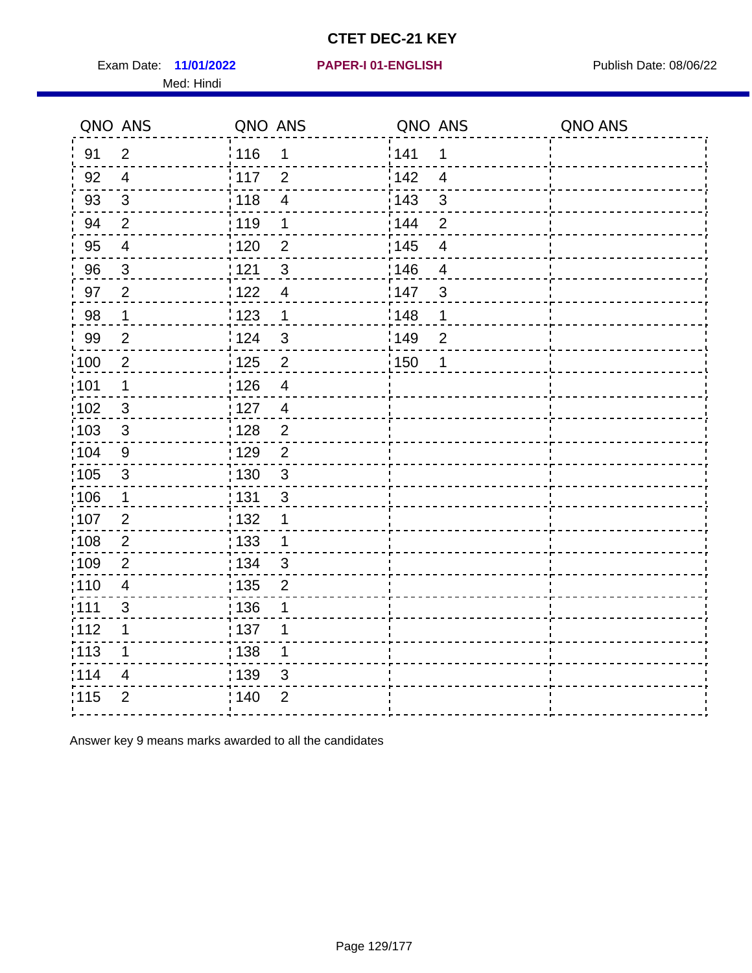Exam Date: 11/01/2022 **PAPER-I 01-ENGLISH Exam Date: 08/06/22** Med: Hindi

|                   | QNO ANS                   | QNO ANS                             | QNO ANS                 | QNO ANS |
|-------------------|---------------------------|-------------------------------------|-------------------------|---------|
| 91                | $\overline{2}$            | 116<br>$\mathbf 1$                  | 141<br>1                |         |
| 92                | $\overline{4}$            | 117<br>$\overline{2}$               | 142<br>$\overline{4}$   |         |
| 93                | $\sqrt{3}$                | : 118<br>$\overline{4}$             | 143<br>$\mathfrak{S}$   |         |
| 94                | $\overline{2}$            | : 119<br>1                          | 144<br>$\overline{2}$   |         |
| 95                | $\overline{4}$            | : 120<br>$\overline{2}$             | : 145<br>$\overline{4}$ |         |
| 96                | 3                         | 121<br>$\mathfrak{S}$               | 146<br>$\overline{4}$   |         |
| 97                | $\overline{2}$            | 122<br>$\overline{4}$               | 147<br>3                |         |
| 98                | $\mathbf{1}$              | 123<br>$\mathbf{1}$                 | 148<br>1                |         |
| 99                | $\overline{2}$            | 124<br>$\mathfrak{S}$               | 149<br>$\overline{2}$   |         |
| 100               | $\overline{2}$            | $\overline{2}$<br>$\frac{1}{1}$ 125 | 150<br>1                |         |
| :101              | $\mathbf 1$               | : 126<br>$\overline{4}$             |                         |         |
| :102              | $\mathbf{3}$              | : 127<br>$\overline{4}$             |                         |         |
| 103               | $\mathfrak{B}$            | 128<br>$\overline{2}$               |                         |         |
| 104               | $9\,$                     | : 129<br>$\overline{2}$             |                         |         |
| $\frac{1}{1}$ 105 | $\ensuremath{\mathsf{3}}$ | $\frac{1}{1}$ 130<br>$\mathfrak{S}$ |                         |         |
| 106               | $\mathbf 1$               | : 131<br>3                          |                         |         |
| 107               | $\overline{2}$            | : 132<br>1                          |                         |         |
| :108              | $\overline{2}$            | : 133<br>1                          |                         |         |
| 109               | $\mathbf{2}$              | : 134<br>$\mathfrak{S}$             |                         |         |
| :110              | $\overline{\mathbf{4}}$   | : 135<br>$\overline{2}$             |                         |         |
| :111              | 3                         | : 136<br>1                          |                         |         |
| 112               | 1                         | : 137<br>1                          |                         |         |
| :113              | 1                         | : 138<br>1                          |                         |         |
| 114               | 4                         | : 139<br>3                          |                         |         |
| 115               | $\overline{2}$            | ; 140<br>$\overline{2}$             |                         |         |
|                   |                           |                                     |                         |         |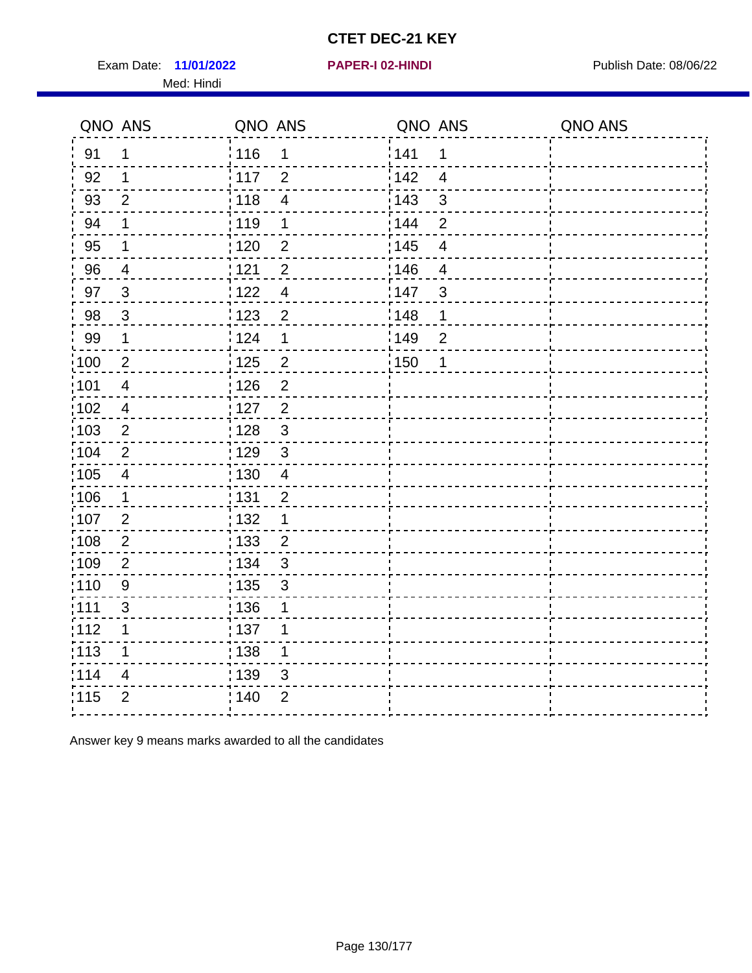Exam Date: 11/01/2022 **PAPER-I 02-HINDI Exam Date: 08/06/22** Med: Hindi

**11/01/2022 PAPER-I 02-HINDI**

|                   | QNO ANS                  | QNO ANS           |                | QNO ANS |                          | QNO ANS |
|-------------------|--------------------------|-------------------|----------------|---------|--------------------------|---------|
| 91                | $\mathbf 1$              | 116               | $\mathbf 1$    | 1141    | 1                        |         |
| 92                | 1                        | $\frac{1}{2}$ 117 | $\overline{2}$ | 142     | $\overline{4}$           |         |
| 93                | $\overline{2}$           | $\frac{1}{2}$ 118 | $\overline{4}$ | 143     | $\sqrt{3}$               |         |
| 94                | 1                        | : 119             | 1              | : 144   | $\overline{2}$           |         |
| 95                | 1                        | :120              | $\overline{2}$ | : 145   | $\overline{\mathcal{A}}$ |         |
| 96                | 4                        | 121               | $\overline{2}$ | :146    | $\overline{4}$           |         |
| 97                | $\mathbf{3}$             | 122               | $\overline{4}$ | 147     | $\mathfrak{B}$           |         |
| 98                | $\mathbf{3}$             | : 123             | $\overline{2}$ | 148     | 1                        |         |
| 99                | $\mathbf 1$              | 124               | 1              | 149     | $\overline{2}$           |         |
| 100               | $\boldsymbol{2}$         | $\frac{1}{1}$ 125 | $\overline{c}$ | 150     | 1                        |         |
| 101               | $\overline{\mathcal{A}}$ | : 126             | $\overline{2}$ |         |                          |         |
| 102               | $\overline{4}$           | : 127             | $\overline{2}$ |         |                          |         |
| 103               | $\overline{2}$           | 128               | $\mathfrak{3}$ |         |                          |         |
| $\frac{1}{1}$ 104 | $\overline{2}$           | : 129             | $\mathfrak{3}$ |         |                          |         |
| $\frac{1}{1}$ 105 | $\overline{4}$           | $\frac{1}{1}$ 130 | $\overline{4}$ |         |                          |         |
| 106               | $\mathbf{1}$             | : 131             | $\overline{2}$ |         |                          |         |
| :107              | $\overline{2}$           | : 132             | 1              |         |                          |         |
| 108               | $\overline{2}$           | $\frac{1}{1}$ 133 | $\overline{c}$ |         |                          |         |
| :109              | $\overline{2}$           | : 134             | $\mathfrak{S}$ |         |                          |         |
| 110               | $9\,$                    | : 135             | 3              |         |                          |         |
| : 111             | 3                        | :136              | 1              |         |                          |         |
| 112               | 1                        | : 137             | 1              |         |                          |         |
| : 113             | 1                        | : 138             | 1              |         |                          |         |
| 114               | $\overline{\mathcal{A}}$ | : 139             | 3              |         |                          |         |
| 115               | $\overline{2}$           | : 140             | $\overline{2}$ |         |                          |         |
|                   |                          |                   |                |         |                          |         |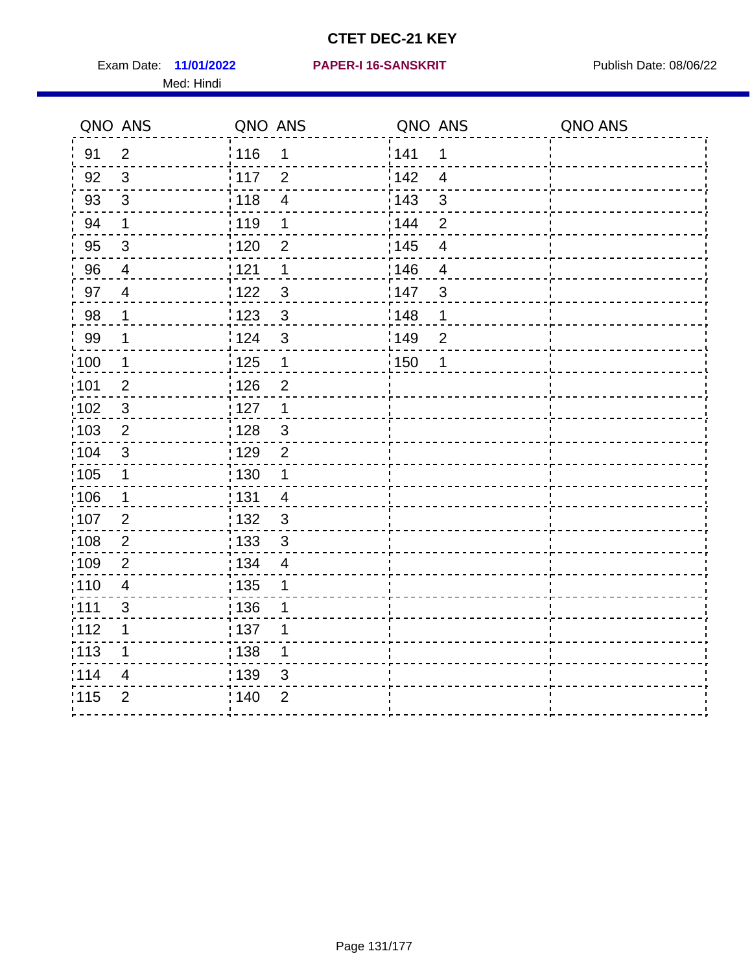Exam Date: 11/01/2022 **PAPER-I 16-SANSKRIT** Publish Date: 08/06/22 Med: Hindi

|                   | QNO ANS        | QNO ANS           |                | QNO ANS |                | QNO ANS |
|-------------------|----------------|-------------------|----------------|---------|----------------|---------|
| 91                | $\overline{2}$ | : 116             | 1              | 141     | 1              |         |
| 92                | $\mathfrak{S}$ | : 117             | $\overline{2}$ | 142     | $\overline{4}$ |         |
| 93                | $\mathfrak{Z}$ | 118               | $\overline{4}$ | 143     | 3              |         |
| 94                | $\mathbf 1$    | : 119             | $\mathbf 1$    | : 144   | $\overline{2}$ |         |
| 95                | 3              | : 120             | 2              | : 145   | 4              |         |
| 96                | $\overline{4}$ | 121               | 1              | 146     | $\overline{4}$ |         |
| 97                | $\overline{4}$ | 122               | $\mathbf{3}$   | 147     | 3              |         |
| 98                | $\mathbf{1}$   | 123               | $\mathfrak{S}$ | 148     | $\mathbf 1$    |         |
| 99                | $\mathbf{1}$   | 124               | $\mathfrak{S}$ | 149     | $\overline{2}$ |         |
| $\frac{1}{1}$ 100 | $\overline{1}$ | $\frac{1}{1}$ 125 | $\mathbf 1$    | 150     | $\mathbf 1$    |         |
| :101              | $\overline{2}$ | 126               | $\overline{2}$ |         |                |         |
| 102               | $\mathbf{3}$   | : 127             | $\mathbf 1$    |         |                |         |
| 103               | $\overline{2}$ | :128              | $\mathbf{3}$   |         |                |         |
| 104               | $\sqrt{3}$     | : 129             | $\overline{2}$ |         |                |         |
| 105               | $\mathbf 1$    | : 130             | 1              |         |                |         |
| ;106              | $\mathbf 1$    | : 131             | $\overline{4}$ |         |                |         |
| :107              | $\overline{2}$ | 132               | $\mathfrak{3}$ |         |                |         |
| 108               | $\overline{2}$ | : 133             | $\mathfrak{S}$ |         |                |         |
| :109              | $\overline{2}$ | : 134             | $\overline{4}$ |         |                |         |
| :110              | $\overline{4}$ | 135               | 1              |         |                |         |
| :111              | $\sqrt{3}$     | : 136             | 1              |         |                |         |
| 112               | 1              | 137               | 1              |         |                |         |
| 113               | 1              | 138               | 1              |         |                |         |
| 114               | 4              | : 139             | 3              |         |                |         |
| 115               | $\overline{2}$ | 140               | $\overline{2}$ |         |                |         |
|                   |                |                   |                |         |                |         |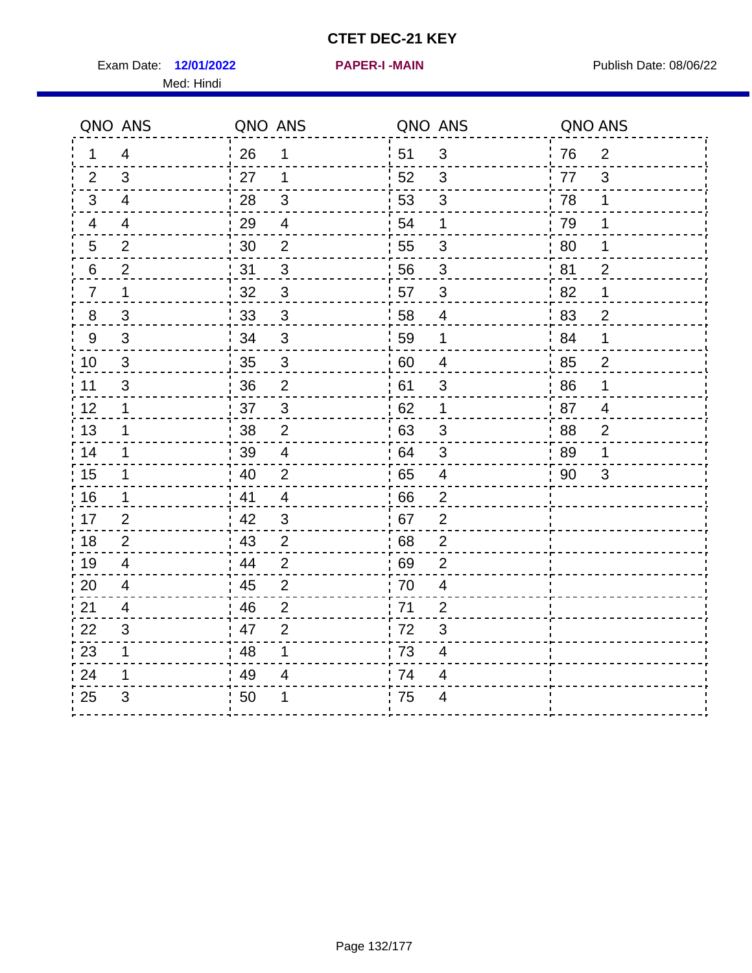Exam Date: 12/01/2022 **PAPER-I-MAIN Exam Date: 08/06/22** Med: Hindi

**12/01/2022 PAPER-I -MAIN**

|                | QNO ANS        | QNO ANS |                |                  | QNO ANS                  | QNO ANS |                |
|----------------|----------------|---------|----------------|------------------|--------------------------|---------|----------------|
| 1              | 4              | 26      | 1              | ¦ 51             | $\sqrt{3}$               | 76      | $\overline{2}$ |
| 2              | 3              | 27      | $\mathbf 1$    | 52               | 3                        | 77      | 3              |
| 3              | $\overline{4}$ | 28      | $\sqrt{3}$     | 53               | $\sqrt{3}$               | 78      | $\mathbf 1$    |
| 4              | $\overline{4}$ | 29      | $\overline{4}$ | 54               | 1                        | 79      | 1              |
| 5              | $\overline{2}$ | 30      | $\overline{2}$ | 55               | 3                        | 80      | 1              |
| 6              | 2              | 31      | $\mathfrak{B}$ | 56               | 3                        | 81      | $\overline{2}$ |
| $\overline{7}$ | 1              | 32      | $\sqrt{3}$     | 57               | 3                        | 82      | 1              |
| $\bf 8$        | $\mathfrak{S}$ | 33      | $\sqrt{3}$     | 58               | $\overline{4}$           | 83      | $\overline{c}$ |
| $9\,$          | $\mathfrak{S}$ | 34      | $\mathbf{3}$   | 59               | $\mathbf 1$              | 84      | 1              |
| 10             | $\sqrt{3}$     | 35      | $\overline{3}$ | 60               | $\overline{\mathcal{A}}$ | 85      | $\overline{2}$ |
| 11             | $\mathfrak{S}$ | 36      | $\overline{2}$ | 61               | $\mathsf 3$              | 86      | 1              |
| 12             | $\mathbf 1$    | 37      | $\mathbf{3}$   | 62               | $\mathbf 1$              | 87      | $\overline{4}$ |
| 13             | 1              | 38      | 2              | .63              | 3                        | 88      | $\overline{2}$ |
| 14             | $\mathbf 1$    | 39      | $\overline{4}$ | 64               | 3                        | 89      | 1              |
| 15             | $\mathbf 1$    | 40      | $\overline{2}$ | 65               | $\overline{\mathbf{4}}$  | 90      | $\mathfrak{S}$ |
| 16             | $\mathbf 1$    | 41      | $\overline{4}$ | 66               | $\overline{2}$           |         |                |
| 17             | $\overline{2}$ | 42      | 3              | 67               | $\overline{2}$           |         |                |
| 18             | 2              | 43      | $\overline{2}$ | 68               | $\overline{2}$           |         |                |
| 19             | $\overline{4}$ | 44      | $\overline{2}$ | .69              | $\overline{2}$           |         |                |
| 20             | $\overline{4}$ | 45      | $\overline{2}$ | 70               | $\overline{\mathbf{4}}$  |         |                |
| 21             | 4              | 46      | $\overline{2}$ | 71               | $\overline{2}$           |         |                |
| 22             | 3              | 47      | $\overline{2}$ | 72               | 3                        |         |                |
| 23             | $\mathbf 1$    | 48      | 1              | $\frac{1}{2}$ 73 | 4                        |         |                |
| 24             | 1              | 49      | 4              | 74               | 4                        |         |                |
| 25             | 3              | 50      | 1              | 75               | 4                        |         |                |

#### Page 132/177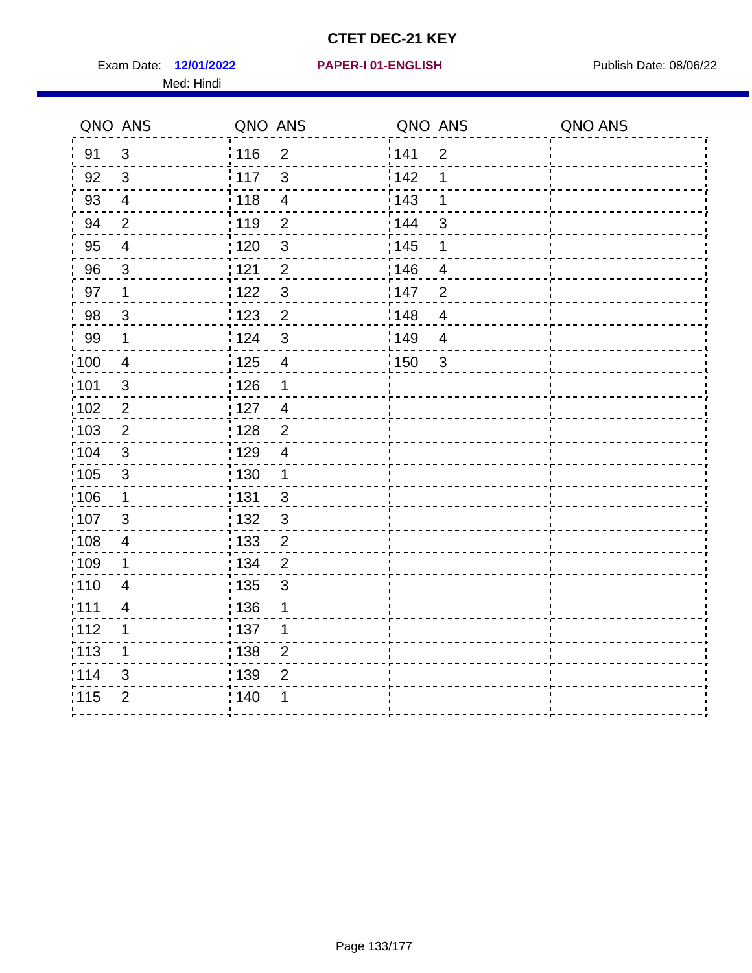Exam Date: 12/01/2022 **PAPER-I 01-ENGLISH Exam Date: 08/06/22** Med: Hindi

### **12/01/2022 PAPER-I 01-ENGLISH**

|                   | QNO ANS                  | QNO ANS           |                          | QNO ANS |                          | QNO ANS |
|-------------------|--------------------------|-------------------|--------------------------|---------|--------------------------|---------|
| 91                | $\mathbf{3}$             | 116               | $\overline{2}$           | 141     | $\overline{2}$           |         |
| 92                | 3                        | 117               | $\mathfrak{S}$           | 142     | 1                        |         |
| 93                | $\overline{4}$           | 118               | $\overline{\mathcal{A}}$ | 143     | 1                        |         |
| 94                | $\overline{2}$           | : 119             | $\overline{2}$           | : 144   | 3                        |         |
| 95                | $\overline{4}$           | :120              | $\mathbf{3}$             | : 145   | 1                        |         |
| 96                | 3                        | 121               | $\overline{2}$           | :146    | $\overline{\mathcal{A}}$ |         |
| 97                | $\mathbf 1$              | 122               | $\mathbf{3}$             | 147     | $\overline{2}$           |         |
| 98                | $\mathbf{3}$             | 123               | $\overline{2}$           | 148     | $\overline{\mathbf{4}}$  |         |
| 99                | $\mathbf 1$              | 124               | $\sqrt{3}$               | 149     | $\overline{4}$           |         |
| $\frac{1}{1}$ 100 | $\overline{4}$           | 125               | $\overline{\mathbf{4}}$  | 150     | $\mathbf{3}$             |         |
| :101              | $\sqrt{3}$               | $\frac{1}{1}$ 126 | 1                        |         |                          |         |
| 102               | $\overline{2}$           | : 127             | $\overline{4}$           |         |                          |         |
| 103               | $\overline{2}$           | : 128             | 2                        |         |                          |         |
| 104               | $\sqrt{3}$               | : 129             | $\overline{4}$           |         |                          |         |
| 105               | $\sqrt{3}$               | $\frac{1}{1}$ 130 | $\mathbf{1}$             |         |                          |         |
| ;106              | $\mathbf{1}$             | : 131             | $\mathbf{3}$             |         |                          |         |
| :107              | 3                        | : 132             | $\mathbf{3}$             |         |                          |         |
| 108               | $\overline{4}$           | $\frac{1}{1}$ 133 | $\overline{2}$           |         |                          |         |
| :109              | 1                        | : 134             | $\overline{2}$           |         |                          |         |
| :110              | $\overline{4}$           | : 135             | $\mathfrak{S}$           |         |                          |         |
| :111              | $\overline{\mathcal{A}}$ | : 136             | 1                        |         |                          |         |
| 112               | 1                        | 137               | 1                        |         |                          |         |
| 113               | 1                        | : 138             | $\overline{2}$           |         |                          |         |
| :114              | 3                        | : 139             | $\overline{2}$           |         |                          |         |
| 115               | $\overline{2}$           | 140               | 1                        |         |                          |         |
|                   |                          |                   |                          |         |                          |         |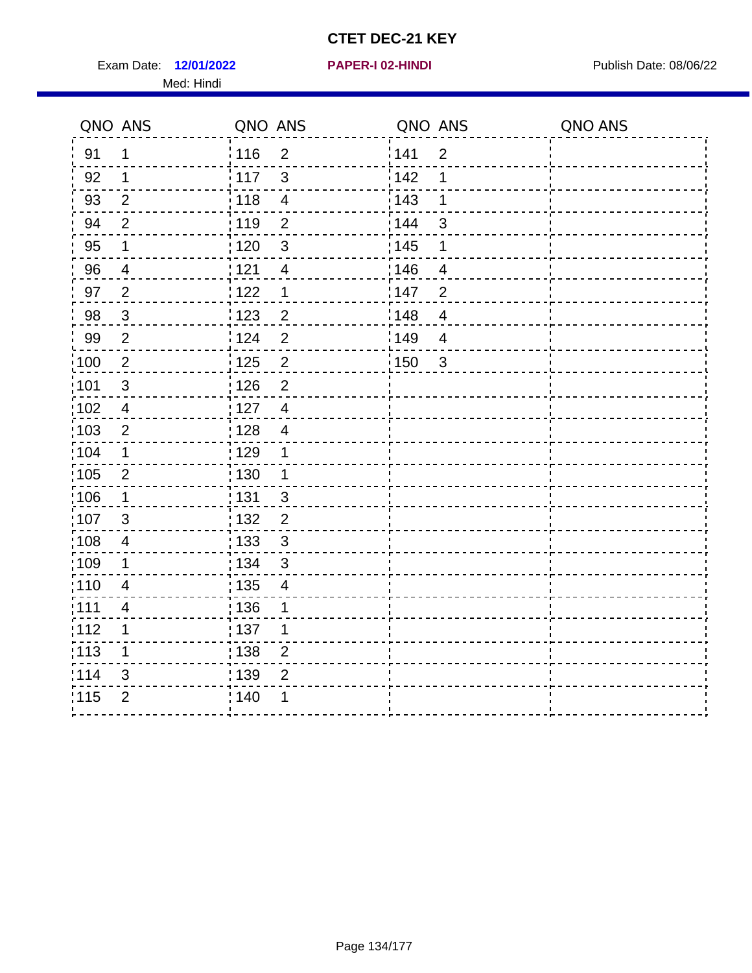Exam Date: 12/01/2022 **PAPER-I 02-HINDI Exam Date: 08/06/22** Med: Hindi

|      | QNO ANS                  | QNO ANS                 | QNO ANS |                | QNO ANS |
|------|--------------------------|-------------------------|---------|----------------|---------|
| 91   | 1                        | 116<br>$\overline{2}$   | 141     | $\overline{2}$ |         |
| 92   | 1                        | 117<br>3                | 142     | 1              |         |
| 93   | $\overline{2}$           | 118<br>$\overline{4}$   | 143     | 1              |         |
| 94   | $\overline{2}$           | : 119<br>$\overline{2}$ | : 144   | 3              |         |
| 95   | 1                        | : 120<br>$\mathfrak{B}$ | : 145   | 1              |         |
| 96   | 4                        | 121<br>$\overline{4}$   | 146     | 4              |         |
| 97   | $\overline{2}$           | : 122<br>1              | 147     | $\overline{2}$ |         |
| 98   | $\mathbf{3}$             | 123<br>$\overline{c}$   | 148     | $\overline{4}$ |         |
| 99   | $\overline{2}$           | 124<br>$\overline{2}$   | 149     | $\overline{4}$ |         |
| 100  | $\overline{2}$           | $\overline{2}$<br>125   | 150     | $\mathbf{3}$   |         |
| :101 | $\mathfrak{B}$           | : 126<br>$\overline{2}$ |         |                |         |
| 102  | $\overline{4}$           | : 127<br>$\overline{4}$ |         |                |         |
| :103 | $\overline{2}$           | : 128<br>$\overline{4}$ |         |                |         |
| :104 | $\mathbf 1$              | : 129<br>$\mathbf 1$    |         |                |         |
| 105  | $\overline{2}$           | : 130<br>$\mathbf 1$    |         |                |         |
| :106 | $\mathbf 1$              | : 131<br>$\mathbf{3}$   |         |                |         |
| 107  | 3                        | $\overline{2}$<br>132   |         |                |         |
| :108 | $\overline{\mathbf{4}}$  | 133<br>$\mathbf{3}$     |         |                |         |
| :109 | $\mathbf 1$              | : 134<br>$\mathfrak{S}$ |         |                |         |
| :110 | $\overline{4}$           | : 135<br>$\overline{4}$ |         |                |         |
| ;111 | $\overline{\mathcal{A}}$ | : 136<br>1              |         |                |         |
| 112  | 1                        | : 137<br>1              |         |                |         |
| 113  | 1                        | : 138<br>$\overline{2}$ |         |                |         |
| 114  | 3                        | 139<br>$\overline{2}$   |         |                |         |
| 115  | $\overline{2}$           | : 140<br>1              |         |                |         |
|      |                          |                         |         |                |         |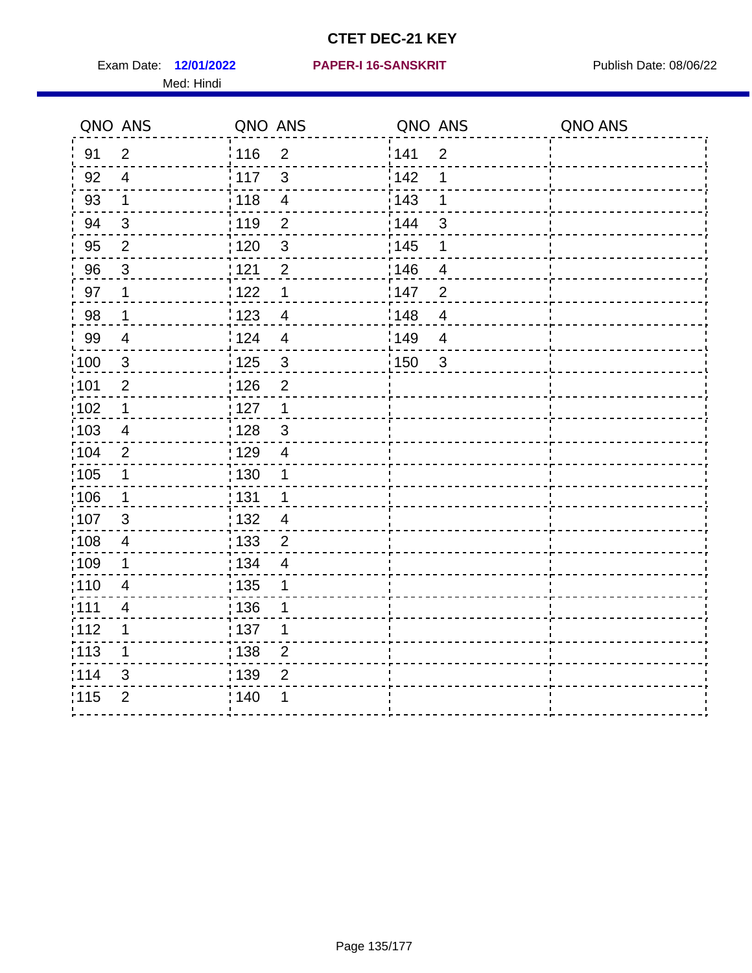Exam Date: 12/01/2022 **PAPER-I 16-SANSKRIT** Publish Date: 08/06/22 Med: Hindi

|                   | QNO ANS                  | QNO ANS                           | QNO ANS                           | QNO ANS |
|-------------------|--------------------------|-----------------------------------|-----------------------------------|---------|
| 91                | $\overline{2}$           | : 116<br>$\overline{2}$           | 141<br>$\overline{2}$             |         |
| 92                | $\overline{4}$           | $\mathbf{3}$<br>117               | 142<br>1                          |         |
| 93                | $\mathbf 1$              | 118<br>$\overline{\mathbf{4}}$    | 143<br>1                          |         |
| 94                | $\mathbf{3}$             | : 119<br>$\overline{2}$           | : 144<br>3                        |         |
| 95                | $\overline{2}$           | : 120<br>$\mathfrak{S}$           | : 145<br>1                        |         |
| 96                | 3                        | 121<br>$\overline{2}$             | 146<br>4                          |         |
| 97                | $\mathbf 1$              | 122<br>1                          | 147<br>$\overline{2}$             |         |
| 98                | $\mathbf{1}$             | 123<br>$\overline{4}$             | 148<br>$\overline{4}$             |         |
| 99                | $\overline{4}$           | 124<br>$\overline{4}$             | 149<br>$\overline{4}$             |         |
| $\frac{1}{1}$ 100 | $\mathbf 3$              | $\frac{1}{1}$ 125<br>$\mathbf{3}$ | $\frac{1}{1}$ 150<br>$\mathbf{3}$ |         |
| :101              | $\overline{2}$           | 126<br>$\overline{2}$             |                                   |         |
| 102               | $\mathbf 1$              | : 127<br>$\mathbf{1}$             |                                   |         |
| 103               | $\overline{4}$           | : 128<br>$\mathbf{3}$             |                                   |         |
| :104              | $\overline{2}$           | : 129<br>$\overline{4}$           |                                   |         |
| 105               | $\mathbf{1}$             | 130<br>1                          |                                   |         |
| :106              | $\mathbf 1$              | : 131<br>$\mathbf{1}$             |                                   |         |
| 107               | $\mathbf{3}$             | 132<br>$\overline{4}$             |                                   |         |
| 108               | $\overline{4}$           | : 133<br>$\mathbf 2$              |                                   |         |
| :109              | 1                        | : 134<br>$\overline{4}$           |                                   |         |
| :110              | $\overline{4}$           | 135<br>1                          |                                   |         |
| :111              | $\overline{\mathcal{A}}$ | : 136<br>1                        |                                   |         |
| 112               | 1                        | 137<br>1                          |                                   |         |
| 113               | 1                        | 138<br>$\overline{2}$             |                                   |         |
| 114               | 3                        | 139<br>$\overline{2}$             |                                   |         |
| 115               | $\overline{2}$           | 140<br>1                          |                                   |         |
|                   |                          |                                   |                                   |         |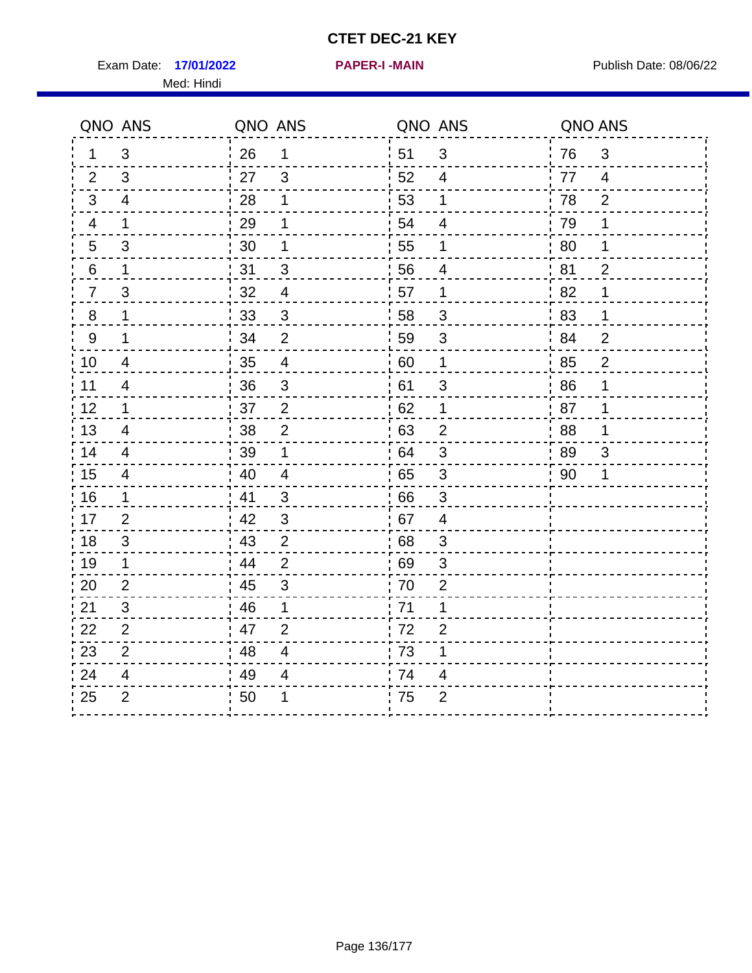Exam Date: 17/01/2022 **PAPER-I-MAIN Exam Date: 08/06/22** Med: Hindi

**17/01/2022 PAPER-I -MAIN**

|                  | QNO ANS                  | QNO ANS |                | QNO ANS          |                           | QNO ANS |                |
|------------------|--------------------------|---------|----------------|------------------|---------------------------|---------|----------------|
| 1                | 3                        | 26      | 1              | ່ 51             | $\mathfrak{B}$            | 76      | $\mathfrak{B}$ |
| 2                | 3                        | 27      | 3              | 52               | $\overline{4}$            | 77      | $\overline{4}$ |
| 3                | $\overline{4}$           | 28      | 1              | 53               | 1                         | 78      | $\overline{2}$ |
| 4                | 1                        | 29      | 1              | 54               | $\overline{\mathbf{4}}$   | 79      | 1              |
| 5                | 3                        | 30      | 1              | 55               | 1                         | 80      | 1              |
| 6                | 1                        | 31      | 3              | 56               | 4                         | 81      | $\overline{2}$ |
| $\overline{7}$   | 3                        | 32      | $\overline{4}$ | 57               | 1                         | 82      | 1              |
| $\bf 8$          | 1                        | 33      | $\sqrt{3}$     | 58               | $\mathfrak{S}$            | 83      | 1              |
| $\boldsymbol{9}$ | 1                        | 34      | $\overline{2}$ | 59               | $\sqrt{3}$                | 84      | $\overline{2}$ |
| 10               | $\overline{4}$           | 35      | $\overline{4}$ | 60               | $\mathbf 1$               | 85      | $\overline{2}$ |
| 11               | $\overline{\mathcal{A}}$ | 36      | $\mathfrak{S}$ | 61               | 3                         | 86      | 1              |
| 12               | $\mathbf{1}$             | 37      | $\overline{2}$ | 62               | $\mathbf 1$               | 87      | 1              |
| 13               | 4                        | 38      | $\overline{2}$ | 63               | $\overline{2}$            | 88      | 1              |
| 14               | 4                        | 39      | 1              | 64               | 3                         | 89      | 3              |
| 15               | $\overline{\mathcal{A}}$ | 40      | $\overline{4}$ | 65               | $\sqrt{3}$                | 90      | 1              |
| 16               | $\mathbf 1$              | 41      | 3              | 66               | 3                         |         |                |
| 17               | 2                        | 42      | 3              | 67               | 4                         |         |                |
| 18               | 3                        | 43      | $\overline{2}$ | 68               | $\mathfrak{S}$            |         |                |
| 19               | $\mathbf 1$              | 44      | $\overline{2}$ | .69              | $\ensuremath{\mathsf{3}}$ |         |                |
| 20               | $\overline{2}$           | 45      | 3              | 70               | $\overline{2}$            |         |                |
| 21               | 3                        | 46      | 1              | 71               | 1                         |         |                |
| 22               | $\overline{2}$           | 47      | $\overline{2}$ | 72               | $\overline{2}$            |         |                |
| 23               | $\overline{2}$           | 48      | $\overline{4}$ | $\frac{1}{2}$ 73 | 1                         |         |                |
| 24               | 4                        | 49      | 4              | .74              | 4                         |         |                |
| 25               | $\overline{2}$           | 50      | 1              | 75               | $\overline{2}$            |         |                |
|                  |                          |         |                |                  |                           |         |                |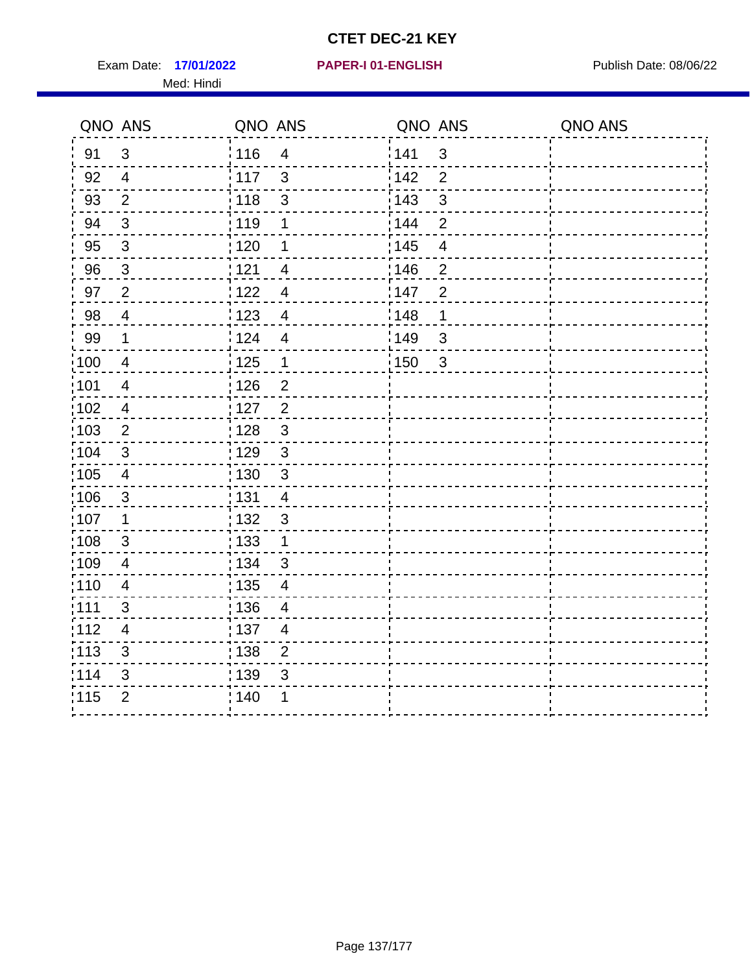Exam Date: 17/01/2022 **PAPER-I 01-ENGLISH Exam Date: 08/06/22** Med: Hindi

**17/01/2022 PAPER-I 01-ENGLISH**

|       | QNO ANS                  | QNO ANS           |                          | QNO ANS |                         | QNO ANS |
|-------|--------------------------|-------------------|--------------------------|---------|-------------------------|---------|
| 91    | $\mathbf{3}$             | 116               | $\overline{4}$           | 141     | $\mathbf{3}$            |         |
| 92    | $\overline{4}$           | 117               | $\mathbf{3}$             | 142     | $\overline{2}$          |         |
| 93    | $\overline{2}$           | 118               | $\sqrt{3}$               | 143     | $\mathfrak{S}$          |         |
| 94    | 3                        | : 119             | 1                        | 144     | $\overline{2}$          |         |
| 95    | $\mathfrak{S}$           | : 120             | 1                        | : 145   | $\overline{\mathbf{4}}$ |         |
| 96    | $\mathfrak{S}$           | 121               | 4                        | 146     | $\overline{2}$          |         |
| 97    | $\overline{2}$           | 122               | 4                        | 147     | $\overline{2}$          |         |
| 98    | $\overline{4}$           | $\frac{1}{2}$ 123 | $\overline{4}$           | : 148   | 1                       |         |
| 99    | $\mathbf 1$              | 124               | $\overline{\mathbf{4}}$  | 149     | $\mathfrak{S}$          |         |
| 100   | $\overline{4}$           | $\frac{1}{1}$ 125 | $\mathbf 1$              | 150     | $\mathbf{3}$            |         |
| :101  | $\overline{\mathcal{A}}$ | : 126             | $\overline{2}$           |         |                         |         |
| 102   | $\overline{4}$           | : 127             | $\overline{2}$           |         |                         |         |
| 103   | $\overline{2}$           | : 128             | $\mathbf{3}$             |         |                         |         |
| :104  | $\mathbf{3}$             | 129               | $\mathfrak{3}$           |         |                         |         |
| 105   | $\overline{\mathbf{4}}$  | : 130             | $\mathfrak{S}$           |         |                         |         |
| :106  | $\mathfrak{S}$           | : 131             | 4                        |         |                         |         |
| ;107  | $\mathbf{1}$             | : 132             | $\mathbf{3}$             |         |                         |         |
| 108   | $\sqrt{3}$               | : 133             | $\overline{1}$           |         |                         |         |
| :109  | $\overline{4}$           | : 134             | $\mathbf{3}$             |         |                         |         |
| :110  | $\overline{4}$           | : 135             | $\overline{\mathcal{A}}$ |         |                         |         |
| : 111 | 3                        | 136               | $\overline{4}$           |         |                         |         |
| 112   | $\overline{4}$           | : 137             | $\overline{4}$           |         |                         |         |
| 113   | $\mathbf{3}$             | : 138             | $\overline{c}$           |         |                         |         |
| 114   | 3                        | 139               | 3                        |         |                         |         |
| 115   | $\overline{2}$           | 140               | 1                        |         |                         |         |
|       |                          |                   |                          |         |                         |         |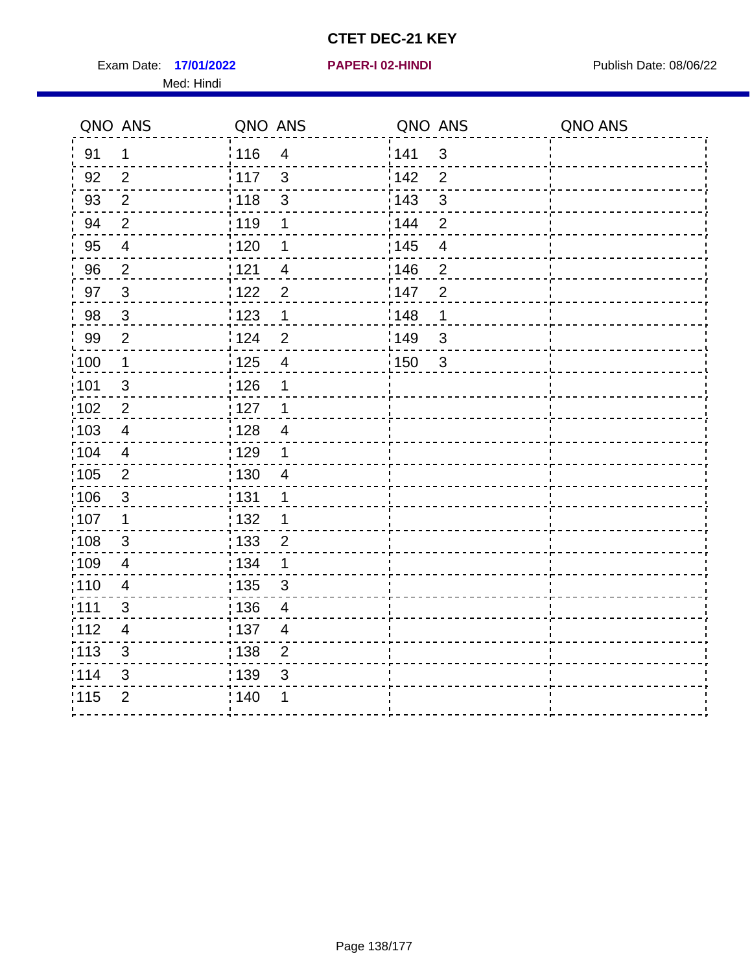Exam Date: 17/01/2022 **PAPER-I 02-HINDI Exam Date: 08/06/22** Med: Hindi

|        | QNO ANS                  | QNO ANS           |                         | QNO ANS           |                | QNO ANS |
|--------|--------------------------|-------------------|-------------------------|-------------------|----------------|---------|
| 91     | $\mathbf 1$              | 116               | $\overline{\mathbf{4}}$ | 141               | $\sqrt{3}$     |         |
| 92     | $\overline{2}$           | 117               | 3                       | 142               | $\overline{2}$ |         |
| 93     | $\overline{2}$           | 118               | $\mathbf{3}$            | 143               | $\mathbf{3}$   |         |
| 94     | $\overline{2}$           | : 119             | 1                       | : 144             | $\overline{2}$ |         |
| 95     | $\overline{\mathcal{A}}$ | :120              | 1                       | : 145             | $\overline{4}$ |         |
| 96     | $\overline{2}$           | 121               | $\overline{4}$          | 146               | $\overline{2}$ |         |
| 97     | $\mathfrak{S}$           | :122              | $\overline{2}$          | 147               | $\overline{2}$ |         |
| $98\,$ | $\mathbf{3}$             | 123               | $\mathbf{1}$            | 148               | 1              |         |
| 99     | $\overline{2}$           | 124               | $\overline{2}$          | $\frac{1}{2}$ 149 | $\mathbf{3}$   |         |
| 100    | $\mathbf{1}$             | 125               | $\overline{4}$          | 150               | $\sqrt{3}$     |         |
| :101   | $\mathfrak{S}$           | : 126             | 1                       |                   |                |         |
| :102   | $\overline{2}$           | : 127             | $\mathbf 1$             |                   |                |         |
| 103    | $\overline{4}$           | : 128             | $\overline{4}$          |                   |                |         |
| :104   | $\overline{4}$           | : 129             | 1                       |                   |                |         |
| 105    | $\overline{2}$           | $\frac{1}{1}$ 130 | $\overline{4}$          |                   |                |         |
| :106   | $\mathbf{3}$             | : 131             | 1                       |                   |                |         |
| :107   | 1                        | : 132             | 1                       |                   |                |         |
| :108   | $\mathbf{3}$             | $\frac{1}{1}$ 133 | $\mathbf 2$             |                   |                |         |
| :109   | $\overline{\mathbf{4}}$  | : 134             | $\mathbf 1$             |                   |                |         |
| 110    | $\overline{4}$           | : 135             | 3                       |                   |                |         |
| :111   | $\mathfrak{S}$           | : 136             | $\overline{4}$          |                   |                |         |
| 112    | 4                        | : 137             | $\overline{4}$          |                   |                |         |
| 113    | 3                        | : 138             | $\overline{2}$          |                   |                |         |
| 114    | 3                        | 139               | 3                       |                   |                |         |
| 115    | $\overline{2}$           | : 140             | 1                       |                   |                |         |
|        |                          |                   |                         |                   |                |         |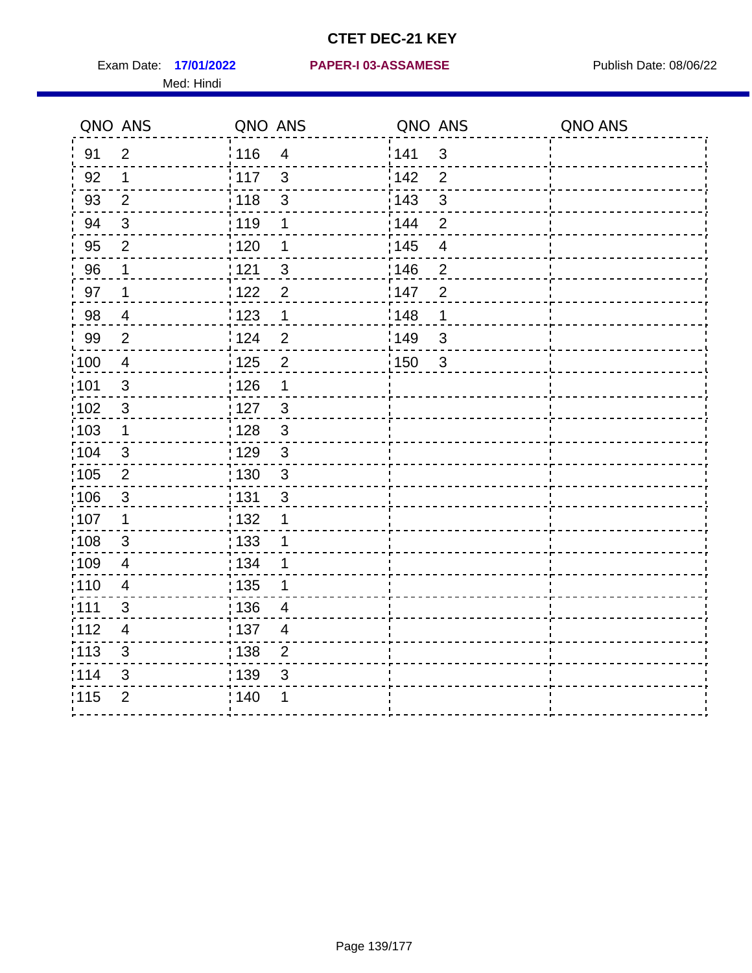Med: Hindi

**17/01/2022 PAPER-I 03-ASSAMESE** Exam Date: Publish Date: 08/06/22

|       | QNO ANS                  | QNO ANS                           | QNO ANS                 | QNO ANS |
|-------|--------------------------|-----------------------------------|-------------------------|---------|
| 91    | $\overline{2}$           | 116<br>$\overline{4}$             | 141<br>$\mathsf 3$      |         |
| 92    | 1                        | 117<br>3                          | 142<br>$\overline{2}$   |         |
| 93    | $\overline{2}$           | 118<br>3                          | 143<br>$\mathfrak{S}$   |         |
| 94    | 3                        | : 119<br>1                        | 144<br>$\overline{2}$   |         |
| 95    | 2                        | : 120<br>1                        | : 145<br>$\overline{4}$ |         |
| 96    | 1                        | 121<br>3                          | 146<br>$\overline{2}$   |         |
| 97    | 1                        | 122<br>$\overline{2}$             | 147<br>$\overline{2}$   |         |
| 98    | $\overline{\mathcal{A}}$ | 1123<br>$\mathbf{1}$              | 148<br>1                |         |
| 99    | $\overline{2}$           | 124<br>$\overline{2}$             | 149<br>$\mathsf 3$      |         |
| 100   | $\overline{4}$           | $\overline{2}$<br>125             | 150<br>$\mathbf{3}$     |         |
| :101  | $\sqrt{3}$               | : 126<br>1                        |                         |         |
| 102   | $\mathbf{3}$             | : 127<br>3                        |                         |         |
| 103   | $\mathbf 1$              | $\mathbf{3}$<br>: 128             |                         |         |
| :104  | $\mathbf{3}$             | : 129<br>$\mathfrak{3}$           |                         |         |
| 105   | $\overline{2}$           | $\frac{1}{1}$ 130<br>$\mathbf{3}$ |                         |         |
| 106   | 3                        | : 131<br>3                        |                         |         |
| :107  | 1                        | : 132<br>1                        |                         |         |
| :108  | $\sqrt{3}$               | : 133<br>1                        |                         |         |
| :109  | $\overline{4}$           | : 134<br>1                        |                         |         |
| :110  | $\overline{4}$           | 135<br>1                          |                         |         |
| :111  | 3                        | : 136<br>$\overline{4}$           |                         |         |
| 112   | 4                        | : 137<br>$\overline{4}$           |                         |         |
| : 113 | $\sqrt{3}$               | : 138<br>$\overline{2}$           |                         |         |
| 114   | 3                        | 139<br>3                          |                         |         |
| 115   | $\overline{2}$           | 140<br>1                          |                         |         |
|       |                          |                                   |                         |         |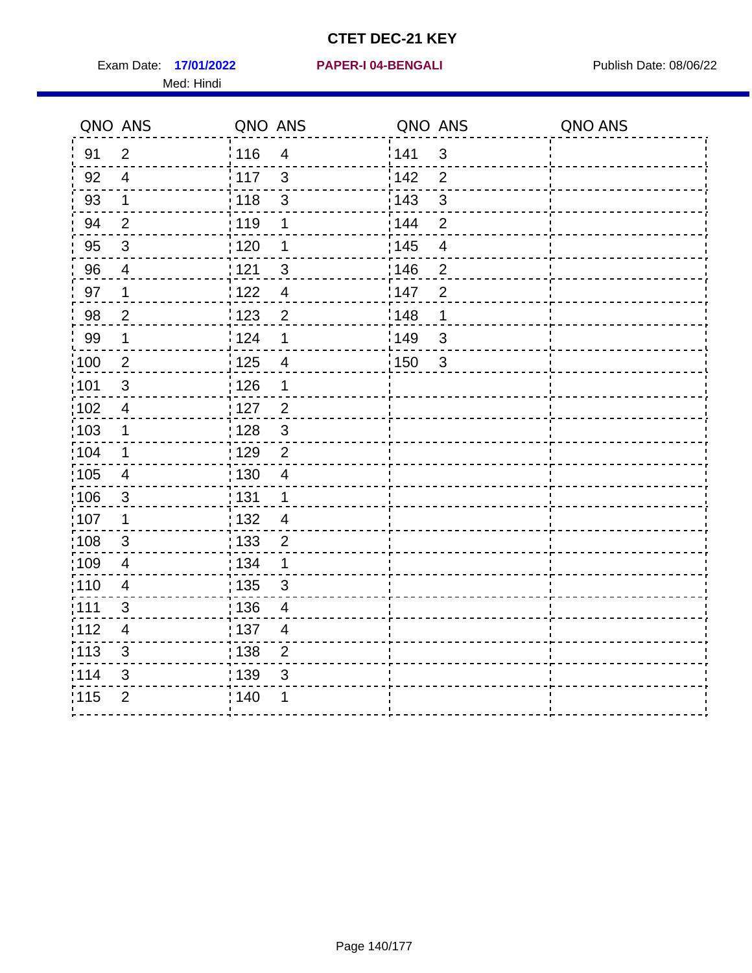Exam Date: 17/01/2022 **PAPER-I 04-BENGALI Exam Date: 08/06/22** Med: Hindi

**17/01/2022 PAPER-I 04-BENGALI**

|                   | QNO ANS                  | QNO ANS           |                          | QNO ANS |                          | QNO ANS |
|-------------------|--------------------------|-------------------|--------------------------|---------|--------------------------|---------|
| 91                | $\overline{2}$           | 116               | $\overline{4}$           | 1141    | $\mathbf{3}$             |         |
| 92                | $\overline{4}$           | $\frac{1}{2}$ 117 | $\mathbf{3}$             | 142     | $\overline{2}$           |         |
| 93                | $\mathbf{1}$             | 118               | $\sqrt{3}$               | 143     | $\mathfrak{S}$           |         |
| 94                | $\overline{2}$           | : 119             | 1                        | : 144   | $\overline{2}$           |         |
| 95                | $\mathfrak{B}$           | : 120             | 1                        | : 145   | $\overline{\mathcal{A}}$ |         |
| 96                | 4                        | 121               | 3                        | :146    | $\overline{2}$           |         |
| 97                | 1                        | 122               | $\overline{\mathcal{A}}$ | 147     | $\overline{2}$           |         |
| 98                | $\overline{c}$           | 123               | $\overline{2}$           | 148     | 1                        |         |
| 99                | $\mathbf 1$              | 124               | $\mathbf 1$              | 149     | $\mathfrak{B}$           |         |
| :100              | $\overline{2}$           | $\frac{1}{1}$ 125 | $\overline{4}$           | 150     | $\mathbf{3}$             |         |
| :101              | $\sqrt{3}$               | : 126             | 1                        |         |                          |         |
| 102               | $\overline{4}$           | : 127             | $\overline{2}$           |         |                          |         |
| 103               | $\mathbf{1}$             | : 128             | $\mathbf{3}$             |         |                          |         |
| :104              | $\mathbf 1$              | : 129             | $\overline{2}$           |         |                          |         |
| $\frac{1}{1}$ 105 | $\overline{\mathbf{4}}$  | : 130             | $\overline{4}$           |         |                          |         |
| :106              | $\mathbf{3}$             | : 131             | $\mathbf 1$              |         |                          |         |
| ;107              | $\mathbf 1$              | 132               | $\overline{4}$           |         |                          |         |
| 108               | $\mathbf{3}$             | : 133             | $\overline{2}$           |         |                          |         |
| :109              | $\overline{\mathbf{4}}$  | : 134             | $\mathbf 1$              |         |                          |         |
| :110              | $\overline{4}$           | : 135             | 3                        |         |                          |         |
| 1111              | 3                        | : 136             | $\overline{\mathcal{A}}$ |         |                          |         |
| 112               | $\overline{\mathcal{A}}$ | : 137             | $\overline{4}$           |         |                          |         |
| 113               | $\mathfrak{S}$           | $\frac{1}{1}$ 138 | $\overline{2}$           |         |                          |         |
| 114               | 3                        | : 139             | 3                        |         |                          |         |
| 115               | $\overline{2}$           | 140               | 1                        |         |                          |         |
|                   |                          |                   |                          |         |                          |         |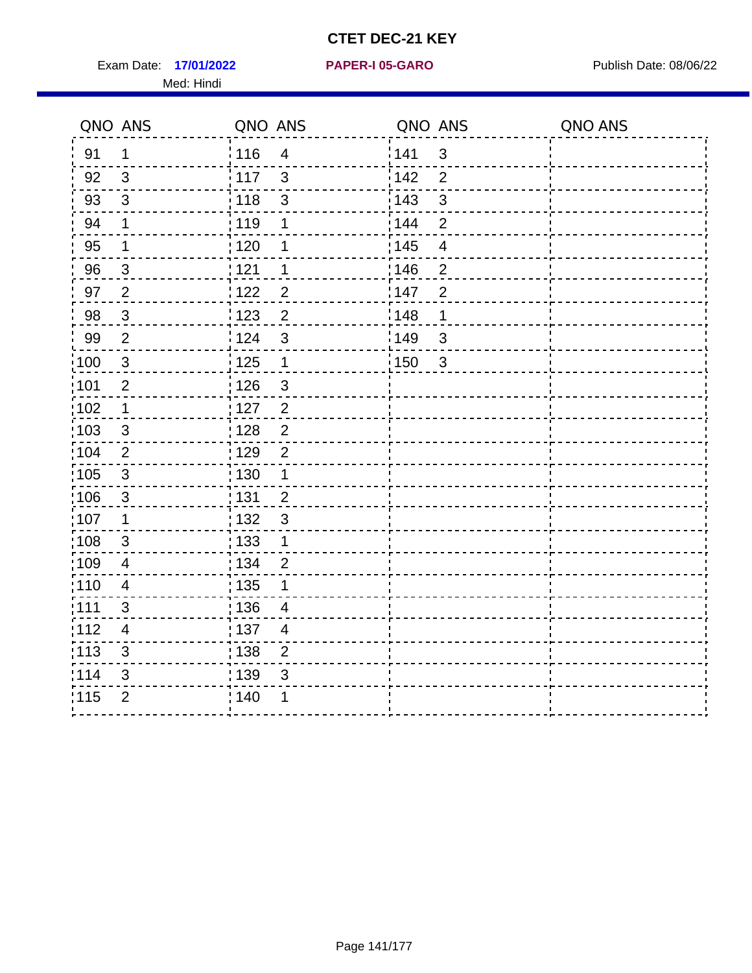Exam Date: 17/01/2022 **PAPER-I 05-GARO** Publish Date: 08/06/22 Med: Hindi

**17/01/2022 PAPER-I 05-GARO**

|        | QNO ANS                 | QNO ANS           |                         | QNO ANS           |                | QNO ANS |
|--------|-------------------------|-------------------|-------------------------|-------------------|----------------|---------|
| 91     | 1                       | 116               | $\overline{\mathbf{4}}$ | 141               | $\sqrt{3}$     |         |
| 92     | 3                       | 117               | 3                       | 142               | $\overline{2}$ |         |
| 93     | $\mathbf{3}$            | 118               | $\mathfrak{S}$          | 143               | $\mathfrak{S}$ |         |
| 94     | 1                       | : 119             | 1                       | : 144             | $\overline{2}$ |         |
| 95     | 1                       | : 120             | 1                       | : 145             | $\overline{4}$ |         |
| 96     | $\mathbf{3}$            | 121               | 1                       | 146               | $\overline{2}$ |         |
| 97     | $\overline{2}$          | 122               | $\overline{2}$          | 147               | $\overline{2}$ |         |
| $98\,$ | $\mathbf{3}$            | 123               | $\overline{2}$          | 148               | 1              |         |
| 99     | $\overline{2}$          | 124               | $\mathfrak{S}$          | $\frac{1}{2}$ 149 | $\mathbf{3}$   |         |
| 100    | $\mathbf{3}$            | 125               | $\mathbf{1}$            | 150               | $\sqrt{3}$     |         |
| :101   | $\overline{c}$          | : 126             | $\mathsf 3$             |                   |                |         |
| :102   | $\mathbf 1$             | : 127             | $\overline{2}$          |                   |                |         |
| 103    | 3                       | : 128             | $\overline{2}$          |                   |                |         |
| :104   | $\overline{2}$          | : 129             | $\overline{2}$          |                   |                |         |
| 105    | $\mathbf{3}$            | $\frac{1}{1}$ 130 | $\mathbf 1$             |                   |                |         |
| 106    | $\mathbf{3}$            | : 131             | $\overline{2}$          |                   |                |         |
| :107   | 1                       | : 132             | $\mathbf{3}$            |                   |                |         |
| :108   | $\mathbf{3}$            | 133               | $\mathbf{1}$            |                   |                |         |
| :109   | $\overline{\mathbf{4}}$ | : 134             | $\overline{2}$          |                   |                |         |
| :110   | $\overline{4}$          | : 135             | 1                       |                   |                |         |
| :111   | $\mathfrak{S}$          | : 136             | $\overline{4}$          |                   |                |         |
| 112    | 4                       | : 137             | $\overline{4}$          |                   |                |         |
| 113    | 3                       | : 138             | $\overline{2}$          |                   |                |         |
| 114    | 3                       | 139               | 3                       |                   |                |         |
| 115    | $\overline{2}$          | : 140             | 1                       |                   |                |         |
|        |                         |                   |                         |                   |                |         |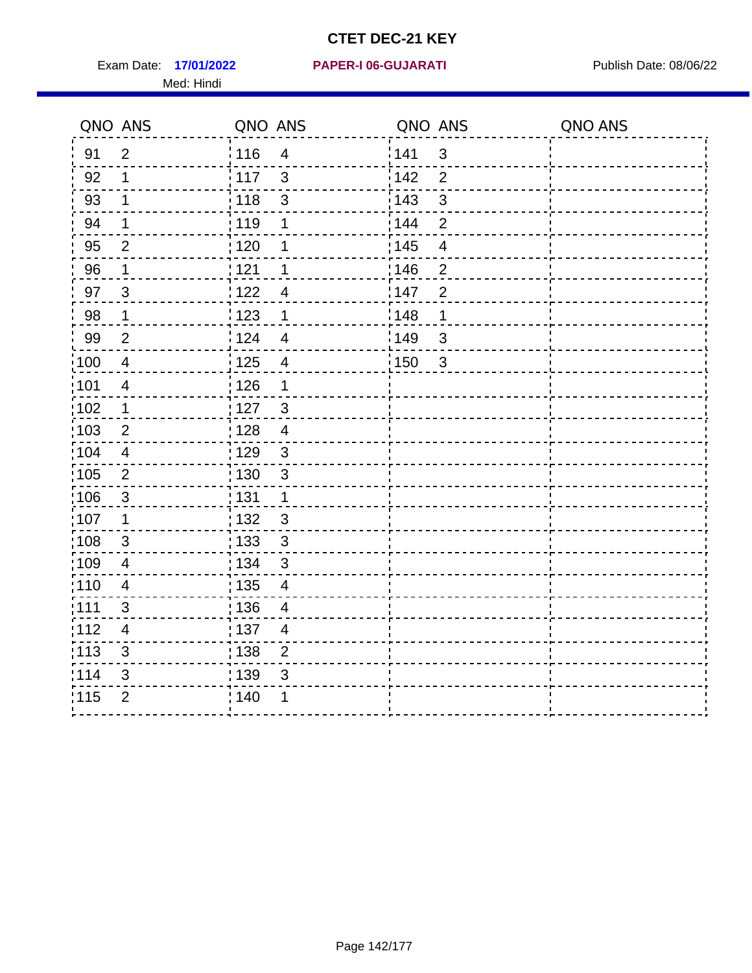Exam Date: 17/01/2022 PAPER-I 06-GUJARATI Publish Date: 08/06/22 Med: Hindi

**17/01/2022 PAPER-I 06-GUJARATI**

|                   | QNO ANS                 | QNO ANS           |                          | QNO ANS           |                | QNO ANS |
|-------------------|-------------------------|-------------------|--------------------------|-------------------|----------------|---------|
| 91                | $\overline{2}$          | : 116             | $\overline{4}$           | 1141              | $\mathfrak{S}$ |         |
| 92                | 1                       | $\frac{1}{117}$   | 3                        | 142               | $\overline{2}$ |         |
| 93                | $\mathbf 1$             | : 118             | $\mathfrak{S}$           | 143               | $\mathfrak{S}$ |         |
| 94                | 1                       | : 119             | 1                        | 144               | $\overline{2}$ |         |
| 95                | 2                       | : 120             | 1                        | 145               | $\overline{4}$ |         |
| 96                | 1                       | : 121             | 1                        | :146              | $\overline{2}$ |         |
| 97                | $\mathfrak{S}$          | 1122              | $\overline{4}$           | 147               | $\overline{2}$ |         |
| 98                | $\mathbf 1$             | 1123              | $\mathbf 1$              | 148               | 1              |         |
| 99                | $\overline{2}$          | 124               | $\overline{4}$           | $\frac{1}{2}$ 149 | $\mathsf 3$    |         |
| $\frac{1}{1}$ 100 | $\overline{4}$          | 125               | $\overline{\mathcal{A}}$ | 150               | $\mathbf{3}$   |         |
| :101              | $\overline{4}$          | : 126             | 1                        |                   |                |         |
| 102               | 1                       | : 127             | $\mathbf{3}$             |                   |                |         |
| :103              | $\overline{2}$          | : 128             | $\overline{4}$           |                   |                |         |
| :104              | $\overline{4}$          | : 129             | $\mathfrak{3}$           |                   |                |         |
| 105               | $\overline{2}$          | $\frac{1}{1}$ 130 | $\mathbf{3}$             |                   |                |         |
| 106               | $\mathfrak{S}$          | : 131             | $\mathbf 1$              |                   |                |         |
| 107               | 1                       | :132              | $\mathfrak{B}$           |                   |                |         |
| :108              | $\sqrt{3}$              | 133               | $\sqrt{3}$               |                   |                |         |
| :109              | $\overline{\mathbf{4}}$ | : 134             | $\mathfrak{S}$           |                   |                |         |
| :110              | 4                       | : 135             | 4                        |                   |                |         |
| 111               | 3                       | 136               | $\overline{\mathcal{A}}$ |                   |                |         |
| 112               | $\overline{4}$          | $\frac{1}{1}$ 137 | $\overline{4}$           |                   |                |         |
| : 113             | $\mathfrak{S}$          | : 138             | $\overline{2}$           |                   |                |         |
| 114               | 3                       | 139               | 3                        |                   |                |         |
| 115               | $\overline{2}$          | 140               | 1                        |                   |                |         |
|                   |                         |                   |                          |                   |                |         |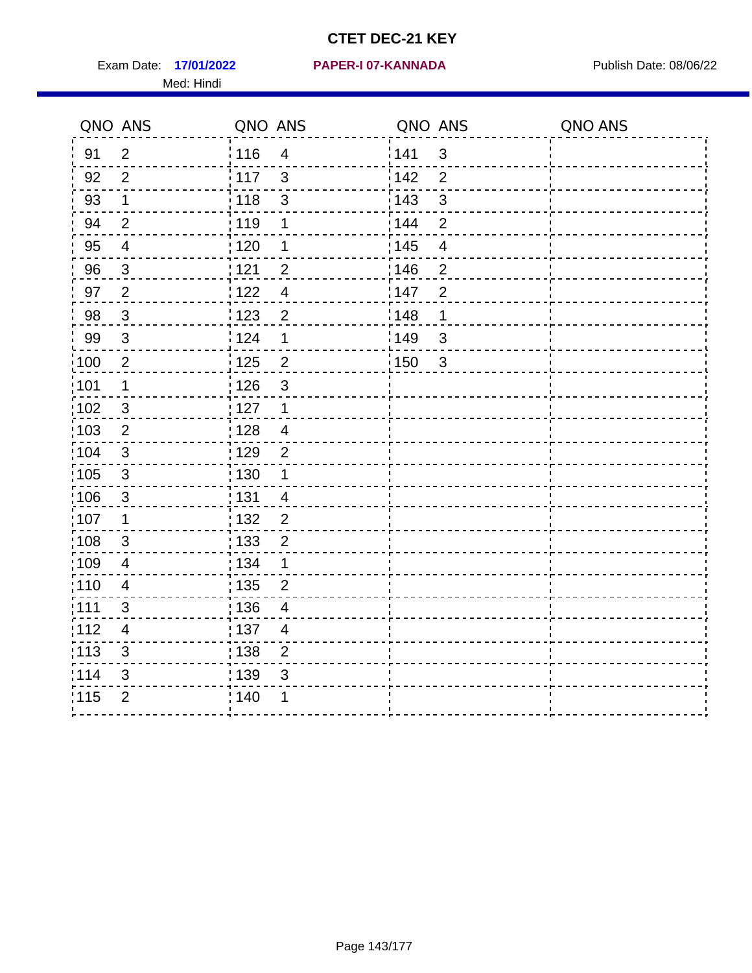Exam Date: 17/01/2022 **PAPER-I 07-KANNADA** Publish Date: 08/06/22 Med: Hindi

#### **17/01/2022 PAPER-I 07-KANNADA**

|       | QNO ANS                   | QNO ANS           |                | QNO ANS |                          | QNO ANS |
|-------|---------------------------|-------------------|----------------|---------|--------------------------|---------|
| 91    | $\overline{2}$            | : 116             | $\overline{4}$ | 141     | $\mathbf{3}$             |         |
| 92    | $\overline{2}$            | 117               | $\mathbf{3}$   | 142     | $\overline{2}$           |         |
| 93    | $\mathbf 1$               | 118               | $\mathfrak{S}$ | 143     | $\mathbf{3}$             |         |
| 94    | $\overline{2}$            | : 119             | 1              | 144     | $\overline{2}$           |         |
| 95    | $\overline{4}$            | :120              | 1              | : 145   | $\overline{\mathcal{A}}$ |         |
| 96    | $\mathfrak{S}$            | : 121             | $\overline{2}$ | 146     | $\overline{2}$           |         |
| 97    | $\overline{2}$            | 122               | $\overline{4}$ | 147     | $\overline{2}$           |         |
| 98    | $\mathbf{3}$              | 123               | $\overline{c}$ | 148     | $\mathbf 1$              |         |
| 99    | $\sqrt{3}$                | 124               | 1              | 149     | 3                        |         |
| 100   | $\overline{2}$            | $\frac{1}{1}$ 125 | $\overline{2}$ | 150     | $\mathbf{3}$             |         |
| :101  | 1                         | : 126             | $\mathfrak{S}$ |         |                          |         |
| 102   | $\mathfrak{S}$            | : 127             | $\mathbf{1}$   |         |                          |         |
| 103   | $\overline{2}$            | : 128             | $\overline{4}$ |         |                          |         |
| 104   | $\mathbf{3}$              | : 129             | $\overline{2}$ |         |                          |         |
| 105   | $\mathbf{3}$              | : 130             | $\mathbf{1}$   |         |                          |         |
| ;106  | $\mathfrak{S}$            | : 131             | $\overline{4}$ |         |                          |         |
| :107  | $\mathbf 1$               | : 132             | $\overline{2}$ |         |                          |         |
| 108   | $\ensuremath{\mathsf{3}}$ | : 133             | $\overline{2}$ |         |                          |         |
| :109  | $\overline{\mathbf{4}}$   | : 134             | 1              |         |                          |         |
| :110  | $\overline{4}$            | 135               | $\overline{2}$ |         |                          |         |
| : 111 | $\mathfrak{B}$            | : 136             | $\overline{4}$ |         |                          |         |
| 112   | $\overline{4}$            | : 137             | $\overline{4}$ |         |                          |         |
| 113   | 3                         | : 138             | $\overline{2}$ |         |                          |         |
| 114   | 3                         | : 139             | 3              |         |                          |         |
| 115   | $\overline{2}$            | 140               | 1              |         |                          |         |
|       |                           |                   |                |         |                          |         |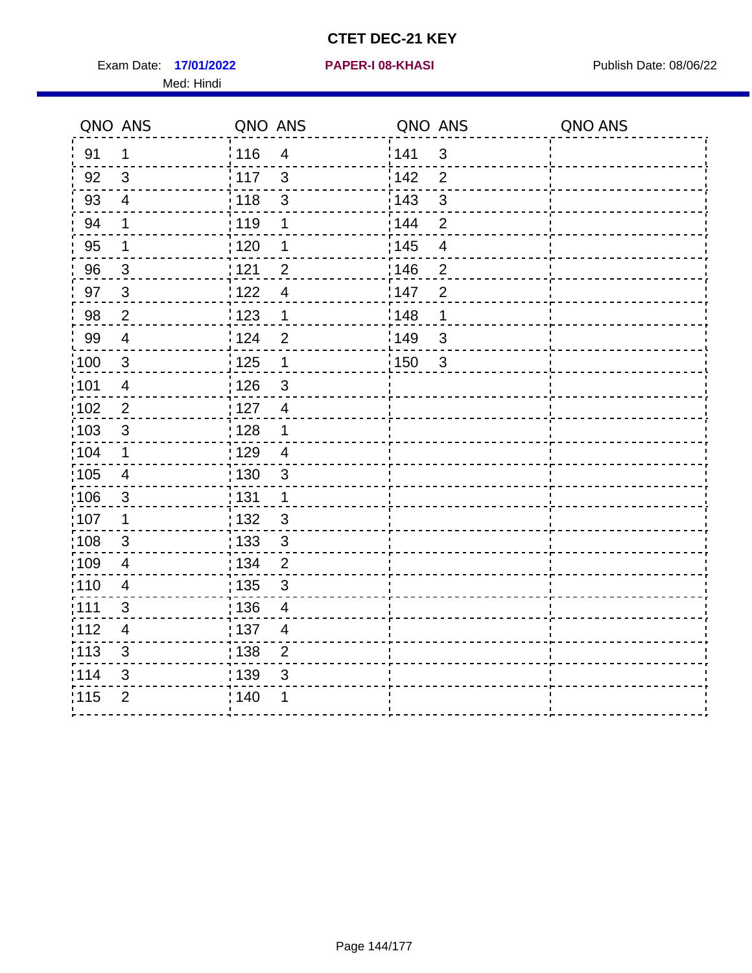Exam Date: 17/01/2022 **PAPER-I 08-KHASI** Publish Date: 08/06/22 Med: Hindi

**17/01/2022 PAPER-I 08-KHASI**

|        | QNO ANS                  | QNO ANS           |                         | QNO ANS |                | QNO ANS |
|--------|--------------------------|-------------------|-------------------------|---------|----------------|---------|
| 91     | 1                        | 116               | $\overline{\mathbf{4}}$ | 141     | $\sqrt{3}$     |         |
| 92     | $\mathfrak{B}$           | 117               | 3                       | 142     | $\overline{2}$ |         |
| 93     | $\overline{4}$           | 118               | $\mathbf{3}$            | 143     | 3              |         |
| 94     | 1                        | : 119             | 1                       | : 144   | 2              |         |
| 95     | 1                        | :120              | 1                       | : 145   | $\overline{4}$ |         |
| 96     | $\overline{3}$           | 121               | $\overline{2}$          | 146     | $\mathbf 2$    |         |
| 97     | $\mathbf{3}$             | : 122             | $\overline{4}$          | 147     | $\overline{2}$ |         |
| $98\,$ | $\boldsymbol{2}$         | 123               | $\mathbf{1}$            | 148     | 1              |         |
| 99     | $\overline{\mathbf{4}}$  | 124               | $\mathbf 2$             | ¦149    | $\mathfrak{S}$ |         |
| 100    | $\mathbf{3}$             | 125               | $\mathbf 1$             | 150     | $\sqrt{3}$     |         |
| :101   | $\overline{\mathcal{A}}$ | 126               | 3                       |         |                |         |
| 102    | $\overline{2}$           | : 127             | $\overline{4}$          |         |                |         |
| 103    | $\mathfrak{3}$           | 128               | $\mathbf 1$             |         |                |         |
| 104    | $\mathbf 1$              | : 129             | $\overline{\mathbf{4}}$ |         |                |         |
| 105    | $\overline{4}$           | : 130             | $\mathbf{3}$            |         |                |         |
| :106   | $\mathfrak{S}$           | : 131             | $\mathbf 1$             |         |                |         |
| :107   | 1                        | : 132             | $\mathfrak{B}$          |         |                |         |
| 108    | $\sqrt{3}$               | 133               | $\sqrt{3}$              |         |                |         |
| :109   | $\overline{4}$           | : 134             | $\overline{2}$          |         |                |         |
| :110   | 4                        | : 135             | 3                       |         |                |         |
| 111    | 3                        | : 136             | $\overline{4}$          |         |                |         |
| 112    | $\overline{4}$           | $\frac{1}{1}$ 137 | $\overline{4}$          |         |                |         |
| 113    | 3                        | 138               | $\overline{c}$          |         |                |         |
| 114    | 3                        | 139               | 3                       |         |                |         |
| 115    | $\overline{2}$           | 140               | 1                       |         |                |         |
|        |                          |                   |                         |         |                |         |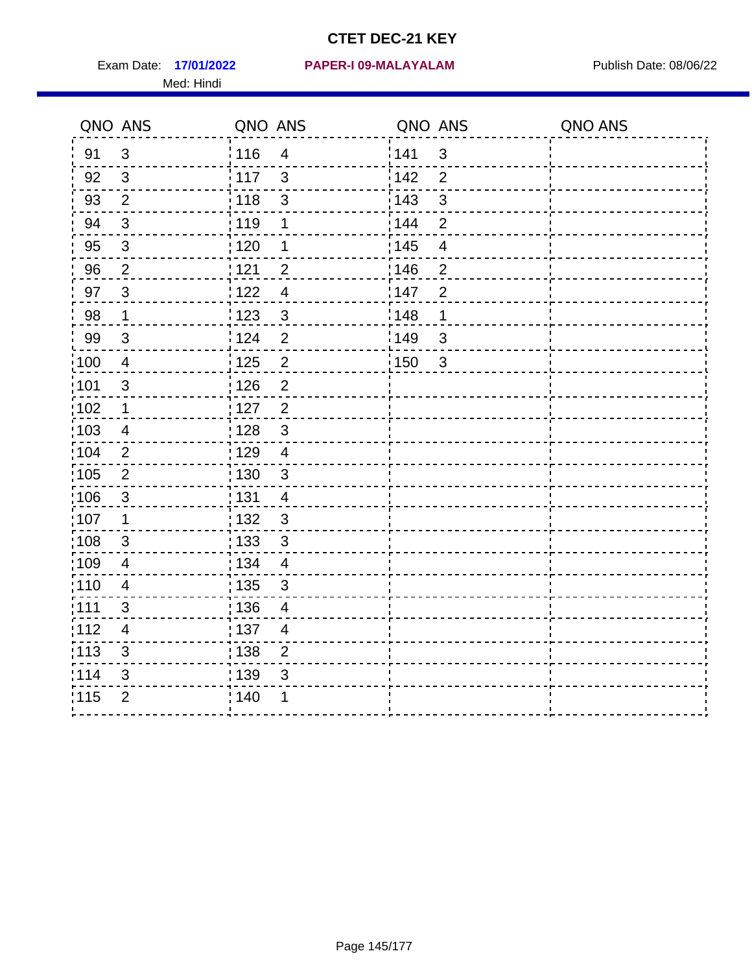Med: Hindi

**17/01/2022 PAPER-I 09-MALAYALAM** Exam Date: Publish Date: 08/06/22

|      | QNO ANS                   | QNO ANS           |                         | QNO ANS           |                          | QNO ANS |
|------|---------------------------|-------------------|-------------------------|-------------------|--------------------------|---------|
| 91   | $\mathbf{3}$              | 116               | $\overline{\mathbf{4}}$ | 141               | $\mathfrak{S}$           |         |
| 92   | $\mathfrak{S}$            | $\frac{1}{2}$ 117 | $\mathfrak{S}$          | 142               | $\overline{2}$           |         |
| 93   | $\overline{2}$            | 118               | $\mathfrak{S}$          | 143               | $\mathfrak{S}$           |         |
| 94   | 3                         | : 119             | 1                       | : 144             | $\overline{2}$           |         |
| 95   | $\mathfrak{B}$            | : 120             | 1                       | : 145             | $\overline{\mathcal{A}}$ |         |
| 96   | $\overline{2}$            | 121               | $\overline{2}$          | 146               | $\overline{2}$           |         |
| 97   | 3                         | : 122             | $\overline{4}$          | 147               | $\overline{2}$           |         |
| 98   | $\mathbf{1}$              | 123               | $\mathbf{3}$            | 148               | 1                        |         |
| 99   | $\sqrt{3}$                | 124               | $\overline{2}$          | $\frac{1}{2}$ 149 | 3                        |         |
| :100 | $\overline{4}$            | 125               | $\overline{2}$          | 150               | $\mathfrak{S}$           |         |
| :101 | $\mathbf{3}$              | : 126             | $\overline{2}$          |                   |                          |         |
| 102  | $\mathbf{1}$              | 127               | $\overline{2}$          |                   |                          |         |
| 103  | 4                         | :128              | $\mathbf{3}$            |                   |                          |         |
| 104  | $\overline{2}$            | : 129             | $\overline{4}$          |                   |                          |         |
| 105  | $\sqrt{2}$                | $\frac{1}{1}$ 130 | $\mathbf{3}$            |                   |                          |         |
| :106 | $\mathfrak{S}$            | : 131             | $\overline{4}$          |                   |                          |         |
| 107  | 1                         | :132              | $\mathbf{3}$            |                   |                          |         |
| 108  | $\ensuremath{\mathsf{3}}$ | 133               | $\mathfrak{3}$          |                   |                          |         |
| :109 | $\overline{\mathbf{4}}$   | : 134             | $\overline{4}$          |                   |                          |         |
| :110 | 4                         | : 135             | 3                       |                   |                          |         |
| 111  | 3                         | : 136             | $\overline{4}$          |                   |                          |         |
| 112  | $\overline{4}$            | 137               | $\overline{4}$          |                   |                          |         |
| 113  | $\mathbf{3}$              | : 138             | $\overline{2}$          |                   |                          |         |
| 114  | 3                         | 139               | 3                       |                   |                          |         |
| 115  | $\overline{2}$            | 140               | 1                       |                   |                          |         |
|      |                           |                   |                         |                   |                          |         |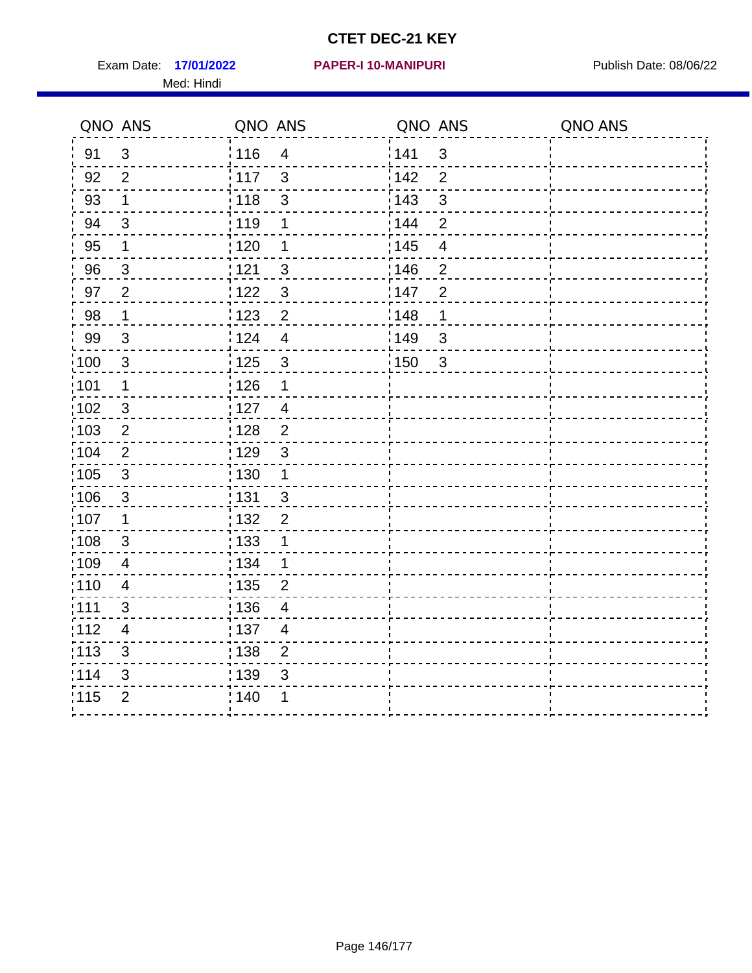Exam Date: 17/01/2022 **PAPER-I 10-MANIPURI** New York Date: 08/06/22 Med: Hindi

#### **17/01/2022 PAPER-I 10-MANIPURI**

|                   | QNO ANS        | QNO ANS           |                | QNO ANS |                | QNO ANS |
|-------------------|----------------|-------------------|----------------|---------|----------------|---------|
| 91                | $\mathfrak{B}$ | 116               | $\overline{4}$ | 141     | $\sqrt{3}$     |         |
| 92                | $\overline{2}$ | 117               | $\mathbf{3}$   | 142     | $\overline{2}$ |         |
| 93                | $\mathbf 1$    | : 118             | $\mathfrak{S}$ | 143     | 3              |         |
| 94                | 3              | : 119             | 1              | : 144   | $\overline{2}$ |         |
| 95                | 1              | : 120             | 1              | : 145   | $\overline{4}$ |         |
| 96                | $\mathbf{3}$   | 121               | 3              | 146     | $\overline{2}$ |         |
| 97                | $\overline{2}$ | 122               | $\mathfrak{S}$ | 147     | $\overline{2}$ |         |
| 98                | $\mathbf 1$    | 123               | $\overline{c}$ | 148     | 1              |         |
| 99                | $\sqrt{3}$     | 124               | $\overline{4}$ | ¦ 149   | $\mathfrak{B}$ |         |
| $\frac{1}{1}$ 100 | $\mathbf{3}$   | 125               | $\mathfrak{3}$ | 150     | $\sqrt{3}$     |         |
| :101              | 1              | 126               | 1              |         |                |         |
| 102               | 3              | : 127             | $\overline{4}$ |         |                |         |
| 103               | $\overline{2}$ | : 128             | $\overline{2}$ |         |                |         |
| 104               | $\overline{2}$ | : 129             | $\mathfrak{S}$ |         |                |         |
| $\frac{1}{1}$ 105 | $\mathfrak{S}$ | 130               | $\mathbf{1}$   |         |                |         |
| :106              | $\mathbf{3}$   | : 131             | 3              |         |                |         |
| 107               | 1              | :132              | $\overline{2}$ |         |                |         |
| 108               | $\sqrt{3}$     | : 133             | $\mathbf 1$    |         |                |         |
| ;109              | $\overline{4}$ | : 134             | $\mathbf{1}$   |         |                |         |
| 110               | $\overline{4}$ | 135               | $\overline{2}$ |         |                |         |
| 111               | 3              | : 136             | $\overline{4}$ |         |                |         |
| 112               | 4              | $\frac{1}{1}$ 137 | $\overline{4}$ |         |                |         |
| 113               | $\mathbf{3}$   | : 138             | $\overline{2}$ |         |                |         |
| 114               | 3              | 139               | 3              |         |                |         |
| 115               | $\overline{2}$ | 140               | 1              |         |                |         |
|                   |                |                   |                |         |                |         |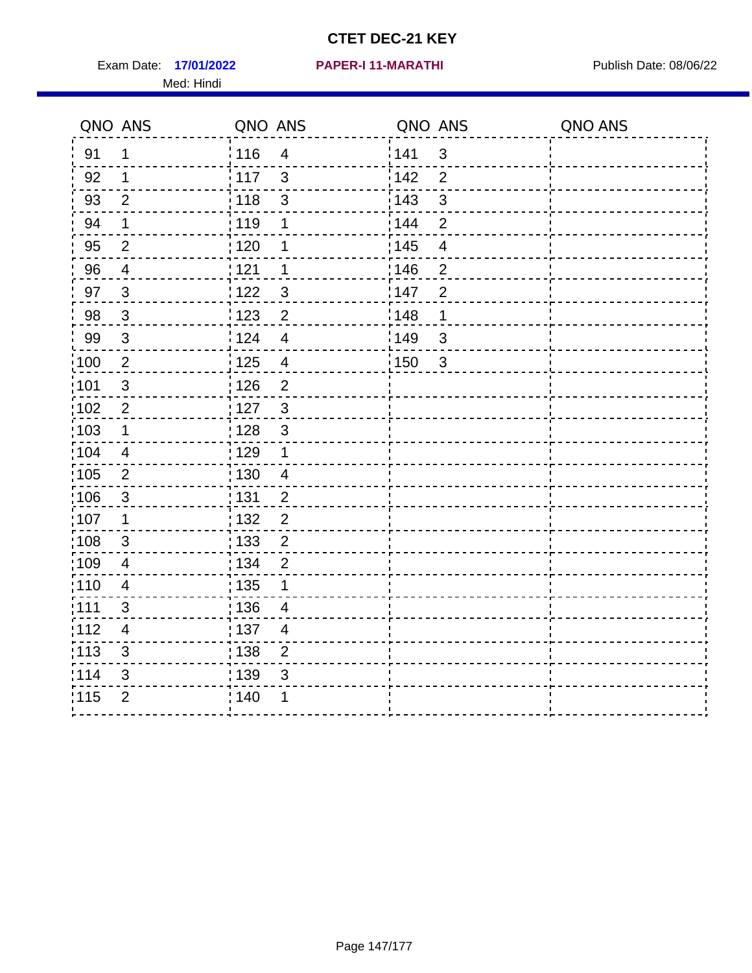Exam Date: 17/01/2022 PAPER-I 11-MARATHI Publish Date: 08/06/22 Med: Hindi

#### **17/01/2022 PAPER-I 11-MARATHI**

|                   | QNO ANS                   | QNO ANS           |                | QNO ANS           |                | QNO ANS |
|-------------------|---------------------------|-------------------|----------------|-------------------|----------------|---------|
| 91                | 1                         | : 116             | $\overline{4}$ | 1141              | $\mathfrak{S}$ |         |
| 92                | 1                         | $\frac{1}{117}$   | $\mathfrak{S}$ | 142               | $\overline{2}$ |         |
| 93                | $\overline{2}$            | : 118             | $\mathfrak{S}$ | 143               | $\mathfrak{S}$ |         |
| 94                | 1                         | :119              | 1              | : 144             | $\overline{2}$ |         |
| 95                | 2                         | : 120             | 1              | : 145             | $\overline{4}$ |         |
| 96                | $\overline{4}$            | 121               | 1              | 146               | $\overline{2}$ |         |
| 97                | $\mathbf{3}$              | 122               | 3              | 147               | $\overline{2}$ |         |
| 98                | $\mathbf{3}$              | 123               | $\overline{c}$ | 148               | 1              |         |
| 99                | $\ensuremath{\mathsf{3}}$ | 124               | $\overline{4}$ | $\frac{1}{2}$ 149 | $\mathfrak{S}$ |         |
| 100               | $\sqrt{2}$                | 125               | $\overline{4}$ | $\frac{1}{2}$ 150 | $\mathbf{3}$   |         |
| :101              | $\sqrt{3}$                | : 126             | $\overline{2}$ |                   |                |         |
| 102               | $\overline{2}$            | : 127             | $\mathbf{3}$   |                   |                |         |
| 103               | $\mathbf 1$               | : 128             | 3              |                   |                |         |
| 104               | $\overline{4}$            | 129               | $\mathbf 1$    |                   |                |         |
| :105              | $\overline{2}$            | : 130             | $\overline{4}$ |                   |                |         |
| 106               | 3                         | : 131             | $\overline{2}$ |                   |                |         |
| :107              | 1                         | : 132             | $\overline{2}$ |                   |                |         |
| :108              | $\sqrt{3}$                | $\frac{1}{1}$ 133 | $\overline{2}$ |                   |                |         |
| :109              | $\overline{\mathcal{A}}$  | : 134             | $\overline{2}$ |                   |                |         |
| 110               | $\overline{4}$            | : 135             | 1              |                   |                |         |
| 111               | 3                         | 136               | $\overline{4}$ |                   |                |         |
| 112               | 4                         | $\frac{1}{1}$ 137 | $\overline{4}$ |                   |                |         |
| $\frac{1}{1}$ 113 | 3                         | : 138             | $\overline{c}$ |                   |                |         |
| 114               | 3                         | 139               | 3              |                   |                |         |
| 115               | $\overline{2}$            | 140               | 1              |                   |                |         |
|                   |                           |                   |                |                   |                |         |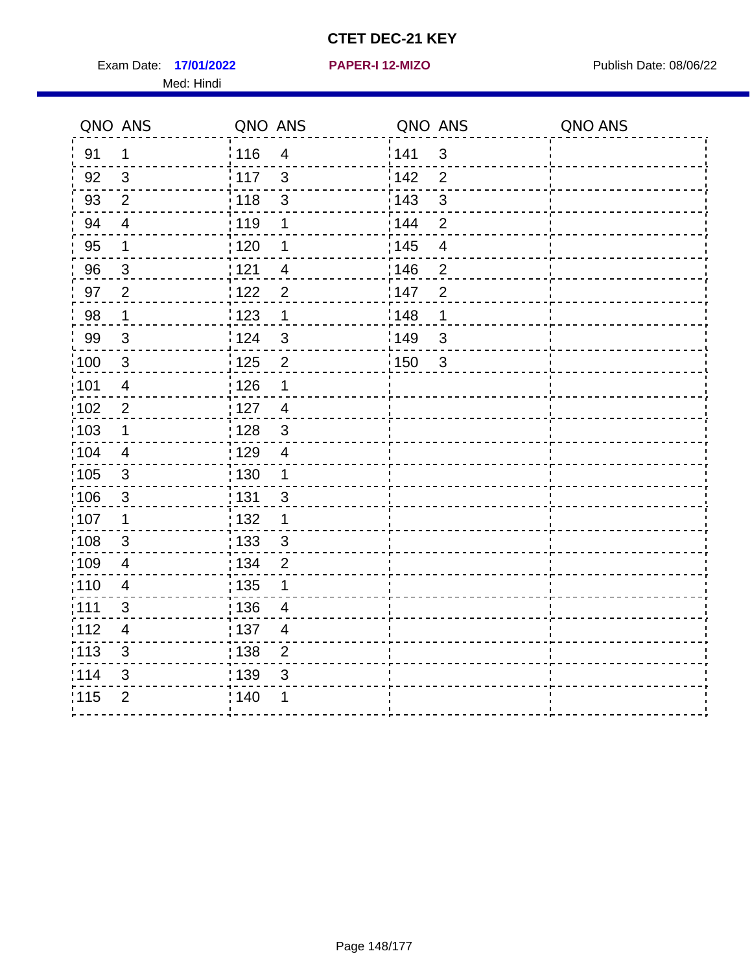Exam Date: 17/01/2022 **PAPER-I 12-MIZO** PAPER Publish Date: 08/06/22 Med: Hindi

**17/01/2022 PAPER-I 12-MIZO**

|                   | QNO ANS        | QNO ANS                           |       | QNO ANS        | QNO ANS |
|-------------------|----------------|-----------------------------------|-------|----------------|---------|
| 91                | 1              | : 116<br>$\overline{4}$           | 141   | $\mathsf 3$    |         |
| 92                | 3              | 117<br>3                          | 142   | $\overline{2}$ |         |
| 93                | $\overline{2}$ | 118<br>3                          | 143   | $\mathfrak{S}$ |         |
| 94                | $\overline{4}$ | : 119<br>1                        | 144   | $\overline{2}$ |         |
| 95                | 1              | : 120<br>1                        | : 145 | $\overline{4}$ |         |
| 96                | 3              | 121<br>4                          | 146   | $\overline{2}$ |         |
| 97                | $\overline{2}$ | $\overline{2}$<br>: 122           | 147   | $\overline{2}$ |         |
| 98                | $\mathbf{1}$   | 1123<br>$\mathbf{1}$              | 148   | 1              |         |
| 99                | $\sqrt{3}$     | 124<br>$\mathfrak{S}$             | 149   | $\mathsf 3$    |         |
| 100               | $\mathbf{3}$   | $\overline{2}$<br>125             | 150   | $\sqrt{3}$     |         |
| :101              | $\overline{4}$ | : 126<br>1                        |       |                |         |
| 102               | $\overline{2}$ | : 127<br>$\overline{4}$           |       |                |         |
| 103               | 1              | $\mathbf{3}$<br>: 128             |       |                |         |
| 104               | $\overline{4}$ | : 129<br>$\overline{4}$           |       |                |         |
| 105               | $\sqrt{3}$     | : 130<br>$\mathbf 1$              |       |                |         |
| 106               | 3              | : 131<br>$\mathbf{3}$             |       |                |         |
| :107              | 1              | : 132<br>1                        |       |                |         |
| $\frac{1}{1}$ 108 | $\sqrt{3}$     | $\frac{1}{1}$ 133<br>$\mathbf{3}$ |       |                |         |
| :109              | $\overline{4}$ | : 134<br>$\overline{2}$           |       |                |         |
| :110              | $\overline{4}$ | 135<br>1                          |       |                |         |
| :111              | 3              | : 136<br>$\overline{\mathcal{A}}$ |       |                |         |
| 112               | 4              | : 137<br>$\overline{4}$           |       |                |         |
| : 113             | $\sqrt{3}$     | : 138<br>$\overline{2}$           |       |                |         |
| 114               | 3              | 139<br>3                          |       |                |         |
| 115               | $\overline{2}$ | 140<br>1                          |       |                |         |
|                   |                |                                   |       |                |         |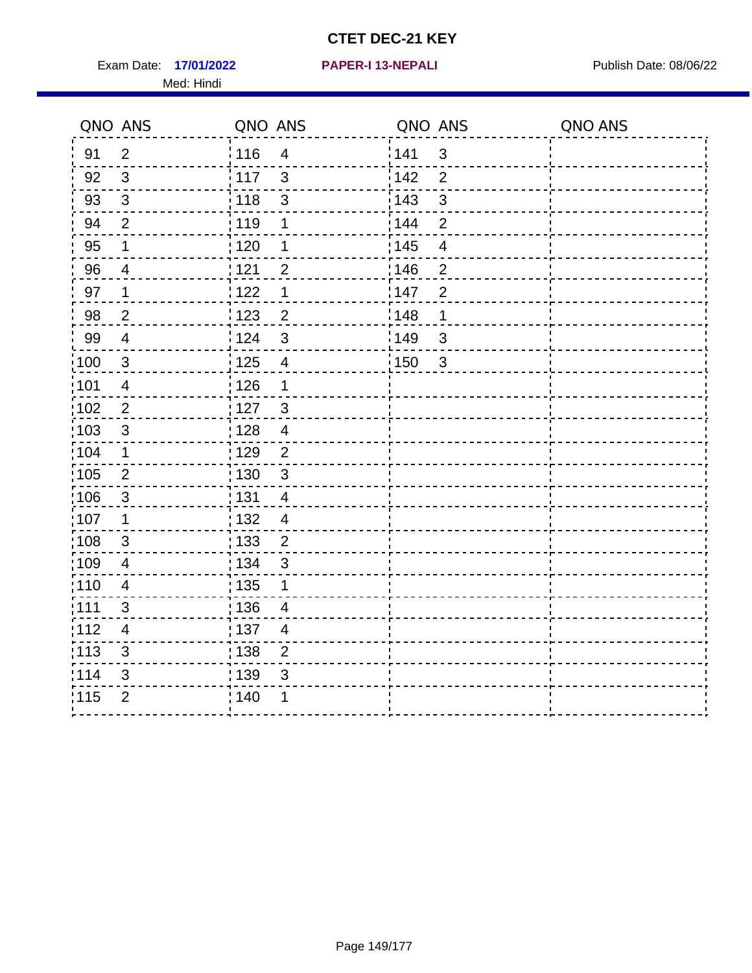Exam Date: 17/01/2022 **PAPER-I 13-NEPALI** Publish Date: 08/06/22 Med: Hindi

**17/01/2022 PAPER-I 13-NEPALI**

|                   | QNO ANS                  | QNO ANS |                         | QNO ANS |                | QNO ANS |
|-------------------|--------------------------|---------|-------------------------|---------|----------------|---------|
| 91                | $\overline{2}$           | 116     | $\overline{\mathbf{4}}$ | 141     | $\mathfrak{B}$ |         |
| 92                | 3                        | 117     | 3                       | 142     | $\overline{2}$ |         |
| 93                | $\mathbf{3}$             | 118     | $\mathfrak{3}$          | 143     | 3              |         |
| 94                | $\overline{2}$           | : 119   | 1                       | 144     | $\overline{2}$ |         |
| 95                | 1                        | :120    | 1                       | : 145   | $\overline{4}$ |         |
| 96                | 4                        | 121     | $\overline{2}$          | :146    | $\overline{2}$ |         |
| 97                | $\mathbf 1$              | 122     | $\mathbf 1$             | 147     | $\overline{2}$ |         |
| 98                | $\overline{c}$           | 123     | $\overline{c}$          | : 148   | 1              |         |
| 99                | $\overline{4}$           | : 124   | $\mathfrak{3}$          | 149¦    | $\mathfrak{S}$ |         |
| $\frac{1}{1}$ 100 | $\sqrt{3}$               | 125     | $\overline{\mathbf{4}}$ | 150     | $\sqrt{3}$     |         |
| 101               | $\overline{\mathcal{A}}$ | : 126   | 1                       |         |                |         |
| 102               | $\overline{2}$           | :127    | $\mathbf{3}$            |         |                |         |
| 103               | $\mathfrak{S}$           | 128     | $\overline{4}$          |         |                |         |
| 104               | $\mathbf 1$              | : 129   | $\overline{2}$          |         |                |         |
| 105               | $\overline{2}$           | : 130   | $\mathbf{3}$            |         |                |         |
| ;106              | $\mathfrak{S}$           | : 131   | $\overline{4}$          |         |                |         |
| :107              | 1                        | : 132   | $\overline{4}$          |         |                |         |
| 108               | $\sqrt{3}$               | : 133   | $\overline{2}$          |         |                |         |
| :109              | $\overline{4}$           | : 134   | 3                       |         |                |         |
| :110              | $\overline{4}$           | : 135   | 1                       |         |                |         |
| 111               | 3                        | : 136   | $\overline{4}$          |         |                |         |
| 112               | $\overline{\mathcal{A}}$ | 137     | $\overline{4}$          |         |                |         |
| 113               | $\mathfrak{S}$           | : 138   | $\overline{2}$          |         |                |         |
| 114               | 3                        | 139     | 3                       |         |                |         |
| 115               | $\overline{2}$           | 140     | 1                       |         |                |         |
|                   |                          |         |                         |         |                |         |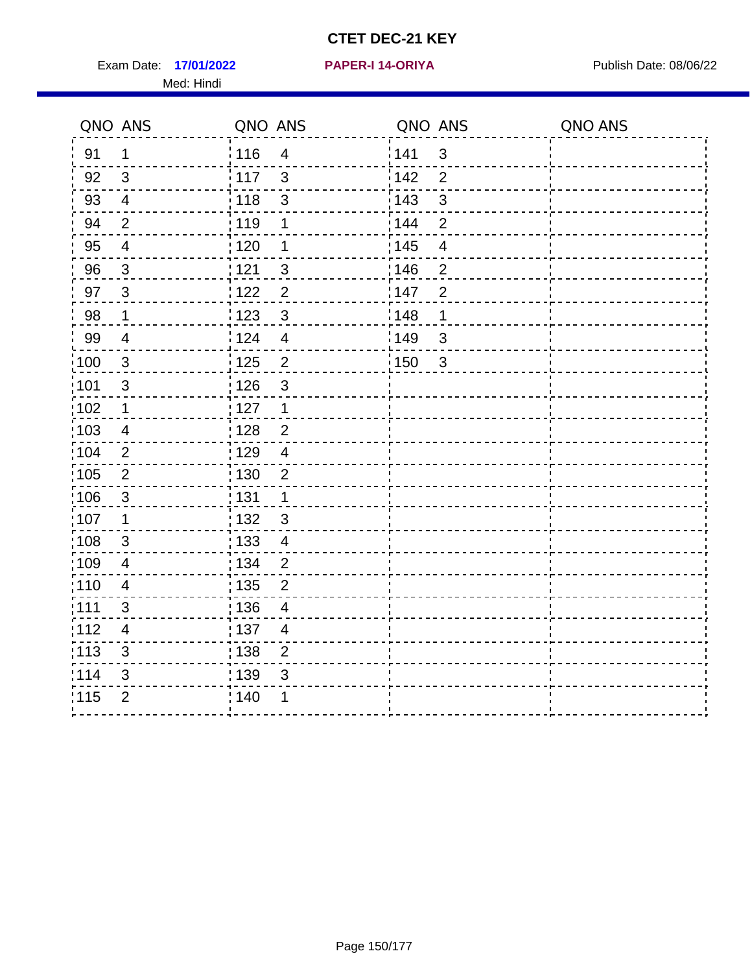Exam Date: 17/01/2022 **PAPER-I 14-ORIYA** Publish Date: 08/06/22 Med: Hindi

**17/01/2022 PAPER-I 14-ORIYA**

|                   | QNO ANS        | QNO ANS |                         | QNO ANS |                | QNO ANS |
|-------------------|----------------|---------|-------------------------|---------|----------------|---------|
| 91                | 1              | 116     | $\overline{4}$          | 141     | 3              |         |
| 92                | 3              | : 117   | $\mathbf{3}$            | 142     | $\overline{2}$ |         |
| 93                | $\overline{4}$ | 118     | $\mathfrak{S}$          | 143     | $\mathfrak{S}$ |         |
| 94                | $\overline{2}$ | 119     | 1                       | 144     | $\overline{2}$ |         |
| 95                | $\overline{4}$ | : 120   | 1                       | : 145   | 4              |         |
| 96                | $\mathbf{3}$   | : 121   | $\mathfrak{S}$          | 146     | $\overline{2}$ |         |
| 97                | $\mathbf{3}$   | : 122   | $\overline{2}$          | 147     | $\overline{2}$ |         |
| 98                | $\mathbf 1$    | 123     | $\mathbf{3}$            | 148     | $\mathbf 1$    |         |
| 99                | $\overline{4}$ | : 124   | $\overline{\mathbf{4}}$ | 149     | 3              |         |
| 100               | $\mathbf{3}$   | 125     | $\overline{2}$          | 150     | $\mathbf{3}$   |         |
| :101              | 3              | : 126   | 3                       |         |                |         |
| :102              | 1              | : 127   | $\mathbf 1$             |         |                |         |
| 103               | $\overline{4}$ | : 128   | $\overline{2}$          |         |                |         |
| :104              | $\overline{2}$ | : 129   | $\overline{4}$          |         |                |         |
| 105               | $\overline{2}$ | : 130   | $\overline{2}$          |         |                |         |
| ;106              | $\mathfrak{S}$ | : 131   | $\mathbf 1$             |         |                |         |
| :107              | 1              | : 132   | $\mathbf{3}$            |         |                |         |
| 108               | $\sqrt{3}$     | 133     | $\overline{\mathbf{4}}$ |         |                |         |
| :109              | $\overline{4}$ | : 134   | $\overline{2}$          |         |                |         |
| :110              | $\overline{4}$ | : 135   | 2                       |         |                |         |
| : 111             | $\mathfrak{S}$ | : 136   | $\overline{4}$          |         |                |         |
| :112              | $\overline{4}$ | 137     | $\overline{4}$          |         |                |         |
| $\frac{1}{1}$ 113 | 3              | : 138   | $\overline{2}$          |         |                |         |
| 114               | 3              | 139     | 3                       |         |                |         |
| 115               | $\overline{2}$ | 140     | 1                       |         |                |         |
|                   |                |         |                         |         |                |         |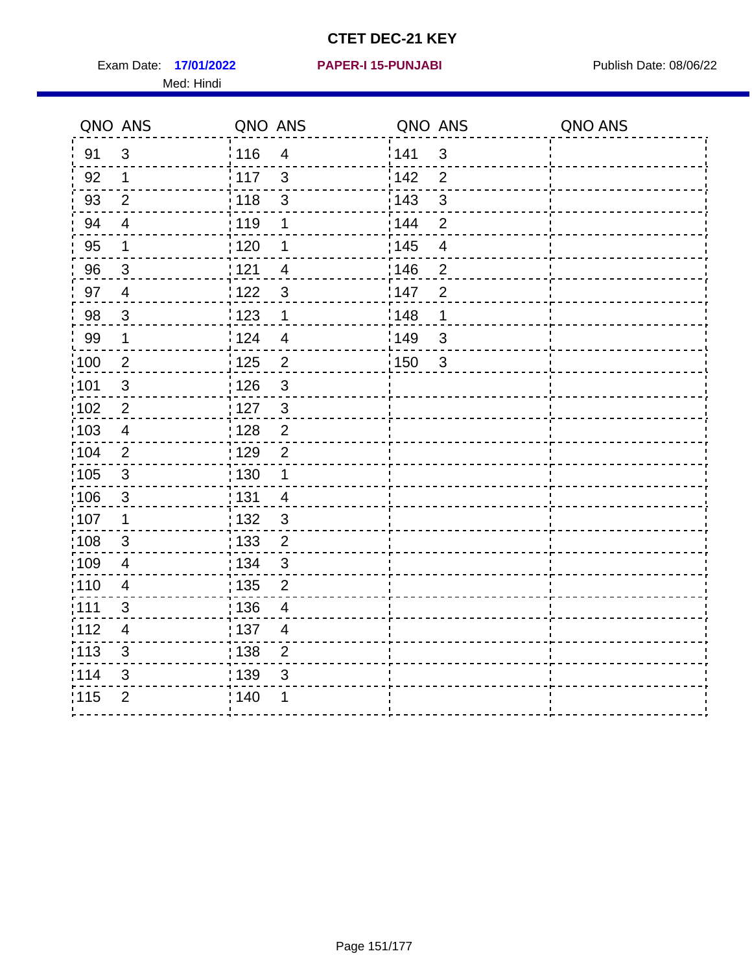Exam Date: 17/01/2022 **PAPER-I 15-PUNJABI** Publish Date: 08/06/22 Med: Hindi

|                   | QNO ANS                   | QNO ANS           |                | QNO ANS           |                          | QNO ANS |
|-------------------|---------------------------|-------------------|----------------|-------------------|--------------------------|---------|
| 91                | $\mathfrak{S}$            | 116               | $\overline{4}$ | 141               | $\mathfrak{S}$           |         |
| 92                | $\mathbf 1$               | i 117             | 3              | 142               | $\overline{2}$           |         |
| 93                | $\overline{2}$            | 118               | $\mathfrak{S}$ | 143               | $\mathfrak{S}$           |         |
| 94                | $\overline{\mathcal{A}}$  | : 119             | 1              | : 144             | $\overline{2}$           |         |
| 95                | 1                         | : 120             | 1              | : 145             | $\overline{\mathcal{A}}$ |         |
| 96                | $\mathfrak{S}$            | 121               | $\overline{4}$ | 146               | $\overline{2}$           |         |
| 97                | $\overline{\mathcal{A}}$  | : 122             | $\mathbf{3}$   | 147               | $\overline{2}$           |         |
| 98                | $\mathbf{3}$              | 123               | $\mathbf{1}$   | 148               | 1                        |         |
| 99                | $\mathbf 1$               | 124               | $\overline{4}$ | $\frac{1}{2}$ 149 | $\mathfrak{S}$           |         |
| $\frac{1}{1}$ 100 | $\mathbf{2}$              | 125               | $\overline{2}$ | 150               | $\mathfrak{3}$           |         |
| :101              | $\sqrt{3}$                | : 126             | $\mathfrak{S}$ |                   |                          |         |
| 102               | $\overline{2}$            | :127              | $\mathbf{3}$   |                   |                          |         |
| 103               | $\overline{4}$            | : 128             | $\overline{2}$ |                   |                          |         |
| 104               | $\overline{2}$            | : 129             | $\overline{2}$ |                   |                          |         |
| 105               | $\mathfrak{S}$            | $\frac{1}{1}$ 130 | $\mathbf{1}$   |                   |                          |         |
| :106              | $\mathfrak{S}$            | : 131             | $\overline{4}$ |                   |                          |         |
| 107               | 1                         | :132              | $\mathbf{3}$   |                   |                          |         |
| 108               | $\ensuremath{\mathsf{3}}$ | 133               | $\mathbf{2}$   |                   |                          |         |
| :109              | $\overline{\mathbf{4}}$   | : 134             | $\mathbf{3}$   |                   |                          |         |
| :110              | 4                         | : 135             | $\overline{2}$ |                   |                          |         |
| 111               | 3                         | : 136             | $\overline{4}$ |                   |                          |         |
| 112               | $\overline{4}$            | 137               | $\overline{4}$ |                   |                          |         |
| 113               | $\mathbf{3}$              | 138               | $\overline{2}$ |                   |                          |         |
| 114               | 3                         | 139               | 3              |                   |                          |         |
| 115               | $\overline{2}$            | 140               | 1              |                   |                          |         |
|                   |                           |                   |                |                   |                          |         |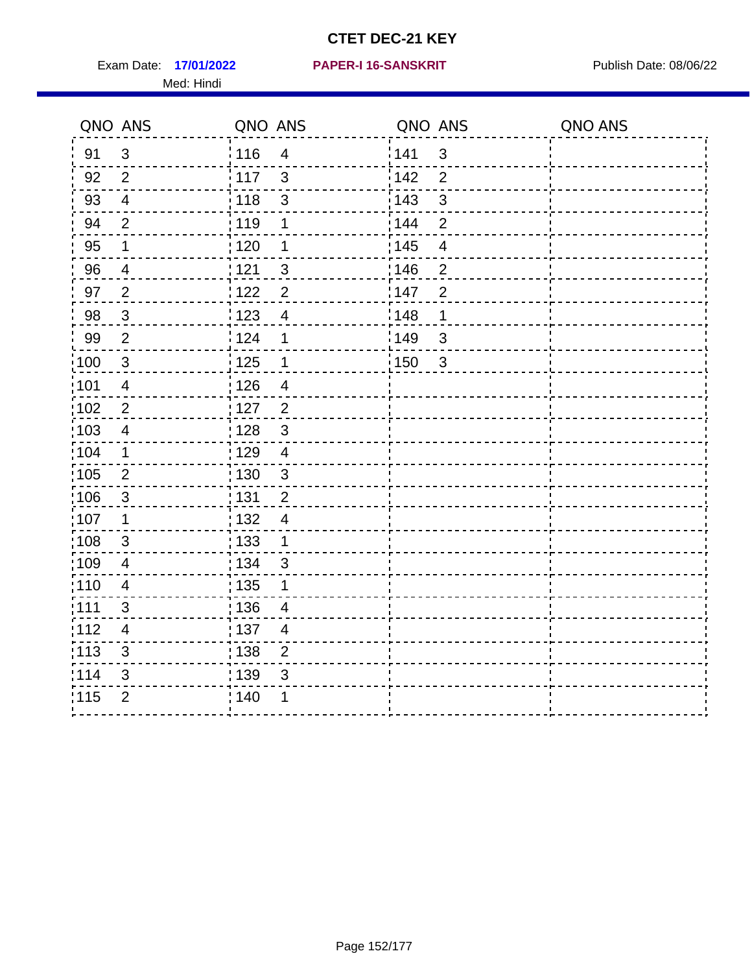Exam Date: 17/01/2022 PAPER-I 16-SANSKRIT Publish Date: 08/06/22 Med: Hindi

|                   | QNO ANS                   | QNO ANS           |                          | QNO ANS           |                          | QNO ANS |
|-------------------|---------------------------|-------------------|--------------------------|-------------------|--------------------------|---------|
| 91                | $\mathfrak{S}$            | 116               | $\overline{4}$           | 141               | $\mathfrak{S}$           |         |
| 92                | $\overline{2}$            | $\frac{1}{2}$ 117 | $\mathfrak{S}$           | 142               | $\overline{2}$           |         |
| 93                | $\overline{4}$            | 118               | $\mathfrak{S}$           | 143               | $\mathfrak{S}$           |         |
| 94                | $\overline{2}$            | : 119             | 1                        | : 144             | $\overline{2}$           |         |
| 95                | 1                         | : 120             | 1                        | : 145             | $\overline{\mathcal{A}}$ |         |
| 96                | 4                         | 121               | 3                        | 146               | $\overline{2}$           |         |
| 97                | $\overline{2}$            | : 122             | $\overline{c}$           | 147               | $\overline{2}$           |         |
| 98                | $\mathbf{3}$              | 123               | $\overline{4}$           | 148               | 1                        |         |
| 99                | $\overline{2}$            | 124               | 1                        | $\frac{1}{2}$ 149 | $\mathfrak{S}$           |         |
| $\frac{1}{1}$ 100 | $\mathbf{3}$              | $\frac{1}{2}$ 125 | $\mathbf 1$              | 150               | $\mathfrak{3}$           |         |
| :101              | $\overline{\mathbf{4}}$   | : 126             | $\overline{\mathbf{4}}$  |                   |                          |         |
| 102               | $\overline{2}$            | : 127             | $\overline{2}$           |                   |                          |         |
| ;103              | $\overline{4}$            | :128              | $\mathbf{3}$             |                   |                          |         |
| 104               | $\mathbf 1$               | : 129             | $\overline{4}$           |                   |                          |         |
| 105               | $\overline{2}$            | $\frac{1}{1}$ 130 | $\mathbf{3}$             |                   |                          |         |
| :106              | $\mathfrak{S}$            | : 131             | $\overline{2}$           |                   |                          |         |
| 107               | 1                         | :132              | $\overline{\mathcal{A}}$ |                   |                          |         |
| 108               | $\ensuremath{\mathsf{3}}$ | 133               | $\mathbf{1}$             |                   |                          |         |
| :109              | $\overline{\mathbf{4}}$   | : 134             | 3                        |                   |                          |         |
| :110              | 4                         | : 135             | 1                        |                   |                          |         |
| : 111             | 3                         | : 136             | $\overline{4}$           |                   |                          |         |
| 112               | $\overline{4}$            | 137               | $\overline{4}$           |                   |                          |         |
| 113               | $\mathbf{3}$              | 138               | $\overline{2}$           |                   |                          |         |
| 114               | 3                         | 139               | 3                        |                   |                          |         |
| 115               | $\overline{2}$            | 140               | 1                        |                   |                          |         |
|                   |                           |                   |                          |                   |                          |         |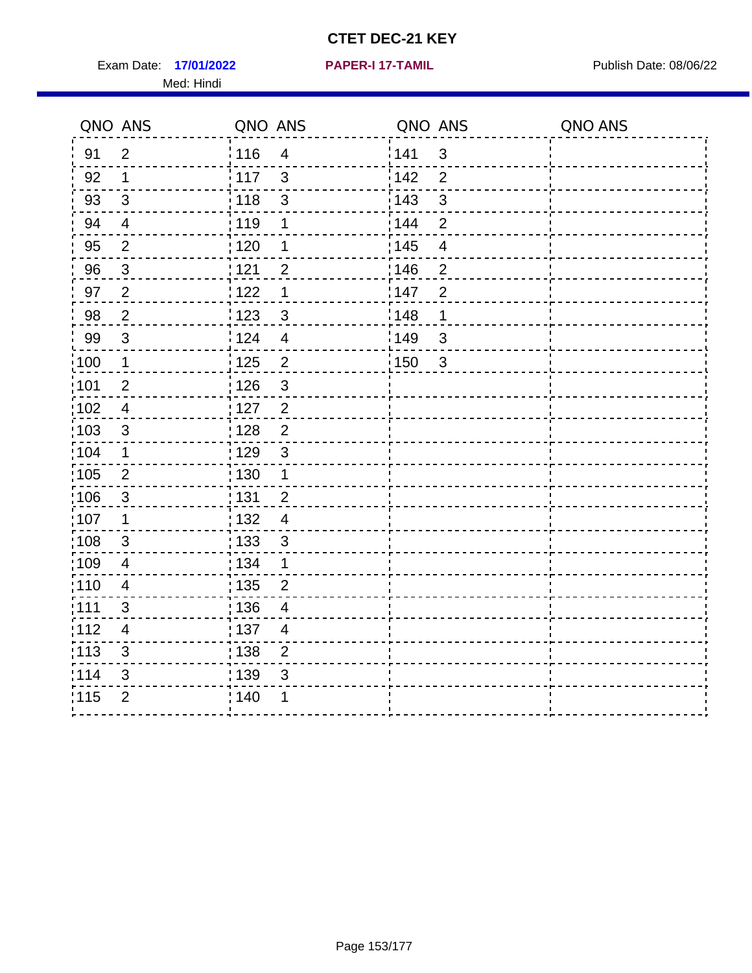Exam Date: 17/01/2022 **PAPER-I 17-TAMIL Exam Date: 08/06/22** Med: Hindi

**17/01/2022 PAPER-I 17-TAMIL**

|                   | QNO ANS                  | QNO ANS                          | QNO ANS                           | QNO ANS |
|-------------------|--------------------------|----------------------------------|-----------------------------------|---------|
| 91                | $\overline{2}$           | 116<br>$\overline{\mathcal{A}}$  | 141<br>$\sqrt{3}$                 |         |
| 92                | $\mathbf 1$              | $\frac{1}{117}$<br>3             | 142<br>$\overline{2}$             |         |
| 93                | $\mathfrak{S}$           | $\frac{1}{2}$ 118<br>3           | 143<br>$\mathfrak{S}$             |         |
| 94                | 4                        | : 119<br>1                       | : 144<br>$\overline{2}$           |         |
| 95                | $\overline{2}$           | :120<br>1                        | : 145<br>4                        |         |
| 96                | $\sqrt{3}$               | 121<br>$\overline{2}$            | 146<br>$\overline{2}$             |         |
| 97                | $\overline{2}$           | 1<br>122                         | :147<br>$\overline{2}$            |         |
| 98                | $\sqrt{2}$               | 123<br>$\mathfrak{S}$            | 148<br>1                          |         |
| 99                | $\sqrt{3}$               | 124<br>$\overline{4}$            | :149<br>$\sqrt{3}$                |         |
| :100              | $\mathbf 1$              | 125<br>$\overline{2}$            | $\frac{1}{2}$ 150<br>$\mathbf{3}$ |         |
| :101              | $\overline{2}$           | : 126<br>3                       |                                   |         |
| 102               | $\overline{4}$           | : 127<br>$\overline{2}$          |                                   |         |
| 103               | $\mathbf{3}$             | $\overline{2}$<br>:128           |                                   |         |
| 104               | 1                        | $\mathfrak{3}$<br>: 129          |                                   |         |
| 105               | $\mathbf 2$              | $\frac{1}{1}$ 130<br>$\mathbf 1$ |                                   |         |
| 106               | 3                        | : 131<br>$\overline{2}$          |                                   |         |
| 107               | 1                        | :132<br>$\overline{4}$           |                                   |         |
| :108              | $\sqrt{3}$               | $\frac{1}{1}$ 133<br>$\sqrt{3}$  |                                   |         |
| :109              | $\overline{\mathcal{A}}$ | : 134<br>$\mathbf 1$             |                                   |         |
| 110               | $\overline{4}$           | 135<br>$\overline{2}$            |                                   |         |
| : 111             | 3                        | : 136<br>$\overline{4}$          |                                   |         |
| 112               | 4                        | : 137<br>$\overline{4}$          |                                   |         |
| $\frac{1}{1}$ 113 | $\sqrt{3}$               | : 138<br>$\overline{c}$          |                                   |         |
| 114               | 3                        | 139<br>3                         |                                   |         |
| 115               | $\overline{2}$           | 140<br>1                         |                                   |         |
|                   |                          |                                  |                                   |         |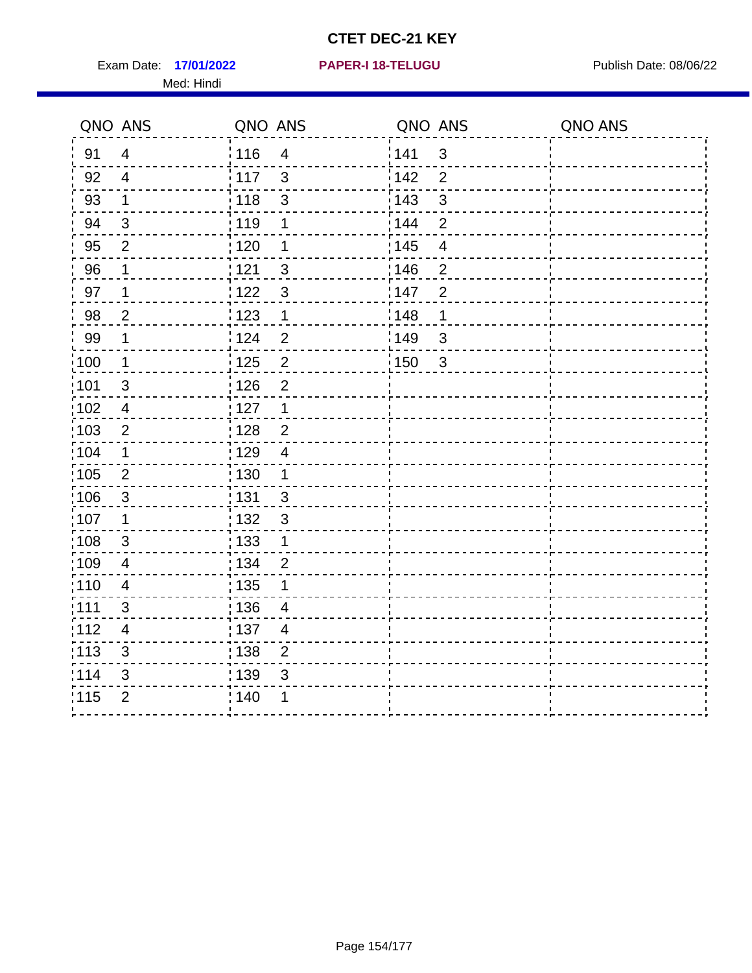Exam Date: 17/01/2022 **PAPER-I 18-TELUGU** PUBLISH Date: 08/06/22 Med: Hindi

**17/01/2022 PAPER-I 18-TELUGU**

|                   | QNO ANS                 | QNO ANS           |                         | QNO ANS           |                | QNO ANS |
|-------------------|-------------------------|-------------------|-------------------------|-------------------|----------------|---------|
| 91                | $\overline{4}$          | 116               | $\overline{\mathbf{4}}$ | 141               | $\sqrt{3}$     |         |
| 92                | $\overline{4}$          | $\frac{1}{2}$ 117 | 3                       | 142               | $\overline{2}$ |         |
| 93                | $\mathbf 1$             | : 118             | $\mathfrak{S}$          | 143               | $\mathfrak{S}$ |         |
| 94                | $\mathfrak{S}$          | : 119             | 1                       | 144               | $\overline{2}$ |         |
| 95                | 2                       | :120              | 1                       | : 145             | 4              |         |
| 96                | 1                       | 121               | 3                       | 146               | $\overline{2}$ |         |
| 97                | 1                       | 122               | $\mathbf{3}$            | 147               | $\overline{2}$ |         |
| 98                | $\overline{c}$          | $\frac{1}{2}$ 123 | $\mathbf{1}$            | 148               | 1              |         |
| 99                | $\mathbf 1$             | 124               | $\overline{2}$          | $\frac{1}{2}$ 149 | $\mathfrak{S}$ |         |
| $\frac{1}{1}$ 100 | $\mathbf 1$             | 125               | $\overline{c}$          | 150               | $\mathbf{3}$   |         |
| 101               | $\sqrt{3}$              | 126               | $\overline{2}$          |                   |                |         |
| 102               | $\overline{4}$          | : 127             | $\mathbf 1$             |                   |                |         |
| :103              | $\overline{2}$          | 128               | $\overline{2}$          |                   |                |         |
| 104               | $\mathbf 1$             | : 129             | $\overline{4}$          |                   |                |         |
| 105               | $\sqrt{2}$              | $\frac{1}{1}$ 130 | $\mathbf{1}$            |                   |                |         |
| 106               | $\mathbf{3}$            | : 131             | 3                       |                   |                |         |
| 107               | 1                       | : 132             | $\mathbf{3}$            |                   |                |         |
| 108               | $\mathbf{3}$            | $\frac{1}{1}$ 133 | $\mathbf{1}$            |                   |                |         |
| :109              | $\overline{4}$          | : 134             | $\overline{c}$          |                   |                |         |
| :110              | $\overline{\mathbf{4}}$ | $\frac{1}{1}$ 135 | 1                       |                   |                |         |
| :111              | 3                       | : 136             | 4                       |                   |                |         |
| 112               | $\overline{4}$          | $\frac{1}{1}$ 137 | $\overline{4}$          |                   |                |         |
| : 113             | $\sqrt{3}$              | : 138             | $\overline{2}$          |                   |                |         |
| 114               | 3                       | : 139             | 3                       |                   |                |         |
| 115               | $\overline{2}$          | 140               |                         |                   |                |         |
|                   |                         |                   |                         |                   |                |         |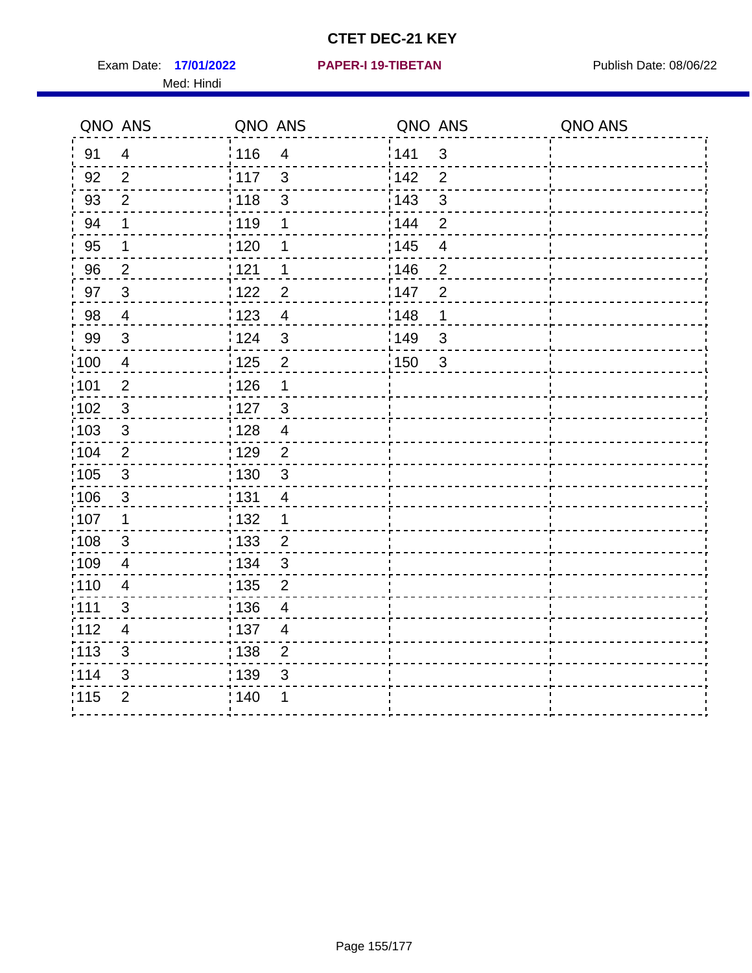Exam Date: 17/01/2022 **PAPER-I 19-TIBETAN** Publish Date: 08/06/22 Med: Hindi

**17/01/2022 PAPER-I 19-TIBETAN**

|        | QNO ANS                   | QNO ANS           |                | QNO ANS |                | QNO ANS |
|--------|---------------------------|-------------------|----------------|---------|----------------|---------|
| 91     | $\overline{4}$            | 116               | $\overline{4}$ | 1141    | $\mathbf{3}$   |         |
| 92     | $\overline{2}$            | 117               | $\mathbf{3}$   | 142     | $\overline{2}$ |         |
| 93     | $\overline{2}$            | 118               | $\sqrt{3}$     | 143     | $\mathfrak{S}$ |         |
| 94     | 1                         | : 119             | 1              | 144     | $\overline{2}$ |         |
| 95     | 1                         | : 120             | 1              | : 145   | $\overline{4}$ |         |
| 96     | $\overline{2}$            | 121               | 1              | :146    | $\overline{2}$ |         |
| 97     | $\mathbf{3}$              | 122               | $\overline{2}$ | 147     | $\overline{2}$ |         |
| $98\,$ | $\overline{4}$            | 123               | $\overline{4}$ | 148     | 1              |         |
| 99     | $\ensuremath{\mathsf{3}}$ | 124               | $\sqrt{3}$     | 149     | $\mathfrak{S}$ |         |
| :100   | $\overline{4}$            | 125               | $\overline{2}$ | 150     | $\mathbf{3}$   |         |
| :101   | $\mathbf 2$               | $\frac{1}{1}$ 126 | 1              |         |                |         |
| 102    | $\mathfrak{3}$            | : 127             | $\mathbf{3}$   |         |                |         |
| 103    | 3                         | : 128             | $\overline{4}$ |         |                |         |
| 104    | $\overline{2}$            | : 129             | $\overline{2}$ |         |                |         |
| 105    | $\sqrt{3}$                | $\frac{1}{1}$ 130 | $\mathbf{3}$   |         |                |         |
| :106   | $\mathfrak{S}$            | : 131             | 4              |         |                |         |
| 107    | 1                         | :132              | $\mathbf 1$    |         |                |         |
| 108    | $\sqrt{3}$                | : 133             | $\overline{2}$ |         |                |         |
| :109   | $\overline{4}$            | : 134             | $\mathfrak{3}$ |         |                |         |
| :110   | 4                         | : 135             | $\overline{2}$ |         |                |         |
| 111    | 3                         | : 136             | $\overline{4}$ |         |                |         |
| 112    | $\overline{4}$            | 137               | $\overline{4}$ |         |                |         |
| 113    | $\mathbf{3}$              | : 138             | $\overline{c}$ |         |                |         |
| 114    | 3                         | 139               | 3              |         |                |         |
| 115    | $\overline{2}$            | 140               | 1              |         |                |         |
|        |                           |                   |                |         |                |         |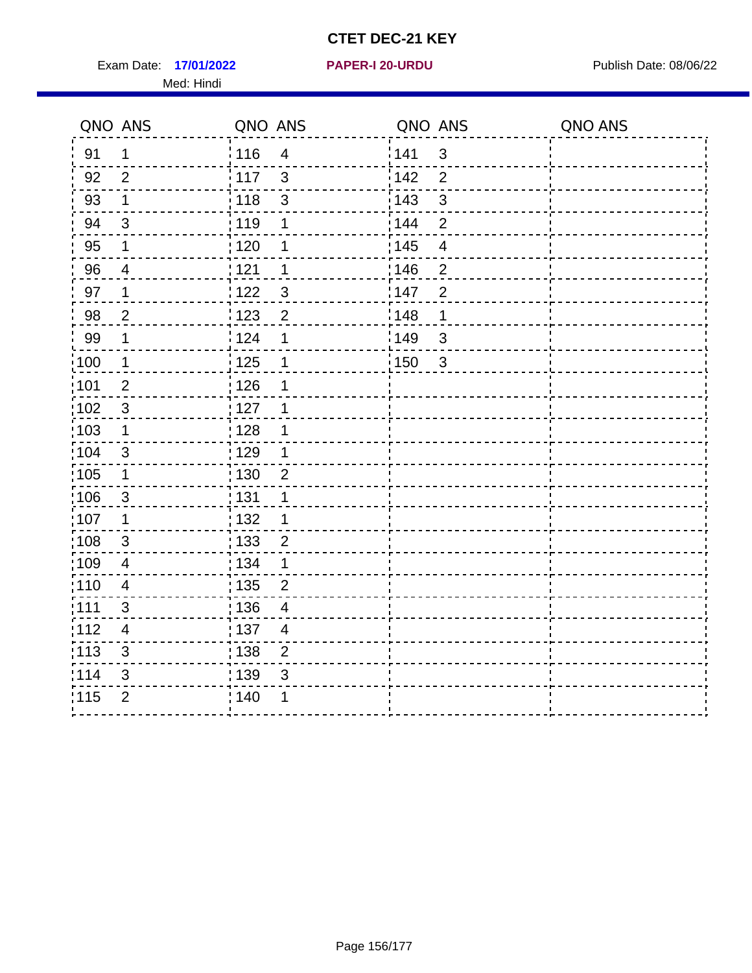Exam Date: 17/01/2022 **PAPER-I 20-URDU** PAPER 120-VERSITY Publish Date: 08/06/22 Med: Hindi

**17/01/2022 PAPER-I 20-URDU**

|                   | QNO ANS                  | QNO ANS                             | QNO ANS                 | QNO ANS |
|-------------------|--------------------------|-------------------------------------|-------------------------|---------|
| 91                | $\mathbf{1}$             | 116<br>$\overline{\mathbf{4}}$      | 141<br>$\sqrt{3}$       |         |
| 92                | $\overline{2}$           | 117<br>3                            | 142<br>$\overline{2}$   |         |
| 93                | $\mathbf 1$              | $\mathbf{3}$<br>118                 | 143<br>3                |         |
| 94                | 3                        | : 119<br>1                          | 144<br>$\overline{2}$   |         |
| 95                | 1                        | :120<br>1                           | : 145<br>$\overline{4}$ |         |
| 96                | 4                        | 121<br>1                            | :146<br>$\overline{2}$  |         |
| 97                | $\mathbf 1$              | 3<br>122                            | 147<br>$\overline{2}$   |         |
| 98                | $\overline{c}$           | $\frac{1}{2}$ 123<br>$\overline{c}$ | 148<br>1                |         |
| 99                | $\mathbf 1$              | 124<br>$\mathbf 1$                  | ¦149<br>$\sqrt{3}$      |         |
| $\frac{1}{1}$ 100 | $\overline{1}$           | 125<br>$\mathbf 1$                  | 150<br>$\sqrt{3}$       |         |
| 101               | $\overline{2}$           | 126<br>1                            |                         |         |
| 102               | 3                        | : 127<br>1                          |                         |         |
| ;103              | $\mathbf 1$              | 128<br>1                            |                         |         |
| 104               | $\sqrt{3}$               | $\frac{1}{1}$ 129<br>1              |                         |         |
| 105               | $\mathbf 1$              | : 130<br>$\overline{2}$             |                         |         |
| :106              | $\mathfrak{S}$           | : 131<br>1                          |                         |         |
| :107              | $\mathbf 1$              | : 132<br>1                          |                         |         |
| 108               | $\sqrt{3}$               | : 133<br>$\overline{2}$             |                         |         |
| :109              | $\overline{\mathbf{4}}$  | : 134<br>$\mathbf 1$                |                         |         |
| :110              | $\overline{4}$           | : 135<br>$\overline{2}$             |                         |         |
| :111              | 3                        | 136<br>$\overline{4}$               |                         |         |
| 112               | $\overline{\mathcal{A}}$ | 137<br>$\overline{4}$               |                         |         |
| 113               | $\mathbf{3}$             | : 138<br>$\overline{2}$             |                         |         |
| 114               | 3                        | 139<br>3                            |                         |         |
| 115               | $\overline{2}$           | 140<br>1                            |                         |         |
|                   |                          |                                     |                         |         |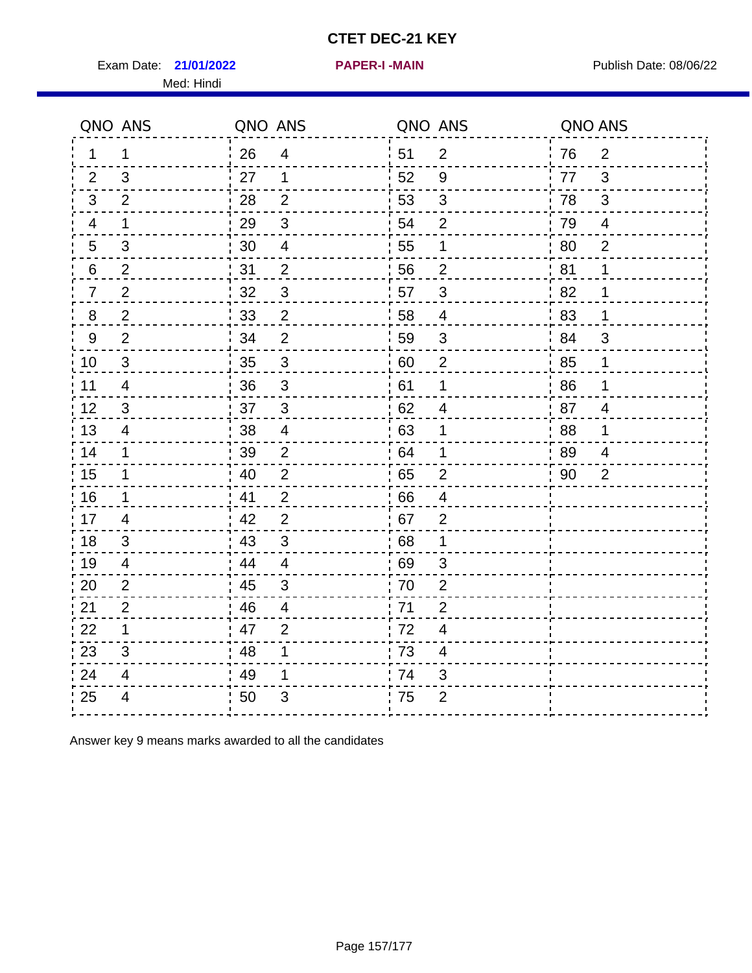Exam Date: 21/01/2022 **PAPER-I-MAIN Proposed Bublish Date: 08/06/22** Med: Hindi

**21/01/2022 PAPER-I -MAIN**

|                  | QNO ANS                  | QNO ANS |                          | QNO ANS |                         | QNO ANS |                |
|------------------|--------------------------|---------|--------------------------|---------|-------------------------|---------|----------------|
| 1.               | $\mathbf 1$              | 26      | $\overline{4}$           | ¦ 51    | $\overline{2}$          | 76      | $\overline{2}$ |
| 2                | 3                        | 27      | $\mathbf{1}$             | 52      | 9                       | 77      | 3              |
| 3                | 2                        | 28      | $\overline{2}$           | 53      | $\sqrt{3}$              | 78      | $\mathfrak{B}$ |
| 4                | $\mathbf 1$              | 29      | $\mathfrak{S}$           | 54      | $\overline{2}$          | 79      | $\overline{4}$ |
| 5                | 3                        | 30      | $\overline{\mathcal{A}}$ | 55      | 1                       | 80      | $\overline{2}$ |
| 6                | 2                        | 31      | $\overline{2}$           | 56      | $\overline{2}$          | 81      | 1              |
| 7                | $\overline{2}$           | 32      | $\sqrt{3}$               | 57      | $\mathfrak{B}$          | 82      | 1              |
| 8                | $\overline{c}$           | 33      | $\mathbf{2}$             | 58      | $\overline{4}$          | 83      | 1              |
| $\boldsymbol{9}$ | $\overline{2}$           | 34      | $\overline{2}$           | 59      | $\sqrt{3}$              | 84      | 3              |
| 10               | $\mathfrak{S}$           | 35      | $\mathsf 3$              | 60      | $\overline{2}$          | 85      | 1              |
| 11               | $\overline{\mathcal{A}}$ | 36      | $\mathsf 3$              | 61      | 1                       | 86      | 1              |
| 12               | $\sqrt{3}$               | 37      | $\mathbf{3}$             | 62      | $\overline{\mathbf{4}}$ | 87      | $\overline{4}$ |
| 13               | 4                        | 38      | $\overline{4}$           | 63      | 1                       | 88      | 1              |
| 14               | $\mathbf 1$              | 39      | $\overline{2}$           | 64      | 1                       | 89      | 4              |
| 15               | $\mathbf 1$              | 40      | $\overline{2}$           | 65      | $\overline{2}$          | 90      | 2              |
| 16               | 1                        | 41      | $\overline{2}$           | 66      | $\overline{4}$          |         |                |
| 17               | 4                        | 42      | 2                        | .67     | $\overline{2}$          |         |                |
| 18               | 3                        | 43      | 3                        | 68      | 1                       |         |                |
| 19               | 4                        | 44      | $\overline{4}$           | 69      | 3                       |         |                |
| 20               | $\mathbf{2}$             | 45      | $\sqrt{3}$               | 70      | $\mathbf{2}$            |         |                |
| 21               | $\overline{2}$           | 46      | $\overline{4}$           | : 71    | 2                       |         |                |
| 22               | $\mathbf 1$              | 47      | 2                        | 72      | 4                       |         |                |
| 23               | 3                        | 48      | 1                        | 73      | 4                       |         |                |
| 24               | 4                        | 49      | 1                        | 74      | 3                       |         |                |
| 25               | $\overline{\mathbf{4}}$  | 50      | 3                        | .75     | $\overline{2}$          |         |                |

Answer key 9 means marks awarded to all the candidates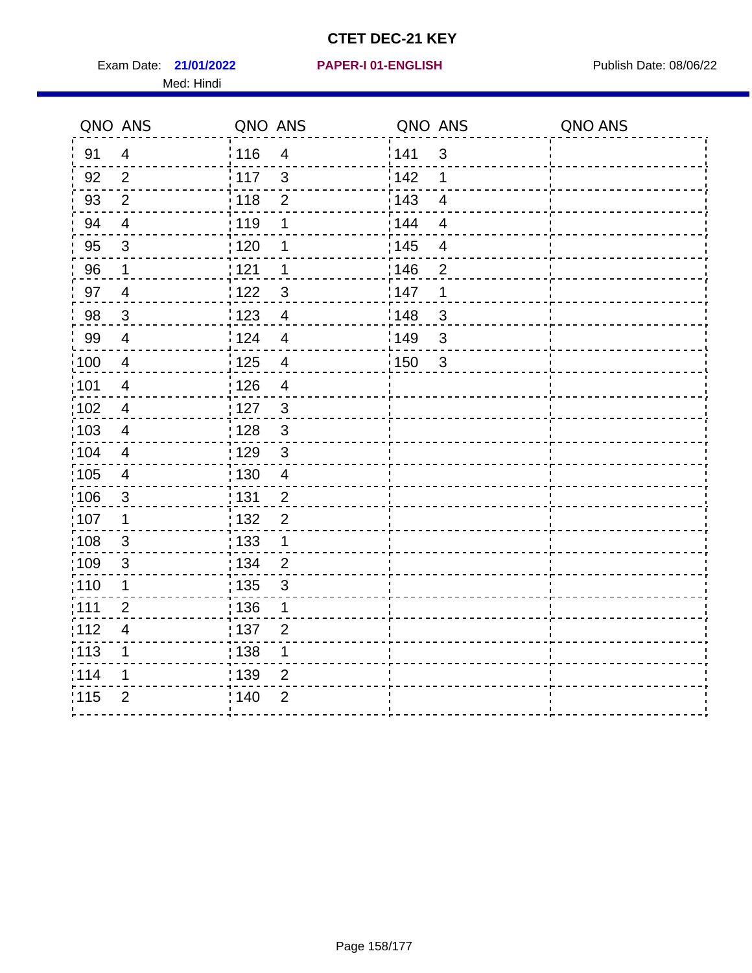Exam Date: 21/01/2022 **PAPER-I 01-ENGLISH Exam Date: 08/06/22** Med: Hindi

#### **21/01/2022 PAPER-I 01-ENGLISH**

|                 | QNO ANS                  | QNO ANS           |                         | QNO ANS           |                         | QNO ANS |
|-----------------|--------------------------|-------------------|-------------------------|-------------------|-------------------------|---------|
| 91              | $\overline{4}$           | : 116             | $\overline{4}$          | 141               | $\mathfrak{3}$          |         |
| 92              | $\overline{2}$           | $\frac{1}{117}$   | $\mathbf{3}$            | 142               | 1                       |         |
| 93              | $\overline{2}$           | 118               | $\mathbf 2$             | 143               | $\overline{4}$          |         |
| 94              | $\overline{4}$           | : 119             | 1                       | : 144             | $\overline{4}$          |         |
| 95              | $\mathfrak{S}$           | : 120             | 1                       | : 145             | $\overline{\mathbf{4}}$ |         |
| 96              | 1                        | 121               | 1                       | 146               | $\overline{2}$          |         |
| 97              | $\overline{4}$           | 122               | $\mathbf{3}$            | 147               | 1                       |         |
| 98              | $\mathbf{3}$             | $\frac{1}{2}$ 123 | $\overline{4}$          | 148               | 3                       |         |
| 99              | $\overline{4}$           | 124               | $\overline{\mathbf{4}}$ | 149               | $\mathfrak{S}$          |         |
| 100             | $\overline{4}$           | $\frac{1}{1}$ 125 | $\overline{4}$          | $\frac{1}{1}$ 150 | $\mathbf{3}$            |         |
| :101            | $\overline{\mathcal{A}}$ | : 126             | $\overline{4}$          |                   |                         |         |
| 102             | $\overline{4}$           | : 127             | $\mathbf{3}$            |                   |                         |         |
| 103             | $\overline{4}$           | : 128             | $\mathbf{3}$            |                   |                         |         |
| $\frac{1}{104}$ | $\overline{4}$           | : 129             | $\mathfrak{3}$          |                   |                         |         |
| 105             | $\overline{\mathbf{4}}$  | 130               | $\overline{4}$          |                   |                         |         |
| :106            | $\mathfrak{S}$           | 131               | $\overline{2}$          |                   |                         |         |
| ;107            | $\mathbf{1}$             | 132               | $\overline{2}$          |                   |                         |         |
| 108             | $\mathbf{3}$             | : 133             | $\mathbf{1}$            |                   |                         |         |
| :109            | $\mathfrak{3}$           | : 134             | $\overline{2}$          |                   |                         |         |
| :110            | 1                        | 135               | 3                       |                   |                         |         |
| :111            | $\overline{2}$           | 136               | 1                       |                   |                         |         |
| 112             | $\overline{\mathbf{4}}$  | 137               | $\overline{2}$          |                   |                         |         |
| 113             | 1                        | : 138             | 1                       |                   |                         |         |
| 114             | 1                        | 139               | 2                       |                   |                         |         |
| 115             | $\overline{2}$           | 140               | $\overline{2}$          |                   |                         |         |
|                 |                          |                   |                         |                   |                         |         |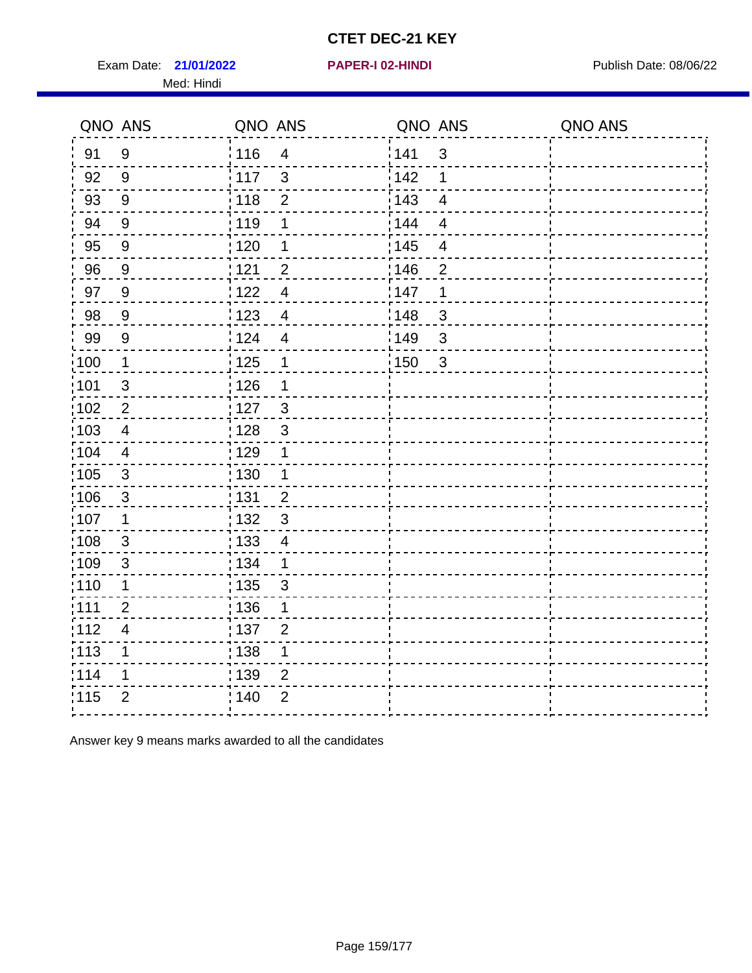Exam Date: 21/01/2022 **PAPER-I 02-HINDI** PUBLISH Date: 08/06/22 Med: Hindi

**21/01/2022 PAPER-I 02-HINDI**

|                   | QNO ANS          | QNO ANS           |                         | QNO ANS |                          | QNO ANS |
|-------------------|------------------|-------------------|-------------------------|---------|--------------------------|---------|
| 91                | $9\,$            | 116               | $\overline{\mathbf{4}}$ | 141     | $\mathfrak{S}$           |         |
| 92                | $9\,$            | 117               | $\mathbf{3}$            | 142     | 1                        |         |
| 93                | $\boldsymbol{9}$ | 118               | $\mathbf 2$             | 143     | $\overline{4}$           |         |
| 94                | $9\,$            | 119               | $\mathbf 1$             | : 144   | $\overline{\mathcal{A}}$ |         |
| 95                | $9\,$            | :120              | 1                       | : 145   | 4                        |         |
| 96                | 9                | 1121              | $\overline{2}$          | :146    | $\overline{2}$           |         |
| 97                | 9                | 122               | $\overline{4}$          | 147     | 1                        |         |
| 98                | $\boldsymbol{9}$ | : 123             | $\overline{4}$          | 148     | 3                        |         |
| 99                | $\boldsymbol{9}$ | 124               | $\overline{\mathbf{4}}$ | 149     | $\mathfrak{S}$           |         |
| $\frac{1}{1}$ 100 | $\mathbf{1}$     | $\frac{1}{1}$ 125 | $\mathbf 1$             | 150     | $\mathbf{3}$             |         |
| :101              | $\sqrt{3}$       | : 126             | 1                       |         |                          |         |
| :102              | $\overline{2}$   | 127               | $\mathbf{3}$            |         |                          |         |
| 103               | $\overline{4}$   | : 128             | $\mathbf{3}$            |         |                          |         |
| 104               | 4                | : 129             | $\mathbf 1$             |         |                          |         |
| 105               | $\sqrt{3}$       | $\frac{1}{1}$ 130 | $\mathbf{1}$            |         |                          |         |
| :106              | 3                | : 131             | $\overline{2}$          |         |                          |         |
| :107              | 1                | : 132             | $\mathbf{3}$            |         |                          |         |
| 108               | 3                | 133               | $\overline{4}$          |         |                          |         |
| :109              | $\sqrt{3}$       | : 134             | $\mathbf{1}$            |         |                          |         |
| :110              | 1                | : 135             | $\mathfrak{S}$          |         |                          |         |
| 1111              | $\overline{2}$   | : 136             | 1                       |         |                          |         |
| 112               | $\overline{4}$   | :137              | $\overline{2}$          |         |                          |         |
| 113               | 1                | : 138             | 1                       |         |                          |         |
| 114               | 1                | : 139             | $\overline{2}$          |         |                          |         |
| 115               | $\overline{2}$   | 140               | $\overline{2}$          |         |                          |         |
|                   |                  |                   |                         |         |                          |         |

Answer key 9 means marks awarded to all the candidates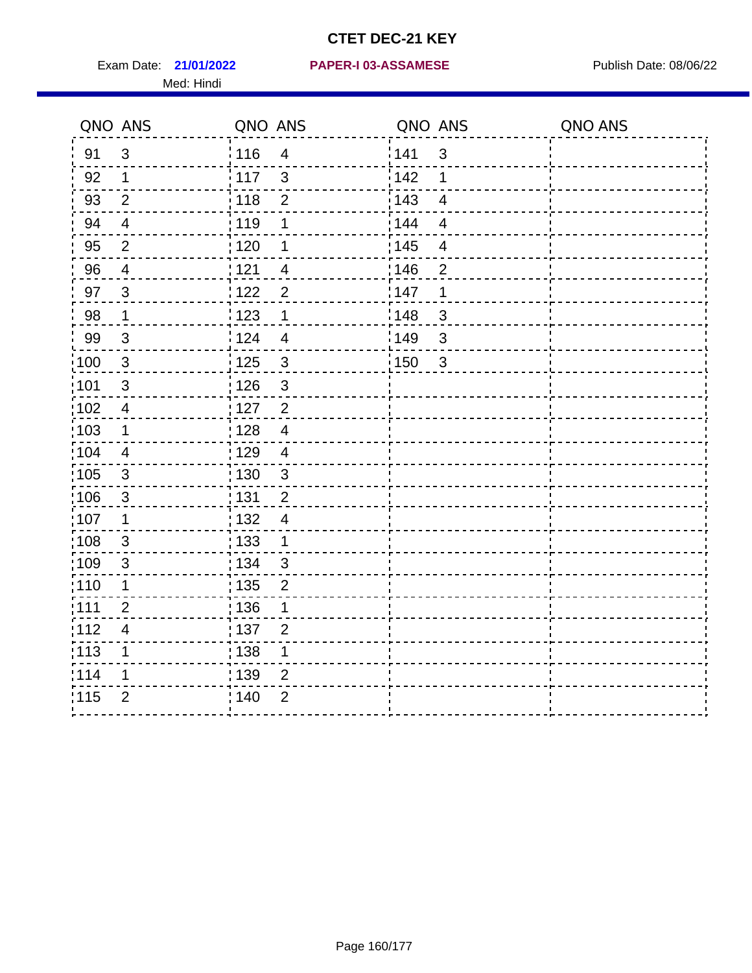Med: Hindi

**21/01/2022 PAPER-I 03-ASSAMESE** Exam Date: Publish Date: 08/06/22

|                   | QNO ANS                  | QNO ANS           |                | QNO ANS |                | QNO ANS |
|-------------------|--------------------------|-------------------|----------------|---------|----------------|---------|
| 91                | $\mathfrak{S}$           | 116               | $\overline{4}$ | 141     | $\mathfrak{S}$ |         |
| 92                | $\mathbf 1$              | $\frac{1}{2}$ 117 | $\mathbf{3}$   | 142     | 1              |         |
| 93                | $\overline{2}$           | 118               | $\mathbf 2$    | 143     | $\overline{4}$ |         |
| 94                | $\overline{4}$           | : 119             | 1              | 144     | $\overline{4}$ |         |
| 95                | 2                        | : 120             | 1              | : 145   | $\overline{4}$ |         |
| 96                | 4                        | 121               | $\overline{4}$ | 146     | $\overline{2}$ |         |
| 97                | $\mathbf{3}$             | 122               | $\overline{2}$ | 147     | 1              |         |
| 98                | $\mathbf{1}$             | 123               | 1              | 148     | $\mathbf{3}$   |         |
| 99                | $\sqrt{3}$               | 124               | $\overline{4}$ | 149     | 3              |         |
| $\frac{1}{1}$ 100 | $\sqrt{3}$               | $\frac{1}{1}$ 125 | $\mathfrak{3}$ | 150     | $\mathbf{3}$   |         |
| :101              | $\sqrt{3}$               | : 126             | $\mathfrak{S}$ |         |                |         |
| 102               | $\overline{4}$           | : 127             | $\overline{2}$ |         |                |         |
| 103               | $\mathbf 1$              | : 128             | $\overline{4}$ |         |                |         |
| 104               | $\overline{4}$           | : 129             | $\overline{4}$ |         |                |         |
| $\frac{1}{1}$ 105 | $\mathbf{3}$             | : 130             | $\mathbf{3}$   |         |                |         |
| :106              | 3                        | : 131             | $\overline{2}$ |         |                |         |
| ;107              | $\mathbf{1}$             | 132               | $\overline{4}$ |         |                |         |
| 108               | $\sqrt{3}$               | 133               | $\mathbf{1}$   |         |                |         |
| :109              | $\sqrt{3}$               | : 134             | $\mathbf{3}$   |         |                |         |
| :110              | 1                        | 135               | $\overline{2}$ |         |                |         |
| :111              | $\overline{2}$           | : 136             | 1              |         |                |         |
| 112               | $\overline{\mathcal{A}}$ | $\frac{1}{1}$ 137 | $\overline{2}$ |         |                |         |
| 113               | 1                        | : 138             | 1              |         |                |         |
| 114               | 1                        | :139              | 2              |         |                |         |
| 115               | $\overline{2}$           | 140               | $\overline{2}$ |         |                |         |
|                   |                          |                   |                |         |                |         |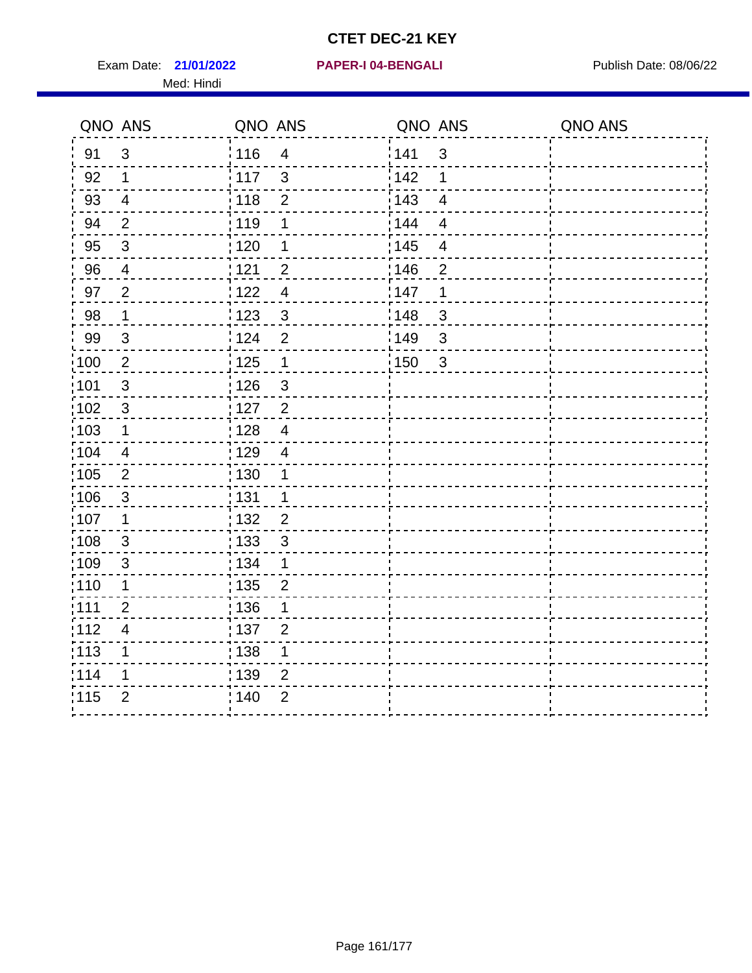Exam Date: 21/01/2022 PAPER-I 04-BENGALI PREREMENTED Publish Date: 08/06/22 Med: Hindi

**21/01/2022 PAPER-I 04-BENGALI**

|                   | QNO ANS                   | QNO ANS |                           | QNO ANS |                          | QNO ANS |
|-------------------|---------------------------|---------|---------------------------|---------|--------------------------|---------|
| 91                | $\mathbf{3}$              | 116     | $\overline{\mathbf{4}}$   | 1141    | $\sqrt{3}$               |         |
| 92                | $\mathbf 1$               | 117     | $\mathfrak{3}$            | 142     | 1                        |         |
| 93                | $\overline{4}$            | 118     | $\mathbf{2}$              | 143     | $\overline{\mathbf{4}}$  |         |
| 94                | 2                         | : 119   | 1                         | 144     | $\overline{4}$           |         |
| 95                | $\mathfrak{B}$            | : 120   | 1                         | : 145   | $\overline{\mathcal{A}}$ |         |
| 96                | 4                         | 121     | $\overline{2}$            | 146     | $\overline{2}$           |         |
| 97                | $\overline{2}$            | 122     | $\overline{4}$            | 147     | 1                        |         |
| 98                | $\overline{1}$            | 1123    | $\mathbf{3}$              | 148     | $\sqrt{3}$               |         |
| 99                | $\ensuremath{\mathsf{3}}$ | 124     | $\overline{2}$            | :149    | $\sqrt{3}$               |         |
| $\frac{1}{1}$ 100 | $\overline{2}$            | 125     | $\mathbf{1}$              | 150     | $\mathbf{3}$             |         |
| :101              | $\sqrt{3}$                | : 126   | $\ensuremath{\mathsf{3}}$ |         |                          |         |
| 102               | $\mathfrak{3}$            | : 127   | $\overline{2}$            |         |                          |         |
| 103               | $\mathbf 1$               | :128    | $\overline{4}$            |         |                          |         |
| 104               | $\overline{4}$            | : 129   | $\overline{\mathcal{A}}$  |         |                          |         |
| 105               | $\sqrt{2}$                | 130     | $\mathbf 1$               |         |                          |         |
| :106              | $\mathfrak{S}$            | : 131   | $\mathbf 1$               |         |                          |         |
| 107               | 1                         | :132    | $\overline{2}$            |         |                          |         |
| 108               | $\sqrt{3}$                | : 133   | $\mathbf{3}$              |         |                          |         |
| :109              | $\mathfrak{S}$            | : 134   | $\mathbf 1$               |         |                          |         |
| : 110             | 1                         | : 135   | $\overline{2}$            |         |                          |         |
| 111               | $\overline{2}$            | : 136   | 1                         |         |                          |         |
| 112               | $\overline{\mathcal{A}}$  | : 137   | $\overline{2}$            |         |                          |         |
| 113               | 1                         | 138     | 1                         |         |                          |         |
| 114               | 1                         | : 139   | 2                         |         |                          |         |
| 115               | $\overline{2}$            | 140     | $\overline{2}$            |         |                          |         |
|                   |                           |         |                           |         |                          |         |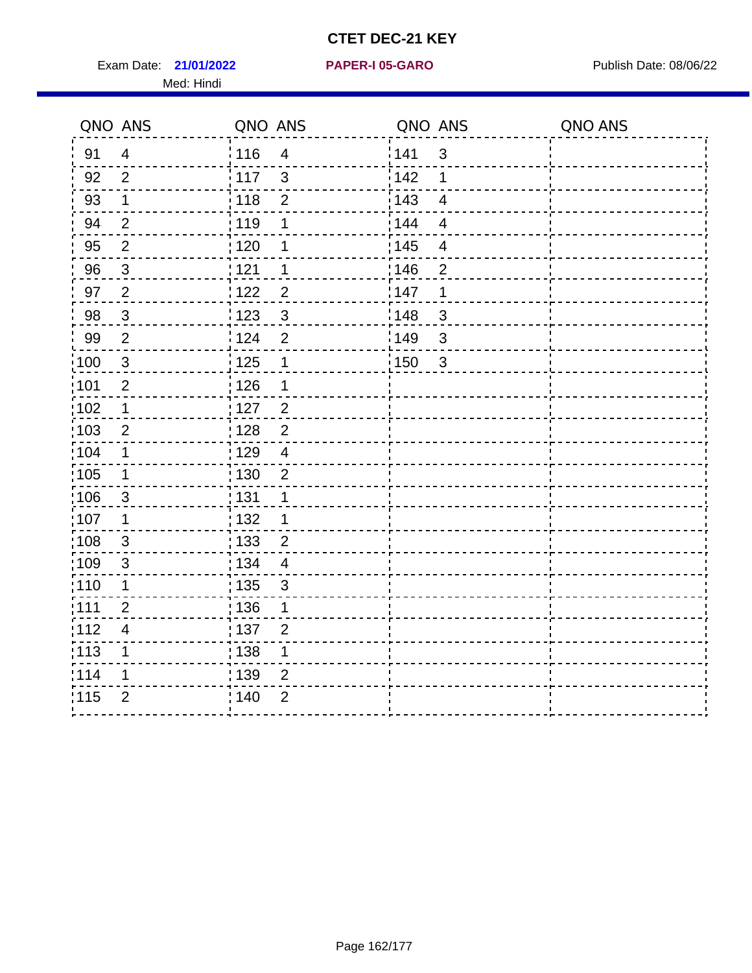Exam Date: 21/01/2022 PAPER-I 05-GARO Publish Date: 08/06/22 Med: Hindi

**21/01/2022 PAPER-I 05-GARO**

|       | QNO ANS                  | QNO ANS |                | QNO ANS |                         | QNO ANS |
|-------|--------------------------|---------|----------------|---------|-------------------------|---------|
| 91    | $\overline{4}$           | 116     | $\overline{4}$ | 141     | $\sqrt{3}$              |         |
| 92    | $\overline{2}$           | 117     | 3              | 142     | 1                       |         |
| 93    | $\mathbf 1$              | 118     | $\overline{2}$ | 143     | $\overline{4}$          |         |
| 94    | $\overline{2}$           | : 119   | 1              | : 144   | $\overline{\mathbf{4}}$ |         |
| 95    | $\overline{2}$           | : 120   | 1              | : 145   | 4                       |         |
| 96    | $\mathbf{3}$             | 121     | 1              | 146     | $\overline{2}$          |         |
| 97    | $\overline{2}$           | 122     | $\overline{c}$ | 147     | $\mathbf 1$             |         |
| 98    | $\mathbf{3}$             | 123     | $\mathbf{3}$   | 148     | $\mathbf{3}$            |         |
| 99    | $\overline{2}$           | 124     | $\overline{2}$ | 149     | $\mathfrak{S}$          |         |
| 100   | $\mathbf{3}$             | 125     | $\mathbf 1$    | 150     | $\mathbf{3}$            |         |
| :101  | $\overline{2}$           | : 126   | 1              |         |                         |         |
| 102   | $\mathbf{1}$             | : 127   | $\overline{2}$ |         |                         |         |
| 103   | $\overline{2}$           | : 128   | $\overline{2}$ |         |                         |         |
| :104  | $\mathbf{1}$             | : 129   | $\overline{4}$ |         |                         |         |
| 105   | $\mathbf 1$              | : 130   | $\overline{2}$ |         |                         |         |
| 106   | $\overline{3}$           | : 131   | 1              |         |                         |         |
| :107  | 1                        | : 132   | 1              |         |                         |         |
| :108  | $\mathbf{3}$             | : 133   | $\overline{2}$ |         |                         |         |
| :109  | $\mathfrak{3}$           | : 134   | $\overline{4}$ |         |                         |         |
| 110   | 1                        | : 135   | $\mathfrak{S}$ |         |                         |         |
| ;111  | $\overline{2}$           | : 136   | 1              |         |                         |         |
| 112   | $\overline{\mathcal{A}}$ | : 137   | $\overline{2}$ |         |                         |         |
| : 113 | 1                        | : 138   | 1              |         |                         |         |
| 1114  | 1                        | : 139   | $\overline{2}$ |         |                         |         |
| 115   | $\overline{2}$           | 140     | $\overline{2}$ |         |                         |         |
|       |                          |         |                |         |                         |         |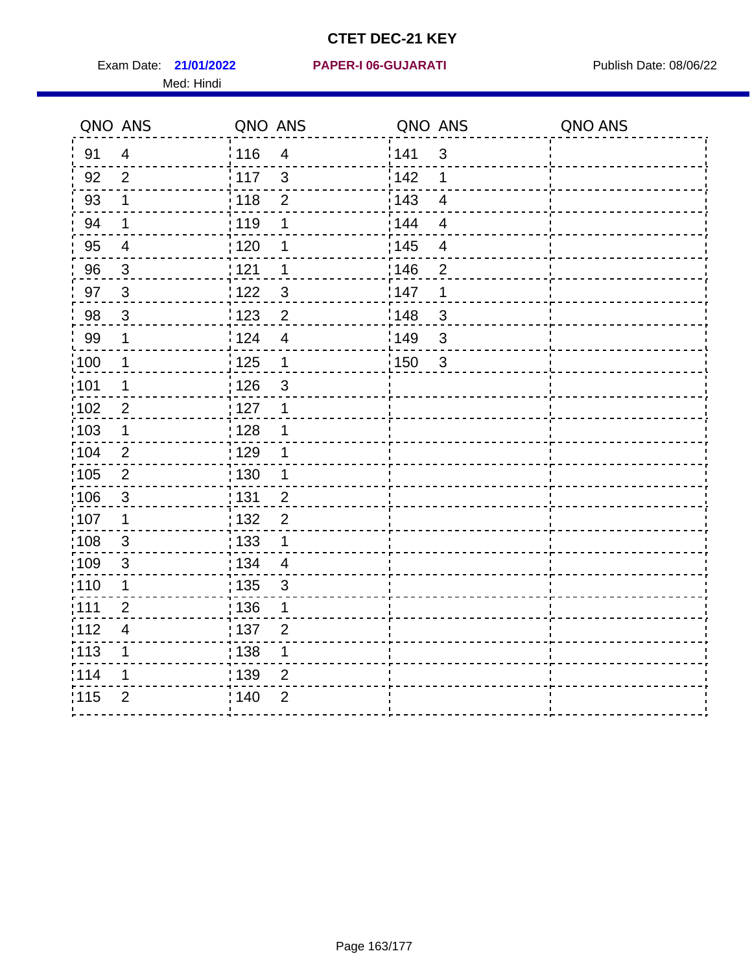Exam Date: 21/01/2022 PAPER-I 06-GUJARATI Publish Date: 08/06/22 Med: Hindi

**21/01/2022 PAPER-I 06-GUJARATI**

|       | QNO ANS                  | QNO ANS                        | QNO ANS                           | QNO ANS |
|-------|--------------------------|--------------------------------|-----------------------------------|---------|
| 91    | $\overline{4}$           | 116<br>$\overline{\mathbf{4}}$ | 1141<br>$\sqrt{3}$                |         |
| 92    | $\overline{2}$           | 117<br>$\mathfrak{S}$          | 142<br>1                          |         |
| 93    | $\mathbf 1$              | 118<br>$\mathbf{2}$            | 143<br>$\overline{\mathbf{4}}$    |         |
| 94    | 1                        | : 119<br>1                     | : 144<br>$\overline{4}$           |         |
| 95    | $\overline{\mathcal{A}}$ | : 120<br>1                     | : 145<br>$\overline{\mathcal{A}}$ |         |
| 96    | $\mathbf{3}$             | 121<br>1                       | 146<br>$\overline{2}$             |         |
| 97    | $\mathbf{3}$             | $\mathfrak{S}$<br>122          | 147<br>1                          |         |
| 98    | $\mathbf{3}$             | 123<br>$\overline{2}$          | 148<br>$\sqrt{3}$                 |         |
| 99    | $\mathbf 1$              | 124<br>$\overline{\mathbf{4}}$ | :149<br>$\sqrt{3}$                |         |
| :100  | $\mathbf 1$              | 125<br>$\mathbf{1}$            | 150<br>$\mathbf{3}$               |         |
| :101  | 1                        | : 126<br>3                     |                                   |         |
| 102   | $\overline{2}$           | : 127<br>1                     |                                   |         |
| 103   | $\mathbf 1$              | :128<br>1                      |                                   |         |
| 104   | $\overline{2}$           | : 129<br>1                     |                                   |         |
| 105   | $\sqrt{2}$               | 130<br>$\mathbf 1$             |                                   |         |
| :106  | $\mathfrak{S}$           | : 131<br>$\overline{2}$        |                                   |         |
| 107   | 1                        | $\overline{2}$<br>:132         |                                   |         |
| 108   | $\sqrt{3}$               | : 133<br>$\mathbf{1}$          |                                   |         |
| :109  | $\mathfrak{S}$           | : 134<br>$\overline{4}$        |                                   |         |
| : 110 | 1                        | : 135<br>3                     |                                   |         |
| 111   | $\overline{2}$           | : 136<br>1                     |                                   |         |
| 112   | $\overline{\mathcal{A}}$ | : 137<br>$\overline{2}$        |                                   |         |
| 113   | 1                        | 138<br>1                       |                                   |         |
| 114   | 1                        | : 139<br>2                     |                                   |         |
| 115   | $\overline{2}$           | 140<br>$\overline{2}$          |                                   |         |
|       |                          |                                |                                   |         |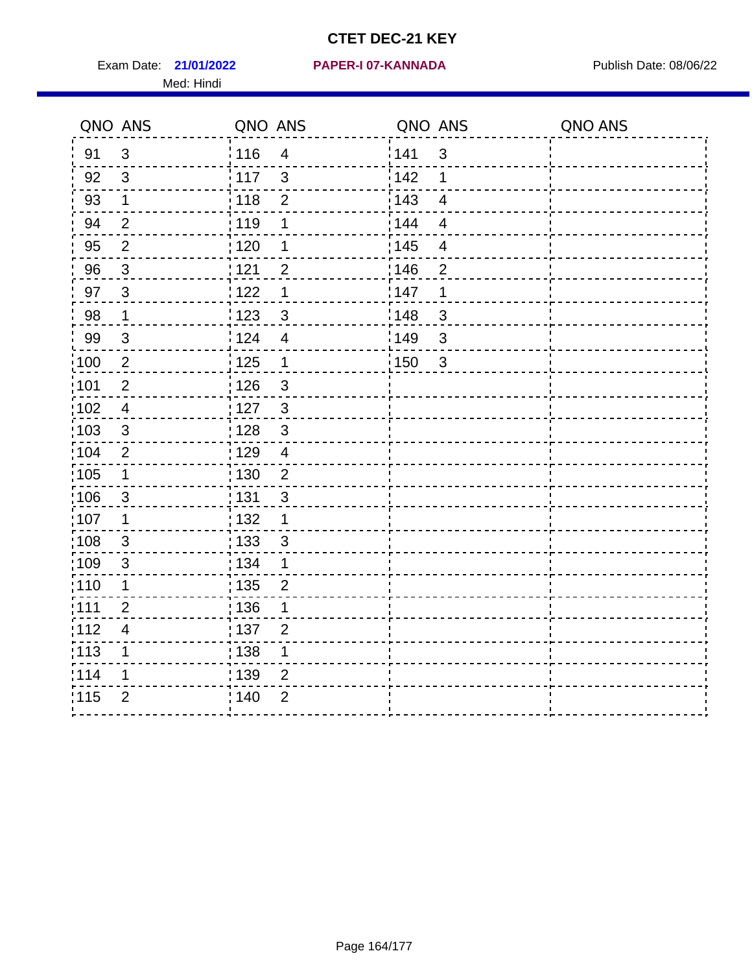Exam Date: 21/01/2022 PAPER-I 07-KANNADA Publish Date: 08/06/22 Med: Hindi

**21/01/2022 PAPER-I 07-KANNADA**

|                   | QNO ANS                 | QNO ANS           |                | QNO ANS           |                | QNO ANS |
|-------------------|-------------------------|-------------------|----------------|-------------------|----------------|---------|
| 91                | $\mathfrak{S}$          | : 116             | $\overline{4}$ | 141               | $\mathfrak{3}$ |         |
| 92                | $\mathfrak{S}$          | $\frac{1}{117}$   | $\mathbf{3}$   | 142               | 1              |         |
| 93                | $\mathbf 1$             | 118               | $\overline{2}$ | 143               | $\overline{4}$ |         |
| 94                | $\overline{2}$          | : 119             | 1              | : 144             | $\overline{4}$ |         |
| 95                | $\overline{2}$          | : 120             | 1              | : 145             | 4              |         |
| 96                | $\mathfrak{S}$          | 121               | $\overline{2}$ | 146               | $\overline{2}$ |         |
| 97                | $\overline{3}$          | 122               | 1              | 147               | 1              |         |
| 98                | $\mathbf{1}$            | 123               | $\mathfrak{S}$ | 148               | 3              |         |
| 99                | $\mathsf 3$             | 124               | $\overline{4}$ | 149               | $\mathfrak{S}$ |         |
| $\frac{1}{1}$ 100 | $\sqrt{2}$              | $\frac{1}{1}$ 125 | $\mathbf{1}$   | $\frac{1}{1}$ 150 | $\mathbf{3}$   |         |
| :101              | $\mathbf 2$             | : 126             | $\mathbf{3}$   |                   |                |         |
| 102               | $\overline{4}$          | : 127             | $\mathbf{3}$   |                   |                |         |
| 103               | 3                       | : 128             | $\mathbf{3}$   |                   |                |         |
| 104               | $\overline{2}$          | : 129             | $\overline{4}$ |                   |                |         |
| 105               | $\mathbf 1$             | 130               | $\overline{2}$ |                   |                |         |
| 106               | 3                       | 131               | 3              |                   |                |         |
| ;107              | $\mathbf{1}$            | 132               | $\mathbf 1$    |                   |                |         |
| 108               | $\mathbf{3}$            | : 133             | $\mathbf{3}$   |                   |                |         |
| :109              | $\mathfrak{S}$          | : 134             | $\mathbf 1$    |                   |                |         |
| :110              | 1                       | 135               | $\overline{2}$ |                   |                |         |
| :111              | $\overline{2}$          | 136               | 1              |                   |                |         |
| 112               | $\overline{\mathbf{4}}$ | 137               | $\overline{2}$ |                   |                |         |
| 113               | 1                       | 138               | 1              |                   |                |         |
| 114               | 1                       | 139               | 2              |                   |                |         |
| 115               | $\overline{2}$          | 140               | $\overline{2}$ |                   |                |         |
|                   |                         |                   |                |                   |                |         |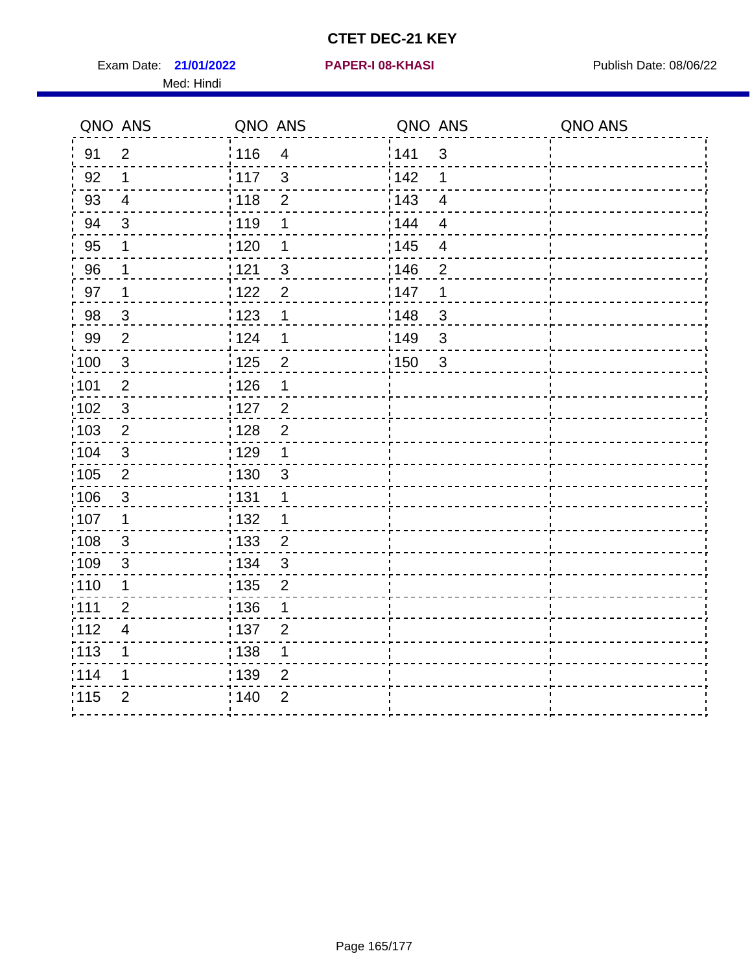Exam Date: 21/01/2022 **PAPER-I 08-KHASI** Publish Date: 08/06/22 Med: Hindi

**21/01/2022 PAPER-I 08-KHASI**

|       | QNO ANS                  | QNO ANS           |                         | QNO ANS |                          | QNO ANS |
|-------|--------------------------|-------------------|-------------------------|---------|--------------------------|---------|
| 91    | $\overline{2}$           | 116               | $\overline{\mathbf{4}}$ | 1141    | $\sqrt{3}$               |         |
| 92    | $\mathbf 1$              | 117               | $\mathfrak{S}$          | 142     | 1                        |         |
| 93    | $\overline{4}$           | 118               | $\mathbf{2}$            | 143     | $\overline{\mathbf{4}}$  |         |
| 94    | 3                        | 119               | 1                       | : 144   | $\overline{4}$           |         |
| 95    | 1                        | : 120             | 1                       | : 145   | $\overline{\mathcal{A}}$ |         |
| 96    | $\mathbf 1$              | 121               | $\mathfrak{S}$          | 146     | $\overline{2}$           |         |
| 97    | 1                        | 122               | $\overline{2}$          | 147     | 1                        |         |
| 98    | $\mathbf{3}$             | 123               | $\mathbf{1}$            | 148     | $\sqrt{3}$               |         |
| 99    | $\overline{2}$           | 124               | $\mathbf 1$             | :149    | $\mathsf 3$              |         |
| :100  | $\sqrt{3}$               | $\frac{1}{1}$ 125 | $\overline{2}$          | 150     | $\mathbf{3}$             |         |
| :101  | $\mathbf 2$              | : 126             | 1                       |         |                          |         |
| 102   | $\mathfrak{S}$           | : 127             | $\overline{2}$          |         |                          |         |
| 103   | $\overline{2}$           | : 128             | $\overline{2}$          |         |                          |         |
| 104   | $\sqrt{3}$               | : 129             | $\mathbf 1$             |         |                          |         |
| 105   | $\sqrt{2}$               | 130               | $\sqrt{3}$              |         |                          |         |
| :106  | $\mathfrak{S}$           | : 131             | 1                       |         |                          |         |
| 107   | 1                        | :132              | 1                       |         |                          |         |
| 108   | $\sqrt{3}$               | : 133             | $\overline{2}$          |         |                          |         |
| :109  | $\mathfrak{S}$           | : 134             | $\mathfrak{3}$          |         |                          |         |
| : 110 | 1                        | : 135             | $\overline{2}$          |         |                          |         |
| 111   | $\overline{2}$           | : 136             | 1                       |         |                          |         |
| 112   | $\overline{\mathcal{A}}$ | : 137             | $\overline{2}$          |         |                          |         |
| 113   | 1                        | 138               | 1                       |         |                          |         |
| 114   | 1                        | : 139             | 2                       |         |                          |         |
| 115   | $\overline{2}$           | 140               | $\overline{2}$          |         |                          |         |
|       |                          |                   |                         |         |                          |         |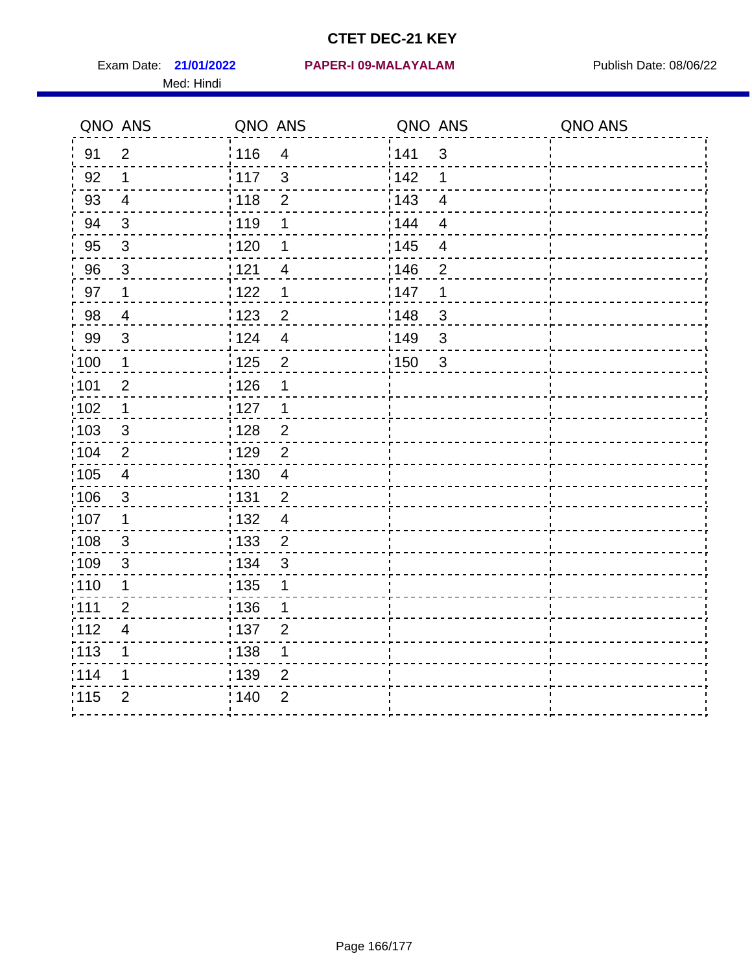Med: Hindi

**21/01/2022 PAPER-I 09-MALAYALAM** Exam Date: Publish Date: 08/06/22

|       | QNO ANS                  | QNO ANS |                | QNO ANS           |                | QNO ANS |
|-------|--------------------------|---------|----------------|-------------------|----------------|---------|
| 91    | $\overline{2}$           | : 116   | $\overline{4}$ | 141               | $\mathsf 3$    |         |
| 92    | 1                        | 117     | $\mathfrak{S}$ | 142               | 1              |         |
| 93    | $\overline{4}$           | 118     | $\overline{2}$ | 143               | $\overline{4}$ |         |
| 94    | 3                        | : 119   | 1              | 144               | $\overline{4}$ |         |
| 95    | 3                        | : 120   | 1              | : 145             | $\overline{4}$ |         |
| 96    | 3                        | 121     | 4              | 146               | $\overline{2}$ |         |
| 97    | $\mathbf 1$              | 122     | 1              | 147               | 1              |         |
| 98    | $\overline{\mathcal{A}}$ | 1123    | $\overline{c}$ | 148               | $\mathfrak{S}$ |         |
| 99    | $\sqrt{3}$               | 124     | $\overline{4}$ | :149              | $\mathsf 3$    |         |
| 100   | $\mathbf 1$              | 125     | $\overline{2}$ | $\frac{1}{2}$ 150 | $\sqrt{3}$     |         |
| :101  | $\mathbf 2$              | : 126   | 1              |                   |                |         |
| 102   | $\mathbf 1$              | : 127   | 1              |                   |                |         |
| 103   | 3                        | : 128   | $\overline{2}$ |                   |                |         |
| 104   | $\overline{2}$           | : 129   | $\overline{2}$ |                   |                |         |
| :105  | $\overline{\mathbf{4}}$  | : 130   | $\overline{4}$ |                   |                |         |
| 106   | 3                        | : 131   | $\overline{2}$ |                   |                |         |
| :107  | 1                        | : 132   | $\overline{4}$ |                   |                |         |
| 108   | $\sqrt{3}$               | : 133   | $\overline{2}$ |                   |                |         |
| 109   | $\sqrt{3}$               | : 134   | $\mathfrak{S}$ |                   |                |         |
| : 110 | 1                        | 135     | 1              |                   |                |         |
| : 111 | $\overline{2}$           | 136     | 1              |                   |                |         |
| 112   | 4                        | : 137   | $\overline{2}$ |                   |                |         |
| : 113 | 1                        | : 138   | 1              |                   |                |         |
| 114   | 1                        | : 139   | 2              |                   |                |         |
| 115   | $\overline{2}$           | 140     | $\overline{2}$ |                   |                |         |
|       |                          |         |                |                   |                |         |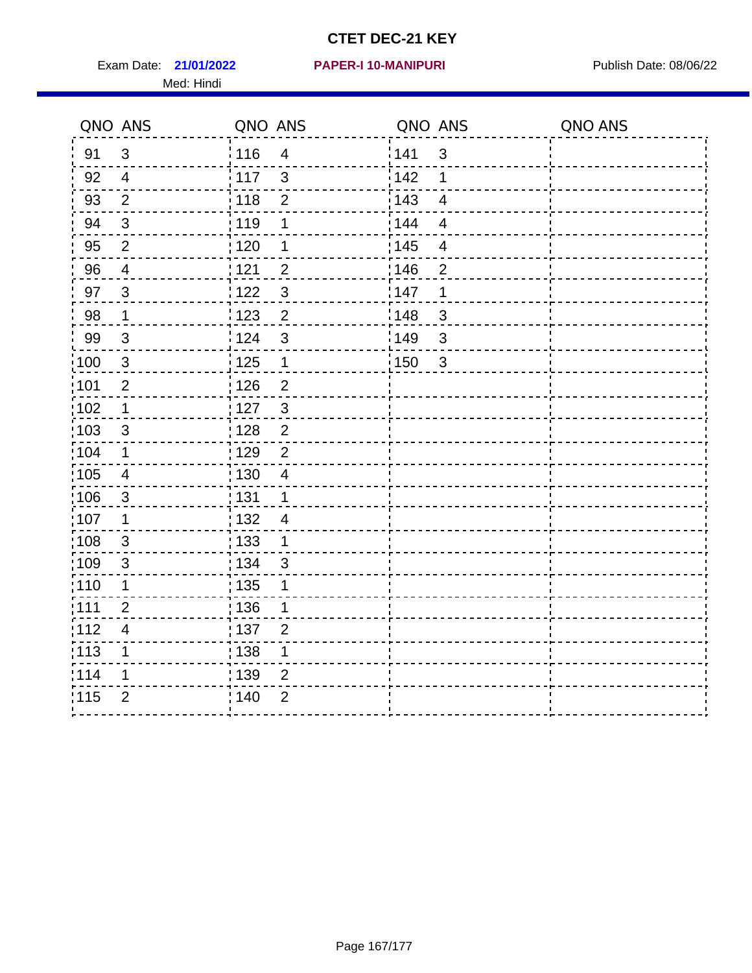Exam Date: 21/01/2022 **PAPER-I 10-MANIPURI** Publish Date: 08/06/22 Med: Hindi

|                   | QNO ANS                  | QNO ANS                           | QNO ANS                             | QNO ANS |
|-------------------|--------------------------|-----------------------------------|-------------------------------------|---------|
| 91                | $\mathfrak{S}$           | 116<br>$\overline{\mathbf{4}}$    | 141<br>$\mathfrak{S}$               |         |
| 92                | $\overline{4}$           | $\mathbf{3}$<br>$\frac{1}{2}$ 117 | 142<br>1                            |         |
| 93                | $\overline{2}$           | 118<br>$\mathbf 2$                | 143<br>$\overline{\mathbf{4}}$      |         |
| 94                | 3                        | : 119<br>1                        | : 144<br>$\overline{4}$             |         |
| 95                | $\overline{2}$           | : 120<br>1                        | : 145<br>$\overline{\mathcal{A}}$   |         |
| 96                | $\overline{4}$           | 121<br>$\overline{2}$             | 146<br>$\overline{2}$               |         |
| 97                | $\mathfrak{B}$           | $\mathfrak{S}$<br>122             | 147<br>1                            |         |
| 98                | $\mathbf{1}$             | 123<br>$\overline{2}$             | 148<br>$\mathbf{3}$                 |         |
| 99                | $\sqrt{3}$               | 124<br>$\mathfrak{S}$             | $\frac{1}{2}$ 149<br>$\mathfrak{S}$ |         |
| $\frac{1}{1}$ 100 | $\sqrt{3}$               | $\frac{1}{2}$ 125<br>$\mathbf{1}$ | 150<br>$\mathbf{3}$                 |         |
| :101              | $\mathbf 2$              | : 126<br>$\overline{2}$           |                                     |         |
| 102               | $\mathbf 1$              | : 127<br>$\mathbf{3}$             |                                     |         |
| 103               | 3                        | $\overline{2}$<br>:128            |                                     |         |
| 104               | $\mathbf 1$              | : 129<br>$\overline{2}$           |                                     |         |
| 105               | $\overline{\mathbf{4}}$  | : 130<br>$\overline{4}$           |                                     |         |
| :106              | $\mathfrak{S}$           | : 131<br>$\mathbf 1$              |                                     |         |
| 107               | 1                        | :132<br>4                         |                                     |         |
| 108               | $\sqrt{3}$               | : 133<br>$\mathbf{1}$             |                                     |         |
| :109              | $\mathsf 3$              | : 134<br>3                        |                                     |         |
| :110              | 1                        | : 135<br>1                        |                                     |         |
| 111               | $\overline{2}$           | : 136<br>1                        |                                     |         |
| 112               | $\overline{\mathcal{A}}$ | 137<br>$\overline{2}$             |                                     |         |
| 113               | 1                        | 138<br>1                          |                                     |         |
| 114               | 1                        | 139<br>2                          |                                     |         |
| 115               | $\overline{2}$           | 140<br>$\overline{2}$             |                                     |         |
|                   |                          |                                   |                                     |         |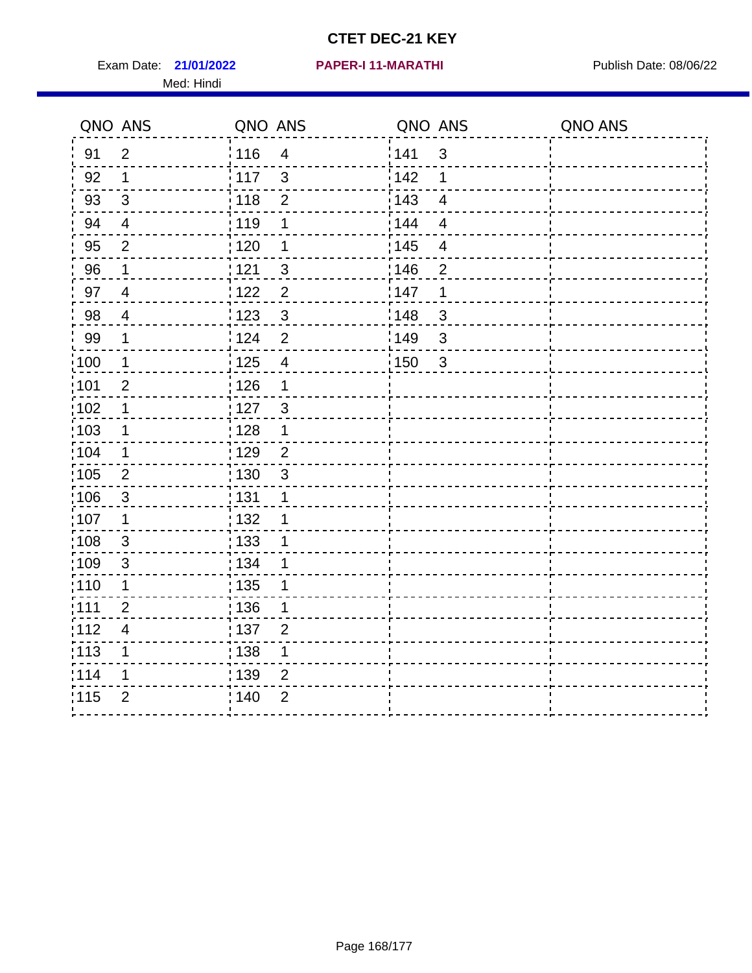Exam Date: 21/01/2022 PAPER-I 11-MARATHI Publish Date: 08/06/22 Med: Hindi

#### **21/01/2022 PAPER-I 11-MARATHI**

|                   | QNO ANS        | QNO ANS           |                         | QNO ANS |                         | QNO ANS |
|-------------------|----------------|-------------------|-------------------------|---------|-------------------------|---------|
| 91                | $\overline{2}$ | 116               | $\overline{4}$          | 141     | $\mathfrak{S}$          |         |
| 92                | 1              | 117               | $\mathbf{3}$            | 142     | 1                       |         |
| 93                | $\sqrt{3}$     | : 118             | $\mathbf{2}$            | 143     | $\overline{4}$          |         |
| 94                | $\overline{4}$ | : 119             | 1                       | 144     | $\overline{4}$          |         |
| 95                | $\overline{2}$ | : 120             | 1                       | : 145   | $\overline{\mathbf{4}}$ |         |
| 96                | 1              | 121               | 3                       | 146     | $\overline{2}$          |         |
| 97                | $\overline{4}$ | 122               | $\overline{2}$          | 147     | 1                       |         |
| 98                | $\overline{4}$ | : 123             | $\mathfrak{S}$          | 148     | 3                       |         |
| 99                | $\mathbf 1$    | 124               | $\overline{2}$          | :149    | $\mathfrak{S}$          |         |
| 100               | $\mathbf 1$    | $\frac{1}{1}$ 125 | $\overline{\mathbf{4}}$ | 150     | $\mathbf{3}$            |         |
| 101               | $\mathbf 2$    | $\frac{1}{1}$ 126 | 1                       |         |                         |         |
| 102               | 1              | : 127             | $\mathbf{3}$            |         |                         |         |
| :103              | 1              | : 128             | 1                       |         |                         |         |
| :104              | $\mathbf 1$    | : 129             | $\overline{2}$          |         |                         |         |
| :105              | $\overline{2}$ | : 130             | $\mathfrak{S}$          |         |                         |         |
| 106               | 3              | : 131             | 1                       |         |                         |         |
| :107              | 1              | : 132             | 1                       |         |                         |         |
| $\frac{1}{1}$ 108 | $\sqrt{3}$     | : 133             | 1                       |         |                         |         |
| :109              | $\sqrt{3}$     | : 134             | 1                       |         |                         |         |
| : 110             | 1              | : 135             | 1                       |         |                         |         |
| : 111             | $\overline{2}$ | : 136             | 1                       |         |                         |         |
| 112               | $\overline{4}$ | $\frac{1}{1}$ 137 | $\overline{2}$          |         |                         |         |
| $\frac{1}{1}$ 113 | 1              | : 138             | 1                       |         |                         |         |
| 114               | 1              | : 139             | $\overline{2}$          |         |                         |         |
| 115               | $\overline{2}$ | 140               | $\overline{2}$          |         |                         |         |
|                   |                |                   |                         |         |                         |         |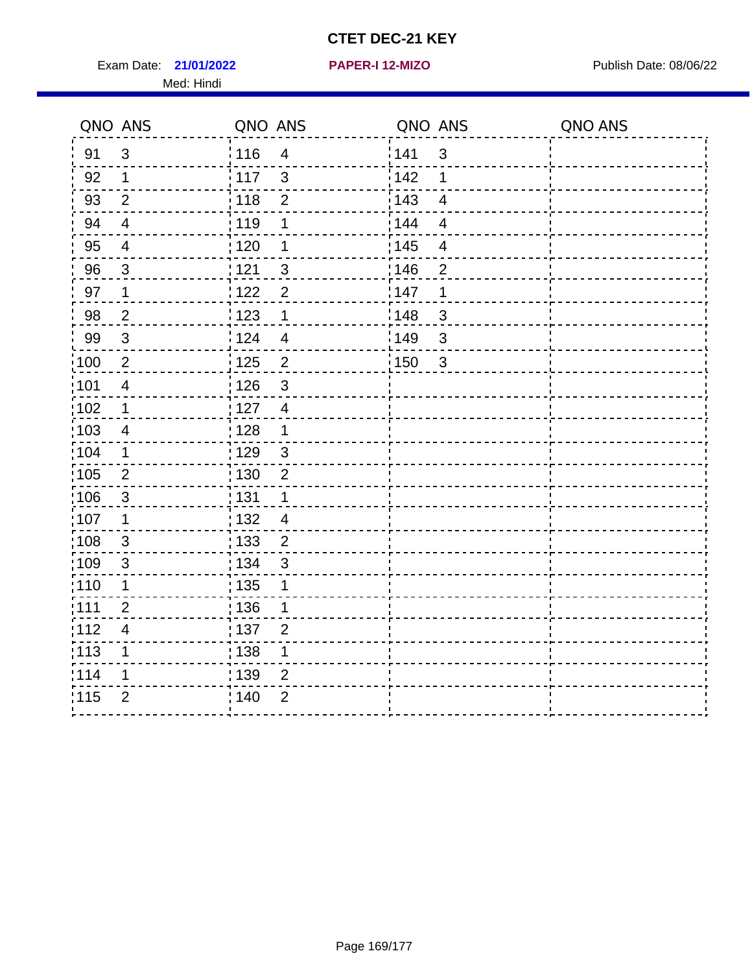Exam Date: 21/01/2022 **PAPER-I 12-MIZO** PAPER Publish Date: 08/06/22 Med: Hindi

**21/01/2022 PAPER-I 12-MIZO**

|                   | QNO ANS        | QNO ANS |                | QNO ANS           |                | QNO ANS |
|-------------------|----------------|---------|----------------|-------------------|----------------|---------|
| 91                | 3              | : 116   | $\overline{4}$ | 141               | $\mathsf 3$    |         |
| 92                | 1              | 117     | $\mathfrak{S}$ | 142               | 1              |         |
| 93                | $\overline{2}$ | 118     | $\overline{2}$ | 143               | $\overline{4}$ |         |
| 94                | $\overline{4}$ | : 119   | 1              | 144               | $\overline{4}$ |         |
| 95                | 4              | : 120   | 1              | : 145             | $\overline{4}$ |         |
| 96                | 3              | 121     | 3              | 146               | $\overline{2}$ |         |
| 97                | 1              | 122     | $\overline{2}$ | 147               | 1              |         |
| 98                | $\overline{2}$ | 1123    | $\mathbf 1$    | 148               | $\mathfrak{S}$ |         |
| 99                | $\sqrt{3}$     | 124     | $\overline{4}$ | 149               | $\mathsf 3$    |         |
| $\frac{1}{1}$ 100 | $\sqrt{2}$     | 125     | $\overline{2}$ | $\frac{1}{2}$ 150 | $\sqrt{3}$     |         |
| :101              | $\overline{4}$ | : 126   | 3              |                   |                |         |
| 102               | $\mathbf 1$    | : 127   | $\overline{4}$ |                   |                |         |
| 103               | $\overline{4}$ | : 128   | $\mathbf{1}$   |                   |                |         |
| :104              | $\mathbf 1$    | : 129   | $\mathfrak{3}$ |                   |                |         |
| 105               | $\overline{2}$ | : 130   | $\overline{2}$ |                   |                |         |
| 106               | 3              | : 131   | 1              |                   |                |         |
| :107              | 1              | : 132   | $\overline{4}$ |                   |                |         |
| :108              | $\sqrt{3}$     | : 133   | $\overline{2}$ |                   |                |         |
| 109               | $\sqrt{3}$     | : 134   | $\mathbf{3}$   |                   |                |         |
| : 110             | 1              | 135     | 1              |                   |                |         |
| : 111             | $\overline{2}$ | 136     | 1              |                   |                |         |
| 112               | 4              | : 137   | $\overline{2}$ |                   |                |         |
| : 113             | 1              | : 138   | 1              |                   |                |         |
| 114               | 1              | : 139   | 2              |                   |                |         |
| 115               | $\overline{2}$ | 140     | $\overline{2}$ |                   |                |         |
|                   |                |         |                |                   |                |         |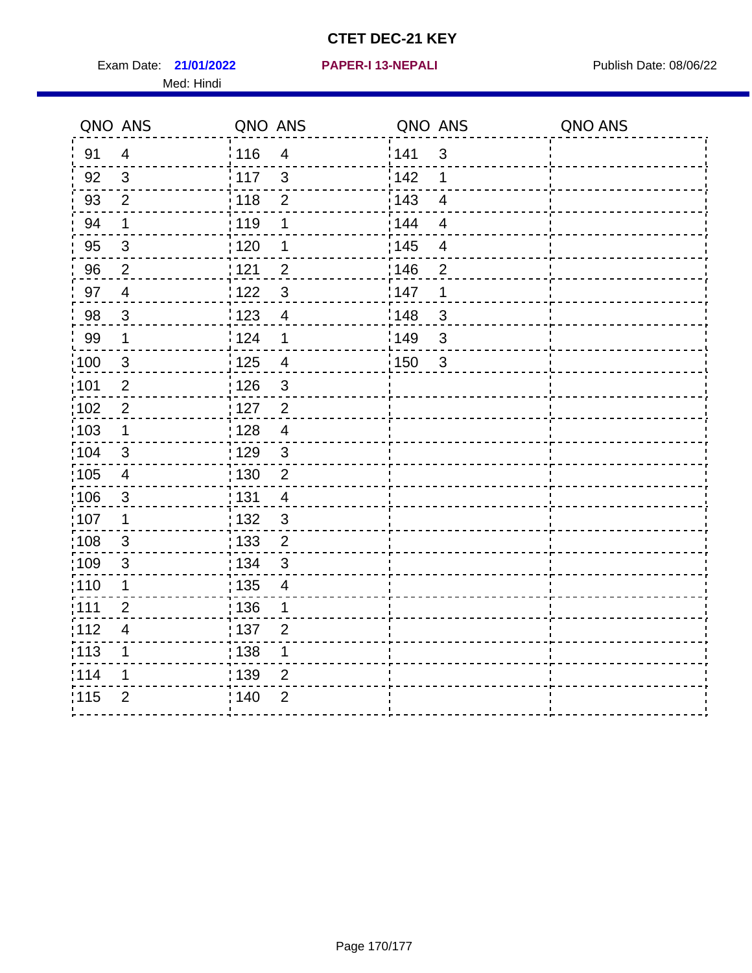Exam Date: 21/01/2022 **PAPER-I 13-NEPALI** Publish Date: 08/06/22 Med: Hindi

**21/01/2022 PAPER-I 13-NEPALI**

|       | QNO ANS        | QNO ANS           |                         | QNO ANS           |                         | QNO ANS |
|-------|----------------|-------------------|-------------------------|-------------------|-------------------------|---------|
| 91    | $\overline{4}$ | : 116             | $\overline{4}$          | 141               | $\mathbf{3}$            |         |
| 92    | $\mathfrak{S}$ | : 117             | $\mathbf{3}$            | 142               | 1                       |         |
| 93    | $\overline{2}$ | $\frac{1}{2}$ 118 | $\overline{2}$          | 143               | $\overline{\mathbf{4}}$ |         |
| 94    | 1              | : 119             | 1                       | : 144             | $\overline{4}$          |         |
| 95    | 3              | : 120             | 1                       | : 145             | 4                       |         |
| 96    | $\overline{2}$ | : 121             | $\overline{2}$          | 146               | 2                       |         |
| 97    | $\overline{4}$ | 122               | $\mathbf{3}$            | 147               | $\mathbf 1$             |         |
| 98    | $\mathbf{3}$   | 123               | $\overline{\mathbf{4}}$ | 148               | $\mathbf{3}$            |         |
| 99    | $\mathbf 1$    | 124               | $\mathbf 1$             | $\frac{1}{2}$ 149 | $\mathfrak{S}$          |         |
| 100   | $\mathbf{3}$   | 125               | $\overline{\mathbf{4}}$ | 150               | $\sqrt{3}$              |         |
| 101   | $\overline{c}$ | : 126             | $\mathsf 3$             |                   |                         |         |
| 102   | $\overline{2}$ | : 127             | $\overline{2}$          |                   |                         |         |
| 103   | $\mathbf 1$    | : 128             | $\overline{4}$          |                   |                         |         |
| :104  | $\mathfrak{3}$ | : 129             | $\mathfrak{S}$          |                   |                         |         |
| 105   | $\overline{4}$ | : 130             | $\overline{2}$          |                   |                         |         |
| :106  | $\mathfrak{S}$ | : 131             | $\overline{4}$          |                   |                         |         |
| 107   | 1              | : 132             | $\mathbf{3}$            |                   |                         |         |
| 108   | $\mathbf{3}$   | 133               | $\overline{2}$          |                   |                         |         |
| :109  | $\mathfrak{S}$ | : 134             | $\mathfrak{S}$          |                   |                         |         |
| :110  | 1              | : 135             | 4                       |                   |                         |         |
| : 111 | $\overline{2}$ | : 136             | 1                       |                   |                         |         |
| 112   | $\overline{4}$ | 137               | $\overline{2}$          |                   |                         |         |
| 113   | 1              | 138               | 1                       |                   |                         |         |
| 1114  | 1              | : 139             | $\overline{2}$          |                   |                         |         |
| 115   | $\overline{2}$ | 140               | $\overline{2}$          |                   |                         |         |
|       |                |                   |                         |                   |                         |         |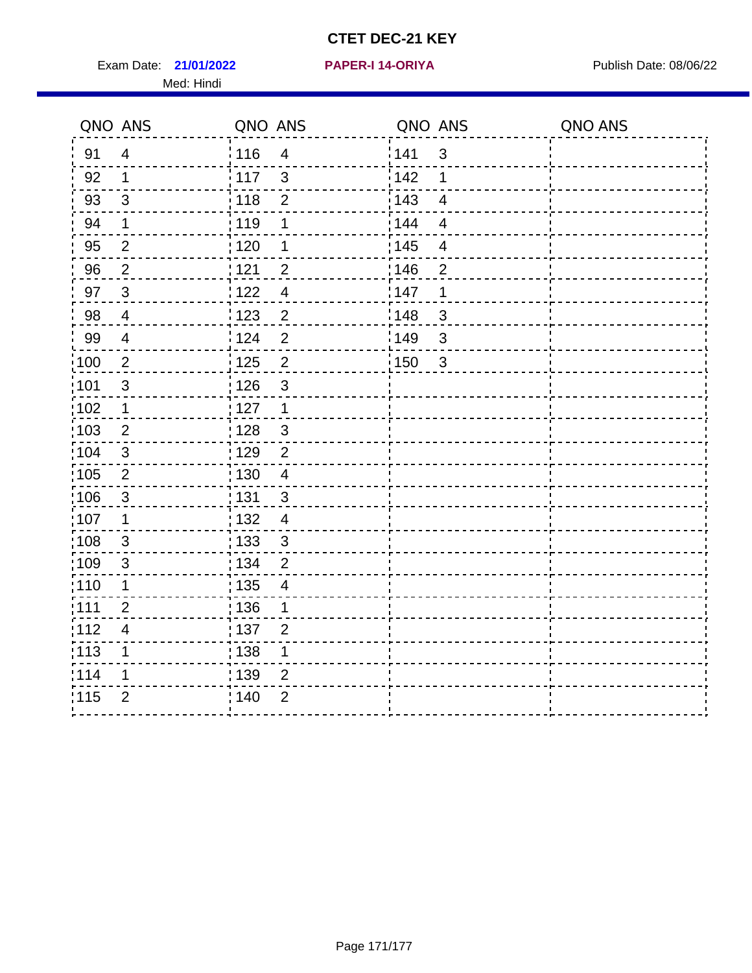Exam Date: 21/01/2022 **PAPER-I 14-ORIYA** Publish Date: 08/06/22 Med: Hindi

**21/01/2022 PAPER-I 14-ORIYA**

|      | QNO ANS                   | QNO ANS           |                          | QNO ANS |                         | QNO ANS |
|------|---------------------------|-------------------|--------------------------|---------|-------------------------|---------|
| 91   | $\overline{4}$            | 116               | $\overline{\mathcal{A}}$ | 1141    | $\mathfrak{S}$          |         |
| 92   | $\mathbf 1$               | 117               | 3                        | 142     | 1                       |         |
| 93   | $\mathfrak{3}$            | 118               | $\overline{2}$           | 143     | $\overline{\mathbf{4}}$ |         |
| 94   | 1                         | : 119             | 1                        | : 144   | $\overline{4}$          |         |
| 95   | $\overline{2}$            | : 120             | 1                        | : 145   | 4                       |         |
| 96   | $\overline{2}$            | 121               | $\overline{2}$           | 146     | $\overline{2}$          |         |
| 97   | $\mathbf{3}$              | 122               | $\overline{4}$           | 147     | 1                       |         |
| 98   | $\overline{\mathbf{4}}$   | 123               | $\overline{c}$           | : 148   | $\sqrt{3}$              |         |
| 99   | $\overline{4}$            | 124               | $\overline{2}$           | 149¦    | $\sqrt{3}$              |         |
| 100  | $\overline{2}$            | 125               | $\overline{2}$           | 150     | $\sqrt{3}$              |         |
| 101  | $\mathfrak{B}$            | 126               | 3                        |         |                         |         |
| 102  | 1                         | : 127             | $\mathbf 1$              |         |                         |         |
| 103  | 2                         | 128               | $\mathbf{3}$             |         |                         |         |
| 104  | $\sqrt{3}$                | :129              | $\overline{2}$           |         |                         |         |
| 105  | $\overline{2}$            | : 130             | $\overline{4}$           |         |                         |         |
| 106  | $\mathfrak{S}$            | :131              | $\mathbf{3}$             |         |                         |         |
| :107 | 1                         | : 132             | $\overline{4}$           |         |                         |         |
| :108 | $\ensuremath{\mathsf{3}}$ | $\frac{1}{1}$ 133 | $\mathbf{3}$             |         |                         |         |
| :109 | $\mathfrak{S}$            | : 134             | $\overline{2}$           |         |                         |         |
| :110 | 1                         | : 135             | 4                        |         |                         |         |
| :111 | $\overline{2}$            | $\frac{1}{1}$ 136 | $\mathbf{1}$             |         |                         |         |
| 112  | $\overline{\mathcal{A}}$  | $\frac{1}{1}$ 137 | $\overline{2}$           |         |                         |         |
| 113  | 1                         | : 138             | 1                        |         |                         |         |
| 1114 | 1                         | 139               | 2                        |         |                         |         |
| 115  | $\overline{2}$            | 140               | $\overline{2}$           |         |                         |         |
|      |                           |                   |                          |         |                         |         |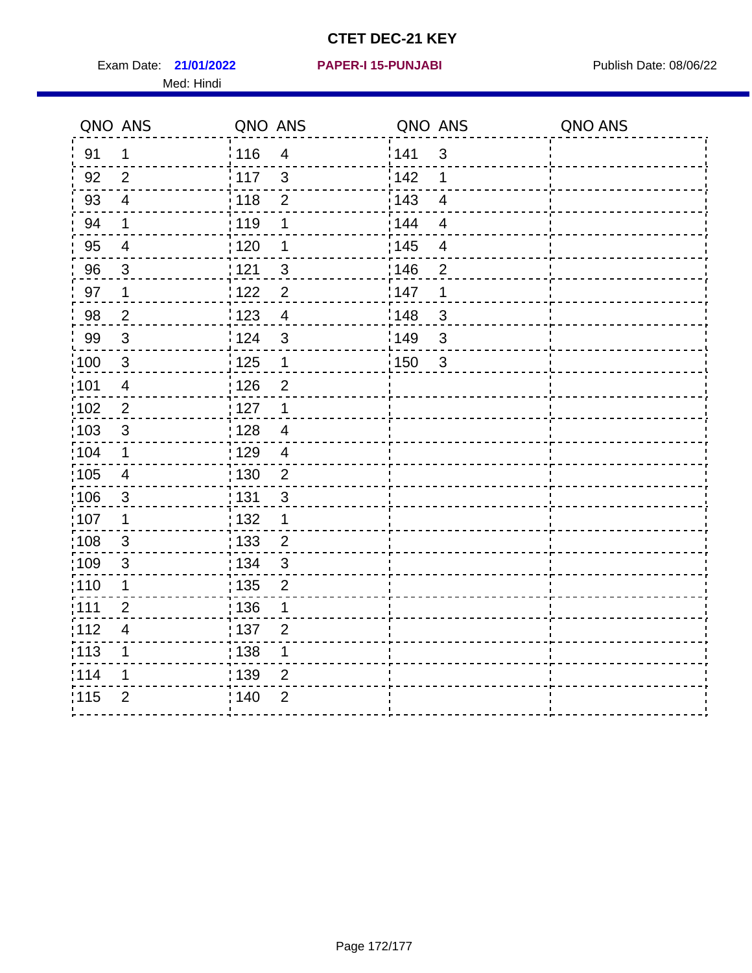Exam Date: 21/01/2022 **PAPER-I 15-PUNJABI** Publish Date: 08/06/22 Med: Hindi

**21/01/2022 PAPER-I 15-PUNJABI**

|                   | QNO ANS                  | QNO ANS           |                | QNO ANS |                | QNO ANS |
|-------------------|--------------------------|-------------------|----------------|---------|----------------|---------|
| 91                | $\mathbf 1$              | 116               | $\overline{4}$ | 141     | $\mathfrak{S}$ |         |
| 92                | 2                        | $\frac{1}{2}$ 117 | $\mathbf{3}$   | 142     | 1              |         |
| 93                | $\overline{4}$           | 118               | $\mathbf 2$    | 143     | $\overline{4}$ |         |
| 94                | $\mathbf 1$              | : 119             | 1              | 144     | $\overline{4}$ |         |
| 95                | $\overline{4}$           | : 120             | 1              | : 145   | $\overline{4}$ |         |
| 96                | 3                        | 121               | 3              | 146     | $\overline{2}$ |         |
| 97                | 1                        | 122               | $\overline{2}$ | 147     | 1              |         |
| 98                | $\overline{2}$           | 123               | $\overline{4}$ | 148     | $\mathbf{3}$   |         |
| 99                | $\sqrt{3}$               | 124               | $\mathfrak{S}$ | 149     | 3              |         |
| $\frac{1}{1}$ 100 | $\sqrt{3}$               | $\frac{1}{1}$ 125 | $\mathbf{1}$   | 150     | $\mathbf{3}$   |         |
| :101              | $\overline{\mathcal{A}}$ | : 126             | $\overline{2}$ |         |                |         |
| 102               | $\overline{2}$           | : 127             | $\mathbf{1}$   |         |                |         |
| 103               | $\mathbf{3}$             | 128               | $\overline{4}$ |         |                |         |
| 104               | $\mathbf{1}$             | : 129             | $\overline{4}$ |         |                |         |
| $\frac{1}{1}$ 105 | $\overline{\mathbf{4}}$  | 130               | $\overline{2}$ |         |                |         |
| :106              | 3                        | : 131             | 3              |         |                |         |
| ;107              | $\mathbf 1$              | 132               | $\mathbf 1$    |         |                |         |
| 108               | $\mathbf{3}$             | $\frac{1}{1}$ 133 | $\overline{2}$ |         |                |         |
| :109              | $\sqrt{3}$               | : 134             | $\mathbf{3}$   |         |                |         |
| :110              | 1                        | 135               | $\overline{2}$ |         |                |         |
| :111              | $\overline{2}$           | 136               | 1              |         |                |         |
| 112               | $\overline{\mathcal{A}}$ | $\frac{1}{1}$ 137 | $\overline{2}$ |         |                |         |
| 113               | 1                        | : 138             | 1              |         |                |         |
| 114               | 1                        | : 139             | 2              |         |                |         |
| 115               | $\overline{2}$           | 140               | $\overline{2}$ |         |                |         |
|                   |                          |                   |                |         |                |         |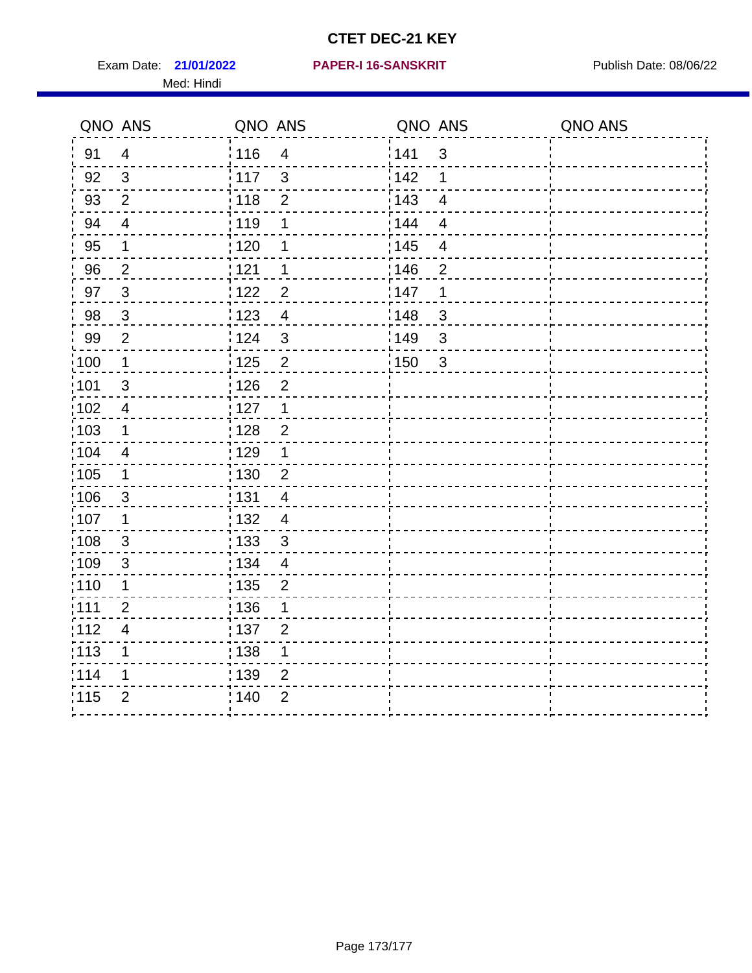Exam Date: 21/01/2022 PAPER-I 16-SANSKRIT Publish Date: 08/06/22 Med: Hindi

|                   | QNO ANS                  | QNO ANS           |                | QNO ANS           |                          | QNO ANS |
|-------------------|--------------------------|-------------------|----------------|-------------------|--------------------------|---------|
| 91                | $\overline{4}$           | : 116             | $\overline{4}$ | 141               | $\mathfrak{S}$           |         |
| 92                | $\mathfrak{B}$           | $\frac{1}{2}$ 117 | $\mathbf{3}$   | 142               | 1                        |         |
| 93                | $\overline{2}$           | 118               | $\mathbf 2$    | 143               | $\overline{\mathbf{4}}$  |         |
| 94                | $\overline{\mathbf{4}}$  | : 119             | 1              | : 144             | $\overline{4}$           |         |
| 95                | 1                        | : 120             | 1              | : 145             | $\overline{\mathcal{A}}$ |         |
| 96                | $\overline{2}$           | 121               | 1              | 146               | $\overline{2}$           |         |
| 97                | $\mathbf{3}$             | : 122             | $\overline{c}$ | 147               | 1                        |         |
| 98                | $\mathbf{3}$             | 123               | $\overline{4}$ | 148               | $\mathbf{3}$             |         |
| 99                | $\mathbf{2}$             | 124               | $\mathfrak{S}$ | $\frac{1}{2}$ 149 | $\mathfrak{S}$           |         |
| $\frac{1}{1}$ 100 | $\mathbf 1$              | $\frac{1}{1}$ 125 | $\mathbf 2$    | 150               | $\mathfrak{S}$           |         |
| :101              | $\mathfrak{S}$           | : 126             | $\overline{2}$ |                   |                          |         |
| 102               | $\overline{4}$           | : 127             | $\mathbf 1$    |                   |                          |         |
| ;103              | $\mathbf 1$              | :128              | $\overline{2}$ |                   |                          |         |
| 104               | $\overline{4}$           | : 129             | 1              |                   |                          |         |
| ;105              | $\mathbf 1$              | 130               | $\overline{2}$ |                   |                          |         |
| :106              | $\mathfrak{S}$           | : 131             | $\overline{4}$ |                   |                          |         |
| 107               | 1                        | :132              | $\overline{4}$ |                   |                          |         |
| 108               | $\sqrt{3}$               | : 133             | $\mathfrak{S}$ |                   |                          |         |
| :109              | $\mathsf 3$              | : 134             | $\overline{4}$ |                   |                          |         |
| :110              | 1                        | : 135             | 2              |                   |                          |         |
| 111               | $\overline{2}$           | : 136             | 1              |                   |                          |         |
| 112               | $\overline{\mathcal{A}}$ | 137               | $\overline{2}$ |                   |                          |         |
| 113               | 1                        | 138               | 1              |                   |                          |         |
| 114               | 1                        | 139               | 2              |                   |                          |         |
| 115               | $\overline{2}$           | 140               | $\overline{2}$ |                   |                          |         |
|                   |                          |                   |                |                   |                          |         |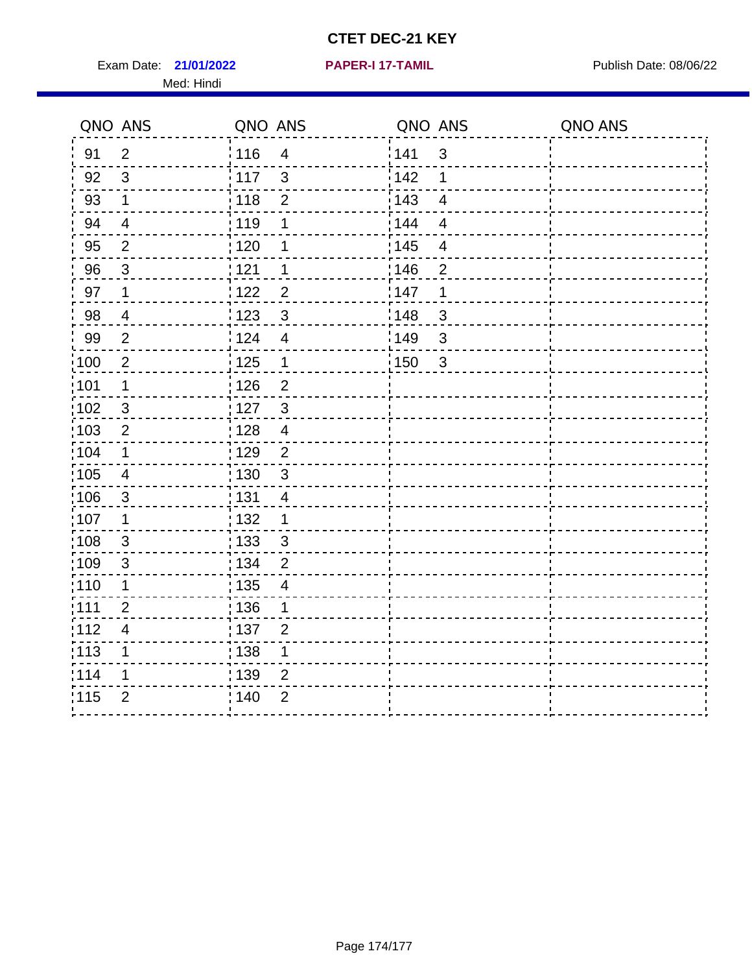Exam Date: 21/01/2022 **PAPER-I 17-TAMIL Exam Date: 08/06/22** Med: Hindi

**21/01/2022 PAPER-I 17-TAMIL**

|      | QNO ANS                  | QNO ANS           |                         |       | QNO ANS        | QNO ANS |
|------|--------------------------|-------------------|-------------------------|-------|----------------|---------|
| 91   | $\overline{2}$           | 116               | $\overline{\mathbf{4}}$ | 141   | $\mathfrak{S}$ |         |
| 92   | $\mathfrak{B}$           | 117               | 3                       | 142   | 1              |         |
| 93   | $\mathbf 1$              | 118               | $\overline{2}$          | 143   | $\overline{4}$ |         |
| 94   | $\overline{\mathcal{A}}$ | : 119             | 1                       | : 144 | 4              |         |
| 95   | $\overline{2}$           | :120              | 1                       | : 145 | $\overline{4}$ |         |
| 96   | $\mathfrak{S}$           | 121               | 1                       | :146  | $\overline{2}$ |         |
| 97   | $\mathbf 1$              | 122               | $\overline{2}$          | 147   | 1              |         |
| 98   | $\overline{\mathbf{4}}$  | 123               | $\mathfrak{3}$          | 148   | $\sqrt{3}$     |         |
| 99   | $\mathbf{2}$             | 124               | $\overline{4}$          | 149¦  | $\sqrt{3}$     |         |
| 100  | $\overline{2}$           | 125               | $\mathbf{1}$            | 150   | $\sqrt{3}$     |         |
| 101  | 1                        | : 126             | $\overline{2}$          |       |                |         |
| 102  | 3                        | : 127             | $\mathbf{3}$            |       |                |         |
| ;103 | $\overline{2}$           | 128               | $\overline{4}$          |       |                |         |
| 104  | $\mathbf 1$              | : 129             | $\overline{2}$          |       |                |         |
| 105  | $\overline{\mathbf{4}}$  | : 130             | $\mathbf{3}$            |       |                |         |
| :106 | $\mathfrak{S}$           | : 131             | 4                       |       |                |         |
| :107 | $\mathbf 1$              | : 132             | $\mathbf 1$             |       |                |         |
| 108  | $\sqrt{3}$               | $\frac{1}{1}$ 133 | $\mathbf{3}$            |       |                |         |
| :109 | $\mathfrak{S}$           | : 134             | $\overline{2}$          |       |                |         |
| :110 | 1                        | : 135             | 4                       |       |                |         |
| 111  | $\overline{2}$           | : 136             | $\mathbf 1$             |       |                |         |
| 112  | $\overline{\mathcal{A}}$ | 137               | $\overline{2}$          |       |                |         |
| 113  | 1                        | : 138             | 1                       |       |                |         |
| 114  | 1                        | : 139             | 2                       |       |                |         |
| 115  | $\overline{2}$           | 140               | $\overline{2}$          |       |                |         |
|      |                          |                   |                         |       |                |         |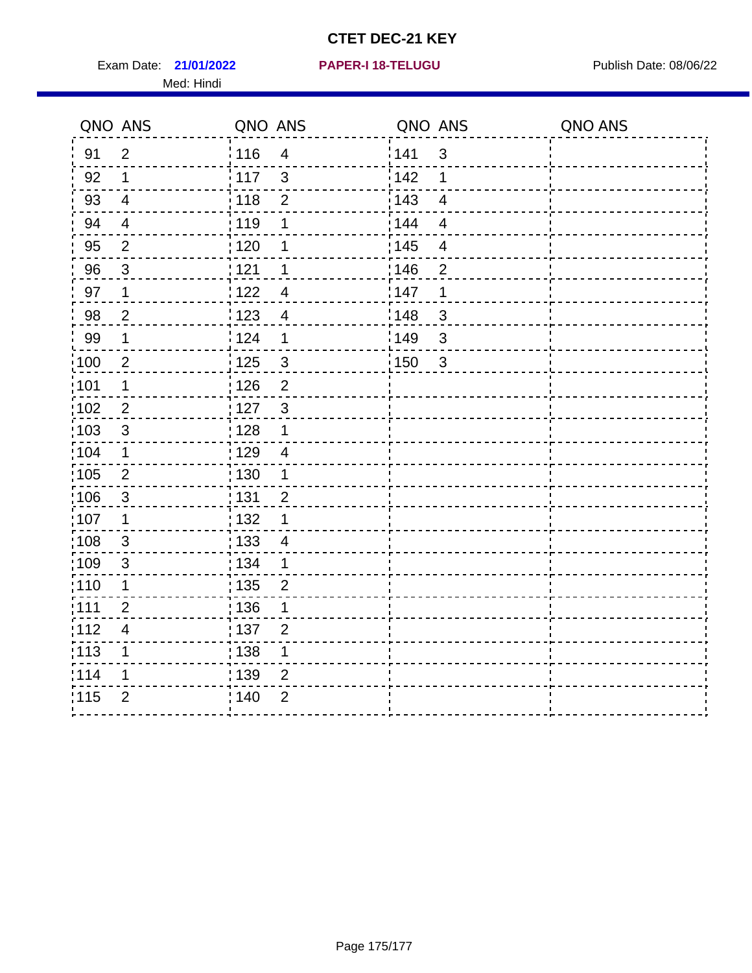Exam Date: 21/01/2022 PAPER-I 18-TELUGU PREER PUblish Date: 08/06/22 Med: Hindi

**21/01/2022 PAPER-I 18-TELUGU**

|      | QNO ANS                 | QNO ANS           |                          |                   | QNO ANS                 | QNO ANS |
|------|-------------------------|-------------------|--------------------------|-------------------|-------------------------|---------|
| 91   | $\overline{2}$          | 116               | $\overline{\mathbf{4}}$  | 141               | $\sqrt{3}$              |         |
| 92   | $\mathbf 1$             | 117               | 3                        | 142               | 1                       |         |
| 93   | $\overline{\mathbf{4}}$ | 118               | $\overline{2}$           | 143               | $\overline{4}$          |         |
| 94   | $\overline{4}$          | : 119             | 1                        | : 144             | $\overline{\mathbf{4}}$ |         |
| 95   | $\overline{2}$          | : 120             | 1                        | : 145             | $\overline{\mathbf{4}}$ |         |
| 96   | $\mathbf{3}$            | 121               | 1                        | :146              | $\overline{2}$          |         |
| 97   | 1                       | : 122             | $\overline{4}$           | 147               | $\mathbf 1$             |         |
| 98   | $\overline{c}$          | 123               | $\overline{4}$           | : 148             | $\mathbf{3}$            |         |
| 99   | $\mathbf 1$             | 124               | 1                        | $\frac{1}{2}$ 149 | $\sqrt{3}$              |         |
| :100 | $\overline{2}$          | $\frac{1}{1}$ 125 | $\mathfrak{S}$           | $\frac{1}{1}$ 150 | $\sqrt{3}$              |         |
| :101 | 1                       | 126               | $\overline{2}$           |                   |                         |         |
| :102 | $\overline{2}$          | $\frac{1}{2}$ 127 | $\mathbf{3}$             |                   |                         |         |
| 103  | 3                       | : 128             | 1                        |                   |                         |         |
| 104  | $\mathbf 1$             | : 129             | $\overline{4}$           |                   |                         |         |
| :105 | $\mathbf{2}$            | : 130             | 1                        |                   |                         |         |
| 106  | $\mathbf{3}$            | : 131             | $\overline{2}$           |                   |                         |         |
| :107 | 1                       | : 132             | 1                        |                   |                         |         |
| 108  | $\mathbf{3}$            | : 133             | $\overline{\mathcal{A}}$ |                   |                         |         |
| :109 | $\sqrt{3}$              | : 134             | 1                        |                   |                         |         |
| 110  | 1                       | : 135             | $\overline{2}$           |                   |                         |         |
| :111 | $\overline{2}$          | : 136             | 1                        |                   |                         |         |
| 112  | $\overline{4}$          | : 137             | $\overline{2}$           |                   |                         |         |
| :113 | $\mathbf 1$             | : 138             | $\mathbf 1$              |                   |                         |         |
| 114  | 1                       | 139               | $\overline{2}$           |                   |                         |         |
| 115  | $\overline{2}$          | ; 140             | $\overline{2}$           |                   |                         |         |
|      |                         |                   |                          |                   |                         |         |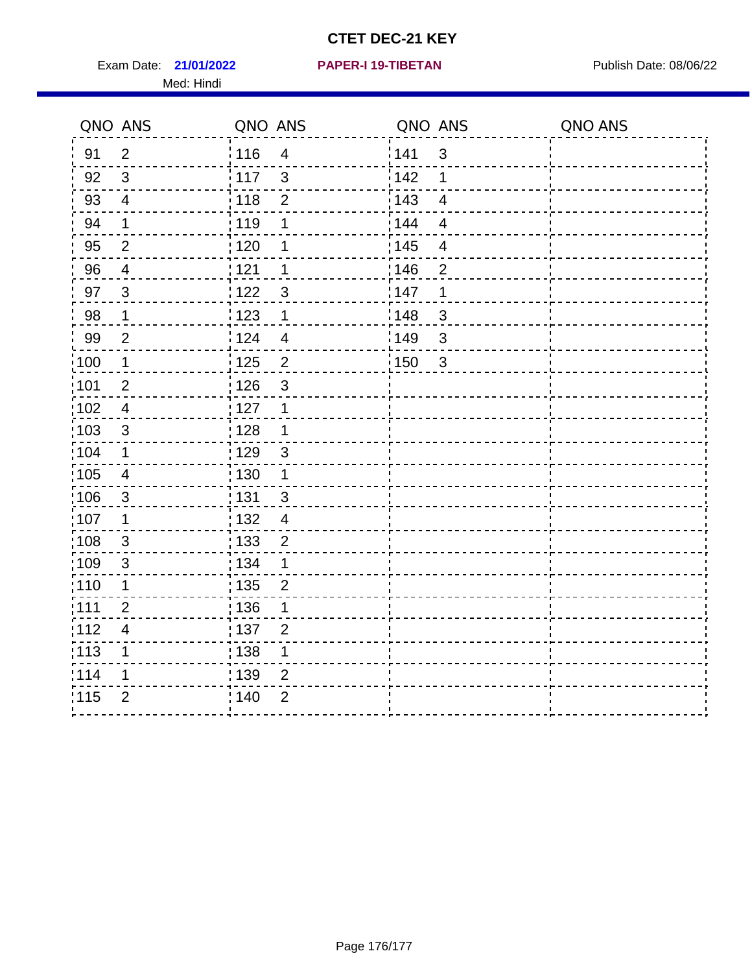Exam Date: 21/01/2022 PAPER-I 19-TIBETAN Publish Date: 08/06/22 Med: Hindi

|                   | QNO ANS                  | QNO ANS                          | QNO ANS           |                | QNO ANS |
|-------------------|--------------------------|----------------------------------|-------------------|----------------|---------|
| 91                | $\overline{2}$           | 116<br>$\overline{\mathbf{4}}$   | 141               | $\mathfrak{S}$ |         |
| 92                | $\mathfrak{S}$           | 3<br>117                         | 142               | 1              |         |
| 93                | $\overline{4}$           | 118<br>$\overline{2}$            | 143               | $\overline{4}$ |         |
| 94                | 1                        | : 119<br>1                       | 144               | 4              |         |
| 95                | $\overline{2}$           | : 120<br>1                       | : 145             | $\overline{4}$ |         |
| 96                | 4                        | 121<br>1                         | 146               | $\overline{2}$ |         |
| 97                | $\mathbf{3}$             | 3<br>122                         | 147               | 1              |         |
| $98\,$            | $\mathbf 1$              | $\frac{1}{2}$ 123<br>$\mathbf 1$ | $\frac{1}{2}$ 148 | $\mathbf{3}$   |         |
| 99                | $\overline{2}$           | 124<br>$\overline{4}$            | ¦149              | 3              |         |
| $\frac{1}{1}$ 100 | $\mathbf{1}$             | $\overline{2}$<br>125            | 150               | $\mathbf{3}$   |         |
| 101               | $\mathbf 2$              | 126<br>3                         |                   |                |         |
| 102               | $\overline{4}$           | : 127<br>1                       |                   |                |         |
| 103               | $\mathfrak{S}$           | 128<br>$\mathbf 1$               |                   |                |         |
| 104               | $\mathbf 1$              | : 129<br>$\mathfrak{S}$          |                   |                |         |
| $\frac{1}{1}$ 105 | $\overline{\mathbf{4}}$  | : 130<br>$\mathbf 1$             |                   |                |         |
| :106              | $\mathfrak{S}$           | : 131<br>3                       |                   |                |         |
| :107              | $\mathbf 1$              | : 132<br>$\overline{4}$          |                   |                |         |
| 108               | $\sqrt{3}$               | $\frac{1}{1}$ 133<br>$\mathbf 2$ |                   |                |         |
| :109              | $\mathfrak{S}$           | : 134<br>1                       |                   |                |         |
| :110              | 1                        | : 135<br>$\overline{2}$          |                   |                |         |
| :111              | $\overline{2}$           | : 136<br>1                       |                   |                |         |
| 112               | $\overline{\mathcal{A}}$ | 137<br>$\overline{2}$            |                   |                |         |
| 113               | 1                        | 138<br>1                         |                   |                |         |
| 114               | 1                        | : 139<br>2                       |                   |                |         |
| 115               | $\overline{2}$           | 140<br>$\overline{2}$            |                   |                |         |
|                   |                          |                                  |                   |                |         |